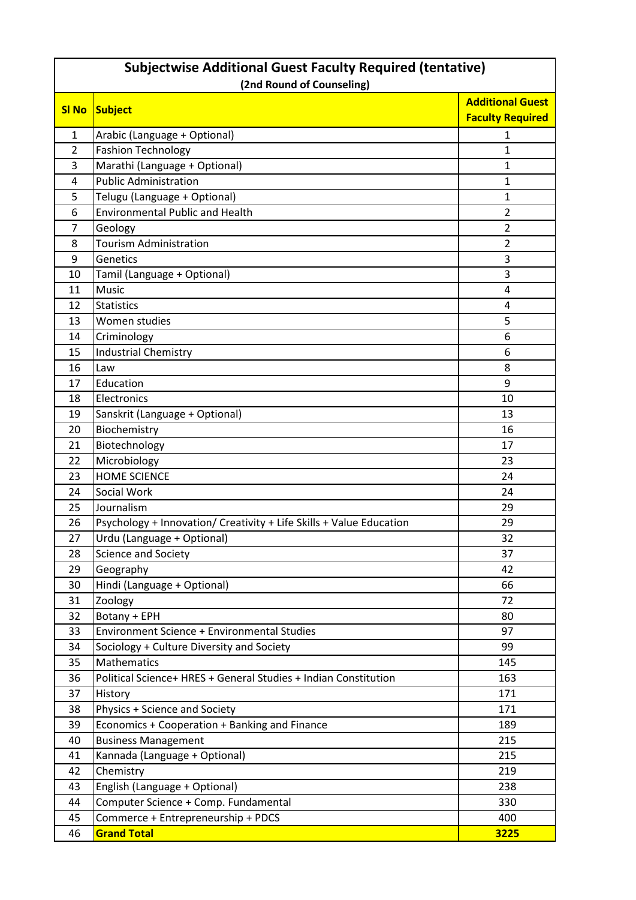|                | <b>Subjectwise Additional Guest Faculty Required (tentative)</b>    |                                                    |  |  |  |  |  |  |  |  |  |  |
|----------------|---------------------------------------------------------------------|----------------------------------------------------|--|--|--|--|--|--|--|--|--|--|
|                | (2nd Round of Counseling)                                           |                                                    |  |  |  |  |  |  |  |  |  |  |
| <b>SI No</b>   | Subject                                                             | <b>Additional Guest</b><br><b>Faculty Required</b> |  |  |  |  |  |  |  |  |  |  |
| 1              | Arabic (Language + Optional)                                        | 1                                                  |  |  |  |  |  |  |  |  |  |  |
| $\overline{2}$ | <b>Fashion Technology</b>                                           | 1                                                  |  |  |  |  |  |  |  |  |  |  |
| 3              | Marathi (Language + Optional)                                       | 1                                                  |  |  |  |  |  |  |  |  |  |  |
| 4              | <b>Public Administration</b>                                        | 1                                                  |  |  |  |  |  |  |  |  |  |  |
| 5              | Telugu (Language + Optional)                                        | 1                                                  |  |  |  |  |  |  |  |  |  |  |
| 6              | <b>Environmental Public and Health</b>                              | $\overline{2}$                                     |  |  |  |  |  |  |  |  |  |  |
| 7              | Geology                                                             | $\overline{2}$                                     |  |  |  |  |  |  |  |  |  |  |
| 8              | <b>Tourism Administration</b>                                       | $\overline{2}$                                     |  |  |  |  |  |  |  |  |  |  |
| 9              | Genetics                                                            | 3                                                  |  |  |  |  |  |  |  |  |  |  |
| 10             | Tamil (Language + Optional)                                         | 3                                                  |  |  |  |  |  |  |  |  |  |  |
| 11             | Music                                                               | 4                                                  |  |  |  |  |  |  |  |  |  |  |
| 12             | <b>Statistics</b>                                                   | 4                                                  |  |  |  |  |  |  |  |  |  |  |
| 13             | Women studies                                                       | 5                                                  |  |  |  |  |  |  |  |  |  |  |
| 14             | Criminology                                                         | 6                                                  |  |  |  |  |  |  |  |  |  |  |
| 15             | <b>Industrial Chemistry</b>                                         | 6                                                  |  |  |  |  |  |  |  |  |  |  |
| 16             | Law                                                                 | 8                                                  |  |  |  |  |  |  |  |  |  |  |
| 17             | Education                                                           | 9                                                  |  |  |  |  |  |  |  |  |  |  |
| 18             | Electronics                                                         | 10                                                 |  |  |  |  |  |  |  |  |  |  |
| 19             | Sanskrit (Language + Optional)                                      | 13                                                 |  |  |  |  |  |  |  |  |  |  |
| 20             | Biochemistry                                                        | 16                                                 |  |  |  |  |  |  |  |  |  |  |
| 21             | Biotechnology                                                       | 17                                                 |  |  |  |  |  |  |  |  |  |  |
| 22             | Microbiology                                                        | 23                                                 |  |  |  |  |  |  |  |  |  |  |
| 23             | <b>HOME SCIENCE</b>                                                 | 24                                                 |  |  |  |  |  |  |  |  |  |  |
| 24             | Social Work                                                         | 24                                                 |  |  |  |  |  |  |  |  |  |  |
| 25             | Journalism                                                          | 29                                                 |  |  |  |  |  |  |  |  |  |  |
| 26             | Psychology + Innovation/ Creativity + Life Skills + Value Education | 29                                                 |  |  |  |  |  |  |  |  |  |  |
| 27             | Urdu (Language + Optional)                                          | 32                                                 |  |  |  |  |  |  |  |  |  |  |
| 28             | <b>Science and Society</b>                                          | 37                                                 |  |  |  |  |  |  |  |  |  |  |
| 29             | Geography                                                           | 42                                                 |  |  |  |  |  |  |  |  |  |  |
| 30             | Hindi (Language + Optional)                                         | 66                                                 |  |  |  |  |  |  |  |  |  |  |
| 31             | Zoology                                                             | 72                                                 |  |  |  |  |  |  |  |  |  |  |
| 32             | Botany + EPH                                                        | 80                                                 |  |  |  |  |  |  |  |  |  |  |
| 33             | <b>Environment Science + Environmental Studies</b>                  | 97                                                 |  |  |  |  |  |  |  |  |  |  |
| 34             | Sociology + Culture Diversity and Society                           | 99                                                 |  |  |  |  |  |  |  |  |  |  |
| 35             | Mathematics                                                         | 145                                                |  |  |  |  |  |  |  |  |  |  |
| 36             | Political Science+ HRES + General Studies + Indian Constitution     | 163                                                |  |  |  |  |  |  |  |  |  |  |
| 37             | History                                                             | 171                                                |  |  |  |  |  |  |  |  |  |  |
| 38             | <b>Physics + Science and Society</b>                                | 171                                                |  |  |  |  |  |  |  |  |  |  |
| 39             | Economics + Cooperation + Banking and Finance                       | 189                                                |  |  |  |  |  |  |  |  |  |  |
| 40             | <b>Business Management</b>                                          | 215                                                |  |  |  |  |  |  |  |  |  |  |
| 41             | Kannada (Language + Optional)                                       | 215                                                |  |  |  |  |  |  |  |  |  |  |
| 42             | Chemistry                                                           | 219                                                |  |  |  |  |  |  |  |  |  |  |
| 43             | English (Language + Optional)                                       | 238                                                |  |  |  |  |  |  |  |  |  |  |
| 44             | Computer Science + Comp. Fundamental                                | 330                                                |  |  |  |  |  |  |  |  |  |  |
| 45             | Commerce + Entrepreneurship + PDCS                                  | 400                                                |  |  |  |  |  |  |  |  |  |  |
| 46             | <b>Grand Total</b>                                                  | 3225                                               |  |  |  |  |  |  |  |  |  |  |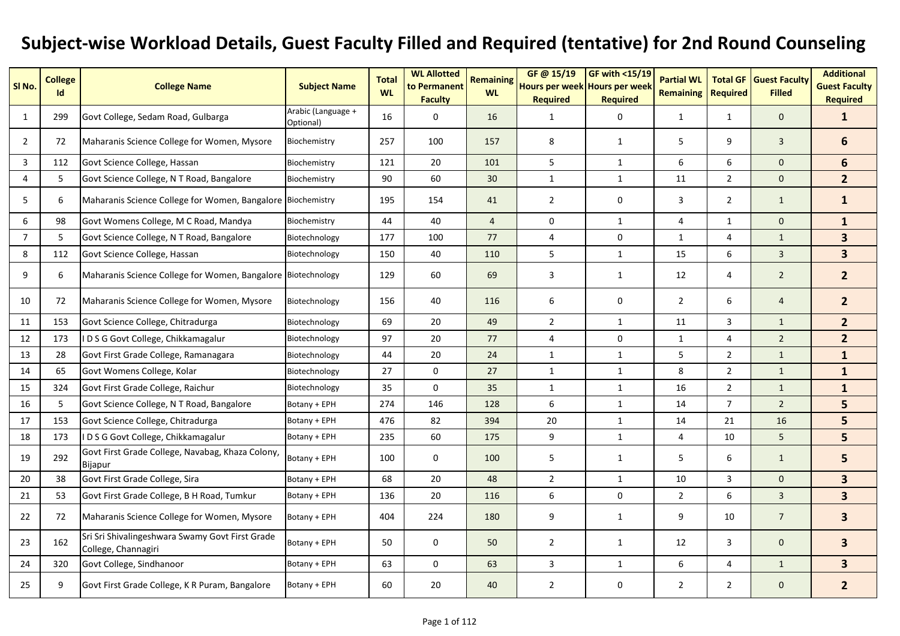## **Subject-wise Workload Details, Guest Faculty Filled and Required (tentative) for 2nd Round Counseling**

| SI No.         | <b>College</b><br>Id | <b>College Name</b>                                                    | <b>Subject Name</b>             | <b>Total</b><br><b>WL</b> | <b>WL Allotted</b><br>to Permanent<br><b>Faculty</b> | <b>Remaining</b><br><b>WL</b> | GF @ 15/19<br>Hours per week Hours per week<br><b>Required</b> | <b>GF with &lt;15/19</b><br><b>Required</b> | <b>Partial WL</b><br><b>Remaining</b> | <b>Required</b> | <b>Total GF   Guest Faculty</b><br><b>Filled</b> | <b>Additional</b><br><b>Guest Faculty</b><br><b>Required</b> |
|----------------|----------------------|------------------------------------------------------------------------|---------------------------------|---------------------------|------------------------------------------------------|-------------------------------|----------------------------------------------------------------|---------------------------------------------|---------------------------------------|-----------------|--------------------------------------------------|--------------------------------------------------------------|
| 1              | 299                  | Govt College, Sedam Road, Gulbarga                                     | Arabic (Language +<br>Optional) | 16                        | $\mathbf 0$                                          | 16                            | 1                                                              | 0                                           | $\mathbf{1}$                          | $\mathbf{1}$    | $\mathbf{0}$                                     | $\mathbf{1}$                                                 |
| $\overline{2}$ | 72                   | Maharanis Science College for Women, Mysore                            | Biochemistry                    | 257                       | 100                                                  | 157                           | 8                                                              | 1                                           | 5                                     | 9               | 3                                                | 6                                                            |
| 3              | 112                  | Govt Science College, Hassan                                           | Biochemistry                    | 121                       | 20                                                   | 101                           | 5                                                              | $\mathbf{1}$                                | 6                                     | 6               | $\mathbf 0$                                      | $6\phantom{1}$                                               |
| 4              | 5                    | Govt Science College, N T Road, Bangalore                              | Biochemistry                    | 90                        | 60                                                   | 30                            | 1                                                              | $\mathbf{1}$                                | 11                                    | $\overline{2}$  | $\mathbf{0}$                                     | 2 <sup>1</sup>                                               |
| 5              | 6                    | Maharanis Science College for Women, Bangalore Biochemistry            |                                 | 195                       | 154                                                  | 41                            | $\overline{2}$                                                 | 0                                           | 3                                     | $\overline{2}$  | $\mathbf{1}$                                     | $\mathbf{1}$                                                 |
| 6              | 98                   | Govt Womens College, M C Road, Mandya                                  | Biochemistry                    | 44                        | 40                                                   | $\overline{4}$                | $\mathbf 0$                                                    | 1                                           | $\overline{4}$                        | $\mathbf{1}$    | $\mathbf{0}$                                     | $\mathbf{1}$                                                 |
| $\overline{7}$ | 5                    | Govt Science College, N T Road, Bangalore                              | Biotechnology                   | 177                       | 100                                                  | 77                            | 4                                                              | 0                                           | $\mathbf{1}$                          | 4               | $\mathbf{1}$                                     | $\overline{\mathbf{3}}$                                      |
| 8              | 112                  | Govt Science College, Hassan                                           | Biotechnology                   | 150                       | 40                                                   | 110                           | 5                                                              | $\mathbf{1}$                                | 15                                    | 6               | 3                                                | 3 <sup>1</sup>                                               |
| 9              | 6                    | Maharanis Science College for Women, Bangalore Biotechnology           |                                 | 129                       | 60                                                   | 69                            | 3                                                              | $\mathbf{1}$                                | 12                                    | 4               | $\overline{2}$                                   | 2 <sup>1</sup>                                               |
| 10             | 72                   | Maharanis Science College for Women, Mysore                            | Biotechnology                   | 156                       | 40                                                   | 116                           | 6                                                              | $\mathbf 0$                                 | $\overline{2}$                        | 6               | $\overline{4}$                                   | $\overline{2}$                                               |
| 11             | 153                  | Govt Science College, Chitradurga                                      | Biotechnology                   | 69                        | 20                                                   | 49                            | $\overline{2}$                                                 | $\mathbf{1}$                                | 11                                    | 3               | $\mathbf{1}$                                     | $2^{\circ}$                                                  |
| 12             | 173                  | D S G Govt College, Chikkamagalur                                      | Biotechnology                   | 97                        | 20                                                   | 77                            | 4                                                              | 0                                           | $\mathbf{1}$                          | 4               | $\overline{2}$                                   | 2 <sup>2</sup>                                               |
| 13             | 28                   | Govt First Grade College, Ramanagara                                   | Biotechnology                   | 44                        | 20                                                   | 24                            | 1                                                              | $\mathbf{1}$                                | 5                                     | $\overline{2}$  | $\mathbf{1}$                                     | $\mathbf{1}$                                                 |
| 14             | 65                   | Govt Womens College, Kolar                                             | Biotechnology                   | 27                        | $\mathbf 0$                                          | 27                            | 1                                                              | $\mathbf{1}$                                | 8                                     | $\overline{2}$  | $\mathbf{1}$                                     | $\mathbf{1}$                                                 |
| 15             | 324                  | Govt First Grade College, Raichur                                      | Biotechnology                   | 35                        | $\mathbf 0$                                          | 35                            | $\mathbf{1}$                                                   | $\mathbf{1}$                                | 16                                    | $\overline{2}$  | $\mathbf{1}$                                     | $\mathbf{1}$                                                 |
| 16             | 5                    | Govt Science College, N T Road, Bangalore                              | Botany + EPH                    | 274                       | 146                                                  | 128                           | 6                                                              | $\mathbf{1}$                                | 14                                    | $\overline{7}$  | $\overline{2}$                                   | 5                                                            |
| 17             | 153                  | Govt Science College, Chitradurga                                      | Botany + EPH                    | 476                       | 82                                                   | 394                           | 20                                                             | $\mathbf{1}$                                | 14                                    | 21              | 16                                               | 5                                                            |
| 18             | 173                  | D S G Govt College, Chikkamagalur                                      | Botany + EPH                    | 235                       | 60                                                   | 175                           | 9                                                              | $\mathbf{1}$                                | 4                                     | 10              | 5                                                | 5                                                            |
| 19             | 292                  | Govt First Grade College, Navabag, Khaza Colony,<br>Bijapur            | Botany + EPH                    | 100                       | $\mathbf 0$                                          | 100                           | 5                                                              | $\mathbf{1}$                                | 5                                     | 6               | $\mathbf{1}$                                     | 5                                                            |
| 20             | 38                   | Govt First Grade College, Sira                                         | Botany + EPH                    | 68                        | 20                                                   | 48                            | $\overline{2}$                                                 | $\mathbf{1}$                                | 10                                    | 3               | $\mathbf{0}$                                     | $\overline{\mathbf{3}}$                                      |
| 21             | 53                   | Govt First Grade College, B H Road, Tumkur                             | Botany + EPH                    | 136                       | 20                                                   | 116                           | 6                                                              | $\mathbf 0$                                 | $\overline{2}$                        | 6               | $\mathbf{3}$                                     | $\overline{\mathbf{3}}$                                      |
| 22             | 72                   | Maharanis Science College for Women, Mysore                            | Botany + EPH                    | 404                       | 224                                                  | 180                           | 9                                                              | $\mathbf{1}$                                | 9                                     | 10              | $\overline{7}$                                   | $\overline{\mathbf{3}}$                                      |
| 23             | 162                  | Sri Sri Shivalingeshwara Swamy Govt First Grade<br>College, Channagiri | Botany + EPH                    | 50                        | $\mathbf 0$                                          | 50                            | $\overline{2}$                                                 | $\mathbf{1}$                                | 12                                    | 3               | $\mathbf 0$                                      | 3 <sup>1</sup>                                               |
| 24             | 320                  | Govt College, Sindhanoor                                               | Botany + EPH                    | 63                        | $\Omega$                                             | 63                            | $\overline{3}$                                                 | $\mathbf{1}$                                | 6                                     | 4               | $\mathbf{1}$                                     | $\overline{\mathbf{3}}$                                      |
| 25             | 9                    | Govt First Grade College, K R Puram, Bangalore                         | Botany + EPH                    | 60                        | 20                                                   | 40                            | $\overline{2}$                                                 | $\mathbf 0$                                 | $\overline{2}$                        | $\overline{2}$  | $\mathbf 0$                                      | 2 <sup>2</sup>                                               |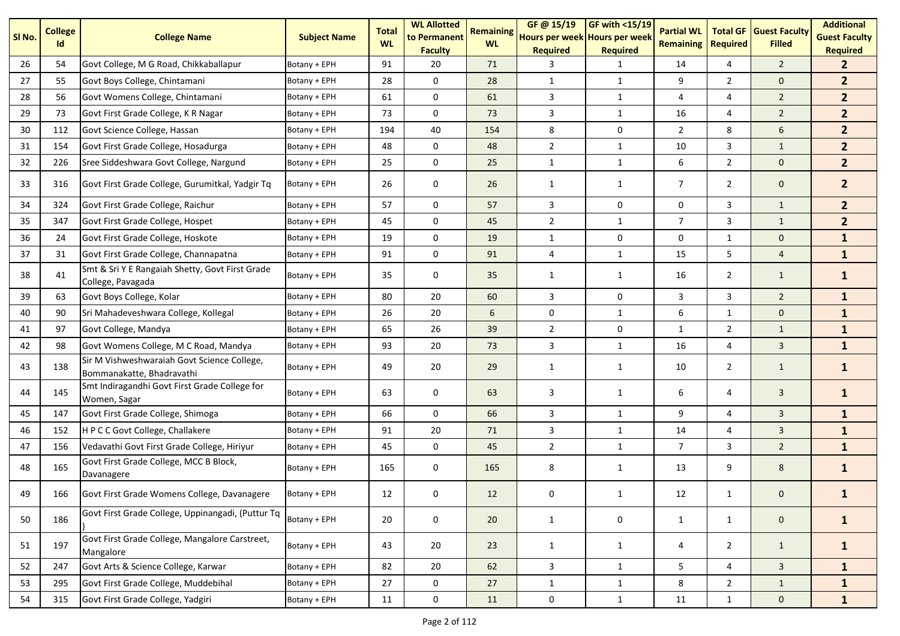| SI No. | <b>College</b><br>Id | <b>College Name</b>                                                      | <b>Subject Name</b> | <b>Total</b><br><b>WL</b> | <b>WL Allotted</b><br>to Permanent<br><b>Faculty</b> | <b>Remaining</b><br><b>WL</b> | GF@ 15/19<br>Hours per week Hours per week<br><b>Required</b> | <b>GF with &lt;15/19</b><br><b>Required</b> | <b>Partial WL</b><br>Remaining | <b>Total GF</b><br><b>Required</b> | <b>Guest Faculty</b><br><b>Filled</b> | <b>Additional</b><br><b>Guest Faculty</b><br><b>Required</b> |
|--------|----------------------|--------------------------------------------------------------------------|---------------------|---------------------------|------------------------------------------------------|-------------------------------|---------------------------------------------------------------|---------------------------------------------|--------------------------------|------------------------------------|---------------------------------------|--------------------------------------------------------------|
| 26     | 54                   | Govt College, M G Road, Chikkaballapur                                   | Botany + EPH        | 91                        | 20                                                   | 71                            | 3                                                             | 1                                           | 14                             | 4                                  | $\overline{2}$                        | $\mathbf{2}$                                                 |
| 27     | 55                   | Govt Boys College, Chintamani                                            | Botany + EPH        | 28                        | 0                                                    | 28                            | $\mathbf{1}$                                                  | $\mathbf{1}$                                | 9                              | $\overline{2}$                     | $\mathbf 0$                           | 2 <sup>2</sup>                                               |
| 28     | 56                   | Govt Womens College, Chintamani                                          | Botany + EPH        | 61                        | $\mathbf 0$                                          | 61                            | 3                                                             | $\mathbf{1}$                                | $\overline{4}$                 | $\overline{4}$                     | $\overline{2}$                        | 2 <sup>2</sup>                                               |
| 29     | 73                   | Govt First Grade College, K R Nagar                                      | Botany + EPH        | 73                        | $\mathbf 0$                                          | 73                            | 3                                                             | $\mathbf{1}$                                | 16                             | 4                                  | $\overline{2}$                        | 2 <sup>1</sup>                                               |
| 30     | 112                  | Govt Science College, Hassan                                             | Botany + EPH        | 194                       | 40                                                   | 154                           | 8                                                             | 0                                           | $\overline{2}$                 | 8                                  | 6                                     | 2 <sup>2</sup>                                               |
| 31     | 154                  | Govt First Grade College, Hosadurga                                      | Botany + EPH        | 48                        | 0                                                    | 48                            | $\overline{2}$                                                | $\mathbf{1}$                                | 10                             | 3                                  | $\mathbf{1}$                          | 2 <sup>2</sup>                                               |
| 32     | 226                  | Sree Siddeshwara Govt College, Nargund                                   | Botany + EPH        | 25                        | $\mathbf 0$                                          | 25                            | $\mathbf{1}$                                                  | $\mathbf{1}$                                | 6                              | $\overline{2}$                     | $\mathbf 0$                           | 2 <sup>1</sup>                                               |
| 33     | 316                  | Govt First Grade College, Gurumitkal, Yadgir Tq                          | Botany + EPH        | 26                        | 0                                                    | 26                            | 1                                                             | $\mathbf{1}$                                | $\overline{7}$                 | $\overline{2}$                     | 0                                     | $\overline{2}$                                               |
| 34     | 324                  | Govt First Grade College, Raichur                                        | Botany + EPH        | 57                        | $\mathbf 0$                                          | 57                            | 3                                                             | 0                                           | 0                              | 3                                  | $\mathbf{1}$                          | 2 <sup>2</sup>                                               |
| 35     | 347                  | Govt First Grade College, Hospet                                         | Botany + EPH        | 45                        | $\mathbf 0$                                          | 45                            | $\overline{2}$                                                | $\mathbf{1}$                                | $\overline{7}$                 | 3                                  | $\mathbf{1}$                          | 2 <sup>2</sup>                                               |
| 36     | 24                   | Govt First Grade College, Hoskote                                        | Botany + EPH        | 19                        | 0                                                    | 19                            | $\mathbf{1}$                                                  | 0                                           | 0                              | $\mathbf{1}$                       | $\mathbf 0$                           | $\mathbf{1}$                                                 |
| 37     | 31                   | Govt First Grade College, Channapatna                                    | Botany + EPH        | 91                        | $\mathbf 0$                                          | 91                            | 4                                                             | $\mathbf{1}$                                | 15                             | 5                                  | $\overline{4}$                        | $\mathbf{1}$                                                 |
| 38     | 41                   | Smt & Sri Y E Rangaiah Shetty, Govt First Grade<br>College, Pavagada     | Botany + EPH        | 35                        | 0                                                    | 35                            | $\mathbf{1}$                                                  | 1                                           | 16                             | $\overline{2}$                     | $\mathbf{1}$                          | $\mathbf{1}$                                                 |
| 39     | 63                   | Govt Boys College, Kolar                                                 | Botany + EPH        | 80                        | 20                                                   | 60                            | 3                                                             | 0                                           | 3                              | 3                                  | $\overline{2}$                        | $\mathbf{1}$                                                 |
| 40     | 90                   | Sri Mahadeveshwara College, Kollegal                                     | Botany + EPH        | 26                        | 20                                                   | 6                             | $\mathbf 0$                                                   | $\mathbf{1}$                                | 6                              | $\mathbf{1}$                       | $\mathbf{0}$                          | $\mathbf{1}$                                                 |
| 41     | 97                   | Govt College, Mandya                                                     | Botany + EPH        | 65                        | 26                                                   | 39                            | $\overline{2}$                                                | $\mathbf 0$                                 | $\mathbf{1}$                   | $\overline{2}$                     | $\mathbf{1}$                          | $\mathbf{1}$                                                 |
| 42     | 98                   | Govt Womens College, M C Road, Mandya                                    | Botany + EPH        | 93                        | 20                                                   | 73                            | 3                                                             | $\mathbf{1}$                                | 16                             | 4                                  | 3                                     | $\mathbf{1}$                                                 |
| 43     | 138                  | Sir M Vishweshwaraiah Govt Science College,<br>Bommanakatte, Bhadravathi | Botany + EPH        | 49                        | 20                                                   | 29                            | 1                                                             | 1                                           | 10                             | $\overline{2}$                     | $\mathbf{1}$                          | $\mathbf{1}$                                                 |
| 44     | 145                  | Smt Indiragandhi Govt First Grade College for<br>Women, Sagar            | Botany + EPH        | 63                        | 0                                                    | 63                            | 3                                                             | 1                                           | 6                              | 4                                  | 3                                     | $\mathbf{1}$                                                 |
| 45     | 147                  | Govt First Grade College, Shimoga                                        | Botany + EPH        | 66                        | $\mathbf 0$                                          | 66                            | 3                                                             | $\mathbf{1}$                                | 9                              | $\overline{4}$                     | $\overline{3}$                        | $\mathbf{1}$                                                 |
| 46     | 152                  | H P C C Govt College, Challakere                                         | Botany + EPH        | 91                        | 20                                                   | 71                            | 3                                                             | $\mathbf{1}$                                | 14                             | 4                                  | 3                                     | $\mathbf{1}$                                                 |
| 47     | 156                  | Vedavathi Govt First Grade College, Hiriyur                              | Botany + EPH        | 45                        | 0                                                    | 45                            | $\overline{2}$                                                | $\mathbf{1}$                                | $\overline{7}$                 | 3                                  | $\overline{2}$                        | $\mathbf{1}$                                                 |
| 48     | 165                  | Govt First Grade College, MCC B Block,<br>Davanagere                     | Botany + EPH        | 165                       | 0                                                    | 165                           | 8                                                             | 1                                           | 13                             | 9                                  | 8                                     | $\mathbf{1}$                                                 |
| 49     | 166                  | Govt First Grade Womens College, Davanagere                              | Botany + EPH        | 12                        | 0                                                    | 12                            | 0                                                             |                                             | 12                             | $\mathbf{1}$                       | 0                                     |                                                              |
| 50     | 186                  | Govt First Grade College, Uppinangadi, (Puttur Tq                        | Botany + EPH        | 20                        | 0                                                    | 20                            | $\mathbf{1}$                                                  | 0                                           | $\mathbf{1}$                   | $\mathbf{1}$                       | $\mathbf 0$                           | $\mathbf{1}$                                                 |
| 51     | 197                  | Govt First Grade College, Mangalore Carstreet,<br>Mangalore              | Botany + EPH        | 43                        | 20                                                   | 23                            | $\mathbf{1}$                                                  | $\mathbf{1}$                                | 4                              | $\overline{2}$                     | $\mathbf{1}$                          | $\mathbf{1}$                                                 |
| 52     | 247                  | Govt Arts & Science College, Karwar                                      | Botany + EPH        | 82                        | 20                                                   | 62                            | $\mathbf{3}$                                                  | $\mathbf{1}$                                | 5                              | $\overline{4}$                     | $\overline{\mathbf{3}}$               | $\mathbf{1}$                                                 |
| 53     | 295                  | Govt First Grade College, Muddebihal                                     | Botany + EPH        | 27                        | 0                                                    | 27                            | $\mathbf{1}$                                                  | $\mathbf{1}$                                | 8                              | $\overline{2}$                     | $\mathbf{1}$                          | $\mathbf{1}$                                                 |
| 54     | 315                  | Govt First Grade College, Yadgiri                                        | Botany + EPH        | 11                        | $\mathbf 0$                                          | 11                            | $\mathsf{O}\xspace$                                           | $\mathbf{1}$                                | 11                             | $\mathbf{1}$                       | $\mathsf{O}\xspace$                   | $\mathbf{1}$                                                 |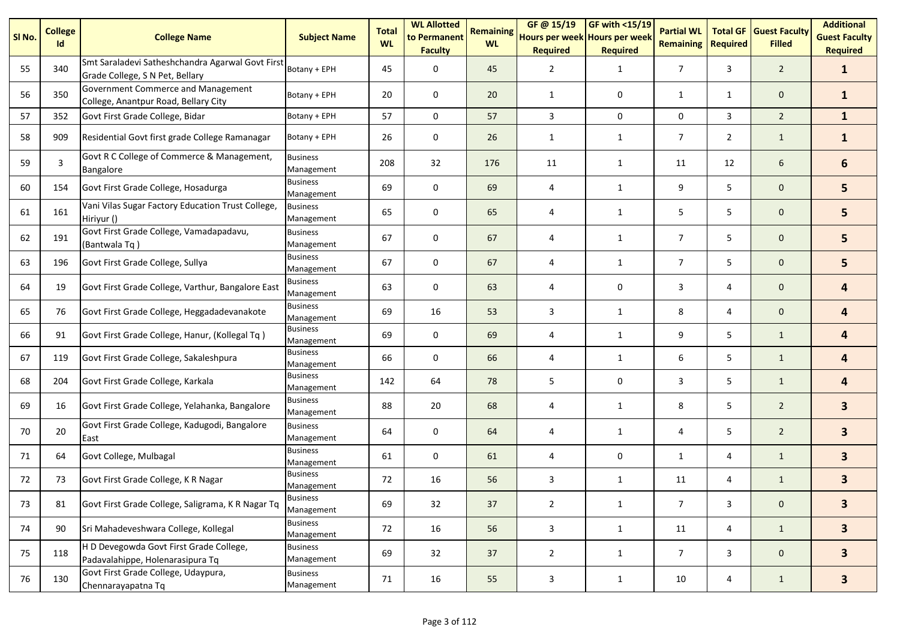| SI <sub>No.</sub> | <b>College</b><br>Id | <b>College Name</b>                                                                 | <b>Subject Name</b>           | <b>Total</b><br><b>WL</b> | <b>WL Allotted</b><br>to Permanent<br><b>Faculty</b> | <b>Remaining</b><br><b>WL</b> | GF@ 15/19<br>Hours per week Hours per week<br><b>Required</b> | GF with <15/19<br><b>Required</b> | <b>Partial WL</b><br><b>Remaining</b> | <b>Total GF</b><br><b>Required</b> | <b>Guest Faculty</b><br><b>Filled</b> | <b>Additional</b><br><b>Guest Faculty</b><br><b>Required</b> |
|-------------------|----------------------|-------------------------------------------------------------------------------------|-------------------------------|---------------------------|------------------------------------------------------|-------------------------------|---------------------------------------------------------------|-----------------------------------|---------------------------------------|------------------------------------|---------------------------------------|--------------------------------------------------------------|
| 55                | 340                  | Smt Saraladevi Satheshchandra Agarwal Govt First<br>Grade College, S N Pet, Bellary | Botany + EPH                  | 45                        | $\mathbf 0$                                          | 45                            | $\overline{2}$                                                | $\mathbf{1}$                      | $\overline{7}$                        | 3                                  | $\overline{2}$                        | $\mathbf{1}$                                                 |
| 56                | 350                  | Government Commerce and Management<br>College, Anantpur Road, Bellary City          | Botany + EPH                  | 20                        | 0                                                    | 20                            | $\mathbf{1}$                                                  | 0                                 | $\mathbf{1}$                          | $\mathbf{1}$                       | $\mathbf 0$                           | $\mathbf{1}$                                                 |
| 57                | 352                  | Govt First Grade College, Bidar                                                     | Botany + EPH                  | 57                        | $\mathbf 0$                                          | 57                            | 3                                                             | 0                                 | 0                                     | 3                                  | $\overline{2}$                        | $\mathbf{1}$                                                 |
| 58                | 909                  | Residential Govt first grade College Ramanagar                                      | Botany + EPH                  | 26                        | 0                                                    | 26                            | 1                                                             | 1                                 | 7                                     | $\overline{2}$                     | $\mathbf{1}$                          | $\mathbf{1}$                                                 |
| 59                | 3                    | Govt R C College of Commerce & Management,<br>Bangalore                             | <b>Business</b><br>Management | 208                       | 32                                                   | 176                           | 11                                                            | $\mathbf{1}$                      | 11                                    | 12                                 | 6                                     | 6                                                            |
| 60                | 154                  | Govt First Grade College, Hosadurga                                                 | <b>Business</b><br>Management | 69                        | $\mathbf 0$                                          | 69                            | 4                                                             | 1                                 | 9                                     | 5                                  | $\mathbf{0}$                          | 5                                                            |
| 61                | 161                  | Vani Vilas Sugar Factory Education Trust College,<br>Hiriyur ()                     | <b>Business</b><br>Management | 65                        | 0                                                    | 65                            | 4                                                             | $\mathbf{1}$                      | 5                                     | 5                                  | $\mathbf 0$                           | 5                                                            |
| 62                | 191                  | Govt First Grade College, Vamadapadavu,<br>(Bantwala Tq)                            | <b>Business</b><br>Management | 67                        | $\mathbf 0$                                          | 67                            | 4                                                             | $\mathbf{1}$                      | $\overline{7}$                        | 5                                  | $\mathbf 0$                           | 5                                                            |
| 63                | 196                  | Govt First Grade College, Sullya                                                    | <b>Business</b><br>Management | 67                        | 0                                                    | 67                            | 4                                                             | $\mathbf{1}$                      | $\overline{7}$                        | 5                                  | $\mathbf 0$                           | 5                                                            |
| 64                | 19                   | Govt First Grade College, Varthur, Bangalore East                                   | <b>Business</b><br>Management | 63                        | 0                                                    | 63                            | 4                                                             | 0                                 | 3                                     | 4                                  | $\mathbf 0$                           | 4                                                            |
| 65                | 76                   | Govt First Grade College, Heggadadevanakote                                         | <b>Business</b><br>Management | 69                        | 16                                                   | 53                            | 3                                                             | $\mathbf{1}$                      | 8                                     | 4                                  | $\mathbf 0$                           | 4                                                            |
| 66                | 91                   | Govt First Grade College, Hanur, (Kollegal Tq)                                      | <b>Business</b><br>Management | 69                        | 0                                                    | 69                            | 4                                                             | 1                                 | 9                                     | 5                                  | $\mathbf{1}$                          | 4                                                            |
| 67                | 119                  | Govt First Grade College, Sakaleshpura                                              | <b>Business</b><br>Management | 66                        | 0                                                    | 66                            | 4                                                             | $\mathbf{1}$                      | 6                                     | 5                                  | $\mathbf{1}$                          | 4                                                            |
| 68                | 204                  | Govt First Grade College, Karkala                                                   | <b>Business</b><br>Management | 142                       | 64                                                   | 78                            | 5                                                             | 0                                 | 3                                     | 5                                  | $\mathbf{1}$                          | 4                                                            |
| 69                | 16                   | Govt First Grade College, Yelahanka, Bangalore                                      | <b>Business</b><br>Management | 88                        | 20                                                   | 68                            | 4                                                             | 1                                 | 8                                     | 5                                  | $\overline{2}$                        | $\overline{\mathbf{3}}$                                      |
| 70                | 20                   | Govt First Grade College, Kadugodi, Bangalore<br>East                               | <b>Business</b><br>Management | 64                        | 0                                                    | 64                            | 4                                                             | 1                                 | 4                                     | 5                                  | $\overline{2}$                        | $\overline{\mathbf{3}}$                                      |
| 71                | 64                   | Govt College, Mulbagal                                                              | <b>Business</b><br>Management | 61                        | $\mathbf 0$                                          | 61                            | 4                                                             | 0                                 | $\mathbf{1}$                          | 4                                  | $\mathbf{1}$                          | $\mathbf{3}$                                                 |
| 72                | 73                   | Govt First Grade College, K R Nagar                                                 | <b>Business</b><br>Management | 72                        | 16                                                   | 56                            | 3                                                             | $\mathbf{1}$                      | 11                                    | 4                                  | $\mathbf{1}$                          | $\mathbf{3}$                                                 |
| 73                | 81                   | Govt First Grade College, Saligrama, K R Nagar Tq                                   | <b>Business</b><br>Management | 69                        | 32                                                   | 37                            | $\overline{2}$                                                | $\mathbf{1}$                      | $\overline{7}$                        | 3                                  | $\mathbf 0$                           | $\mathbf{3}$                                                 |
| 74                | 90                   | Sri Mahadeveshwara College, Kollegal                                                | <b>Business</b><br>Management | 72                        | 16                                                   | 56                            | 3                                                             | $\mathbf{1}$                      | 11                                    | 4                                  | $\mathbf{1}$                          | 3 <sup>1</sup>                                               |
| 75                | 118                  | H D Devegowda Govt First Grade College,<br>Padavalahippe, Holenarasipura Tq         | <b>Business</b><br>Management | 69                        | 32                                                   | 37                            | $\overline{2}$                                                | $\mathbf{1}$                      | $\overline{7}$                        | 3                                  | $\mathbf 0$                           | $\mathbf{3}$                                                 |
| 76                | 130                  | Govt First Grade College, Udaypura,<br>Chennarayapatna Tq                           | <b>Business</b><br>Management | 71                        | 16                                                   | 55                            | 3                                                             | $\mathbf{1}$                      | 10                                    | 4                                  | $\mathbf{1}$                          | $\mathbf{3}$                                                 |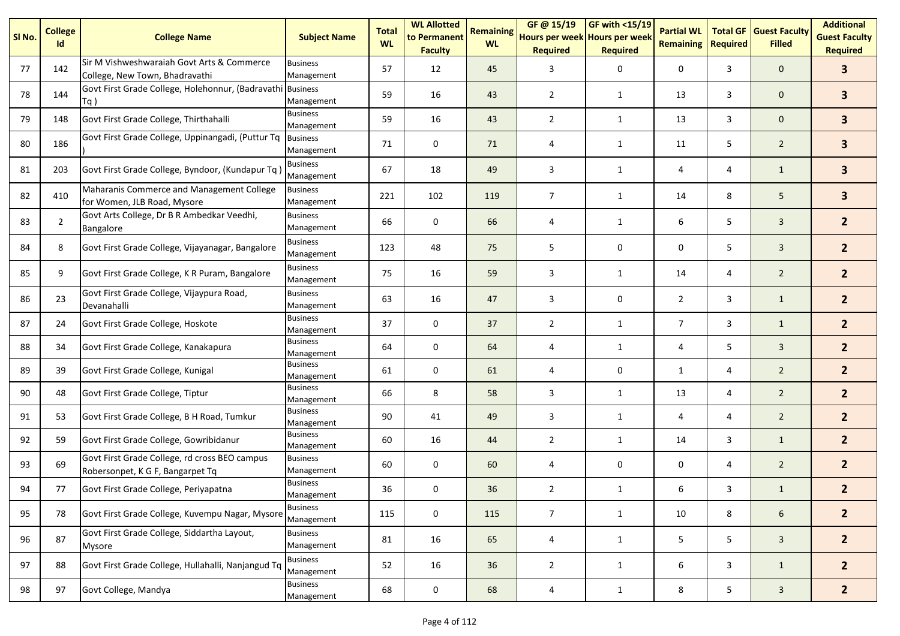| SI No. | <b>College</b><br>Id | <b>College Name</b>                                                               | <b>Subject Name</b>           | <b>Total</b><br><b>WL</b> | <b>WL Allotted</b><br>to Permanent<br><b>Faculty</b> | <b>Remaining</b><br><b>WL</b> | GF @ 15/19<br>Hours per week Hours per week<br><b>Required</b> | $GF$ with <15/19<br><b>Required</b> | <b>Partial WL</b><br><b>Remaining</b> | <b>Total GF</b><br><b>Required</b> | <b>Guest Faculty</b><br><b>Filled</b> | <b>Additional</b><br><b>Guest Faculty</b><br><b>Required</b> |
|--------|----------------------|-----------------------------------------------------------------------------------|-------------------------------|---------------------------|------------------------------------------------------|-------------------------------|----------------------------------------------------------------|-------------------------------------|---------------------------------------|------------------------------------|---------------------------------------|--------------------------------------------------------------|
| 77     | 142                  | Sir M Vishweshwaraiah Govt Arts & Commerce<br>College, New Town, Bhadravathi      | <b>Business</b><br>Management | 57                        | 12                                                   | 45                            | 3                                                              | 0                                   | 0                                     | 3                                  | $\mathbf{0}$                          | $\overline{\mathbf{3}}$                                      |
| 78     | 144                  | Govt First Grade College, Holehonnur, (Badravathi Business<br>Tq)                 | Management                    | 59                        | 16                                                   | 43                            | $\overline{2}$                                                 | $\mathbf{1}$                        | 13                                    | 3                                  | $\mathbf 0$                           | $\overline{\mathbf{3}}$                                      |
| 79     | 148                  | Govt First Grade College, Thirthahalli                                            | <b>Business</b><br>Management | 59                        | 16                                                   | 43                            | $\overline{2}$                                                 | $\mathbf{1}$                        | 13                                    | 3                                  | $\mathbf{0}$                          | 3 <sup>1</sup>                                               |
| 80     | 186                  | Govt First Grade College, Uppinangadi, (Puttur Tq                                 | <b>Business</b><br>Management | 71                        | 0                                                    | 71                            | 4                                                              | $\mathbf{1}$                        | 11                                    | 5                                  | $\overline{2}$                        | 3 <sup>1</sup>                                               |
| 81     | 203                  | Govt First Grade College, Byndoor, (Kundapur Tq                                   | <b>Business</b><br>Management | 67                        | 18                                                   | 49                            | 3                                                              | $\mathbf{1}$                        | 4                                     | 4                                  | $\mathbf{1}$                          | 3 <sup>1</sup>                                               |
| 82     | 410                  | Maharanis Commerce and Management College<br>for Women, JLB Road, Mysore          | <b>Business</b><br>Management | 221                       | 102                                                  | 119                           | $\overline{7}$                                                 | $\mathbf{1}$                        | 14                                    | 8                                  | 5                                     | $\overline{\mathbf{3}}$                                      |
| 83     | $\overline{2}$       | Govt Arts College, Dr B R Ambedkar Veedhi,<br>Bangalore                           | <b>Business</b><br>Management | 66                        | 0                                                    | 66                            | 4                                                              | $\mathbf{1}$                        | 6                                     | 5                                  | $\overline{3}$                        | 2 <sup>1</sup>                                               |
| 84     | 8                    | Govt First Grade College, Vijayanagar, Bangalore                                  | <b>Business</b><br>Management | 123                       | 48                                                   | 75                            | 5                                                              | 0                                   | 0                                     | 5                                  | $\overline{3}$                        | 2 <sup>1</sup>                                               |
| 85     | 9                    | Govt First Grade College, K R Puram, Bangalore                                    | <b>Business</b><br>Management | 75                        | 16                                                   | 59                            | 3                                                              | $\mathbf{1}$                        | 14                                    | 4                                  | $\overline{2}$                        | 2 <sup>1</sup>                                               |
| 86     | 23                   | Govt First Grade College, Vijaypura Road,<br>Devanahalli                          | <b>Business</b><br>Management | 63                        | 16                                                   | 47                            | 3                                                              | 0                                   | $\overline{2}$                        | 3                                  | $\mathbf{1}$                          | 2 <sup>1</sup>                                               |
| 87     | 24                   | Govt First Grade College, Hoskote                                                 | <b>Business</b><br>Management | 37                        | 0                                                    | 37                            | $\overline{2}$                                                 | $\mathbf{1}$                        | $\overline{7}$                        | 3                                  | $\mathbf{1}$                          | 2 <sup>1</sup>                                               |
| 88     | 34                   | Govt First Grade College, Kanakapura                                              | <b>Business</b><br>Management | 64                        | 0                                                    | 64                            | 4                                                              | $\mathbf{1}$                        | 4                                     | 5                                  | $\mathbf{3}$                          | 2 <sup>1</sup>                                               |
| 89     | 39                   | Govt First Grade College, Kunigal                                                 | <b>Business</b><br>Management | 61                        | 0                                                    | 61                            | 4                                                              | 0                                   | $\mathbf{1}$                          | 4                                  | $\overline{2}$                        | 2 <sup>1</sup>                                               |
| 90     | 48                   | Govt First Grade College, Tiptur                                                  | <b>Business</b><br>Management | 66                        | 8                                                    | 58                            | 3                                                              | $\mathbf{1}$                        | 13                                    | 4                                  | $\overline{2}$                        | 2 <sup>1</sup>                                               |
| 91     | 53                   | Govt First Grade College, B H Road, Tumkur                                        | <b>Business</b><br>Management | 90                        | 41                                                   | 49                            | 3                                                              | $\mathbf{1}$                        | 4                                     | 4                                  | $\overline{2}$                        | 2 <sup>1</sup>                                               |
| 92     | 59                   | Govt First Grade College, Gowribidanur                                            | <b>Business</b><br>Management | 60                        | 16                                                   | 44                            | $\overline{2}$                                                 | $\mathbf{1}$                        | 14                                    | 3                                  | $\mathbf{1}$                          | 2 <sup>1</sup>                                               |
| 93     | 69                   | Govt First Grade College, rd cross BEO campus<br>Robersonpet, K G F, Bangarpet Tq | <b>Business</b><br>Management | 60                        | 0                                                    | 60                            | 4                                                              | 0                                   | 0                                     | 4                                  | $\overline{2}$                        | 2 <sup>1</sup>                                               |
| 94     | 77                   | Govt First Grade College, Periyapatna                                             | <b>Business</b><br>Management | 36                        | 0                                                    | 36                            | $\overline{2}$                                                 | 1                                   | 6                                     | 3                                  | $\mathbf{1}$                          | $\overline{2}$                                               |
| 95     | 78                   | Govt First Grade College, Kuvempu Nagar, Mysore                                   | <b>Business</b><br>Management | 115                       | 0                                                    | 115                           | $\overline{7}$                                                 | $\mathbf{1}$                        | 10                                    | 8                                  | 6                                     | 2 <sup>2</sup>                                               |
| 96     | 87                   | Govt First Grade College, Siddartha Layout,<br><b>Mysore</b>                      | <b>Business</b><br>Management | 81                        | 16                                                   | 65                            | 4                                                              | $\mathbf{1}$                        | 5                                     | 5                                  | $\overline{3}$                        | 2 <sup>2</sup>                                               |
| 97     | 88                   | Govt First Grade College, Hullahalli, Nanjangud Tq                                | <b>Business</b><br>Management | 52                        | 16                                                   | 36                            | $\overline{2}$                                                 | $\mathbf{1}$                        | 6                                     | 3                                  | $\mathbf{1}$                          | 2 <sup>2</sup>                                               |
| 98     | 97                   | Govt College, Mandya                                                              | <b>Business</b><br>Management | 68                        | $\pmb{0}$                                            | 68                            | 4                                                              | $\mathbf{1}$                        | 8                                     | 5                                  | $\mathbf{3}$                          | $\overline{2}$                                               |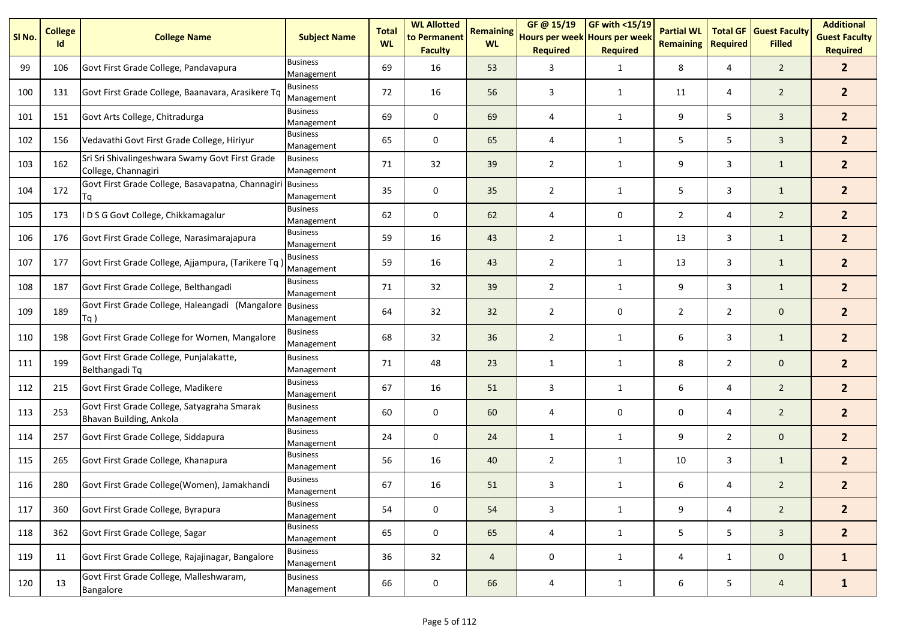| SI <sub>No.</sub> | <b>College</b><br>Id | <b>College Name</b>                                                    | <b>Subject Name</b>           | <b>Total</b><br><b>WL</b> | <b>WL Allotted</b><br>to Permanent<br><b>Faculty</b> | <b>Remaining</b><br><b>WL</b> | GF @ 15/19<br>Hours per week Hours per week<br><b>Required</b> | GF with <15/19<br><b>Required</b> | <b>Partial WL</b><br><b>Remaining</b> | <b>Total GF</b><br><b>Required</b> | <b>Guest Faculty</b><br><b>Filled</b> | <b>Additional</b><br><b>Guest Faculty</b><br><b>Required</b> |
|-------------------|----------------------|------------------------------------------------------------------------|-------------------------------|---------------------------|------------------------------------------------------|-------------------------------|----------------------------------------------------------------|-----------------------------------|---------------------------------------|------------------------------------|---------------------------------------|--------------------------------------------------------------|
| 99                | 106                  | Govt First Grade College, Pandavapura                                  | <b>Business</b><br>Management | 69                        | 16                                                   | 53                            | 3                                                              | 1                                 | 8                                     | 4                                  | $\overline{2}$                        | 2 <sup>2</sup>                                               |
| 100               | 131                  | Govt First Grade College, Baanavara, Arasikere Tq                      | <b>Business</b><br>Management | 72                        | 16                                                   | 56                            | 3                                                              | 1                                 | 11                                    | 4                                  | $\overline{2}$                        | 2 <sup>1</sup>                                               |
| 101               | 151                  | Govt Arts College, Chitradurga                                         | <b>Business</b><br>Management | 69                        | 0                                                    | 69                            | 4                                                              | 1                                 | 9                                     | 5                                  | $\overline{3}$                        | 2 <sup>1</sup>                                               |
| 102               | 156                  | Vedavathi Govt First Grade College, Hiriyur                            | <b>Business</b><br>Management | 65                        | $\mathbf 0$                                          | 65                            | 4                                                              | $\mathbf{1}$                      | 5                                     | 5                                  | $\overline{3}$                        | 2 <sup>1</sup>                                               |
| 103               | 162                  | Sri Sri Shivalingeshwara Swamy Govt First Grade<br>College, Channagiri | <b>Business</b><br>Management | 71                        | 32                                                   | 39                            | $\overline{2}$                                                 | 1                                 | 9                                     | 3                                  | $\mathbf{1}$                          | 2 <sup>1</sup>                                               |
| 104               | 172                  | Govt First Grade College, Basavapatna, Channagiri<br>Τq                | <b>Business</b><br>Management | 35                        | $\mathbf 0$                                          | 35                            | $\overline{2}$                                                 | $\mathbf{1}$                      | 5                                     | 3                                  | $\mathbf{1}$                          | 2 <sup>1</sup>                                               |
| 105               | 173                  | D S G Govt College, Chikkamagalur                                      | <b>Business</b><br>Management | 62                        | 0                                                    | 62                            | 4                                                              | 0                                 | 2                                     | 4                                  | $\overline{2}$                        | 2 <sup>1</sup>                                               |
| 106               | 176                  | Govt First Grade College, Narasimarajapura                             | <b>Business</b><br>Management | 59                        | 16                                                   | 43                            | $\overline{2}$                                                 | $\mathbf{1}$                      | 13                                    | 3                                  | $\mathbf{1}$                          | 2 <sup>1</sup>                                               |
| 107               | 177                  | Govt First Grade College, Ajjampura, (Tarikere Tq)                     | <b>Business</b><br>Management | 59                        | 16                                                   | 43                            | $\overline{2}$                                                 | 1                                 | 13                                    | 3                                  | $\mathbf{1}$                          | $\overline{2}$                                               |
| 108               | 187                  | Govt First Grade College, Belthangadi                                  | <b>Business</b><br>Management | 71                        | 32                                                   | 39                            | $\overline{2}$                                                 | 1                                 | 9                                     | 3                                  | $\mathbf{1}$                          | 2 <sup>1</sup>                                               |
| 109               | 189                  | Govt First Grade College, Haleangadi (Mangalore<br>$Tq$ )              | <b>Business</b><br>Management | 64                        | 32                                                   | 32                            | $\overline{2}$                                                 | 0                                 | $\overline{2}$                        | $\overline{2}$                     | $\mathbf 0$                           | 2 <sup>1</sup>                                               |
| 110               | 198                  | Govt First Grade College for Women, Mangalore                          | <b>Business</b><br>Management | 68                        | 32                                                   | 36                            | $\overline{2}$                                                 | 1                                 | 6                                     | 3                                  | $\mathbf{1}$                          | 2 <sup>1</sup>                                               |
| 111               | 199                  | Govt First Grade College, Punjalakatte,<br>Belthangadi Tq              | <b>Business</b><br>Management | 71                        | 48                                                   | 23                            | 1                                                              | $\mathbf{1}$                      | 8                                     | $\overline{2}$                     | $\mathbf 0$                           | 2 <sup>2</sup>                                               |
| 112               | 215                  | Govt First Grade College, Madikere                                     | <b>Business</b><br>Management | 67                        | 16                                                   | 51                            | 3                                                              | 1                                 | 6                                     | 4                                  | $\overline{2}$                        | 2 <sup>2</sup>                                               |
| 113               | 253                  | Govt First Grade College, Satyagraha Smarak<br>Bhavan Building, Ankola | <b>Business</b><br>Management | 60                        | 0                                                    | 60                            | 4                                                              | 0                                 | 0                                     | 4                                  | $\overline{2}$                        | $\overline{2}$                                               |
| 114               | 257                  | Govt First Grade College, Siddapura                                    | <b>Business</b><br>Management | 24                        | $\mathbf 0$                                          | 24                            | 1                                                              | 1                                 | 9                                     | $\overline{2}$                     | $\mathbf 0$                           | 2 <sup>2</sup>                                               |
| 115               | 265                  | Govt First Grade College, Khanapura                                    | <b>Business</b><br>Management | 56                        | 16                                                   | 40                            | $\overline{2}$                                                 | $\mathbf{1}$                      | 10                                    | 3                                  | $\mathbf{1}$                          | 2 <sup>1</sup>                                               |
| 116               | 280                  | Govt First Grade College(Women), Jamakhandi                            | <b>Business</b><br>Management | 67                        | 16                                                   | 51                            | 3                                                              | 1                                 | 6                                     | 4                                  | $\overline{2}$                        | 2 <sup>1</sup>                                               |
| 117               | 360                  | Govt First Grade College, Byrapura                                     | <b>Business</b><br>Management | 54                        | 0                                                    | 54                            | 3                                                              | $\mathbf{1}$                      | 9                                     | 4                                  | $\overline{2}$                        | 2 <sup>2</sup>                                               |
| 118               | 362                  | Govt First Grade College, Sagar                                        | <b>Business</b><br>Management | 65                        | $\mathbf 0$                                          | 65                            | 4                                                              | $\mathbf{1}$                      | 5                                     | 5                                  | $\mathbf{3}$                          | $\overline{2}$                                               |
| 119               | 11                   | Govt First Grade College, Rajajinagar, Bangalore                       | <b>Business</b><br>Management | 36                        | 32                                                   | $\overline{4}$                | 0                                                              | $\mathbf{1}$                      | 4                                     | $\mathbf{1}$                       | $\mathbf{0}$                          | $\mathbf{1}$                                                 |
| 120               | 13                   | Govt First Grade College, Malleshwaram,<br>Bangalore                   | <b>Business</b><br>Management | 66                        | $\mathsf{O}\xspace$                                  | 66                            | 4                                                              | $\mathbf{1}$                      | 6                                     | 5                                  | $\overline{4}$                        | $\mathbf{1}$                                                 |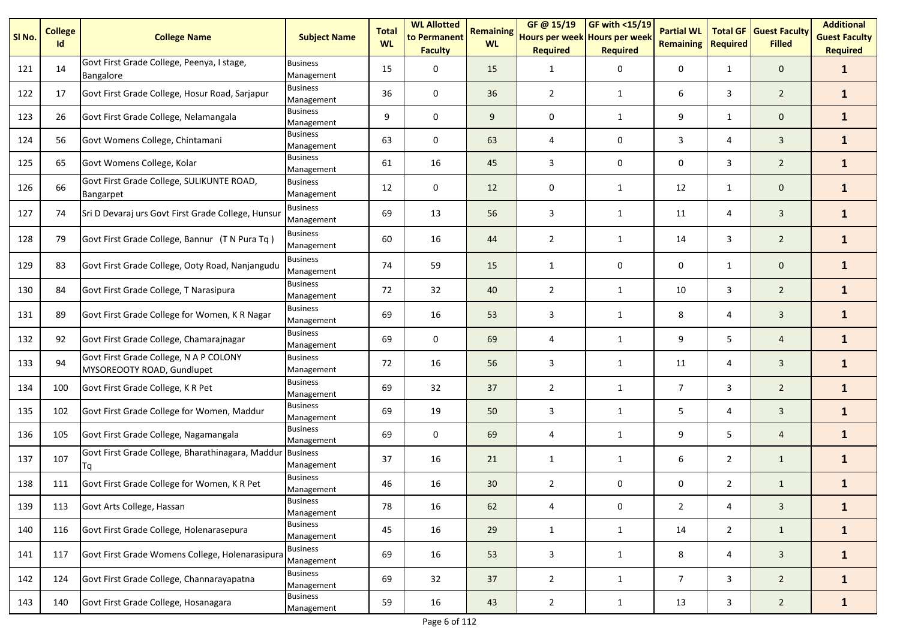| SI No. | <b>College</b><br>Id | <b>College Name</b>                                                  | <b>Subject Name</b>           | <b>Total</b><br><b>WL</b> | <b>WL Allotted</b><br>to Permanent<br><b>Faculty</b> | <b>Remaining</b><br><b>WL</b> | GF @ 15/19<br>Hours per week Hours per week<br><b>Required</b> | <b>GF with &lt;15/19</b><br><b>Required</b> | <b>Partial WL</b><br><b>Remaining</b> | <b>Total GF</b><br><b>Required</b> | <b>Guest Faculty</b><br><b>Filled</b> | <b>Additional</b><br><b>Guest Faculty</b><br><b>Required</b> |
|--------|----------------------|----------------------------------------------------------------------|-------------------------------|---------------------------|------------------------------------------------------|-------------------------------|----------------------------------------------------------------|---------------------------------------------|---------------------------------------|------------------------------------|---------------------------------------|--------------------------------------------------------------|
| 121    | 14                   | Govt First Grade College, Peenya, I stage,<br><b>Bangalore</b>       | <b>Business</b><br>Management | 15                        | $\mathbf 0$                                          | 15                            | 1                                                              | 0                                           | 0                                     | $\mathbf{1}$                       | $\mathbf 0$                           | $\mathbf{1}$                                                 |
| 122    | 17                   | Govt First Grade College, Hosur Road, Sarjapur                       | <b>Business</b><br>Management | 36                        | 0                                                    | 36                            | $\overline{2}$                                                 | $\mathbf{1}$                                | 6                                     | 3                                  | $\overline{2}$                        | $\mathbf{1}$                                                 |
| 123    | 26                   | Govt First Grade College, Nelamangala                                | <b>Business</b><br>Management | 9                         | $\mathbf 0$                                          | 9                             | 0                                                              | 1                                           | 9                                     | $\mathbf{1}$                       | $\mathbf 0$                           | $\mathbf{1}$                                                 |
| 124    | 56                   | Govt Womens College, Chintamani                                      | <b>Business</b><br>Management | 63                        | $\mathbf 0$                                          | 63                            | 4                                                              | 0                                           | 3                                     | 4                                  | $\mathbf{3}$                          | $\mathbf{1}$                                                 |
| 125    | 65                   | Govt Womens College, Kolar                                           | <b>Business</b><br>Management | 61                        | 16                                                   | 45                            | 3                                                              | 0                                           | 0                                     | 3                                  | $\overline{2}$                        | $\mathbf{1}$                                                 |
| 126    | 66                   | Govt First Grade College, SULIKUNTE ROAD,<br>Bangarpet               | <b>Business</b><br>Management | 12                        | $\mathbf 0$                                          | 12                            | 0                                                              | 1                                           | 12                                    | $\mathbf{1}$                       | $\mathbf 0$                           | $\mathbf{1}$                                                 |
| 127    | 74                   | Sri D Devaraj urs Govt First Grade College, Hunsur                   | <b>Business</b><br>Management | 69                        | 13                                                   | 56                            | 3                                                              | 1                                           | 11                                    | 4                                  | $\overline{3}$                        | $\mathbf{1}$                                                 |
| 128    | 79                   | Govt First Grade College, Bannur (T N Pura Tq)                       | <b>Business</b><br>Management | 60                        | 16                                                   | 44                            | $\overline{2}$                                                 | 1                                           | 14                                    | 3                                  | $\overline{2}$                        | $\mathbf{1}$                                                 |
| 129    | 83                   | Govt First Grade College, Ooty Road, Nanjangudu                      | <b>Business</b><br>Management | 74                        | 59                                                   | 15                            | 1                                                              | 0                                           | 0                                     | 1                                  | $\mathbf 0$                           | $\mathbf{1}$                                                 |
| 130    | 84                   | Govt First Grade College, T Narasipura                               | <b>Business</b><br>Management | 72                        | 32                                                   | 40                            | $\overline{2}$                                                 | 1                                           | 10                                    | 3                                  | $\overline{2}$                        | $\mathbf{1}$                                                 |
| 131    | 89                   | Govt First Grade College for Women, K R Nagar                        | <b>Business</b><br>Management | 69                        | 16                                                   | 53                            | 3                                                              | $\mathbf{1}$                                | 8                                     | 4                                  | $\mathbf{3}$                          | $\mathbf{1}$                                                 |
| 132    | 92                   | Govt First Grade College, Chamarajnagar                              | <b>Business</b><br>Management | 69                        | $\mathbf 0$                                          | 69                            | 4                                                              | 1                                           | 9                                     | 5                                  | $\overline{4}$                        | $\mathbf{1}$                                                 |
| 133    | 94                   | Govt First Grade College, N A P COLONY<br>MYSOREOOTY ROAD, Gundlupet | <b>Business</b><br>Management | 72                        | 16                                                   | 56                            | 3                                                              | 1                                           | 11                                    | 4                                  | $\overline{3}$                        | $\mathbf{1}$                                                 |
| 134    | 100                  | Govt First Grade College, K R Pet                                    | <b>Business</b><br>Management | 69                        | 32                                                   | 37                            | $\overline{2}$                                                 | $\mathbf{1}$                                | $\overline{7}$                        | 3                                  | $\overline{2}$                        | $\mathbf{1}$                                                 |
| 135    | 102                  | Govt First Grade College for Women, Maddur                           | <b>Business</b><br>Management | 69                        | 19                                                   | 50                            | 3                                                              | 1                                           | 5                                     | 4                                  | 3                                     | $\mathbf{1}$                                                 |
| 136    | 105                  | Govt First Grade College, Nagamangala                                | <b>Business</b><br>Management | 69                        | 0                                                    | 69                            | 4                                                              | 1                                           | 9                                     | 5                                  | $\overline{4}$                        | $\mathbf{1}$                                                 |
| 137    | 107                  | Govt First Grade College, Bharathinagara, Maddur<br>Tq               | <b>Business</b><br>Management | 37                        | 16                                                   | 21                            | $\mathbf{1}$                                                   | 1                                           | 6                                     | $\overline{2}$                     | $\mathbf{1}$                          | $\mathbf{1}$                                                 |
| 138    | 111                  | Govt First Grade College for Women, K R Pet                          | <b>Business</b><br>Management | 46                        | 16                                                   | 30                            | $\overline{2}$                                                 | 0                                           | 0                                     | $\overline{2}$                     | $\mathbf{1}$                          | $\mathbf{1}$                                                 |
| 139    | 113                  | Govt Arts College, Hassan                                            | <b>Business</b><br>Management | 78                        | 16                                                   | 62                            | 4                                                              | 0                                           | $\overline{2}$                        | 4                                  | $\mathbf{3}$                          | $\mathbf{1}$                                                 |
| 140    | 116                  | Govt First Grade College, Holenarasepura                             | <b>Business</b><br>Management | 45                        | 16                                                   | 29                            | $\mathbf{1}$                                                   | $\mathbf{1}$                                | 14                                    | $\overline{2}$                     | $\mathbf{1}$                          | $\mathbf{1}$                                                 |
| 141    | 117                  | Govt First Grade Womens College, Holenarasipura                      | <b>Business</b><br>Management | 69                        | 16                                                   | 53                            | 3                                                              | $\mathbf{1}$                                | 8                                     | 4                                  | $\mathbf{3}$                          | $\mathbf{1}$                                                 |
| 142    | 124                  | Govt First Grade College, Channarayapatna                            | <b>Business</b><br>Management | 69                        | 32                                                   | 37                            | $\overline{2}$                                                 | $\mathbf{1}$                                | $\overline{7}$                        | 3                                  | $\overline{2}$                        | $\mathbf{1}$                                                 |
| 143    | 140                  | Govt First Grade College, Hosanagara                                 | <b>Business</b><br>Management | 59                        | 16                                                   | 43                            | $\overline{2}$                                                 | $\mathbf{1}$                                | 13                                    | 3                                  | $\overline{2}$                        | $\mathbf{1}$                                                 |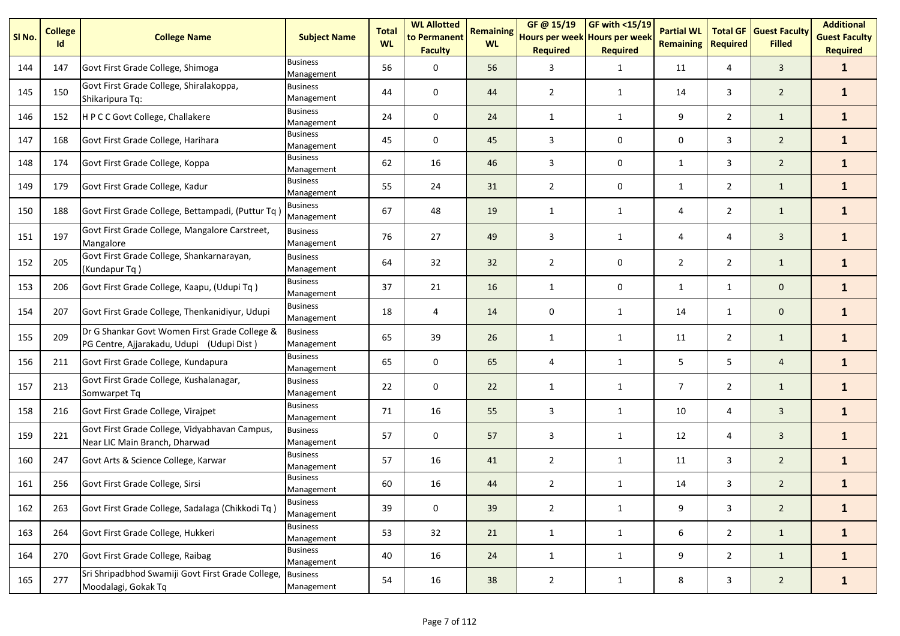| SI No. | <b>College</b><br>Id | <b>College Name</b>                                                                        | <b>Subject Name</b>           | <b>Total</b><br><b>WL</b> | <b>WL Allotted</b><br>to Permanent<br><b>Faculty</b> | <b>Remaining</b><br><b>WL</b> | GF@ 15/19<br>Hours per week Hours per week<br><b>Required</b> | <b>GF with &lt;15/19</b><br><b>Required</b> | <b>Partial WL</b><br><b>Remaining</b> | <b>Total GF</b><br><b>Required</b> | <b>Guest Faculty</b><br><b>Filled</b> | <b>Additional</b><br><b>Guest Faculty</b><br><b>Required</b> |
|--------|----------------------|--------------------------------------------------------------------------------------------|-------------------------------|---------------------------|------------------------------------------------------|-------------------------------|---------------------------------------------------------------|---------------------------------------------|---------------------------------------|------------------------------------|---------------------------------------|--------------------------------------------------------------|
| 144    | 147                  | Govt First Grade College, Shimoga                                                          | <b>Business</b><br>Management | 56                        | 0                                                    | 56                            | 3                                                             | $\mathbf{1}$                                | 11                                    | 4                                  | $\overline{3}$                        | $\mathbf{1}$                                                 |
| 145    | 150                  | Govt First Grade College, Shiralakoppa,<br>Shikaripura Tq:                                 | <b>Business</b><br>Management | 44                        | 0                                                    | 44                            | $\overline{2}$                                                | 1                                           | 14                                    | 3                                  | $\overline{2}$                        | $\mathbf{1}$                                                 |
| 146    | 152                  | H P C C Govt College, Challakere                                                           | <b>Business</b><br>Management | 24                        | 0                                                    | 24                            | $\mathbf{1}$                                                  | 1                                           | 9                                     | $\overline{2}$                     | $\mathbf{1}$                          | $\mathbf{1}$                                                 |
| 147    | 168                  | Govt First Grade College, Harihara                                                         | <b>Business</b><br>Management | 45                        | 0                                                    | 45                            | 3                                                             | 0                                           | 0                                     | 3                                  | $\overline{2}$                        | $\mathbf{1}$                                                 |
| 148    | 174                  | Govt First Grade College, Koppa                                                            | <b>Business</b><br>Management | 62                        | 16                                                   | 46                            | 3                                                             | 0                                           | $\mathbf{1}$                          | 3                                  | $\overline{2}$                        | $\mathbf{1}$                                                 |
| 149    | 179                  | Govt First Grade College, Kadur                                                            | <b>Business</b><br>Management | 55                        | 24                                                   | 31                            | $\overline{2}$                                                | 0                                           | $\mathbf{1}$                          | $\overline{2}$                     | $\mathbf{1}$                          | $\mathbf{1}$                                                 |
| 150    | 188                  | Govt First Grade College, Bettampadi, (Puttur Tq)                                          | Business<br>Management        | 67                        | 48                                                   | 19                            | $\mathbf{1}$                                                  | $\mathbf{1}$                                | 4                                     | $\overline{2}$                     | $\mathbf{1}$                          | $\mathbf{1}$                                                 |
| 151    | 197                  | Govt First Grade College, Mangalore Carstreet,<br>Mangalore                                | Business<br>Management        | 76                        | 27                                                   | 49                            | 3                                                             | $\mathbf{1}$                                | 4                                     | 4                                  | $\mathbf{3}$                          | $\mathbf{1}$                                                 |
| 152    | 205                  | Govt First Grade College, Shankarnarayan,<br>(Kundapur Tq)                                 | <b>Business</b><br>Management | 64                        | 32                                                   | 32                            | $\overline{2}$                                                | 0                                           | $\overline{2}$                        | $\overline{2}$                     | $\mathbf{1}$                          | $\mathbf{1}$                                                 |
| 153    | 206                  | Govt First Grade College, Kaapu, (Udupi Tq)                                                | Business<br>Management        | 37                        | 21                                                   | 16                            | $\mathbf{1}$                                                  | 0                                           | $\mathbf{1}$                          | $\mathbf{1}$                       | $\mathbf 0$                           | $\mathbf{1}$                                                 |
| 154    | 207                  | Govt First Grade College, Thenkanidiyur, Udupi                                             | <b>Business</b><br>Management | 18                        | 4                                                    | 14                            | 0                                                             | $\mathbf{1}$                                | 14                                    | $\mathbf{1}$                       | $\mathbf 0$                           | $\mathbf{1}$                                                 |
| 155    | 209                  | Dr G Shankar Govt Women First Grade College &<br>PG Centre, Ajjarakadu, Udupi (Udupi Dist) | <b>Business</b><br>Management | 65                        | 39                                                   | 26                            | $\mathbf{1}$                                                  | $\mathbf{1}$                                | 11                                    | $\overline{2}$                     | $\mathbf{1}$                          | $\mathbf{1}$                                                 |
| 156    | 211                  | Govt First Grade College, Kundapura                                                        | <b>Business</b><br>Management | 65                        | 0                                                    | 65                            | 4                                                             | $\mathbf{1}$                                | 5                                     | 5                                  | $\overline{4}$                        | $\mathbf{1}$                                                 |
| 157    | 213                  | Govt First Grade College, Kushalanagar,<br>Somwarpet Tq                                    | <b>Business</b><br>Management | 22                        | 0                                                    | 22                            | $\mathbf{1}$                                                  | 1                                           | $\overline{7}$                        | $\overline{2}$                     | $\mathbf{1}$                          | $\mathbf{1}$                                                 |
| 158    | 216                  | Govt First Grade College, Virajpet                                                         | <b>Business</b><br>Management | 71                        | 16                                                   | 55                            | 3                                                             | $\mathbf{1}$                                | 10                                    | 4                                  | $\mathbf{3}$                          | $\mathbf{1}$                                                 |
| 159    | 221                  | Govt First Grade College, Vidyabhavan Campus,<br>Near LIC Main Branch, Dharwad             | <b>Business</b><br>Management | 57                        | 0                                                    | 57                            | 3                                                             | $\mathbf{1}$                                | 12                                    | 4                                  | $\mathbf{3}$                          | $\mathbf{1}$                                                 |
| 160    | 247                  | Govt Arts & Science College, Karwar                                                        | <b>Business</b><br>Management | 57                        | 16                                                   | 41                            | $\overline{2}$                                                | $\mathbf{1}$                                | 11                                    | 3                                  | $\overline{2}$                        | $\mathbf{1}$                                                 |
| 161    | 256                  | Govt First Grade College, Sirsi                                                            | <b>Business</b><br>Management | 60                        | 16                                                   | 44                            | 2                                                             | $\mathbf{1}$                                | 14                                    | 3                                  | $\overline{2}$                        | $\mathbf{1}$                                                 |
| 162    | 263                  | Govt First Grade College, Sadalaga (Chikkodi Tq)                                           | <b>Business</b><br>Management | 39                        | $\pmb{0}$                                            | 39                            | $\overline{2}$                                                | $\mathbf 1$                                 | 9                                     | 3                                  | $\overline{2}$                        | $\mathbf{1}$                                                 |
| 163    | 264                  | Govt First Grade College, Hukkeri                                                          | <b>Business</b><br>Management | 53                        | 32                                                   | 21                            | $\mathbf{1}$                                                  | $\mathbf{1}$                                | 6                                     | $\overline{2}$                     | $\mathbf{1}$                          | $\mathbf{1}$                                                 |
| 164    | 270                  | Govt First Grade College, Raibag                                                           | <b>Business</b><br>Management | 40                        | 16                                                   | 24                            | $\mathbf{1}$                                                  | $\mathbf{1}$                                | 9                                     | $\overline{2}$                     | $\mathbf{1}$                          | $\mathbf{1}$                                                 |
| 165    | 277                  | Sri Shripadbhod Swamiji Govt First Grade College,<br>Moodalagi, Gokak Tq                   | <b>Business</b><br>Management | 54                        | 16                                                   | 38                            | $\overline{2}$                                                | $\mathbf{1}$                                | 8                                     | 3                                  | $\overline{2}$                        | $\mathbf{1}$                                                 |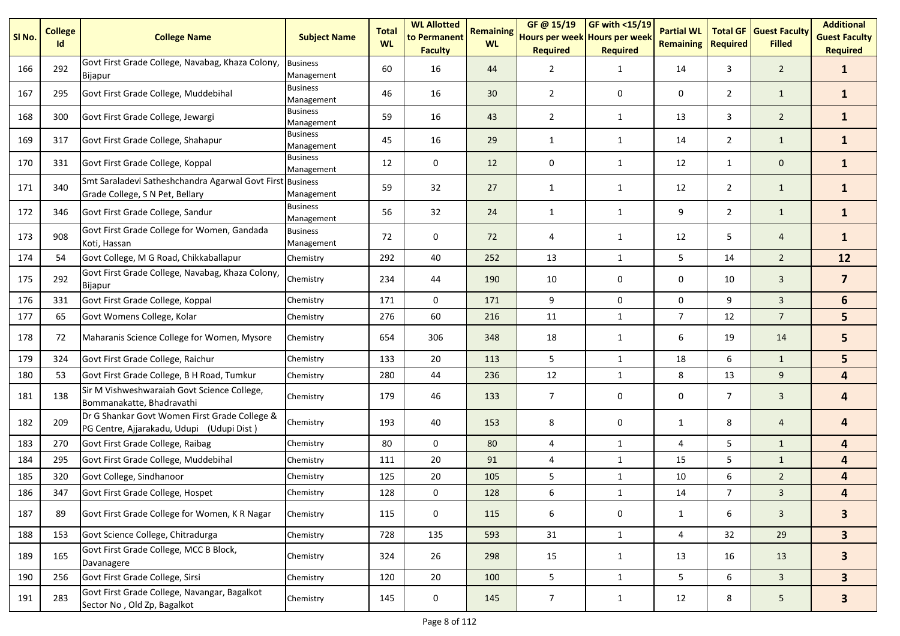| SI <sub>No.</sub> | <b>College</b><br>Id | <b>College Name</b>                                                                          | <b>Subject Name</b>           | <b>Total</b><br><b>WL</b> | <b>WL Allotted</b><br>to Permanent<br><b>Faculty</b> | <b>Remaining</b><br><b>WL</b> | GF @ 15/19<br>Hours per week Hours per week<br><b>Required</b> | GF with $<$ 15/19<br><b>Required</b> | <b>Partial WL</b><br><b>Remaining</b> | <b>Total GF</b><br><b>Required</b> | <b>Guest Faculty</b><br><b>Filled</b> | <b>Additional</b><br><b>Guest Faculty</b><br><b>Required</b> |
|-------------------|----------------------|----------------------------------------------------------------------------------------------|-------------------------------|---------------------------|------------------------------------------------------|-------------------------------|----------------------------------------------------------------|--------------------------------------|---------------------------------------|------------------------------------|---------------------------------------|--------------------------------------------------------------|
| 166               | 292                  | Govt First Grade College, Navabag, Khaza Colony,<br><b>Bijapur</b>                           | <b>Business</b><br>Management | 60                        | 16                                                   | 44                            | $\overline{2}$                                                 | $\mathbf{1}$                         | 14                                    | 3                                  | $\overline{2}$                        | $\mathbf{1}$                                                 |
| 167               | 295                  | Govt First Grade College, Muddebihal                                                         | <b>Business</b><br>Management | 46                        | 16                                                   | 30                            | $\overline{2}$                                                 | 0                                    | 0                                     | $\overline{2}$                     | $\mathbf{1}$                          | $\mathbf{1}$                                                 |
| 168               | 300                  | Govt First Grade College, Jewargi                                                            | <b>Business</b><br>Management | 59                        | 16                                                   | 43                            | $\overline{2}$                                                 | 1                                    | 13                                    | 3                                  | $\overline{2}$                        | $\mathbf{1}$                                                 |
| 169               | 317                  | Govt First Grade College, Shahapur                                                           | <b>Business</b><br>Management | 45                        | 16                                                   | 29                            | 1                                                              | $\mathbf{1}$                         | 14                                    | $\overline{2}$                     | $\mathbf{1}$                          | $\mathbf{1}$                                                 |
| 170               | 331                  | Govt First Grade College, Koppal                                                             | <b>Business</b><br>Management | 12                        | 0                                                    | 12                            | 0                                                              | $\mathbf{1}$                         | 12                                    | $\mathbf{1}$                       | $\mathbf{0}$                          | $\mathbf{1}$                                                 |
| 171               | 340                  | Smt Saraladevi Satheshchandra Agarwal Govt First Business<br>Grade College, S N Pet, Bellary | Management                    | 59                        | 32                                                   | 27                            | $\mathbf{1}$                                                   | 1                                    | 12                                    | $\overline{2}$                     | $\mathbf{1}$                          | $\mathbf{1}$                                                 |
| 172               | 346                  | Govt First Grade College, Sandur                                                             | <b>Business</b><br>Management | 56                        | 32                                                   | 24                            | 1                                                              | $\mathbf{1}$                         | 9                                     | $\overline{2}$                     | $\mathbf{1}$                          | $\mathbf{1}$                                                 |
| 173               | 908                  | Govt First Grade College for Women, Gandada<br>Koti, Hassan                                  | <b>Business</b><br>Management | 72                        | 0                                                    | 72                            | 4                                                              | $\mathbf{1}$                         | 12                                    | 5                                  | $\overline{4}$                        | $\mathbf{1}$                                                 |
| 174               | 54                   | Govt College, M G Road, Chikkaballapur                                                       | Chemistry                     | 292                       | 40                                                   | 252                           | 13                                                             | $\mathbf{1}$                         | 5                                     | 14                                 | $\overline{2}$                        | 12                                                           |
| 175               | 292                  | Govt First Grade College, Navabag, Khaza Colony,<br><b>Bijapur</b>                           | Chemistry                     | 234                       | 44                                                   | 190                           | 10                                                             | 0                                    | 0                                     | 10                                 | $\overline{3}$                        | $\overline{7}$                                               |
| 176               | 331                  | Govt First Grade College, Koppal                                                             | Chemistry                     | 171                       | $\mathbf 0$                                          | 171                           | 9                                                              | 0                                    | 0                                     | 9                                  | $\overline{3}$                        | 6                                                            |
| 177               | 65                   | Govt Womens College, Kolar                                                                   | Chemistry                     | 276                       | 60                                                   | 216                           | 11                                                             | $\mathbf{1}$                         | $\overline{7}$                        | 12                                 | $\overline{7}$                        | 5                                                            |
| 178               | 72                   | Maharanis Science College for Women, Mysore                                                  | Chemistry                     | 654                       | 306                                                  | 348                           | 18                                                             | $\mathbf{1}$                         | 6                                     | 19                                 | 14                                    | 5                                                            |
| 179               | 324                  | Govt First Grade College, Raichur                                                            | Chemistry                     | 133                       | 20                                                   | 113                           | 5                                                              | 1                                    | 18                                    | 6                                  | $\mathbf{1}$                          | 5                                                            |
| 180               | 53                   | Govt First Grade College, B H Road, Tumkur                                                   | Chemistry                     | 280                       | 44                                                   | 236                           | 12                                                             | 1                                    | 8                                     | 13                                 | 9                                     | 4                                                            |
| 181               | 138                  | Sir M Vishweshwaraiah Govt Science College,<br>Bommanakatte, Bhadravathi                     | Chemistry                     | 179                       | 46                                                   | 133                           | $\overline{7}$                                                 | 0                                    | 0                                     | $\overline{7}$                     | $\overline{3}$                        | 4                                                            |
| 182               | 209                  | Dr G Shankar Govt Women First Grade College &<br>PG Centre, Ajjarakadu, Udupi (Udupi Dist)   | Chemistry                     | 193                       | 40                                                   | 153                           | 8                                                              | 0                                    | $\mathbf{1}$                          | 8                                  | $\overline{4}$                        | 4                                                            |
| 183               | 270                  | Govt First Grade College, Raibag                                                             | Chemistry                     | 80                        | 0                                                    | 80                            | 4                                                              | $\mathbf{1}$                         | 4                                     | 5                                  | $\mathbf{1}$                          | 4                                                            |
| 184               | 295                  | Govt First Grade College, Muddebihal                                                         | Chemistry                     | 111                       | 20                                                   | 91                            | 4                                                              | $\mathbf{1}$                         | 15                                    | 5                                  | $\mathbf{1}$                          | $\overline{\mathbf{4}}$                                      |
| 185               | 320                  | Govt College, Sindhanoor                                                                     | Chemistry                     | 125                       | 20                                                   | 105                           | 5                                                              | $\mathbf{1}$                         | 10                                    | 6                                  | $\overline{2}$                        | $\overline{\mathbf{a}}$                                      |
| 186               | 347                  | Govt First Grade College, Hospet                                                             | Chemistry                     | 128                       | 0                                                    | 128                           | 6                                                              | $\mathbf{1}$                         | 14                                    | $\overline{7}$                     | $\mathbf{3}$                          | 4                                                            |
| 187               | 89                   | Govt First Grade College for Women, K R Nagar                                                | Chemistry                     | 115                       | 0                                                    | 115                           | 6                                                              | 0                                    | 1                                     | 6                                  | 3                                     | 3 <sup>1</sup>                                               |
| 188               | 153                  | Govt Science College, Chitradurga                                                            | Chemistry                     | 728                       | 135                                                  | 593                           | 31                                                             | $\mathbf{1}$                         | 4                                     | 32                                 | 29                                    | 3 <sup>1</sup>                                               |
| 189               | 165                  | Govt First Grade College, MCC B Block,<br>Davanagere                                         | Chemistry                     | 324                       | 26                                                   | 298                           | 15                                                             | $\mathbf{1}$                         | 13                                    | 16                                 | 13                                    | 3 <sup>1</sup>                                               |
| 190               | 256                  | Govt First Grade College, Sirsi                                                              | Chemistry                     | 120                       | 20                                                   | 100                           | 5                                                              | $\mathbf{1}$                         | 5                                     | 6                                  | $\mathbf{3}$                          | 3 <sup>1</sup>                                               |
| 191               | 283                  | Govt First Grade College, Navangar, Bagalkot<br>Sector No, Old Zp, Bagalkot                  | Chemistry                     | 145                       | 0                                                    | 145                           | $\overline{7}$                                                 | $\mathbf{1}$                         | 12                                    | 8                                  | $5\phantom{.}$                        | $\overline{\mathbf{3}}$                                      |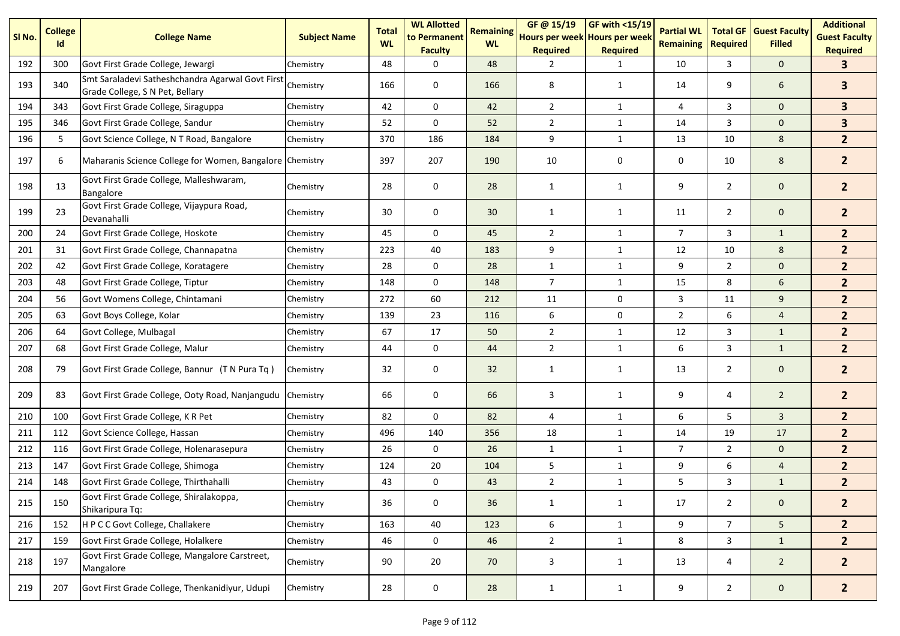| SI <sub>No.</sub> | <b>College</b><br>Id | <b>College Name</b>                                                                 | <b>Subject Name</b> | <b>Total</b><br><b>WL</b> | <b>WL Allotted</b><br>to Permanent<br><b>Faculty</b> | <b>Remaining</b><br><b>WL</b> | GF@ 15/19<br>Hours per week Hours per week<br><b>Required</b> | <b>GF with &lt;15/19</b><br><b>Required</b> | <b>Partial WL</b><br><b>Remaining</b> | <b>Total GF</b><br><b>Required</b> | <b>Guest Faculty</b><br><b>Filled</b> | <b>Additional</b><br><b>Guest Faculty</b><br><b>Required</b> |
|-------------------|----------------------|-------------------------------------------------------------------------------------|---------------------|---------------------------|------------------------------------------------------|-------------------------------|---------------------------------------------------------------|---------------------------------------------|---------------------------------------|------------------------------------|---------------------------------------|--------------------------------------------------------------|
| 192               | 300                  | Govt First Grade College, Jewargi                                                   | Chemistry           | 48                        | 0                                                    | 48                            | 2                                                             | 1                                           | 10                                    | 3                                  | $\mathbf{0}$                          | 3.                                                           |
| 193               | 340                  | Smt Saraladevi Satheshchandra Agarwal Govt First<br>Grade College, S N Pet, Bellary | Chemistry           | 166                       | 0                                                    | 166                           | 8                                                             | 1                                           | 14                                    | 9                                  | 6                                     | $\overline{\mathbf{3}}$                                      |
| 194               | 343                  | Govt First Grade College, Siraguppa                                                 | Chemistry           | 42                        | $\mathbf 0$                                          | 42                            | $\overline{2}$                                                | 1                                           | 4                                     | 3                                  | $\mathbf 0$                           | 3 <sup>1</sup>                                               |
| 195               | 346                  | Govt First Grade College, Sandur                                                    | Chemistry           | 52                        | 0                                                    | 52                            | $\overline{2}$                                                | 1                                           | 14                                    | 3                                  | $\mathbf 0$                           | 3 <sup>1</sup>                                               |
| 196               | 5                    | Govt Science College, N T Road, Bangalore                                           | Chemistry           | 370                       | 186                                                  | 184                           | 9                                                             | $\mathbf{1}$                                | 13                                    | 10                                 | 8                                     | 2 <sup>2</sup>                                               |
| 197               | 6                    | Maharanis Science College for Women, Bangalore Chemistry                            |                     | 397                       | 207                                                  | 190                           | 10                                                            | 0                                           | 0                                     | 10                                 | 8                                     | 2 <sup>2</sup>                                               |
| 198               | 13                   | Govt First Grade College, Malleshwaram,<br>Bangalore                                | Chemistry           | 28                        | 0                                                    | 28                            | 1                                                             | 1                                           | 9                                     | $\overline{2}$                     | $\mathbf 0$                           | 2 <sup>2</sup>                                               |
| 199               | 23                   | Govt First Grade College, Vijaypura Road,<br>Devanahalli                            | Chemistry           | 30                        | 0                                                    | 30                            | 1                                                             | 1                                           | 11                                    | $\overline{2}$                     | $\mathbf 0$                           | 2 <sup>1</sup>                                               |
| 200               | 24                   | Govt First Grade College, Hoskote                                                   | Chemistry           | 45                        | 0                                                    | 45                            | $\overline{2}$                                                | $\mathbf{1}$                                | $\overline{7}$                        | 3                                  | $\mathbf{1}$                          | 2 <sup>2</sup>                                               |
| 201               | 31                   | Govt First Grade College, Channapatna                                               | Chemistry           | 223                       | 40                                                   | 183                           | 9                                                             | $\mathbf{1}$                                | 12                                    | 10                                 | 8                                     | 2 <sup>2</sup>                                               |
| 202               | 42                   | Govt First Grade College, Koratagere                                                | Chemistry           | 28                        | $\mathbf 0$                                          | 28                            | $\mathbf{1}$                                                  | $\mathbf{1}$                                | 9                                     | $\overline{2}$                     | $\mathbf{0}$                          | 2 <sup>2</sup>                                               |
| 203               | 48                   | Govt First Grade College, Tiptur                                                    | Chemistry           | 148                       | 0                                                    | 148                           | $\overline{7}$                                                | $\mathbf{1}$                                | 15                                    | 8                                  | 6                                     | $\overline{2}$                                               |
| 204               | 56                   | Govt Womens College, Chintamani                                                     | Chemistry           | 272                       | 60                                                   | 212                           | 11                                                            | $\mathbf 0$                                 | 3                                     | 11                                 | 9                                     | 2 <sup>2</sup>                                               |
| 205               | 63                   | Govt Boys College, Kolar                                                            | Chemistry           | 139                       | 23                                                   | 116                           | $\boldsymbol{6}$                                              | $\mathbf 0$                                 | $\overline{2}$                        | 6                                  | $\overline{4}$                        | 2 <sup>2</sup>                                               |
| 206               | 64                   | Govt College, Mulbagal                                                              | Chemistry           | 67                        | 17                                                   | 50                            | $\overline{2}$                                                | $\mathbf{1}$                                | 12                                    | 3                                  | $\mathbf{1}$                          | 2 <sup>2</sup>                                               |
| 207               | 68                   | Govt First Grade College, Malur                                                     | Chemistry           | 44                        | 0                                                    | 44                            | $\overline{2}$                                                | $\mathbf{1}$                                | 6                                     | 3                                  | $\mathbf{1}$                          | 2 <sup>1</sup>                                               |
| 208               | 79                   | Govt First Grade College, Bannur (T N Pura Tq)                                      | Chemistry           | 32                        | $\pmb{0}$                                            | 32                            | $\mathbf{1}$                                                  | $\mathbf{1}$                                | 13                                    | $\overline{2}$                     | $\mathbf 0$                           | 2 <sup>2</sup>                                               |
| 209               | 83                   | Govt First Grade College, Ooty Road, Nanjangudu Chemistry                           |                     | 66                        | $\pmb{0}$                                            | 66                            | 3                                                             | 1                                           | 9                                     | 4                                  | $\overline{2}$                        | 2 <sup>2</sup>                                               |
| 210               | 100                  | Govt First Grade College, K R Pet                                                   | Chemistry           | 82                        | $\mathbf 0$                                          | 82                            | 4                                                             | $\mathbf{1}$                                | 6                                     | 5                                  | $\mathbf{3}$                          | 2 <sup>2</sup>                                               |
| 211               | 112                  | Govt Science College, Hassan                                                        | Chemistry           | 496                       | 140                                                  | 356                           | 18                                                            | $\mathbf{1}$                                | 14                                    | 19                                 | 17                                    | 2 <sup>2</sup>                                               |
| 212               | 116                  | Govt First Grade College, Holenarasepura                                            | Chemistry           | 26                        | 0                                                    | 26                            | $\mathbf{1}$                                                  | $\mathbf{1}$                                | $\overline{7}$                        | $\overline{2}$                     | $\mathbf 0$                           | $\overline{2}$                                               |
| 213               | 147                  | Govt First Grade College, Shimoga                                                   | Chemistry           | 124                       | 20                                                   | 104                           | 5                                                             | $\mathbf{1}$                                | 9                                     | 6                                  | $\overline{4}$                        | 2 <sup>2</sup>                                               |
| 214               | 148                  | Govt First Grade College, Thirthahalli                                              | Chemistry           | 43                        | 0                                                    | 43                            | $\overline{2}$                                                | $\mathbf{1}$                                | 5                                     | 3                                  | $1\,$                                 | 2 <sup>2</sup>                                               |
| 215               | 150                  | Govt First Grade College, Shiralakoppa,<br>Shikaripura Tq:                          | Chemistry           | 36                        | $\pmb{0}$                                            | 36                            | $\mathbf{1}$                                                  | $\mathbf{1}$                                | 17                                    | $\overline{2}$                     | $\mathbf 0$                           | 2 <sup>2</sup>                                               |
| 216               | 152                  | H P C C Govt College, Challakere                                                    | Chemistry           | 163                       | 40                                                   | 123                           | 6                                                             | $\mathbf{1}$                                | 9                                     | 7 <sup>7</sup>                     | 5 <sub>1</sub>                        | 2 <sup>7</sup>                                               |
| 217               | 159                  | Govt First Grade College, Holalkere                                                 | Chemistry           | 46                        | 0                                                    | 46                            | $\overline{2}$                                                | $\mathbf{1}$                                | 8                                     | $\mathbf{3}$                       | $\mathbf{1}$                          | 2 <sup>1</sup>                                               |
| 218               | 197                  | Govt First Grade College, Mangalore Carstreet,<br>Mangalore                         | Chemistry           | 90                        | 20                                                   | 70                            | 3                                                             | $\mathbf{1}$                                | 13                                    | $\overline{4}$                     | $\overline{2}$                        | $2^{\circ}$                                                  |
| 219               | 207                  | Govt First Grade College, Thenkanidiyur, Udupi                                      | Chemistry           | 28                        | $\pmb{0}$                                            | 28                            | $\mathbf{1}$                                                  | $\mathbf{1}$                                | 9                                     | $2^{\circ}$                        | $\mathbf{0}$                          | $\overline{2}$                                               |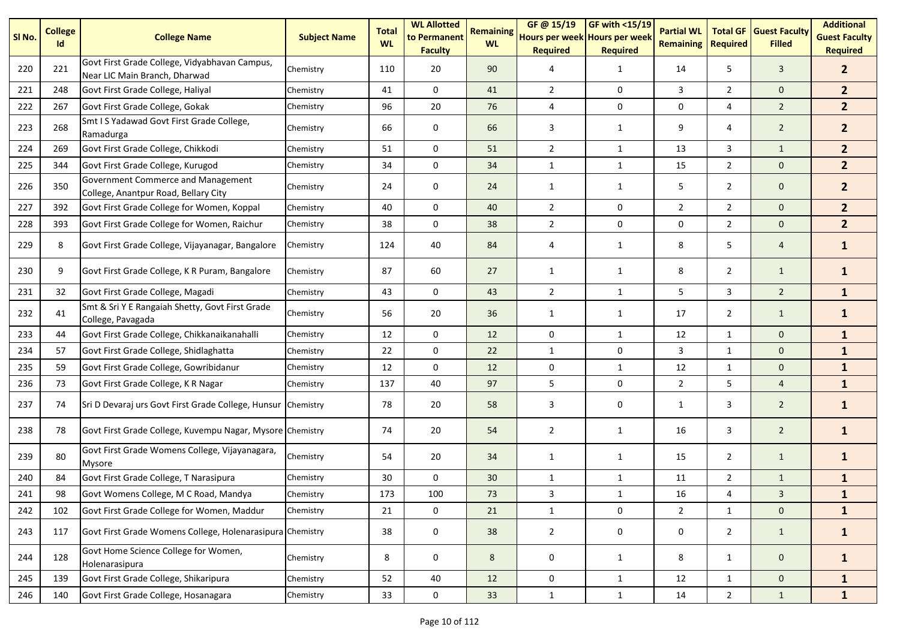| SI No. | <b>College</b><br>Id | <b>College Name</b>                                                            | <b>Subject Name</b> | <b>Total</b><br><b>WL</b> | <b>WL Allotted</b><br>to Permanent<br><b>Faculty</b> | <b>Remaining</b><br><b>WL</b> | GF@ 15/19<br>Hours per week Hours per week<br><b>Required</b> | $GF$ with <15/19<br><b>Required</b> | <b>Partial WL</b><br><b>Remaining</b> | <b>Total GF</b><br><b>Required</b> | <b>Guest Faculty</b><br><b>Filled</b> | <b>Additional</b><br><b>Guest Faculty</b><br><b>Required</b> |
|--------|----------------------|--------------------------------------------------------------------------------|---------------------|---------------------------|------------------------------------------------------|-------------------------------|---------------------------------------------------------------|-------------------------------------|---------------------------------------|------------------------------------|---------------------------------------|--------------------------------------------------------------|
| 220    | 221                  | Govt First Grade College, Vidyabhavan Campus,<br>Near LIC Main Branch, Dharwad | Chemistry           | 110                       | 20                                                   | 90                            | 4                                                             | $\mathbf{1}$                        | 14                                    | 5                                  | $\mathbf{3}$                          | 2 <sup>1</sup>                                               |
| 221    | 248                  | Govt First Grade College, Haliyal                                              | Chemistry           | 41                        | 0                                                    | 41                            | $\overline{2}$                                                | 0                                   | 3                                     | $\overline{2}$                     | $\mathbf{0}$                          | 2 <sup>2</sup>                                               |
| 222    | 267                  | Govt First Grade College, Gokak                                                | Chemistry           | 96                        | 20                                                   | 76                            | 4                                                             | 0                                   | 0                                     | 4                                  | $\overline{2}$                        | 2 <sup>1</sup>                                               |
| 223    | 268                  | Smt I S Yadawad Govt First Grade College,<br>Ramadurga                         | Chemistry           | 66                        | 0                                                    | 66                            | 3                                                             | 1                                   | 9                                     | 4                                  | $\overline{2}$                        | 2 <sup>2</sup>                                               |
| 224    | 269                  | Govt First Grade College, Chikkodi                                             | Chemistry           | 51                        | $\mathbf 0$                                          | 51                            | $\overline{2}$                                                | $\mathbf{1}$                        | 13                                    | 3                                  | $\mathbf{1}$                          | 2 <sup>1</sup>                                               |
| 225    | 344                  | Govt First Grade College, Kurugod                                              | Chemistry           | 34                        | 0                                                    | 34                            | $\mathbf{1}$                                                  | $\mathbf{1}$                        | 15                                    | $\overline{2}$                     | $\mathbf{0}$                          | 2 <sup>2</sup>                                               |
| 226    | 350                  | Government Commerce and Management<br>College, Anantpur Road, Bellary City     | Chemistry           | 24                        | 0                                                    | 24                            | 1                                                             | $\mathbf{1}$                        | 5                                     | $\overline{2}$                     | $\mathbf 0$                           | 2 <sup>2</sup>                                               |
| 227    | 392                  | Govt First Grade College for Women, Koppal                                     | Chemistry           | 40                        | 0                                                    | 40                            | $\overline{2}$                                                | 0                                   | $\overline{2}$                        | $\overline{2}$                     | $\mathbf 0$                           | 2 <sup>1</sup>                                               |
| 228    | 393                  | Govt First Grade College for Women, Raichur                                    | Chemistry           | 38                        | 0                                                    | 38                            | $\overline{2}$                                                | $\mathsf 0$                         | 0                                     | $\overline{2}$                     | $\mathbf 0$                           | 2 <sup>2</sup>                                               |
| 229    | 8                    | Govt First Grade College, Vijayanagar, Bangalore                               | Chemistry           | 124                       | 40                                                   | 84                            | 4                                                             | $\mathbf{1}$                        | 8                                     | 5                                  | $\overline{4}$                        | $\mathbf{1}$                                                 |
| 230    | 9                    | Govt First Grade College, K R Puram, Bangalore                                 | Chemistry           | 87                        | 60                                                   | 27                            | $\mathbf{1}$                                                  | $\mathbf{1}$                        | 8                                     | $\overline{2}$                     | $\mathbf{1}$                          | $\mathbf{1}$                                                 |
| 231    | 32                   | Govt First Grade College, Magadi                                               | Chemistry           | 43                        | 0                                                    | 43                            | $\overline{2}$                                                | $\mathbf{1}$                        | 5                                     | 3                                  | $\overline{2}$                        | $\mathbf{1}$                                                 |
| 232    | 41                   | Smt & Sri Y E Rangaiah Shetty, Govt First Grade<br>College, Pavagada           | Chemistry           | 56                        | 20                                                   | 36                            | 1                                                             | 1                                   | 17                                    | $\overline{2}$                     | $\mathbf{1}$                          | $\mathbf{1}$                                                 |
| 233    | 44                   | Govt First Grade College, Chikkanaikanahalli                                   | Chemistry           | 12                        | 0                                                    | 12                            | 0                                                             | $\mathbf{1}$                        | 12                                    | $\mathbf{1}$                       | $\mathbf 0$                           | $\mathbf{1}$                                                 |
| 234    | 57                   | Govt First Grade College, Shidlaghatta                                         | Chemistry           | 22                        | $\mathbf 0$                                          | 22                            | $\mathbf{1}$                                                  | 0                                   | 3                                     | 1                                  | $\mathbf{0}$                          | $\mathbf{1}$                                                 |
| 235    | 59                   | Govt First Grade College, Gowribidanur                                         | Chemistry           | 12                        | 0                                                    | 12                            | 0                                                             | $\mathbf{1}$                        | 12                                    | $\mathbf{1}$                       | $\mathbf 0$                           | $\mathbf{1}$                                                 |
| 236    | 73                   | Govt First Grade College, K R Nagar                                            | Chemistry           | 137                       | 40                                                   | 97                            | 5                                                             | $\mathsf 0$                         | $\overline{2}$                        | 5                                  | $\overline{4}$                        | $\mathbf{1}$                                                 |
| 237    | 74                   | Sri D Devaraj urs Govt First Grade College, Hunsur                             | Chemistry           | 78                        | 20                                                   | 58                            | 3                                                             | 0                                   | 1                                     | 3                                  | $\overline{2}$                        | $\mathbf{1}$                                                 |
| 238    | 78                   | Govt First Grade College, Kuvempu Nagar, Mysore Chemistry                      |                     | 74                        | 20                                                   | 54                            | $\overline{2}$                                                | $\mathbf{1}$                        | 16                                    | 3                                  | $\overline{2}$                        | $\mathbf{1}$                                                 |
| 239    | 80                   | Govt First Grade Womens College, Vijayanagara,<br>Mysore                       | Chemistry           | 54                        | 20                                                   | 34                            | $\mathbf{1}$                                                  | $\mathbf{1}$                        | 15                                    | $\overline{2}$                     | $\mathbf{1}$                          | $\mathbf{1}$                                                 |
| 240    | 84                   | Govt First Grade College, T Narasipura                                         | Chemistry           | 30                        | 0                                                    | 30                            | $\mathbf{1}$                                                  | $\mathbf{1}$                        | 11                                    | $\overline{2}$                     | $\mathbf{1}$                          | $\mathbf{1}$                                                 |
| 241    | 98                   | Govt Womens College, M C Road, Mandya                                          | Chemistry           | 173                       | 100                                                  | 73                            | 3                                                             | $\mathbf{1}$                        | 16                                    | 4                                  | 3                                     | $\mathbf{1}$                                                 |
| 242    | 102                  | Govt First Grade College for Women, Maddur                                     | Chemistry           | 21                        | $\mathbf 0$                                          | 21                            | $\mathbf{1}$                                                  | $\mathbf 0$                         | $2^{\circ}$                           | $\mathbf{1}$                       | $\mathbf 0$                           | $\mathbf{1}$                                                 |
| 243    | 117                  | Govt First Grade Womens College, Holenarasipura Chemistry                      |                     | 38                        | $\pmb{0}$                                            | 38                            | $\overline{2}$                                                | 0                                   | 0                                     | $\overline{2}$                     | $\mathbf{1}$                          | $\mathbf{1}$                                                 |
| 244    | 128                  | Govt Home Science College for Women,<br>Holenarasipura                         | Chemistry           | 8                         | 0                                                    | 8                             | 0                                                             | $\mathbf{1}$                        | 8                                     | $\mathbf{1}$                       | $\mathbf 0$                           | $\mathbf{1}$                                                 |
| 245    | 139                  | Govt First Grade College, Shikaripura                                          | Chemistry           | 52                        | 40                                                   | 12                            | 0                                                             | $\mathbf{1}$                        | 12                                    | $\mathbf{1}$                       | $\mathbf 0$                           | $\mathbf{1}$                                                 |
| 246    | 140                  | Govt First Grade College, Hosanagara                                           | Chemistry           | 33                        | $\mathsf{O}\xspace$                                  | 33                            | $\mathbf{1}$                                                  | $\mathbf{1}$                        | 14                                    | $\overline{2}$                     | $\mathbf{1}$                          | $\mathbf{1}$                                                 |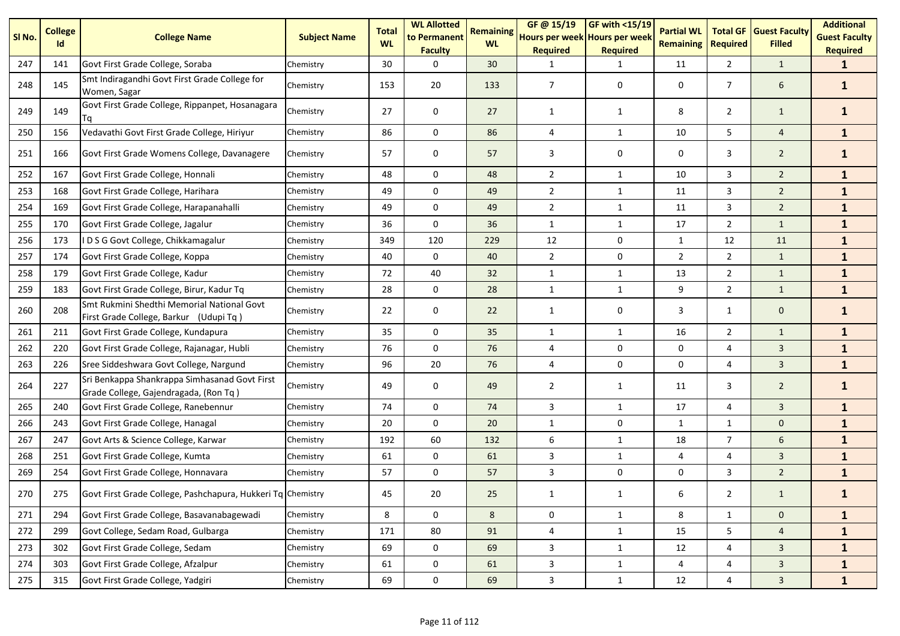| SI No. | <b>College</b><br><b>Id</b> | <b>College Name</b>                                                                    | <b>Subject Name</b> | <b>Total</b><br><b>WL</b> | <b>WL Allotted</b><br>to Permanent<br><b>Faculty</b> | <b>Remaining</b><br><b>WL</b> | GF @ 15/19<br>Hours per week Hours per week<br><b>Required</b> | <b>GF with &lt;15/19</b><br><b>Required</b> | <b>Partial WL</b><br><b>Remaining</b> | <b>Total GF</b><br><b>Required</b> | <b>Guest Faculty</b><br><b>Filled</b> | <b>Additional</b><br><b>Guest Faculty</b><br><b>Required</b> |
|--------|-----------------------------|----------------------------------------------------------------------------------------|---------------------|---------------------------|------------------------------------------------------|-------------------------------|----------------------------------------------------------------|---------------------------------------------|---------------------------------------|------------------------------------|---------------------------------------|--------------------------------------------------------------|
| 247    | 141                         | Govt First Grade College, Soraba                                                       | Chemistry           | 30                        | $\Omega$                                             | 30                            | -1                                                             | $\mathbf{1}$                                | 11                                    | $\overline{2}$                     | $\mathbf{1}$                          | $\mathbf{1}$                                                 |
| 248    | 145                         | Smt Indiragandhi Govt First Grade College for<br>Women, Sagar                          | Chemistry           | 153                       | 20                                                   | 133                           | 7                                                              | 0                                           | 0                                     | $\overline{7}$                     | 6                                     | $\mathbf{1}$                                                 |
| 249    | 149                         | Govt First Grade College, Rippanpet, Hosanagara<br>Гa                                  | Chemistry           | 27                        | 0                                                    | 27                            | 1                                                              | 1                                           | 8                                     | $\overline{2}$                     | $\mathbf{1}$                          | $\mathbf{1}$                                                 |
| 250    | 156                         | Vedavathi Govt First Grade College, Hiriyur                                            | Chemistry           | 86                        | $\mathbf 0$                                          | 86                            | 4                                                              | $\mathbf{1}$                                | 10                                    | 5                                  | $\overline{4}$                        | $\mathbf{1}$                                                 |
| 251    | 166                         | Govt First Grade Womens College, Davanagere                                            | Chemistry           | 57                        | 0                                                    | 57                            | 3                                                              | 0                                           | 0                                     | 3                                  | $\overline{2}$                        | $\mathbf{1}$                                                 |
| 252    | 167                         | Govt First Grade College, Honnali                                                      | Chemistry           | 48                        | 0                                                    | 48                            | $\overline{2}$                                                 | $\mathbf{1}$                                | 10                                    | 3                                  | $\overline{2}$                        | $\mathbf{1}$                                                 |
| 253    | 168                         | Govt First Grade College, Harihara                                                     | Chemistry           | 49                        | $\mathbf 0$                                          | 49                            | $\overline{2}$                                                 | $\mathbf{1}$                                | 11                                    | 3                                  | $\overline{2}$                        | $\mathbf{1}$                                                 |
| 254    | 169                         | Govt First Grade College, Harapanahalli                                                | Chemistry           | 49                        | 0                                                    | 49                            | $\overline{2}$                                                 | $\mathbf{1}$                                | 11                                    | 3                                  | $\overline{2}$                        | $\mathbf{1}$                                                 |
| 255    | 170                         | Govt First Grade College, Jagalur                                                      | Chemistry           | 36                        | 0                                                    | 36                            | $\mathbf{1}$                                                   | $\mathbf{1}$                                | 17                                    | $\overline{2}$                     | $\mathbf{1}$                          | $\mathbf{1}$                                                 |
| 256    | 173                         | IDSG Govt College, Chikkamagalur                                                       | Chemistry           | 349                       | 120                                                  | 229                           | 12                                                             | 0                                           | $\mathbf{1}$                          | 12                                 | 11                                    | $\mathbf{1}$                                                 |
| 257    | 174                         | Govt First Grade College, Koppa                                                        | Chemistry           | 40                        | 0                                                    | 40                            | $\overline{2}$                                                 | 0                                           | $\overline{2}$                        | $\overline{2}$                     | $\mathbf{1}$                          | $\mathbf{1}$                                                 |
| 258    | 179                         | Govt First Grade College, Kadur                                                        | Chemistry           | 72                        | 40                                                   | 32                            | $\mathbf{1}$                                                   | $\mathbf{1}$                                | 13                                    | $\overline{2}$                     | $\mathbf{1}$                          | $\mathbf{1}$                                                 |
| 259    | 183                         | Govt First Grade College, Birur, Kadur Tq                                              | Chemistry           | 28                        | 0                                                    | 28                            | $\mathbf{1}$                                                   | $\mathbf{1}$                                | 9                                     | $\overline{2}$                     | $\mathbf{1}$                          | $\mathbf{1}$                                                 |
| 260    | 208                         | Smt Rukmini Shedthi Memorial National Govt<br>First Grade College, Barkur (Udupi Tq)   | Chemistry           | 22                        | 0                                                    | 22                            | 1                                                              | 0                                           | 3                                     | $\mathbf{1}$                       | $\mathbf 0$                           | $\mathbf{1}$                                                 |
| 261    | 211                         | Govt First Grade College, Kundapura                                                    | Chemistry           | 35                        | 0                                                    | 35                            | $\mathbf{1}$                                                   | $\mathbf{1}$                                | 16                                    | $\overline{2}$                     | $\mathbf{1}$                          | $\mathbf{1}$                                                 |
| 262    | 220                         | Govt First Grade College, Rajanagar, Hubli                                             | Chemistry           | 76                        | 0                                                    | 76                            | $\overline{4}$                                                 | 0                                           | 0                                     | 4                                  | $\mathbf{3}$                          | $\mathbf{1}$                                                 |
| 263    | 226                         | Sree Siddeshwara Govt College, Nargund                                                 | Chemistry           | 96                        | 20                                                   | 76                            | $\overline{4}$                                                 | 0                                           | 0                                     | 4                                  | $\mathbf{3}$                          | $\mathbf{1}$                                                 |
| 264    | 227                         | Sri Benkappa Shankrappa Simhasanad Govt First<br>Grade College, Gajendragada, (Ron Tq) | Chemistry           | 49                        | 0                                                    | 49                            | $\overline{2}$                                                 | $\mathbf{1}$                                | 11                                    | 3                                  | $\overline{2}$                        | $\mathbf{1}$                                                 |
| 265    | 240                         | Govt First Grade College, Ranebennur                                                   | Chemistry           | 74                        | $\mathbf 0$                                          | 74                            | 3                                                              | $\mathbf{1}$                                | 17                                    | 4                                  | $\overline{3}$                        | $\mathbf{1}$                                                 |
| 266    | 243                         | Govt First Grade College, Hanagal                                                      | Chemistry           | 20                        | $\mathbf 0$                                          | 20                            | $\mathbf{1}$                                                   | 0                                           | 1                                     | $\mathbf{1}$                       | $\mathbf 0$                           | $\mathbf{1}$                                                 |
| 267    | 247                         | Govt Arts & Science College, Karwar                                                    | Chemistry           | 192                       | 60                                                   | 132                           | 6                                                              | $\mathbf{1}$                                | 18                                    | $\overline{7}$                     | 6                                     | $\mathbf{1}$                                                 |
| 268    | 251                         | Govt First Grade College, Kumta                                                        | Chemistry           | 61                        | 0                                                    | 61                            | 3                                                              | $\mathbf{1}$                                | 4                                     | 4                                  | $\overline{3}$                        | $\mathbf{1}$                                                 |
| 269    | 254                         | Govt First Grade College, Honnavara                                                    | Chemistry           | 57                        | 0                                                    | 57                            | 3                                                              | 0                                           | 0                                     | 3                                  | $\overline{2}$                        | $\mathbf{1}$                                                 |
| 270    | 275                         | Govt First Grade College, Pashchapura, Hukkeri Tq Chemistry                            |                     | 45                        | 20                                                   | 25                            | 1                                                              | $\mathbf{1}$                                | 6                                     | $\overline{2}$                     | $\mathbf{1}$                          | $\mathbf{1}$                                                 |
| 271    | 294                         | Govt First Grade College, Basavanabagewadi                                             | Chemistry           | 8                         | $\mathbf 0$                                          | 8                             | 0                                                              | $\mathbf{1}$                                | 8                                     | $\mathbf{1}$                       | $\mathbf 0$                           | $\mathbf{1}$                                                 |
| 272    | 299                         | Govt College, Sedam Road, Gulbarga                                                     | Chemistry           | 171                       | 80                                                   | 91                            | $\sqrt{4}$                                                     | $\mathbf{1}$                                | 15                                    | 5                                  | $\overline{4}$                        | $\mathbf{1}$                                                 |
| 273    | 302                         | Govt First Grade College, Sedam                                                        | Chemistry           | 69                        | 0                                                    | 69                            | $\mathbf{3}$                                                   | $\mathbf{1}$                                | 12                                    | $\overline{4}$                     | $\mathbf{3}$                          | $\mathbf{1}$                                                 |
| 274    | 303                         | Govt First Grade College, Afzalpur                                                     | Chemistry           | 61                        | 0                                                    | 61                            | $\mathbf{3}$                                                   | $\mathbf{1}$                                | 4                                     | 4                                  | $\mathbf{3}$                          | $\mathbf{1}$                                                 |
| 275    | 315                         | Govt First Grade College, Yadgiri                                                      | Chemistry           | 69                        | $\pmb{0}$                                            | 69                            | $\mathbf{3}$                                                   | $\mathbf{1}$                                | 12                                    | $\overline{4}$                     | $\mathbf{3}$                          | $\mathbf{1}$                                                 |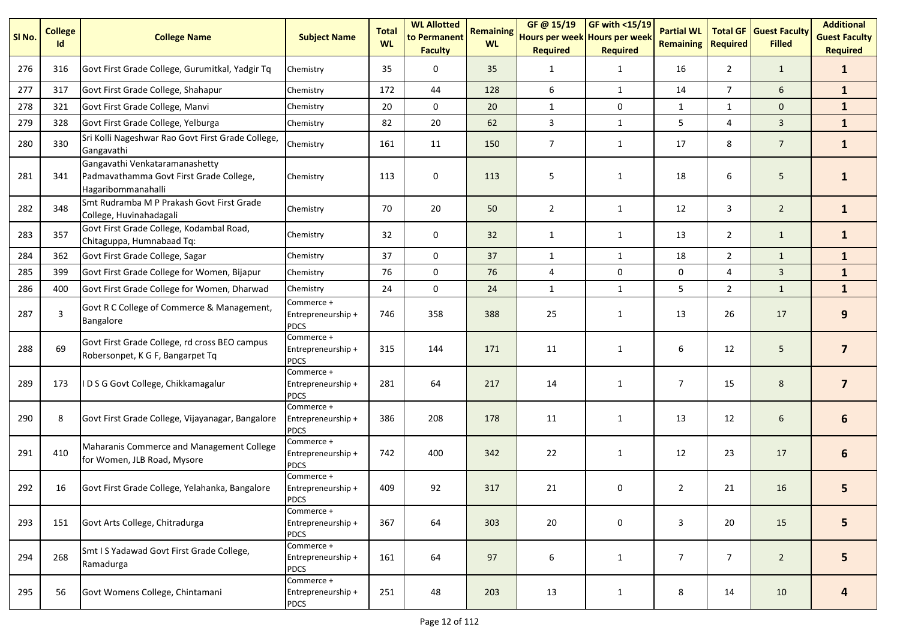| SI No. | <b>College</b><br>Id | <b>College Name</b>                                                                             | <b>Subject Name</b>                             | <b>Total</b><br><b>WL</b> | <b>WL Allotted</b><br>to Permanent<br><b>Faculty</b> | <b>Remaining</b><br><b>WL</b> | GF @ 15/19<br>Hours per week Hours per week<br><b>Required</b> | <b>GF with &lt;15/19</b><br><b>Required</b> | <b>Partial WL</b><br><b>Remaining</b> | <b>Total GF</b><br><b>Required</b> | <b>Guest Faculty</b><br><b>Filled</b> | <b>Additional</b><br><b>Guest Faculty</b><br><b>Required</b> |
|--------|----------------------|-------------------------------------------------------------------------------------------------|-------------------------------------------------|---------------------------|------------------------------------------------------|-------------------------------|----------------------------------------------------------------|---------------------------------------------|---------------------------------------|------------------------------------|---------------------------------------|--------------------------------------------------------------|
| 276    | 316                  | Govt First Grade College, Gurumitkal, Yadgir Tq                                                 | Chemistry                                       | 35                        | 0                                                    | 35                            | 1                                                              | $\mathbf{1}$                                | 16                                    | $\overline{2}$                     | $\mathbf{1}$                          | $\mathbf{1}$                                                 |
| 277    | 317                  | Govt First Grade College, Shahapur                                                              | Chemistry                                       | 172                       | 44                                                   | 128                           | 6                                                              | $\mathbf{1}$                                | 14                                    | $\overline{7}$                     | 6                                     | $\mathbf{1}$                                                 |
| 278    | 321                  | Govt First Grade College, Manvi                                                                 | Chemistry                                       | 20                        | $\Omega$                                             | 20                            | $\mathbf{1}$                                                   | 0                                           | 1                                     | 1                                  | $\mathbf{0}$                          | $\mathbf{1}$                                                 |
| 279    | 328                  | Govt First Grade College, Yelburga                                                              | Chemistry                                       | 82                        | 20                                                   | 62                            | 3                                                              | $\mathbf{1}$                                | 5                                     | 4                                  | $\overline{3}$                        | $\mathbf{1}$                                                 |
| 280    | 330                  | Sri Kolli Nageshwar Rao Govt First Grade College,<br>Gangavathi                                 | Chemistry                                       | 161                       | 11                                                   | 150                           | $\overline{7}$                                                 | $\mathbf{1}$                                | 17                                    | 8                                  | $\overline{7}$                        | $\mathbf{1}$                                                 |
| 281    | 341                  | Gangavathi Venkataramanashetty<br>Padmavathamma Govt First Grade College,<br>Hagaribommanahalli | Chemistry                                       | 113                       | $\mathbf 0$                                          | 113                           | 5                                                              | 1                                           | 18                                    | 6                                  | 5 <sub>5</sub>                        | $\mathbf{1}$                                                 |
| 282    | 348                  | Smt Rudramba M P Prakash Govt First Grade<br>College, Huvinahadagali                            | Chemistry                                       | 70                        | 20                                                   | 50                            | $\overline{2}$                                                 | $\mathbf{1}$                                | 12                                    | 3                                  | $\overline{2}$                        | $\mathbf{1}$                                                 |
| 283    | 357                  | Govt First Grade College, Kodambal Road,<br>Chitaguppa, Humnabaad Tq:                           | Chemistry                                       | 32                        | 0                                                    | 32                            | $\mathbf{1}$                                                   | $\mathbf{1}$                                | 13                                    | $\overline{2}$                     | $\mathbf{1}$                          | $\mathbf{1}$                                                 |
| 284    | 362                  | Govt First Grade College, Sagar                                                                 | Chemistry                                       | 37                        | $\mathbf 0$                                          | 37                            | $\mathbf{1}$                                                   | $\mathbf{1}$                                | 18                                    | $\overline{2}$                     | $\mathbf{1}$                          | $\mathbf{1}$                                                 |
| 285    | 399                  | Govt First Grade College for Women, Bijapur                                                     | Chemistry                                       | 76                        | 0                                                    | 76                            | $\overline{4}$                                                 | 0                                           | 0                                     | 4                                  | $\mathbf{3}$                          | $\mathbf{1}$                                                 |
| 286    | 400                  | Govt First Grade College for Women, Dharwad                                                     | Chemistry                                       | 24                        | $\mathbf 0$                                          | 24                            | $\mathbf{1}$                                                   | $\mathbf{1}$                                | 5                                     | $\overline{2}$                     | $\mathbf{1}$                          | $\mathbf{1}$                                                 |
| 287    | 3                    | Govt R C College of Commerce & Management,<br>Bangalore                                         | Commerce +<br>Entrepreneurship +<br><b>PDCS</b> | 746                       | 358                                                  | 388                           | 25                                                             | $\mathbf{1}$                                | 13                                    | 26                                 | 17                                    | 9                                                            |
| 288    | 69                   | Govt First Grade College, rd cross BEO campus<br>Robersonpet, K G F, Bangarpet Tq               | Commerce +<br>Entrepreneurship +<br><b>PDCS</b> | 315                       | 144                                                  | 171                           | 11                                                             | $\mathbf{1}$                                | 6                                     | 12                                 | 5                                     | $\overline{7}$                                               |
| 289    | 173                  | IDSG Govt College, Chikkamagalur                                                                | Commerce +<br>Entrepreneurship +<br><b>PDCS</b> | 281                       | 64                                                   | 217                           | 14                                                             | $\mathbf{1}$                                | $\overline{7}$                        | 15                                 | 8                                     | $\overline{7}$                                               |
| 290    | 8                    | Govt First Grade College, Vijayanagar, Bangalore                                                | Commerce +<br>Entrepreneurship +<br><b>PDCS</b> | 386                       | 208                                                  | 178                           | 11                                                             | $\mathbf{1}$                                | 13                                    | 12                                 | 6                                     | 6                                                            |
| 291    | 410                  | Maharanis Commerce and Management College<br>for Women, JLB Road, Mysore                        | Commerce +<br>Entrepreneurship +<br><b>PDCS</b> | 742                       | 400                                                  | 342                           | 22                                                             | $\mathbf{1}$                                | 12                                    | 23                                 | 17                                    | 6                                                            |
| 292    | 16                   | Govt First Grade College, Yelahanka, Bangalore                                                  | Commerce +<br>Entrepreneurship +<br><b>PDCS</b> | 409                       | 92                                                   | 317                           | 21                                                             | 0                                           | $\overline{2}$                        | 21                                 | 16                                    | 5                                                            |
| 293    | 151                  | Govt Arts College, Chitradurga                                                                  | Commerce +<br>Entrepreneurship +<br><b>PDCS</b> | 367                       | 64                                                   | 303                           | 20                                                             | 0                                           | 3                                     | 20                                 | 15                                    | 5                                                            |
| 294    | 268                  | Smt I S Yadawad Govt First Grade College,<br>Ramadurga                                          | Commerce +<br>Entrepreneurship +<br><b>PDCS</b> | 161                       | 64                                                   | 97                            | 6                                                              | $\mathbf{1}$                                | $\overline{7}$                        | $\overline{7}$                     | $\overline{2}$                        | 5                                                            |
| 295    | 56                   | Govt Womens College, Chintamani                                                                 | Commerce +<br>Entrepreneurship +<br><b>PDCS</b> | 251                       | 48                                                   | 203                           | 13                                                             | $\mathbf{1}$                                | 8                                     | 14                                 | 10                                    | 4                                                            |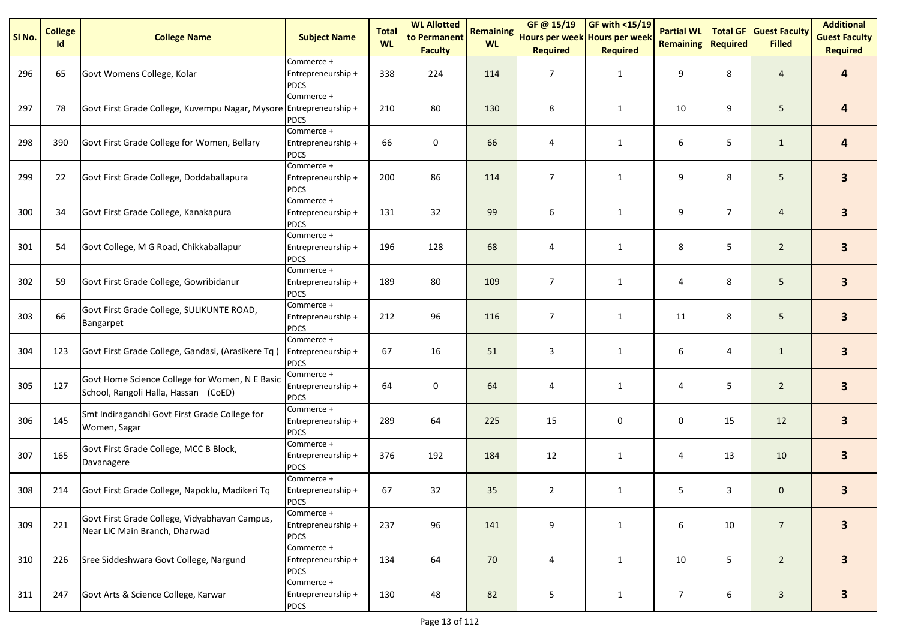| SI No. | <b>College</b><br>Id | <b>College Name</b>                                                                    | <b>Subject Name</b>                             | <b>Total</b><br><b>WL</b> | <b>WL Allotted</b><br>to Permanent<br><b>Faculty</b> | <b>Remaining</b><br><b>WL</b> | GF @ 15/19<br>Hours per week Hours per week<br><b>Required</b> | <b>GF with &lt;15/19</b><br><b>Required</b> | <b>Partial WL</b><br><b>Remaining</b> | <b>Total GF</b><br>Required | <b>Guest Faculty</b><br><b>Filled</b> | <b>Additional</b><br><b>Guest Faculty</b><br><b>Required</b> |
|--------|----------------------|----------------------------------------------------------------------------------------|-------------------------------------------------|---------------------------|------------------------------------------------------|-------------------------------|----------------------------------------------------------------|---------------------------------------------|---------------------------------------|-----------------------------|---------------------------------------|--------------------------------------------------------------|
| 296    | 65                   | Govt Womens College, Kolar                                                             | Commerce +<br>Entrepreneurship +<br><b>PDCS</b> | 338                       | 224                                                  | 114                           | 7                                                              | $\mathbf{1}$                                | 9                                     | 8                           | $\overline{4}$                        | 4                                                            |
| 297    | 78                   | Govt First Grade College, Kuvempu Nagar, Mysore Entrepreneurship +                     | Commerce +<br><b>PDCS</b>                       | 210                       | 80                                                   | 130                           | 8                                                              | $\mathbf{1}$                                | 10                                    | 9                           | 5                                     | 4                                                            |
| 298    | 390                  | Govt First Grade College for Women, Bellary                                            | Commerce +<br>Entrepreneurship +<br><b>PDCS</b> | 66                        | $\pmb{0}$                                            | 66                            | 4                                                              | 1                                           | 6                                     | 5                           | $\mathbf{1}$                          | 4                                                            |
| 299    | 22                   | Govt First Grade College, Doddaballapura                                               | Commerce +<br>Entrepreneurship +<br><b>PDCS</b> | 200                       | 86                                                   | 114                           | $\overline{7}$                                                 | $\mathbf{1}$                                | 9                                     | 8                           | 5                                     | 3 <sup>1</sup>                                               |
| 300    | 34                   | Govt First Grade College, Kanakapura                                                   | Commerce +<br>Entrepreneurship +<br><b>PDCS</b> | 131                       | 32                                                   | 99                            | 6                                                              | $\mathbf{1}$                                | 9                                     | $\overline{7}$              | $\overline{4}$                        | 3                                                            |
| 301    | 54                   | Govt College, M G Road, Chikkaballapur                                                 | Commerce +<br>Entrepreneurship +<br><b>PDCS</b> | 196                       | 128                                                  | 68                            | 4                                                              | $\mathbf{1}$                                | 8                                     | 5                           | $\overline{2}$                        | 3 <sup>1</sup>                                               |
| 302    | 59                   | Govt First Grade College, Gowribidanur                                                 | Commerce +<br>Entrepreneurship +<br><b>PDCS</b> | 189                       | 80                                                   | 109                           | 7                                                              | $\mathbf{1}$                                | 4                                     | 8                           | 5                                     | 3 <sup>1</sup>                                               |
| 303    | 66                   | Govt First Grade College, SULIKUNTE ROAD,<br>Bangarpet                                 | Commerce +<br>Entrepreneurship +<br><b>PDCS</b> | 212                       | 96                                                   | 116                           | 7                                                              | 1                                           | 11                                    | 8                           | 5                                     | 3                                                            |
| 304    | 123                  | Govt First Grade College, Gandasi, (Arasikere Tq)                                      | Commerce +<br>Entrepreneurship +<br><b>PDCS</b> | 67                        | 16                                                   | 51                            | 3                                                              | $\mathbf{1}$                                | 6                                     | 4                           | $\mathbf{1}$                          | $\overline{\mathbf{3}}$                                      |
| 305    | 127                  | Govt Home Science College for Women, N E Basic<br>School, Rangoli Halla, Hassan (CoED) | Commerce +<br>Entrepreneurship +<br><b>PDCS</b> | 64                        | $\pmb{0}$                                            | 64                            | 4                                                              | 1                                           | 4                                     | 5                           | $\overline{2}$                        | 3                                                            |
| 306    | 145                  | Smt Indiragandhi Govt First Grade College for<br>Women, Sagar                          | Commerce +<br>Entrepreneurship +<br><b>PDCS</b> | 289                       | 64                                                   | 225                           | 15                                                             | 0                                           | 0                                     | 15                          | 12                                    | $\overline{\mathbf{3}}$                                      |
| 307    | 165                  | Govt First Grade College, MCC B Block,<br>Davanagere                                   | Commerce +<br>Entrepreneurship +<br><b>PDCS</b> | 376                       | 192                                                  | 184                           | 12                                                             | $\mathbf{1}$                                | 4                                     | 13                          | 10                                    | 3 <sup>1</sup>                                               |
| 308    | 214                  | Govt First Grade College, Napoklu, Madikeri Tq                                         | Commerce +<br>Entrepreneurship +<br><b>PDCS</b> | 67                        | 32                                                   | 35                            | $\overline{2}$                                                 | $\mathbf{1}$                                | 5                                     | 3                           | $\mathbf 0$                           | 3                                                            |
| 309    | 221                  | Govt First Grade College, Vidyabhavan Campus,<br>Near LIC Main Branch, Dharwad         | Commerce +<br>Entrepreneurship +<br><b>PDCS</b> | 237                       | 96                                                   | 141                           | 9                                                              | $\mathbf{1}$                                | 6                                     | 10                          | $\overline{7}$                        | 3 <sup>1</sup>                                               |
| 310    | 226                  | Sree Siddeshwara Govt College, Nargund                                                 | Commerce +<br>Entrepreneurship +<br><b>PDCS</b> | 134                       | 64                                                   | 70                            | 4                                                              | $\mathbf{1}$                                | 10                                    | 5                           | $\overline{2}$                        | $\mathbf{3}$                                                 |
| 311    | 247                  | Govt Arts & Science College, Karwar                                                    | Commerce +<br>Entrepreneurship +<br><b>PDCS</b> | 130                       | 48                                                   | 82                            | 5                                                              | $\mathbf{1}$                                | $\overline{7}$                        | 6                           | $\mathbf{3}$                          | $\mathbf{3}$                                                 |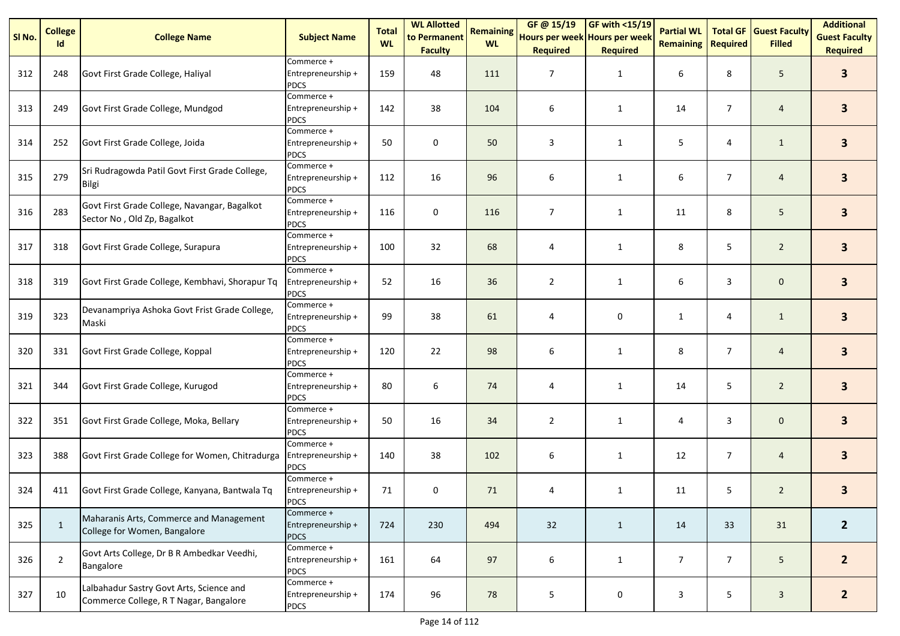| SI <sub>No.</sub> | <b>College</b><br>Id | <b>College Name</b>                                                                | <b>Subject Name</b>                             | <b>Total</b><br><b>WL</b> | <b>WL Allotted</b><br>to Permanent<br><b>Faculty</b> | <b>Remaining</b><br><b>WL</b> | GF@ 15/19<br>Hours per week Hours per week<br><b>Required</b> | <b>GF with &lt;15/19</b><br><b>Required</b> | <b>Partial WL</b><br><b>Remaining</b> | <b>Total GF</b><br><b>Required</b> | <b>Guest Faculty</b><br><b>Filled</b> | <b>Additional</b><br><b>Guest Faculty</b><br><b>Required</b> |
|-------------------|----------------------|------------------------------------------------------------------------------------|-------------------------------------------------|---------------------------|------------------------------------------------------|-------------------------------|---------------------------------------------------------------|---------------------------------------------|---------------------------------------|------------------------------------|---------------------------------------|--------------------------------------------------------------|
| 312               | 248                  | Govt First Grade College, Haliyal                                                  | Commerce +<br>Entrepreneurship +<br><b>PDCS</b> | 159                       | 48                                                   | 111                           | $\overline{7}$                                                | $\mathbf{1}$                                | 6                                     | 8                                  | 5                                     | $\overline{\mathbf{3}}$                                      |
| 313               | 249                  | Govt First Grade College, Mundgod                                                  | Commerce +<br>Entrepreneurship +<br><b>PDCS</b> | 142                       | 38                                                   | 104                           | 6                                                             | $\mathbf{1}$                                | 14                                    | $\overline{7}$                     | $\overline{a}$                        | $\overline{\mathbf{3}}$                                      |
| 314               | 252                  | Govt First Grade College, Joida                                                    | Commerce +<br>Entrepreneurship +<br><b>PDCS</b> | 50                        | 0                                                    | 50                            | 3                                                             | 1                                           | 5                                     | 4                                  | $\mathbf{1}$                          | $\overline{\mathbf{3}}$                                      |
| 315               | 279                  | Sri Rudragowda Patil Govt First Grade College,<br><b>Bilgi</b>                     | Commerce +<br>Entrepreneurship +<br><b>PDCS</b> | 112                       | 16                                                   | 96                            | 6                                                             | $\mathbf{1}$                                | 6                                     | $\overline{7}$                     | $\overline{4}$                        | $\overline{\mathbf{3}}$                                      |
| 316               | 283                  | Govt First Grade College, Navangar, Bagalkot<br>Sector No, Old Zp, Bagalkot        | Commerce +<br>Entrepreneurship +<br><b>PDCS</b> | 116                       | 0                                                    | 116                           | $\overline{7}$                                                | $\mathbf{1}$                                | 11                                    | 8                                  | $5\phantom{.0}$                       | $\overline{\mathbf{3}}$                                      |
| 317               | 318                  | Govt First Grade College, Surapura                                                 | Commerce +<br>Entrepreneurship +<br><b>PDCS</b> | 100                       | 32                                                   | 68                            | 4                                                             | $\mathbf{1}$                                | 8                                     | 5                                  | $\overline{2}$                        | 3 <sup>1</sup>                                               |
| 318               | 319                  | Govt First Grade College, Kembhavi, Shorapur Tq                                    | Commerce +<br>Entrepreneurship +<br><b>PDCS</b> | 52                        | 16                                                   | 36                            | $\overline{2}$                                                | $\mathbf{1}$                                | 6                                     | 3                                  | $\mathbf 0$                           | 3 <sup>1</sup>                                               |
| 319               | 323                  | Devanampriya Ashoka Govt Frist Grade College,<br>Maski                             | Commerce +<br>Entrepreneurship +<br><b>PDCS</b> | 99                        | 38                                                   | 61                            | 4                                                             | 0                                           | $\mathbf{1}$                          | 4                                  | $\mathbf{1}$                          | $\mathbf{3}$                                                 |
| 320               | 331                  | Govt First Grade College, Koppal                                                   | Commerce +<br>Entrepreneurship +<br><b>PDCS</b> | 120                       | 22                                                   | 98                            | 6                                                             | $\mathbf{1}$                                | 8                                     | $\overline{7}$                     | $\overline{a}$                        | $\overline{\mathbf{3}}$                                      |
| 321               | 344                  | Govt First Grade College, Kurugod                                                  | Commerce +<br>Entrepreneurship +<br><b>PDCS</b> | 80                        | 6                                                    | 74                            | 4                                                             | $\mathbf{1}$                                | 14                                    | 5                                  | $\overline{2}$                        | $\overline{\mathbf{3}}$                                      |
| 322               | 351                  | Govt First Grade College, Moka, Bellary                                            | Commerce +<br>Entrepreneurship +<br><b>PDCS</b> | 50                        | 16                                                   | 34                            | $\overline{2}$                                                | $\mathbf{1}$                                | 4                                     | 3                                  | $\mathbf 0$                           | 3 <sup>1</sup>                                               |
| 323               | 388                  | Govt First Grade College for Women, Chitradurga                                    | Commerce +<br>Entrepreneurship +<br><b>PDCS</b> | 140                       | 38                                                   | 102                           | 6                                                             | $\mathbf{1}$                                | 12                                    | $\overline{7}$                     | $\overline{4}$                        | $\mathbf{3}$                                                 |
| 324               | 411                  | Govt First Grade College, Kanyana, Bantwala Tq                                     | Commerce +<br>Entrepreneurship +<br><b>PDCS</b> | 71                        | 0                                                    | 71                            | 4                                                             | $\mathbf{1}$                                | 11                                    | 5                                  | $\overline{2}$                        | 3                                                            |
| 325               | $\mathbf{1}$         | Maharanis Arts, Commerce and Management<br>College for Women, Bangalore            | Commerce +<br>Entrepreneurship +<br><b>PDCS</b> | 724                       | 230                                                  | 494                           | 32                                                            | $\mathbf{1}$                                | 14                                    | 33                                 | 31                                    | 2 <sup>1</sup>                                               |
| 326               | $\overline{2}$       | Govt Arts College, Dr B R Ambedkar Veedhi,<br>Bangalore                            | Commerce +<br>Entrepreneurship +<br><b>PDCS</b> | 161                       | 64                                                   | 97                            | 6                                                             | $\mathbf{1}$                                | $\overline{7}$                        | $\overline{7}$                     | 5                                     | $2^{\circ}$                                                  |
| 327               | 10                   | Lalbahadur Sastry Govt Arts, Science and<br>Commerce College, R T Nagar, Bangalore | Commerce +<br>Entrepreneurship +<br>PDCS        | 174                       | 96                                                   | 78                            | 5                                                             | $\mathbf 0$                                 | 3                                     | 5                                  | $\mathbf{3}$                          | 2 <sup>2</sup>                                               |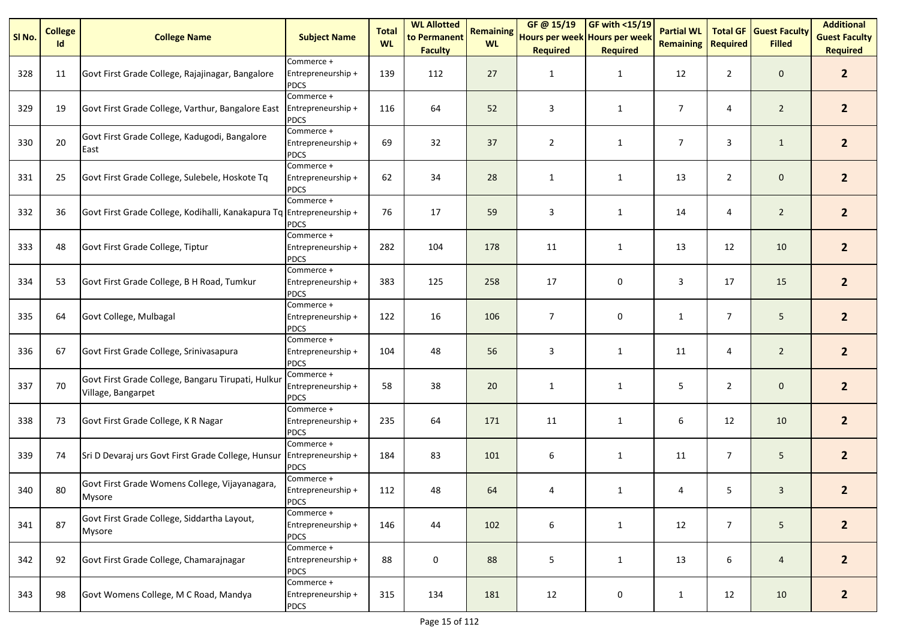| SI No. | <b>College</b><br>Id | <b>College Name</b>                                                      | <b>Subject Name</b>                             | <b>Total</b><br><b>WL</b> | <b>WL Allotted</b><br>to Permanent<br><b>Faculty</b> | <b>Remaining</b><br><b>WL</b> | GF@ 15/19<br>Hours per week Hours per week<br><b>Required</b> | GF with <15/19<br><b>Required</b> | <b>Partial WL</b><br><b>Remaining</b> | <b>Total GF</b><br><b>Required</b> | <b>Guest Faculty</b><br><b>Filled</b> | <b>Additional</b><br><b>Guest Faculty</b><br><b>Required</b> |
|--------|----------------------|--------------------------------------------------------------------------|-------------------------------------------------|---------------------------|------------------------------------------------------|-------------------------------|---------------------------------------------------------------|-----------------------------------|---------------------------------------|------------------------------------|---------------------------------------|--------------------------------------------------------------|
| 328    | 11                   | Govt First Grade College, Rajajinagar, Bangalore                         | Commerce +<br>Entrepreneurship +<br><b>PDCS</b> | 139                       | 112                                                  | 27                            | 1                                                             | 1                                 | 12                                    | $\overline{2}$                     | $\mathbf 0$                           | 2 <sup>2</sup>                                               |
| 329    | 19                   | Govt First Grade College, Varthur, Bangalore East                        | Commerce +<br>Entrepreneurship +<br><b>PDCS</b> | 116                       | 64                                                   | 52                            | 3                                                             | $\mathbf{1}$                      | $\overline{7}$                        | 4                                  | $\overline{2}$                        | 2 <sup>2</sup>                                               |
| 330    | 20                   | Govt First Grade College, Kadugodi, Bangalore<br>East                    | Commerce +<br>Entrepreneurship +<br><b>PDCS</b> | 69                        | 32                                                   | 37                            | $\overline{2}$                                                | 1                                 | $\overline{7}$                        | 3                                  | $\mathbf{1}$                          | 2 <sup>2</sup>                                               |
| 331    | 25                   | Govt First Grade College, Sulebele, Hoskote Tq                           | Commerce +<br>Entrepreneurship +<br><b>PDCS</b> | 62                        | 34                                                   | 28                            | $\mathbf{1}$                                                  | $\mathbf{1}$                      | 13                                    | $\overline{2}$                     | $\mathbf 0$                           | 2 <sup>1</sup>                                               |
| 332    | 36                   | Govt First Grade College, Kodihalli, Kanakapura Tq                       | Commerce +<br>Entrepreneurship +<br><b>PDCS</b> | 76                        | 17                                                   | 59                            | 3                                                             | $\mathbf{1}$                      | 14                                    | 4                                  | $\overline{2}$                        | 2 <sup>1</sup>                                               |
| 333    | 48                   | Govt First Grade College, Tiptur                                         | Commerce +<br>Entrepreneurship +<br><b>PDCS</b> | 282                       | 104                                                  | 178                           | 11                                                            | $\mathbf{1}$                      | 13                                    | 12                                 | 10                                    | 2 <sup>1</sup>                                               |
| 334    | 53                   | Govt First Grade College, B H Road, Tumkur                               | Commerce +<br>Entrepreneurship +<br><b>PDCS</b> | 383                       | 125                                                  | 258                           | 17                                                            | 0                                 | 3                                     | 17                                 | 15                                    | 2 <sup>2</sup>                                               |
| 335    | 64                   | Govt College, Mulbagal                                                   | Commerce +<br>Entrepreneurship +<br><b>PDCS</b> | 122                       | 16                                                   | 106                           | $\overline{7}$                                                | 0                                 | $\mathbf{1}$                          | $\overline{7}$                     | 5                                     | $\overline{2}$                                               |
| 336    | 67                   | Govt First Grade College, Srinivasapura                                  | Commerce +<br>Entrepreneurship +<br><b>PDCS</b> | 104                       | 48                                                   | 56                            | 3                                                             | 1                                 | 11                                    | 4                                  | $\overline{2}$                        | 2 <sup>2</sup>                                               |
| 337    | $70\,$               | Govt First Grade College, Bangaru Tirupati, Hulkur<br>Village, Bangarpet | Commerce +<br>Entrepreneurship +<br><b>PDCS</b> | 58                        | 38                                                   | 20                            | 1                                                             | 1                                 | 5                                     | $\overline{2}$                     | $\mathbf 0$                           | $\overline{2}$                                               |
| 338    | 73                   | Govt First Grade College, K R Nagar                                      | Commerce +<br>Entrepreneurship +<br><b>PDCS</b> | 235                       | 64                                                   | 171                           | 11                                                            | $\mathbf{1}$                      | 6                                     | 12                                 | 10                                    | 2 <sup>1</sup>                                               |
| 339    | 74                   | Sri D Devaraj urs Govt First Grade College, Hunsur                       | Commerce +<br>Entrepreneurship +<br><b>PDCS</b> | 184                       | 83                                                   | 101                           | 6                                                             | $\mathbf{1}$                      | 11                                    | $\overline{7}$                     | 5                                     | 2 <sup>1</sup>                                               |
| 340    | 80                   | Govt First Grade Womens College, Vijayanagara,<br>Mysore                 | Commerce +<br>Entrepreneurship +<br><b>PDCS</b> | 112                       | 48                                                   | 64                            | 4                                                             | $\mathbf{1}$                      | 4                                     | 5                                  | $\mathbf{3}$                          | $\overline{2}$                                               |
| 341    | 87                   | Govt First Grade College, Siddartha Layout,<br>Mysore                    | Commerce +<br>Entrepreneurship +<br><b>PDCS</b> | 146                       | 44                                                   | 102                           | 6                                                             | $\mathbf{1}$                      | 12                                    | $\overline{7}$                     | 5 <sub>5</sub>                        | 2 <sup>2</sup>                                               |
| 342    | 92                   | Govt First Grade College, Chamarajnagar                                  | Commerce +<br>Entrepreneurship +<br><b>PDCS</b> | 88                        | 0                                                    | 88                            | 5                                                             | 1                                 | 13                                    | 6                                  | $\overline{4}$                        | 2 <sup>2</sup>                                               |
| 343    | 98                   | Govt Womens College, M C Road, Mandya                                    | Commerce +<br>Entrepreneurship +<br><b>PDCS</b> | 315                       | 134                                                  | 181                           | 12                                                            | $\pmb{0}$                         | $\mathbf{1}$                          | 12                                 | 10                                    | $\overline{2}$                                               |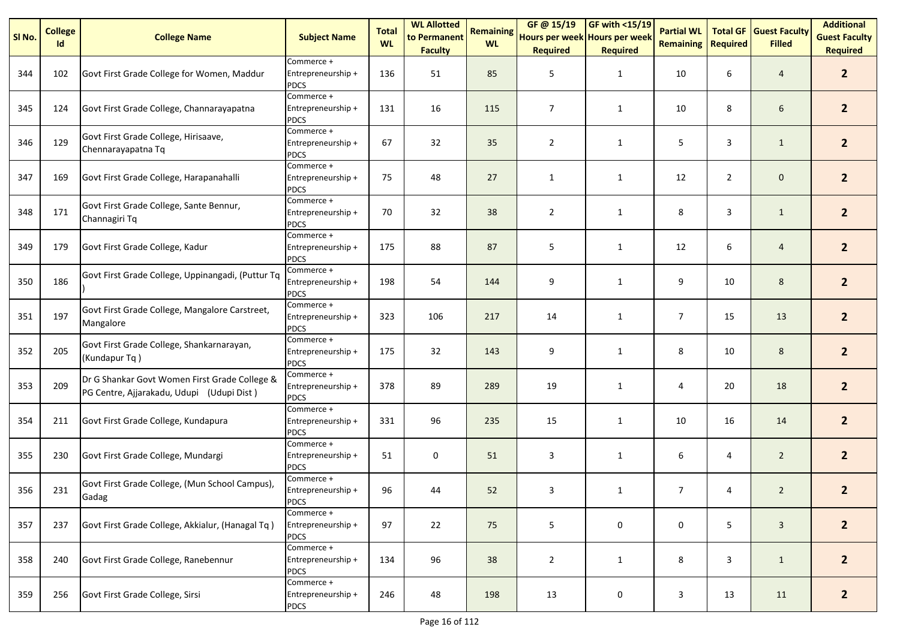| SI No. | <b>College</b><br>Id | <b>College Name</b>                                                                        | <b>Subject Name</b>                             | <b>Total</b><br><b>WL</b> | <b>WL Allotted</b><br>to Permanent<br><b>Faculty</b> | <b>Remaining</b><br><b>WL</b> | GF@ 15/19<br>Hours per week Hours per week<br><b>Required</b> | <b>GF with &lt;15/19</b><br><b>Required</b> | <b>Partial WL</b><br><b>Remaining</b> | <b>Total GF</b><br>Required | <b>Guest Faculty</b><br><b>Filled</b> | <b>Additional</b><br><b>Guest Faculty</b><br><b>Required</b> |
|--------|----------------------|--------------------------------------------------------------------------------------------|-------------------------------------------------|---------------------------|------------------------------------------------------|-------------------------------|---------------------------------------------------------------|---------------------------------------------|---------------------------------------|-----------------------------|---------------------------------------|--------------------------------------------------------------|
| 344    | 102                  | Govt First Grade College for Women, Maddur                                                 | Commerce +<br>Entrepreneurship +<br><b>PDCS</b> | 136                       | 51                                                   | 85                            | 5                                                             | $\mathbf{1}$                                | 10                                    | 6                           | $\overline{4}$                        | 2 <sup>2</sup>                                               |
| 345    | 124                  | Govt First Grade College, Channarayapatna                                                  | Commerce +<br>Entrepreneurship +<br><b>PDCS</b> | 131                       | 16                                                   | 115                           | $\overline{7}$                                                | $\mathbf{1}$                                | 10                                    | 8                           | 6                                     | 2 <sup>2</sup>                                               |
| 346    | 129                  | Govt First Grade College, Hirisaave,<br>Chennarayapatna Tq                                 | Commerce +<br>Entrepreneurship +<br><b>PDCS</b> | 67                        | 32                                                   | 35                            | $\overline{2}$                                                | 1                                           | 5                                     | 3                           | $\mathbf{1}$                          | 2 <sup>2</sup>                                               |
| 347    | 169                  | Govt First Grade College, Harapanahalli                                                    | Commerce +<br>Entrepreneurship +<br><b>PDCS</b> | 75                        | 48                                                   | 27                            | $\mathbf{1}$                                                  | $\mathbf{1}$                                | 12                                    | $\overline{2}$              | $\mathbf 0$                           | 2 <sup>1</sup>                                               |
| 348    | 171                  | Govt First Grade College, Sante Bennur,<br>Channagiri Tq                                   | Commerce +<br>Entrepreneurship +<br><b>PDCS</b> | 70                        | 32                                                   | 38                            | $\overline{2}$                                                | $\mathbf{1}$                                | 8                                     | 3                           | $\mathbf{1}$                          | 2 <sup>1</sup>                                               |
| 349    | 179                  | Govt First Grade College, Kadur                                                            | Commerce +<br>Entrepreneurship +<br><b>PDCS</b> | 175                       | 88                                                   | 87                            | 5                                                             | $\mathbf{1}$                                | 12                                    | 6                           | $\overline{4}$                        | 2 <sup>2</sup>                                               |
| 350    | 186                  | Govt First Grade College, Uppinangadi, (Puttur Tq                                          | Commerce +<br>Entrepreneurship +<br><b>PDCS</b> | 198                       | 54                                                   | 144                           | 9                                                             | $\mathbf{1}$                                | 9                                     | 10                          | 8                                     | 2 <sup>2</sup>                                               |
| 351    | 197                  | Govt First Grade College, Mangalore Carstreet,<br>Mangalore                                | Commerce +<br>Entrepreneurship +<br><b>PDCS</b> | 323                       | 106                                                  | 217                           | 14                                                            | $\mathbf{1}$                                | $\overline{7}$                        | 15                          | 13                                    | $\overline{2}$                                               |
| 352    | 205                  | Govt First Grade College, Shankarnarayan,<br>(Kundapur Tq)                                 | Commerce +<br>Entrepreneurship +<br><b>PDCS</b> | 175                       | 32                                                   | 143                           | 9                                                             | $\mathbf{1}$                                | 8                                     | 10                          | 8                                     | 2 <sup>1</sup>                                               |
| 353    | 209                  | Dr G Shankar Govt Women First Grade College &<br>PG Centre, Ajjarakadu, Udupi (Udupi Dist) | Commerce +<br>Entrepreneurship +<br><b>PDCS</b> | 378                       | 89                                                   | 289                           | 19                                                            | 1                                           | 4                                     | 20                          | 18                                    | 2 <sup>2</sup>                                               |
| 354    | 211                  | Govt First Grade College, Kundapura                                                        | Commerce +<br>Entrepreneurship +<br><b>PDCS</b> | 331                       | 96                                                   | 235                           | 15                                                            | $\mathbf{1}$                                | 10                                    | 16                          | 14                                    | 2 <sup>1</sup>                                               |
| 355    | 230                  | Govt First Grade College, Mundargi                                                         | Commerce +<br>Entrepreneurship +<br><b>PDCS</b> | 51                        | 0                                                    | 51                            | 3                                                             | $\mathbf{1}$                                | 6                                     | 4                           | $\overline{2}$                        | 2 <sup>1</sup>                                               |
| 356    | 231                  | Govt First Grade College, (Mun School Campus),<br>Gadag                                    | Commerce +<br>Entrepreneurship +<br><b>PDCS</b> | 96                        | 44                                                   | 52                            | 3                                                             | $\mathbf{1}$                                | $\overline{7}$                        | 4                           | $\overline{2}$                        | $\overline{2}$                                               |
| 357    | 237                  | Govt First Grade College, Akkialur, (Hanagal Tq)                                           | Commerce +<br>Entrepreneurship +<br><b>PDCS</b> | 97                        | 22                                                   | 75                            | 5                                                             | 0                                           | 0                                     | 5                           | $\mathbf{3}$                          | 2 <sup>2</sup>                                               |
| 358    | 240                  | Govt First Grade College, Ranebennur                                                       | Commerce +<br>Entrepreneurship +<br><b>PDCS</b> | 134                       | 96                                                   | 38                            | $\overline{2}$                                                | 1                                           | 8                                     | 3                           | $\mathbf{1}$                          | $\overline{2}$                                               |
| 359    | 256                  | Govt First Grade College, Sirsi                                                            | Commerce +<br>Entrepreneurship +<br><b>PDCS</b> | 246                       | 48                                                   | 198                           | 13                                                            | $\mathbf 0$                                 | $\overline{\mathbf{3}}$               | 13                          | 11                                    | $\overline{2}$                                               |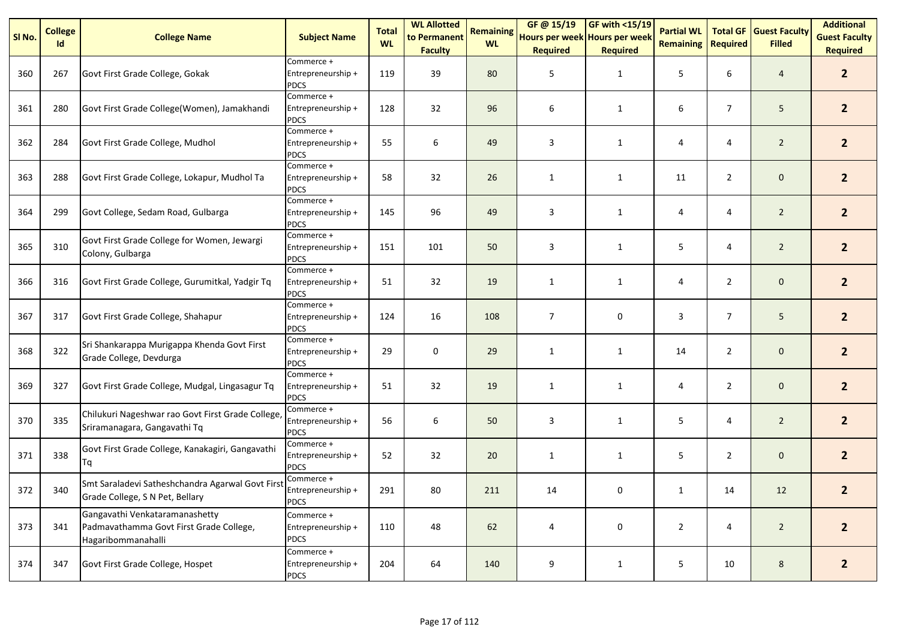| SI No. | <b>College</b><br>Id | <b>College Name</b>                                                                             | <b>Subject Name</b>                             | <b>Total</b><br><b>WL</b> | <b>WL Allotted</b><br>to Permanent<br><b>Faculty</b> | <b>Remaining</b><br><b>WL</b> | GF @ 15/19<br>Hours per week Hours per week<br><b>Required</b> | GF with <15/19<br><b>Required</b> | <b>Partial WL</b><br><b>Remaining</b> | <b>Total GF</b><br><b>Required</b> | <b>Guest Faculty</b><br><b>Filled</b> | <b>Additional</b><br><b>Guest Faculty</b><br><b>Required</b> |
|--------|----------------------|-------------------------------------------------------------------------------------------------|-------------------------------------------------|---------------------------|------------------------------------------------------|-------------------------------|----------------------------------------------------------------|-----------------------------------|---------------------------------------|------------------------------------|---------------------------------------|--------------------------------------------------------------|
| 360    | 267                  | Govt First Grade College, Gokak                                                                 | Commerce +<br>Entrepreneurship +<br><b>PDCS</b> | 119                       | 39                                                   | 80                            | 5                                                              | 1                                 | 5                                     | 6                                  | 4                                     | $\overline{2}$                                               |
| 361    | 280                  | Govt First Grade College(Women), Jamakhandi                                                     | Commerce +<br>Entrepreneurship +<br><b>PDCS</b> | 128                       | 32                                                   | 96                            | 6                                                              | 1                                 | 6                                     | $\overline{7}$                     | 5                                     | $\overline{2}$                                               |
| 362    | 284                  | Govt First Grade College, Mudhol                                                                | Commerce +<br>Entrepreneurship +<br><b>PDCS</b> | 55                        | 6                                                    | 49                            | 3                                                              | $\mathbf{1}$                      | 4                                     | 4                                  | $\overline{2}$                        | 2 <sup>1</sup>                                               |
| 363    | 288                  | Govt First Grade College, Lokapur, Mudhol Ta                                                    | Commerce +<br>Entrepreneurship +<br><b>PDCS</b> | 58                        | 32                                                   | 26                            | $\mathbf{1}$                                                   | $\mathbf{1}$                      | 11                                    | $\overline{2}$                     | $\mathbf 0$                           | 2 <sup>1</sup>                                               |
| 364    | 299                  | Govt College, Sedam Road, Gulbarga                                                              | Commerce +<br>Entrepreneurship +<br><b>PDCS</b> | 145                       | 96                                                   | 49                            | 3                                                              | $\mathbf{1}$                      | 4                                     | 4                                  | $\overline{2}$                        | 2 <sup>1</sup>                                               |
| 365    | 310                  | Govt First Grade College for Women, Jewargi<br>Colony, Gulbarga                                 | Commerce +<br>Entrepreneurship +<br><b>PDCS</b> | 151                       | 101                                                  | 50                            | 3                                                              | $\mathbf{1}$                      | 5                                     | 4                                  | $\overline{2}$                        | 2 <sup>1</sup>                                               |
| 366    | 316                  | Govt First Grade College, Gurumitkal, Yadgir Tq                                                 | Commerce +<br>Entrepreneurship +<br><b>PDCS</b> | 51                        | 32                                                   | 19                            | $\mathbf{1}$                                                   | $\mathbf{1}$                      | 4                                     | $\overline{2}$                     | $\mathbf 0$                           | 2 <sup>2</sup>                                               |
| 367    | 317                  | Govt First Grade College, Shahapur                                                              | Commerce +<br>Entrepreneurship +<br><b>PDCS</b> | 124                       | 16                                                   | 108                           | $\overline{7}$                                                 | 0                                 | 3                                     | $\overline{7}$                     | 5                                     | $\overline{2}$                                               |
| 368    | 322                  | Sri Shankarappa Murigappa Khenda Govt First<br>Grade College, Devdurga                          | Commerce +<br>Entrepreneurship +<br><b>PDCS</b> | 29                        | $\pmb{0}$                                            | 29                            | $\mathbf{1}$                                                   | $\mathbf{1}$                      | 14                                    | $\overline{2}$                     | $\mathsf{O}\xspace$                   | $\overline{2}$                                               |
| 369    | 327                  | Govt First Grade College, Mudgal, Lingasagur Tq                                                 | Commerce +<br>Entrepreneurship +<br><b>PDCS</b> | 51                        | 32                                                   | 19                            | $\mathbf{1}$                                                   | $\mathbf{1}$                      | 4                                     | $\overline{2}$                     | $\mathbf 0$                           | 2 <sup>1</sup>                                               |
| 370    | 335                  | Chilukuri Nageshwar rao Govt First Grade College<br>Sriramanagara, Gangavathi Tq                | Commerce +<br>Entrepreneurship +<br><b>PDCS</b> | 56                        | 6                                                    | 50                            | 3                                                              | $\mathbf{1}$                      | 5                                     | 4                                  | $\overline{2}$                        | 2 <sup>1</sup>                                               |
| 371    | 338                  | Govt First Grade College, Kanakagiri, Gangavathi<br>Τq                                          | Commerce +<br>Entrepreneurship +<br><b>PDCS</b> | 52                        | 32                                                   | 20                            | $\mathbf{1}$                                                   | $\mathbf{1}$                      | 5                                     | $\overline{2}$                     | $\mathbf 0$                           | $\overline{2}$                                               |
| 372    | 340                  | Smt Saraladevi Satheshchandra Agarwal Govt Firs<br>Grade College, S N Pet, Bellary              | Commerce +<br>Entrepreneurship +<br><b>PDCS</b> | 291                       | 80                                                   | 211                           | 14                                                             | 0                                 | 1                                     | 14                                 | 12                                    | $\overline{2}$                                               |
| 373    | 341                  | Gangavathi Venkataramanashetty<br>Padmavathamma Govt First Grade College,<br>Hagaribommanahalli | Commerce +<br>Entrepreneurship +<br><b>PDCS</b> | 110                       | 48                                                   | 62                            | 4                                                              | 0                                 | $\overline{2}$                        | 4                                  | $\overline{2}$                        | $2^{\circ}$                                                  |
| 374    | 347                  | Govt First Grade College, Hospet                                                                | Commerce +<br>Entrepreneurship +<br><b>PDCS</b> | 204                       | 64                                                   | 140                           | 9                                                              | $\mathbf{1}$                      | 5                                     | 10                                 | $\bf 8$                               | $\overline{2}$                                               |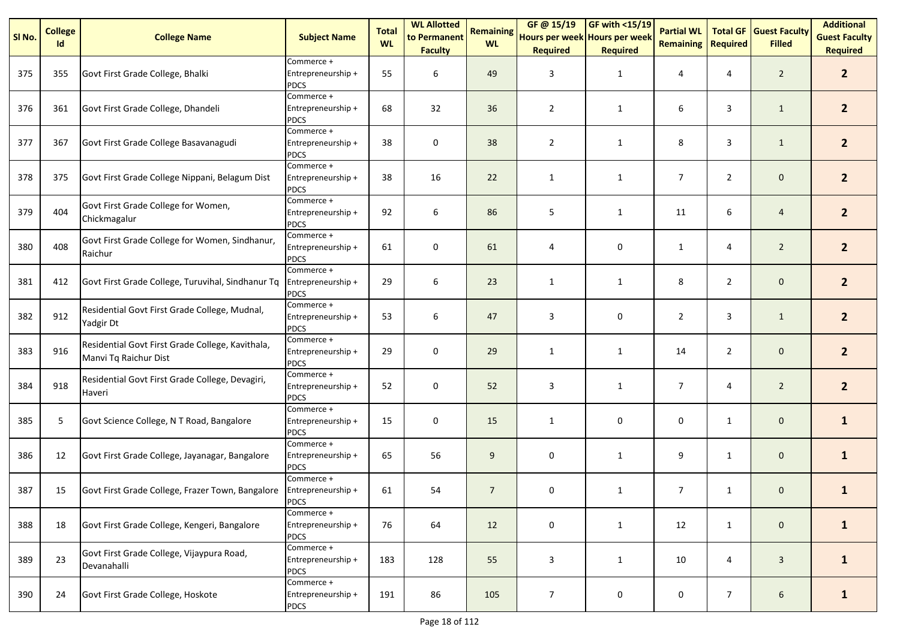| SI <sub>No.</sub> | <b>College</b><br>Id | <b>College Name</b>                                                       | <b>Subject Name</b>                             | <b>Total</b><br><b>WL</b> | <b>WL Allotted</b><br>to Permanent<br><b>Faculty</b> | <b>Remaining</b><br><b>WL</b> | GF@ 15/19<br>Hours per week Hours per week<br><b>Required</b> | <b>GF with &lt;15/19</b><br><b>Required</b> | <b>Partial WL</b><br><b>Remaining</b> | <b>Total GF</b><br><b>Required</b> | <b>Guest Faculty</b><br><b>Filled</b> | <b>Additional</b><br><b>Guest Faculty</b><br><b>Required</b> |
|-------------------|----------------------|---------------------------------------------------------------------------|-------------------------------------------------|---------------------------|------------------------------------------------------|-------------------------------|---------------------------------------------------------------|---------------------------------------------|---------------------------------------|------------------------------------|---------------------------------------|--------------------------------------------------------------|
| 375               | 355                  | Govt First Grade College, Bhalki                                          | Commerce +<br>Entrepreneurship +<br><b>PDCS</b> | 55                        | 6                                                    | 49                            | 3                                                             | $\mathbf{1}$                                | 4                                     | 4                                  | $\overline{2}$                        | 2 <sup>2</sup>                                               |
| 376               | 361                  | Govt First Grade College, Dhandeli                                        | Commerce +<br>Entrepreneurship +<br><b>PDCS</b> | 68                        | 32                                                   | 36                            | $\overline{2}$                                                | $\mathbf{1}$                                | 6                                     | 3                                  | $\mathbf{1}$                          | $\overline{2}$                                               |
| 377               | 367                  | Govt First Grade College Basavanagudi                                     | Commerce +<br>Entrepreneurship +<br><b>PDCS</b> | 38                        | 0                                                    | 38                            | $\overline{2}$                                                | $\mathbf{1}$                                | 8                                     | 3                                  | $\mathbf{1}$                          | 2 <sup>1</sup>                                               |
| 378               | 375                  | Govt First Grade College Nippani, Belagum Dist                            | Commerce +<br>Entrepreneurship +<br><b>PDCS</b> | 38                        | 16                                                   | 22                            | $\mathbf{1}$                                                  | $\mathbf{1}$                                | $\overline{7}$                        | $\overline{2}$                     | $\mathbf 0$                           | 2 <sup>2</sup>                                               |
| 379               | 404                  | Govt First Grade College for Women,<br>Chickmagalur                       | Commerce +<br>Entrepreneurship +<br><b>PDCS</b> | 92                        | 6                                                    | 86                            | 5                                                             | $\mathbf{1}$                                | 11                                    | 6                                  | $\overline{4}$                        | 2 <sup>1</sup>                                               |
| 380               | 408                  | Govt First Grade College for Women, Sindhanur,<br>Raichur                 | Commerce +<br>Entrepreneurship +<br><b>PDCS</b> | 61                        | 0                                                    | 61                            | 4                                                             | 0                                           | $\mathbf{1}$                          | 4                                  | $\overline{2}$                        | 2 <sup>1</sup>                                               |
| 381               | 412                  | Govt First Grade College, Turuvihal, Sindhanur Tq                         | Commerce +<br>Entrepreneurship +<br><b>PDCS</b> | 29                        | 6                                                    | 23                            | $\mathbf{1}$                                                  | $\mathbf{1}$                                | 8                                     | $\overline{2}$                     | $\mathbf 0$                           | 2 <sup>2</sup>                                               |
| 382               | 912                  | Residential Govt First Grade College, Mudnal,<br>Yadgir Dt                | Commerce +<br>Entrepreneurship +<br><b>PDCS</b> | 53                        | 6                                                    | 47                            | 3                                                             | 0                                           | $\overline{2}$                        | 3                                  | $\mathbf{1}$                          | 2 <sup>1</sup>                                               |
| 383               | 916                  | Residential Govt First Grade College, Kavithala,<br>Manvi Tq Raichur Dist | Commerce +<br>Entrepreneurship +<br><b>PDCS</b> | 29                        | $\pmb{0}$                                            | 29                            | $\mathbf{1}$                                                  | $\mathbf{1}$                                | 14                                    | $\overline{2}$                     | $\mathsf{O}\xspace$                   | $\overline{2}$                                               |
| 384               | 918                  | Residential Govt First Grade College, Devagiri,<br>Haveri                 | Commerce +<br>Entrepreneurship +<br><b>PDCS</b> | 52                        | 0                                                    | 52                            | 3                                                             | $\mathbf{1}$                                | $\overline{7}$                        | 4                                  | $\overline{2}$                        | 2 <sup>2</sup>                                               |
| 385               | 5                    | Govt Science College, N T Road, Bangalore                                 | Commerce +<br>Entrepreneurship +<br><b>PDCS</b> | 15                        | $\pmb{0}$                                            | 15                            | $\mathbf{1}$                                                  | 0                                           | 0                                     | $\mathbf{1}$                       | $\mathbf 0$                           | $\mathbf{1}$                                                 |
| 386               | 12                   | Govt First Grade College, Jayanagar, Bangalore                            | Commerce +<br>Entrepreneurship +<br><b>PDCS</b> | 65                        | 56                                                   | 9                             | 0                                                             | $\mathbf{1}$                                | 9                                     | $\mathbf{1}$                       | $\mathbf 0$                           | $\mathbf{1}$                                                 |
| 387               | 15                   | Govt First Grade College, Frazer Town, Bangalore                          | Commerce +<br>Entrepreneurship +<br><b>PDCS</b> | 61                        | 54                                                   | $\overline{7}$                | 0                                                             | $\mathbf{1}$                                | $\overline{7}$                        | $\mathbf{1}$                       | $\mathbf 0$                           | $\mathbf{1}$                                                 |
| 388               | 18                   | Govt First Grade College, Kengeri, Bangalore                              | Commerce +<br>Entrepreneurship +<br><b>PDCS</b> | 76                        | 64                                                   | 12                            | 0                                                             | $\mathbf{1}$                                | 12                                    | $\mathbf{1}$                       | $\mathsf{O}\xspace$                   | $\mathbf{1}$                                                 |
| 389               | 23                   | Govt First Grade College, Vijaypura Road,<br>Devanahalli                  | Commerce +<br>Entrepreneurship +<br><b>PDCS</b> | 183                       | 128                                                  | 55                            | 3                                                             | $\mathbf{1}$                                | 10                                    | 4                                  | $\mathbf{3}$                          | $\mathbf{1}$                                                 |
| 390               | 24                   | Govt First Grade College, Hoskote                                         | Commerce +<br>Entrepreneurship +<br>PDCS        | 191                       | 86                                                   | 105                           | $\overline{7}$                                                | $\mathbf 0$                                 | 0                                     | $\overline{7}$                     | 6                                     | $\mathbf{1}$                                                 |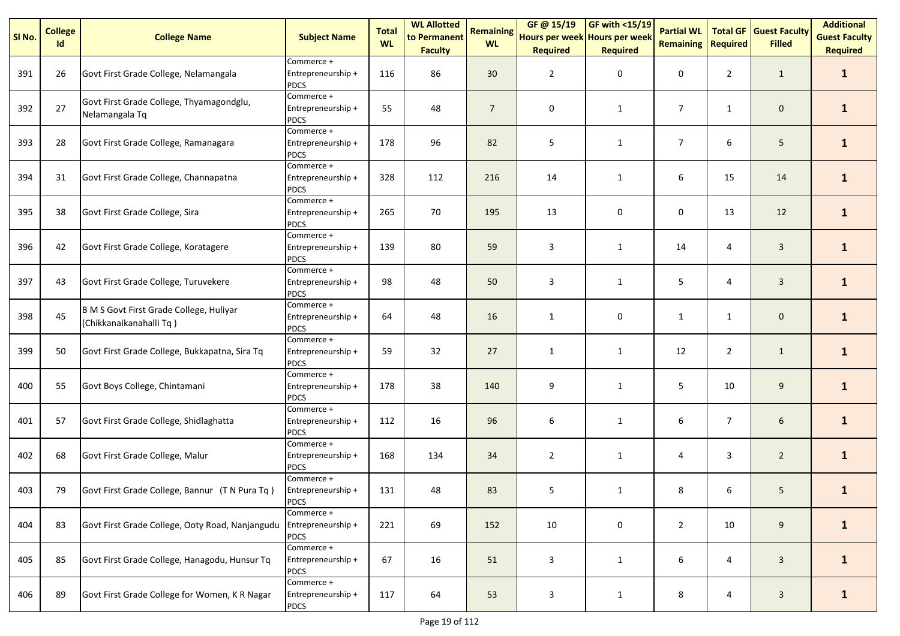| SI No. | <b>College</b><br>Id | <b>College Name</b>                                                | <b>Subject Name</b>                             | <b>Total</b><br><b>WL</b> | <b>WL Allotted</b><br>to Permanent<br><b>Faculty</b> | <b>Remaining</b><br><b>WL</b> | GF@ 15/19<br>Hours per week Hours per week<br><b>Required</b> | <b>GF with &lt;15/19</b><br><b>Required</b> | <b>Partial WL</b><br><b>Remaining</b> | <b>Total GF</b><br><b>Required</b> | <b>Guest Faculty</b><br><b>Filled</b> | <b>Additional</b><br><b>Guest Faculty</b><br><b>Required</b> |
|--------|----------------------|--------------------------------------------------------------------|-------------------------------------------------|---------------------------|------------------------------------------------------|-------------------------------|---------------------------------------------------------------|---------------------------------------------|---------------------------------------|------------------------------------|---------------------------------------|--------------------------------------------------------------|
| 391    | 26                   | Govt First Grade College, Nelamangala                              | Commerce +<br>Entrepreneurship +<br><b>PDCS</b> | 116                       | 86                                                   | 30 <sup>°</sup>               | $\overline{2}$                                                | 0                                           | 0                                     | $\overline{2}$                     | $\mathbf{1}$                          | $\mathbf{1}$                                                 |
| 392    | 27                   | Govt First Grade College, Thyamagondglu,<br>Nelamangala Tq         | Commerce +<br>Entrepreneurship +<br><b>PDCS</b> | 55                        | 48                                                   | $\overline{7}$                | 0                                                             | 1                                           | $\overline{7}$                        | $\mathbf{1}$                       | $\mathbf 0$                           | $\mathbf{1}$                                                 |
| 393    | 28                   | Govt First Grade College, Ramanagara                               | Commerce +<br>Entrepreneurship +<br><b>PDCS</b> | 178                       | 96                                                   | 82                            | 5                                                             | $\mathbf{1}$                                | $\overline{7}$                        | 6                                  | 5                                     | $\mathbf{1}$                                                 |
| 394    | 31                   | Govt First Grade College, Channapatna                              | Commerce +<br>Entrepreneurship +<br><b>PDCS</b> | 328                       | 112                                                  | 216                           | 14                                                            | $\mathbf{1}$                                | 6                                     | 15                                 | 14                                    | $\mathbf{1}$                                                 |
| 395    | 38                   | Govt First Grade College, Sira                                     | Commerce +<br>Entrepreneurship +<br><b>PDCS</b> | 265                       | 70                                                   | 195                           | 13                                                            | 0                                           | 0                                     | 13                                 | 12                                    | $\mathbf{1}$                                                 |
| 396    | 42                   | Govt First Grade College, Koratagere                               | Commerce +<br>Entrepreneurship +<br><b>PDCS</b> | 139                       | 80                                                   | 59                            | 3                                                             | 1                                           | 14                                    | 4                                  | $\mathbf{3}$                          | $\mathbf{1}$                                                 |
| 397    | 43                   | Govt First Grade College, Turuvekere                               | Commerce +<br>Entrepreneurship +<br><b>PDCS</b> | 98                        | 48                                                   | 50                            | 3                                                             | $\mathbf{1}$                                | 5                                     | 4                                  | $\mathbf{3}$                          | $\mathbf{1}$                                                 |
| 398    | 45                   | B M S Govt First Grade College, Huliyar<br>(Chikkanaikanahalli Tq) | Commerce +<br>Entrepreneurship +<br><b>PDCS</b> | 64                        | 48                                                   | 16                            | $\mathbf{1}$                                                  | 0                                           | $\mathbf{1}$                          | $\mathbf{1}$                       | $\mathbf 0$                           | $\mathbf{1}$                                                 |
| 399    | 50                   | Govt First Grade College, Bukkapatna, Sira Tq                      | Commerce +<br>Entrepreneurship +<br><b>PDCS</b> | 59                        | 32                                                   | 27                            | $\mathbf{1}$                                                  | 1                                           | 12                                    | $\overline{2}$                     | $\mathbf{1}$                          | $\mathbf{1}$                                                 |
| 400    | 55                   | Govt Boys College, Chintamani                                      | Commerce +<br>Entrepreneurship +<br><b>PDCS</b> | 178                       | 38                                                   | 140                           | 9                                                             | $\mathbf{1}$                                | 5                                     | 10                                 | 9                                     | $\mathbf{1}$                                                 |
| 401    | 57                   | Govt First Grade College, Shidlaghatta                             | Commerce +<br>Entrepreneurship +<br><b>PDCS</b> | 112                       | 16                                                   | 96                            | 6                                                             | 1                                           | 6                                     | $\overline{7}$                     | 6                                     | $\mathbf{1}$                                                 |
| 402    | 68                   | Govt First Grade College, Malur                                    | Commerce +<br>Entrepreneurship +<br><b>PDCS</b> | 168                       | 134                                                  | 34                            | $\overline{2}$                                                | $\mathbf{1}$                                | 4                                     | 3                                  | $\overline{2}$                        | $\mathbf{1}$                                                 |
| 403    | 79                   | Govt First Grade College, Bannur (T N Pura Tq)                     | Commerce +<br>Entrepreneurship +<br><b>PDCS</b> | 131                       | 48                                                   | 83                            | 5                                                             | $\mathbf{1}$                                | 8                                     | 6                                  | 5                                     | $\mathbf{1}$                                                 |
| 404    | 83                   | Govt First Grade College, Ooty Road, Nanjangudu                    | Commerce +<br>Entrepreneurship +<br><b>PDCS</b> | 221                       | 69                                                   | 152                           | 10                                                            | 0                                           | $\overline{2}$                        | 10                                 | 9                                     | $\mathbf{1}$                                                 |
| 405    | 85                   | Govt First Grade College, Hanagodu, Hunsur Tq                      | Commerce +<br>Entrepreneurship +<br><b>PDCS</b> | 67                        | 16                                                   | 51                            | 3                                                             | 1                                           | 6                                     | 4                                  | $\mathbf{3}$                          | $\mathbf{1}$                                                 |
| 406    | 89                   | Govt First Grade College for Women, K R Nagar                      | Commerce +<br>Entrepreneurship +<br><b>PDCS</b> | 117                       | 64                                                   | 53                            | $\mathbf{3}$                                                  | $\mathbf{1}$                                | 8                                     | 4                                  | $\mathbf{3}$                          | $\mathbf{1}$                                                 |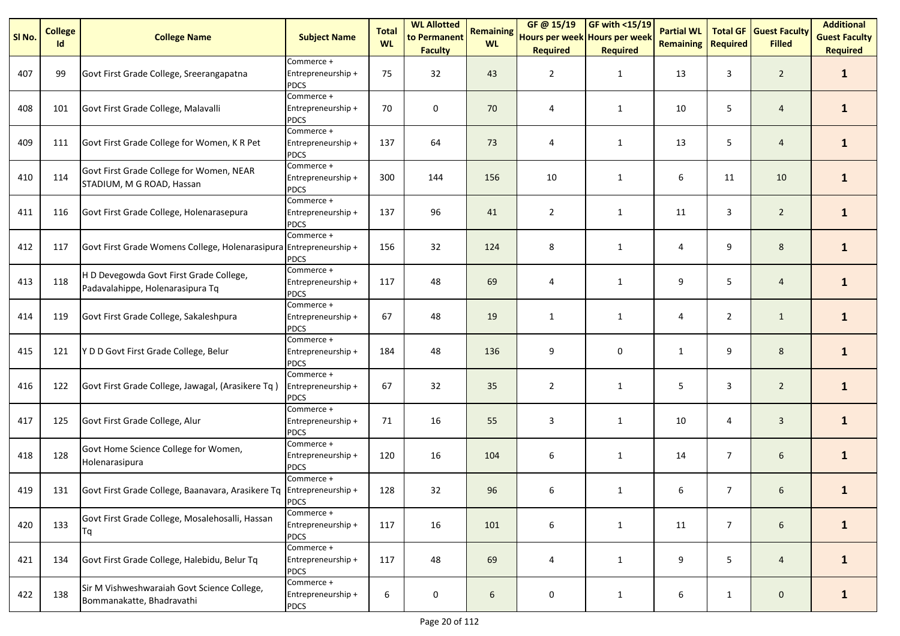| SI No. | <b>College</b><br>Id | <b>College Name</b>                                                         | <b>Subject Name</b>                             | <b>Total</b><br><b>WL</b> | <b>WL Allotted</b><br>to Permanent<br><b>Faculty</b> | <b>Remaining</b><br><b>WL</b> | GF@ 15/19<br>Hours per week Hours per week<br><b>Required</b> | GF with <15/19<br><b>Required</b> | <b>Partial WL</b><br><b>Remaining</b> | <b>Total GF</b><br><b>Required</b> | <b>Guest Faculty</b><br><b>Filled</b> | <b>Additional</b><br><b>Guest Faculty</b><br><b>Required</b> |
|--------|----------------------|-----------------------------------------------------------------------------|-------------------------------------------------|---------------------------|------------------------------------------------------|-------------------------------|---------------------------------------------------------------|-----------------------------------|---------------------------------------|------------------------------------|---------------------------------------|--------------------------------------------------------------|
| 407    | 99                   | Govt First Grade College, Sreerangapatna                                    | Commerce +<br>Entrepreneurship +<br><b>PDCS</b> | 75                        | 32                                                   | 43                            | $\overline{2}$                                                | 1                                 | 13                                    | 3                                  | $\overline{2}$                        | $\mathbf{1}$                                                 |
| 408    | 101                  | Govt First Grade College, Malavalli                                         | Commerce +<br>Entrepreneurship +<br><b>PDCS</b> | 70                        | $\pmb{0}$                                            | 70                            | 4                                                             | 1                                 | 10                                    | 5                                  | $\overline{4}$                        | $\mathbf{1}$                                                 |
| 409    | 111                  | Govt First Grade College for Women, K R Pet                                 | Commerce +<br>Entrepreneurship +<br><b>PDCS</b> | 137                       | 64                                                   | 73                            | 4                                                             | $\mathbf{1}$                      | 13                                    | 5                                  | $\overline{4}$                        | $\mathbf{1}$                                                 |
| 410    | 114                  | Govt First Grade College for Women, NEAR<br>STADIUM, M G ROAD, Hassan       | Commerce +<br>Entrepreneurship +<br><b>PDCS</b> | 300                       | 144                                                  | 156                           | 10                                                            | 1                                 | 6                                     | 11                                 | 10                                    | $\mathbf{1}$                                                 |
| 411    | 116                  | Govt First Grade College, Holenarasepura                                    | Commerce +<br>Entrepreneurship +<br><b>PDCS</b> | 137                       | 96                                                   | 41                            | $\overline{2}$                                                | $\mathbf{1}$                      | 11                                    | 3                                  | $\overline{2}$                        | $\mathbf{1}$                                                 |
| 412    | 117                  | Govt First Grade Womens College, Holenarasipura Entrepreneurship +          | Commerce +<br><b>PDCS</b>                       | 156                       | 32                                                   | 124                           | 8                                                             | $\mathbf{1}$                      | 4                                     | 9                                  | 8                                     | $\mathbf{1}$                                                 |
| 413    | 118                  | H D Devegowda Govt First Grade College,<br>Padavalahippe, Holenarasipura Tq | Commerce +<br>Entrepreneurship +<br><b>PDCS</b> | 117                       | 48                                                   | 69                            | 4                                                             | 1                                 | 9                                     | 5                                  | $\overline{4}$                        | $\mathbf{1}$                                                 |
| 414    | 119                  | Govt First Grade College, Sakaleshpura                                      | Commerce +<br>Entrepreneurship +<br><b>PDCS</b> | 67                        | 48                                                   | 19                            | 1                                                             | 1                                 | 4                                     | $\overline{2}$                     | $\mathbf{1}$                          | $\mathbf{1}$                                                 |
| 415    | 121                  | Y D D Govt First Grade College, Belur                                       | Commerce +<br>Entrepreneurship +<br><b>PDCS</b> | 184                       | 48                                                   | 136                           | 9                                                             | $\pmb{0}$                         | $\mathbf{1}$                          | 9                                  | $\bf 8$                               | $\mathbf{1}$                                                 |
| 416    | 122                  | Govt First Grade College, Jawagal, (Arasikere Tq)                           | Commerce +<br>Entrepreneurship +<br><b>PDCS</b> | 67                        | 32                                                   | 35                            | $\overline{2}$                                                | $\mathbf{1}$                      | 5                                     | 3                                  | $\overline{2}$                        | $\mathbf{1}$                                                 |
| 417    | 125                  | Govt First Grade College, Alur                                              | Commerce +<br>Entrepreneurship +<br><b>PDCS</b> | 71                        | 16                                                   | 55                            | 3                                                             | 1                                 | 10                                    | 4                                  | $\overline{3}$                        | $\mathbf{1}$                                                 |
| 418    | 128                  | Govt Home Science College for Women,<br>Holenarasipura                      | Commerce +<br>Entrepreneurship +<br><b>PDCS</b> | 120                       | 16                                                   | 104                           | 6                                                             | $\mathbf{1}$                      | 14                                    | $\overline{7}$                     | 6                                     | $\mathbf{1}$                                                 |
| 419    | 131                  | Govt First Grade College, Baanavara, Arasikere Tq Entrepreneurship +        | Commerce +<br><b>PDCS</b>                       | 128                       | 32                                                   | 96                            | 6                                                             | $\mathbf{1}$                      | 6                                     | $\overline{7}$                     | 6                                     | $\mathbf{1}$                                                 |
| 420    | 133                  | Govt First Grade College, Mosalehosalli, Hassan<br>Τq                       | Commerce +<br>Entrepreneurship +<br><b>PDCS</b> | 117                       | 16                                                   | 101                           | 6                                                             | 1                                 | 11                                    | $\overline{7}$                     | 6                                     | $\mathbf{1}$                                                 |
| 421    | 134                  | Govt First Grade College, Halebidu, Belur Tq                                | Commerce +<br>Entrepreneurship +<br><b>PDCS</b> | 117                       | 48                                                   | 69                            | 4                                                             | $\mathbf{1}$                      | 9                                     | 5                                  | $\overline{4}$                        | $\mathbf{1}$                                                 |
| 422    | 138                  | Sir M Vishweshwaraiah Govt Science College,<br>Bommanakatte, Bhadravathi    | Commerce +<br>Entrepreneurship +<br><b>PDCS</b> | 6                         | $\pmb{0}$                                            | 6                             | $\pmb{0}$                                                     | $\mathbf{1}$                      | 6                                     | $\mathbf{1}$                       | $\mathsf{O}\xspace$                   | $\mathbf{1}$                                                 |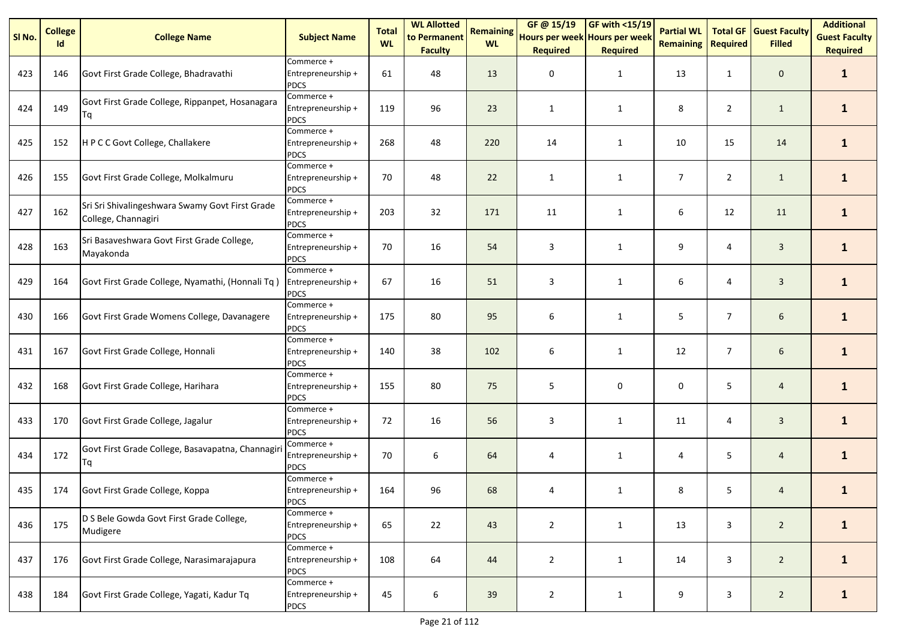| SI <sub>No.</sub> | <b>College</b><br>Id | <b>College Name</b>                                                    | <b>Subject Name</b>                             | <b>Total</b><br><b>WL</b> | <b>WL Allotted</b><br>to Permanent<br><b>Faculty</b> | <b>Remaining</b><br><b>WL</b> | GF @ 15/19<br>Hours per week Hours per week<br><b>Required</b> | <b>GF with &lt;15/19</b><br><b>Required</b> | <b>Partial WL</b><br><b>Remaining</b> | <b>Total GF</b><br><b>Required</b> | <b>Guest Faculty</b><br><b>Filled</b> | <b>Additional</b><br><b>Guest Faculty</b><br><b>Required</b> |
|-------------------|----------------------|------------------------------------------------------------------------|-------------------------------------------------|---------------------------|------------------------------------------------------|-------------------------------|----------------------------------------------------------------|---------------------------------------------|---------------------------------------|------------------------------------|---------------------------------------|--------------------------------------------------------------|
| 423               | 146                  | Govt First Grade College, Bhadravathi                                  | Commerce +<br>Entrepreneurship +<br><b>PDCS</b> | 61                        | 48                                                   | 13                            | 0                                                              | $\mathbf{1}$                                | 13                                    | $\mathbf{1}$                       | $\mathbf 0$                           | $\mathbf{1}$                                                 |
| 424               | 149                  | Govt First Grade College, Rippanpet, Hosanagara<br>Τq                  | Commerce +<br>Entrepreneurship +<br><b>PDCS</b> | 119                       | 96                                                   | 23                            | $\mathbf{1}$                                                   | 1                                           | 8                                     | $\overline{2}$                     | $\mathbf{1}$                          | $\mathbf{1}$                                                 |
| 425               | 152                  | H P C C Govt College, Challakere                                       | Commerce +<br>Entrepreneurship +<br><b>PDCS</b> | 268                       | 48                                                   | 220                           | 14                                                             | 1                                           | 10                                    | 15                                 | 14                                    | $\mathbf{1}$                                                 |
| 426               | 155                  | Govt First Grade College, Molkalmuru                                   | Commerce +<br>Entrepreneurship +<br><b>PDCS</b> | 70                        | 48                                                   | 22                            | $\mathbf{1}$                                                   | $\mathbf{1}$                                | $\overline{7}$                        | $\overline{2}$                     | $\mathbf{1}$                          | $\mathbf{1}$                                                 |
| 427               | 162                  | Sri Sri Shivalingeshwara Swamy Govt First Grade<br>College, Channagiri | Commerce +<br>Entrepreneurship +<br><b>PDCS</b> | 203                       | 32                                                   | 171                           | 11                                                             | 1                                           | 6                                     | 12                                 | 11                                    | $\mathbf{1}$                                                 |
| 428               | 163                  | Sri Basaveshwara Govt First Grade College,<br>Mayakonda                | Commerce +<br>Entrepreneurship +<br><b>PDCS</b> | 70                        | 16                                                   | 54                            | 3                                                              | 1                                           | 9                                     | 4                                  | $\mathbf{3}$                          | $\mathbf{1}$                                                 |
| 429               | 164                  | Govt First Grade College, Nyamathi, (Honnali Tq)                       | Commerce +<br>Entrepreneurship +<br><b>PDCS</b> | 67                        | 16                                                   | 51                            | 3                                                              | $\mathbf{1}$                                | 6                                     | 4                                  | $\mathbf{3}$                          | $\mathbf{1}$                                                 |
| 430               | 166                  | Govt First Grade Womens College, Davanagere                            | Commerce +<br>Entrepreneurship +<br><b>PDCS</b> | 175                       | 80                                                   | 95                            | 6                                                              | 1                                           | 5                                     | $\overline{7}$                     | 6                                     | $\mathbf{1}$                                                 |
| 431               | 167                  | Govt First Grade College, Honnali                                      | Commerce +<br>Entrepreneurship +<br><b>PDCS</b> | 140                       | 38                                                   | 102                           | 6                                                              | 1                                           | 12                                    | $\overline{7}$                     | $6\,$                                 | $\mathbf{1}$                                                 |
| 432               | 168                  | Govt First Grade College, Harihara                                     | Commerce +<br>Entrepreneurship +<br><b>PDCS</b> | 155                       | 80                                                   | 75                            | 5                                                              | 0                                           | 0                                     | 5                                  | $\overline{4}$                        | $\mathbf{1}$                                                 |
| 433               | 170                  | Govt First Grade College, Jagalur                                      | Commerce +<br>Entrepreneurship +<br><b>PDCS</b> | 72                        | 16                                                   | 56                            | 3                                                              | 1                                           | 11                                    | 4                                  | $\overline{3}$                        | $\mathbf{1}$                                                 |
| 434               | 172                  | Govt First Grade College, Basavapatna, Channagiri<br>Τq                | Commerce +<br>Entrepreneurship +<br><b>PDCS</b> | 70                        | 6                                                    | 64                            | 4                                                              | $\mathbf{1}$                                | 4                                     | 5                                  | $\overline{4}$                        | $\mathbf{1}$                                                 |
| 435               | 174                  | Govt First Grade College, Koppa                                        | Commerce +<br>Entrepreneurship +<br><b>PDCS</b> | 164                       | 96                                                   | 68                            | 4                                                              | $\mathbf{1}$                                | 8                                     | 5                                  | 4                                     | $\mathbf{1}$                                                 |
| 436               | 175                  | D S Bele Gowda Govt First Grade College,<br>Mudigere                   | Commerce +<br>Entrepreneurship +<br><b>PDCS</b> | 65                        | 22                                                   | 43                            | $\overline{2}$                                                 | 1                                           | 13                                    | 3                                  | $2^{\circ}$                           | $\mathbf{1}$                                                 |
| 437               | 176                  | Govt First Grade College, Narasimarajapura                             | Commerce +<br>Entrepreneurship +<br><b>PDCS</b> | 108                       | 64                                                   | 44                            | $\overline{2}$                                                 | 1                                           | 14                                    | 3                                  | $2^{\circ}$                           | $\mathbf{1}$                                                 |
| 438               | 184                  | Govt First Grade College, Yagati, Kadur Tq                             | Commerce +<br>Entrepreneurship +<br><b>PDCS</b> | 45                        | 6                                                    | 39                            | $\overline{2}$                                                 | 1                                           | 9                                     | 3                                  | $2^{\circ}$                           | $\mathbf{1}$                                                 |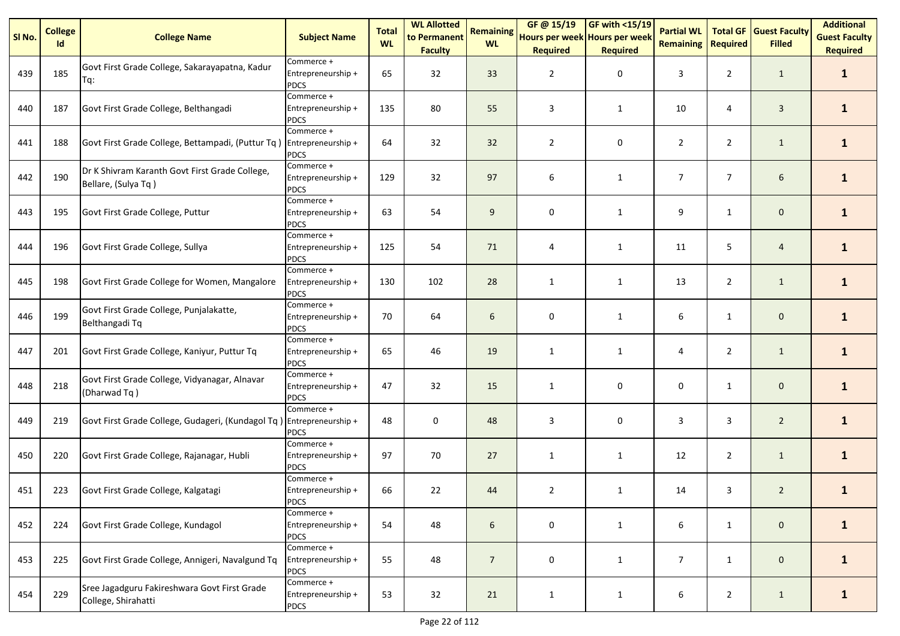| SI No. | <b>College</b><br>Id | <b>College Name</b>                                                   | <b>Subject Name</b>                             | <b>Total</b><br><b>WL</b> | <b>WL Allotted</b><br>to Permanent<br><b>Faculty</b> | <b>Remaining</b><br><b>WL</b> | GF @ 15/19<br>Hours per week Hours per week<br><b>Required</b> | GF with <15/19<br><b>Required</b> | <b>Partial WL</b><br><b>Remaining</b> | <b>Total GF</b><br><b>Required</b> | <b>Guest Faculty</b><br><b>Filled</b> | <b>Additional</b><br><b>Guest Faculty</b><br><b>Required</b> |
|--------|----------------------|-----------------------------------------------------------------------|-------------------------------------------------|---------------------------|------------------------------------------------------|-------------------------------|----------------------------------------------------------------|-----------------------------------|---------------------------------------|------------------------------------|---------------------------------------|--------------------------------------------------------------|
| 439    | 185                  | Govt First Grade College, Sakarayapatna, Kadur<br>Tq:                 | Commerce +<br>Entrepreneurship +<br><b>PDCS</b> | 65                        | 32                                                   | 33                            | $\overline{2}$                                                 | 0                                 | 3                                     | $\overline{2}$                     | $\mathbf{1}$                          | $\mathbf{1}$                                                 |
| 440    | 187                  | Govt First Grade College, Belthangadi                                 | Commerce +<br>Entrepreneurship +<br><b>PDCS</b> | 135                       | 80                                                   | 55                            | 3                                                              | $\mathbf{1}$                      | 10                                    | 4                                  | $\overline{3}$                        | $\mathbf{1}$                                                 |
| 441    | 188                  | Govt First Grade College, Bettampadi, (Puttur Tq)                     | Commerce +<br>Entrepreneurship +<br><b>PDCS</b> | 64                        | 32                                                   | 32                            | $\overline{2}$                                                 | 0                                 | $\overline{2}$                        | $\overline{2}$                     | $\mathbf{1}$                          | $\mathbf{1}$                                                 |
| 442    | 190                  | Dr K Shivram Karanth Govt First Grade College,<br>Bellare, (Sulya Tq) | Commerce +<br>Entrepreneurship +<br><b>PDCS</b> | 129                       | 32                                                   | 97                            | 6                                                              | $\mathbf{1}$                      | $\overline{7}$                        | $\overline{7}$                     | 6                                     | $\mathbf{1}$                                                 |
| 443    | 195                  | Govt First Grade College, Puttur                                      | Commerce +<br>Entrepreneurship +<br><b>PDCS</b> | 63                        | 54                                                   | 9                             | 0                                                              | $\mathbf{1}$                      | 9                                     | $\mathbf{1}$                       | $\mathbf 0$                           | $\mathbf{1}$                                                 |
| 444    | 196                  | Govt First Grade College, Sullya                                      | Commerce +<br>Entrepreneurship +<br><b>PDCS</b> | 125                       | 54                                                   | 71                            | 4                                                              | $\mathbf{1}$                      | 11                                    | 5                                  | $\overline{4}$                        | $\mathbf{1}$                                                 |
| 445    | 198                  | Govt First Grade College for Women, Mangalore                         | Commerce +<br>Entrepreneurship +<br><b>PDCS</b> | 130                       | 102                                                  | 28                            | $\mathbf{1}$                                                   | 1                                 | 13                                    | $\overline{2}$                     | $\mathbf{1}$                          | $\mathbf{1}$                                                 |
| 446    | 199                  | Govt First Grade College, Punjalakatte,<br>Belthangadi Tq             | Commerce +<br>Entrepreneurship +<br><b>PDCS</b> | 70                        | 64                                                   | 6                             | 0                                                              | 1                                 | 6                                     | $\mathbf{1}$                       | $\mathbf 0$                           | $\mathbf{1}$                                                 |
| 447    | 201                  | Govt First Grade College, Kaniyur, Puttur Tq                          | Commerce +<br>Entrepreneurship +<br><b>PDCS</b> | 65                        | 46                                                   | 19                            | $\mathbf{1}$                                                   | $\mathbf{1}$                      | 4                                     | $\overline{2}$                     | $\mathbf{1}$                          | $\mathbf{1}$                                                 |
| 448    | 218                  | Govt First Grade College, Vidyanagar, Alnavar<br>(Dharwad Tq)         | Commerce +<br>Entrepreneurship +<br><b>PDCS</b> | 47                        | 32                                                   | 15                            | 1                                                              | 0                                 | 0                                     | $\mathbf{1}$                       | $\mathbf 0$                           | $\mathbf{1}$                                                 |
| 449    | 219                  | Govt First Grade College, Gudageri, (Kundagol Tq) Entrepreneurship +  | Commerce +<br><b>PDCS</b>                       | 48                        | $\mathbf 0$                                          | 48                            | 3                                                              | 0                                 | 3                                     | 3                                  | $\overline{2}$                        | $\mathbf{1}$                                                 |
| 450    | 220                  | Govt First Grade College, Rajanagar, Hubli                            | Commerce +<br>Entrepreneurship +<br><b>PDCS</b> | 97                        | 70                                                   | 27                            | $\mathbf{1}$                                                   | $\mathbf{1}$                      | 12                                    | $\overline{2}$                     | $\mathbf{1}$                          | $\mathbf{1}$                                                 |
| 451    | 223                  | Govt First Grade College, Kalgatagi                                   | Commerce +<br>Entrepreneurship +<br><b>PDCS</b> | 66                        | 22                                                   | 44                            | $\overline{2}$                                                 | $\mathbf{1}$                      | 14                                    | 3                                  | $\overline{2}$                        | $\mathbf{1}$                                                 |
| 452    | 224                  | Govt First Grade College, Kundagol                                    | Commerce +<br>Entrepreneurship +<br><b>PDCS</b> | 54                        | 48                                                   | 6                             | 0                                                              | $\mathbf{1}$                      | 6                                     | $\mathbf{1}$                       | $\mathbf 0$                           | $\mathbf{1}$                                                 |
| 453    | 225                  | Govt First Grade College, Annigeri, Navalgund Tq                      | Commerce +<br>Entrepreneurship +<br><b>PDCS</b> | 55                        | 48                                                   | $\overline{7}$                | 0                                                              | $\mathbf{1}$                      | 7                                     | $\mathbf{1}$                       | $\mathbf 0$                           | $\mathbf{1}$                                                 |
| 454    | 229                  | Sree Jagadguru Fakireshwara Govt First Grade<br>College, Shirahatti   | Commerce +<br>Entrepreneurship +<br><b>PDCS</b> | 53                        | 32                                                   | 21                            | $\mathbf{1}$                                                   | 1                                 | 6                                     | $\overline{2}$                     | $\mathbf{1}$                          | $\mathbf{1}$                                                 |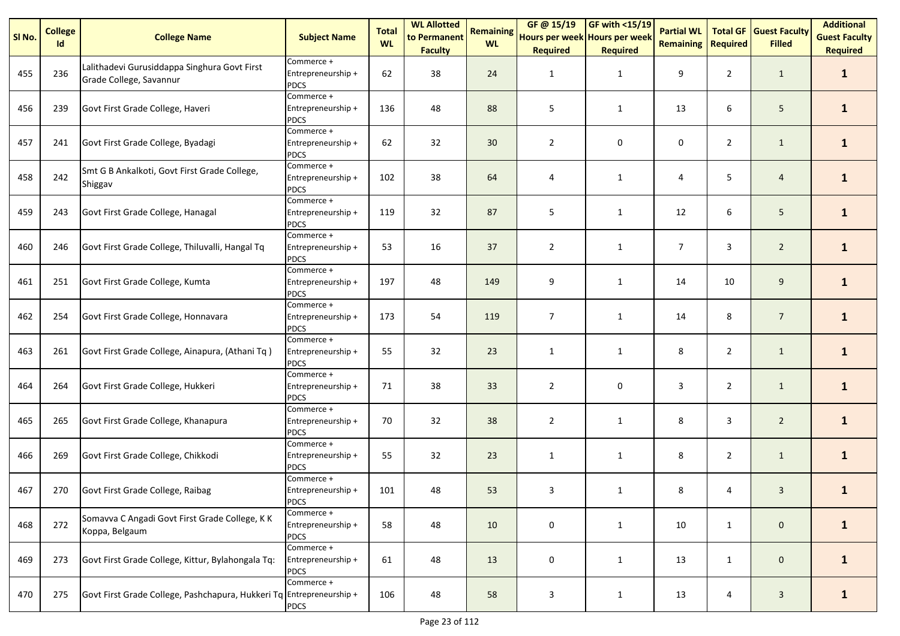| SI No. | <b>College</b><br>Id | <b>College Name</b>                                                     | <b>Subject Name</b>                             | <b>Total</b><br><b>WL</b> | <b>WL Allotted</b><br>to Permanent<br><b>Faculty</b> | <b>Remaining</b><br><b>WL</b> | GF@ 15/19<br>Hours per week Hours per week<br><b>Required</b> | <b>GF with &lt;15/19</b><br><b>Required</b> | <b>Partial WL</b><br><b>Remaining</b> | <b>Total GF</b><br><b>Required</b> | <b>Guest Faculty</b><br><b>Filled</b> | <b>Additional</b><br><b>Guest Faculty</b><br><b>Required</b> |
|--------|----------------------|-------------------------------------------------------------------------|-------------------------------------------------|---------------------------|------------------------------------------------------|-------------------------------|---------------------------------------------------------------|---------------------------------------------|---------------------------------------|------------------------------------|---------------------------------------|--------------------------------------------------------------|
| 455    | 236                  | Lalithadevi Gurusiddappa Singhura Govt First<br>Grade College, Savannur | Commerce +<br>Entrepreneurship +<br><b>PDCS</b> | 62                        | 38                                                   | 24                            | 1                                                             | $\mathbf{1}$                                | 9                                     | $\overline{2}$                     | $\mathbf{1}$                          | $\mathbf{1}$                                                 |
| 456    | 239                  | Govt First Grade College, Haveri                                        | Commerce +<br>Entrepreneurship +<br><b>PDCS</b> | 136                       | 48                                                   | 88                            | 5                                                             | $\mathbf{1}$                                | 13                                    | 6                                  | 5                                     | $\mathbf{1}$                                                 |
| 457    | 241                  | Govt First Grade College, Byadagi                                       | Commerce +<br>Entrepreneurship +<br><b>PDCS</b> | 62                        | 32                                                   | 30                            | $\overline{2}$                                                | 0                                           | 0                                     | $\overline{2}$                     | $\mathbf{1}$                          | $\mathbf{1}$                                                 |
| 458    | 242                  | Smt G B Ankalkoti, Govt First Grade College,<br>Shiggav                 | Commerce +<br>Entrepreneurship +<br><b>PDCS</b> | 102                       | 38                                                   | 64                            | $\overline{4}$                                                | $\mathbf{1}$                                | 4                                     | 5                                  | $\overline{4}$                        | $\mathbf{1}$                                                 |
| 459    | 243                  | Govt First Grade College, Hanagal                                       | Commerce +<br>Entrepreneurship +<br><b>PDCS</b> | 119                       | 32                                                   | 87                            | 5                                                             | $\mathbf{1}$                                | 12                                    | 6                                  | 5                                     | $\mathbf{1}$                                                 |
| 460    | 246                  | Govt First Grade College, Thiluvalli, Hangal Tq                         | Commerce +<br>Entrepreneurship +<br><b>PDCS</b> | 53                        | 16                                                   | 37                            | $\overline{2}$                                                | $\mathbf{1}$                                | $\overline{7}$                        | 3                                  | $\overline{2}$                        | $\mathbf{1}$                                                 |
| 461    | 251                  | Govt First Grade College, Kumta                                         | Commerce +<br>Entrepreneurship +<br><b>PDCS</b> | 197                       | 48                                                   | 149                           | 9                                                             | $\mathbf{1}$                                | 14                                    | 10                                 | 9                                     | $\mathbf{1}$                                                 |
| 462    | 254                  | Govt First Grade College, Honnavara                                     | Commerce +<br>Entrepreneurship +<br><b>PDCS</b> | 173                       | 54                                                   | 119                           | $\overline{7}$                                                | $\mathbf{1}$                                | 14                                    | 8                                  | $\overline{7}$                        | $\mathbf{1}$                                                 |
| 463    | 261                  | Govt First Grade College, Ainapura, (Athani Tq)                         | Commerce +<br>Entrepreneurship +<br><b>PDCS</b> | 55                        | 32                                                   | 23                            | $\mathbf{1}$                                                  | $\mathbf{1}$                                | 8                                     | $\overline{2}$                     | $\mathbf{1}$                          | $\mathbf{1}$                                                 |
| 464    | 264                  | Govt First Grade College, Hukkeri                                       | Commerce +<br>Entrepreneurship +<br><b>PDCS</b> | 71                        | 38                                                   | 33                            | $\overline{2}$                                                | 0                                           | 3                                     | $\overline{2}$                     | $\mathbf{1}$                          | $\mathbf{1}$                                                 |
| 465    | 265                  | Govt First Grade College, Khanapura                                     | Commerce +<br>Entrepreneurship +<br><b>PDCS</b> | 70                        | 32                                                   | 38                            | $\overline{2}$                                                | $\mathbf{1}$                                | 8                                     | 3                                  | $\overline{2}$                        | $\mathbf{1}$                                                 |
| 466    | 269                  | Govt First Grade College, Chikkodi                                      | Commerce +<br>Entrepreneurship +<br><b>PDCS</b> | 55                        | 32                                                   | 23                            | $\mathbf{1}$                                                  | $\mathbf{1}$                                | 8                                     | $\overline{2}$                     | $\mathbf{1}$                          | $\mathbf{1}$                                                 |
| 467    | 270                  | Govt First Grade College, Raibag                                        | Commerce +<br>Entrepreneurship +<br><b>PDCS</b> | 101                       | 48                                                   | 53                            | 3                                                             | $\mathbf{1}$                                | 8                                     | 4                                  | 3                                     | $\mathbf{1}$                                                 |
| 468    | 272                  | Somavva C Angadi Govt First Grade College, K K<br>Koppa, Belgaum        | Commerce +<br>Entrepreneurship +<br><b>PDCS</b> | 58                        | 48                                                   | 10                            | 0                                                             | $\mathbf{1}$                                | 10                                    | $\mathbf{1}$                       | $\mathbf 0$                           | $\mathbf{1}$                                                 |
| 469    | 273                  | Govt First Grade College, Kittur, Bylahongala Tq:                       | Commerce +<br>Entrepreneurship +<br><b>PDCS</b> | 61                        | 48                                                   | 13                            | 0                                                             | $\mathbf{1}$                                | 13                                    | $\mathbf{1}$                       | $\mathbf{0}$                          | $\mathbf{1}$                                                 |
| 470    | 275                  | Govt First Grade College, Pashchapura, Hukkeri Tq Entrepreneurship +    | Commerce +<br><b>PDCS</b>                       | 106                       | 48                                                   | 58                            | $\mathsf 3$                                                   | $\mathbf{1}$                                | 13                                    | 4                                  | $\overline{\mathbf{3}}$               | $\mathbf{1}$                                                 |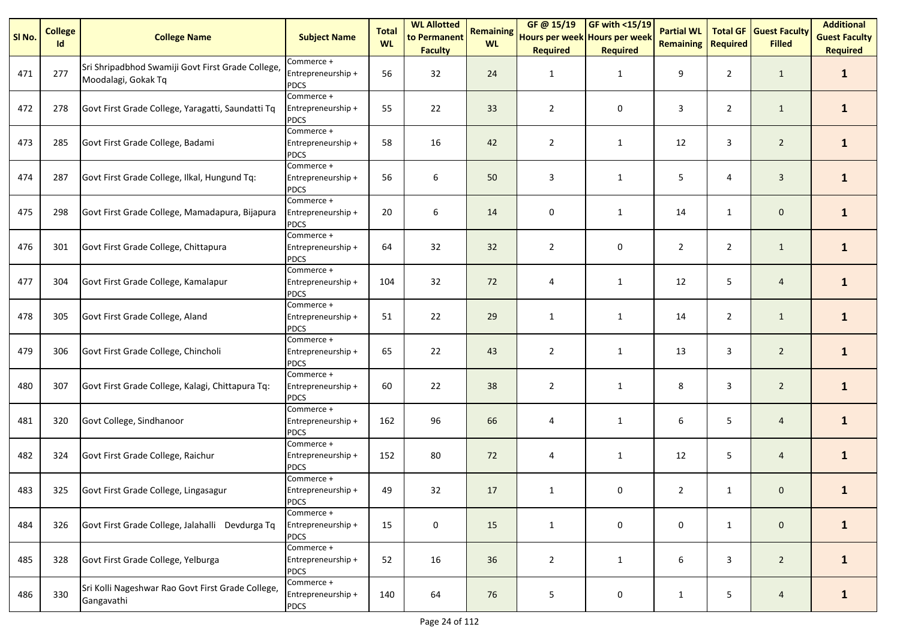| SI No. | <b>College</b><br>Id | <b>College Name</b>                                                      | <b>Subject Name</b>                             | <b>Total</b><br><b>WL</b> | <b>WL Allotted</b><br>to Permanent<br><b>Faculty</b> | <b>Remaining</b><br><b>WL</b> | GF @ 15/19<br>Hours per week Hours per week<br><b>Required</b> | GF with <15/19<br><b>Required</b> | <b>Partial WL</b><br><b>Remaining</b> | <b>Total GF</b><br><b>Required</b> | <b>Guest Faculty</b><br><b>Filled</b> | <b>Additional</b><br><b>Guest Faculty</b><br><b>Required</b> |
|--------|----------------------|--------------------------------------------------------------------------|-------------------------------------------------|---------------------------|------------------------------------------------------|-------------------------------|----------------------------------------------------------------|-----------------------------------|---------------------------------------|------------------------------------|---------------------------------------|--------------------------------------------------------------|
| 471    | 277                  | Sri Shripadbhod Swamiji Govt First Grade College,<br>Moodalagi, Gokak Tq | Commerce +<br>Entrepreneurship +<br><b>PDCS</b> | 56                        | 32                                                   | 24                            | 1                                                              | $\mathbf{1}$                      | 9                                     | $\overline{2}$                     | $\mathbf{1}$                          | $\mathbf{1}$                                                 |
| 472    | 278                  | Govt First Grade College, Yaragatti, Saundatti Tq                        | Commerce +<br>Entrepreneurship +<br><b>PDCS</b> | 55                        | 22                                                   | 33                            | $\overline{2}$                                                 | 0                                 | 3                                     | $\overline{2}$                     | $\mathbf{1}$                          | $\mathbf{1}$                                                 |
| 473    | 285                  | Govt First Grade College, Badami                                         | Commerce +<br>Entrepreneurship +<br><b>PDCS</b> | 58                        | 16                                                   | 42                            | $\overline{2}$                                                 | 1                                 | 12                                    | 3                                  | $\overline{2}$                        | $\mathbf{1}$                                                 |
| 474    | 287                  | Govt First Grade College, Ilkal, Hungund Tq:                             | Commerce +<br>Entrepreneurship +<br><b>PDCS</b> | 56                        | 6                                                    | 50                            | 3                                                              | $\mathbf{1}$                      | 5                                     | 4                                  | $\overline{3}$                        | $\mathbf{1}$                                                 |
| 475    | 298                  | Govt First Grade College, Mamadapura, Bijapura                           | Commerce +<br>Entrepreneurship +<br><b>PDCS</b> | 20                        | 6                                                    | 14                            | 0                                                              | $\mathbf{1}$                      | 14                                    | $\mathbf{1}$                       | $\mathbf 0$                           | $\mathbf{1}$                                                 |
| 476    | 301                  | Govt First Grade College, Chittapura                                     | Commerce +<br>Entrepreneurship +<br><b>PDCS</b> | 64                        | 32                                                   | 32                            | $\overline{2}$                                                 | 0                                 | $\overline{2}$                        | $\overline{2}$                     | $\mathbf{1}$                          | $\mathbf{1}$                                                 |
| 477    | 304                  | Govt First Grade College, Kamalapur                                      | Commerce +<br>Entrepreneurship +<br><b>PDCS</b> | 104                       | 32                                                   | 72                            | 4                                                              | 1                                 | 12                                    | 5                                  | $\overline{4}$                        | $\mathbf{1}$                                                 |
| 478    | 305                  | Govt First Grade College, Aland                                          | Commerce +<br>Entrepreneurship +<br><b>PDCS</b> | 51                        | 22                                                   | 29                            | $\mathbf{1}$                                                   | 1                                 | 14                                    | $\overline{2}$                     | $\mathbf{1}$                          | $\mathbf{1}$                                                 |
| 479    | 306                  | Govt First Grade College, Chincholi                                      | Commerce +<br>Entrepreneurship +<br><b>PDCS</b> | 65                        | 22                                                   | 43                            | $\overline{2}$                                                 | $\mathbf{1}$                      | 13                                    | 3                                  | $\overline{2}$                        | $\mathbf{1}$                                                 |
| 480    | 307                  | Govt First Grade College, Kalagi, Chittapura Tq:                         | Commerce +<br>Entrepreneurship +<br><b>PDCS</b> | 60                        | 22                                                   | 38                            | $\overline{2}$                                                 | 1                                 | 8                                     | 3                                  | $\overline{2}$                        | $\mathbf{1}$                                                 |
| 481    | 320                  | Govt College, Sindhanoor                                                 | Commerce +<br>Entrepreneurship +<br><b>PDCS</b> | 162                       | 96                                                   | 66                            | 4                                                              | $\mathbf{1}$                      | 6                                     | 5                                  | $\overline{4}$                        | $\mathbf{1}$                                                 |
| 482    | 324                  | Govt First Grade College, Raichur                                        | Commerce +<br>Entrepreneurship +<br><b>PDCS</b> | 152                       | 80                                                   | 72                            | 4                                                              | $\mathbf{1}$                      | 12                                    | 5                                  | $\overline{4}$                        | $\mathbf{1}$                                                 |
| 483    | 325                  | Govt First Grade College, Lingasagur                                     | Commerce +<br>Entrepreneurship +<br><b>PDCS</b> | 49                        | 32                                                   | 17                            | $\mathbf{1}$                                                   | 0                                 | $\overline{2}$                        | $\mathbf{1}$                       | $\mathbf 0$                           | $\mathbf{1}$                                                 |
| 484    | 326                  | Govt First Grade College, Jalahalli Devdurga Tq                          | Commerce +<br>Entrepreneurship +<br><b>PDCS</b> | 15                        | $\mathbf 0$                                          | 15                            | $\mathbf{1}$                                                   | 0                                 | 0                                     | $\mathbf{1}$                       | $\mathbf 0$                           | $\mathbf{1}$                                                 |
| 485    | 328                  | Govt First Grade College, Yelburga                                       | Commerce +<br>Entrepreneurship +<br><b>PDCS</b> | 52                        | 16                                                   | 36                            | $\overline{2}$                                                 | $\mathbf{1}$                      | 6                                     | 3                                  | $\overline{2}$                        | $\mathbf{1}$                                                 |
| 486    | 330                  | Sri Kolli Nageshwar Rao Govt First Grade College,<br>Gangavathi          | Commerce +<br>Entrepreneurship +<br><b>PDCS</b> | 140                       | 64                                                   | 76                            | $\sqrt{5}$                                                     | $\pmb{0}$                         | $\mathbf{1}$                          | 5                                  | $\overline{4}$                        | $\mathbf{1}$                                                 |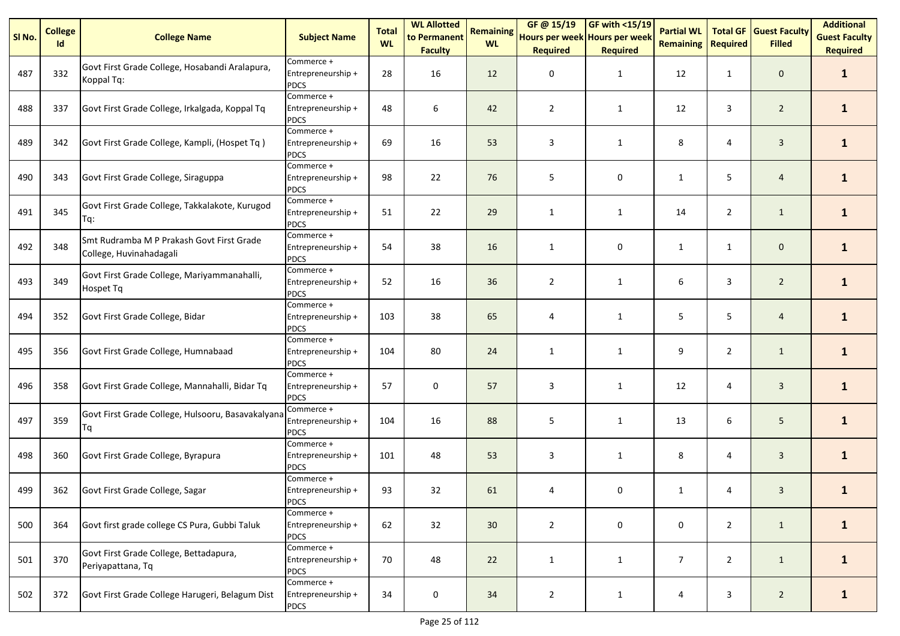| SI <sub>No.</sub> | <b>College</b><br>Id | <b>College Name</b>                                                  | <b>Subject Name</b>                             | <b>Total</b><br><b>WL</b> | <b>WL Allotted</b><br>to Permanent<br><b>Faculty</b> | <b>Remaining</b><br><b>WL</b> | GF@ 15/19<br>Hours per week Hours per week<br><b>Required</b> | <b>GF with &lt;15/19</b><br><b>Required</b> | <b>Partial WL</b><br><b>Remaining</b> | <b>Total GF</b><br><b>Required</b> | <b>Guest Faculty</b><br><b>Filled</b> | <b>Additional</b><br><b>Guest Faculty</b><br><b>Required</b> |
|-------------------|----------------------|----------------------------------------------------------------------|-------------------------------------------------|---------------------------|------------------------------------------------------|-------------------------------|---------------------------------------------------------------|---------------------------------------------|---------------------------------------|------------------------------------|---------------------------------------|--------------------------------------------------------------|
| 487               | 332                  | Govt First Grade College, Hosabandi Aralapura,<br>Koppal Tq:         | Commerce +<br>Entrepreneurship +<br><b>PDCS</b> | 28                        | 16                                                   | 12                            | 0                                                             | $\mathbf{1}$                                | 12                                    | $\mathbf{1}$                       | $\mathbf 0$                           | $\mathbf{1}$                                                 |
| 488               | 337                  | Govt First Grade College, Irkalgada, Koppal Tq                       | Commerce +<br>Entrepreneurship +<br><b>PDCS</b> | 48                        | 6                                                    | 42                            | $\overline{2}$                                                | $\mathbf{1}$                                | 12                                    | 3                                  | $\overline{2}$                        | $\mathbf{1}$                                                 |
| 489               | 342                  | Govt First Grade College, Kampli, (Hospet Tq)                        | Commerce +<br>Entrepreneurship +<br><b>PDCS</b> | 69                        | 16                                                   | 53                            | 3                                                             | $\mathbf{1}$                                | 8                                     | 4                                  | 3                                     | $\mathbf{1}$                                                 |
| 490               | 343                  | Govt First Grade College, Siraguppa                                  | Commerce +<br>Entrepreneurship +<br><b>PDCS</b> | 98                        | 22                                                   | 76                            | 5                                                             | 0                                           | $\mathbf{1}$                          | 5                                  | $\overline{4}$                        | $\mathbf{1}$                                                 |
| 491               | 345                  | Govt First Grade College, Takkalakote, Kurugod<br>Tq:                | Commerce +<br>Entrepreneurship +<br><b>PDCS</b> | 51                        | 22                                                   | 29                            | $\mathbf{1}$                                                  | $\mathbf{1}$                                | 14                                    | $\overline{2}$                     | $\mathbf{1}$                          | $\mathbf{1}$                                                 |
| 492               | 348                  | Smt Rudramba M P Prakash Govt First Grade<br>College, Huvinahadagali | Commerce +<br>Entrepreneurship +<br><b>PDCS</b> | 54                        | 38                                                   | 16                            | $\mathbf{1}$                                                  | 0                                           | $\mathbf{1}$                          | $\mathbf{1}$                       | $\mathbf 0$                           | $\mathbf{1}$                                                 |
| 493               | 349                  | Govt First Grade College, Mariyammanahalli,<br>Hospet Tq             | Commerce +<br>Entrepreneurship +<br><b>PDCS</b> | 52                        | 16                                                   | 36                            | $\overline{2}$                                                | $\mathbf{1}$                                | 6                                     | 3                                  | $\overline{2}$                        | $\mathbf{1}$                                                 |
| 494               | 352                  | Govt First Grade College, Bidar                                      | Commerce +<br>Entrepreneurship +<br><b>PDCS</b> | 103                       | 38                                                   | 65                            | 4                                                             | $\mathbf{1}$                                | 5                                     | 5                                  | $\overline{4}$                        | $\mathbf{1}$                                                 |
| 495               | 356                  | Govt First Grade College, Humnabaad                                  | Commerce +<br>Entrepreneurship +<br><b>PDCS</b> | 104                       | 80                                                   | 24                            | $\mathbf{1}$                                                  | $\mathbf{1}$                                | 9                                     | $\overline{2}$                     | $\mathbf{1}$                          | $\mathbf{1}$                                                 |
| 496               | 358                  | Govt First Grade College, Mannahalli, Bidar Tq                       | Commerce +<br>Entrepreneurship +<br><b>PDCS</b> | 57                        | $\pmb{0}$                                            | 57                            | $\mathsf 3$                                                   | $\mathbf{1}$                                | 12                                    | 4                                  | $\mathbf{3}$                          | $\mathbf{1}$                                                 |
| 497               | 359                  | Govt First Grade College, Hulsooru, Basavakalyana<br>Tq              | Commerce +<br>Entrepreneurship +<br><b>PDCS</b> | 104                       | 16                                                   | 88                            | 5                                                             | $\mathbf{1}$                                | 13                                    | 6                                  | 5 <sup>5</sup>                        | $\mathbf{1}$                                                 |
| 498               | 360                  | Govt First Grade College, Byrapura                                   | Commerce +<br>Entrepreneurship +<br><b>PDCS</b> | 101                       | 48                                                   | 53                            | 3                                                             | $\mathbf{1}$                                | 8                                     | 4                                  | $\mathbf{3}$                          | $\mathbf{1}$                                                 |
| 499               | 362                  | Govt First Grade College, Sagar                                      | Commerce +<br>Entrepreneurship +<br><b>PDCS</b> | 93                        | 32                                                   | 61                            | 4                                                             | 0                                           | $\mathbf{1}$                          | 4                                  | $\mathbf{3}$                          | $\mathbf{1}$                                                 |
| 500               | 364                  | Govt first grade college CS Pura, Gubbi Taluk                        | Commerce +<br>Entrepreneurship +<br><b>PDCS</b> | 62                        | 32                                                   | 30                            | $\overline{2}$                                                | 0                                           | 0                                     | $\overline{2}$                     | $\mathbf{1}$                          | $\mathbf{1}$                                                 |
| 501               | 370                  | Govt First Grade College, Bettadapura,<br>Periyapattana, Tq          | Commerce +<br>Entrepreneurship +<br><b>PDCS</b> | 70                        | 48                                                   | 22                            | $\mathbf{1}$                                                  | $\mathbf{1}$                                | $\overline{7}$                        | $\overline{2}$                     | $\mathbf{1}$                          | $\mathbf{1}$                                                 |
| 502               | 372                  | Govt First Grade College Harugeri, Belagum Dist                      | Commerce +<br>Entrepreneurship +<br><b>PDCS</b> | 34                        | $\pmb{0}$                                            | 34                            | $\overline{2}$                                                | $\mathbf{1}$                                | 4                                     | 3                                  | $2^{\circ}$                           | $\mathbf{1}$                                                 |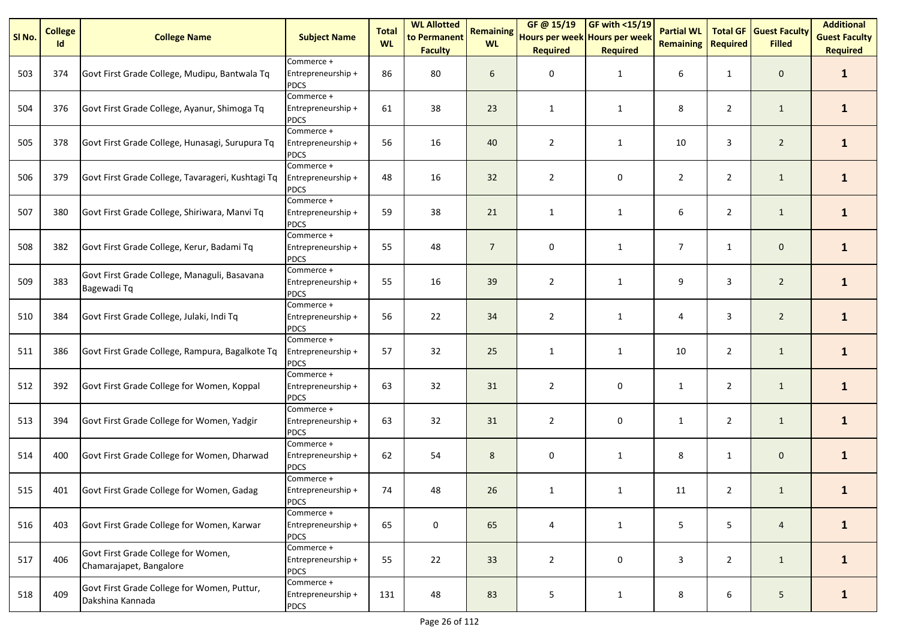| SI No. | <b>College</b><br>Id | <b>College Name</b>                                             | <b>Subject Name</b>                             | <b>Total</b><br><b>WL</b> | <b>WL Allotted</b><br>to Permanent<br><b>Faculty</b> | <b>Remaining</b><br><b>WL</b> | GF @ 15/19<br>Hours per week Hours per week<br><b>Required</b> | <b>GF with &lt;15/19</b><br><b>Required</b> | <b>Partial WL</b><br><b>Remaining</b> | <b>Total GF</b><br><b>Required</b> | <b>Guest Faculty</b><br><b>Filled</b> | <b>Additional</b><br><b>Guest Faculty</b><br><b>Required</b> |
|--------|----------------------|-----------------------------------------------------------------|-------------------------------------------------|---------------------------|------------------------------------------------------|-------------------------------|----------------------------------------------------------------|---------------------------------------------|---------------------------------------|------------------------------------|---------------------------------------|--------------------------------------------------------------|
| 503    | 374                  | Govt First Grade College, Mudipu, Bantwala Tq                   | Commerce +<br>Entrepreneurship +<br><b>PDCS</b> | 86                        | 80                                                   | 6                             | 0                                                              | 1                                           | 6                                     | $\mathbf{1}$                       | $\mathbf 0$                           | $\mathbf{1}$                                                 |
| 504    | 376                  | Govt First Grade College, Ayanur, Shimoga Tq                    | Commerce +<br>Entrepreneurship +<br><b>PDCS</b> | 61                        | 38                                                   | 23                            | $\mathbf{1}$                                                   | 1                                           | 8                                     | $\overline{2}$                     | $\mathbf{1}$                          | $\mathbf{1}$                                                 |
| 505    | 378                  | Govt First Grade College, Hunasagi, Surupura Tq                 | Commerce +<br>Entrepreneurship +<br><b>PDCS</b> | 56                        | 16                                                   | 40                            | 2                                                              | $\mathbf{1}$                                | 10                                    | 3                                  | $\overline{2}$                        | $\mathbf{1}$                                                 |
| 506    | 379                  | Govt First Grade College, Tavarageri, Kushtagi Tq               | Commerce +<br>Entrepreneurship +<br><b>PDCS</b> | 48                        | 16                                                   | 32                            | $\overline{2}$                                                 | 0                                           | $\overline{2}$                        | $\overline{2}$                     | $\mathbf{1}$                          | $\mathbf{1}$                                                 |
| 507    | 380                  | Govt First Grade College, Shiriwara, Manvi Tq                   | Commerce +<br>Entrepreneurship +<br><b>PDCS</b> | 59                        | 38                                                   | 21                            | $\mathbf{1}$                                                   | $\mathbf{1}$                                | 6                                     | $\overline{2}$                     | $\mathbf{1}$                          | $\mathbf{1}$                                                 |
| 508    | 382                  | Govt First Grade College, Kerur, Badami Tq                      | Commerce +<br>Entrepreneurship +<br><b>PDCS</b> | 55                        | 48                                                   | $\overline{7}$                | 0                                                              | $\mathbf{1}$                                | $\overline{7}$                        | $\mathbf{1}$                       | $\mathsf{O}\xspace$                   | $\mathbf{1}$                                                 |
| 509    | 383                  | Govt First Grade College, Managuli, Basavana<br>Bagewadi Tq     | Commerce +<br>Entrepreneurship +<br><b>PDCS</b> | 55                        | 16                                                   | 39                            | $\overline{2}$                                                 | $\mathbf{1}$                                | 9                                     | 3                                  | $\overline{2}$                        | $\mathbf{1}$                                                 |
| 510    | 384                  | Govt First Grade College, Julaki, Indi Tq                       | Commerce +<br>Entrepreneurship +<br><b>PDCS</b> | 56                        | 22                                                   | 34                            | $\overline{2}$                                                 | $\mathbf{1}$                                | 4                                     | 3                                  | $\overline{2}$                        | $\mathbf{1}$                                                 |
| 511    | 386                  | Govt First Grade College, Rampura, Bagalkote Tq                 | Commerce +<br>Entrepreneurship +<br><b>PDCS</b> | 57                        | 32                                                   | 25                            | $\mathbf{1}$                                                   | $\mathbf{1}$                                | 10                                    | $\overline{2}$                     | $\mathbf{1}$                          | $\mathbf{1}$                                                 |
| 512    | 392                  | Govt First Grade College for Women, Koppal                      | Commerce +<br>Entrepreneurship +<br><b>PDCS</b> | 63                        | 32                                                   | 31                            | $\overline{2}$                                                 | 0                                           | $\mathbf{1}$                          | $\overline{2}$                     | $\mathbf{1}$                          | $\mathbf{1}$                                                 |
| 513    | 394                  | Govt First Grade College for Women, Yadgir                      | Commerce +<br>Entrepreneurship +<br><b>PDCS</b> | 63                        | 32                                                   | 31                            | $\overline{2}$                                                 | 0                                           | $\mathbf{1}$                          | $\overline{2}$                     | $\mathbf{1}$                          | $\mathbf{1}$                                                 |
| 514    | 400                  | Govt First Grade College for Women, Dharwad                     | Commerce +<br>Entrepreneurship +<br><b>PDCS</b> | 62                        | 54                                                   | 8                             | 0                                                              | $\mathbf{1}$                                | 8                                     | $\mathbf{1}$                       | $\mathbf 0$                           | $\mathbf{1}$                                                 |
| 515    | 401                  | Govt First Grade College for Women, Gadag                       | Commerce +<br>Entrepreneurship +<br><b>PDCS</b> | 74                        | 48                                                   | 26                            | $\mathbf{1}$                                                   | $\mathbf{1}$                                | 11                                    | $\overline{2}$                     | $\mathbf{1}$                          | $\mathbf{1}$                                                 |
| 516    | 403                  | Govt First Grade College for Women, Karwar                      | Commerce +<br>Entrepreneurship +<br><b>PDCS</b> | 65                        | 0                                                    | 65                            | 4                                                              | $\mathbf{1}$                                | 5                                     | 5                                  | $\overline{4}$                        | $\mathbf{1}$                                                 |
| 517    | 406                  | Govt First Grade College for Women,<br>Chamarajapet, Bangalore  | Commerce +<br>Entrepreneurship +<br><b>PDCS</b> | 55                        | 22                                                   | 33                            | $\overline{2}$                                                 | 0                                           | 3                                     | $\overline{2}$                     | $\mathbf{1}$                          | $\mathbf{1}$                                                 |
| 518    | 409                  | Govt First Grade College for Women, Puttur,<br>Dakshina Kannada | Commerce +<br>Entrepreneurship +<br><b>PDCS</b> | 131                       | 48                                                   | 83                            | 5                                                              | $\mathbf{1}$                                | 8                                     | 6                                  | 5 <sub>1</sub>                        | $\mathbf{1}$                                                 |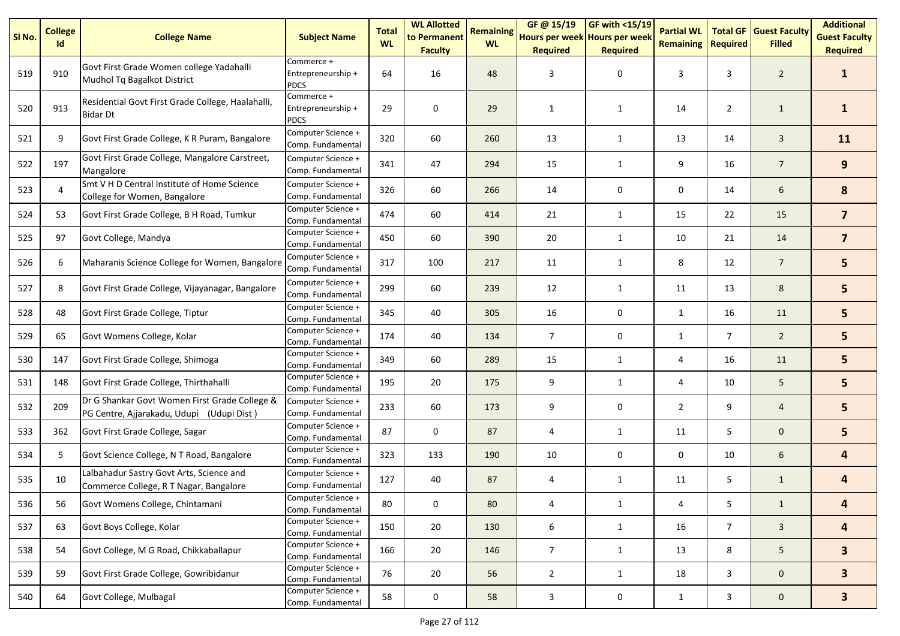| SI <sub>No.</sub> | <b>College</b><br>Id | <b>College Name</b>                                                                        | <b>Subject Name</b>                             | <b>Total</b><br><b>WL</b> | <b>WL Allotted</b><br>to Permanent<br><b>Faculty</b> | <b>Remaining</b><br><b>WL</b> | GF@ 15/19<br>Hours per week Hours per week<br><b>Required</b> | GF with <15/19<br><b>Required</b> | <b>Partial WL</b><br><b>Remaining</b> | <b>Required</b> | <b>Total GF Guest Faculty</b><br><b>Filled</b> | <b>Additional</b><br><b>Guest Faculty</b><br><b>Required</b> |
|-------------------|----------------------|--------------------------------------------------------------------------------------------|-------------------------------------------------|---------------------------|------------------------------------------------------|-------------------------------|---------------------------------------------------------------|-----------------------------------|---------------------------------------|-----------------|------------------------------------------------|--------------------------------------------------------------|
| 519               | 910                  | Govt First Grade Women college Yadahalli<br>Mudhol Tq Bagalkot District                    | Commerce +<br>Entrepreneurship +<br><b>PDCS</b> | 64                        | 16                                                   | 48                            | 3                                                             | 0                                 | 3                                     | 3               | $\overline{2}$                                 | $\mathbf{1}$                                                 |
| 520               | 913                  | Residential Govt First Grade College, Haalahalli,<br><b>Bidar Dt</b>                       | Commerce +<br>Entrepreneurship +<br><b>PDCS</b> | 29                        | 0                                                    | 29                            | $\mathbf{1}$                                                  | 1                                 | 14                                    | $\overline{2}$  | $\mathbf{1}$                                   | $\mathbf{1}$                                                 |
| 521               | 9                    | Govt First Grade College, K R Puram, Bangalore                                             | Computer Science +<br>Comp. Fundamental         | 320                       | 60                                                   | 260                           | 13                                                            | 1                                 | 13                                    | 14              | $\mathbf{3}$                                   | 11                                                           |
| 522               | 197                  | Govt First Grade College, Mangalore Carstreet,<br>Mangalore                                | Computer Science +<br>Comp. Fundamental         | 341                       | 47                                                   | 294                           | 15                                                            | 1                                 | 9                                     | 16              | $\overline{7}$                                 | 9                                                            |
| 523               | $\overline{4}$       | Smt V H D Central Institute of Home Science<br>College for Women, Bangalore                | Computer Science +<br>Comp. Fundamental         | 326                       | 60                                                   | 266                           | 14                                                            | 0                                 | 0                                     | 14              | 6                                              | 8                                                            |
| 524               | 53                   | Govt First Grade College, B H Road, Tumkur                                                 | Computer Science +<br>Comp. Fundamental         | 474                       | 60                                                   | 414                           | 21                                                            | $\mathbf{1}$                      | 15                                    | 22              | 15                                             | $\overline{7}$                                               |
| 525               | 97                   | Govt College, Mandya                                                                       | Computer Science +<br>Comp. Fundamental         | 450                       | 60                                                   | 390                           | 20                                                            | $\mathbf{1}$                      | 10                                    | 21              | 14                                             | $\overline{\mathbf{z}}$                                      |
| 526               | 6                    | Maharanis Science College for Women, Bangalore                                             | Computer Science +<br>Comp. Fundamental         | 317                       | 100                                                  | 217                           | 11                                                            | $\mathbf{1}$                      | 8                                     | 12              | $\overline{7}$                                 | 5                                                            |
| 527               | 8                    | Govt First Grade College, Vijayanagar, Bangalore                                           | Computer Science +<br>Comp. Fundamental         | 299                       | 60                                                   | 239                           | 12                                                            | $\mathbf{1}$                      | 11                                    | 13              | 8                                              | 5                                                            |
| 528               | 48                   | Govt First Grade College, Tiptur                                                           | Computer Science +<br>Comp. Fundamental         | 345                       | 40                                                   | 305                           | 16                                                            | 0                                 | 1                                     | 16              | 11                                             | 5                                                            |
| 529               | 65                   | Govt Womens College, Kolar                                                                 | Computer Science +<br>Comp. Fundamental         | 174                       | 40                                                   | 134                           | $\overline{7}$                                                | 0                                 | 1                                     | $\overline{7}$  | $\overline{2}$                                 | 5                                                            |
| 530               | 147                  | Govt First Grade College, Shimoga                                                          | Computer Science +<br>Comp. Fundamental         | 349                       | 60                                                   | 289                           | 15                                                            | $\mathbf{1}$                      | 4                                     | 16              | 11                                             | 5                                                            |
| 531               | 148                  | Govt First Grade College, Thirthahalli                                                     | Computer Science +<br>Comp. Fundamental         | 195                       | 20                                                   | 175                           | 9                                                             | $\mathbf{1}$                      | 4                                     | 10              | 5                                              | 5                                                            |
| 532               | 209                  | Dr G Shankar Govt Women First Grade College &<br>PG Centre, Ajjarakadu, Udupi (Udupi Dist) | Computer Science +<br>Comp. Fundamental         | 233                       | 60                                                   | 173                           | 9                                                             | 0                                 | $\overline{2}$                        | 9               | $\overline{4}$                                 | 5                                                            |
| 533               | 362                  | Govt First Grade College, Sagar                                                            | Computer Science +<br>Comp. Fundamental         | 87                        | 0                                                    | 87                            | 4                                                             | 1                                 | 11                                    | 5               | $\mathbf 0$                                    | 5                                                            |
| 534               | 5                    | Govt Science College, N T Road, Bangalore                                                  | Computer Science +<br>Comp. Fundamental         | 323                       | 133                                                  | 190                           | 10                                                            | 0                                 | 0                                     | 10              | 6                                              | $\overline{\mathbf{4}}$                                      |
| 535               | 10                   | Lalbahadur Sastry Govt Arts, Science and<br>Commerce College, R T Nagar, Bangalore         | Computer Science +<br>Comp. Fundamental         | 127                       | 40                                                   | 87                            | 4                                                             | $\mathbf{1}$                      | 11                                    | 5               | $\mathbf{1}$                                   | $\overline{\mathbf{4}}$                                      |
| 536               | 56                   | Govt Womens College, Chintamani                                                            | Computer Science +<br>Comp. Fundamental         | 80                        | 0                                                    | 80                            | 4                                                             | $\mathbf{1}$                      | 4                                     | 5               | $\mathbf{1}$                                   | 4                                                            |
| 537               | 63                   | Govt Boys College, Kolar                                                                   | Computer Science +<br>Comp. Fundamental         | 150                       | 20                                                   | 130                           | 6                                                             | $\mathbf{1}$                      | 16                                    | $7^{\circ}$     | $\mathbf{3}$                                   | $\overline{\mathbf{r}}$                                      |
| 538               | 54                   | Govt College, M G Road, Chikkaballapur                                                     | Computer Science +<br>Comp. Fundamental         | 166                       | 20                                                   | 146                           | $\overline{7}$                                                | $\mathbf{1}$                      | 13                                    | 8               | 5 <sub>1</sub>                                 | 3 <sup>1</sup>                                               |
| 539               | 59                   | Govt First Grade College, Gowribidanur                                                     | Computer Science +<br>Comp. Fundamental         | 76                        | 20                                                   | 56                            | $\overline{2}$                                                | $\mathbf{1}$                      | 18                                    | 3               | $\mathbf 0$                                    | 3 <sup>1</sup>                                               |
| 540               | 64                   | Govt College, Mulbagal                                                                     | Computer Science +<br>Comp. Fundamental         | 58                        | $\pmb{0}$                                            | 58                            | $\mathbf{3}$                                                  | 0                                 | $\mathbf{1}$                          | 3               | $\mathbf 0$                                    | 3 <sup>1</sup>                                               |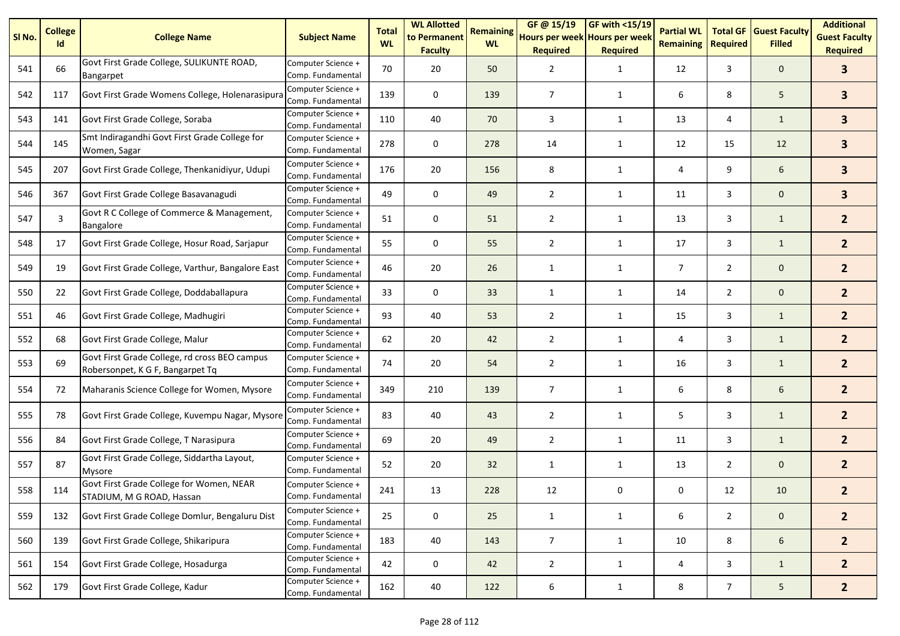| SI <sub>No.</sub> | <b>College</b><br>Id | <b>College Name</b>                                                               | <b>Subject Name</b>                     | <b>Total</b><br><b>WL</b> | <b>WL Allotted</b><br>to Permanent<br><b>Faculty</b> | <b>Remaining</b><br><b>WL</b> | GF @ 15/19<br>Hours per week Hours per week<br><b>Required</b> | <b>GF with &lt;15/19</b><br><b>Required</b> | <b>Partial WL</b><br><b>Remaining</b> | <b>Total GF</b><br><b>Required</b> | <b>Guest Faculty</b><br><b>Filled</b> | <b>Additional</b><br><b>Guest Faculty</b><br><b>Required</b> |
|-------------------|----------------------|-----------------------------------------------------------------------------------|-----------------------------------------|---------------------------|------------------------------------------------------|-------------------------------|----------------------------------------------------------------|---------------------------------------------|---------------------------------------|------------------------------------|---------------------------------------|--------------------------------------------------------------|
| 541               | 66                   | Govt First Grade College, SULIKUNTE ROAD,<br>Bangarpet                            | Computer Science +<br>Comp. Fundamental | 70                        | 20                                                   | 50                            | $\overline{2}$                                                 | $\mathbf{1}$                                | 12                                    | 3                                  | $\mathbf 0$                           | $\mathbf{3}$                                                 |
| 542               | 117                  | Govt First Grade Womens College, Holenarasipura                                   | Computer Science +<br>Comp. Fundamental | 139                       | 0                                                    | 139                           | $\overline{7}$                                                 | $\mathbf{1}$                                | 6                                     | 8                                  | 5                                     | $\overline{\mathbf{3}}$                                      |
| 543               | 141                  | Govt First Grade College, Soraba                                                  | Computer Science +<br>Comp. Fundamental | 110                       | 40                                                   | 70                            | 3                                                              | $\mathbf{1}$                                | 13                                    | 4                                  | $\mathbf{1}$                          | $\mathbf{3}$                                                 |
| 544               | 145                  | Smt Indiragandhi Govt First Grade College for<br>Women, Sagar                     | Computer Science +<br>Comp. Fundamental | 278                       | 0                                                    | 278                           | 14                                                             | $\mathbf{1}$                                | 12                                    | 15                                 | 12                                    | $\mathbf{3}$                                                 |
| 545               | 207                  | Govt First Grade College, Thenkanidiyur, Udupi                                    | Computer Science +<br>Comp. Fundamental | 176                       | 20                                                   | 156                           | 8                                                              | $\mathbf{1}$                                | 4                                     | 9                                  | 6                                     | $\mathbf{3}$                                                 |
| 546               | 367                  | Govt First Grade College Basavanagudi                                             | Computer Science +<br>Comp. Fundamental | 49                        | 0                                                    | 49                            | $\overline{2}$                                                 | $\mathbf{1}$                                | 11                                    | 3                                  | $\mathbf{0}$                          | $\overline{\mathbf{3}}$                                      |
| 547               | 3                    | Govt R C College of Commerce & Management,<br>Bangalore                           | Computer Science +<br>Comp. Fundamental | 51                        | 0                                                    | 51                            | $\overline{2}$                                                 | $\mathbf{1}$                                | 13                                    | 3                                  | $\mathbf{1}$                          | $\overline{2}$                                               |
| 548               | 17                   | Govt First Grade College, Hosur Road, Sarjapur                                    | Computer Science +<br>Comp. Fundamental | 55                        | $\mathbf 0$                                          | 55                            | $\overline{2}$                                                 | $\mathbf{1}$                                | 17                                    | 3                                  | $\mathbf{1}$                          | $\overline{2}$                                               |
| 549               | 19                   | Govt First Grade College, Varthur, Bangalore East                                 | Computer Science +<br>Comp. Fundamental | 46                        | 20                                                   | 26                            | $\mathbf{1}$                                                   | $\mathbf{1}$                                | $\overline{7}$                        | $\mathbf{2}$                       | $\mathbf{0}$                          | 2 <sup>2</sup>                                               |
| 550               | 22                   | Govt First Grade College, Doddaballapura                                          | Computer Science +<br>Comp. Fundamental | 33                        | 0                                                    | 33                            | $\mathbf{1}$                                                   | $\mathbf{1}$                                | 14                                    | $\overline{2}$                     | $\mathbf{0}$                          | 2 <sup>1</sup>                                               |
| 551               | 46                   | Govt First Grade College, Madhugiri                                               | Computer Science +<br>Comp. Fundamental | 93                        | 40                                                   | 53                            | $\overline{2}$                                                 | 1                                           | 15                                    | 3                                  | $\mathbf{1}$                          | 2 <sup>2</sup>                                               |
| 552               | 68                   | Govt First Grade College, Malur                                                   | Computer Science +<br>Comp. Fundamental | 62                        | 20                                                   | 42                            | $\overline{2}$                                                 | $\mathbf{1}$                                | 4                                     | 3                                  | $\mathbf{1}$                          | 2 <sup>2</sup>                                               |
| 553               | 69                   | Govt First Grade College, rd cross BEO campus<br>Robersonpet, K G F, Bangarpet Tq | Computer Science +<br>Comp. Fundamental | 74                        | 20                                                   | 54                            | $\overline{2}$                                                 | $\mathbf{1}$                                | 16                                    | 3                                  | $\mathbf{1}$                          | 2 <sup>2</sup>                                               |
| 554               | 72                   | Maharanis Science College for Women, Mysore                                       | Computer Science +<br>Comp. Fundamental | 349                       | 210                                                  | 139                           | $\overline{7}$                                                 | $\mathbf{1}$                                | 6                                     | 8                                  | 6                                     | 2 <sup>2</sup>                                               |
| 555               | 78                   | Govt First Grade College, Kuvempu Nagar, Mysore                                   | Computer Science +<br>Comp. Fundamental | 83                        | 40                                                   | 43                            | $\overline{2}$                                                 | $\mathbf{1}$                                | 5                                     | 3                                  | $\mathbf{1}$                          | 2 <sup>2</sup>                                               |
| 556               | 84                   | Govt First Grade College, T Narasipura                                            | Computer Science +<br>Comp. Fundamental | 69                        | 20                                                   | 49                            | $\overline{2}$                                                 | $\mathbf{1}$                                | 11                                    | 3                                  | $\mathbf{1}$                          | 2 <sup>2</sup>                                               |
| 557               | 87                   | Govt First Grade College, Siddartha Layout,<br>Mysore                             | Computer Science +<br>Comp. Fundamental | 52                        | 20                                                   | 32                            | $\mathbf{1}$                                                   | $\mathbf{1}$                                | 13                                    | $\overline{2}$                     | $\mathbf 0$                           | $\overline{2}$                                               |
| 558               | 114                  | Govt First Grade College for Women, NEAR<br>STADIUM, M G ROAD, Hassan             | Computer Science +<br>Comp. Fundamental | 241                       | 13                                                   | 228                           | 12                                                             | 0                                           | 0                                     | 12                                 | 10                                    | $\overline{2}$                                               |
| 559               | 132                  | Govt First Grade College Domlur, Bengaluru Dist                                   | Computer Science +<br>Comp. Fundamental | 25                        | 0                                                    | 25                            | $\mathbf{1}$                                                   | $\mathbf{1}$                                | 6                                     | $\overline{2}$                     | $\mathbf 0$                           | 2 <sup>2</sup>                                               |
| 560               | 139                  | Govt First Grade College, Shikaripura                                             | Computer Science +<br>Comp. Fundamental | 183                       | 40                                                   | 143                           | $\overline{7}$                                                 | $\mathbf{1}$                                | 10                                    | 8                                  | 6                                     | $\overline{2}$                                               |
| 561               | 154                  | Govt First Grade College, Hosadurga                                               | Computer Science +<br>Comp. Fundamental | 42                        | 0                                                    | 42                            | $\overline{2}$                                                 | $\mathbf{1}$                                | 4                                     | 3                                  | $\mathbf{1}$                          | $\overline{2}$                                               |
| 562               | 179                  | Govt First Grade College, Kadur                                                   | Computer Science +<br>Comp. Fundamental | 162                       | 40                                                   | 122                           | 6                                                              | $\mathbf{1}$                                | 8                                     | $\overline{7}$                     | $5\phantom{.0}$                       | $\overline{2}$                                               |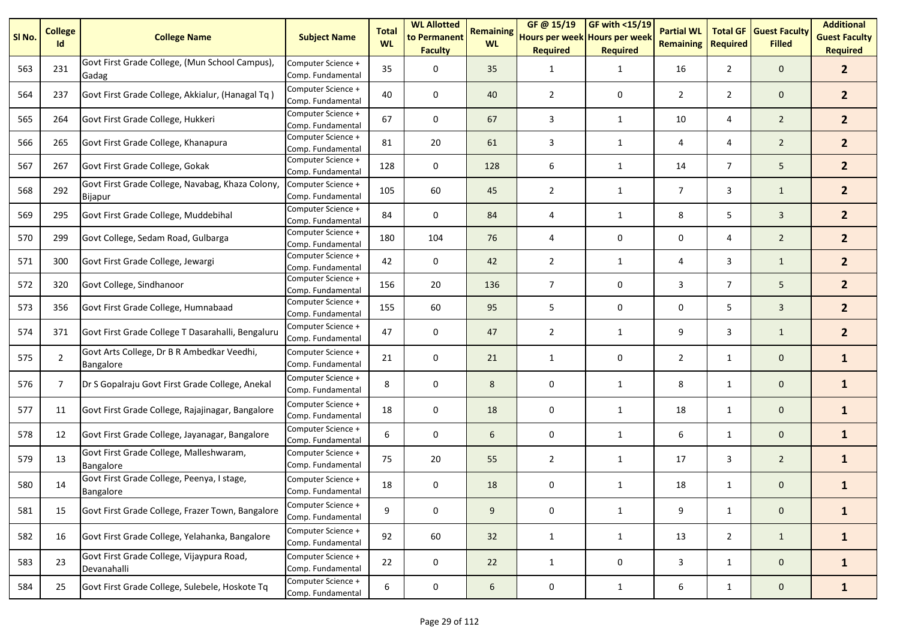| SI No. | <b>College</b><br>Id | <b>College Name</b>                                                | <b>Subject Name</b>                     | <b>Total</b><br><b>WL</b> | <b>WL Allotted</b><br>to Permanent<br><b>Faculty</b> | <b>Remaining</b><br><b>WL</b> | GF @ 15/19<br>Hours per week Hours per week<br><b>Required</b> | <b>GF with &lt;15/19</b><br><b>Required</b> | <b>Partial WL</b><br><b>Remaining</b> | <b>Total GF</b><br><b>Required</b> | <b>Guest Faculty</b><br><b>Filled</b> | <b>Additional</b><br><b>Guest Faculty</b><br><b>Required</b> |
|--------|----------------------|--------------------------------------------------------------------|-----------------------------------------|---------------------------|------------------------------------------------------|-------------------------------|----------------------------------------------------------------|---------------------------------------------|---------------------------------------|------------------------------------|---------------------------------------|--------------------------------------------------------------|
| 563    | 231                  | Govt First Grade College, (Mun School Campus),<br>Gadag            | Computer Science +<br>Comp. Fundamental | 35                        | 0                                                    | 35                            | 1                                                              | $\mathbf{1}$                                | 16                                    | $\overline{2}$                     | $\mathbf 0$                           | 2 <sup>1</sup>                                               |
| 564    | 237                  | Govt First Grade College, Akkialur, (Hanagal Tq)                   | Computer Science +<br>Comp. Fundamental | 40                        | 0                                                    | 40                            | $\overline{2}$                                                 | 0                                           | $\overline{2}$                        | $\overline{2}$                     | $\mathbf 0$                           | 2 <sup>1</sup>                                               |
| 565    | 264                  | Govt First Grade College, Hukkeri                                  | Computer Science +<br>Comp. Fundamental | 67                        | 0                                                    | 67                            | 3                                                              | $\mathbf{1}$                                | 10                                    | 4                                  | $\overline{2}$                        | 2 <sup>1</sup>                                               |
| 566    | 265                  | Govt First Grade College, Khanapura                                | Computer Science +<br>Comp. Fundamental | 81                        | 20                                                   | 61                            | 3                                                              | 1                                           | 4                                     | 4                                  | $\overline{2}$                        | 2 <sup>1</sup>                                               |
| 567    | 267                  | Govt First Grade College, Gokak                                    | Computer Science +<br>Comp. Fundamental | 128                       | 0                                                    | 128                           | 6                                                              | 1                                           | 14                                    | $\overline{7}$                     | 5                                     | 2 <sup>1</sup>                                               |
| 568    | 292                  | Govt First Grade College, Navabag, Khaza Colony,<br><b>Bijapur</b> | Computer Science +<br>Comp. Fundamental | 105                       | 60                                                   | 45                            | $\overline{2}$                                                 | $\mathbf{1}$                                | $\overline{7}$                        | 3                                  | $\mathbf{1}$                          | 2 <sup>1</sup>                                               |
| 569    | 295                  | Govt First Grade College, Muddebihal                               | Computer Science +<br>Comp. Fundamental | 84                        | $\mathbf 0$                                          | 84                            | 4                                                              | $\mathbf{1}$                                | 8                                     | 5                                  | $\overline{3}$                        | 2 <sup>1</sup>                                               |
| 570    | 299                  | Govt College, Sedam Road, Gulbarga                                 | Computer Science +<br>Comp. Fundamental | 180                       | 104                                                  | 76                            | 4                                                              | 0                                           | 0                                     | 4                                  | $\overline{2}$                        | 2 <sup>1</sup>                                               |
| 571    | 300                  | Govt First Grade College, Jewargi                                  | Computer Science +<br>Comp. Fundamental | 42                        | 0                                                    | 42                            | $\overline{2}$                                                 | $\mathbf{1}$                                | 4                                     | 3                                  | $\mathbf{1}$                          | 2 <sup>1</sup>                                               |
| 572    | 320                  | Govt College, Sindhanoor                                           | Computer Science +<br>Comp. Fundamental | 156                       | 20                                                   | 136                           | $\overline{7}$                                                 | 0                                           | 3                                     | $\overline{7}$                     | 5                                     | 2 <sup>1</sup>                                               |
| 573    | 356                  | Govt First Grade College, Humnabaad                                | Computer Science +<br>Comp. Fundamental | 155                       | 60                                                   | 95                            | 5                                                              | 0                                           | 0                                     | 5                                  | $\overline{3}$                        | 2 <sup>1</sup>                                               |
| 574    | 371                  | Govt First Grade College T Dasarahalli, Bengaluru                  | Computer Science +<br>Comp. Fundamental | 47                        | 0                                                    | 47                            | $\overline{2}$                                                 | 1                                           | 9                                     | 3                                  | $\mathbf{1}$                          | 2 <sup>1</sup>                                               |
| 575    | $\overline{2}$       | Govt Arts College, Dr B R Ambedkar Veedhi,<br>Bangalore            | Computer Science +<br>Comp. Fundamental | 21                        | $\mathbf 0$                                          | 21                            | 1                                                              | 0                                           | $\overline{2}$                        | $\mathbf{1}$                       | $\mathbf 0$                           | $\mathbf{1}$                                                 |
| 576    | $\overline{7}$       | Dr S Gopalraju Govt First Grade College, Anekal                    | Computer Science +<br>Comp. Fundamental | 8                         | 0                                                    | 8                             | 0                                                              | $\mathbf{1}$                                | 8                                     | $\mathbf{1}$                       | $\mathbf 0$                           | $\mathbf{1}$                                                 |
| 577    | 11                   | Govt First Grade College, Rajajinagar, Bangalore                   | Computer Science +<br>Comp. Fundamental | 18                        | 0                                                    | 18                            | 0                                                              | $\mathbf{1}$                                | 18                                    | $\mathbf{1}$                       | $\mathbf 0$                           | $\mathbf{1}$                                                 |
| 578    | 12                   | Govt First Grade College, Jayanagar, Bangalore                     | Computer Science +<br>Comp. Fundamental | 6                         | $\mathsf 0$                                          | 6                             | 0                                                              | 1                                           | 6                                     | $\mathbf{1}$                       | $\mathbf{0}$                          | $\mathbf{1}$                                                 |
| 579    | 13                   | Govt First Grade College, Malleshwaram,<br>Bangalore               | Computer Science +<br>Comp. Fundamental | 75                        | 20                                                   | 55                            | $\overline{2}$                                                 | 1                                           | 17                                    | 3                                  | $\overline{2}$                        | $\mathbf{1}$                                                 |
| 580    | 14                   | Govt First Grade College, Peenya, I stage,<br><b>Bangalore</b>     | Computer Science +<br>Comp. Fundamental | 18                        | 0                                                    | 18                            | 0                                                              | $\mathbf{1}$                                | 18                                    | 1                                  | $\mathbf 0$                           | $\mathbf{1}$                                                 |
| 581    | 15                   | Govt First Grade College, Frazer Town, Bangalore                   | Computer Science +<br>Comp. Fundamental | 9                         | 0                                                    | 9                             | 0                                                              | $\mathbf{1}$                                | 9                                     | $\mathbf{1}$                       | $\mathbf 0$                           | $\mathbf{1}$                                                 |
| 582    | 16                   | Govt First Grade College, Yelahanka, Bangalore                     | Computer Science +<br>Comp. Fundamental | 92                        | 60                                                   | 32                            | $\mathbf{1}$                                                   | $\mathbf{1}$                                | 13                                    | $2^{\circ}$                        | $\mathbf{1}$                          | $\mathbf{1}$                                                 |
| 583    | 23                   | Govt First Grade College, Vijaypura Road,<br>Devanahalli           | Computer Science +<br>Comp. Fundamental | 22                        | 0                                                    | 22                            | $\mathbf{1}$                                                   | $\pmb{0}$                                   | 3                                     | $\mathbf{1}$                       | $\mathbf{0}$                          | $\mathbf{1}$                                                 |
| 584    | 25                   | Govt First Grade College, Sulebele, Hoskote Tq                     | Computer Science +<br>Comp. Fundamental | 6                         | $\mathbf 0$                                          | $6\phantom{.}6$               | $\pmb{0}$                                                      | $\mathbf{1}$                                | 6                                     | $\mathbf{1}$                       | $\mathbf{0}$                          | $\mathbf{1}$                                                 |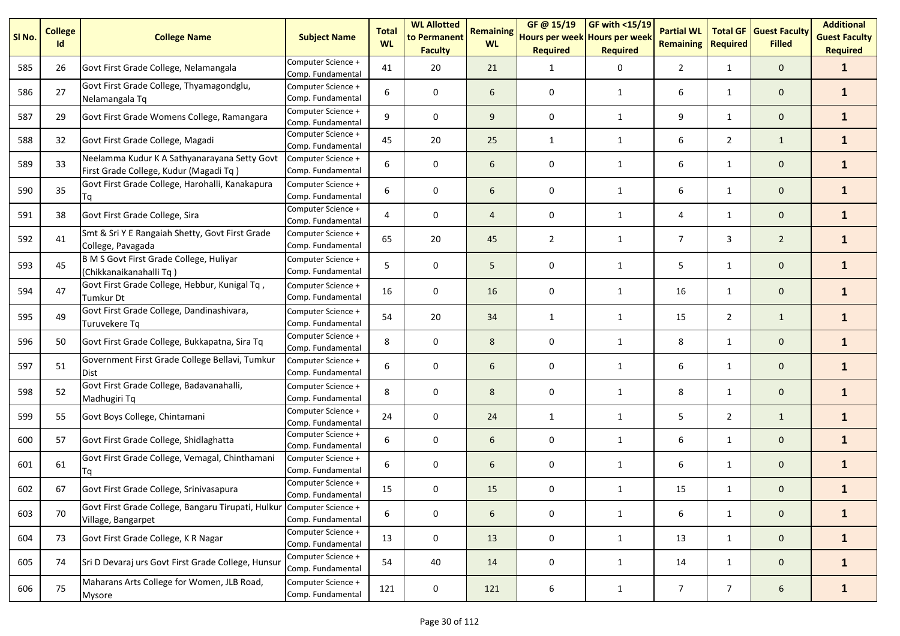| SI <sub>No.</sub> | <b>College</b><br>Id | <b>College Name</b>                                                                    | <b>Subject Name</b>                     | <b>Total</b><br><b>WL</b> | <b>WL Allotted</b><br>to Permanent<br><b>Faculty</b> | <b>Remaining</b><br><b>WL</b> | GF@ 15/19<br>Hours per week Hours per week<br><b>Required</b> | <b>GF with &lt;15/19</b><br><b>Required</b> | <b>Partial WL</b><br><b>Remaining</b> | <b>Total GF</b><br><b>Required</b> | <b>Guest Faculty</b><br><b>Filled</b> | <b>Additional</b><br><b>Guest Faculty</b><br><b>Required</b> |
|-------------------|----------------------|----------------------------------------------------------------------------------------|-----------------------------------------|---------------------------|------------------------------------------------------|-------------------------------|---------------------------------------------------------------|---------------------------------------------|---------------------------------------|------------------------------------|---------------------------------------|--------------------------------------------------------------|
| 585               | 26                   | Govt First Grade College, Nelamangala                                                  | Computer Science +<br>Comp. Fundamental | 41                        | 20                                                   | 21                            | 1                                                             | 0                                           | $\overline{2}$                        | $\mathbf{1}$                       | $\mathbf{0}$                          | $\mathbf{1}$                                                 |
| 586               | 27                   | Govt First Grade College, Thyamagondglu,<br>Nelamangala Tq                             | Computer Science +<br>Comp. Fundamental | 6                         | 0                                                    | 6                             | 0                                                             | 1                                           | 6                                     | $\mathbf{1}$                       | $\mathbf 0$                           | $\mathbf{1}$                                                 |
| 587               | 29                   | Govt First Grade Womens College, Ramangara                                             | Computer Science +<br>Comp. Fundamental | 9                         | 0                                                    | 9                             | 0                                                             | 1                                           | 9                                     | $\mathbf{1}$                       | $\mathbf 0$                           | $\mathbf{1}$                                                 |
| 588               | 32                   | Govt First Grade College, Magadi                                                       | Computer Science +<br>Comp. Fundamental | 45                        | 20                                                   | 25                            | 1                                                             | 1                                           | 6                                     | $\overline{2}$                     | $\mathbf{1}$                          | $\mathbf{1}$                                                 |
| 589               | 33                   | Neelamma Kudur K A Sathyanarayana Setty Govt<br>First Grade College, Kudur (Magadi Tq) | Computer Science +<br>Comp. Fundamental | 6                         | 0                                                    | 6                             | 0                                                             | $\mathbf{1}$                                | 6                                     | $\mathbf{1}$                       | $\mathbf 0$                           | $\mathbf{1}$                                                 |
| 590               | 35                   | Govt First Grade College, Harohalli, Kanakapura<br>Τq                                  | Computer Science +<br>Comp. Fundamental | 6                         | 0                                                    | 6                             | 0                                                             | $\mathbf{1}$                                | 6                                     | $\mathbf{1}$                       | $\mathbf 0$                           | $\mathbf{1}$                                                 |
| 591               | 38                   | Govt First Grade College, Sira                                                         | Computer Science +<br>Comp. Fundamental | 4                         | 0                                                    | $\overline{4}$                | 0                                                             | $\mathbf{1}$                                | 4                                     | $\mathbf{1}$                       | $\mathbf 0$                           | $\mathbf{1}$                                                 |
| 592               | 41                   | Smt & Sri Y E Rangaiah Shetty, Govt First Grade<br>College, Pavagada                   | Computer Science +<br>Comp. Fundamental | 65                        | 20                                                   | 45                            | $\overline{2}$                                                | 1                                           | $\overline{7}$                        | 3                                  | $\overline{2}$                        | $\mathbf{1}$                                                 |
| 593               | 45                   | B M S Govt First Grade College, Huliyar<br>(Chikkanaikanahalli Tq)                     | Computer Science +<br>Comp. Fundamental | 5                         | 0                                                    | 5                             | 0                                                             | 1                                           | 5                                     | $\mathbf{1}$                       | $\mathbf 0$                           | $\mathbf{1}$                                                 |
| 594               | 47                   | Govt First Grade College, Hebbur, Kunigal Tq,<br>Tumkur Dt                             | Computer Science +<br>Comp. Fundamental | 16                        | 0                                                    | 16                            | 0                                                             | $\mathbf{1}$                                | 16                                    | $\mathbf{1}$                       | $\mathbf 0$                           | $\mathbf{1}$                                                 |
| 595               | 49                   | Govt First Grade College, Dandinashivara,<br>Turuvekere Tq                             | Computer Science +<br>Comp. Fundamental | 54                        | 20                                                   | 34                            | 1                                                             | 1                                           | 15                                    | $\overline{2}$                     | $\mathbf{1}$                          | $\mathbf{1}$                                                 |
| 596               | 50                   | Govt First Grade College, Bukkapatna, Sira Tq                                          | Computer Science +<br>Comp. Fundamental | 8                         | 0                                                    | 8                             | 0                                                             | 1                                           | 8                                     | $\mathbf{1}$                       | $\mathbf{0}$                          | $\mathbf{1}$                                                 |
| 597               | 51                   | Government First Grade College Bellavi, Tumkur<br><b>Dist</b>                          | Computer Science +<br>Comp. Fundamental | 6                         | 0                                                    | 6                             | 0                                                             | $\mathbf{1}$                                | 6                                     | $\mathbf{1}$                       | $\mathbf 0$                           | $\mathbf{1}$                                                 |
| 598               | 52                   | Govt First Grade College, Badavanahalli,<br>Madhugiri Tq                               | Computer Science +<br>Comp. Fundamental | 8                         | 0                                                    | 8                             | 0                                                             | 1                                           | 8                                     | $\mathbf{1}$                       | $\mathbf 0$                           | $\mathbf{1}$                                                 |
| 599               | 55                   | Govt Boys College, Chintamani                                                          | Computer Science +<br>Comp. Fundamental | 24                        | 0                                                    | 24                            | 1                                                             | 1                                           | 5                                     | $\overline{2}$                     | $\mathbf{1}$                          | $\mathbf{1}$                                                 |
| 600               | 57                   | Govt First Grade College, Shidlaghatta                                                 | Computer Science +<br>Comp. Fundamental | 6                         | 0                                                    | 6                             | 0                                                             | $\mathbf{1}$                                | 6                                     | $\mathbf{1}$                       | $\mathbf 0$                           | $\mathbf{1}$                                                 |
| 601               | 61                   | Govt First Grade College, Vemagal, Chinthamani<br>Tq                                   | Computer Science +<br>Comp. Fundamental | 6                         | 0                                                    | 6                             | 0                                                             | 1                                           | 6                                     | $\mathbf{1}$                       | $\mathbf 0$                           | $\mathbf{1}$                                                 |
| 602               | 67                   | Govt First Grade College, Srinivasapura                                                | Computer Science +<br>Comp. Fundamental | 15                        | 0                                                    | 15                            | 0                                                             | 1                                           | 15                                    | $\mathbf{1}$                       | $\mathbf 0$                           | $\mathbf{1}$                                                 |
| 603               | 70                   | Govt First Grade College, Bangaru Tirupati, Hulkur<br>Village, Bangarpet               | Computer Science +<br>Comp. Fundamental | 6                         | 0                                                    | 6                             | 0                                                             | $\mathbf{1}$                                | 6                                     | $\mathbf{1}$                       | $\mathbf 0$                           | $\mathbf{1}$                                                 |
| 604               | 73                   | Govt First Grade College, K R Nagar                                                    | Computer Science +<br>Comp. Fundamental | 13                        | 0                                                    | 13                            | 0                                                             | $\mathbf{1}$                                | 13                                    | $\mathbf{1}$                       | $\mathbf 0$                           | $\mathbf{1}$                                                 |
| 605               | 74                   | Sri D Devaraj urs Govt First Grade College, Hunsur                                     | Computer Science +<br>Comp. Fundamental | 54                        | 40                                                   | 14                            | $\pmb{0}$                                                     | $\mathbf{1}$                                | 14                                    | $\mathbf{1}$                       | $\mathsf{O}\xspace$                   | $\mathbf{1}$                                                 |
| 606               | 75                   | Maharans Arts College for Women, JLB Road,<br><b>Mysore</b>                            | Computer Science +<br>Comp. Fundamental | 121                       | 0                                                    | 121                           | 6                                                             | $\mathbf{1}$                                | $\overline{7}$                        | $7\overline{ }$                    | $6\phantom{.}6$                       | $\mathbf{1}$                                                 |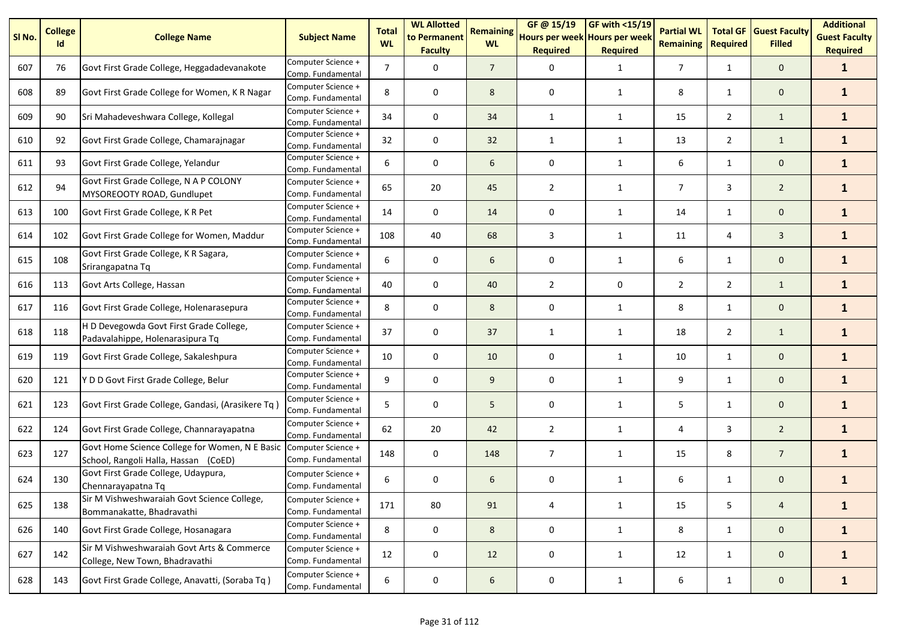| SI <sub>No.</sub> | <b>College</b><br>Id | <b>College Name</b>                                                                    | <b>Subject Name</b>                     | <b>Total</b><br><b>WL</b> | <b>WL Allotted</b><br>to Permanent<br><b>Faculty</b> | <b>Remaining</b><br><b>WL</b> | GF @ 15/19<br>Hours per week Hours per week<br><b>Required</b> | <b>GF with &lt;15/19</b><br><b>Required</b> | <b>Partial WL</b><br><b>Remaining</b> | <b>Total GF</b><br><b>Required</b> | <b>Guest Faculty</b><br><b>Filled</b> | <b>Additional</b><br><b>Guest Faculty</b><br><b>Required</b> |
|-------------------|----------------------|----------------------------------------------------------------------------------------|-----------------------------------------|---------------------------|------------------------------------------------------|-------------------------------|----------------------------------------------------------------|---------------------------------------------|---------------------------------------|------------------------------------|---------------------------------------|--------------------------------------------------------------|
| 607               | 76                   | Govt First Grade College, Heggadadevanakote                                            | Computer Science +<br>Comp. Fundamental | $\overline{7}$            | 0                                                    | $\overline{7}$                | 0                                                              | $\mathbf{1}$                                | $\overline{7}$                        | $\mathbf{1}$                       | $\mathbf 0$                           | $\mathbf{1}$                                                 |
| 608               | 89                   | Govt First Grade College for Women, K R Nagar                                          | Computer Science +<br>Comp. Fundamental | 8                         | 0                                                    | 8                             | 0                                                              | 1                                           | 8                                     | 1                                  | $\mathbf 0$                           | $\mathbf{1}$                                                 |
| 609               | 90                   | Sri Mahadeveshwara College, Kollegal                                                   | Computer Science +<br>Comp. Fundamental | 34                        | 0                                                    | 34                            | $\mathbf{1}$                                                   | $\mathbf{1}$                                | 15                                    | $\overline{2}$                     | $\mathbf{1}$                          | $\mathbf{1}$                                                 |
| 610               | 92                   | Govt First Grade College, Chamarajnagar                                                | Computer Science +<br>Comp. Fundamental | 32                        | 0                                                    | 32                            | $\mathbf{1}$                                                   | 1                                           | 13                                    | $\overline{2}$                     | $\mathbf{1}$                          | $\mathbf{1}$                                                 |
| 611               | 93                   | Govt First Grade College, Yelandur                                                     | Computer Science +<br>Comp. Fundamental | 6                         | 0                                                    | 6                             | 0                                                              | 1                                           | 6                                     | $\mathbf{1}$                       | $\mathbf 0$                           | $\mathbf{1}$                                                 |
| 612               | 94                   | Govt First Grade College, N A P COLONY<br>MYSOREOOTY ROAD, Gundlupet                   | Computer Science +<br>Comp. Fundamental | 65                        | 20                                                   | 45                            | $\overline{2}$                                                 | $\mathbf{1}$                                | $\overline{7}$                        | 3                                  | $\overline{2}$                        | $\mathbf{1}$                                                 |
| 613               | 100                  | Govt First Grade College, K R Pet                                                      | Computer Science +<br>Comp. Fundamental | 14                        | 0                                                    | 14                            | 0                                                              | 1                                           | 14                                    | $\mathbf{1}$                       | $\mathbf 0$                           | $\mathbf{1}$                                                 |
| 614               | 102                  | Govt First Grade College for Women, Maddur                                             | Computer Science +<br>Comp. Fundamental | 108                       | 40                                                   | 68                            | 3                                                              | $\mathbf{1}$                                | 11                                    | 4                                  | 3                                     | $\mathbf{1}$                                                 |
| 615               | 108                  | Govt First Grade College, K R Sagara,<br>Srirangapatna Tq                              | Computer Science +<br>Comp. Fundamental | 6                         | 0                                                    | 6                             | 0                                                              | $\mathbf{1}$                                | 6                                     | $\mathbf{1}$                       | $\mathbf 0$                           | $\mathbf{1}$                                                 |
| 616               | 113                  | Govt Arts College, Hassan                                                              | Computer Science +<br>Comp. Fundamental | 40                        | 0                                                    | 40                            | $\overline{2}$                                                 | 0                                           | $\overline{2}$                        | $\overline{2}$                     | $\mathbf{1}$                          | $\mathbf{1}$                                                 |
| 617               | 116                  | Govt First Grade College, Holenarasepura                                               | Computer Science +<br>Comp. Fundamental | 8                         | 0                                                    | 8                             | 0                                                              | $\mathbf{1}$                                | 8                                     | $\mathbf{1}$                       | $\mathbf 0$                           | $\mathbf{1}$                                                 |
| 618               | 118                  | H D Devegowda Govt First Grade College,<br>Padavalahippe, Holenarasipura Tq            | Computer Science +<br>Comp. Fundamental | 37                        | 0                                                    | 37                            | $\mathbf{1}$                                                   | 1                                           | 18                                    | $\overline{2}$                     | $\mathbf{1}$                          | $\mathbf{1}$                                                 |
| 619               | 119                  | Govt First Grade College, Sakaleshpura                                                 | Computer Science +<br>Comp. Fundamental | 10                        | 0                                                    | 10                            | 0                                                              | $\mathbf{1}$                                | 10                                    | $\mathbf{1}$                       | $\mathbf 0$                           | $\mathbf{1}$                                                 |
| 620               | 121                  | Y D D Govt First Grade College, Belur                                                  | Computer Science +<br>Comp. Fundamental | 9                         | 0                                                    | 9                             | 0                                                              | $\mathbf{1}$                                | 9                                     | $\mathbf{1}$                       | $\mathbf 0$                           | $\mathbf{1}$                                                 |
| 621               | 123                  | Govt First Grade College, Gandasi, (Arasikere Tq)                                      | Computer Science +<br>Comp. Fundamental | 5                         | 0                                                    | 5                             | 0                                                              | $\mathbf{1}$                                | 5                                     | $\mathbf{1}$                       | $\mathbf 0$                           | $\mathbf{1}$                                                 |
| 622               | 124                  | Govt First Grade College, Channarayapatna                                              | Computer Science +<br>Comp. Fundamental | 62                        | 20                                                   | 42                            | $\overline{2}$                                                 | 1                                           | 4                                     | 3                                  | $\overline{2}$                        | $\mathbf{1}$                                                 |
| 623               | 127                  | Govt Home Science College for Women, N E Basic<br>School, Rangoli Halla, Hassan (CoED) | Computer Science +<br>Comp. Fundamental | 148                       | 0                                                    | 148                           | $\overline{7}$                                                 | $\mathbf{1}$                                | 15                                    | 8                                  | $\overline{7}$                        | $\mathbf{1}$                                                 |
| 624               | 130                  | Govt First Grade College, Udaypura,<br>Chennarayapatna Tq                              | Computer Science +<br>Comp. Fundamental | 6                         | $\pmb{0}$                                            | 6                             | 0                                                              | 1                                           | 6                                     | $\mathbf{1}$                       | $\mathbf 0$                           | $\mathbf{1}$                                                 |
| 625               | 138                  | Sir M Vishweshwaraiah Govt Science College,<br>Bommanakatte, Bhadravathi               | Computer Science +<br>Comp. Fundamental | 171                       | 80                                                   | 91                            | 4                                                              | $\mathbf{1}$                                | 15                                    | 5                                  | $\overline{a}$                        | $\mathbf{1}$                                                 |
| 626               | 140                  | Govt First Grade College, Hosanagara                                                   | Computer Science +<br>Comp. Fundamental | 8                         | $\pmb{0}$                                            | 8                             | 0                                                              | $\mathbf{1}$                                | 8                                     | $\mathbf{1}$                       | $\mathbf 0$                           | $\mathbf{1}$                                                 |
| 627               | 142                  | Sir M Vishweshwaraiah Govt Arts & Commerce<br>College, New Town, Bhadravathi           | Computer Science +<br>Comp. Fundamental | 12                        | $\pmb{0}$                                            | 12                            | $\pmb{0}$                                                      | $\mathbf{1}$                                | 12                                    | $\mathbf{1}$                       | $\mathbf 0$                           | $\mathbf{1}$                                                 |
| 628               | 143                  | Govt First Grade College, Anavatti, (Soraba Tq)                                        | Computer Science +<br>Comp. Fundamental | 6                         | $\pmb{0}$                                            | 6                             | 0                                                              | $\mathbf{1}$                                | 6                                     | $\mathbf{1}$                       | $\mathbf 0$                           | $\mathbf{1}$                                                 |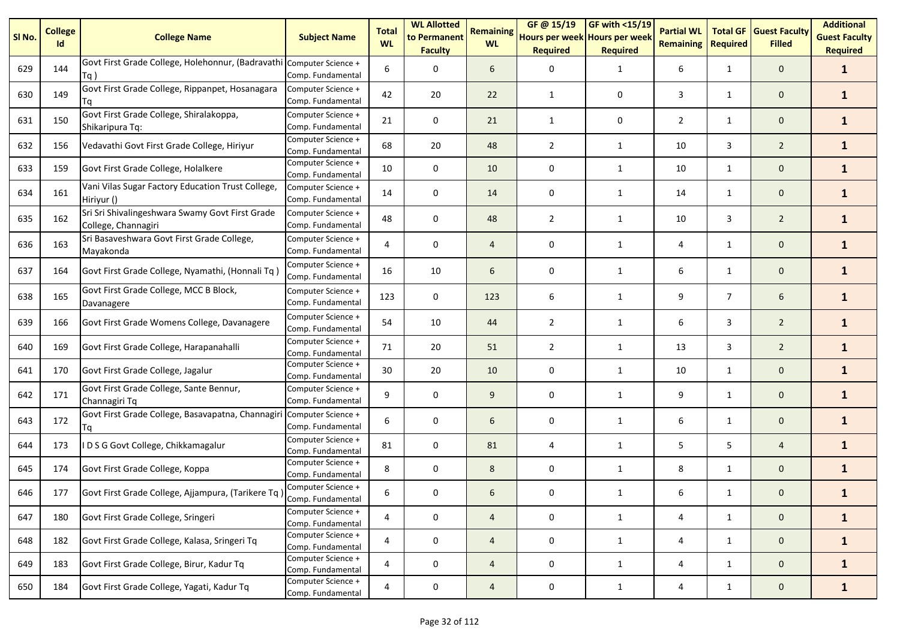| SI <sub>No.</sub> | <b>College</b><br>Id | <b>College Name</b>                                                         | <b>Subject Name</b>                     | <b>Total</b><br><b>WL</b> | <b>WL Allotted</b><br>to Permanent<br><b>Faculty</b> | <b>Remaining</b><br><b>WL</b> | GF @ 15/19<br>Hours per week Hours per week<br><b>Required</b> | GF with <15/19<br><b>Required</b> | <b>Partial WL</b><br><b>Remaining</b> | <b>Total GF</b><br><b>Required</b> | <b>Guest Faculty</b><br><b>Filled</b> | <b>Additional</b><br><b>Guest Faculty</b><br><b>Required</b> |
|-------------------|----------------------|-----------------------------------------------------------------------------|-----------------------------------------|---------------------------|------------------------------------------------------|-------------------------------|----------------------------------------------------------------|-----------------------------------|---------------------------------------|------------------------------------|---------------------------------------|--------------------------------------------------------------|
| 629               | 144                  | Govt First Grade College, Holehonnur, (Badravathi Computer Science +<br>Tq) | Comp. Fundamental                       | 6                         | 0                                                    | 6                             | 0                                                              | $\mathbf{1}$                      | 6                                     | $\mathbf{1}$                       | $\mathbf 0$                           | $\mathbf{1}$                                                 |
| 630               | 149                  | Govt First Grade College, Rippanpet, Hosanagara<br>Τq                       | Computer Science +<br>Comp. Fundamental | 42                        | 20                                                   | 22                            | $\mathbf{1}$                                                   | 0                                 | 3                                     | $\mathbf{1}$                       | $\mathbf 0$                           | $\mathbf{1}$                                                 |
| 631               | 150                  | Govt First Grade College, Shiralakoppa,<br>Shikaripura Tq:                  | Computer Science +<br>Comp. Fundamental | 21                        | 0                                                    | 21                            | $\mathbf{1}$                                                   | 0                                 | $\overline{2}$                        | $\mathbf{1}$                       | $\mathbf 0$                           | $\mathbf{1}$                                                 |
| 632               | 156                  | Vedavathi Govt First Grade College, Hiriyur                                 | Computer Science +<br>Comp. Fundamental | 68                        | 20                                                   | 48                            | $\overline{2}$                                                 | $\mathbf{1}$                      | 10                                    | 3                                  | $\overline{2}$                        | $\mathbf{1}$                                                 |
| 633               | 159                  | Govt First Grade College, Holalkere                                         | Computer Science +<br>Comp. Fundamental | 10                        | $\mathbf 0$                                          | 10                            | 0                                                              | 1                                 | 10                                    | $\mathbf{1}$                       | $\mathbf{0}$                          | $\mathbf{1}$                                                 |
| 634               | 161                  | Vani Vilas Sugar Factory Education Trust College,<br>Hiriyur ()             | Computer Science +<br>Comp. Fundamental | 14                        | 0                                                    | 14                            | 0                                                              | 1                                 | 14                                    | $\mathbf{1}$                       | $\mathbf 0$                           | $\mathbf{1}$                                                 |
| 635               | 162                  | Sri Sri Shivalingeshwara Swamy Govt First Grade<br>College, Channagiri      | Computer Science +<br>Comp. Fundamental | 48                        | 0                                                    | 48                            | 2                                                              | $\mathbf{1}$                      | 10                                    | 3                                  | $\overline{2}$                        | $\mathbf{1}$                                                 |
| 636               | 163                  | Sri Basaveshwara Govt First Grade College,<br>Mayakonda                     | Computer Science +<br>Comp. Fundamental | 4                         | 0                                                    | $\overline{4}$                | 0                                                              | $\mathbf{1}$                      | 4                                     | $\mathbf{1}$                       | $\mathbf 0$                           | $\mathbf{1}$                                                 |
| 637               | 164                  | Govt First Grade College, Nyamathi, (Honnali Tq)                            | Computer Science +<br>Comp. Fundamental | 16                        | 10                                                   | 6                             | 0                                                              | $\mathbf{1}$                      | 6                                     | $\mathbf{1}$                       | $\mathbf 0$                           | $\mathbf{1}$                                                 |
| 638               | 165                  | Govt First Grade College, MCC B Block,<br>Davanagere                        | Computer Science +<br>Comp. Fundamental | 123                       | $\mathbf 0$                                          | 123                           | 6                                                              | $\mathbf{1}$                      | 9                                     | $\overline{7}$                     | 6                                     | $\mathbf{1}$                                                 |
| 639               | 166                  | Govt First Grade Womens College, Davanagere                                 | Computer Science +<br>Comp. Fundamental | 54                        | 10                                                   | 44                            | $\overline{2}$                                                 | 1                                 | 6                                     | 3                                  | $\overline{2}$                        | $\mathbf{1}$                                                 |
| 640               | 169                  | Govt First Grade College, Harapanahalli                                     | Computer Science +<br>Comp. Fundamental | 71                        | 20                                                   | 51                            | $\overline{2}$                                                 | $\mathbf{1}$                      | 13                                    | 3                                  | $\overline{2}$                        | $\mathbf{1}$                                                 |
| 641               | 170                  | Govt First Grade College, Jagalur                                           | Computer Science +<br>Comp. Fundamental | 30                        | 20                                                   | 10                            | 0                                                              | 1                                 | 10                                    | $\mathbf{1}$                       | $\mathbf{0}$                          | $\mathbf{1}$                                                 |
| 642               | 171                  | Govt First Grade College, Sante Bennur,<br>Channagiri Tq                    | Computer Science +<br>Comp. Fundamental | 9                         | 0                                                    | 9                             | 0                                                              | 1                                 | 9                                     | 1                                  | $\mathbf{0}$                          | $\mathbf{1}$                                                 |
| 643               | 172                  | Govt First Grade College, Basavapatna, Channagiri Computer Science +<br>Τq  | Comp. Fundamental                       | 6                         | 0                                                    | 6                             | 0                                                              | $\mathbf{1}$                      | 6                                     | 1                                  | $\mathbf 0$                           | $\mathbf{1}$                                                 |
| 644               | 173                  | IDSG Govt College, Chikkamagalur                                            | Computer Science +<br>Comp. Fundamental | 81                        | $\mathbf 0$                                          | 81                            | 4                                                              | $\mathbf{1}$                      | 5                                     | 5                                  | $\overline{4}$                        | $\mathbf{1}$                                                 |
| 645               | 174                  | Govt First Grade College, Koppa                                             | Computer Science +<br>Comp. Fundamental | 8                         | 0                                                    | 8                             | 0                                                              | $\mathbf{1}$                      | 8                                     | $\mathbf{1}$                       | $\mathbf 0$                           | $\mathbf{1}$                                                 |
| 646               | 177                  | Govt First Grade College, Ajjampura, (Tarikere Tq)                          | Computer Science +<br>Comp. Fundamental | 6                         | 0                                                    | 6                             | 0                                                              | $\mathbf{1}$                      | 6                                     | $\mathbf{1}$                       | $\mathbf 0$                           | $\mathbf{1}$                                                 |
| 647               | 180                  | Govt First Grade College, Sringeri                                          | Computer Science +<br>Comp. Fundamental | $\overline{4}$            | 0                                                    | $\overline{4}$                | 0                                                              | $\mathbf{1}$                      | 4                                     | $\mathbf{1}$                       | $\mathbf 0$                           | $\mathbf{1}$                                                 |
| 648               | 182                  | Govt First Grade College, Kalasa, Sringeri Tq                               | Computer Science +<br>Comp. Fundamental | 4                         | 0                                                    | $\overline{4}$                | 0                                                              | $\mathbf{1}$                      | 4                                     | $\mathbf{1}$                       | $\mathbf{0}$                          | $\mathbf{1}$                                                 |
| 649               | 183                  | Govt First Grade College, Birur, Kadur Tq                                   | Computer Science +<br>Comp. Fundamental | 4                         | 0                                                    | $\overline{4}$                | 0                                                              | $\mathbf{1}$                      | 4                                     | $\mathbf{1}$                       | $\mathbf{0}$                          | $\mathbf{1}$                                                 |
| 650               | 184                  | Govt First Grade College, Yagati, Kadur Tq                                  | Computer Science +<br>Comp. Fundamental | 4                         | $\mathbf 0$                                          | $\overline{4}$                | $\mathbf 0$                                                    | $\mathbf{1}$                      | 4                                     | $\mathbf{1}$                       | $\mathbf{0}$                          | $\mathbf{1}$                                                 |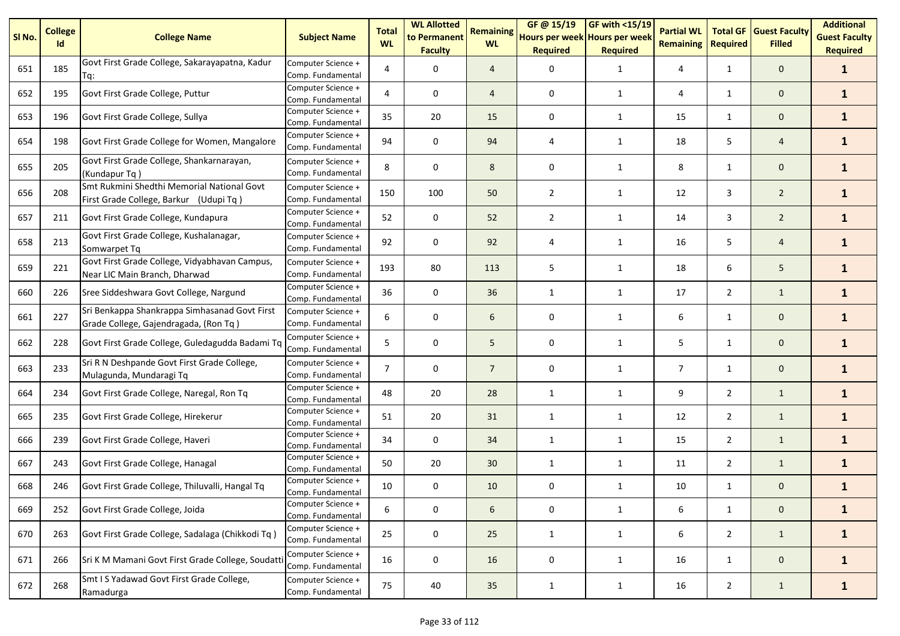| SI No. | <b>College</b><br>Id | <b>College Name</b>                                                                    | <b>Subject Name</b>                     | <b>Total</b><br><b>WL</b> | <b>WL Allotted</b><br>to Permanent<br><b>Faculty</b> | <b>Remaining</b><br><b>WL</b> | GF@ 15/19<br>Hours per week Hours per week<br><b>Required</b> | GF with <15/19<br><b>Required</b> | <b>Partial WL</b><br><b>Remaining</b> | <b>Total GF</b><br><b>Required</b> | <b>Guest Faculty</b><br><b>Filled</b> | <b>Additional</b><br><b>Guest Faculty</b><br><b>Required</b> |
|--------|----------------------|----------------------------------------------------------------------------------------|-----------------------------------------|---------------------------|------------------------------------------------------|-------------------------------|---------------------------------------------------------------|-----------------------------------|---------------------------------------|------------------------------------|---------------------------------------|--------------------------------------------------------------|
| 651    | 185                  | Govt First Grade College, Sakarayapatna, Kadur<br>Tq:                                  | Computer Science +<br>Comp. Fundamental | 4                         | 0                                                    | $\overline{4}$                | 0                                                             | $\mathbf{1}$                      | 4                                     | $\mathbf{1}$                       | $\mathbf 0$                           | $\mathbf{1}$                                                 |
| 652    | 195                  | Govt First Grade College, Puttur                                                       | Computer Science +<br>Comp. Fundamental | 4                         | 0                                                    | $\overline{4}$                | 0                                                             | $\mathbf{1}$                      | 4                                     | $\mathbf{1}$                       | $\mathbf{0}$                          | $\mathbf{1}$                                                 |
| 653    | 196                  | Govt First Grade College, Sullya                                                       | Computer Science +<br>Comp. Fundamental | 35                        | 20                                                   | 15                            | $\mathbf 0$                                                   | $\mathbf{1}$                      | 15                                    | $\mathbf{1}$                       | $\mathbf 0$                           | $\mathbf{1}$                                                 |
| 654    | 198                  | Govt First Grade College for Women, Mangalore                                          | Computer Science +<br>Comp. Fundamental | 94                        | $\mathbf 0$                                          | 94                            | $\overline{4}$                                                | $\mathbf{1}$                      | 18                                    | 5                                  | $\overline{4}$                        | $\mathbf{1}$                                                 |
| 655    | 205                  | Govt First Grade College, Shankarnarayan,<br>(Kundapur Tq)                             | Computer Science +<br>Comp. Fundamental | 8                         | $\mathbf 0$                                          | 8                             | $\mathbf 0$                                                   | $\mathbf{1}$                      | 8                                     | $\mathbf{1}$                       | $\mathbf 0$                           | $\mathbf{1}$                                                 |
| 656    | 208                  | Smt Rukmini Shedthi Memorial National Govt<br>First Grade College, Barkur (Udupi Tq)   | Computer Science +<br>Comp. Fundamental | 150                       | 100                                                  | 50                            | $\overline{2}$                                                | 1                                 | 12                                    | 3                                  | $\overline{2}$                        | $\mathbf{1}$                                                 |
| 657    | 211                  | Govt First Grade College, Kundapura                                                    | Computer Science +<br>Comp. Fundamental | 52                        | 0                                                    | 52                            | $\overline{2}$                                                | $\mathbf{1}$                      | 14                                    | 3                                  | $\overline{2}$                        | $\mathbf{1}$                                                 |
| 658    | 213                  | Govt First Grade College, Kushalanagar,<br>Somwarpet Tq                                | Computer Science +<br>Comp. Fundamental | 92                        | 0                                                    | 92                            | $\overline{4}$                                                | $\mathbf{1}$                      | 16                                    | 5                                  | $\overline{4}$                        | $\mathbf{1}$                                                 |
| 659    | 221                  | Govt First Grade College, Vidyabhavan Campus,<br>Near LIC Main Branch, Dharwad         | Computer Science +<br>Comp. Fundamental | 193                       | 80                                                   | 113                           | 5                                                             | $\mathbf{1}$                      | 18                                    | 6                                  | 5                                     | $\mathbf{1}$                                                 |
| 660    | 226                  | Sree Siddeshwara Govt College, Nargund                                                 | Computer Science +<br>Comp. Fundamental | 36                        | $\mathbf 0$                                          | 36                            | $\mathbf{1}$                                                  | $\mathbf{1}$                      | 17                                    | $\overline{2}$                     | $\mathbf{1}$                          | $\mathbf{1}$                                                 |
| 661    | 227                  | Sri Benkappa Shankrappa Simhasanad Govt First<br>Grade College, Gajendragada, (Ron Tq) | Computer Science +<br>Comp. Fundamental | 6                         | 0                                                    | 6                             | 0                                                             | $\mathbf{1}$                      | 6                                     | 1                                  | $\mathbf 0$                           | $\mathbf{1}$                                                 |
| 662    | 228                  | Govt First Grade College, Guledagudda Badami Tq                                        | Computer Science +<br>Comp. Fundamental | 5                         | $\mathbf 0$                                          | 5                             | 0                                                             | $\mathbf{1}$                      | 5                                     | 1                                  | $\mathbf{0}$                          | $\mathbf{1}$                                                 |
| 663    | 233                  | Sri R N Deshpande Govt First Grade College,<br>Mulagunda, Mundaragi Tq                 | Computer Science +<br>Comp. Fundamental | $\overline{7}$            | $\mathbf 0$                                          | $\overline{7}$                | $\mathbf 0$                                                   | $\mathbf{1}$                      | $\overline{7}$                        | $\mathbf{1}$                       | $\mathbf{0}$                          | $\mathbf{1}$                                                 |
| 664    | 234                  | Govt First Grade College, Naregal, Ron Tq                                              | Computer Science +<br>Comp. Fundamental | 48                        | 20                                                   | 28                            | $\mathbf{1}$                                                  | $\mathbf{1}$                      | 9                                     | $\overline{2}$                     | $\mathbf{1}$                          | $\mathbf{1}$                                                 |
| 665    | 235                  | Govt First Grade College, Hirekerur                                                    | Computer Science +<br>Comp. Fundamental | 51                        | 20                                                   | 31                            | $\mathbf{1}$                                                  | $\mathbf{1}$                      | 12                                    | $\overline{2}$                     | $\mathbf{1}$                          | $\mathbf{1}$                                                 |
| 666    | 239                  | Govt First Grade College, Haveri                                                       | Computer Science +<br>Comp. Fundamental | 34                        | 0                                                    | 34                            | $\mathbf{1}$                                                  | $\mathbf{1}$                      | 15                                    | $\overline{2}$                     | $\mathbf{1}$                          | $\mathbf{1}$                                                 |
| 667    | 243                  | Govt First Grade College, Hanagal                                                      | Computer Science +<br>Comp. Fundamental | 50                        | 20                                                   | 30                            | 1                                                             | 1                                 | 11                                    | $\overline{2}$                     | $\mathbf{1}$                          | $\mathbf{1}$                                                 |
| 668    | 246                  | Govt First Grade College, Thiluvalli, Hangal Tq                                        | Computer Science +<br>Comp. Fundamental | 10                        | 0                                                    | 10                            | 0                                                             | 1                                 | 10                                    | $\mathbf{1}$                       | $\mathbf 0$                           | $\mathbf{1}$                                                 |
| 669    | 252                  | Govt First Grade College, Joida                                                        | Computer Science +<br>Comp. Fundamental | 6                         | 0                                                    | 6                             | 0                                                             | $\mathbf{1}$                      | 6                                     | $\mathbf{1}$                       | $\mathbf 0$                           | $\mathbf{1}$                                                 |
| 670    | 263                  | Govt First Grade College, Sadalaga (Chikkodi Tq)                                       | Computer Science +<br>Comp. Fundamental | 25                        | 0                                                    | 25                            | $\mathbf{1}$                                                  | 1                                 | 6                                     | $\overline{2}$                     | $\mathbf{1}$                          | $\mathbf{1}$                                                 |
| 671    | 266                  | Sri K M Mamani Govt First Grade College, Soudatt                                       | Computer Science +<br>Comp. Fundamental | 16                        | 0                                                    | 16                            | 0                                                             | $\mathbf{1}$                      | 16                                    | $\mathbf{1}$                       | $\mathbf 0$                           | $\mathbf{1}$                                                 |
| 672    | 268                  | Smt I S Yadawad Govt First Grade College,<br>Ramadurga                                 | Computer Science +<br>Comp. Fundamental | 75                        | 40                                                   | 35                            | 1                                                             | $\mathbf{1}$                      | 16                                    | $\overline{2}$                     | $\mathbf{1}$                          | $\mathbf{1}$                                                 |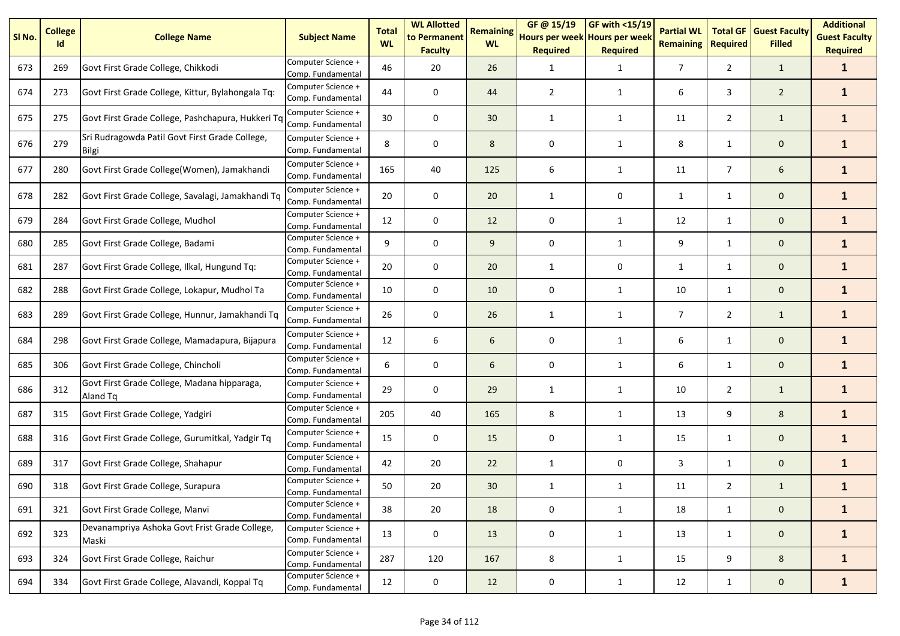| SI <sub>No.</sub> | <b>College</b><br>Id | <b>College Name</b>                                     | <b>Subject Name</b>                     | <b>Total</b><br><b>WL</b> | <b>WL Allotted</b><br>to Permanent<br><b>Faculty</b> | <b>Remaining</b><br><b>WL</b> | GF@ 15/19<br>Hours per week Hours per week<br><b>Required</b> | GF with <15/19<br><b>Required</b> | <b>Partial WL</b><br><b>Remaining</b> | <b>Total GF</b><br><b>Required</b> | <b>Guest Faculty</b><br><b>Filled</b> | <b>Additional</b><br><b>Guest Faculty</b><br><b>Required</b> |
|-------------------|----------------------|---------------------------------------------------------|-----------------------------------------|---------------------------|------------------------------------------------------|-------------------------------|---------------------------------------------------------------|-----------------------------------|---------------------------------------|------------------------------------|---------------------------------------|--------------------------------------------------------------|
| 673               | 269                  | Govt First Grade College, Chikkodi                      | Computer Science +<br>Comp. Fundamental | 46                        | 20                                                   | 26                            | 1                                                             | $\mathbf{1}$                      | $\overline{7}$                        | $\overline{2}$                     | $\mathbf{1}$                          | $\mathbf{1}$                                                 |
| 674               | 273                  | Govt First Grade College, Kittur, Bylahongala Tq:       | Computer Science +<br>Comp. Fundamental | 44                        | 0                                                    | 44                            | $\overline{2}$                                                | 1                                 | 6                                     | 3                                  | $\overline{2}$                        | $\mathbf{1}$                                                 |
| 675               | 275                  | Govt First Grade College, Pashchapura, Hukkeri Tq       | Computer Science +<br>Comp. Fundamental | 30                        | 0                                                    | 30                            | 1                                                             | 1                                 | 11                                    | $\overline{2}$                     | $\mathbf{1}$                          | $\mathbf{1}$                                                 |
| 676               | 279                  | Sri Rudragowda Patil Govt First Grade College,<br>Bilgi | Computer Science +<br>Comp. Fundamental | 8                         | 0                                                    | 8                             | 0                                                             | 1                                 | 8                                     | 1                                  | $\mathbf 0$                           | $\mathbf{1}$                                                 |
| 677               | 280                  | Govt First Grade College(Women), Jamakhandi             | Computer Science +<br>Comp. Fundamental | 165                       | 40                                                   | 125                           | 6                                                             | 1                                 | 11                                    | $\overline{7}$                     | 6                                     | $\mathbf{1}$                                                 |
| 678               | 282                  | Govt First Grade College, Savalagi, Jamakhandi Tq       | Computer Science +<br>Comp. Fundamental | 20                        | 0                                                    | 20                            | 1                                                             | 0                                 | $\mathbf{1}$                          | 1                                  | $\mathbf 0$                           | $\mathbf{1}$                                                 |
| 679               | 284                  | Govt First Grade College, Mudhol                        | Computer Science +<br>Comp. Fundamental | 12                        | 0                                                    | 12                            | 0                                                             | 1                                 | 12                                    | $\mathbf{1}$                       | $\mathbf{0}$                          | $\mathbf{1}$                                                 |
| 680               | 285                  | Govt First Grade College, Badami                        | Computer Science +<br>Comp. Fundamental | 9                         | 0                                                    | 9                             | 0                                                             | 1                                 | 9                                     | $\mathbf{1}$                       | $\mathbf 0$                           | $\mathbf{1}$                                                 |
| 681               | 287                  | Govt First Grade College, Ilkal, Hungund Tq:            | Computer Science +<br>Comp. Fundamental | 20                        | $\mathbf 0$                                          | 20                            | 1                                                             | 0                                 | $\mathbf{1}$                          | $\mathbf{1}$                       | $\mathbf{0}$                          | $\mathbf{1}$                                                 |
| 682               | 288                  | Govt First Grade College, Lokapur, Mudhol Ta            | Computer Science +<br>Comp. Fundamental | 10                        | $\mathbf 0$                                          | 10                            | 0                                                             | 1                                 | 10                                    | 1                                  | $\mathbf 0$                           | $\mathbf{1}$                                                 |
| 683               | 289                  | Govt First Grade College, Hunnur, Jamakhandi Tq         | Computer Science +<br>Comp. Fundamental | 26                        | $\mathbf 0$                                          | 26                            | 1                                                             | 1                                 | $\overline{7}$                        | $\overline{2}$                     | $\mathbf{1}$                          | $\mathbf{1}$                                                 |
| 684               | 298                  | Govt First Grade College, Mamadapura, Bijapura          | Computer Science +<br>Comp. Fundamental | 12                        | 6                                                    | 6                             | 0                                                             | 1                                 | 6                                     | $\mathbf{1}$                       | $\mathbf 0$                           | $\mathbf{1}$                                                 |
| 685               | 306                  | Govt First Grade College, Chincholi                     | Computer Science +<br>Comp. Fundamental | 6                         | $\mathbf 0$                                          | 6                             | 0                                                             | $\mathbf{1}$                      | 6                                     | $\mathbf{1}$                       | $\mathbf 0$                           | $\mathbf{1}$                                                 |
| 686               | 312                  | Govt First Grade College, Madana hipparaga,<br>Aland Tq | Computer Science +<br>Comp. Fundamental | 29                        | 0                                                    | 29                            | $\mathbf{1}$                                                  | 1                                 | 10                                    | $\overline{2}$                     | $\mathbf{1}$                          | $\mathbf{1}$                                                 |
| 687               | 315                  | Govt First Grade College, Yadgiri                       | Computer Science +<br>Comp. Fundamental | 205                       | 40                                                   | 165                           | 8                                                             | $\mathbf{1}$                      | 13                                    | 9                                  | 8                                     | $\mathbf{1}$                                                 |
| 688               | 316                  | Govt First Grade College, Gurumitkal, Yadgir Tq         | Computer Science +<br>Comp. Fundamental | 15                        | 0                                                    | 15                            | 0                                                             | $\mathbf{1}$                      | 15                                    | 1                                  | $\mathbf 0$                           | $\mathbf{1}$                                                 |
| 689               | 317                  | Govt First Grade College, Shahapur                      | Computer Science +<br>Comp. Fundamental | 42                        | 20                                                   | 22                            | $\mathbf{1}$                                                  | 0                                 | 3                                     | $\mathbf{1}$                       | $\mathbf 0$                           | $\mathbf{1}$                                                 |
| 690               | 318                  | Govt First Grade College, Surapura                      | Computer Science +<br>Comp. Fundamental | 50                        | 20                                                   | 30                            | 1                                                             | 1                                 | 11                                    | $\overline{2}$                     | $\mathbf{1}$                          | $\mathbf{1}$                                                 |
| 691               | 321                  | Govt First Grade College, Manvi                         | Computer Science +<br>Comp. Fundamental | 38                        | 20                                                   | 18                            | 0                                                             | $\mathbf{1}$                      | 18                                    | $\mathbf{1}$                       | $\mathbf 0$                           | $\mathbf{1}$                                                 |
| 692               | 323                  | Devanampriya Ashoka Govt Frist Grade College,<br>Maski  | Computer Science +<br>Comp. Fundamental | 13                        | 0                                                    | 13                            | 0                                                             | $\mathbf{1}$                      | 13                                    | $\mathbf{1}$                       | $\mathbf 0$                           | $\mathbf{1}$                                                 |
| 693               | 324                  | Govt First Grade College, Raichur                       | Computer Science +<br>Comp. Fundamental | 287                       | 120                                                  | 167                           | 8                                                             | $\mathbf{1}$                      | 15                                    | 9                                  | $8\phantom{1}$                        | $\mathbf{1}$                                                 |
| 694               | 334                  | Govt First Grade College, Alavandi, Koppal Tq           | Computer Science +<br>Comp. Fundamental | 12                        | $\mathsf 0$                                          | 12                            | 0                                                             | $\mathbf{1}$                      | 12                                    | $\mathbf{1}$                       | $\mathbf 0$                           | $\mathbf{1}$                                                 |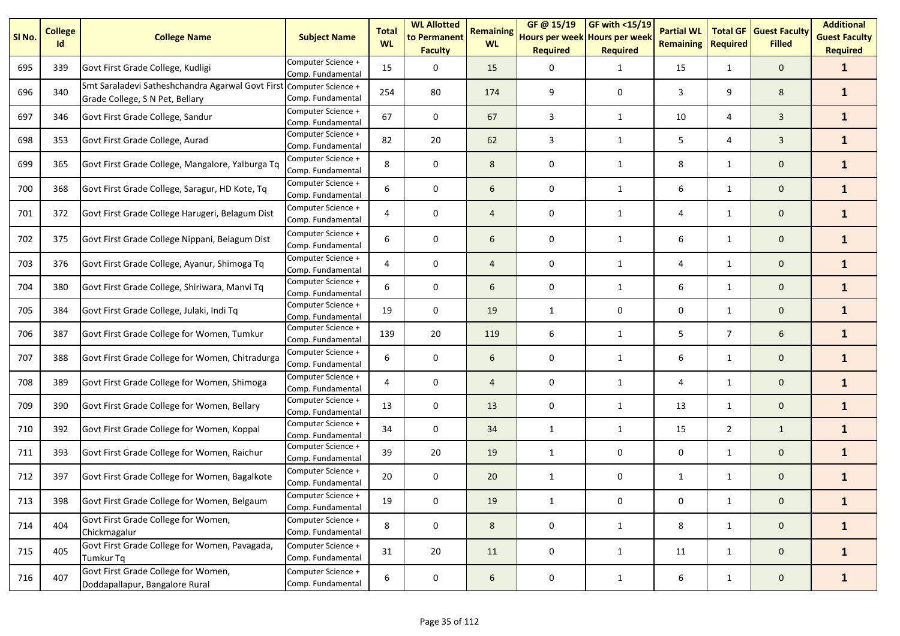| SI <sub>No.</sub> | <b>College</b><br>Id | <b>College Name</b>                                                                 | <b>Subject Name</b>                     | <b>Total</b><br><b>WL</b> | <b>WL Allotted</b><br>to Permanent<br><b>Faculty</b> | <b>Remaining</b><br><b>WL</b> | GF @ 15/19<br>Hours per week Hours per week<br><b>Required</b> | <b>GF with &lt;15/19</b><br><b>Required</b> | <b>Partial WL</b><br><b>Remaining</b> | <b>Total GF</b><br><b>Required</b> | <b>Guest Faculty</b><br><b>Filled</b> | <b>Additional</b><br><b>Guest Faculty</b><br><b>Required</b> |
|-------------------|----------------------|-------------------------------------------------------------------------------------|-----------------------------------------|---------------------------|------------------------------------------------------|-------------------------------|----------------------------------------------------------------|---------------------------------------------|---------------------------------------|------------------------------------|---------------------------------------|--------------------------------------------------------------|
| 695               | 339                  | Govt First Grade College, Kudligi                                                   | Computer Science +<br>Comp. Fundamental | 15                        | 0                                                    | 15                            | 0                                                              | $\mathbf{1}$                                | 15                                    | $\mathbf{1}$                       | $\mathbf 0$                           | $\mathbf{1}$                                                 |
| 696               | 340                  | Smt Saraladevi Satheshchandra Agarwal Govt First<br>Grade College, S N Pet, Bellary | Computer Science +<br>Comp. Fundamental | 254                       | 80                                                   | 174                           | 9                                                              | 0                                           | 3                                     | 9                                  | 8                                     | $\mathbf{1}$                                                 |
| 697               | 346                  | Govt First Grade College, Sandur                                                    | Computer Science +<br>Comp. Fundamental | 67                        | 0                                                    | 67                            | 3                                                              | $\mathbf{1}$                                | 10                                    | 4                                  | 3                                     | $\mathbf{1}$                                                 |
| 698               | 353                  | Govt First Grade College, Aurad                                                     | Computer Science +<br>Comp. Fundamental | 82                        | 20                                                   | 62                            | 3                                                              | 1                                           | 5                                     | 4                                  | $\overline{3}$                        | $\mathbf{1}$                                                 |
| 699               | 365                  | Govt First Grade College, Mangalore, Yalburga Tq                                    | Computer Science +<br>Comp. Fundamental | 8                         | 0                                                    | 8                             | 0                                                              | 1                                           | 8                                     | $\mathbf{1}$                       | $\mathbf 0$                           | $\mathbf{1}$                                                 |
| 700               | 368                  | Govt First Grade College, Saragur, HD Kote, Tq                                      | Computer Science +<br>Comp. Fundamental | 6                         | 0                                                    | 6                             | 0                                                              | 1                                           | 6                                     | $\mathbf{1}$                       | $\mathbf 0$                           | $\mathbf{1}$                                                 |
| 701               | 372                  | Govt First Grade College Harugeri, Belagum Dist                                     | Computer Science +<br>Comp. Fundamental |                           | 0                                                    | $\overline{4}$                | 0                                                              | 1                                           | 4                                     | $\mathbf{1}$                       | $\mathbf 0$                           | $\mathbf{1}$                                                 |
| 702               | 375                  | Govt First Grade College Nippani, Belagum Dist                                      | Computer Science +<br>Comp. Fundamental | 6                         | 0                                                    | 6                             | 0                                                              | 1                                           | 6                                     | 1                                  | $\mathbf 0$                           | $\mathbf{1}$                                                 |
| 703               | 376                  | Govt First Grade College, Ayanur, Shimoga Tq                                        | Computer Science +<br>Comp. Fundamental | 4                         | 0                                                    | 4                             | 0                                                              | $\mathbf{1}$                                | 4                                     | $\mathbf{1}$                       | $\mathbf 0$                           | $\mathbf{1}$                                                 |
| 704               | 380                  | Govt First Grade College, Shiriwara, Manvi Tq                                       | Computer Science +<br>Comp. Fundamental | 6                         | 0                                                    | 6                             | 0                                                              | 1                                           | 6                                     | $\mathbf{1}$                       | $\mathbf 0$                           | $\mathbf{1}$                                                 |
| 705               | 384                  | Govt First Grade College, Julaki, Indi Tq                                           | Computer Science +<br>Comp. Fundamental | 19                        | 0                                                    | 19                            | 1                                                              | 0                                           | 0                                     | $\mathbf{1}$                       | $\mathbf 0$                           | $\mathbf{1}$                                                 |
| 706               | 387                  | Govt First Grade College for Women, Tumkur                                          | Computer Science +<br>Comp. Fundamental | 139                       | 20                                                   | 119                           | 6                                                              | 1                                           | 5                                     | $\overline{7}$                     | 6                                     | $\mathbf{1}$                                                 |
| 707               | 388                  | Govt First Grade College for Women, Chitradurga                                     | Computer Science +<br>Comp. Fundamental | 6                         | 0                                                    | 6                             | 0                                                              | 1                                           | 6                                     | $\mathbf{1}$                       | $\mathbf 0$                           | $\mathbf{1}$                                                 |
| 708               | 389                  | Govt First Grade College for Women, Shimoga                                         | Computer Science +<br>Comp. Fundamental | 4                         | 0                                                    | $\overline{4}$                | 0                                                              | $\mathbf{1}$                                | 4                                     | $\mathbf{1}$                       | $\mathbf 0$                           | $\mathbf{1}$                                                 |
| 709               | 390                  | Govt First Grade College for Women, Bellary                                         | Computer Science +<br>Comp. Fundamental | 13                        | 0                                                    | 13                            | 0                                                              | 1                                           | 13                                    | $\mathbf{1}$                       | $\mathbf 0$                           | $\mathbf{1}$                                                 |
| 710               | 392                  | Govt First Grade College for Women, Koppal                                          | Computer Science +<br>Comp. Fundamental | 34                        | 0                                                    | 34                            | 1                                                              | 1                                           | 15                                    | $\overline{2}$                     | $\mathbf{1}$                          | $\mathbf{1}$                                                 |
| 711               | 393                  | Govt First Grade College for Women, Raichur                                         | Computer Science +<br>Comp. Fundamental | 39                        | 20                                                   | 19                            | 1                                                              | 0                                           | 0                                     | 1                                  | $\mathbf 0$                           | $\mathbf{1}$                                                 |
| 712               | 397                  | Govt First Grade College for Women, Bagalkote                                       | Computer Science +<br>Comp. Fundamental | 20                        | 0                                                    | 20                            | $\mathbf{1}$                                                   | 0                                           | $\mathbf{1}$                          | $\mathbf{1}$                       | $\mathbf 0$                           | $\mathbf{1}$                                                 |
| 713               | 398                  | Govt First Grade College for Women, Belgaum                                         | Computer Science +<br>Comp. Fundamental | 19                        | 0                                                    | 19                            | $\mathbf{1}$                                                   | 0                                           | 0                                     | $\mathbf{1}$                       | 0                                     | $\mathbf{1}$                                                 |
| 714               | 404                  | Govt First Grade College for Women,<br>Chickmagalur                                 | Computer Science +<br>Comp. Fundamental | 8                         | $\pmb{0}$                                            | 8                             | $\pmb{0}$                                                      | $\mathbf{1}$                                | 8                                     | $\mathbf{1}$                       | $\mathbf{0}$                          | $\mathbf{1}$                                                 |
| 715               | 405                  | Govt First Grade College for Women, Pavagada,<br><b>Tumkur Tq</b>                   | Computer Science +<br>Comp. Fundamental | 31                        | 20                                                   | 11                            | $\pmb{0}$                                                      | 1                                           | 11                                    | $\mathbf{1}$                       | $\mathbf{0}$                          | $\mathbf{1}$                                                 |
| 716               | 407                  | Govt First Grade College for Women,<br>Doddapallapur, Bangalore Rural               | Computer Science +<br>Comp. Fundamental | 6                         | $\pmb{0}$                                            | 6                             | $\pmb{0}$                                                      | $\mathbf{1}$                                | 6                                     | $\mathbf{1}$                       | $\mathbf{0}$                          | $\mathbf{1}$                                                 |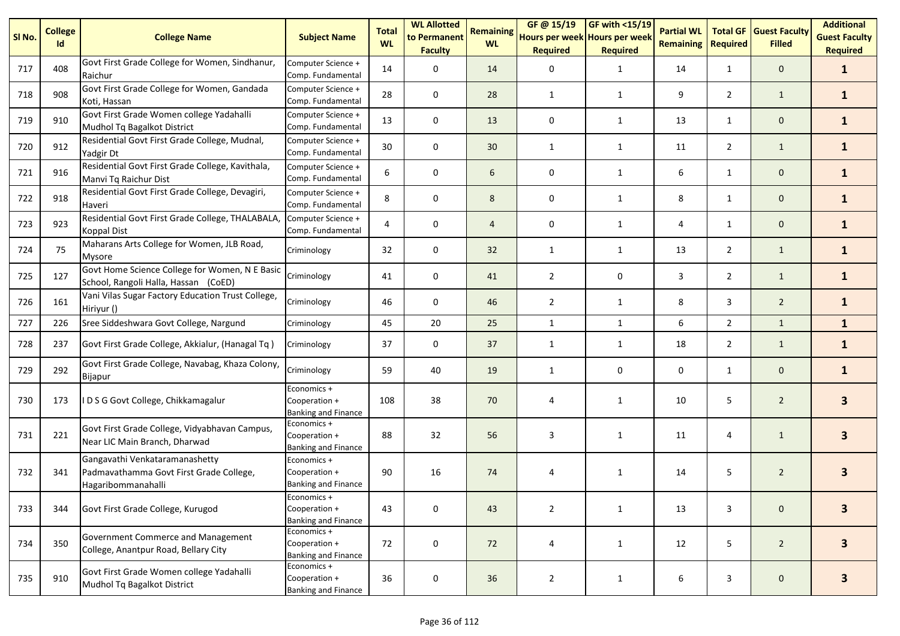| SI No. | <b>College</b><br>Id | <b>College Name</b>                                                                             | <b>Subject Name</b>                                        | <b>Total</b><br><b>WL</b> | <b>WL Allotted</b><br>to Permanent<br><b>Faculty</b> | <b>Remaining</b><br><b>WL</b> | GF @ 15/19<br>Hours per week Hours per week<br><b>Required</b> | <b>GF with &lt;15/19</b><br><b>Required</b> | <b>Partial WL</b><br><b>Remaining</b> | <b>Total GF</b><br><b>Required</b> | <b>Guest Faculty</b><br><b>Filled</b> | <b>Additional</b><br><b>Guest Faculty</b><br><b>Required</b> |
|--------|----------------------|-------------------------------------------------------------------------------------------------|------------------------------------------------------------|---------------------------|------------------------------------------------------|-------------------------------|----------------------------------------------------------------|---------------------------------------------|---------------------------------------|------------------------------------|---------------------------------------|--------------------------------------------------------------|
| 717    | 408                  | Govt First Grade College for Women, Sindhanur,<br>Raichur                                       | Computer Science +<br>Comp. Fundamental                    | 14                        | 0                                                    | 14                            | 0                                                              | $\mathbf{1}$                                | 14                                    | 1                                  | $\mathbf 0$                           | $\mathbf{1}$                                                 |
| 718    | 908                  | Govt First Grade College for Women, Gandada<br>Koti, Hassan                                     | Computer Science +<br>Comp. Fundamental                    | 28                        | 0                                                    | 28                            | $\mathbf{1}$                                                   | 1                                           | 9                                     | $\overline{2}$                     | $\mathbf{1}$                          | $\mathbf{1}$                                                 |
| 719    | 910                  | Govt First Grade Women college Yadahalli<br>Mudhol Tq Bagalkot District                         | Computer Science +<br>Comp. Fundamental                    | 13                        | 0                                                    | 13                            | 0                                                              | 1                                           | 13                                    | $\mathbf{1}$                       | $\mathbf 0$                           | $\mathbf{1}$                                                 |
| 720    | 912                  | Residential Govt First Grade College, Mudnal,<br>Yadgir Dt                                      | Computer Science +<br>Comp. Fundamental                    | 30                        | 0                                                    | 30 <sup>°</sup>               | $\mathbf{1}$                                                   | 1                                           | 11                                    | $\overline{2}$                     | $\mathbf{1}$                          | $\mathbf{1}$                                                 |
| 721    | 916                  | Residential Govt First Grade College, Kavithala,<br>Manvi Tq Raichur Dist                       | Computer Science +<br>Comp. Fundamental                    | 6                         | 0                                                    | 6                             | 0                                                              | 1                                           | 6                                     | $\mathbf{1}$                       | $\mathbf 0$                           | $\mathbf{1}$                                                 |
| 722    | 918                  | Residential Govt First Grade College, Devagiri,<br>Haveri                                       | Computer Science +<br>Comp. Fundamental                    | 8                         | 0                                                    | 8                             | 0                                                              | $\mathbf{1}$                                | 8                                     | $\mathbf{1}$                       | $\mathbf 0$                           | $\mathbf{1}$                                                 |
| 723    | 923                  | Residential Govt First Grade College, THALABALA,<br><b>Koppal Dist</b>                          | Computer Science +<br>Comp. Fundamental                    | 4                         | 0                                                    | 4                             | 0                                                              | 1                                           | 4                                     | $\mathbf{1}$                       | $\mathbf 0$                           | $\mathbf{1}$                                                 |
| 724    | 75                   | Maharans Arts College for Women, JLB Road,<br>Mysore                                            | Criminology                                                | 32                        | 0                                                    | 32                            | 1                                                              | $\mathbf{1}$                                | 13                                    | $\overline{2}$                     | $\mathbf{1}$                          | $\mathbf{1}$                                                 |
| 725    | 127                  | Govt Home Science College for Women, N E Basic<br>School, Rangoli Halla, Hassan (CoED)          | Criminology                                                | 41                        | 0                                                    | 41                            | $\overline{2}$                                                 | 0                                           | 3                                     | $\overline{2}$                     | $\mathbf{1}$                          | $\mathbf{1}$                                                 |
| 726    | 161                  | Vani Vilas Sugar Factory Education Trust College,<br>Hiriyur ()                                 | Criminology                                                | 46                        | 0                                                    | 46                            | $\overline{2}$                                                 | $\mathbf{1}$                                | 8                                     | 3                                  | $\overline{2}$                        | $\mathbf{1}$                                                 |
| 727    | 226                  | Sree Siddeshwara Govt College, Nargund                                                          | Criminology                                                | 45                        | 20                                                   | 25                            | $\mathbf{1}$                                                   | $\mathbf{1}$                                | 6                                     | $\overline{2}$                     | $\mathbf{1}$                          | $\mathbf{1}$                                                 |
| 728    | 237                  | Govt First Grade College, Akkialur, (Hanagal Tq)                                                | Criminology                                                | 37                        | 0                                                    | 37                            | 1                                                              | $\mathbf{1}$                                | 18                                    | $\overline{2}$                     | $\mathbf{1}$                          | $\mathbf{1}$                                                 |
| 729    | 292                  | Govt First Grade College, Navabag, Khaza Colony,<br>Bijapur                                     | Criminology                                                | 59                        | 40                                                   | 19                            | 1                                                              | 0                                           | 0                                     | $\mathbf{1}$                       | $\mathbf 0$                           | $\mathbf{1}$                                                 |
| 730    | 173                  | I D S G Govt College, Chikkamagalur                                                             | Economics +<br>Cooperation +<br>Banking and Finance        | 108                       | 38                                                   | 70                            | 4                                                              | $\mathbf{1}$                                | 10                                    | 5                                  | $\overline{2}$                        | $\mathbf{3}$                                                 |
| 731    | 221                  | Govt First Grade College, Vidyabhavan Campus,<br>Near LIC Main Branch, Dharwad                  | Economics +<br>Cooperation +<br>Banking and Finance        | 88                        | 32                                                   | 56                            | 3                                                              | 1                                           | 11                                    | 4                                  | $\mathbf{1}$                          | 3                                                            |
| 732    | 341                  | Gangavathi Venkataramanashetty<br>Padmavathamma Govt First Grade College,<br>Hagaribommanahalli | Economics +<br>Cooperation +<br><b>Banking and Finance</b> | 90                        | 16                                                   | 74                            | $\overline{4}$                                                 | $\mathbf{1}$                                | 14                                    | 5                                  | $\overline{2}$                        |                                                              |
| 733    | 344                  | Govt First Grade College, Kurugod                                                               | Economics +<br>Cooperation +<br><b>Banking and Finance</b> | 43                        | $\pmb{0}$                                            | 43                            | $\overline{2}$                                                 | $\mathbf{1}$                                | 13                                    | 3                                  | $\mathbf 0$                           | $\mathbf{3}$                                                 |
| 734    | 350                  | Government Commerce and Management<br>College, Anantpur Road, Bellary City                      | Economics +<br>Cooperation +<br><b>Banking and Finance</b> | 72                        | $\pmb{0}$                                            | 72                            | 4                                                              | $\mathbf{1}$                                | 12                                    | 5                                  | $\overline{2}$                        | $\overline{\mathbf{3}}$                                      |
| 735    | 910                  | Govt First Grade Women college Yadahalli<br>Mudhol Tq Bagalkot District                         | Economics +<br>Cooperation +<br><b>Banking and Finance</b> | 36                        | $\pmb{0}$                                            | 36                            | $\overline{2}$                                                 | $\mathbf{1}$                                | 6                                     | 3                                  | $\pmb{0}$                             | 3                                                            |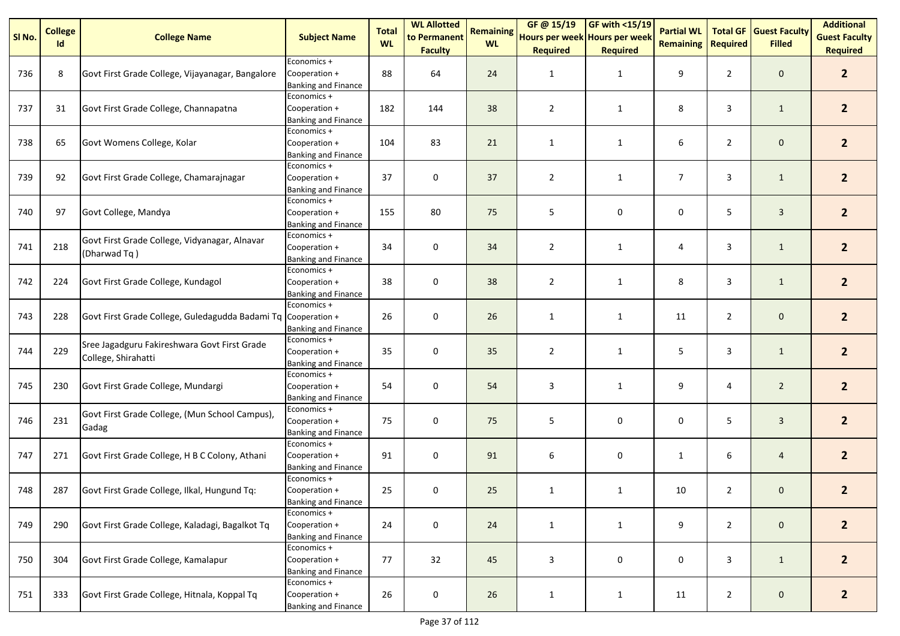| SI No. | <b>College</b><br>Id | <b>College Name</b>                                                 | <b>Subject Name</b>                                        | <b>Total</b><br><b>WL</b> | <b>WL Allotted</b><br>to Permanent | <b>Remaining</b><br><b>WL</b> | GF @ 15/19<br>Hours per week Hours per week | <b>GF with &lt;15/19</b> | <b>Partial WL</b><br><b>Remaining</b> | <b>Total GF</b><br><b>Required</b> | <b>Guest Faculty</b><br><b>Filled</b> | <b>Additional</b><br><b>Guest Faculty</b> |
|--------|----------------------|---------------------------------------------------------------------|------------------------------------------------------------|---------------------------|------------------------------------|-------------------------------|---------------------------------------------|--------------------------|---------------------------------------|------------------------------------|---------------------------------------|-------------------------------------------|
|        |                      |                                                                     |                                                            |                           | <b>Faculty</b>                     |                               | <b>Required</b>                             | <b>Required</b>          |                                       |                                    |                                       | <b>Required</b>                           |
| 736    | 8                    | Govt First Grade College, Vijayanagar, Bangalore                    | Economics +<br>Cooperation +<br><b>Banking and Finance</b> | 88                        | 64                                 | 24                            | 1                                           | $\mathbf{1}$             | 9                                     | $\overline{2}$                     | $\mathbf 0$                           | 2 <sup>2</sup>                            |
| 737    | 31                   | Govt First Grade College, Channapatna                               | Economics +<br>Cooperation +<br><b>Banking and Finance</b> | 182                       | 144                                | 38                            | $\overline{2}$                              | $\mathbf{1}$             | 8                                     | 3                                  | $\mathbf{1}$                          | $\overline{2}$                            |
| 738    | 65                   | Govt Womens College, Kolar                                          | Economics +<br>Cooperation +<br><b>Banking and Finance</b> | 104                       | 83                                 | 21                            | $\mathbf{1}$                                | 1                        | 6                                     | $\overline{2}$                     | $\mathbf 0$                           | 2 <sup>2</sup>                            |
| 739    | 92                   | Govt First Grade College, Chamarajnagar                             | Economics +<br>Cooperation +<br><b>Banking and Finance</b> | 37                        | 0                                  | 37                            | $\overline{2}$                              | $\mathbf{1}$             | $\overline{7}$                        | 3                                  | $\mathbf{1}$                          | 2 <sup>1</sup>                            |
| 740    | 97                   | Govt College, Mandya                                                | Economics +<br>Cooperation +<br><b>Banking and Finance</b> | 155                       | 80                                 | 75                            | 5                                           | 0                        | 0                                     | 5                                  | $\mathbf{3}$                          | 2 <sup>1</sup>                            |
| 741    | 218                  | Govt First Grade College, Vidyanagar, Alnavar<br>(Dharwad Tq)       | Economics +<br>Cooperation +<br><b>Banking and Finance</b> | 34                        | 0                                  | 34                            | $\overline{2}$                              | $\mathbf{1}$             | 4                                     | 3                                  | $\mathbf{1}$                          | 2 <sup>2</sup>                            |
| 742    | 224                  | Govt First Grade College, Kundagol                                  | Economics +<br>Cooperation +<br><b>Banking and Finance</b> | 38                        | 0                                  | 38                            | $\overline{2}$                              | $\mathbf{1}$             | 8                                     | 3                                  | $\mathbf{1}$                          | 2 <sup>2</sup>                            |
| 743    | 228                  | Govt First Grade College, Guledagudda Badami Tq                     | Economics +<br>Cooperation +<br><b>Banking and Finance</b> | 26                        | 0                                  | 26                            | $\mathbf{1}$                                | $\mathbf{1}$             | 11                                    | $\overline{2}$                     | $\mathbf 0$                           | $\overline{2}$                            |
| 744    | 229                  | Sree Jagadguru Fakireshwara Govt First Grade<br>College, Shirahatti | Economics +<br>Cooperation +<br>Banking and Finance        | 35                        | $\pmb{0}$                          | 35                            | $\overline{2}$                              | $\mathbf{1}$             | 5                                     | 3                                  | $\mathbf{1}$                          | 2 <sup>2</sup>                            |
| 745    | 230                  | Govt First Grade College, Mundargi                                  | Economics +<br>Cooperation +<br>Banking and Finance        | 54                        | $\pmb{0}$                          | 54                            | 3                                           | $\mathbf{1}$             | 9                                     | 4                                  | $\overline{2}$                        | 2 <sup>2</sup>                            |
| 746    | 231                  | Govt First Grade College, (Mun School Campus),<br>Gadag             | Economics +<br>Cooperation +<br>Banking and Finance        | 75                        | 0                                  | 75                            | 5                                           | 0                        | 0                                     | 5                                  | $\overline{3}$                        | 2 <sup>1</sup>                            |
| 747    | 271                  | Govt First Grade College, H B C Colony, Athani                      | Economics +<br>Cooperation +<br>Banking and Finance        | 91                        | 0                                  | 91                            | 6                                           | 0                        | $\mathbf{1}$                          | 6                                  | $\overline{4}$                        | 2 <sup>1</sup>                            |
| 748    | 287                  | Govt First Grade College, Ilkal, Hungund Tq:                        | Economics +<br>Cooperation +<br><b>Banking and Finance</b> | 25                        | $\pmb{0}$                          | 25                            | $\mathbf{1}$                                | $\mathbf{1}$             | 10                                    | $\overline{2}$                     | $\mathbf 0$                           | $\overline{2}$                            |
| 749    | 290                  | Govt First Grade College, Kaladagi, Bagalkot Tq                     | Economics +<br>Cooperation +<br><b>Banking and Finance</b> | 24                        | $\pmb{0}$                          | 24                            | $\mathbf{1}$                                | $\mathbf{1}$             | 9                                     | $\overline{2}$                     | $\mathbf 0$                           | 2 <sup>2</sup>                            |
| 750    | 304                  | Govt First Grade College, Kamalapur                                 | Economics +<br>Cooperation +<br><b>Banking and Finance</b> | 77                        | 32                                 | 45                            | 3                                           | 0                        | 0                                     | 3                                  | $\mathbf{1}$                          | $\overline{2}$                            |
| 751    | 333                  | Govt First Grade College, Hitnala, Koppal Tq                        | Economics +<br>Cooperation +<br><b>Banking and Finance</b> | 26                        | $\pmb{0}$                          | 26                            | $\mathbf{1}$                                | $\mathbf{1}$             | 11                                    | $\overline{2}$                     | $\mathsf{O}\xspace$                   | $\overline{2}$                            |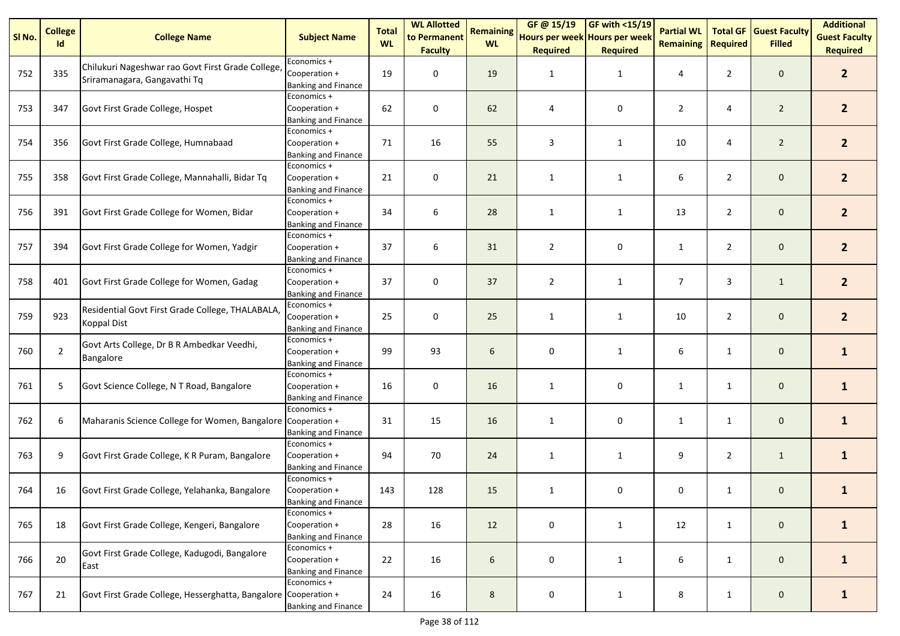| SI No. | <b>College</b><br>Id | <b>College Name</b>                                                               | <b>Subject Name</b>                                        | <b>Total</b><br><b>WL</b> | <b>WL Allotted</b><br>to Permanent<br><b>Faculty</b> | <b>Remaining</b><br><b>WL</b> | GF @ 15/19<br>Hours per week Hours per week<br><b>Required</b> | <b>GF with &lt;15/19</b><br><b>Required</b> | <b>Partial WL</b><br><b>Remaining</b> | <b>Total GF</b><br>Required | <b>Guest Faculty</b><br><b>Filled</b> | <b>Additional</b><br><b>Guest Faculty</b><br><b>Required</b> |
|--------|----------------------|-----------------------------------------------------------------------------------|------------------------------------------------------------|---------------------------|------------------------------------------------------|-------------------------------|----------------------------------------------------------------|---------------------------------------------|---------------------------------------|-----------------------------|---------------------------------------|--------------------------------------------------------------|
| 752    | 335                  | Chilukuri Nageshwar rao Govt First Grade College,<br>Sriramanagara, Gangavathi Tq | Economics +<br>Cooperation +<br><b>Banking and Finance</b> | 19                        | 0                                                    | 19                            | 1                                                              | $\mathbf{1}$                                | 4                                     | $\overline{2}$              | $\mathbf 0$                           | 2 <sup>2</sup>                                               |
| 753    | 347                  | Govt First Grade College, Hospet                                                  | Economics +<br>Cooperation +<br><b>Banking and Finance</b> | 62                        | 0                                                    | 62                            | 4                                                              | 0                                           | $\overline{2}$                        | 4                           | $\overline{2}$                        | $\overline{2}$                                               |
| 754    | 356                  | Govt First Grade College, Humnabaad                                               | Economics +<br>Cooperation +<br><b>Banking and Finance</b> | 71                        | 16                                                   | 55                            | 3                                                              | 1                                           | 10                                    | 4                           | $\overline{2}$                        | 2 <sup>2</sup>                                               |
| 755    | 358                  | Govt First Grade College, Mannahalli, Bidar Tq                                    | Economics +<br>Cooperation +<br><b>Banking and Finance</b> | 21                        | 0                                                    | 21                            | $\mathbf{1}$                                                   | $\mathbf{1}$                                | 6                                     | $\overline{2}$              | $\mathbf 0$                           | 2 <sup>1</sup>                                               |
| 756    | 391                  | Govt First Grade College for Women, Bidar                                         | Economics +<br>Cooperation +<br>Banking and Finance        | 34                        | 6                                                    | 28                            | $\mathbf{1}$                                                   | $\mathbf{1}$                                | 13                                    | $\overline{2}$              | $\mathbf 0$                           | 2 <sup>1</sup>                                               |
| 757    | 394                  | Govt First Grade College for Women, Yadgir                                        | Economics +<br>Cooperation +<br>Banking and Finance        | 37                        | 6                                                    | 31                            | $\overline{2}$                                                 | 0                                           | $\mathbf{1}$                          | $\overline{2}$              | $\mathbf 0$                           | 2 <sup>2</sup>                                               |
| 758    | 401                  | Govt First Grade College for Women, Gadag                                         | Economics +<br>Cooperation +<br><b>Banking and Finance</b> | 37                        | 0                                                    | 37                            | $\overline{2}$                                                 | $\mathbf{1}$                                | 7                                     | 3                           | $\mathbf{1}$                          | 2 <sup>2</sup>                                               |
| 759    | 923                  | Residential Govt First Grade College, THALABALA,<br><b>Koppal Dist</b>            | Economics +<br>Cooperation +<br>Banking and Finance        | 25                        | 0                                                    | 25                            | $\mathbf{1}$                                                   | $\mathbf{1}$                                | 10                                    | $\overline{2}$              | $\mathbf 0$                           | 2 <sup>2</sup>                                               |
| 760    | $\overline{2}$       | Govt Arts College, Dr B R Ambedkar Veedhi,<br>Bangalore                           | Economics +<br>Cooperation +<br>Banking and Finance        | 99                        | 93                                                   | 6                             | 0                                                              | $\mathbf{1}$                                | 6                                     | $\mathbf{1}$                | $\mathbf 0$                           | $\mathbf{1}$                                                 |
| 761    | $5\phantom{.0}$      | Govt Science College, N T Road, Bangalore                                         | Economics +<br>Cooperation +<br>Banking and Finance        | 16                        | $\pmb{0}$                                            | 16                            | 1                                                              | 0                                           | $\mathbf{1}$                          | $\mathbf{1}$                | $\mathbf 0$                           | $\mathbf{1}$                                                 |
| 762    | 6                    | Maharanis Science College for Women, Bangalore Cooperation +                      | Economics +<br>Banking and Finance                         | 31                        | 15                                                   | 16                            | $\mathbf{1}$                                                   | 0                                           | $\mathbf{1}$                          | $\mathbf{1}$                | $\mathbf 0$                           | $\mathbf{1}$                                                 |
| 763    | 9                    | Govt First Grade College, K R Puram, Bangalore                                    | Economics +<br>Cooperation +<br>Banking and Finance        | 94                        | 70                                                   | 24                            | $\mathbf{1}$                                                   | $\mathbf{1}$                                | 9                                     | $\overline{2}$              | $\mathbf{1}$                          | $\mathbf{1}$                                                 |
| 764    | 16                   | Govt First Grade College, Yelahanka, Bangalore                                    | Economics +<br>Cooperation +<br><b>Banking and Finance</b> | 143                       | 128                                                  | 15                            | $\mathbf{1}$                                                   | 0                                           | 0                                     | $\mathbf{1}$                | $\mathbf 0$                           | $\mathbf{1}$                                                 |
| 765    | 18                   | Govt First Grade College, Kengeri, Bangalore                                      | Economics +<br>Cooperation +<br><b>Banking and Finance</b> | 28                        | 16                                                   | 12                            | $\pmb{0}$                                                      | $\mathbf{1}$                                | 12                                    | $\mathbf{1}$                | $\mathsf{O}\xspace$                   | $\mathbf{1}$                                                 |
| 766    | 20                   | Govt First Grade College, Kadugodi, Bangalore<br>East                             | Economics +<br>Cooperation +<br><b>Banking and Finance</b> | 22                        | 16                                                   | 6                             | 0                                                              | $\mathbf{1}$                                | 6                                     | $\mathbf{1}$                | $\mathbf 0$                           | $\mathbf{1}$                                                 |
| 767    | 21                   | Govt First Grade College, Hesserghatta, Bangalore Cooperation +                   | Economics +<br><b>Banking and Finance</b>                  | 24                        | 16                                                   | 8                             | $\pmb{0}$                                                      | $\mathbf{1}$                                | 8                                     | $\mathbf{1}$                | $\mathsf{O}\xspace$                   | $\mathbf{1}$                                                 |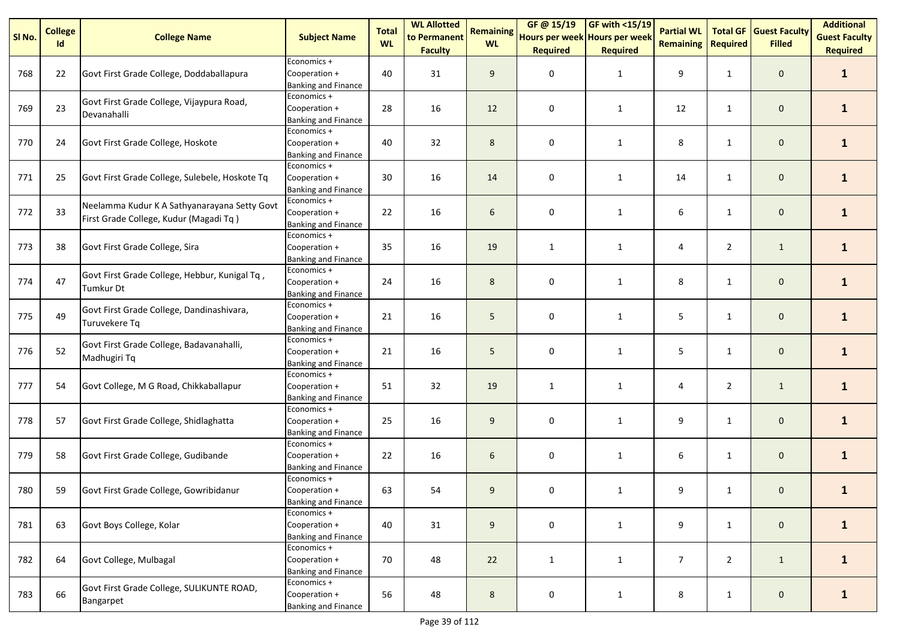| SI No. | <b>College</b> | <b>College Name</b>                                                                    | <b>Subject Name</b>                                        | <b>Total</b> | <b>WL Allotted</b><br>to Permanent | <b>Remaining</b> | GF@ 15/19<br>Hours per week Hours per week | <b>GF with &lt;15/19</b> | <b>Partial WL</b> | <b>Total GF</b> | <b>Guest Faculty</b> | <b>Additional</b><br><b>Guest Faculty</b> |
|--------|----------------|----------------------------------------------------------------------------------------|------------------------------------------------------------|--------------|------------------------------------|------------------|--------------------------------------------|--------------------------|-------------------|-----------------|----------------------|-------------------------------------------|
|        | Id             |                                                                                        |                                                            | <b>WL</b>    | <b>Faculty</b>                     | <b>WL</b>        | <b>Required</b>                            | <b>Required</b>          | <b>Remaining</b>  | <b>Required</b> | <b>Filled</b>        | <b>Required</b>                           |
| 768    | 22             | Govt First Grade College, Doddaballapura                                               | Economics +<br>Cooperation +<br><b>Banking and Finance</b> | 40           | 31                                 | 9                | 0                                          | $\mathbf{1}$             | 9                 | $\mathbf{1}$    | $\mathbf 0$          | $\mathbf{1}$                              |
| 769    | 23             | Govt First Grade College, Vijaypura Road,<br>Devanahalli                               | Economics +<br>Cooperation +<br><b>Banking and Finance</b> | 28           | 16                                 | 12               | 0                                          | 1                        | 12                | $\mathbf{1}$    | $\mathbf 0$          | $\mathbf{1}$                              |
| 770    | 24             | Govt First Grade College, Hoskote                                                      | Economics +<br>Cooperation +<br><b>Banking and Finance</b> | 40           | 32                                 | 8                | 0                                          | 1                        | 8                 | $\mathbf{1}$    | $\mathbf 0$          | $\mathbf{1}$                              |
| 771    | 25             | Govt First Grade College, Sulebele, Hoskote Tq                                         | Economics +<br>Cooperation +<br><b>Banking and Finance</b> | 30           | 16                                 | 14               | 0                                          | $\mathbf{1}$             | 14                | $\mathbf{1}$    | $\mathbf 0$          | $\mathbf{1}$                              |
| 772    | 33             | Neelamma Kudur K A Sathyanarayana Setty Govt<br>First Grade College, Kudur (Magadi Tq) | Economics +<br>Cooperation +<br><b>Banking and Finance</b> | 22           | 16                                 | 6                | 0                                          | 1                        | 6                 | $\mathbf{1}$    | $\mathbf 0$          | $\mathbf{1}$                              |
| 773    | 38             | Govt First Grade College, Sira                                                         | Economics +<br>Cooperation +<br><b>Banking and Finance</b> | 35           | 16                                 | 19               | $\mathbf{1}$                               | 1                        | 4                 | $\overline{2}$  | $\mathbf{1}$         | $\mathbf{1}$                              |
| 774    | 47             | Govt First Grade College, Hebbur, Kunigal Tq,<br><b>Tumkur Dt</b>                      | Economics +<br>Cooperation +<br><b>Banking and Finance</b> | 24           | 16                                 | 8                | 0                                          | $\mathbf{1}$             | 8                 | $\mathbf{1}$    | $\mathbf 0$          | $\mathbf{1}$                              |
| 775    | 49             | Govt First Grade College, Dandinashivara,<br>Turuvekere Tq                             | Economics +<br>Cooperation +<br><b>Banking and Finance</b> | 21           | 16                                 | 5                | 0                                          | $\mathbf{1}$             | 5                 | 1               | $\mathbf 0$          | $\mathbf{1}$                              |
| 776    | 52             | Govt First Grade College, Badavanahalli,<br>Madhugiri Tq                               | Economics +<br>Cooperation +<br><b>Banking and Finance</b> | 21           | 16                                 | 5                | 0                                          | 1                        | 5                 | $\mathbf{1}$    | $\mathsf{O}\xspace$  | $\mathbf{1}$                              |
| 777    | 54             | Govt College, M G Road, Chikkaballapur                                                 | Economics +<br>Cooperation +<br><b>Banking and Finance</b> | 51           | 32                                 | 19               | $\mathbf{1}$                               | 1                        | 4                 | $\overline{2}$  | $\mathbf{1}$         | $\mathbf{1}$                              |
| 778    | 57             | Govt First Grade College, Shidlaghatta                                                 | Economics +<br>Cooperation +<br><b>Banking and Finance</b> | 25           | 16                                 | 9                | 0                                          | $\mathbf{1}$             | 9                 | $\mathbf{1}$    | $\mathbf 0$          | $\mathbf{1}$                              |
| 779    | 58             | Govt First Grade College, Gudibande                                                    | Economics +<br>Cooperation +<br><b>Banking and Finance</b> | 22           | 16                                 | 6                | 0                                          | $\mathbf{1}$             | 6                 | 1               | $\mathbf 0$          | $\mathbf{1}$                              |
| 780    | 59             | Govt First Grade College, Gowribidanur                                                 | Economics +<br>Cooperation +<br><b>Banking and Finance</b> | 63           | 54                                 | 9                | 0                                          | $\mathbf{1}$             | 9                 | $\mathbf{1}$    | $\mathbf 0$          | $\mathbf{1}$                              |
| 781    | 63             | Govt Boys College, Kolar                                                               | Economics +<br>Cooperation +<br><b>Banking and Finance</b> | 40           | 31                                 | 9                | 0                                          | $\mathbf{1}$             | 9                 | $\mathbf{1}$    | $\mathbf{0}$         | $\mathbf{1}$                              |
| 782    | 64             | Govt College, Mulbagal                                                                 | Economics +<br>Cooperation +<br><b>Banking and Finance</b> | 70           | 48                                 | 22               | $\mathbf{1}$                               | $\mathbf{1}$             | 7                 | $\overline{2}$  | $\mathbf{1}$         | $\mathbf{1}$                              |
| 783    | 66             | Govt First Grade College, SULIKUNTE ROAD,<br>Bangarpet                                 | Economics +<br>Cooperation +<br><b>Banking and Finance</b> | 56           | 48                                 | 8                | 0                                          | 1                        | 8                 | $\mathbf{1}$    | $\mathsf{O}\xspace$  | $\mathbf{1}$                              |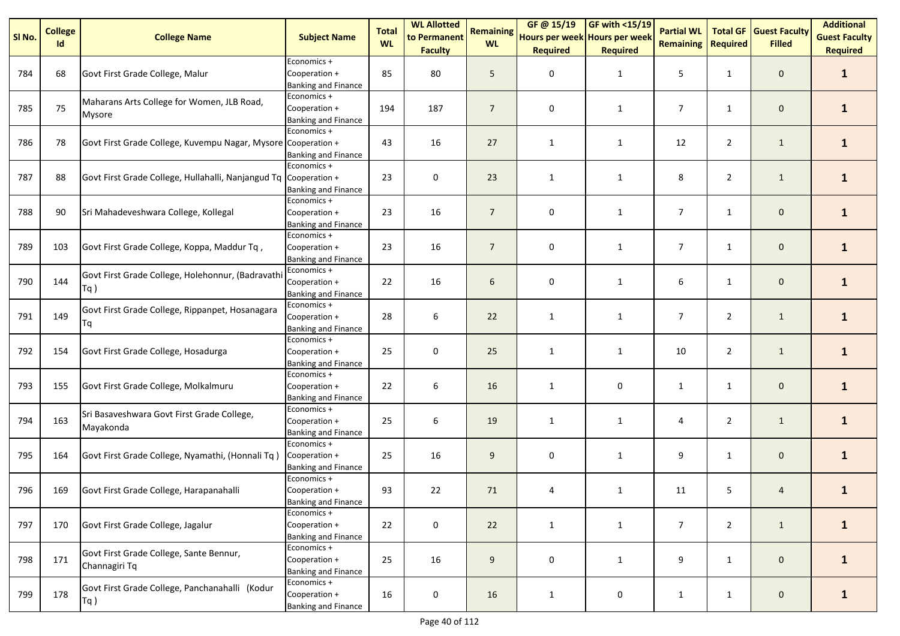| SI No. | <b>College</b><br>Id | <b>College Name</b>                                              | <b>Subject Name</b>                                        | <b>Total</b><br><b>WL</b> | <b>WL Allotted</b><br>to Permanent | <b>Remaining</b><br><b>WL</b> | GF @ 15/19<br>Hours per week Hours per week | <b>GF with &lt;15/19</b> | <b>Partial WL</b><br><b>Remaining</b> | <b>Total GF</b><br><b>Required</b> | <b>Guest Faculty</b><br><b>Filled</b> | <b>Additional</b><br><b>Guest Faculty</b> |
|--------|----------------------|------------------------------------------------------------------|------------------------------------------------------------|---------------------------|------------------------------------|-------------------------------|---------------------------------------------|--------------------------|---------------------------------------|------------------------------------|---------------------------------------|-------------------------------------------|
|        |                      |                                                                  |                                                            |                           | <b>Faculty</b>                     |                               | <b>Required</b>                             | <b>Required</b>          |                                       |                                    |                                       | <b>Required</b>                           |
| 784    | 68                   | Govt First Grade College, Malur                                  | Economics +<br>Cooperation +<br>Banking and Finance        | 85                        | 80                                 | 5                             | 0                                           | 1                        | 5                                     | $\mathbf{1}$                       | $\mathbf 0$                           | $\mathbf{1}$                              |
| 785    | 75                   | Maharans Arts College for Women, JLB Road,<br>Mysore             | Economics +<br>Cooperation +<br>Banking and Finance        | 194                       | 187                                | $\overline{7}$                | $\pmb{0}$                                   | $\mathbf{1}$             | $\overline{7}$                        | $\mathbf{1}$                       | $\mathsf{O}\xspace$                   | $\mathbf{1}$                              |
| 786    | 78                   | Govt First Grade College, Kuvempu Nagar, Mysore Cooperation +    | Economics +<br><b>Banking and Finance</b>                  | 43                        | 16                                 | 27                            | $\mathbf{1}$                                | $\mathbf{1}$             | 12                                    | $\overline{2}$                     | $\mathbf{1}$                          | $\mathbf{1}$                              |
| 787    | 88                   | Govt First Grade College, Hullahalli, Nanjangud Tq Cooperation + | Economics +<br><b>Banking and Finance</b>                  | 23                        | 0                                  | 23                            | $\mathbf{1}$                                | $\mathbf{1}$             | 8                                     | $\overline{2}$                     | $\mathbf{1}$                          | $\mathbf{1}$                              |
| 788    | 90                   | Sri Mahadeveshwara College, Kollegal                             | Economics +<br>Cooperation +<br>Banking and Finance        | 23                        | 16                                 | $\overline{7}$                | 0                                           | $\mathbf{1}$             | $\overline{7}$                        | $\mathbf{1}$                       | $\mathbf 0$                           | $\mathbf{1}$                              |
| 789    | 103                  | Govt First Grade College, Koppa, Maddur Tq,                      | Economics +<br>Cooperation +<br><b>Banking and Finance</b> | 23                        | 16                                 | $\overline{7}$                | 0                                           | $\mathbf{1}$             | $\overline{7}$                        | $\mathbf{1}$                       | $\mathsf{O}\xspace$                   | $\mathbf{1}$                              |
| 790    | 144                  | Govt First Grade College, Holehonnur, (Badravath<br>$Tq$ )       | Economics +<br>Cooperation +<br><b>Banking and Finance</b> | 22                        | 16                                 | 6                             | 0                                           | $\mathbf{1}$             | 6                                     | $\mathbf{1}$                       | $\mathbf 0$                           | $\mathbf{1}$                              |
| 791    | 149                  | Govt First Grade College, Rippanpet, Hosanagara<br>Tq            | Economics +<br>Cooperation +<br>Banking and Finance        | 28                        | 6                                  | 22                            | $\mathbf{1}$                                | $\mathbf{1}$             | $\overline{7}$                        | $\overline{2}$                     | $\mathbf{1}$                          | $\mathbf{1}$                              |
| 792    | 154                  | Govt First Grade College, Hosadurga                              | Economics +<br>Cooperation +<br>Banking and Finance        | 25                        | $\pmb{0}$                          | 25                            | $\mathbf{1}$                                | $\mathbf{1}$             | 10                                    | $\overline{2}$                     | $\mathbf{1}$                          | $\mathbf{1}$                              |
| 793    | 155                  | Govt First Grade College, Molkalmuru                             | Economics +<br>Cooperation +<br><b>Banking and Finance</b> | 22                        | 6                                  | 16                            | $\mathbf{1}$                                | 0                        | $\mathbf{1}$                          | $\mathbf{1}$                       | $\mathbf 0$                           | $\mathbf{1}$                              |
| 794    | 163                  | Sri Basaveshwara Govt First Grade College,<br>Mayakonda          | Economics +<br>Cooperation +<br><b>Banking and Finance</b> | 25                        | 6                                  | 19                            | $\mathbf{1}$                                | $\mathbf{1}$             | 4                                     | $\overline{2}$                     | $\mathbf{1}$                          | $\mathbf{1}$                              |
| 795    | 164                  | Govt First Grade College, Nyamathi, (Honnali Tq)                 | Economics +<br>Cooperation +<br>Banking and Finance        | 25                        | 16                                 | 9                             | 0                                           | $\mathbf{1}$             | 9                                     | $\mathbf{1}$                       | $\mathbf 0$                           | $\mathbf{1}$                              |
| 796    | 169                  | Govt First Grade College, Harapanahalli                          | Economics +<br>Cooperation +<br><b>Banking and Finance</b> | 93                        | 22                                 | 71                            | 4                                           | $\mathbf{1}$             | 11                                    | 5                                  | 4                                     | $\mathbf{1}$                              |
| 797    | 170                  | Govt First Grade College, Jagalur                                | Economics +<br>Cooperation +<br><b>Banking and Finance</b> | 22                        | $\pmb{0}$                          | 22                            | $\mathbf{1}$                                | $\mathbf{1}$             | $\overline{7}$                        | $\overline{2}$                     | $\mathbf{1}$                          | $\mathbf{1}$                              |
| 798    | 171                  | Govt First Grade College, Sante Bennur,<br>Channagiri Tq         | Economics +<br>Cooperation +<br>Banking and Finance        | 25                        | 16                                 | 9                             | 0                                           | 1                        | 9                                     | $\mathbf{1}$                       | $\mathbf 0$                           | $\mathbf{1}$                              |
| 799    | 178                  | Govt First Grade College, Panchanahalli (Kodur<br>$Tq$ )         | Economics +<br>Cooperation +<br><b>Banking and Finance</b> | 16                        | $\pmb{0}$                          | 16                            | $\mathbf{1}$                                | $\mathsf{O}\xspace$      | $\mathbf{1}$                          | $\mathbf{1}$                       | $\mathsf{O}\xspace$                   | $\mathbf{1}$                              |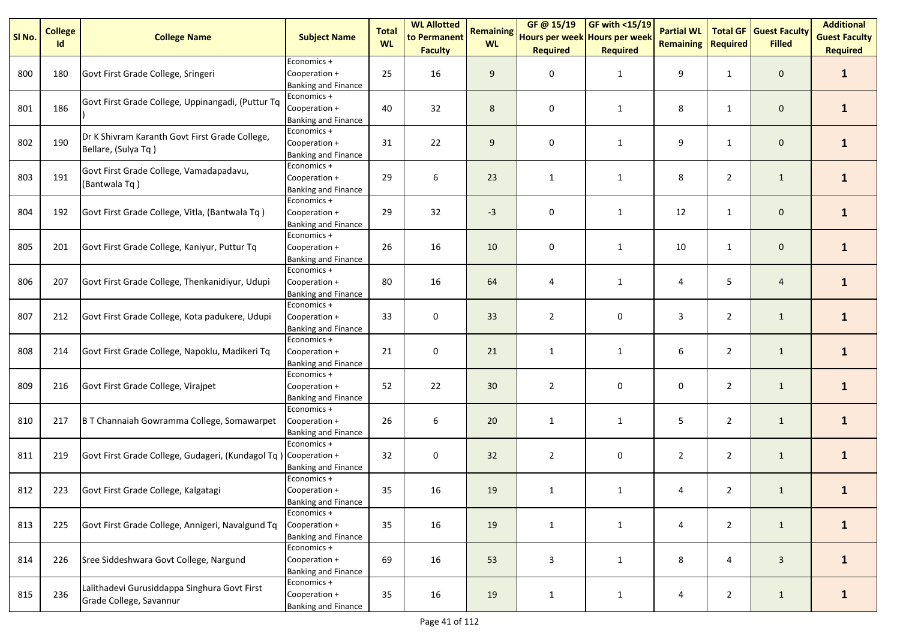| SI No. | <b>College</b><br>Id | <b>College Name</b>                                                     | <b>Subject Name</b>                                        | <b>Total</b><br><b>WL</b> | <b>WL Allotted</b><br>to Permanent | <b>Remaining</b><br><b>WL</b> | GF@ 15/19<br>Hours per week Hours per week | <b>GF with &lt;15/19</b> | <b>Partial WL</b><br><b>Remaining</b> | <b>Total GF</b><br><b>Required</b> | <b>Guest Faculty</b><br><b>Filled</b> | <b>Additional</b><br><b>Guest Faculty</b> |
|--------|----------------------|-------------------------------------------------------------------------|------------------------------------------------------------|---------------------------|------------------------------------|-------------------------------|--------------------------------------------|--------------------------|---------------------------------------|------------------------------------|---------------------------------------|-------------------------------------------|
|        |                      |                                                                         |                                                            |                           | <b>Faculty</b>                     |                               | <b>Required</b>                            | <b>Required</b>          |                                       |                                    |                                       | <b>Required</b>                           |
| 800    | 180                  | Govt First Grade College, Sringeri                                      | Economics +<br>Cooperation +<br>Banking and Finance        | 25                        | 16                                 | 9                             | 0                                          | $\mathbf{1}$             | 9                                     | $\mathbf{1}$                       | $\mathbf 0$                           | $\mathbf{1}$                              |
| 801    | 186                  | Govt First Grade College, Uppinangadi, (Puttur Tq                       | Economics +<br>Cooperation +<br>Banking and Finance        | 40                        | 32                                 | 8                             | 0                                          | $\mathbf{1}$             | 8                                     | $\mathbf{1}$                       | $\mathbf 0$                           | $\mathbf{1}$                              |
| 802    | 190                  | Dr K Shivram Karanth Govt First Grade College,<br>Bellare, (Sulya Tq)   | Economics +<br>Cooperation +<br><b>Banking and Finance</b> | 31                        | 22                                 | 9                             | 0                                          | $\mathbf{1}$             | 9                                     | $\mathbf{1}$                       | $\mathbf 0$                           | $\mathbf{1}$                              |
| 803    | 191                  | Govt First Grade College, Vamadapadavu,<br>(Bantwala Tq)                | Economics +<br>Cooperation +<br><b>Banking and Finance</b> | 29                        | 6                                  | 23                            | $\mathbf{1}$                               | $\mathbf{1}$             | 8                                     | $\overline{2}$                     | $\mathbf{1}$                          | $\mathbf{1}$                              |
| 804    | 192                  | Govt First Grade College, Vitla, (Bantwala Tq)                          | Economics +<br>Cooperation +<br>Banking and Finance        | 29                        | 32                                 | $-3$                          | 0                                          | $\mathbf{1}$             | 12                                    | $\mathbf{1}$                       | $\mathbf 0$                           | $\mathbf{1}$                              |
| 805    | 201                  | Govt First Grade College, Kaniyur, Puttur Tq                            | Economics +<br>Cooperation +<br>Banking and Finance        | 26                        | 16                                 | 10                            | 0                                          | $\mathbf{1}$             | 10                                    | $\mathbf{1}$                       | $\mathbf 0$                           | $\mathbf{1}$                              |
| 806    | 207                  | Govt First Grade College, Thenkanidiyur, Udupi                          | Economics +<br>Cooperation +<br><b>Banking and Finance</b> | 80                        | 16                                 | 64                            | 4                                          | $\mathbf{1}$             | 4                                     | 5                                  | $\overline{4}$                        | $\mathbf{1}$                              |
| 807    | 212                  | Govt First Grade College, Kota padukere, Udupi                          | Economics +<br>Cooperation +<br><b>Banking and Finance</b> | 33                        | 0                                  | 33                            | $\overline{2}$                             | 0                        | 3                                     | $\overline{2}$                     | $\mathbf{1}$                          | $\mathbf{1}$                              |
| 808    | 214                  | Govt First Grade College, Napoklu, Madikeri Tq                          | Economics +<br>Cooperation +<br>Banking and Finance        | 21                        | $\pmb{0}$                          | 21                            | $\mathbf{1}$                               | $\mathbf{1}$             | 6                                     | $\overline{2}$                     | $\mathbf{1}$                          | $\mathbf{1}$                              |
| 809    | 216                  | Govt First Grade College, Virajpet                                      | Economics +<br>Cooperation +<br><b>Banking and Finance</b> | 52                        | 22                                 | 30                            | $\overline{2}$                             | 0                        | 0                                     | $\overline{2}$                     | $\mathbf{1}$                          | $\mathbf{1}$                              |
| 810    | 217                  | B T Channaiah Gowramma College, Somawarpet                              | Economics +<br>Cooperation +<br>Banking and Finance        | 26                        | 6                                  | 20                            | 1                                          | $\mathbf{1}$             | 5                                     | $\overline{2}$                     | $\mathbf{1}$                          | $\mathbf{1}$                              |
| 811    | 219                  | Govt First Grade College, Gudageri, (Kundagol Tq                        | Economics +<br>Cooperation +<br>Banking and Finance        | 32                        | $\pmb{0}$                          | 32                            | $\overline{2}$                             | 0                        | $\overline{2}$                        | $\overline{2}$                     | $\mathbf{1}$                          | $\mathbf{1}$                              |
| 812    | 223                  | Govt First Grade College, Kalgatagi                                     | Economics +<br>Cooperation +<br><b>Banking and Finance</b> | 35                        | 16                                 | 19                            | $\mathbf{1}$                               | $\mathbf{1}$             | 4                                     | $\overline{2}$                     | $\mathbf{1}$                          | $\mathbf{1}$                              |
| 813    | 225                  | Govt First Grade College, Annigeri, Navalgund Tq                        | Economics +<br>Cooperation +<br><b>Banking and Finance</b> | 35                        | 16                                 | 19                            | $\mathbf{1}$                               | $\mathbf{1}$             | 4                                     | $\overline{2}$                     | $\mathbf{1}$                          | $\mathbf{1}$                              |
| 814    | 226                  | Sree Siddeshwara Govt College, Nargund                                  | Economics +<br>Cooperation +<br>Banking and Finance        | 69                        | 16                                 | 53                            | 3                                          | $\mathbf{1}$             | 8                                     | 4                                  | $\mathbf{3}$                          | $\mathbf{1}$                              |
| 815    | 236                  | Lalithadevi Gurusiddappa Singhura Govt First<br>Grade College, Savannur | Economics +<br>Cooperation +<br><b>Banking and Finance</b> | 35                        | 16                                 | 19                            | $\mathbf{1}$                               | $\mathbf{1}$             | 4                                     | $\overline{2}$                     | $\mathbf{1}$                          | $\mathbf{1}$                              |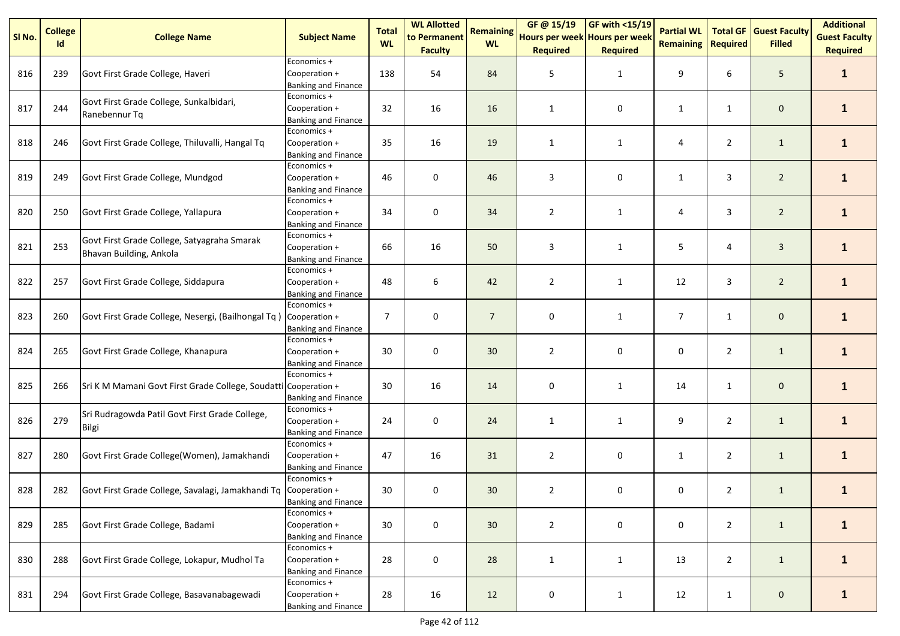| SI No. | <b>College</b><br>Id | <b>College Name</b>                                                    | <b>Subject Name</b>                                        | <b>Total</b><br><b>WL</b> | <b>WL Allotted</b><br>to Permanent | <b>Remaining</b><br><b>WL</b> | GF@ 15/19<br>Hours per week Hours per week | <b>GF with &lt;15/19</b> | <b>Partial WL</b><br><b>Remaining</b> | <b>Total GF</b><br><b>Required</b> | <b>Guest Faculty</b><br><b>Filled</b> | <b>Additional</b><br><b>Guest Faculty</b> |
|--------|----------------------|------------------------------------------------------------------------|------------------------------------------------------------|---------------------------|------------------------------------|-------------------------------|--------------------------------------------|--------------------------|---------------------------------------|------------------------------------|---------------------------------------|-------------------------------------------|
|        |                      |                                                                        |                                                            |                           | <b>Faculty</b>                     |                               | <b>Required</b>                            | <b>Required</b>          |                                       |                                    |                                       | <b>Required</b>                           |
| 816    | 239                  | Govt First Grade College, Haveri                                       | Economics +<br>Cooperation +<br>Banking and Finance        | 138                       | 54                                 | 84                            | 5                                          | $\mathbf{1}$             | 9                                     | 6                                  | 5                                     | $\mathbf{1}$                              |
| 817    | 244                  | Govt First Grade College, Sunkalbidari,<br>Ranebennur Tq               | Economics +<br>Cooperation +<br><b>Banking and Finance</b> | 32                        | 16                                 | 16                            | $\mathbf{1}$                               | 0                        | $\mathbf{1}$                          | $\mathbf{1}$                       | $\mathbf 0$                           | $\mathbf{1}$                              |
| 818    | 246                  | Govt First Grade College, Thiluvalli, Hangal Tq                        | Economics +<br>Cooperation +<br><b>Banking and Finance</b> | 35                        | 16                                 | 19                            | 1                                          | 1                        | 4                                     | $\overline{2}$                     | $\mathbf{1}$                          | $\mathbf{1}$                              |
| 819    | 249                  | Govt First Grade College, Mundgod                                      | Economics +<br>Cooperation +<br><b>Banking and Finance</b> | 46                        | 0                                  | 46                            | 3                                          | 0                        | $\mathbf{1}$                          | 3                                  | $\overline{2}$                        | $\mathbf{1}$                              |
| 820    | 250                  | Govt First Grade College, Yallapura                                    | Economics +<br>Cooperation +<br><b>Banking and Finance</b> | 34                        | 0                                  | 34                            | $\overline{2}$                             | $\mathbf{1}$             | 4                                     | 3                                  | $\overline{2}$                        | $\mathbf{1}$                              |
| 821    | 253                  | Govt First Grade College, Satyagraha Smarak<br>Bhavan Building, Ankola | Economics +<br>Cooperation +<br>Banking and Finance        | 66                        | 16                                 | 50                            | 3                                          | $\mathbf{1}$             | 5                                     | 4                                  | $\mathbf{3}$                          | $\mathbf{1}$                              |
| 822    | 257                  | Govt First Grade College, Siddapura                                    | Economics +<br>Cooperation +<br>Banking and Finance        | 48                        | 6                                  | 42                            | $\overline{2}$                             | $\mathbf{1}$             | 12                                    | 3                                  | $\overline{2}$                        | $\mathbf{1}$                              |
| 823    | 260                  | Govt First Grade College, Nesergi, (Bailhongal Tq)                     | Economics +<br>Cooperation +<br><b>Banking and Finance</b> | $\overline{7}$            | 0                                  | $\overline{7}$                | 0                                          | $\mathbf{1}$             | $\overline{7}$                        | $\mathbf{1}$                       | $\mathbf 0$                           | $\mathbf{1}$                              |
| 824    | 265                  | Govt First Grade College, Khanapura                                    | Economics +<br>Cooperation +<br>Banking and Finance        | 30                        | 0                                  | 30                            | $\overline{2}$                             | 0                        | 0                                     | $\overline{2}$                     | $\mathbf{1}$                          | $\mathbf{1}$                              |
| 825    | 266                  | Sri K M Mamani Govt First Grade College, Soudatti Cooperation +        | Economics +<br><b>Banking and Finance</b>                  | 30                        | 16                                 | 14                            | 0                                          | $\mathbf{1}$             | 14                                    | $\mathbf{1}$                       | $\mathbf 0$                           | $\mathbf{1}$                              |
| 826    | 279                  | Sri Rudragowda Patil Govt First Grade College,<br>Bilgi                | Economics +<br>Cooperation +<br><b>Banking and Finance</b> | 24                        | 0                                  | 24                            | $\mathbf{1}$                               | $\mathbf{1}$             | 9                                     | $\overline{2}$                     | $\mathbf{1}$                          | $\mathbf{1}$                              |
| 827    | 280                  | Govt First Grade College(Women), Jamakhandi                            | Economics +<br>Cooperation +<br>Banking and Finance        | 47                        | 16                                 | 31                            | $\overline{2}$                             | 0                        | $\mathbf{1}$                          | $\overline{2}$                     | $\mathbf{1}$                          | $\mathbf{1}$                              |
| 828    | 282                  | Govt First Grade College, Savalagi, Jamakhandi Tq Cooperation +        | Economics +<br><b>Banking and Finance</b>                  | 30                        | 0                                  | 30                            | $\overline{2}$                             | 0                        | 0                                     | $\overline{2}$                     | $\mathbf{1}$                          | $\mathbf{1}$                              |
| 829    | 285                  | Govt First Grade College, Badami                                       | Economics +<br>Cooperation +<br><b>Banking and Finance</b> | 30                        | $\pmb{0}$                          | 30                            | $\overline{2}$                             | 0                        | $\mathbf 0$                           | $\overline{2}$                     | $\mathbf{1}$                          | $\mathbf{1}$                              |
| 830    | 288                  | Govt First Grade College, Lokapur, Mudhol Ta                           | Economics +<br>Cooperation +<br><b>Banking and Finance</b> | 28                        | 0                                  | 28                            | $\mathbf{1}$                               | $\mathbf{1}$             | 13                                    | $\overline{2}$                     | $\mathbf{1}$                          | $\mathbf{1}$                              |
| 831    | 294                  | Govt First Grade College, Basavanabagewadi                             | Economics +<br>Cooperation +<br><b>Banking and Finance</b> | 28                        | 16                                 | 12                            | $\pmb{0}$                                  | $\mathbf{1}$             | 12                                    | $\mathbf{1}$                       | $\mathsf{O}\xspace$                   | $\mathbf{1}$                              |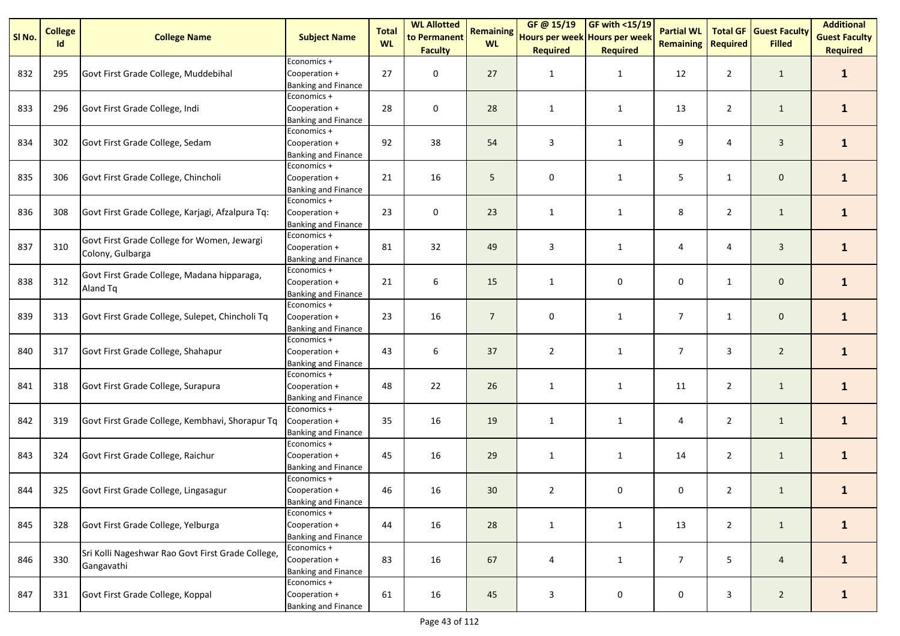| SI No. | <b>College</b> | <b>College Name</b>                                             | <b>Subject Name</b>                                        | <b>Total</b> | <b>WL Allotted</b><br>to Permanent | <b>Remaining</b> | GF @ 15/19<br>Hours per week Hours per week | <b>GF with &lt;15/19</b> | <b>Partial WL</b> | <b>Total GF</b> | <b>Guest Faculty</b> | <b>Additional</b><br><b>Guest Faculty</b> |
|--------|----------------|-----------------------------------------------------------------|------------------------------------------------------------|--------------|------------------------------------|------------------|---------------------------------------------|--------------------------|-------------------|-----------------|----------------------|-------------------------------------------|
|        | Id             |                                                                 |                                                            | <b>WL</b>    | <b>Faculty</b>                     | <b>WL</b>        | <b>Required</b>                             | <b>Required</b>          | <b>Remaining</b>  | <b>Required</b> | <b>Filled</b>        | <b>Required</b>                           |
| 832    | 295            | Govt First Grade College, Muddebihal                            | Economics +<br>Cooperation +<br>Banking and Finance        | 27           | 0                                  | 27               | 1                                           | $\mathbf{1}$             | 12                | $\overline{2}$  | $\mathbf{1}$         | $\mathbf{1}$                              |
| 833    | 296            | Govt First Grade College, Indi                                  | Economics +<br>Cooperation +<br><b>Banking and Finance</b> | 28           | 0                                  | 28               | $\mathbf{1}$                                | $\mathbf{1}$             | 13                | $\overline{2}$  | $\mathbf{1}$         | $\mathbf{1}$                              |
| 834    | 302            | Govt First Grade College, Sedam                                 | Economics +<br>Cooperation +<br><b>Banking and Finance</b> | 92           | 38                                 | 54               | 3                                           | $\mathbf{1}$             | 9                 | 4               | $\mathbf{3}$         | $\mathbf{1}$                              |
| 835    | 306            | Govt First Grade College, Chincholi                             | Economics +<br>Cooperation +<br><b>Banking and Finance</b> | 21           | 16                                 | 5                | 0                                           | $\mathbf{1}$             | 5                 | $\mathbf{1}$    | $\mathbf 0$          | $\mathbf{1}$                              |
| 836    | 308            | Govt First Grade College, Karjagi, Afzalpura Tq:                | Economics +<br>Cooperation +<br><b>Banking and Finance</b> | 23           | 0                                  | 23               | $\mathbf{1}$                                | $\mathbf{1}$             | 8                 | $\overline{2}$  | $\mathbf{1}$         | $\mathbf{1}$                              |
| 837    | 310            | Govt First Grade College for Women, Jewargi<br>Colony, Gulbarga | Economics +<br>Cooperation +<br><b>Banking and Finance</b> | 81           | 32                                 | 49               | 3                                           | $\mathbf{1}$             | 4                 | 4               | $\mathbf{3}$         | $\mathbf{1}$                              |
| 838    | 312            | Govt First Grade College, Madana hipparaga,<br>Aland Tq         | Economics +<br>Cooperation +<br>Banking and Finance        | 21           | 6                                  | 15               | $\mathbf{1}$                                | 0                        | 0                 | $\mathbf{1}$    | $\mathbf 0$          | $\mathbf{1}$                              |
| 839    | 313            | Govt First Grade College, Sulepet, Chincholi Tq                 | Economics +<br>Cooperation +<br><b>Banking and Finance</b> | 23           | 16                                 | $\overline{7}$   | 0                                           | $\mathbf{1}$             | $\overline{7}$    | $\mathbf{1}$    | $\mathbf 0$          | $\mathbf{1}$                              |
| 840    | 317            | Govt First Grade College, Shahapur                              | Economics +<br>Cooperation +<br>Banking and Finance        | 43           | 6                                  | 37               | $\overline{2}$                              | $\mathbf{1}$             | $\overline{7}$    | 3               | $\overline{2}$       | $\mathbf{1}$                              |
| 841    | 318            | Govt First Grade College, Surapura                              | Economics +<br>Cooperation +<br>Banking and Finance        | 48           | 22                                 | 26               | $\mathbf{1}$                                | $\mathbf{1}$             | 11                | $\overline{2}$  | $\mathbf{1}$         | $\mathbf{1}$                              |
| 842    | 319            | Govt First Grade College, Kembhavi, Shorapur Tq                 | Economics +<br>Cooperation +<br>Banking and Finance        | 35           | 16                                 | 19               | $\mathbf{1}$                                | $\mathbf{1}$             | 4                 | $\overline{2}$  | $\mathbf{1}$         | $\mathbf{1}$                              |
| 843    | 324            | Govt First Grade College, Raichur                               | Economics +<br>Cooperation +<br>Banking and Finance        | 45           | 16                                 | 29               | $\mathbf{1}$                                | $\mathbf{1}$             | 14                | $\overline{2}$  | $\mathbf{1}$         | $\mathbf{1}$                              |
| 844    | 325            | Govt First Grade College, Lingasagur                            | Economics +<br>Cooperation +<br><b>Banking and Finance</b> | 46           | 16                                 | 30               | $\overline{2}$                              | 0                        | 0                 | $\overline{2}$  | $\mathbf{1}$         | $\mathbf{1}$                              |
| 845    | 328            | Govt First Grade College, Yelburga                              | Economics +<br>Cooperation +<br><b>Banking and Finance</b> | 44           | 16                                 | 28               | $\mathbf{1}$                                | $\mathbf{1}$             | 13                | $\overline{2}$  | $\mathbf{1}$         | $\mathbf{1}$                              |
| 846    | 330            | Sri Kolli Nageshwar Rao Govt First Grade College,<br>Gangavathi | Economics +<br>Cooperation +<br><b>Banking and Finance</b> | 83           | 16                                 | 67               | 4                                           | $\mathbf{1}$             | $\overline{7}$    | 5               | $\overline{4}$       | $\mathbf{1}$                              |
| 847    | 331            | Govt First Grade College, Koppal                                | Economics +<br>Cooperation +<br><b>Banking and Finance</b> | 61           | 16                                 | 45               | 3                                           | $\mathsf{O}\xspace$      | 0                 | 3               | $\overline{2}$       | $\mathbf{1}$                              |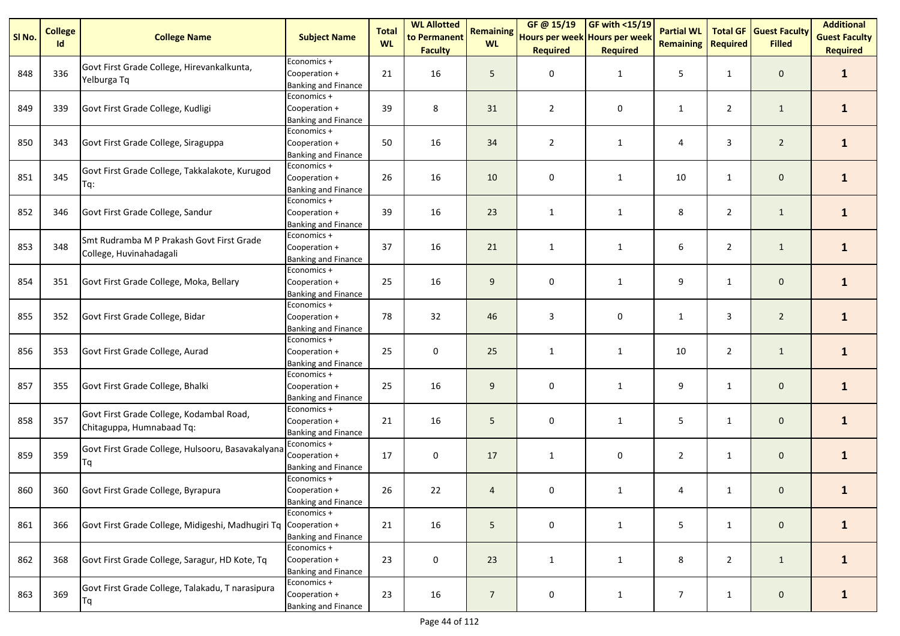| SI No. | <b>College</b><br>Id | <b>College Name</b>                                                   | <b>Subject Name</b>                                        | <b>Total</b><br><b>WL</b> | <b>WL Allotted</b><br>to Permanent | <b>Remaining</b><br><b>WL</b> | GF @ 15/19<br>Hours per week Hours per week | <b>GF with &lt;15/19</b> | <b>Partial WL</b><br><b>Remaining</b> | <b>Total GF</b><br><b>Required</b> | <b>Guest Faculty</b><br><b>Filled</b> | <b>Additional</b><br><b>Guest Faculty</b> |
|--------|----------------------|-----------------------------------------------------------------------|------------------------------------------------------------|---------------------------|------------------------------------|-------------------------------|---------------------------------------------|--------------------------|---------------------------------------|------------------------------------|---------------------------------------|-------------------------------------------|
|        |                      |                                                                       |                                                            |                           | <b>Faculty</b>                     |                               | <b>Required</b>                             | <b>Required</b>          |                                       |                                    |                                       | <b>Required</b>                           |
| 848    | 336                  | Govt First Grade College, Hirevankalkunta,<br>Yelburga Tq             | Economics +<br>Cooperation +<br><b>Banking and Finance</b> | 21                        | 16                                 | 5                             | 0                                           | $\mathbf{1}$             | 5                                     | $\mathbf{1}$                       | $\mathbf 0$                           | $\mathbf{1}$                              |
| 849    | 339                  | Govt First Grade College, Kudligi                                     | Economics +<br>Cooperation +<br><b>Banking and Finance</b> | 39                        | 8                                  | 31                            | $\overline{2}$                              | 0                        | $\mathbf{1}$                          | $\overline{2}$                     | $\mathbf{1}$                          | $\mathbf{1}$                              |
| 850    | 343                  | Govt First Grade College, Siraguppa                                   | Economics +<br>Cooperation +<br><b>Banking and Finance</b> | 50                        | 16                                 | 34                            | $\overline{2}$                              | 1                        | 4                                     | 3                                  | $\overline{2}$                        | $\mathbf{1}$                              |
| 851    | 345                  | Govt First Grade College, Takkalakote, Kurugod<br>Tq:                 | Economics +<br>Cooperation +<br><b>Banking and Finance</b> | 26                        | 16                                 | 10                            | 0                                           | 1                        | 10                                    | $\mathbf{1}$                       | $\mathbf 0$                           | $\mathbf{1}$                              |
| 852    | 346                  | Govt First Grade College, Sandur                                      | Economics +<br>Cooperation +<br><b>Banking and Finance</b> | 39                        | 16                                 | 23                            | $\mathbf{1}$                                | $\mathbf{1}$             | 8                                     | $\overline{2}$                     | $\mathbf{1}$                          | $\mathbf{1}$                              |
| 853    | 348                  | Smt Rudramba M P Prakash Govt First Grade<br>College, Huvinahadagali  | Economics +<br>Cooperation +<br><b>Banking and Finance</b> | 37                        | 16                                 | 21                            | $\mathbf{1}$                                | $\mathbf{1}$             | 6                                     | $\overline{2}$                     | $\mathbf{1}$                          | $\mathbf{1}$                              |
| 854    | 351                  | Govt First Grade College, Moka, Bellary                               | Economics +<br>Cooperation +<br><b>Banking and Finance</b> | 25                        | 16                                 | 9                             | 0                                           | 1                        | 9                                     | $\mathbf{1}$                       | $\mathbf 0$                           | $\mathbf{1}$                              |
| 855    | 352                  | Govt First Grade College, Bidar                                       | Economics +<br>Cooperation +<br><b>Banking and Finance</b> | 78                        | 32                                 | 46                            | 3                                           | 0                        | $\mathbf{1}$                          | 3                                  | $\overline{2}$                        | $\mathbf{1}$                              |
| 856    | 353                  | Govt First Grade College, Aurad                                       | Economics +<br>Cooperation +<br><b>Banking and Finance</b> | 25                        | 0                                  | 25                            | $\mathbf{1}$                                | 1                        | 10                                    | $\overline{2}$                     | $\mathbf{1}$                          | $\mathbf{1}$                              |
| 857    | 355                  | Govt First Grade College, Bhalki                                      | Economics +<br>Cooperation +<br><b>Banking and Finance</b> | 25                        | 16                                 | 9                             | 0                                           | 1                        | 9                                     | $\mathbf{1}$                       | $\mathbf 0$                           | $\mathbf{1}$                              |
| 858    | 357                  | Govt First Grade College, Kodambal Road,<br>Chitaguppa, Humnabaad Tq: | Economics +<br>Cooperation +<br><b>Banking and Finance</b> | 21                        | 16                                 | 5                             | 0                                           | $\mathbf{1}$             | 5                                     | 1                                  | $\mathbf{0}$                          | $\mathbf{1}$                              |
| 859    | 359                  | Govt First Grade College, Hulsooru, Basavakalyana<br>Τq               | Economics +<br>Cooperation +<br><b>Banking and Finance</b> | 17                        | 0                                  | 17                            | $\mathbf{1}$                                | 0                        | $\overline{2}$                        | 1                                  | $\mathbf 0$                           | $\mathbf{1}$                              |
| 860    | 360                  | Govt First Grade College, Byrapura                                    | Economics +<br>Cooperation +<br><b>Banking and Finance</b> | 26                        | 22                                 | $\overline{4}$                | 0                                           | $\mathbf{1}$             | 4                                     | $\mathbf{1}$                       | $\mathbf 0$                           | $\mathbf{1}$                              |
| 861    | 366                  | Govt First Grade College, Midigeshi, Madhugiri Tq Cooperation +       | Economics +<br><b>Banking and Finance</b>                  | 21                        | 16                                 | 5                             | 0                                           | $\mathbf{1}$             | 5                                     | $\mathbf{1}$                       | $\mathbf 0$                           | $\mathbf{1}$                              |
| 862    | 368                  | Govt First Grade College, Saragur, HD Kote, Tq                        | Economics +<br>Cooperation +<br><b>Banking and Finance</b> | 23                        | 0                                  | 23                            | $\mathbf{1}$                                | $\mathbf{1}$             | 8                                     | $\overline{2}$                     | $\mathbf{1}$                          | $\mathbf{1}$                              |
| 863    | 369                  | Govt First Grade College, Talakadu, T narasipura<br>Tq                | Economics +<br>Cooperation +<br><b>Banking and Finance</b> | 23                        | 16                                 | $\overline{7}$                | 0                                           | $\mathbf{1}$             | $\overline{7}$                        | $\mathbf{1}$                       | $\mathbf 0$                           | $\mathbf{1}$                              |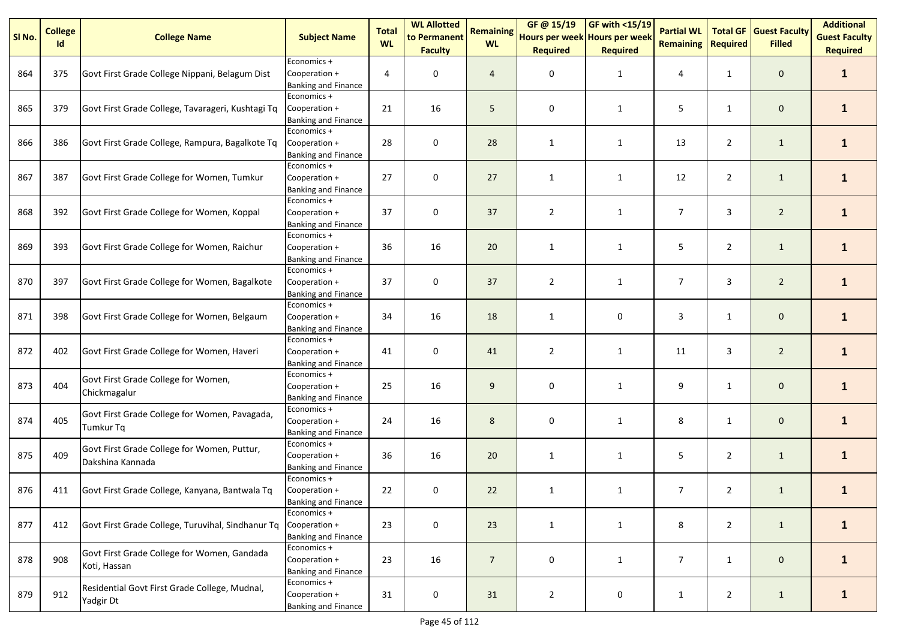| SI No. | <b>College</b> | <b>College Name</b>                                               | <b>Subject Name</b>                                        | <b>Total</b><br><b>WL</b> | <b>WL Allotted</b><br>to Permanent | <b>Remaining</b><br><b>WL</b> | GF @ 15/19<br>Hours per week Hours per week | GF with $<$ 15/19 | <b>Partial WL</b><br><b>Remaining</b> | <b>Total GF</b> | <b>Guest Faculty</b> | <b>Additional</b><br><b>Guest Faculty</b> |
|--------|----------------|-------------------------------------------------------------------|------------------------------------------------------------|---------------------------|------------------------------------|-------------------------------|---------------------------------------------|-------------------|---------------------------------------|-----------------|----------------------|-------------------------------------------|
|        | Id             |                                                                   |                                                            |                           | <b>Faculty</b>                     |                               | <b>Required</b>                             | <b>Required</b>   |                                       | <b>Required</b> | <b>Filled</b>        | <b>Required</b>                           |
| 864    | 375            | Govt First Grade College Nippani, Belagum Dist                    | Economics +<br>Cooperation +<br><b>Banking and Finance</b> | 4                         | 0                                  | $\overline{4}$                | 0                                           | 1                 | 4                                     | $\mathbf{1}$    | $\mathbf 0$          | $\mathbf{1}$                              |
| 865    | 379            | Govt First Grade College, Tavarageri, Kushtagi Tq                 | Economics +<br>Cooperation +<br><b>Banking and Finance</b> | 21                        | 16                                 | 5                             | 0                                           | $\mathbf{1}$      | 5                                     | $\mathbf{1}$    | $\mathbf 0$          | $\mathbf{1}$                              |
| 866    | 386            | Govt First Grade College, Rampura, Bagalkote Tq                   | Economics +<br>Cooperation +<br><b>Banking and Finance</b> | 28                        | 0                                  | 28                            | $\mathbf{1}$                                | 1                 | 13                                    | $\overline{2}$  | $\mathbf{1}$         | $\mathbf{1}$                              |
| 867    | 387            | Govt First Grade College for Women, Tumkur                        | Economics +<br>Cooperation +<br><b>Banking and Finance</b> | 27                        | 0                                  | 27                            | $\mathbf{1}$                                | $\mathbf{1}$      | 12                                    | $\overline{2}$  | $\mathbf{1}$         | $\mathbf{1}$                              |
| 868    | 392            | Govt First Grade College for Women, Koppal                        | Economics +<br>Cooperation +<br><b>Banking and Finance</b> | 37                        | 0                                  | 37                            | $\overline{2}$                              | 1                 | $\overline{7}$                        | 3               | $\overline{2}$       | $\mathbf{1}$                              |
| 869    | 393            | Govt First Grade College for Women, Raichur                       | Economics +<br>Cooperation +<br><b>Banking and Finance</b> | 36                        | 16                                 | 20                            | $\mathbf{1}$                                | 1                 | 5                                     | $\overline{2}$  | $\mathbf{1}$         | $\mathbf{1}$                              |
| 870    | 397            | Govt First Grade College for Women, Bagalkote                     | Economics +<br>Cooperation +<br><b>Banking and Finance</b> | 37                        | 0                                  | 37                            | $\overline{2}$                              | $\mathbf{1}$      | $\overline{7}$                        | 3               | $\overline{2}$       | $\mathbf{1}$                              |
| 871    | 398            | Govt First Grade College for Women, Belgaum                       | Economics +<br>Cooperation +<br><b>Banking and Finance</b> | 34                        | 16                                 | 18                            | 1                                           | 0                 | 3                                     | 1               | $\mathbf 0$          | $\mathbf{1}$                              |
| 872    | 402            | Govt First Grade College for Women, Haveri                        | Economics +<br>Cooperation +<br><b>Banking and Finance</b> | 41                        | 0                                  | 41                            | $\overline{2}$                              | $\mathbf{1}$      | 11                                    | 3               | $\overline{2}$       | $\mathbf{1}$                              |
| 873    | 404            | Govt First Grade College for Women,<br>Chickmagalur               | Economics +<br>Cooperation +<br><b>Banking and Finance</b> | 25                        | 16                                 | 9                             | 0                                           | 1                 | 9                                     | $\mathbf{1}$    | $\mathbf 0$          | $\mathbf{1}$                              |
| 874    | 405            | Govt First Grade College for Women, Pavagada,<br><b>Tumkur Tq</b> | Economics +<br>Cooperation +<br><b>Banking and Finance</b> | 24                        | 16                                 | 8                             | 0                                           | 1                 | 8                                     | $\mathbf{1}$    | $\mathbf{0}$         | $\mathbf{1}$                              |
| 875    | 409            | Govt First Grade College for Women, Puttur,<br>Dakshina Kannada   | Economics +<br>Cooperation +<br><b>Banking and Finance</b> | 36                        | 16                                 | 20                            | 1                                           | $\mathbf{1}$      | 5                                     | $\overline{2}$  | $\mathbf{1}$         | $\mathbf{1}$                              |
| 876    | 411            | Govt First Grade College, Kanyana, Bantwala Tq                    | Economics +<br>Cooperation +<br><b>Banking and Finance</b> | 22                        | 0                                  | 22                            | $\mathbf{1}$                                | $\mathbf{1}$      | 7                                     | $\overline{2}$  | $\mathbf{1}$         | $\mathbf{1}$                              |
| 877    | 412            | Govt First Grade College, Turuvihal, Sindhanur Tq                 | Economics +<br>Cooperation +<br>Banking and Finance        | 23                        | 0                                  | 23                            | $\mathbf{1}$                                | $\mathbf{1}$      | 8                                     | $\overline{2}$  | $\mathbf{1}$         | $\mathbf{1}$                              |
| 878    | 908            | Govt First Grade College for Women, Gandada<br>Koti, Hassan       | Economics +<br>Cooperation +<br><b>Banking and Finance</b> | 23                        | 16                                 | $\overline{7}$                | 0                                           | $\mathbf{1}$      | 7                                     | $\mathbf{1}$    | $\mathbf 0$          | $\mathbf{1}$                              |
| 879    | 912            | Residential Govt First Grade College, Mudnal,<br>Yadgir Dt        | Economics +<br>Cooperation +<br><b>Banking and Finance</b> | 31                        | 0                                  | 31                            | $\overline{2}$                              | 0                 | $\mathbf{1}$                          | $\overline{2}$  | $\mathbf{1}$         | $\mathbf{1}$                              |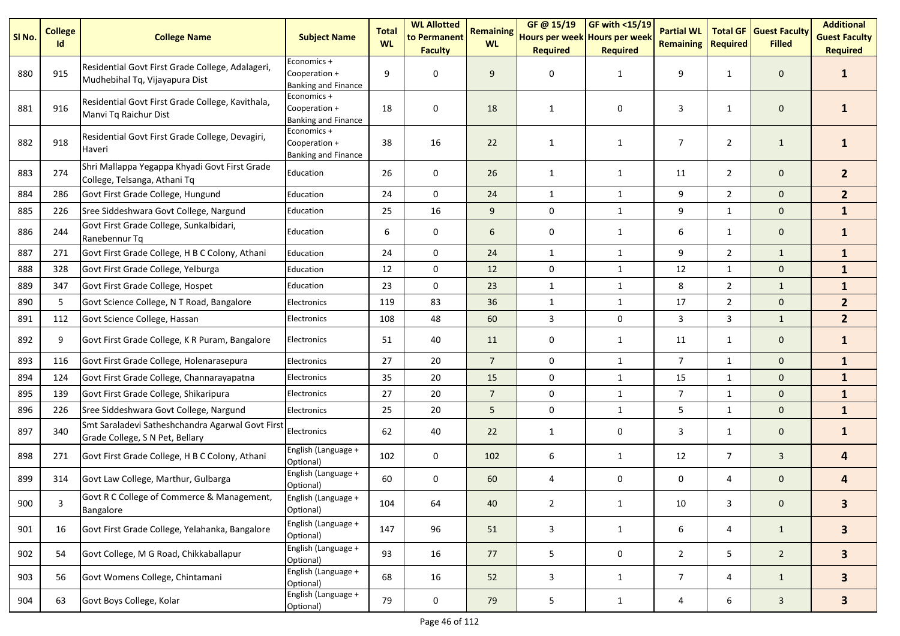| SI <sub>No.</sub> | <b>College</b> | <b>College Name</b>                                                                 | <b>Subject Name</b>                                        | <b>Total</b><br><b>WL</b> | <b>WL Allotted</b><br>to Permanent | <b>Remaining</b><br><b>WL</b> | GF @ 15/19<br>Hours per week Hours per week | <b>GF with &lt;15/19</b> | <b>Partial WL</b> | <b>Total GF</b> | <b>Guest Faculty</b><br><b>Filled</b> | <b>Additional</b><br><b>Guest Faculty</b> |
|-------------------|----------------|-------------------------------------------------------------------------------------|------------------------------------------------------------|---------------------------|------------------------------------|-------------------------------|---------------------------------------------|--------------------------|-------------------|-----------------|---------------------------------------|-------------------------------------------|
|                   | Id             |                                                                                     |                                                            |                           | <b>Faculty</b>                     |                               | <b>Required</b>                             | <b>Required</b>          | <b>Remaining</b>  | <b>Required</b> |                                       | <b>Required</b>                           |
| 880               | 915            | Residential Govt First Grade College, Adalageri,<br>Mudhebihal Tq, Vijayapura Dist  | Economics +<br>Cooperation +<br><b>Banking and Finance</b> | 9                         | 0                                  | 9                             | 0                                           | 1                        | 9                 | $\mathbf{1}$    | $\mathbf 0$                           | 1                                         |
| 881               | 916            | Residential Govt First Grade College, Kavithala,<br>Manvi Tq Raichur Dist           | Economics +<br>Cooperation +<br>Banking and Finance        | 18                        | 0                                  | 18                            | $\mathbf{1}$                                | 0                        | 3                 | $\mathbf{1}$    | $\mathbf 0$                           | 1                                         |
| 882               | 918            | Residential Govt First Grade College, Devagiri,<br>Haveri                           | Economics +<br>Cooperation +<br><b>Banking and Finance</b> | 38                        | 16                                 | 22                            | 1                                           | 1                        | $\overline{7}$    | $\overline{2}$  | $\mathbf{1}$                          | 1                                         |
| 883               | 274            | Shri Mallappa Yegappa Khyadi Govt First Grade<br>College, Telsanga, Athani Tq       | Education                                                  | 26                        | 0                                  | 26                            | 1                                           | $\mathbf{1}$             | 11                | $\overline{2}$  | $\mathbf 0$                           | 2 <sup>2</sup>                            |
| 884               | 286            | Govt First Grade College, Hungund                                                   | Education                                                  | 24                        | 0                                  | 24                            | $\mathbf{1}$                                | $\mathbf{1}$             | 9                 | $\overline{2}$  | $\mathbf{0}$                          | 2 <sup>2</sup>                            |
| 885               | 226            | Sree Siddeshwara Govt College, Nargund                                              | Education                                                  | 25                        | 16                                 | 9                             | 0                                           | $\mathbf{1}$             | 9                 | $\mathbf{1}$    | $\mathbf{0}$                          | $\mathbf{1}$                              |
| 886               | 244            | Govt First Grade College, Sunkalbidari,<br>Ranebennur Tq                            | Education                                                  | 6                         | 0                                  | 6                             | 0                                           | 1                        | 6                 | $\mathbf{1}$    | $\mathbf 0$                           | $\mathbf{1}$                              |
| 887               | 271            | Govt First Grade College, H B C Colony, Athani                                      | Education                                                  | 24                        | 0                                  | 24                            | $\mathbf{1}$                                | $\mathbf{1}$             | 9                 | $\overline{2}$  | $\mathbf{1}$                          | $\mathbf{1}$                              |
| 888               | 328            | Govt First Grade College, Yelburga                                                  | Education                                                  | 12                        | 0                                  | 12                            | 0                                           | $\mathbf{1}$             | 12                | $\mathbf{1}$    | $\mathbf 0$                           | $\mathbf{1}$                              |
| 889               | 347            | Govt First Grade College, Hospet                                                    | Education                                                  | 23                        | 0                                  | 23                            | 1                                           | $\mathbf{1}$             | 8                 | $\overline{2}$  | $\mathbf{1}$                          | $\mathbf{1}$                              |
| 890               | 5              | Govt Science College, N T Road, Bangalore                                           | Electronics                                                | 119                       | 83                                 | 36                            | $\mathbf{1}$                                | $\mathbf{1}$             | 17                | $\overline{2}$  | $\mathbf 0$                           | 2 <sup>2</sup>                            |
| 891               | 112            | Govt Science College, Hassan                                                        | Electronics                                                | 108                       | 48                                 | 60                            | 3                                           | 0                        | 3                 | 3               | $\mathbf{1}$                          | 2 <sup>2</sup>                            |
| 892               | 9              | Govt First Grade College, K R Puram, Bangalore                                      | Electronics                                                | 51                        | 40                                 | 11                            | 0                                           | $\mathbf{1}$             | 11                | $\mathbf{1}$    | $\mathbf 0$                           | $\mathbf{1}$                              |
| 893               | 116            | Govt First Grade College, Holenarasepura                                            | Electronics                                                | 27                        | 20                                 | $\overline{7}$                | 0                                           | $\mathbf{1}$             | $\overline{7}$    | $\mathbf{1}$    | $\mathbf 0$                           | $\mathbf{1}$                              |
| 894               | 124            | Govt First Grade College, Channarayapatna                                           | Electronics                                                | 35                        | 20                                 | 15                            | 0                                           | $\mathbf{1}$             | 15                | $\mathbf{1}$    | $\mathbf 0$                           | $\mathbf{1}$                              |
| 895               | 139            | Govt First Grade College, Shikaripura                                               | Electronics                                                | 27                        | 20                                 | $\overline{7}$                | 0                                           | $\mathbf{1}$             | $\overline{7}$    | $\mathbf{1}$    | $\mathbf 0$                           | $\mathbf{1}$                              |
| 896               | 226            | Sree Siddeshwara Govt College, Nargund                                              | Electronics                                                | 25                        | 20                                 | 5                             | 0                                           | $\mathbf{1}$             | 5                 | $\mathbf{1}$    | $\mathbf 0$                           | $\mathbf{1}$                              |
| 897               | 340            | Smt Saraladevi Satheshchandra Agarwal Govt First<br>Grade College, S N Pet, Bellary | Electronics                                                | 62                        | 40                                 | 22                            | 1                                           | 0                        | 3                 | $\mathbf{1}$    | $\mathbf 0$                           | $\mathbf{1}$                              |
| 898               | 271            | Govt First Grade College, H B C Colony, Athani                                      | English (Language +<br>Optional)                           | 102                       | 0                                  | 102                           | 6                                           | $\mathbf{1}$             | 12                | $\overline{7}$  | 3                                     | 4                                         |
| 899               | 314            | Govt Law College, Marthur, Gulbarga                                                 | English (Language +<br>Optional)                           | 60                        | 0                                  | 60                            | 4                                           | 0                        | 0                 | 4               | $\mathbf 0$                           | 4                                         |
| 900               | 3              | Govt R C College of Commerce & Management,<br>Bangalore                             | English (Language +<br>Optional)                           | 104                       | 64                                 | 40                            | $\overline{2}$                              | $\mathbf{1}$             | 10                | 3               | $\mathbf 0$                           | $\mathbf{3}$                              |
| 901               | 16             | Govt First Grade College, Yelahanka, Bangalore                                      | English (Language +<br>Optional)                           | 147                       | 96                                 | 51                            | 3                                           | $\mathbf{1}$             | 6                 | 4               | $\mathbf{1}$                          | 3 <sup>1</sup>                            |
| 902               | 54             | Govt College, M G Road, Chikkaballapur                                              | English (Language +<br>Optional)                           | 93                        | 16                                 | 77                            | 5                                           | 0                        | $\overline{2}$    | 5               | $\overline{2}$                        | 3 <sup>1</sup>                            |
| 903               | 56             | Govt Womens College, Chintamani                                                     | English (Language +<br>Optional)                           | 68                        | 16                                 | 52                            | 3                                           | 1                        | $7\overline{ }$   | 4               | $\mathbf{1}$                          | 3 <sup>1</sup>                            |
| 904               | 63             | Govt Boys College, Kolar                                                            | English (Language +<br>Optional)                           | 79                        | $\pmb{0}$                          | 79                            | 5                                           | $\mathbf{1}$             | $\overline{4}$    | 6               | $\mathbf{3}$                          | 3 <sup>1</sup>                            |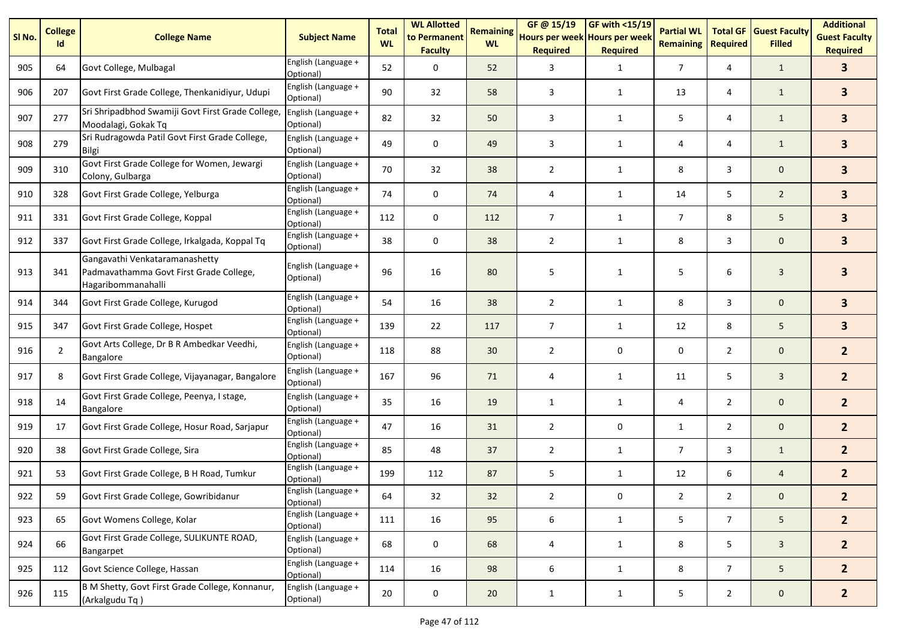| SI No. | <b>College</b><br>Id | <b>College Name</b>                                                                             | <b>Subject Name</b>              | <b>Total</b><br><b>WL</b> | <b>WL Allotted</b><br>to Permanent<br><b>Faculty</b> | <b>Remaining</b><br><b>WL</b> | GF@ 15/19<br>Hours per week Hours per week<br><b>Required</b> | GF with <15/19<br><b>Required</b> | <b>Partial WL</b><br><b>Remaining</b> | <b>Total GF</b><br><b>Required</b> | <b>Guest Faculty</b><br><b>Filled</b> | <b>Additional</b><br><b>Guest Faculty</b><br><b>Required</b> |
|--------|----------------------|-------------------------------------------------------------------------------------------------|----------------------------------|---------------------------|------------------------------------------------------|-------------------------------|---------------------------------------------------------------|-----------------------------------|---------------------------------------|------------------------------------|---------------------------------------|--------------------------------------------------------------|
| 905    | 64                   | Govt College, Mulbagal                                                                          | English (Language +<br>Optional) | 52                        | 0                                                    | 52                            | 3                                                             | $\mathbf{1}$                      | $\overline{7}$                        | 4                                  | $\mathbf{1}$                          | 3                                                            |
| 906    | 207                  | Govt First Grade College, Thenkanidiyur, Udupi                                                  | English (Language +<br>Optional) | 90                        | 32                                                   | 58                            | 3                                                             | 1                                 | 13                                    | 4                                  | $\mathbf{1}$                          | $\overline{\mathbf{3}}$                                      |
| 907    | 277                  | Sri Shripadbhod Swamiji Govt First Grade College,<br>Moodalagi, Gokak Tq                        | English (Language +<br>Optional) | 82                        | 32                                                   | 50                            | 3                                                             | 1                                 | 5                                     | 4                                  | $\mathbf{1}$                          | 3 <sup>1</sup>                                               |
| 908    | 279                  | Sri Rudragowda Patil Govt First Grade College,<br>Bilgi                                         | English (Language +<br>Optional) | 49                        | 0                                                    | 49                            | 3                                                             | 1                                 | 4                                     | 4                                  | $\mathbf{1}$                          | 3 <sup>1</sup>                                               |
| 909    | 310                  | Govt First Grade College for Women, Jewargi<br>Colony, Gulbarga                                 | English (Language +<br>Optional) | 70                        | 32                                                   | 38                            | 2                                                             | 1                                 | 8                                     | 3                                  | $\mathbf 0$                           | 3 <sup>1</sup>                                               |
| 910    | 328                  | Govt First Grade College, Yelburga                                                              | English (Language +<br>Optional) | 74                        | 0                                                    | 74                            | 4                                                             | $\mathbf{1}$                      | 14                                    | 5                                  | $\overline{2}$                        | $\overline{\mathbf{3}}$                                      |
| 911    | 331                  | Govt First Grade College, Koppal                                                                | English (Language +<br>Optional) | 112                       | 0                                                    | 112                           | 7                                                             | $\mathbf{1}$                      | $\overline{7}$                        | 8                                  | 5                                     | 3 <sup>1</sup>                                               |
| 912    | 337                  | Govt First Grade College, Irkalgada, Koppal Tq                                                  | English (Language +<br>Optional) | 38                        | 0                                                    | 38                            | $\overline{2}$                                                | $\mathbf{1}$                      | 8                                     | 3                                  | $\mathbf 0$                           | 3 <sup>1</sup>                                               |
| 913    | 341                  | Gangavathi Venkataramanashetty<br>Padmavathamma Govt First Grade College,<br>Hagaribommanahalli | English (Language +<br>Optional) | 96                        | 16                                                   | 80                            | 5                                                             | 1                                 | 5                                     | 6                                  | $\overline{3}$                        | 3                                                            |
| 914    | 344                  | Govt First Grade College, Kurugod                                                               | English (Language +<br>Optional) | 54                        | 16                                                   | 38                            | $\overline{2}$                                                | $\mathbf{1}$                      | 8                                     | 3                                  | $\mathbf 0$                           | 3 <sup>1</sup>                                               |
| 915    | 347                  | Govt First Grade College, Hospet                                                                | English (Language +<br>Optional) | 139                       | 22                                                   | 117                           | $\overline{7}$                                                | 1                                 | 12                                    | 8                                  | 5                                     | 3 <sup>1</sup>                                               |
| 916    | $\overline{2}$       | Govt Arts College, Dr B R Ambedkar Veedhi,<br>Bangalore                                         | English (Language +<br>Optional) | 118                       | 88                                                   | 30                            | $\overline{2}$                                                | 0                                 | 0                                     | $\overline{2}$                     | $\mathbf 0$                           | 2 <sup>1</sup>                                               |
| 917    | 8                    | Govt First Grade College, Vijayanagar, Bangalore                                                | English (Language +<br>Optional) | 167                       | 96                                                   | 71                            | 4                                                             | $\mathbf{1}$                      | 11                                    | 5                                  | $\mathbf{3}$                          | 2 <sup>1</sup>                                               |
| 918    | 14                   | Govt First Grade College, Peenya, I stage,<br><b>Bangalore</b>                                  | English (Language +<br>Optional) | 35                        | 16                                                   | 19                            | $\mathbf{1}$                                                  | $\mathbf{1}$                      | 4                                     | $\overline{2}$                     | $\mathbf 0$                           | 2 <sup>1</sup>                                               |
| 919    | 17                   | Govt First Grade College, Hosur Road, Sarjapur                                                  | English (Language +<br>Optional) | 47                        | 16                                                   | 31                            | $\overline{2}$                                                | 0                                 | $\mathbf{1}$                          | $\overline{2}$                     | $\mathbf 0$                           | 2 <sup>1</sup>                                               |
| 920    | 38                   | Govt First Grade College, Sira                                                                  | English (Language +<br>Optional) | 85                        | 48                                                   | 37                            | $\overline{2}$                                                | $\mathbf{1}$                      | $\overline{7}$                        | 3                                  | $\mathbf{1}$                          | 2 <sup>1</sup>                                               |
| 921    | 53                   | Govt First Grade College, B H Road, Tumkur                                                      | English (Language +<br>Optional) | 199                       | 112                                                  | 87                            | 5                                                             | 1                                 | 12                                    | 6                                  | $\overline{4}$                        | 2 <sup>2</sup>                                               |
| 922    | 59                   | Govt First Grade College, Gowribidanur                                                          | English (Language +<br>Optional) | 64                        | 32                                                   | 32                            | $\mathcal{P}$                                                 | $\Omega$                          | $\mathcal{P}$                         | $\mathcal{P}$                      | $\Omega$                              | $\mathbf{z}$                                                 |
| 923    | 65                   | Govt Womens College, Kolar                                                                      | English (Language +<br>Optional) | 111                       | 16                                                   | 95                            | $\boldsymbol{6}$                                              | $\mathbf{1}$                      | 5                                     | $7\overline{ }$                    | 5 <sub>5</sub>                        | 2 <sup>2</sup>                                               |
| 924    | 66                   | Govt First Grade College, SULIKUNTE ROAD,<br>Bangarpet                                          | English (Language +<br>Optional) | 68                        | 0                                                    | 68                            | 4                                                             | $\mathbf{1}$                      | 8                                     | 5                                  | $\mathbf{3}$                          | 2 <sup>2</sup>                                               |
| 925    | 112                  | Govt Science College, Hassan                                                                    | English (Language +<br>Optional) | 114                       | 16                                                   | 98                            | 6                                                             | $\mathbf{1}$                      | 8                                     | $7^{\circ}$                        | 5 <sub>5</sub>                        | $2^{\circ}$                                                  |
| 926    | 115                  | B M Shetty, Govt First Grade College, Konnanur,<br>(Arkalgudu Tq)                               | English (Language +<br>Optional) | 20                        | $\pmb{0}$                                            | 20                            | $\mathbf{1}$                                                  | $\mathbf{1}$                      | 5                                     | $\overline{2}$                     | $\mathbf{0}$                          | $2^{\circ}$                                                  |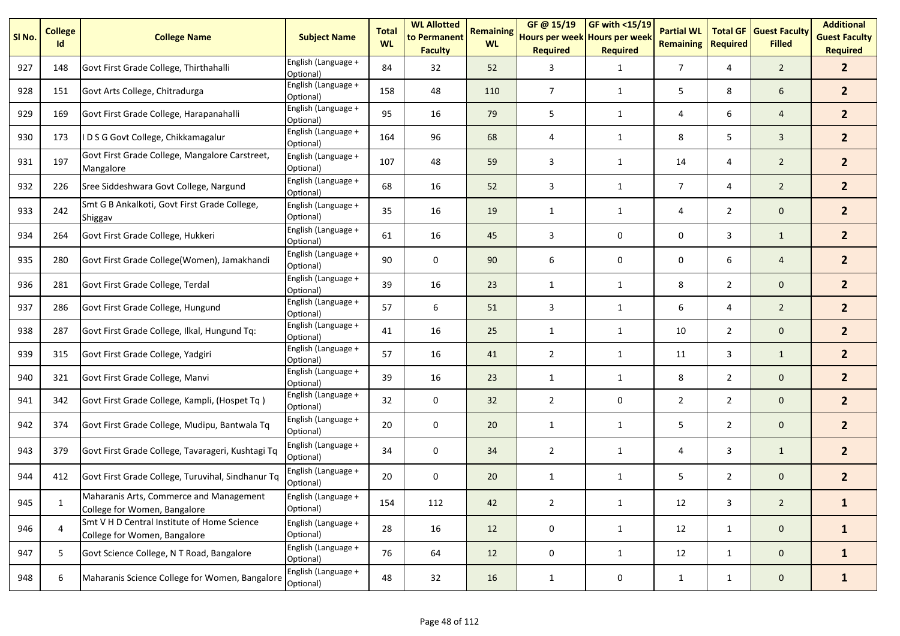| SI No. | <b>College</b><br>Id | <b>College Name</b>                                                         | <b>Subject Name</b>              | <b>Total</b><br><b>WL</b> | <b>WL Allotted</b><br>to Permanent<br><b>Faculty</b> | <b>Remaining</b><br><b>WL</b> | GF@ 15/19<br>Hours per week Hours per week<br><b>Required</b> | <b>GF with &lt;15/19</b><br><b>Required</b> | <b>Partial WL</b><br><b>Remaining</b> | <b>Total GF</b><br><b>Required</b> | <b>Guest Faculty</b><br><b>Filled</b> | <b>Additional</b><br><b>Guest Faculty</b><br><b>Required</b> |
|--------|----------------------|-----------------------------------------------------------------------------|----------------------------------|---------------------------|------------------------------------------------------|-------------------------------|---------------------------------------------------------------|---------------------------------------------|---------------------------------------|------------------------------------|---------------------------------------|--------------------------------------------------------------|
| 927    | 148                  | Govt First Grade College, Thirthahalli                                      | English (Language +<br>Optional) | 84                        | 32                                                   | 52                            | 3                                                             | $\mathbf{1}$                                | $\overline{7}$                        | 4                                  | $\overline{2}$                        | 2 <sup>2</sup>                                               |
| 928    | 151                  | Govt Arts College, Chitradurga                                              | English (Language +<br>Optional) | 158                       | 48                                                   | 110                           | $\overline{7}$                                                | $\mathbf{1}$                                | 5                                     | 8                                  | 6                                     | 2 <sup>1</sup>                                               |
| 929    | 169                  | Govt First Grade College, Harapanahalli                                     | English (Language +<br>Optional) | 95                        | 16                                                   | 79                            | 5                                                             | $\mathbf{1}$                                | 4                                     | 6                                  | $\overline{4}$                        | 2 <sup>1</sup>                                               |
| 930    | 173                  | IDSG Govt College, Chikkamagalur                                            | English (Language +<br>Optional) | 164                       | 96                                                   | 68                            | 4                                                             | 1                                           | 8                                     | 5                                  | $\overline{3}$                        | 2 <sup>1</sup>                                               |
| 931    | 197                  | Govt First Grade College, Mangalore Carstreet,<br>Mangalore                 | English (Language +<br>Optional) | 107                       | 48                                                   | 59                            | 3                                                             | $\mathbf{1}$                                | 14                                    | 4                                  | $\overline{2}$                        | 2 <sup>1</sup>                                               |
| 932    | 226                  | Sree Siddeshwara Govt College, Nargund                                      | English (Language +<br>Optional) | 68                        | 16                                                   | 52                            | 3                                                             | $\mathbf{1}$                                | $\overline{7}$                        | 4                                  | $\overline{2}$                        | 2 <sup>1</sup>                                               |
| 933    | 242                  | Smt G B Ankalkoti, Govt First Grade College,<br>Shiggav                     | English (Language +<br>Optional) | 35                        | 16                                                   | 19                            | $\mathbf{1}$                                                  | 1                                           | 4                                     | $\overline{2}$                     | $\mathbf 0$                           | 2 <sup>1</sup>                                               |
| 934    | 264                  | Govt First Grade College, Hukkeri                                           | English (Language +<br>Optional) | 61                        | 16                                                   | 45                            | 3                                                             | 0                                           | 0                                     | 3                                  | $\mathbf{1}$                          | 2 <sup>1</sup>                                               |
| 935    | 280                  | Govt First Grade College(Women), Jamakhandi                                 | English (Language +<br>Optional) | 90                        | 0                                                    | 90                            | 6                                                             | 0                                           | 0                                     | 6                                  | $\overline{4}$                        | 2 <sup>1</sup>                                               |
| 936    | 281                  | Govt First Grade College, Terdal                                            | English (Language +<br>Optional) | 39                        | 16                                                   | 23                            | 1                                                             | 1                                           | 8                                     | $\overline{2}$                     | $\mathbf 0$                           | 2 <sup>1</sup>                                               |
| 937    | 286                  | Govt First Grade College, Hungund                                           | English (Language +<br>Optional) | 57                        | 6                                                    | 51                            | 3                                                             | $\mathbf{1}$                                | 6                                     | 4                                  | $\overline{2}$                        | 2 <sup>2</sup>                                               |
| 938    | 287                  | Govt First Grade College, Ilkal, Hungund Tq:                                | English (Language +<br>Optional) | 41                        | 16                                                   | 25                            | 1                                                             | $\mathbf{1}$                                | 10                                    | $\overline{2}$                     | $\mathbf 0$                           | 2 <sup>1</sup>                                               |
| 939    | 315                  | Govt First Grade College, Yadgiri                                           | English (Language +<br>Optional) | 57                        | 16                                                   | 41                            | 2                                                             | $\mathbf{1}$                                | 11                                    | 3                                  | $\mathbf{1}$                          | 2 <sup>1</sup>                                               |
| 940    | 321                  | Govt First Grade College, Manvi                                             | English (Language +<br>Optional) | 39                        | 16                                                   | 23                            | $\mathbf{1}$                                                  | 1                                           | 8                                     | $\overline{2}$                     | $\mathbf 0$                           | 2 <sup>2</sup>                                               |
| 941    | 342                  | Govt First Grade College, Kampli, (Hospet Tq)                               | English (Language +<br>Optional) | 32                        | 0                                                    | 32                            | $\overline{2}$                                                | 0                                           | $\overline{2}$                        | $\overline{2}$                     | $\mathbf 0$                           | 2 <sup>1</sup>                                               |
| 942    | 374                  | Govt First Grade College, Mudipu, Bantwala Tq                               | English (Language +<br>Optional) | 20                        | 0                                                    | 20                            | 1                                                             | 1                                           | 5                                     | $\overline{2}$                     | $\mathbf 0$                           | 2 <sup>1</sup>                                               |
| 943    | 379                  | Govt First Grade College, Tavarageri, Kushtagi Tq                           | English (Language +<br>Optional) | 34                        | 0                                                    | 34                            | $\overline{2}$                                                | 1                                           | 4                                     | 3                                  | $\mathbf{1}$                          | 2 <sup>1</sup>                                               |
| 944    | 412                  | Govt First Grade College, Turuvihal, Sindhanur Tq                           | English (Language +<br>Optional) | 20                        | 0                                                    | 20                            | $\mathbf{1}$                                                  | 1                                           | 5                                     | $\overline{2}$                     | $\mathbf 0$                           | $\overline{2}$                                               |
| 945    | 1                    | Maharanis Arts, Commerce and Management<br>College for Women, Bangalore     | English (Language +<br>Optional) | 154                       | 112                                                  | 42                            | $\overline{2}$                                                | $\mathbf{1}$                                | 12                                    | 3                                  | $\overline{2}$                        | $\mathbf{1}$                                                 |
| 946    | $\overline{4}$       | Smt V H D Central Institute of Home Science<br>College for Women, Bangalore | English (Language +<br>Optional) | 28                        | 16                                                   | 12                            | 0                                                             | 1                                           | 12                                    | $\mathbf{1}$                       | $\mathbf{0}$                          | $\mathbf{1}$                                                 |
| 947    | 5                    | Govt Science College, N T Road, Bangalore                                   | English (Language +<br>Optional) | 76                        | 64                                                   | 12                            | 0                                                             | $\mathbf{1}$                                | 12                                    | $\mathbf{1}$                       | $\mathbf{0}$                          | $\mathbf{1}$                                                 |
| 948    | 6                    | Maharanis Science College for Women, Bangalore                              | English (Language +<br>Optional) | 48                        | 32                                                   | 16                            | $\mathbf{1}$                                                  | 0                                           | $\mathbf{1}$                          | $\mathbf{1}$                       | $\mathbf{0}$                          | $\mathbf{1}$                                                 |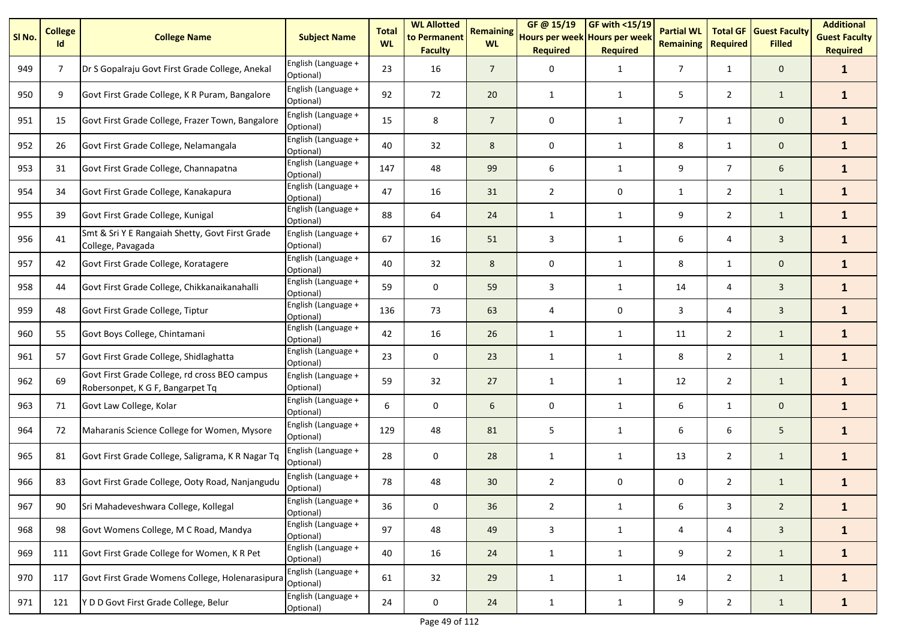| SI <sub>No.</sub> | <b>College</b><br>Id | <b>College Name</b>                                                               | <b>Subject Name</b>              | <b>Total</b><br><b>WL</b> | <b>WL Allotted</b><br>to Permanent<br><b>Faculty</b> | <b>Remaining</b><br><b>WL</b> | GF@ 15/19<br>Hours per week Hours per week<br><b>Required</b> | GF with <15/19<br><b>Required</b> | <b>Partial WL</b><br><b>Remaining</b> | <b>Total GF</b><br><b>Required</b> | <b>Guest Faculty</b><br><b>Filled</b> | <b>Additional</b><br><b>Guest Faculty</b><br><b>Required</b> |
|-------------------|----------------------|-----------------------------------------------------------------------------------|----------------------------------|---------------------------|------------------------------------------------------|-------------------------------|---------------------------------------------------------------|-----------------------------------|---------------------------------------|------------------------------------|---------------------------------------|--------------------------------------------------------------|
| 949               | $\overline{7}$       | Dr S Gopalraju Govt First Grade College, Anekal                                   | English (Language +<br>Optional) | 23                        | 16                                                   | $\overline{7}$                | 0                                                             | $\mathbf{1}$                      | $\overline{7}$                        | $\mathbf{1}$                       | $\mathbf 0$                           | $\mathbf{1}$                                                 |
| 950               | 9                    | Govt First Grade College, K R Puram, Bangalore                                    | English (Language +<br>Optional) | 92                        | 72                                                   | 20                            | $\mathbf{1}$                                                  | 1                                 | 5                                     | $\overline{2}$                     | $\mathbf{1}$                          | $\mathbf{1}$                                                 |
| 951               | 15                   | Govt First Grade College, Frazer Town, Bangalore                                  | English (Language +<br>Optional) | 15                        | 8                                                    | $\overline{7}$                | 0                                                             | $\mathbf{1}$                      | $\overline{7}$                        | 1                                  | $\mathbf 0$                           | $\mathbf{1}$                                                 |
| 952               | 26                   | Govt First Grade College, Nelamangala                                             | English (Language +<br>Optional) | 40                        | 32                                                   | 8                             | 0                                                             | $\mathbf{1}$                      | 8                                     | $\mathbf{1}$                       | $\mathbf 0$                           | $\mathbf{1}$                                                 |
| 953               | 31                   | Govt First Grade College, Channapatna                                             | English (Language +<br>Optional) | 147                       | 48                                                   | 99                            | 6                                                             | 1                                 | 9                                     | $\overline{7}$                     | 6                                     | $\mathbf{1}$                                                 |
| 954               | 34                   | Govt First Grade College, Kanakapura                                              | English (Language +<br>Optional) | 47                        | 16                                                   | 31                            | $\overline{2}$                                                | 0                                 | $\mathbf{1}$                          | $\overline{2}$                     | $\mathbf{1}$                          | $\mathbf{1}$                                                 |
| 955               | 39                   | Govt First Grade College, Kunigal                                                 | English (Language +<br>Optional) | 88                        | 64                                                   | 24                            | $\mathbf{1}$                                                  | $\mathbf{1}$                      | 9                                     | $\overline{2}$                     | $\mathbf{1}$                          | $\mathbf{1}$                                                 |
| 956               | 41                   | Smt & Sri Y E Rangaiah Shetty, Govt First Grade<br>College, Pavagada              | English (Language +<br>Optional) | 67                        | 16                                                   | 51                            | 3                                                             | 1                                 | 6                                     | 4                                  | 3                                     | $\mathbf{1}$                                                 |
| 957               | 42                   | Govt First Grade College, Koratagere                                              | English (Language +<br>Optional) | 40                        | 32                                                   | 8                             | $\mathbf 0$                                                   | $\mathbf{1}$                      | 8                                     | 1                                  | $\mathbf 0$                           | $\mathbf{1}$                                                 |
| 958               | 44                   | Govt First Grade College, Chikkanaikanahalli                                      | English (Language +<br>Optional) | 59                        | $\mathbf 0$                                          | 59                            | 3                                                             | $\mathbf{1}$                      | 14                                    | 4                                  | $\mathbf{3}$                          | $\mathbf{1}$                                                 |
| 959               | 48                   | Govt First Grade College, Tiptur                                                  | English (Language +<br>Optional) | 136                       | 73                                                   | 63                            | $\overline{4}$                                                | 0                                 | 3                                     | 4                                  | $\overline{3}$                        | $\mathbf{1}$                                                 |
| 960               | 55                   | Govt Boys College, Chintamani                                                     | English (Language +<br>Optional) | 42                        | 16                                                   | 26                            | $\mathbf{1}$                                                  | $\mathbf{1}$                      | 11                                    | $\overline{2}$                     | $\mathbf{1}$                          | $\mathbf{1}$                                                 |
| 961               | 57                   | Govt First Grade College, Shidlaghatta                                            | English (Language +<br>Optional) | 23                        | 0                                                    | 23                            | $\mathbf{1}$                                                  | $\mathbf{1}$                      | 8                                     | $\overline{2}$                     | $\mathbf{1}$                          | $\mathbf{1}$                                                 |
| 962               | 69                   | Govt First Grade College, rd cross BEO campus<br>Robersonpet, K G F, Bangarpet Tq | English (Language +<br>Optional) | 59                        | 32                                                   | 27                            | 1                                                             | 1                                 | 12                                    | $\overline{2}$                     | $\mathbf{1}$                          | $\mathbf{1}$                                                 |
| 963               | 71                   | Govt Law College, Kolar                                                           | English (Language +<br>Optional) | 6                         | $\mathbf 0$                                          | 6                             | 0                                                             | $\mathbf{1}$                      | 6                                     | $\mathbf{1}$                       | $\mathbf{0}$                          | $\mathbf{1}$                                                 |
| 964               | 72                   | Maharanis Science College for Women, Mysore                                       | English (Language +<br>Optional) | 129                       | 48                                                   | 81                            | 5                                                             | $\mathbf{1}$                      | 6                                     | 6                                  | 5                                     | $\mathbf{1}$                                                 |
| 965               | 81                   | Govt First Grade College, Saligrama, K R Nagar Tq                                 | English (Language +<br>Optional) | 28                        | 0                                                    | 28                            | 1                                                             | 1                                 | 13                                    | $\overline{2}$                     | $\mathbf{1}$                          | $\mathbf{1}$                                                 |
| 966               | 83                   | Govt First Grade College, Ooty Road, Nanjangudu                                   | English (Language +<br>Optional) | 78                        | 48                                                   | 30                            | $\overline{2}$                                                | 0                                 | 0                                     | $\overline{2}$                     | $\mathbf{1}$                          | 1                                                            |
| 967               | 90                   | Sri Mahadeveshwara College, Kollegal                                              | English (Language +<br>Optional) | 36                        | $\pmb{0}$                                            | 36                            | $\overline{2}$                                                | $\mathbf{1}$                      | 6                                     | 3                                  | $\overline{2}$                        | $\mathbf{1}$                                                 |
| 968               | 98                   | Govt Womens College, M C Road, Mandya                                             | English (Language +<br>Optional) | 97                        | 48                                                   | 49                            | $\mathbf{3}$                                                  | $\mathbf{1}$                      | 4                                     | 4                                  | $\mathbf{3}$                          | $\mathbf{1}$                                                 |
| 969               | 111                  | Govt First Grade College for Women, K R Pet                                       | English (Language +<br>Optional) | 40                        | 16                                                   | 24                            | $\mathbf{1}$                                                  | $\mathbf{1}$                      | 9                                     | $\overline{2}$                     | $\mathbf{1}$                          | $\mathbf{1}$                                                 |
| 970               | 117                  | Govt First Grade Womens College, Holenarasipura                                   | English (Language +<br>Optional) | 61                        | 32                                                   | 29                            | $\mathbf{1}$                                                  | $\mathbf{1}$                      | 14                                    | $\overline{2}$                     | $\mathbf{1}$                          | $\mathbf{1}$                                                 |
| 971               | 121                  | Y D D Govt First Grade College, Belur                                             | English (Language +<br>Optional) | 24                        | $\pmb{0}$                                            | 24                            | $\mathbf{1}$                                                  | $\mathbf{1}$                      | 9                                     | $\overline{2}$                     | $\mathbf{1}$                          | $\mathbf{1}$                                                 |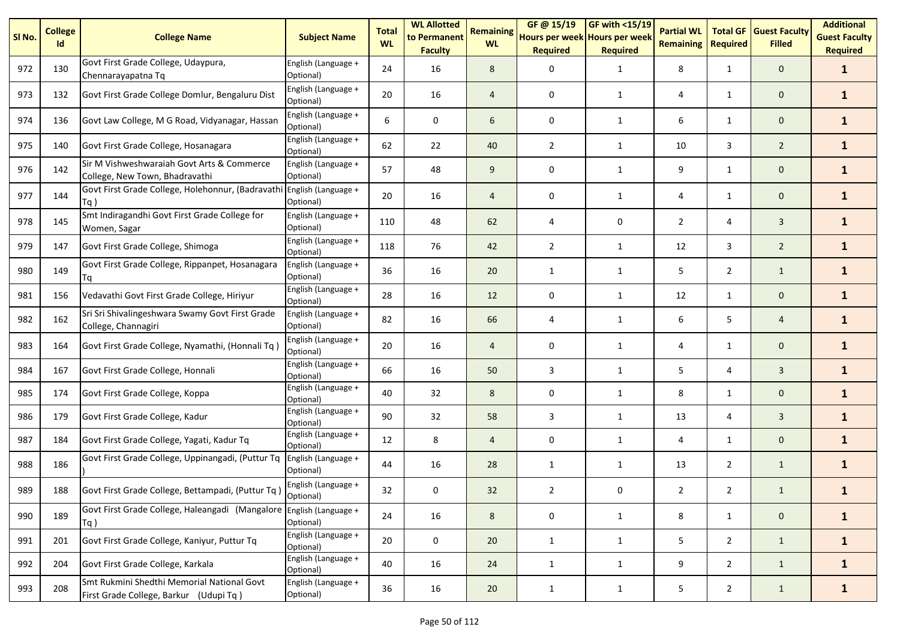| SI <sub>No.</sub> | <b>College</b><br>Id | <b>College Name</b>                                                                  | <b>Subject Name</b>              | <b>Total</b><br><b>WL</b> | <b>WL Allotted</b><br>to Permanent<br><b>Faculty</b> | <b>Remaining</b><br><b>WL</b> | GF @ 15/19<br>Hours per week Hours per week<br><b>Required</b> | GF with $<$ 15/19<br><b>Required</b> | <b>Partial WL</b><br><b>Remaining</b> | <b>Total GF</b><br><b>Required</b> | <b>Guest Faculty</b><br><b>Filled</b> | <b>Additional</b><br><b>Guest Faculty</b><br><b>Required</b> |
|-------------------|----------------------|--------------------------------------------------------------------------------------|----------------------------------|---------------------------|------------------------------------------------------|-------------------------------|----------------------------------------------------------------|--------------------------------------|---------------------------------------|------------------------------------|---------------------------------------|--------------------------------------------------------------|
| 972               | 130                  | Govt First Grade College, Udaypura,<br>Chennarayapatna Tq                            | English (Language +<br>Optional) | 24                        | 16                                                   | 8                             | 0                                                              | $\mathbf{1}$                         | 8                                     | 1                                  | $\mathbf 0$                           | $\mathbf{1}$                                                 |
| 973               | 132                  | Govt First Grade College Domlur, Bengaluru Dist                                      | English (Language +<br>Optional) | 20                        | 16                                                   | $\overline{4}$                | 0                                                              | $\mathbf{1}$                         | 4                                     | $\mathbf{1}$                       | $\mathbf 0$                           | $\mathbf{1}$                                                 |
| 974               | 136                  | Govt Law College, M G Road, Vidyanagar, Hassan                                       | English (Language +<br>Optional) | 6                         | 0                                                    | 6                             | 0                                                              | $\mathbf{1}$                         | 6                                     | $\mathbf{1}$                       | $\mathbf 0$                           | $\mathbf{1}$                                                 |
| 975               | 140                  | Govt First Grade College, Hosanagara                                                 | English (Language +<br>Optional) | 62                        | 22                                                   | 40                            | $\overline{2}$                                                 | $\mathbf{1}$                         | 10                                    | 3                                  | $\overline{2}$                        | $\mathbf{1}$                                                 |
| 976               | 142                  | Sir M Vishweshwaraiah Govt Arts & Commerce<br>College, New Town, Bhadravathi         | English (Language +<br>Optional) | 57                        | 48                                                   | 9                             | 0                                                              | $\mathbf{1}$                         | 9                                     | $\mathbf{1}$                       | $\mathbf{0}$                          | $\mathbf{1}$                                                 |
| 977               | 144                  | Govt First Grade College, Holehonnur, (Badravathi English (Language +<br>$Tq$ )      | Optional)                        | 20                        | 16                                                   | $\overline{4}$                | 0                                                              | $\mathbf{1}$                         | 4                                     | 1                                  | $\mathbf{0}$                          | $\mathbf{1}$                                                 |
| 978               | 145                  | Smt Indiragandhi Govt First Grade College for<br>Women, Sagar                        | English (Language +<br>Optional) | 110                       | 48                                                   | 62                            | 4                                                              | 0                                    | $\overline{2}$                        | 4                                  | $\overline{3}$                        | $\mathbf{1}$                                                 |
| 979               | 147                  | Govt First Grade College, Shimoga                                                    | English (Language +<br>Optional) | 118                       | 76                                                   | 42                            | $\overline{2}$                                                 | $\mathbf{1}$                         | 12                                    | 3                                  | $\overline{2}$                        | $\mathbf{1}$                                                 |
| 980               | 149                  | Govt First Grade College, Rippanpet, Hosanagara<br>Ta                                | English (Language +<br>Optional) | 36                        | 16                                                   | 20                            | $\mathbf{1}$                                                   | $\mathbf{1}$                         | 5                                     | $\overline{2}$                     | $\mathbf{1}$                          | $\mathbf{1}$                                                 |
| 981               | 156                  | Vedavathi Govt First Grade College, Hiriyur                                          | English (Language +<br>Optional) | 28                        | 16                                                   | 12                            | 0                                                              | $\mathbf{1}$                         | 12                                    | $\mathbf{1}$                       | $\mathbf 0$                           | $\mathbf{1}$                                                 |
| 982               | 162                  | Sri Sri Shivalingeshwara Swamy Govt First Grade<br>College, Channagiri               | English (Language +<br>Optional) | 82                        | 16                                                   | 66                            | $\overline{4}$                                                 | $\mathbf{1}$                         | 6                                     | 5                                  | $\overline{a}$                        | $\mathbf{1}$                                                 |
| 983               | 164                  | Govt First Grade College, Nyamathi, (Honnali Tq)                                     | English (Language +<br>Optional) | 20                        | 16                                                   | $\overline{4}$                | 0                                                              | $\mathbf{1}$                         | 4                                     | $\mathbf{1}$                       | $\mathbf{0}$                          | $\mathbf{1}$                                                 |
| 984               | 167                  | Govt First Grade College, Honnali                                                    | English (Language +<br>Optional) | 66                        | 16                                                   | 50                            | 3                                                              | $\mathbf{1}$                         | 5                                     | 4                                  | $\overline{3}$                        | $\mathbf{1}$                                                 |
| 985               | 174                  | Govt First Grade College, Koppa                                                      | English (Language +<br>Optional) | 40                        | 32                                                   | 8                             | 0                                                              | $\mathbf{1}$                         | 8                                     | $\mathbf{1}$                       | $\mathbf{0}$                          | $\mathbf{1}$                                                 |
| 986               | 179                  | Govt First Grade College, Kadur                                                      | English (Language +<br>Optional) | 90                        | 32                                                   | 58                            | 3                                                              | $\mathbf{1}$                         | 13                                    | 4                                  | $\overline{3}$                        | $\mathbf{1}$                                                 |
| 987               | 184                  | Govt First Grade College, Yagati, Kadur Tq                                           | English (Language +<br>Optional) | 12                        | 8                                                    | $\overline{4}$                | 0                                                              | $\mathbf{1}$                         | 4                                     | $\mathbf{1}$                       | $\pmb{0}$                             | $\mathbf{1}$                                                 |
| 988               | 186                  | Govt First Grade College, Uppinangadi, (Puttur Tq                                    | English (Language +<br>Optional) | 44                        | 16                                                   | 28                            | $\mathbf{1}$                                                   | $\mathbf{1}$                         | 13                                    | $\overline{2}$                     | $\mathbf{1}$                          | $\mathbf{1}$                                                 |
| 989               | 188                  | Govt First Grade College, Bettampadi, (Puttur Tq)                                    | English (Language +<br>Optional) | 32                        | 0                                                    | 32                            | $\overline{2}$                                                 | 0                                    | $\overline{2}$                        | $\overline{2}$                     | $\mathbf{1}$                          | $\mathbf{1}$                                                 |
| 990               | 189                  | Govt First Grade College, Haleangadi (Mangalore English (Language +<br>Tq)           | Optional)                        | 24                        | 16                                                   | 8                             | 0                                                              | $\mathbf{1}$                         | 8                                     | $\mathbf{1}$                       | $\mathbf 0$                           | $\mathbf{1}$                                                 |
| 991               | 201                  | Govt First Grade College, Kaniyur, Puttur Tq                                         | English (Language +<br>Optional) | 20                        | 0                                                    | 20                            | $\mathbf{1}$                                                   | $\mathbf{1}$                         | 5                                     | $\overline{2}$                     | $\mathbf{1}$                          | $\mathbf{1}$                                                 |
| 992               | 204                  | Govt First Grade College, Karkala                                                    | English (Language +<br>Optional) | 40                        | 16                                                   | 24                            | $\mathbf{1}$                                                   | $\mathbf{1}$                         | 9                                     | $\overline{2}$                     | $\mathbf{1}$                          | $\mathbf{1}$                                                 |
| 993               | 208                  | Smt Rukmini Shedthi Memorial National Govt<br>First Grade College, Barkur (Udupi Tq) | English (Language +<br>Optional) | 36                        | 16                                                   | 20                            | $\mathbf{1}$                                                   | $\mathbf{1}$                         | 5                                     | $\overline{2}$                     | $\mathbf{1}$                          | $\mathbf{1}$                                                 |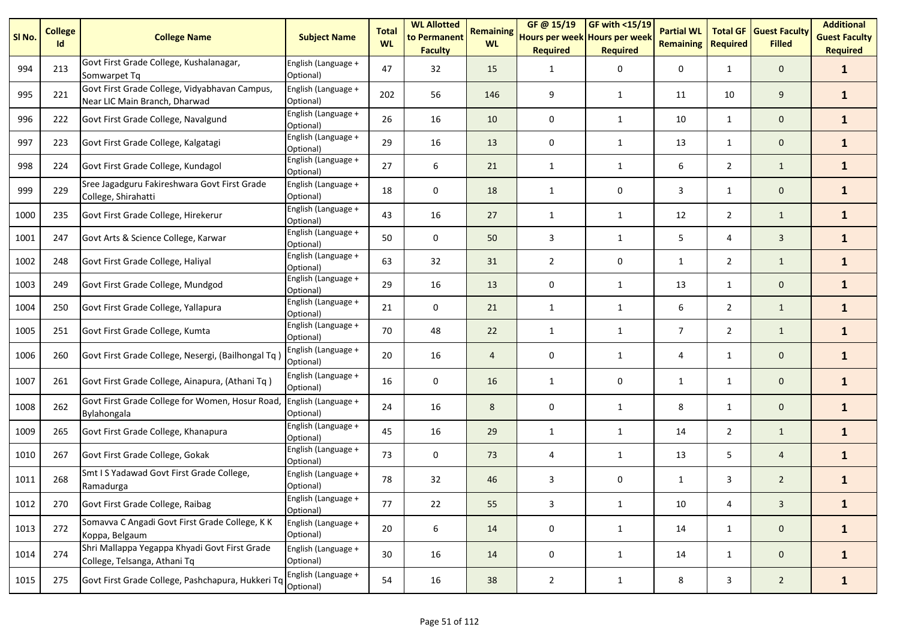| SI <sub>No.</sub> | <b>College</b><br>Id | <b>College Name</b>                                                            | <b>Subject Name</b>              | <b>Total</b><br><b>WL</b> | <b>WL Allotted</b><br>to Permanent<br><b>Faculty</b> | <b>Remaining</b><br><b>WL</b> | GF @ 15/19<br>Hours per week Hours per week<br><b>Required</b> | GF with <15/19<br><b>Required</b> | <b>Partial WL</b><br><b>Remaining</b> | <b>Total GF</b><br><b>Required</b> | <b>Guest Faculty</b><br><b>Filled</b> | <b>Additional</b><br><b>Guest Faculty</b><br><b>Required</b> |
|-------------------|----------------------|--------------------------------------------------------------------------------|----------------------------------|---------------------------|------------------------------------------------------|-------------------------------|----------------------------------------------------------------|-----------------------------------|---------------------------------------|------------------------------------|---------------------------------------|--------------------------------------------------------------|
| 994               | 213                  | Govt First Grade College, Kushalanagar,<br>Somwarpet Tg                        | English (Language +<br>Optional) | 47                        | 32                                                   | 15                            | 1                                                              | 0                                 | 0                                     | $\mathbf{1}$                       | $\mathbf{0}$                          | $\mathbf{1}$                                                 |
| 995               | 221                  | Govt First Grade College, Vidyabhavan Campus,<br>Near LIC Main Branch, Dharwad | English (Language +<br>Optional) | 202                       | 56                                                   | 146                           | 9                                                              | $\mathbf{1}$                      | 11                                    | 10                                 | 9                                     | $\mathbf{1}$                                                 |
| 996               | 222                  | Govt First Grade College, Navalgund                                            | English (Language +<br>Optional) | 26                        | 16                                                   | 10                            | 0                                                              | $\mathbf{1}$                      | 10                                    | $\mathbf{1}$                       | $\mathbf{0}$                          | $\mathbf{1}$                                                 |
| 997               | 223                  | Govt First Grade College, Kalgatagi                                            | English (Language +<br>Optional) | 29                        | 16                                                   | 13                            | 0                                                              | $\mathbf{1}$                      | 13                                    | $\mathbf{1}$                       | $\mathbf 0$                           | $\mathbf{1}$                                                 |
| 998               | 224                  | Govt First Grade College, Kundagol                                             | English (Language +<br>Optional) | 27                        | 6                                                    | 21                            | 1                                                              | 1                                 | 6                                     | $\overline{2}$                     | $\mathbf{1}$                          | $\mathbf{1}$                                                 |
| 999               | 229                  | Sree Jagadguru Fakireshwara Govt First Grade<br>College, Shirahatti            | English (Language +<br>Optional) | 18                        | 0                                                    | 18                            | $\mathbf{1}$                                                   | 0                                 | 3                                     | $\mathbf{1}$                       | $\mathbf{0}$                          | $\mathbf{1}$                                                 |
| 1000              | 235                  | Govt First Grade College, Hirekerur                                            | English (Language +<br>Optional) | 43                        | 16                                                   | 27                            | 1                                                              | $\mathbf{1}$                      | 12                                    | $\overline{2}$                     | $\mathbf{1}$                          | $\mathbf{1}$                                                 |
| 1001              | 247                  | Govt Arts & Science College, Karwar                                            | English (Language +<br>Optional) | 50                        | $\mathbf 0$                                          | 50                            | 3                                                              | $\mathbf{1}$                      | 5                                     | 4                                  | $\overline{3}$                        | $\mathbf{1}$                                                 |
| 1002              | 248                  | Govt First Grade College, Haliyal                                              | English (Language +<br>Optional) | 63                        | 32                                                   | 31                            | $\overline{2}$                                                 | 0                                 | $\mathbf{1}$                          | $\overline{2}$                     | $\mathbf{1}$                          | $\mathbf{1}$                                                 |
| 1003              | 249                  | Govt First Grade College, Mundgod                                              | English (Language +<br>Optional) | 29                        | 16                                                   | 13                            | 0                                                              | $\mathbf{1}$                      | 13                                    | $\mathbf{1}$                       | $\mathbf{0}$                          | $\mathbf{1}$                                                 |
| 1004              | 250                  | Govt First Grade College, Yallapura                                            | English (Language +<br>Optional) | 21                        | $\mathbf 0$                                          | 21                            | 1                                                              | $\mathbf{1}$                      | 6                                     | $\overline{2}$                     | $\mathbf{1}$                          | $\mathbf{1}$                                                 |
| 1005              | 251                  | Govt First Grade College, Kumta                                                | English (Language +<br>Optional) | 70                        | 48                                                   | 22                            | $\mathbf{1}$                                                   | 1                                 | $\overline{7}$                        | $\overline{2}$                     | $\mathbf{1}$                          | $\mathbf{1}$                                                 |
| 1006              | 260                  | Govt First Grade College, Nesergi, (Bailhongal Tq                              | English (Language +<br>Optional) | 20                        | 16                                                   | $\overline{4}$                | 0                                                              | $\mathbf{1}$                      | 4                                     | 1                                  | $\mathbf 0$                           | $\mathbf{1}$                                                 |
| 1007              | 261                  | Govt First Grade College, Ainapura, (Athani Tq)                                | English (Language +<br>Optional) | 16                        | 0                                                    | 16                            | 1                                                              | $\mathbf 0$                       | $\mathbf{1}$                          | $\mathbf{1}$                       | $\mathbf{0}$                          | $\mathbf{1}$                                                 |
| 1008              | 262                  | Govt First Grade College for Women, Hosur Road,<br>Bylahongala                 | English (Language +<br>Optional) | 24                        | 16                                                   | 8                             | 0                                                              | 1                                 | 8                                     | $\mathbf{1}$                       | $\mathbf{0}$                          | $\mathbf{1}$                                                 |
| 1009              | 265                  | Govt First Grade College, Khanapura                                            | English (Language +<br>Optional) | 45                        | 16                                                   | 29                            | 1                                                              | $\mathbf{1}$                      | 14                                    | $\overline{2}$                     | $\mathbf{1}$                          | $\mathbf{1}$                                                 |
| 1010              | 267                  | Govt First Grade College, Gokak                                                | English (Language +<br>Optional) | 73                        | $\mathbf 0$                                          | 73                            | 4                                                              | $\mathbf{1}$                      | 13                                    | 5                                  | $\overline{4}$                        | $\mathbf{1}$                                                 |
| 1011              | 268                  | Smt I S Yadawad Govt First Grade College,<br>Ramadurga                         | English (Language +<br>Optional) | 78                        | 32                                                   | 46                            | 3                                                              | 0                                 | $\mathbf{1}$                          | 3                                  | $\overline{2}$                        | $\mathbf{1}$                                                 |
| 1012              | 270                  | Govt First Grade College, Raibag                                               | English (Language +<br>Optional) | 77                        | 22                                                   | 55                            | 3                                                              | $\mathbf{1}$                      | 10                                    | 4                                  | $\overline{3}$                        | $\mathbf{1}$                                                 |
| 1013              | 272                  | Somavva C Angadi Govt First Grade College, K K<br>Koppa, Belgaum               | English (Language +<br>Optional) | 20                        | 6                                                    | 14                            | 0                                                              | $\mathbf{1}$                      | 14                                    | $\mathbf{1}$                       | $\mathbf{0}$                          | $\mathbf{1}$                                                 |
| 1014              | 274                  | Shri Mallappa Yegappa Khyadi Govt First Grade<br>College, Telsanga, Athani Tq  | English (Language +<br>Optional) | 30 <sup>°</sup>           | 16                                                   | 14                            | 0                                                              | $\mathbf{1}$                      | 14                                    | $\mathbf{1}$                       | $\mathbf 0$                           | $\mathbf{1}$                                                 |
| 1015              | 275                  | Govt First Grade College, Pashchapura, Hukkeri Tq Optional)                    | English (Language +              | 54                        | 16                                                   | 38                            | $\overline{2}$                                                 | $\mathbf{1}$                      | 8                                     | 3                                  | $\overline{2}$                        | $\mathbf{1}$                                                 |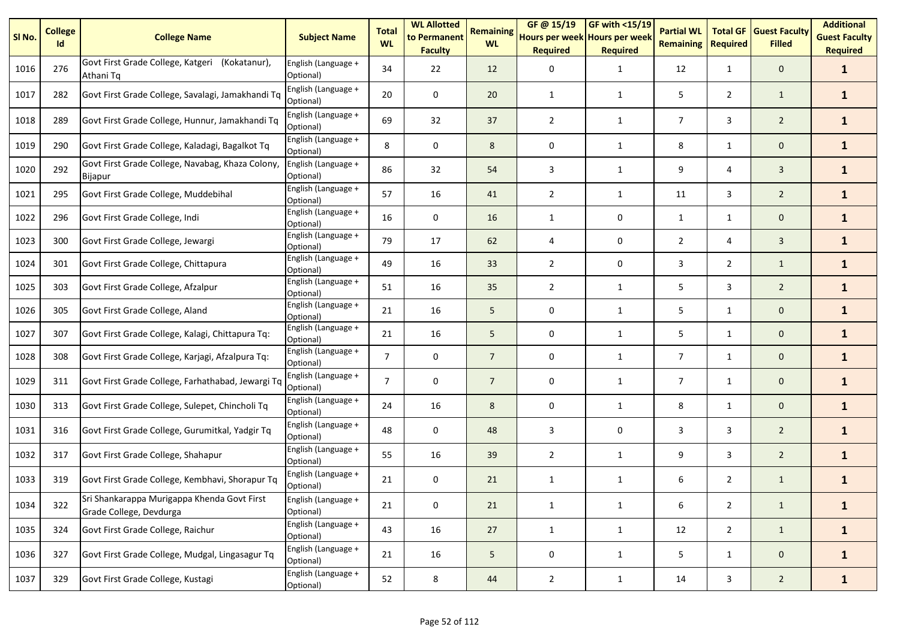| SI <sub>No.</sub> | <b>College</b><br>Id | <b>College Name</b>                                                    | <b>Subject Name</b>              | <b>Total</b><br><b>WL</b> | <b>WL Allotted</b><br>to Permanent<br><b>Faculty</b> | <b>Remaining</b><br><b>WL</b> | GF@ 15/19<br>Hours per week Hours per week<br><b>Required</b> | GF with <15/19<br><b>Required</b> | <b>Partial WL</b><br><b>Remaining</b> | <b>Total GF</b><br><b>Required</b> | <b>Guest Faculty</b><br><b>Filled</b> | <b>Additional</b><br><b>Guest Faculty</b><br><b>Required</b> |
|-------------------|----------------------|------------------------------------------------------------------------|----------------------------------|---------------------------|------------------------------------------------------|-------------------------------|---------------------------------------------------------------|-----------------------------------|---------------------------------------|------------------------------------|---------------------------------------|--------------------------------------------------------------|
| 1016              | 276                  | Govt First Grade College, Katgeri (Kokatanur),<br>Athani Tg            | English (Language +<br>Optional) | 34                        | 22                                                   | 12                            | 0                                                             | $\mathbf{1}$                      | 12                                    | 1                                  | $\mathbf{0}$                          | $\mathbf{1}$                                                 |
| 1017              | 282                  | Govt First Grade College, Savalagi, Jamakhandi Tq                      | English (Language +<br>Optional) | 20                        | 0                                                    | 20                            | $\mathbf{1}$                                                  | $\mathbf{1}$                      | 5                                     | $\overline{2}$                     | $\mathbf{1}$                          | $\mathbf{1}$                                                 |
| 1018              | 289                  | Govt First Grade College, Hunnur, Jamakhandi Tq                        | English (Language +<br>Optional) | 69                        | 32                                                   | 37                            | $\overline{2}$                                                | $\mathbf{1}$                      | $\overline{7}$                        | 3                                  | $\overline{2}$                        | $\mathbf{1}$                                                 |
| 1019              | 290                  | Govt First Grade College, Kaladagi, Bagalkot Tq                        | English (Language +<br>Optional) | 8                         | $\mathbf 0$                                          | 8                             | 0                                                             | $\mathbf{1}$                      | 8                                     | $\mathbf{1}$                       | $\mathbf{0}$                          | $\mathbf{1}$                                                 |
| 1020              | 292                  | Govt First Grade College, Navabag, Khaza Colony,<br>Bijapur            | English (Language +<br>Optional) | 86                        | 32                                                   | 54                            | 3                                                             | $\mathbf{1}$                      | 9                                     | 4                                  | 3                                     | $\mathbf{1}$                                                 |
| 1021              | 295                  | Govt First Grade College, Muddebihal                                   | English (Language +<br>Optional) | 57                        | 16                                                   | 41                            | $\overline{2}$                                                | $\mathbf{1}$                      | 11                                    | 3                                  | $\overline{2}$                        | $\mathbf{1}$                                                 |
| 1022              | 296                  | Govt First Grade College, Indi                                         | English (Language +<br>Optional) | 16                        | 0                                                    | 16                            | 1                                                             | 0                                 | $\mathbf{1}$                          | $\mathbf{1}$                       | $\mathbf{0}$                          | $\mathbf{1}$                                                 |
| 1023              | 300                  | Govt First Grade College, Jewargi                                      | English (Language +<br>Optional) | 79                        | 17                                                   | 62                            | 4                                                             | 0                                 | $\overline{2}$                        | 4                                  | $\overline{3}$                        | $\mathbf{1}$                                                 |
| 1024              | 301                  | Govt First Grade College, Chittapura                                   | English (Language +<br>Optional) | 49                        | 16                                                   | 33                            | $\overline{2}$                                                | 0                                 | 3                                     | $\mathbf{2}$                       | $\mathbf{1}$                          | $\mathbf{1}$                                                 |
| 1025              | 303                  | Govt First Grade College, Afzalpur                                     | English (Language +<br>Optional) | 51                        | 16                                                   | 35                            | $\overline{2}$                                                | $\mathbf{1}$                      | 5                                     | 3                                  | $\overline{2}$                        | $\mathbf{1}$                                                 |
| 1026              | 305                  | Govt First Grade College, Aland                                        | English (Language +<br>Optional) | 21                        | 16                                                   | 5                             | 0                                                             | $\mathbf{1}$                      | 5                                     | $\mathbf{1}$                       | $\mathbf{0}$                          | $\mathbf{1}$                                                 |
| 1027              | 307                  | Govt First Grade College, Kalagi, Chittapura Tq:                       | English (Language +<br>Optional) | 21                        | 16                                                   | 5                             | 0                                                             | 1                                 | 5                                     | $\mathbf{1}$                       | $\mathbf 0$                           | $\mathbf{1}$                                                 |
| 1028              | 308                  | Govt First Grade College, Karjagi, Afzalpura Tq:                       | English (Language +<br>Optional) | $\overline{7}$            | 0                                                    | $\overline{7}$                | 0                                                             | $\mathbf{1}$                      | $\overline{7}$                        | $\mathbf{1}$                       | $\mathbf{0}$                          | $\mathbf{1}$                                                 |
| 1029              | 311                  | Govt First Grade College, Farhathabad, Jewargi Tq                      | English (Language +<br>Optional) | $\overline{7}$            | $\mathbf 0$                                          | $\overline{7}$                | 0                                                             | $\mathbf{1}$                      | $\overline{7}$                        | $\mathbf{1}$                       | $\mathbf{0}$                          | $\mathbf{1}$                                                 |
| 1030              | 313                  | Govt First Grade College, Sulepet, Chincholi Tq                        | English (Language +<br>Optional) | 24                        | 16                                                   | 8                             | 0                                                             | $\mathbf{1}$                      | 8                                     | 1                                  | $\mathbf{0}$                          | $\mathbf{1}$                                                 |
| 1031              | 316                  | Govt First Grade College, Gurumitkal, Yadgir Tq                        | English (Language +<br>Optional) | 48                        | $\mathbf 0$                                          | 48                            | 3                                                             | 0                                 | 3                                     | 3                                  | $\overline{2}$                        | $\mathbf{1}$                                                 |
| 1032              | 317                  | Govt First Grade College, Shahapur                                     | English (Language +<br>Optional) | 55                        | 16                                                   | 39                            | $\overline{2}$                                                | $\mathbf{1}$                      | 9                                     | 3                                  | $\overline{2}$                        | $\mathbf{1}$                                                 |
| 1033              | 319                  | Govt First Grade College, Kembhavi, Shorapur Tq                        | English (Language +<br>Optional) | 21                        | 0                                                    | 21                            | $\mathbf{1}$                                                  | $\mathbf{1}$                      | 6                                     | $\overline{2}$                     | $\mathbf{1}$                          | $\mathbf{1}$                                                 |
| 1034              | 322                  | Sri Shankarappa Murigappa Khenda Govt First<br>Grade College, Devdurga | English (Language +<br>Optional) | 21                        | $\pmb{0}$                                            | 21                            | $\mathbf{1}$                                                  | $\mathbf{1}$                      | 6                                     | $\overline{2}$                     | $\mathbf{1}$                          | $\mathbf{1}$                                                 |
| 1035              | 324                  | Govt First Grade College, Raichur                                      | English (Language +<br>Optional) | 43                        | 16                                                   | 27                            | $\mathbf{1}$                                                  | $\mathbf{1}$                      | 12                                    | $2^{\circ}$                        | $\mathbf{1}$                          | $\mathbf{1}$                                                 |
| 1036              | 327                  | Govt First Grade College, Mudgal, Lingasagur Tq                        | English (Language +<br>Optional) | 21                        | 16                                                   | 5                             | 0                                                             | $\mathbf{1}$                      | 5                                     | $\mathbf{1}$                       | $\mathbf 0$                           | $\mathbf{1}$                                                 |
| 1037              | 329                  | Govt First Grade College, Kustagi                                      | English (Language +<br>Optional) | 52                        | 8                                                    | 44                            | $\overline{2}$                                                | $\mathbf{1}$                      | 14                                    | 3                                  | $\overline{2}$                        | $\mathbf{1}$                                                 |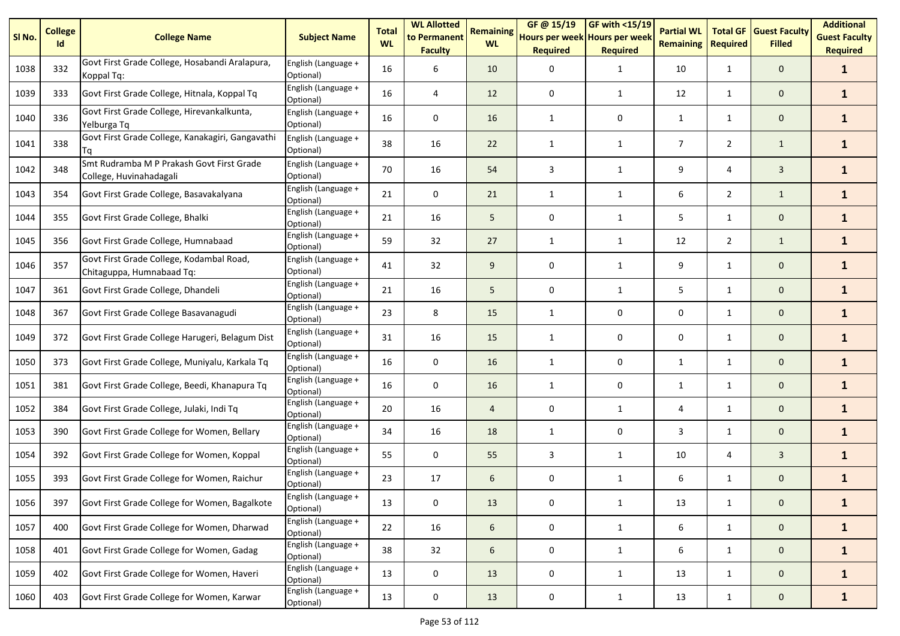| SI <sub>No.</sub> | <b>College</b><br>Id | <b>College Name</b>                                                   | <b>Subject Name</b>              | <b>Total</b><br><b>WL</b> | <b>WL Allotted</b><br>to Permanent<br><b>Faculty</b> | <b>Remaining</b><br><b>WL</b> | GF @ 15/19<br>Hours per week Hours per week<br><b>Required</b> | GF with <15/19<br><b>Required</b> | <b>Partial WL</b><br><b>Remaining</b> | <b>Total GF</b><br><b>Required</b> | <b>Guest Faculty</b><br><b>Filled</b> | <b>Additional</b><br><b>Guest Faculty</b><br><b>Required</b> |
|-------------------|----------------------|-----------------------------------------------------------------------|----------------------------------|---------------------------|------------------------------------------------------|-------------------------------|----------------------------------------------------------------|-----------------------------------|---------------------------------------|------------------------------------|---------------------------------------|--------------------------------------------------------------|
| 1038              | 332                  | Govt First Grade College, Hosabandi Aralapura,<br>Koppal Tq:          | English (Language +<br>Optional) | 16                        | 6                                                    | 10                            | 0                                                              | $\mathbf{1}$                      | 10                                    | $\mathbf{1}$                       | $\mathbf{0}$                          | $\mathbf{1}$                                                 |
| 1039              | 333                  | Govt First Grade College, Hitnala, Koppal Tq                          | English (Language +<br>Optional) | 16                        | 4                                                    | 12                            | 0                                                              | 1                                 | 12                                    | $\mathbf{1}$                       | $\mathbf 0$                           | $\mathbf{1}$                                                 |
| 1040              | 336                  | Govt First Grade College, Hirevankalkunta,<br>Yelburga Tq             | English (Language +<br>Optional) | 16                        | 0                                                    | 16                            | 1                                                              | 0                                 | $\mathbf{1}$                          | 1                                  | $\mathbf 0$                           | $\mathbf{1}$                                                 |
| 1041              | 338                  | Govt First Grade College, Kanakagiri, Gangavathi<br>Ta                | English (Language +<br>Optional) | 38                        | 16                                                   | 22                            | $\mathbf{1}$                                                   | $\mathbf{1}$                      | $\overline{7}$                        | $\overline{2}$                     | $\mathbf{1}$                          | $\mathbf{1}$                                                 |
| 1042              | 348                  | Smt Rudramba M P Prakash Govt First Grade<br>College, Huvinahadagali  | English (Language +<br>Optional) | 70                        | 16                                                   | 54                            | 3                                                              | $\mathbf{1}$                      | 9                                     | 4                                  | 3                                     | $\mathbf{1}$                                                 |
| 1043              | 354                  | Govt First Grade College, Basavakalyana                               | English (Language +<br>Optional) | 21                        | 0                                                    | 21                            | 1                                                              | 1                                 | 6                                     | $\overline{2}$                     | $\mathbf{1}$                          | $\mathbf{1}$                                                 |
| 1044              | 355                  | Govt First Grade College, Bhalki                                      | English (Language +<br>Optional) | 21                        | 16                                                   | 5                             | 0                                                              | $\mathbf{1}$                      | 5                                     | $\mathbf{1}$                       | $\mathbf 0$                           | $\mathbf{1}$                                                 |
| 1045              | 356                  | Govt First Grade College, Humnabaad                                   | English (Language +<br>Optional) | 59                        | 32                                                   | 27                            | $\mathbf{1}$                                                   | 1                                 | 12                                    | $\overline{2}$                     | $\mathbf{1}$                          | $\mathbf{1}$                                                 |
| 1046              | 357                  | Govt First Grade College, Kodambal Road,<br>Chitaguppa, Humnabaad Tq: | English (Language +<br>Optional) | 41                        | 32                                                   | 9                             | 0                                                              | 1                                 | 9                                     | 1                                  | $\mathbf 0$                           | $\mathbf{1}$                                                 |
| 1047              | 361                  | Govt First Grade College, Dhandeli                                    | English (Language +<br>Optional) | 21                        | 16                                                   | 5                             | 0                                                              | 1                                 | 5                                     | 1                                  | $\mathbf 0$                           | $\mathbf{1}$                                                 |
| 1048              | 367                  | Govt First Grade College Basavanagudi                                 | English (Language +<br>Optional) | 23                        | 8                                                    | 15                            | 1                                                              | 0                                 | 0                                     | $\mathbf{1}$                       | $\mathbf 0$                           | $\mathbf{1}$                                                 |
| 1049              | 372                  | Govt First Grade College Harugeri, Belagum Dist                       | English (Language +<br>Optional) | 31                        | 16                                                   | 15                            | $\mathbf{1}$                                                   | 0                                 | 0                                     | $\mathbf{1}$                       | $\mathbf 0$                           | $\mathbf{1}$                                                 |
| 1050              | 373                  | Govt First Grade College, Muniyalu, Karkala Tq                        | English (Language +<br>Optional) | 16                        | 0                                                    | 16                            | $\mathbf{1}$                                                   | 0                                 | $\mathbf{1}$                          | 1                                  | $\mathbf{0}$                          | $\mathbf{1}$                                                 |
| 1051              | 381                  | Govt First Grade College, Beedi, Khanapura Tq                         | English (Language +<br>Optional) | 16                        | 0                                                    | 16                            | $\mathbf{1}$                                                   | 0                                 | $\mathbf{1}$                          | 1                                  | $\mathbf 0$                           | $\mathbf{1}$                                                 |
| 1052              | 384                  | Govt First Grade College, Julaki, Indi Tq                             | English (Language +<br>Optional) | 20                        | 16                                                   | $\overline{4}$                | 0                                                              | 1                                 | 4                                     | $\mathbf{1}$                       | $\mathbf{0}$                          | $\mathbf{1}$                                                 |
| 1053              | 390                  | Govt First Grade College for Women, Bellary                           | English (Language +<br>Optional) | 34                        | 16                                                   | 18                            | 1                                                              | 0                                 | 3                                     | 1                                  | $\mathbf{0}$                          | $\mathbf{1}$                                                 |
| 1054              | 392                  | Govt First Grade College for Women, Koppal                            | English (Language +<br>Optional) | 55                        | $\mathbf 0$                                          | 55                            | 3                                                              | 1                                 | 10                                    | 4                                  | $\mathbf{3}$                          | $\mathbf{1}$                                                 |
| 1055              | 393                  | Govt First Grade College for Women, Raichur                           | English (Language +<br>Optional) | 23                        | 17                                                   | 6                             | 0                                                              | $\mathbf{1}$                      | 6                                     | $\mathbf{1}$                       | $\mathbf 0$                           | $\mathbf{1}$                                                 |
| 1056              | 397                  | Govt First Grade College for Women, Bagalkote                         | English (Language +<br>Optional) | 13                        | 0                                                    | 13                            | 0                                                              | $\mathbf{1}$                      | 13                                    | $\mathbf{1}$                       | $\mathbf 0$                           | $\mathbf{1}$                                                 |
| 1057              | 400                  | Govt First Grade College for Women, Dharwad                           | English (Language +<br>Optional) | 22                        | 16                                                   | 6                             | 0                                                              | $\mathbf{1}$                      | 6                                     | $\mathbf{1}$                       | $\mathbf{0}$                          | $\mathbf{1}$                                                 |
| 1058              | 401                  | Govt First Grade College for Women, Gadag                             | English (Language +<br>Optional) | 38                        | 32                                                   | 6                             | 0                                                              | $\mathbf{1}$                      | 6                                     | $\mathbf{1}$                       | $\mathbf 0$                           | $\mathbf{1}$                                                 |
| 1059              | 402                  | Govt First Grade College for Women, Haveri                            | English (Language +<br>Optional) | 13                        | 0                                                    | 13                            | 0                                                              | $\mathbf{1}$                      | 13                                    | $\mathbf{1}$                       | $\mathbf{0}$                          | $\mathbf{1}$                                                 |
| 1060              | 403                  | Govt First Grade College for Women, Karwar                            | English (Language +<br>Optional) | 13                        | $\pmb{0}$                                            | 13                            | 0                                                              | $\mathbf{1}$                      | 13                                    | $\mathbf{1}$                       | $\mathbf{0}$                          | $\mathbf{1}$                                                 |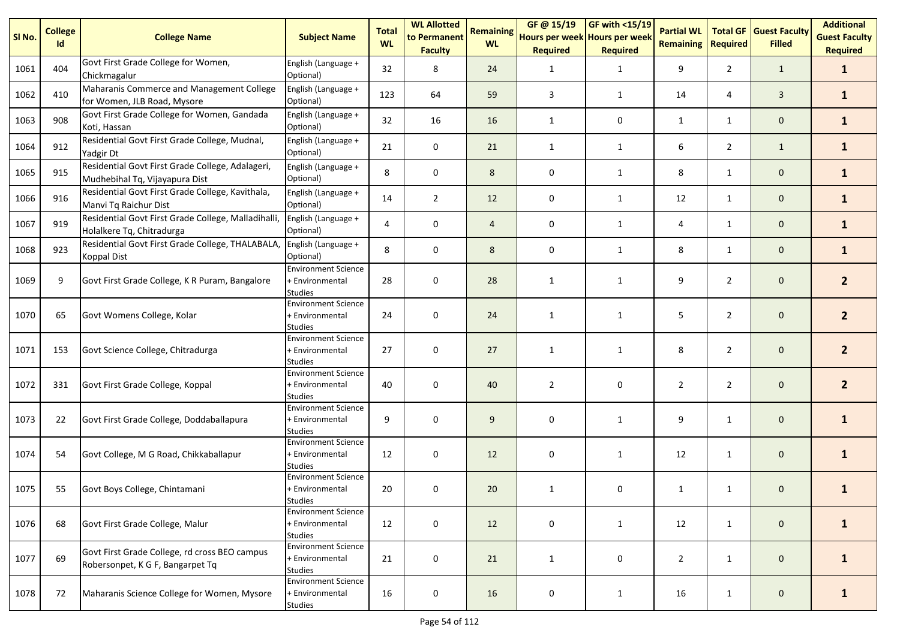| SI No. | <b>College</b><br>Id | <b>College Name</b>                                                                | <b>Subject Name</b>                                             | <b>Total</b><br><b>WL</b> | <b>WL Allotted</b><br>to Permanent<br><b>Faculty</b> | <b>Remaining</b><br><b>WL</b> | GF @ 15/19<br>Hours per week Hours per week<br><b>Required</b> | <b>GF with &lt;15/19</b><br><b>Required</b> | <b>Partial WL</b><br><b>Remaining</b> | <b>Total GF</b><br><b>Required</b> | <b>Guest Faculty</b><br><b>Filled</b> | <b>Additional</b><br><b>Guest Faculty</b><br><b>Required</b> |
|--------|----------------------|------------------------------------------------------------------------------------|-----------------------------------------------------------------|---------------------------|------------------------------------------------------|-------------------------------|----------------------------------------------------------------|---------------------------------------------|---------------------------------------|------------------------------------|---------------------------------------|--------------------------------------------------------------|
| 1061   | 404                  | Govt First Grade College for Women,<br>Chickmagalur                                | English (Language +<br>Optional)                                | 32                        | 8                                                    | 24                            | 1                                                              | $\mathbf{1}$                                | 9                                     | $\overline{2}$                     | $\mathbf{1}$                          | $\mathbf{1}$                                                 |
| 1062   | 410                  | Maharanis Commerce and Management College<br>for Women, JLB Road, Mysore           | English (Language +<br>Optional)                                | 123                       | 64                                                   | 59                            | 3                                                              | $\mathbf{1}$                                | 14                                    | 4                                  | $\overline{3}$                        | $\mathbf{1}$                                                 |
| 1063   | 908                  | Govt First Grade College for Women, Gandada<br>Koti, Hassan                        | English (Language +<br>Optional)                                | 32                        | 16                                                   | 16                            | 1                                                              | 0                                           | $\mathbf{1}$                          | $\mathbf{1}$                       | $\mathbf 0$                           | $\mathbf{1}$                                                 |
| 1064   | 912                  | Residential Govt First Grade College, Mudnal,<br>Yadgir Dt                         | English (Language +<br>Optional)                                | 21                        | $\mathbf 0$                                          | 21                            | 1                                                              | $\mathbf{1}$                                | 6                                     | $\overline{2}$                     | $\mathbf{1}$                          | $\mathbf{1}$                                                 |
| 1065   | 915                  | Residential Govt First Grade College, Adalageri,<br>Mudhebihal Tq, Vijayapura Dist | English (Language +<br>Optional)                                | 8                         | 0                                                    | 8                             | 0                                                              | $\mathbf{1}$                                | 8                                     | $\mathbf{1}$                       | $\mathbf 0$                           | $\mathbf{1}$                                                 |
| 1066   | 916                  | Residential Govt First Grade College, Kavithala,<br>Manvi Tq Raichur Dist          | English (Language +<br>Optional)                                | 14                        | $\overline{2}$                                       | 12                            | 0                                                              | $\mathbf{1}$                                | 12                                    | $\mathbf{1}$                       | $\mathbf 0$                           | $\mathbf{1}$                                                 |
| 1067   | 919                  | Residential Govt First Grade College, Malladihalli,<br>Holalkere Tq, Chitradurga   | English (Language +<br>Optional)                                | 4                         | 0                                                    | 4                             | 0                                                              | $\mathbf{1}$                                | 4                                     | $\mathbf{1}$                       | $\mathbf 0$                           | $\mathbf{1}$                                                 |
| 1068   | 923                  | Residential Govt First Grade College, THALABALA<br><b>Koppal Dist</b>              | English (Language +<br>Optional)                                | 8                         | 0                                                    | 8                             | 0                                                              | 1                                           | 8                                     | $\mathbf{1}$                       | $\mathbf 0$                           | $\mathbf{1}$                                                 |
| 1069   | 9                    | Govt First Grade College, K R Puram, Bangalore                                     | <b>Environment Science</b><br>+ Environmental<br><b>Studies</b> | 28                        | $\mathbf 0$                                          | 28                            | 1                                                              | 1                                           | 9                                     | $\overline{2}$                     | $\mathbf{0}$                          | $\mathbf{2}$                                                 |
| 1070   | 65                   | Govt Womens College, Kolar                                                         | <b>Environment Science</b><br>+ Environmental<br><b>Studies</b> | 24                        | $\mathbf 0$                                          | 24                            | 1                                                              | 1                                           | 5                                     | $\overline{2}$                     | $\mathbf{0}$                          | $\overline{2}$                                               |
| 1071   | 153                  | Govt Science College, Chitradurga                                                  | <b>Environment Science</b><br>+ Environmental<br>Studies        | 27                        | $\mathbf 0$                                          | 27                            | $\mathbf{1}$                                                   | 1                                           | 8                                     | $\overline{2}$                     | $\mathbf 0$                           | 2 <sup>1</sup>                                               |
| 1072   | 331                  | Govt First Grade College, Koppal                                                   | <b>Environment Science</b><br>+ Environmental<br><b>Studies</b> | 40                        | 0                                                    | 40                            | 2                                                              | 0                                           | $\overline{2}$                        | $\overline{2}$                     | $\mathbf{0}$                          | 2 <sup>2</sup>                                               |
| 1073   | 22                   | Govt First Grade College, Doddaballapura                                           | <b>Environment Science</b><br>+ Environmental<br><b>Studies</b> | 9                         | 0                                                    | 9                             | 0                                                              | 1                                           | 9                                     | 1                                  | $\mathbf{0}$                          | $\mathbf{1}$                                                 |
| 1074   | 54                   | Govt College, M G Road, Chikkaballapur                                             | <b>Environment Science</b><br>+ Environmental<br><b>Studies</b> | 12                        | 0                                                    | 12                            | 0                                                              | 1                                           | 12                                    | 1                                  | $\mathbf 0$                           | $\mathbf{1}$                                                 |
| 1075   | 55                   | Govt Boys College, Chintamani                                                      | <b>Environment Science</b><br>+ Environmental<br><b>Studies</b> | 20                        | 0                                                    | 20                            | $\mathbf{1}$                                                   | 0                                           | 1                                     | $\mathbf{1}$                       | $\mathbf 0$                           | $\mathbf{1}$                                                 |
| 1076   | 68                   | Govt First Grade College, Malur                                                    | <b>Environment Science</b><br>+ Environmental<br><b>Studies</b> | 12                        | 0                                                    | 12                            | 0                                                              | $\mathbf{1}$                                | 12                                    | $\mathbf{1}$                       | $\mathbf 0$                           | $\mathbf{1}$                                                 |
| 1077   | 69                   | Govt First Grade College, rd cross BEO campus<br>Robersonpet, K G F, Bangarpet Tq  | <b>Environment Science</b><br>+ Environmental<br><b>Studies</b> | 21                        | $\mathbf 0$                                          | 21                            | $\mathbf{1}$                                                   | 0                                           | $\overline{2}$                        | $\mathbf{1}$                       | $\mathbf 0$                           | $\mathbf{1}$                                                 |
| 1078   | 72                   | Maharanis Science College for Women, Mysore                                        | <b>Environment Science</b><br>+ Environmental<br>Studies        | 16                        | $\pmb{0}$                                            | 16                            | 0                                                              | $\mathbf{1}$                                | 16                                    | $\mathbf{1}$                       | $\mathbf{0}$                          | $\mathbf{1}$                                                 |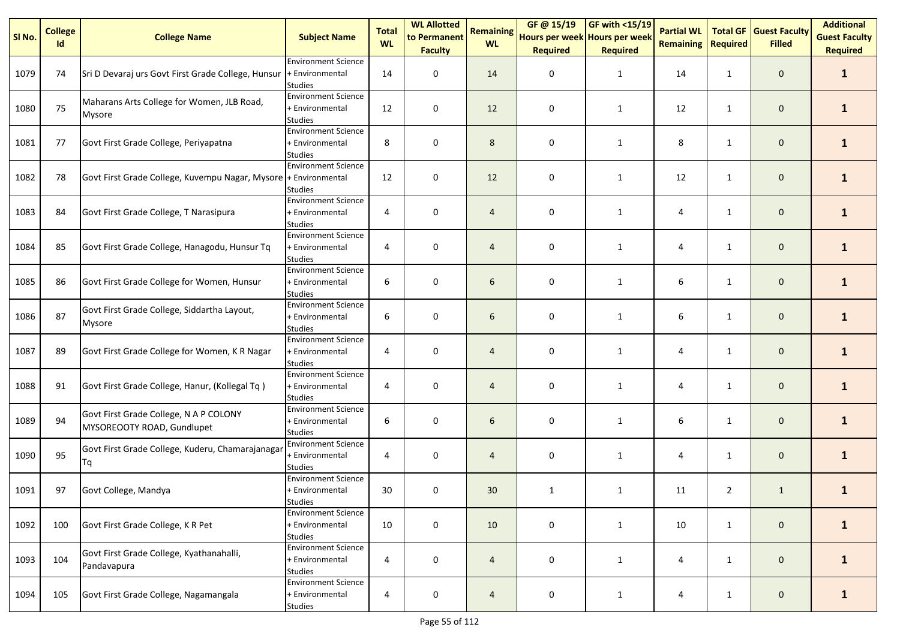| SI <sub>No.</sub> | <b>College</b><br>Id | <b>College Name</b>                                                  | <b>Subject Name</b>                                             | <b>Total</b><br><b>WL</b> | <b>WL Allotted</b><br>to Permanent<br><b>Faculty</b> | <b>Remaining</b><br><b>WL</b> | GF@ 15/19<br>Hours per week Hours per week<br><b>Required</b> | <b>GF with &lt;15/19</b><br><b>Required</b> | <b>Partial WL</b><br><b>Remaining   Required</b> | <b>Total GF</b> | <b>Guest Faculty</b><br><b>Filled</b> | <b>Additional</b><br><b>Guest Faculty</b><br><b>Required</b> |
|-------------------|----------------------|----------------------------------------------------------------------|-----------------------------------------------------------------|---------------------------|------------------------------------------------------|-------------------------------|---------------------------------------------------------------|---------------------------------------------|--------------------------------------------------|-----------------|---------------------------------------|--------------------------------------------------------------|
| 1079              | 74                   | Sri D Devaraj urs Govt First Grade College, Hunsur                   | <b>Environment Science</b><br>+ Environmental<br><b>Studies</b> | 14                        | 0                                                    | 14                            | 0                                                             | $\mathbf{1}$                                | 14                                               | $\mathbf{1}$    | $\mathbf 0$                           | $\mathbf{1}$                                                 |
| 1080              | 75                   | Maharans Arts College for Women, JLB Road,<br><b>Mysore</b>          | <b>Environment Science</b><br>+ Environmental<br><b>Studies</b> | 12                        | 0                                                    | 12                            | 0                                                             | $\mathbf{1}$                                | 12                                               | $\mathbf{1}$    | $\mathbf 0$                           | $\mathbf{1}$                                                 |
| 1081              | 77                   | Govt First Grade College, Periyapatna                                | <b>Environment Science</b><br>+ Environmental<br><b>Studies</b> | 8                         | $\pmb{0}$                                            | 8                             | 0                                                             | $\mathbf{1}$                                | 8                                                | $\mathbf{1}$    | $\mathbf 0$                           | 1                                                            |
| 1082              | 78                   | Govt First Grade College, Kuvempu Nagar, Mysore + Environmental      | <b>Environment Science</b><br><b>Studies</b>                    | 12                        | 0                                                    | 12                            | 0                                                             | $\mathbf{1}$                                | 12                                               | $\mathbf{1}$    | $\mathbf 0$                           | $\mathbf{1}$                                                 |
| 1083              | 84                   | Govt First Grade College, T Narasipura                               | <b>Environment Science</b><br>+ Environmental<br><b>Studies</b> | 4                         | 0                                                    | $\overline{4}$                | 0                                                             | $\mathbf{1}$                                | 4                                                | $\mathbf{1}$    | $\mathbf 0$                           | $\mathbf{1}$                                                 |
| 1084              | 85                   | Govt First Grade College, Hanagodu, Hunsur Tq                        | <b>Environment Science</b><br>+ Environmental<br><b>Studies</b> | 4                         | $\pmb{0}$                                            | 4                             | 0                                                             | $\mathbf{1}$                                | 4                                                | $\mathbf{1}$    | $\mathbf 0$                           | $\mathbf{1}$                                                 |
| 1085              | 86                   | Govt First Grade College for Women, Hunsur                           | <b>Environment Science</b><br>+ Environmental<br><b>Studies</b> | 6                         | 0                                                    | 6                             | 0                                                             | $\mathbf{1}$                                | 6                                                | $\mathbf{1}$    | $\mathbf 0$                           | $\mathbf{1}$                                                 |
| 1086              | 87                   | Govt First Grade College, Siddartha Layout,<br>Mysore                | <b>Environment Science</b><br>+ Environmental<br><b>Studies</b> | 6                         | 0                                                    | 6                             | 0                                                             | $\mathbf{1}$                                | 6                                                | $\mathbf{1}$    | $\mathbf 0$                           | $\mathbf{1}$                                                 |
| 1087              | 89                   | Govt First Grade College for Women, K R Nagar                        | <b>Environment Science</b><br>+ Environmental<br><b>Studies</b> | 4                         | $\pmb{0}$                                            | 4                             | 0                                                             | $\mathbf{1}$                                | 4                                                | $\mathbf{1}$    | $\mathsf{O}\xspace$                   | $\mathbf{1}$                                                 |
| 1088              | 91                   | Govt First Grade College, Hanur, (Kollegal Tq)                       | <b>Environment Science</b><br>+ Environmental<br><b>Studies</b> | 4                         | $\pmb{0}$                                            | 4                             | 0                                                             | 1                                           | 4                                                | $\mathbf{1}$    | $\mathbf 0$                           | $\mathbf{1}$                                                 |
| 1089              | 94                   | Govt First Grade College, N A P COLONY<br>MYSOREOOTY ROAD, Gundlupet | <b>Environment Science</b><br>+ Environmental<br><b>Studies</b> | 6                         | $\mathbf 0$                                          | 6                             | 0                                                             | $\mathbf{1}$                                | 6                                                | $\mathbf{1}$    | $\mathbf 0$                           | $\mathbf{1}$                                                 |
| 1090              | 95                   | Govt First Grade College, Kuderu, Chamarajanagar<br>Тq               | <b>Environment Science</b><br>+ Environmental<br><b>Studies</b> | 4                         | 0                                                    | 4                             | 0                                                             | $\mathbf{1}$                                | 4                                                | $\mathbf{1}$    | $\mathbf 0$                           | $\mathbf{1}$                                                 |
| 1091              | 97                   | Govt College, Mandya                                                 | <b>Environment Science</b><br>+ Environmental<br><b>Studies</b> | 30                        | $\pmb{0}$                                            | 30                            | $\mathbf{1}$                                                  | $\mathbf{1}$                                | 11                                               | $\overline{2}$  | $\mathbf{1}$                          | $\mathbf{1}$                                                 |
| 1092              | 100                  | Govt First Grade College, K R Pet                                    | <b>Environment Science</b><br>+ Environmental<br><b>Studies</b> | 10                        | $\pmb{0}$                                            | 10                            | 0                                                             | $\mathbf{1}$                                | 10                                               | $\mathbf{1}$    | $\mathbf 0$                           | $\mathbf{1}$                                                 |
| 1093              | 104                  | Govt First Grade College, Kyathanahalli,<br>Pandavapura              | <b>Environment Science</b><br>+ Environmental<br>Studies        | 4                         | $\pmb{0}$                                            | 4                             | 0                                                             | $\mathbf{1}$                                | 4                                                | $\mathbf{1}$    | $\mathbf 0$                           | $\mathbf{1}$                                                 |
| 1094              | 105                  | Govt First Grade College, Nagamangala                                | <b>Environment Science</b><br>+ Environmental<br><b>Studies</b> | 4                         | $\pmb{0}$                                            | $\overline{4}$                | 0                                                             | $\mathbf{1}$                                | 4                                                | $\mathbf{1}$    | $\mathbf 0$                           | $\mathbf{1}$                                                 |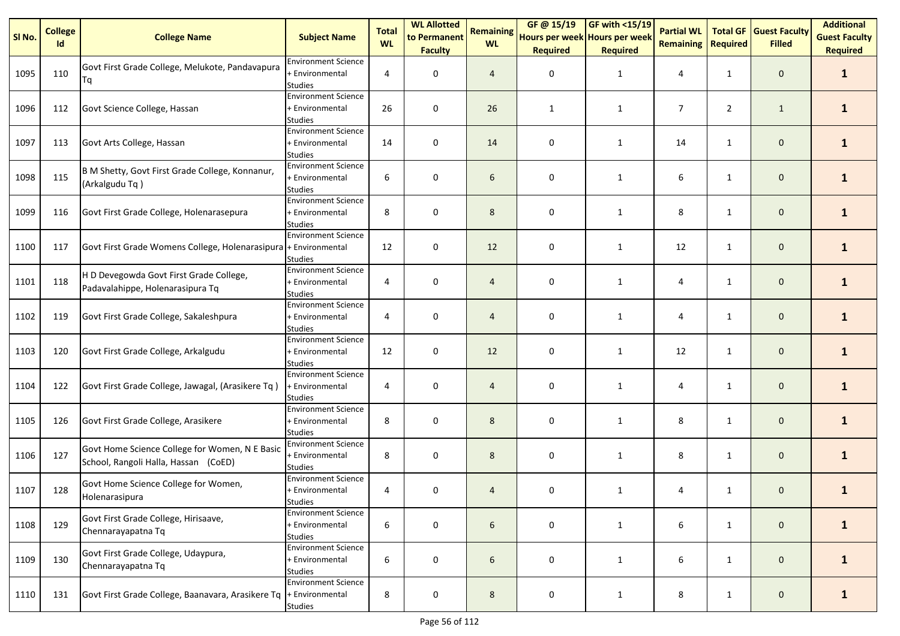| SI No. | <b>College</b><br>Id | <b>College Name</b>                                                                    | <b>Subject Name</b>                                             | <b>Total</b><br><b>WL</b> | <b>WL Allotted</b><br>to Permanent<br><b>Faculty</b> | <b>Remaining</b><br><b>WL</b> | GF @ 15/19<br>Hours per week Hours per week<br><b>Required</b> | <b>GF with &lt;15/19</b><br><b>Required</b> | <b>Partial WL</b><br><b>Remaining</b> | <b>Total GF</b><br><b>Required</b> | <b>Guest Faculty</b><br><b>Filled</b> | <b>Additional</b><br><b>Guest Faculty</b><br><b>Required</b> |
|--------|----------------------|----------------------------------------------------------------------------------------|-----------------------------------------------------------------|---------------------------|------------------------------------------------------|-------------------------------|----------------------------------------------------------------|---------------------------------------------|---------------------------------------|------------------------------------|---------------------------------------|--------------------------------------------------------------|
| 1095   | 110                  | Govt First Grade College, Melukote, Pandavapura<br>Tq                                  | <b>Environment Science</b><br>+ Environmental<br><b>Studies</b> | 4                         | 0                                                    | 4                             | 0                                                              | 1                                           | 4                                     | $\mathbf{1}$                       | $\mathbf 0$                           | $\mathbf{1}$                                                 |
| 1096   | 112                  | Govt Science College, Hassan                                                           | <b>Environment Science</b><br>+ Environmental<br>Studies        | 26                        | 0                                                    | 26                            | $\mathbf{1}$                                                   | $\mathbf{1}$                                | 7                                     | $\overline{2}$                     | $\mathbf{1}$                          | $\mathbf{1}$                                                 |
| 1097   | 113                  | Govt Arts College, Hassan                                                              | <b>Environment Science</b><br>+ Environmental<br><b>Studies</b> | 14                        | 0                                                    | 14                            | 0                                                              | 1                                           | 14                                    | $\mathbf{1}$                       | $\mathbf 0$                           | $\mathbf{1}$                                                 |
| 1098   | 115                  | B M Shetty, Govt First Grade College, Konnanur,<br>(Arkalgudu Tq)                      | <b>Environment Science</b><br>+ Environmental<br><b>Studies</b> | 6                         | 0                                                    | 6                             | 0                                                              | 1                                           | 6                                     | $\mathbf{1}$                       | $\mathbf 0$                           | $\mathbf{1}$                                                 |
| 1099   | 116                  | Govt First Grade College, Holenarasepura                                               | <b>Environment Science</b><br>+ Environmental<br><b>Studies</b> | 8                         | 0                                                    | 8                             | 0                                                              | $\mathbf{1}$                                | 8                                     | $\mathbf{1}$                       | $\mathbf 0$                           | $\mathbf{1}$                                                 |
| 1100   | 117                  | Govt First Grade Womens College, Holenarasipura + Environmental                        | <b>Environment Science</b><br><b>Studies</b>                    | 12                        | $\pmb{0}$                                            | 12                            | 0                                                              | $\mathbf{1}$                                | 12                                    | $\mathbf{1}$                       | $\mathbf 0$                           | $\mathbf{1}$                                                 |
| 1101   | 118                  | H D Devegowda Govt First Grade College,<br>Padavalahippe, Holenarasipura Tq            | <b>Environment Science</b><br>+ Environmental<br><b>Studies</b> | 4                         | 0                                                    | 4                             | 0                                                              | 1                                           | 4                                     | $\mathbf{1}$                       | $\mathbf 0$                           | $\mathbf{1}$                                                 |
| 1102   | 119                  | Govt First Grade College, Sakaleshpura                                                 | <b>Environment Science</b><br>+ Environmental<br><b>Studies</b> | 4                         | 0                                                    | 4                             | 0                                                              | $\mathbf{1}$                                | 4                                     | $\mathbf{1}$                       | $\mathbf 0$                           | $\mathbf{1}$                                                 |
| 1103   | 120                  | Govt First Grade College, Arkalgudu                                                    | <b>Environment Science</b><br>+ Environmental<br><b>Studies</b> | 12                        | 0                                                    | 12                            | 0                                                              | $\mathbf{1}$                                | 12                                    | $\mathbf{1}$                       | $\mathbf 0$                           | $\mathbf{1}$                                                 |
| 1104   | 122                  | Govt First Grade College, Jawagal, (Arasikere Tq)                                      | <b>Environment Science</b><br>+ Environmental<br><b>Studies</b> | 4                         | 0                                                    | 4                             | 0                                                              | 1                                           | 4                                     | $\mathbf{1}$                       | $\mathbf 0$                           | $\mathbf{1}$                                                 |
| 1105   | 126                  | Govt First Grade College, Arasikere                                                    | <b>Environment Science</b><br>+ Environmental<br><b>Studies</b> | 8                         | $\mathbf 0$                                          | 8                             | 0                                                              | 1                                           | 8                                     | $\mathbf{1}$                       | $\mathbf 0$                           | $\mathbf{1}$                                                 |
| 1106   | 127                  | Govt Home Science College for Women, N E Basic<br>School, Rangoli Halla, Hassan (CoED) | <b>Environment Science</b><br>+ Environmental<br><b>Studies</b> | 8                         | 0                                                    | 8                             | 0                                                              | $\mathbf{1}$                                | 8                                     | $\mathbf{1}$                       | $\mathbf 0$                           | $\mathbf{1}$                                                 |
| 1107   | 128                  | Govt Home Science College for Women,<br>Holenarasipura                                 | <b>Environment Science</b><br>+ Environmental<br><b>Studies</b> | 4                         | 0                                                    | 4                             | 0                                                              | $\mathbf{1}$                                | 4                                     | $\mathbf{1}$                       | $\mathbf 0$                           | $\mathbf{1}$                                                 |
| 1108   | 129                  | Govt First Grade College, Hirisaave,<br>Chennarayapatna Tq                             | <b>Environment Science</b><br>+ Environmental<br>Studies        | 6                         | $\pmb{0}$                                            | 6                             | 0                                                              | $\mathbf{1}$                                | 6                                     | $\mathbf{1}$                       | $\mathsf{O}\xspace$                   | $\mathbf{1}$                                                 |
| 1109   | 130                  | Govt First Grade College, Udaypura,<br>Chennarayapatna Tq                              | <b>Environment Science</b><br>+ Environmental<br><b>Studies</b> | 6                         | 0                                                    | 6                             | 0                                                              | $\mathbf{1}$                                | 6                                     | $\mathbf{1}$                       | $\mathbf 0$                           | $\mathbf{1}$                                                 |
| 1110   | 131                  | Govt First Grade College, Baanavara, Arasikere Tq  + Environmental                     | <b>Environment Science</b><br>Studies                           | 8                         | 0                                                    | 8                             | 0                                                              | $\mathbf{1}$                                | 8                                     | $\mathbf{1}$                       | $\mathsf{O}\xspace$                   | $\mathbf{1}$                                                 |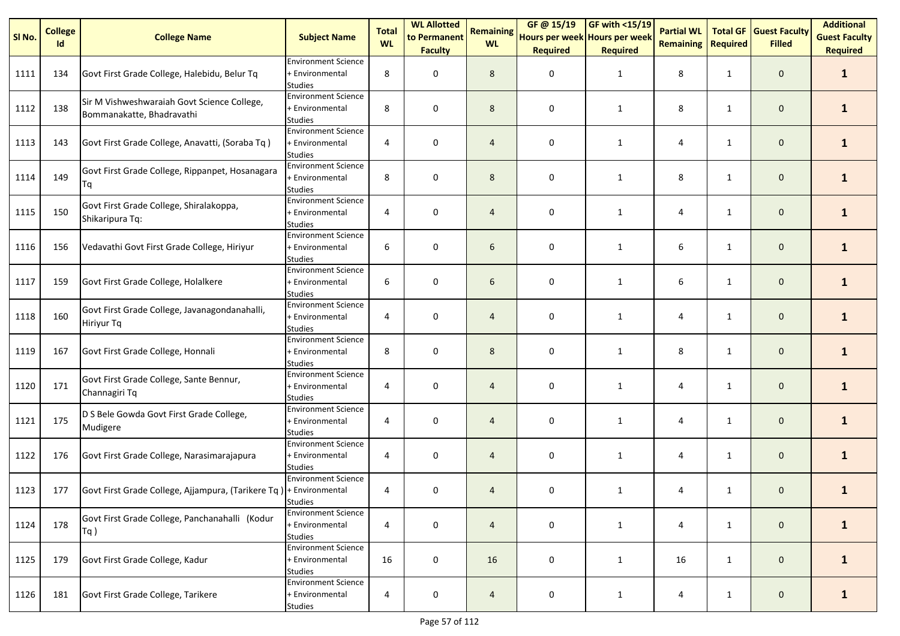| SI No. | <b>College</b><br>Id | <b>College Name</b>                                                      | <b>Subject Name</b>                                             | <b>Total</b><br><b>WL</b> | <b>WL Allotted</b><br>to Permanent | <b>Remaining</b><br><b>WL</b> | GF @ 15/19<br>Hours per week Hours per week | <b>GF with &lt;15/19</b> | <b>Partial WL</b><br><b>Remaining</b> | <b>Total GF</b><br>Required | <b>Guest Faculty</b><br><b>Filled</b> | <b>Additional</b><br><b>Guest Faculty</b> |
|--------|----------------------|--------------------------------------------------------------------------|-----------------------------------------------------------------|---------------------------|------------------------------------|-------------------------------|---------------------------------------------|--------------------------|---------------------------------------|-----------------------------|---------------------------------------|-------------------------------------------|
|        |                      |                                                                          | <b>Environment Science</b>                                      |                           | <b>Faculty</b>                     |                               | <b>Required</b>                             | <b>Required</b>          |                                       |                             |                                       | <b>Required</b>                           |
| 1111   | 134                  | Govt First Grade College, Halebidu, Belur Tq                             | + Environmental<br><b>Studies</b>                               | 8                         | 0                                  | 8                             | 0                                           | 1                        | 8                                     | $\mathbf{1}$                | $\mathbf 0$                           | $\mathbf{1}$                              |
| 1112   | 138                  | Sir M Vishweshwaraiah Govt Science College,<br>Bommanakatte, Bhadravathi | <b>Environment Science</b><br>+ Environmental<br><b>Studies</b> | 8                         | 0                                  | 8                             | 0                                           | $\mathbf{1}$             | 8                                     | $\mathbf{1}$                | $\mathbf 0$                           | 1                                         |
| 1113   | 143                  | Govt First Grade College, Anavatti, (Soraba Tq)                          | <b>Environment Science</b><br>+ Environmental<br><b>Studies</b> | 4                         | 0                                  | 4                             | 0                                           | 1                        | 4                                     | $\mathbf{1}$                | $\mathbf 0$                           | 1                                         |
| 1114   | 149                  | Govt First Grade College, Rippanpet, Hosanagara<br>Τq                    | <b>Environment Science</b><br>+ Environmental<br><b>Studies</b> | 8                         | 0                                  | 8                             | 0                                           | $\mathbf{1}$             | 8                                     | $\mathbf{1}$                | $\mathbf 0$                           | $\mathbf{1}$                              |
| 1115   | 150                  | Govt First Grade College, Shiralakoppa,<br>Shikaripura Tq:               | <b>Environment Science</b><br>+ Environmental<br><b>Studies</b> | 4                         | 0                                  | 4                             | 0                                           | $\mathbf{1}$             | 4                                     | $\mathbf{1}$                | $\mathbf 0$                           | $\mathbf{1}$                              |
| 1116   | 156                  | Vedavathi Govt First Grade College, Hiriyur                              | <b>Environment Science</b><br>+ Environmental<br><b>Studies</b> | 6                         | 0                                  | 6                             | 0                                           | $\mathbf{1}$             | 6                                     | $\mathbf{1}$                | $\mathbf 0$                           | $\mathbf{1}$                              |
| 1117   | 159                  | Govt First Grade College, Holalkere                                      | <b>Environment Science</b><br>+ Environmental<br><b>Studies</b> | 6                         | 0                                  | 6                             | 0                                           | $\mathbf{1}$             | 6                                     | $\mathbf{1}$                | $\mathbf 0$                           | $\mathbf{1}$                              |
| 1118   | 160                  | Govt First Grade College, Javanagondanahalli,<br>Hiriyur Tq              | <b>Environment Science</b><br>+ Environmental<br><b>Studies</b> | 4                         | 0                                  | 4                             | 0                                           | $\mathbf{1}$             | 4                                     | $\mathbf{1}$                | $\mathbf{0}$                          | 1                                         |
| 1119   | 167                  | Govt First Grade College, Honnali                                        | <b>Environment Science</b><br>+ Environmental<br><b>Studies</b> | 8                         | 0                                  | 8                             | 0                                           | $\mathbf{1}$             | 8                                     | $\mathbf{1}$                | $\mathbf 0$                           | $\mathbf{1}$                              |
| 1120   | 171                  | Govt First Grade College, Sante Bennur,<br>Channagiri Tq                 | <b>Environment Science</b><br>+ Environmental<br><b>Studies</b> | 4                         | 0                                  | 4                             | 0                                           | 1                        | 4                                     | $\mathbf{1}$                | $\mathbf 0$                           | $\mathbf{1}$                              |
| 1121   | 175                  | D S Bele Gowda Govt First Grade College,<br>Mudigere                     | <b>Environment Science</b><br>+ Environmental<br><b>Studies</b> | 4                         | 0                                  | $\overline{4}$                | 0                                           | $\mathbf{1}$             | 4                                     | $\mathbf{1}$                | $\mathbf 0$                           | $\mathbf{1}$                              |
| 1122   | 176                  | Govt First Grade College, Narasimarajapura                               | <b>Environment Science</b><br>+ Environmental<br><b>Studies</b> | 4                         | 0                                  | $\overline{4}$                | 0                                           | $\mathbf{1}$             | 4                                     | $\mathbf{1}$                | $\mathbf 0$                           | $\mathbf{1}$                              |
| 1123   | 177                  | Govt First Grade College, Ajjampura, (Tarikere Tq)  + Environmental      | <b>Environment Science</b><br><b>Studies</b>                    | 4                         | 0                                  | 4                             | 0                                           | 1                        | 4                                     | $\mathbf{1}$                | $\mathbf 0$                           | 1                                         |
| 1124   | 178                  | Govt First Grade College, Panchanahalli (Kodur<br>$Tq$ )                 | <b>Environment Science</b><br>+ Environmental<br><b>Studies</b> | 4                         | 0                                  | $\overline{4}$                | 0                                           | $\mathbf{1}$             | 4                                     | $\mathbf{1}$                | $\mathbf 0$                           | $\mathbf{1}$                              |
| 1125   | 179                  | Govt First Grade College, Kadur                                          | <b>Environment Science</b><br>+ Environmental<br><b>Studies</b> | 16                        | 0                                  | 16                            | 0                                           | 1                        | 16                                    | $\mathbf{1}$                | $\mathbf 0$                           | $\mathbf{1}$                              |
| 1126   | 181                  | Govt First Grade College, Tarikere                                       | <b>Environment Science</b><br>+ Environmental<br><b>Studies</b> | 4                         | $\pmb{0}$                          | $\overline{4}$                | $\pmb{0}$                                   | 1                        | 4                                     | $\mathbf{1}$                | $\mathbf 0$                           | $\mathbf{1}$                              |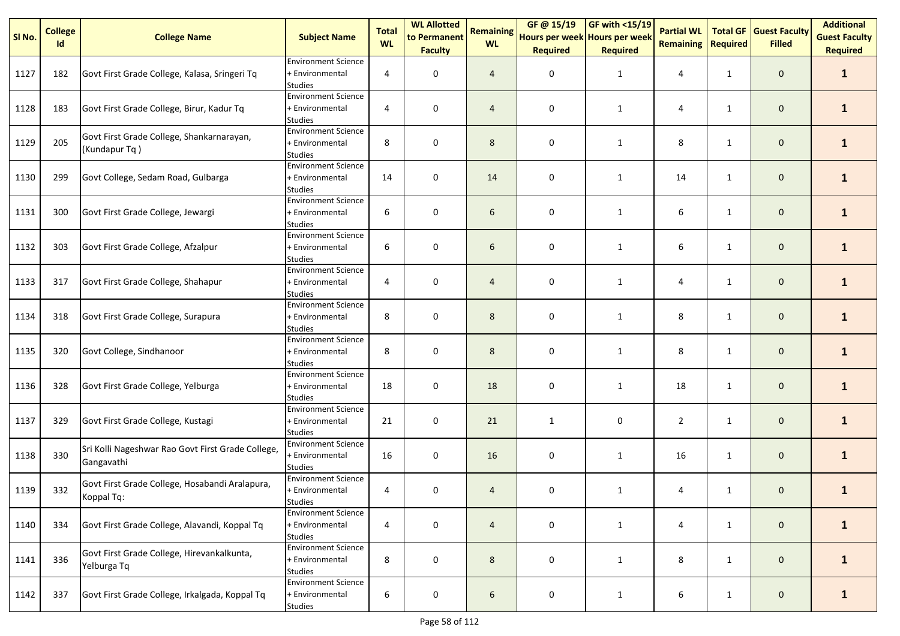| SI No. | <b>College</b><br>Id | <b>College Name</b>                                             | <b>Subject Name</b>                                             | <b>Total</b><br><b>WL</b> | <b>WL Allotted</b><br>to Permanent<br><b>Faculty</b> | <b>Remaining</b><br><b>WL</b> | GF@15/19<br>Hours per week Hours per week<br><b>Required</b> | <b>GF with &lt;15/19</b><br><b>Required</b> | <b>Partial WL</b><br><b>Remaining</b> | <b>Total GF</b><br><b>Required</b> | <b>Guest Faculty</b><br><b>Filled</b> | <b>Additional</b><br><b>Guest Faculty</b><br><b>Required</b> |
|--------|----------------------|-----------------------------------------------------------------|-----------------------------------------------------------------|---------------------------|------------------------------------------------------|-------------------------------|--------------------------------------------------------------|---------------------------------------------|---------------------------------------|------------------------------------|---------------------------------------|--------------------------------------------------------------|
| 1127   | 182                  | Govt First Grade College, Kalasa, Sringeri Tq                   | <b>Environment Science</b><br>+ Environmental<br><b>Studies</b> | 4                         | 0                                                    | $\overline{4}$                | 0                                                            | 1                                           | 4                                     | $\mathbf{1}$                       | $\mathbf 0$                           | $\mathbf{1}$                                                 |
| 1128   | 183                  | Govt First Grade College, Birur, Kadur Tq                       | <b>Environment Science</b><br>+ Environmental<br><b>Studies</b> | 4                         | 0                                                    | $\overline{4}$                | 0                                                            | $\mathbf{1}$                                | 4                                     | 1                                  | $\mathbf 0$                           | $\mathbf{1}$                                                 |
| 1129   | 205                  | Govt First Grade College, Shankarnarayan,<br>(Kundapur Tq)      | <b>Environment Science</b><br>+ Environmental<br><b>Studies</b> | 8                         | 0                                                    | 8                             | 0                                                            | 1                                           | 8                                     | $\mathbf{1}$                       | $\mathbf 0$                           | $\mathbf{1}$                                                 |
| 1130   | 299                  | Govt College, Sedam Road, Gulbarga                              | <b>Environment Science</b><br>+ Environmental<br><b>Studies</b> | 14                        | 0                                                    | 14                            | 0                                                            | 1                                           | 14                                    | $\mathbf{1}$                       | $\mathbf 0$                           | $\mathbf{1}$                                                 |
| 1131   | 300                  | Govt First Grade College, Jewargi                               | <b>Environment Science</b><br>+ Environmental<br><b>Studies</b> | 6                         | 0                                                    | 6                             | 0                                                            | 1                                           | 6                                     | $\mathbf{1}$                       | $\mathbf 0$                           | $\mathbf{1}$                                                 |
| 1132   | 303                  | Govt First Grade College, Afzalpur                              | <b>Environment Science</b><br>+ Environmental<br><b>Studies</b> | 6                         | 0                                                    | 6                             | 0                                                            | 1                                           | 6                                     | 1                                  | $\mathbf 0$                           | $\mathbf{1}$                                                 |
| 1133   | 317                  | Govt First Grade College, Shahapur                              | <b>Environment Science</b><br>+ Environmental<br><b>Studies</b> | 4                         | 0                                                    | 4                             | 0                                                            | 1                                           | 4                                     | 1                                  | $\mathbf 0$                           | $\mathbf{1}$                                                 |
| 1134   | 318                  | Govt First Grade College, Surapura                              | <b>Environment Science</b><br>+ Environmental<br><b>Studies</b> | 8                         | 0                                                    | 8                             | 0                                                            | 1                                           | 8                                     | $\mathbf{1}$                       | $\mathbf{0}$                          | $\mathbf{1}$                                                 |
| 1135   | 320                  | Govt College, Sindhanoor                                        | <b>Environment Science</b><br>+ Environmental<br><b>Studies</b> | 8                         | 0                                                    | 8                             | 0                                                            | 1                                           | 8                                     | 1                                  | $\mathbf 0$                           | $\mathbf{1}$                                                 |
| 1136   | 328                  | Govt First Grade College, Yelburga                              | <b>Environment Science</b><br>+ Environmental<br><b>Studies</b> | 18                        | 0                                                    | 18                            | 0                                                            | 1                                           | 18                                    | $\mathbf{1}$                       | $\mathbf 0$                           | $\mathbf{1}$                                                 |
| 1137   | 329                  | Govt First Grade College, Kustagi                               | <b>Environment Science</b><br>+ Environmental<br><b>Studies</b> | 21                        | 0                                                    | 21                            | $\mathbf{1}$                                                 | 0                                           | $\overline{2}$                        | $\mathbf{1}$                       | $\mathbf 0$                           | $\mathbf{1}$                                                 |
| 1138   | 330                  | Sri Kolli Nageshwar Rao Govt First Grade College,<br>Gangavathi | <b>Environment Science</b><br>+ Environmental<br><b>Studies</b> | 16                        | 0                                                    | 16                            | 0                                                            | $\mathbf{1}$                                | 16                                    | $\mathbf{1}$                       | $\mathbf 0$                           | $\mathbf{1}$                                                 |
| 1139   | 332                  | Govt First Grade College, Hosabandi Aralapura,<br>Koppal Tq:    | <b>Environment Science</b><br>+ Environmental<br><b>Studies</b> | 4                         | 0                                                    | 4                             | 0                                                            | $\mathbf{1}$                                | 4                                     | $\mathbf{1}$                       | $\mathbf 0$                           | $\mathbf{1}$                                                 |
| 1140   | 334                  | Govt First Grade College, Alavandi, Koppal Tq                   | <b>Environment Science</b><br>+ Environmental<br><b>Studies</b> | 4                         | $\mathbf 0$                                          | $\overline{4}$                | 0                                                            | $\mathbf{1}$                                | 4                                     | $\mathbf{1}$                       | $\mathbf 0$                           | $\mathbf{1}$                                                 |
| 1141   | 336                  | Govt First Grade College, Hirevankalkunta,<br>Yelburga Tq       | <b>Environment Science</b><br>+ Environmental<br><b>Studies</b> | 8                         | $\mathbf 0$                                          | 8                             | 0                                                            | $\mathbf{1}$                                | 8                                     | $\mathbf{1}$                       | $\mathbf 0$                           | $\mathbf{1}$                                                 |
| 1142   | 337                  | Govt First Grade College, Irkalgada, Koppal Tq                  | <b>Environment Science</b><br>+ Environmental<br><b>Studies</b> | 6                         | 0                                                    | 6                             | 0                                                            | 1                                           | 6                                     | $\mathbf{1}$                       | $\mathbf 0$                           | $\mathbf{1}$                                                 |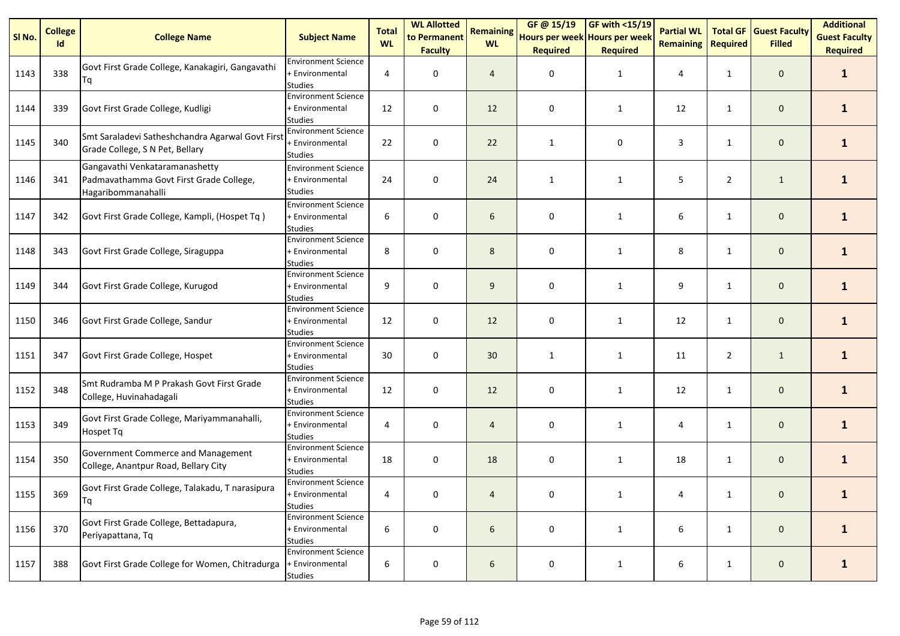| SI No. | <b>College</b><br>Id | <b>College Name</b>                                                                             | <b>Subject Name</b>                                             | <b>Total</b><br><b>WL</b> | <b>WL Allotted</b><br>to Permanent<br><b>Faculty</b> | <b>Remaining</b><br><b>WL</b> | GF@15/19<br>Hours per week Hours per week<br><b>Required</b> | <b>GF with &lt;15/19</b><br><b>Required</b> | <b>Partial WL</b><br><b>Remaining</b> | <b>Total GF</b><br><b>Required</b> | <b>Guest Faculty</b><br><b>Filled</b> | <b>Additional</b><br><b>Guest Faculty</b><br><b>Required</b> |
|--------|----------------------|-------------------------------------------------------------------------------------------------|-----------------------------------------------------------------|---------------------------|------------------------------------------------------|-------------------------------|--------------------------------------------------------------|---------------------------------------------|---------------------------------------|------------------------------------|---------------------------------------|--------------------------------------------------------------|
| 1143   | 338                  | Govt First Grade College, Kanakagiri, Gangavathi<br>Tq                                          | <b>Environment Science</b><br>+ Environmental<br><b>Studies</b> | 4                         | 0                                                    | $\overline{4}$                | 0                                                            | 1                                           | 4                                     | $\mathbf{1}$                       | $\mathbf 0$                           | $\mathbf{1}$                                                 |
| 1144   | 339                  | Govt First Grade College, Kudligi                                                               | <b>Environment Science</b><br>+ Environmental<br><b>Studies</b> | 12                        | 0                                                    | 12                            | 0                                                            | $\mathbf{1}$                                | 12                                    | $\mathbf{1}$                       | $\mathbf 0$                           | $\mathbf{1}$                                                 |
| 1145   | 340                  | Smt Saraladevi Satheshchandra Agarwal Govt First<br>Grade College, S N Pet, Bellary             | <b>Environment Science</b><br>+ Environmental<br><b>Studies</b> | 22                        | 0                                                    | 22                            | 1                                                            | 0                                           | 3                                     | $\mathbf{1}$                       | $\mathbf 0$                           | $\mathbf{1}$                                                 |
| 1146   | 341                  | Gangavathi Venkataramanashetty<br>Padmavathamma Govt First Grade College,<br>Hagaribommanahalli | <b>Environment Science</b><br>+ Environmental<br><b>Studies</b> | 24                        | $\mathbf 0$                                          | 24                            | 1                                                            | $\mathbf{1}$                                | 5                                     | $\overline{2}$                     | $\mathbf{1}$                          | $\mathbf{1}$                                                 |
| 1147   | 342                  | Govt First Grade College, Kampli, (Hospet Tq)                                                   | <b>Environment Science</b><br>+ Environmental<br><b>Studies</b> | 6                         | $\mathbf 0$                                          | 6                             | 0                                                            | $\mathbf{1}$                                | 6                                     | $\mathbf{1}$                       | $\mathbf 0$                           | $\mathbf{1}$                                                 |
| 1148   | 343                  | Govt First Grade College, Siraguppa                                                             | <b>Environment Science</b><br>+ Environmental<br><b>Studies</b> | 8                         | 0                                                    | 8                             | 0                                                            | $\mathbf{1}$                                | 8                                     | $\mathbf{1}$                       | $\mathbf 0$                           | $\mathbf{1}$                                                 |
| 1149   | 344                  | Govt First Grade College, Kurugod                                                               | <b>Environment Science</b><br>+ Environmental<br>Studies        | 9                         | 0                                                    | 9                             | $\pmb{0}$                                                    | $\mathbf{1}$                                | 9                                     | $\mathbf{1}$                       | $\mathbf 0$                           | $\mathbf{1}$                                                 |
| 1150   | 346                  | Govt First Grade College, Sandur                                                                | <b>Environment Science</b><br>+ Environmental<br><b>Studies</b> | 12                        | 0                                                    | 12                            | 0                                                            | $\mathbf{1}$                                | 12                                    | $\mathbf{1}$                       | $\mathbf 0$                           | $\mathbf{1}$                                                 |
| 1151   | 347                  | Govt First Grade College, Hospet                                                                | <b>Environment Science</b><br>+ Environmental<br><b>Studies</b> | 30                        | 0                                                    | 30                            | 1                                                            | $\mathbf{1}$                                | 11                                    | $\overline{2}$                     | $\mathbf{1}$                          | $\mathbf{1}$                                                 |
| 1152   | 348                  | Smt Rudramba M P Prakash Govt First Grade<br>College, Huvinahadagali                            | <b>Environment Science</b><br>+ Environmental<br><b>Studies</b> | 12                        | 0                                                    | 12                            | 0                                                            | $\mathbf{1}$                                | 12                                    | $\mathbf{1}$                       | $\mathbf 0$                           | $\mathbf{1}$                                                 |
| 1153   | 349                  | Govt First Grade College, Mariyammanahalli,<br><b>Hospet Tq</b>                                 | <b>Environment Science</b><br>+ Environmental<br><b>Studies</b> | 4                         | 0                                                    | 4                             | 0                                                            | 1                                           | 4                                     | $\mathbf{1}$                       | $\mathbf 0$                           | $\mathbf{1}$                                                 |
| 1154   | 350                  | Government Commerce and Management<br>College, Anantpur Road, Bellary City                      | <b>Environment Science</b><br>+ Environmental<br><b>Studies</b> | 18                        | 0                                                    | 18                            | 0                                                            | $\mathbf{1}$                                | 18                                    | $\mathbf{1}$                       | $\mathbf 0$                           | $\mathbf{1}$                                                 |
| 1155   | 369                  | Govt First Grade College, Talakadu, T narasipura<br>Tq                                          | <b>Environment Science</b><br>+ Environmental<br><b>Studies</b> | 4                         | 0                                                    | 4                             | 0                                                            | -1                                          | 4                                     | 1                                  | 0                                     |                                                              |
| 1156   | 370                  | Govt First Grade College, Bettadapura,<br>Periyapattana, Tq                                     | <b>Environment Science</b><br>+ Environmental<br><b>Studies</b> | 6                         | 0                                                    | 6                             | 0                                                            | $\mathbf{1}$                                | 6                                     | $\mathbf{1}$                       | $\mathbf 0$                           | $\mathbf{1}$                                                 |
| 1157   | 388                  | Govt First Grade College for Women, Chitradurga                                                 | <b>Environment Science</b><br>+ Environmental<br><b>Studies</b> | 6                         | 0                                                    | 6                             | 0                                                            | 1                                           | 6                                     | $\mathbf{1}$                       | $\mathbf 0$                           | $\mathbf{1}$                                                 |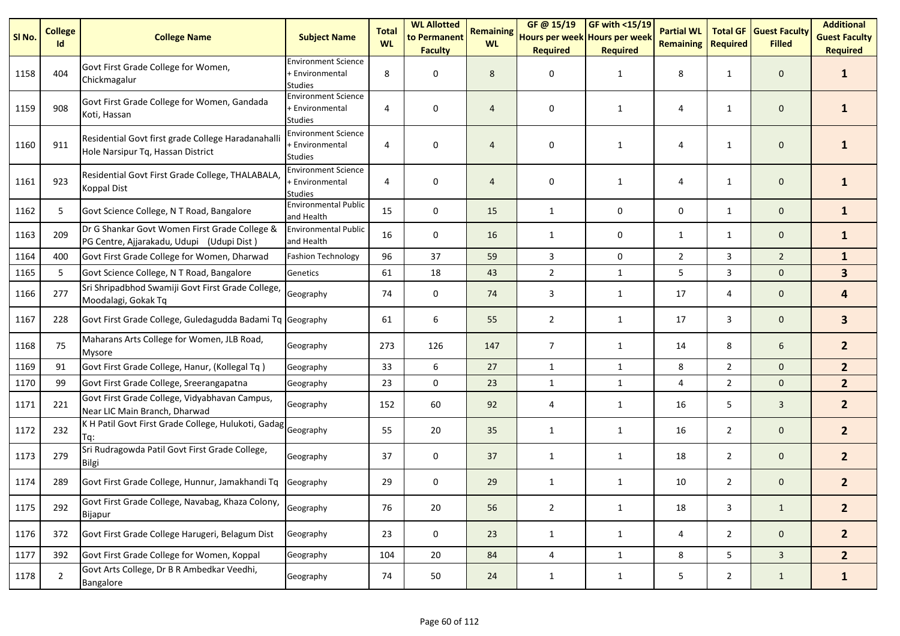| SI <sub>No.</sub> | <b>College</b><br>Id | <b>College Name</b>                                                                        | <b>Subject Name</b>                                             | <b>Total</b><br><b>WL</b> | <b>WL Allotted</b><br>to Permanent<br><b>Faculty</b> | <b>Remaining</b><br><b>WL</b> | GF @ 15/19<br>Hours per week Hours per week<br><b>Required</b> | <b>GF with &lt;15/19</b><br><b>Required</b> | <b>Partial WL</b><br><b>Remaining</b> | <b>Required</b> | <b>Total GF Guest Faculty</b><br><b>Filled</b> | <b>Additional</b><br><b>Guest Faculty</b><br><b>Required</b> |
|-------------------|----------------------|--------------------------------------------------------------------------------------------|-----------------------------------------------------------------|---------------------------|------------------------------------------------------|-------------------------------|----------------------------------------------------------------|---------------------------------------------|---------------------------------------|-----------------|------------------------------------------------|--------------------------------------------------------------|
| 1158              | 404                  | Govt First Grade College for Women,<br>Chickmagalur                                        | <b>Environment Science</b><br>+ Environmental<br><b>Studies</b> | 8                         | 0                                                    | 8                             | 0                                                              | 1                                           | 8                                     | $\mathbf{1}$    | $\mathbf 0$                                    | 1                                                            |
| 1159              | 908                  | Govt First Grade College for Women, Gandada<br>Koti, Hassan                                | <b>Environment Science</b><br>+ Environmental<br><b>Studies</b> | 4                         | 0                                                    | $\overline{4}$                | 0                                                              | 1                                           | 4                                     | $\mathbf{1}$    | $\mathbf 0$                                    | 1                                                            |
| 1160              | 911                  | Residential Govt first grade College Haradanahalli<br>Hole Narsipur Tq, Hassan District    | <b>Environment Science</b><br>+ Environmental<br><b>Studies</b> | 4                         | 0                                                    | 4                             | 0                                                              | $\mathbf{1}$                                | 4                                     | $\mathbf{1}$    | $\mathbf 0$                                    | 1                                                            |
| 1161              | 923                  | Residential Govt First Grade College, THALABALA,<br><b>Koppal Dist</b>                     | <b>Environment Science</b><br>+ Environmental<br><b>Studies</b> | 4                         | 0                                                    | 4                             | 0                                                              | $\mathbf{1}$                                | 4                                     | $\mathbf{1}$    | $\mathbf 0$                                    | $\mathbf{1}$                                                 |
| 1162              | 5                    | Govt Science College, N T Road, Bangalore                                                  | <b>Environmental Public</b><br>and Health                       | 15                        | $\pmb{0}$                                            | 15                            | $\mathbf{1}$                                                   | 0                                           | 0                                     | $\mathbf{1}$    | $\mathbf 0$                                    | $\mathbf{1}$                                                 |
| 1163              | 209                  | Dr G Shankar Govt Women First Grade College &<br>PG Centre, Ajjarakadu, Udupi (Udupi Dist) | <b>Environmental Public</b><br>and Health                       | 16                        | 0                                                    | 16                            | 1                                                              | 0                                           | $\mathbf{1}$                          | $\mathbf{1}$    | $\mathbf 0$                                    | $\mathbf{1}$                                                 |
| 1164              | 400                  | Govt First Grade College for Women, Dharwad                                                | <b>Fashion Technology</b>                                       | 96                        | 37                                                   | 59                            | 3                                                              | $\mathbf 0$                                 | $\overline{2}$                        | 3               | $\overline{2}$                                 | $\mathbf{1}$                                                 |
| 1165              | 5                    | Govt Science College, N T Road, Bangalore                                                  | Genetics                                                        | 61                        | 18                                                   | 43                            | $\overline{2}$                                                 | $\mathbf{1}$                                | 5                                     | 3               | $\mathbf{0}$                                   | 3 <sup>1</sup>                                               |
| 1166              | 277                  | Sri Shripadbhod Swamiji Govt First Grade College,<br>Moodalagi, Gokak Tq                   | Geography                                                       | 74                        | $\pmb{0}$                                            | 74                            | 3                                                              | $\mathbf{1}$                                | 17                                    | 4               | $\mathbf 0$                                    | 4                                                            |
| 1167              | 228                  | Govt First Grade College, Guledagudda Badami Tq Geography                                  |                                                                 | 61                        | 6                                                    | 55                            | $\overline{2}$                                                 | 1                                           | 17                                    | 3               | $\mathbf 0$                                    | $\mathbf{3}$                                                 |
| 1168              | 75                   | Maharans Arts College for Women, JLB Road,<br>Mysore                                       | Geography                                                       | 273                       | 126                                                  | 147                           | $\overline{7}$                                                 | $\mathbf{1}$                                | 14                                    | 8               | 6                                              | 2 <sup>2</sup>                                               |
| 1169              | 91                   | Govt First Grade College, Hanur, (Kollegal Tq)                                             | Geography                                                       | 33                        | 6                                                    | 27                            | $\mathbf{1}$                                                   | $\mathbf{1}$                                | 8                                     | $\overline{2}$  | $\mathbf{0}$                                   | 2 <sup>2</sup>                                               |
| 1170              | 99                   | Govt First Grade College, Sreerangapatna                                                   | Geography                                                       | 23                        | $\mathbf 0$                                          | 23                            | $\mathbf{1}$                                                   | $\mathbf{1}$                                | 4                                     | $\overline{2}$  | $\mathbf{0}$                                   | 2 <sup>2</sup>                                               |
| 1171              | 221                  | Govt First Grade College, Vidyabhavan Campus,<br>Near LIC Main Branch, Dharwad             | Geography                                                       | 152                       | 60                                                   | 92                            | 4                                                              | $\mathbf{1}$                                | 16                                    | 5               | $\mathbf{3}$                                   | $\overline{2}$                                               |
| 1172              | 232                  | IK H Patil Govt First Grade College, Hulukoti, Gadag Geography<br>Tq:                      |                                                                 | 55                        | 20                                                   | 35                            | 1                                                              | $\mathbf{1}$                                | 16                                    | $\overline{2}$  | $\mathbf 0$                                    | 2 <sup>2</sup>                                               |
| 1173              | 279                  | Sri Rudragowda Patil Govt First Grade College,<br>Bilgi                                    | Geography                                                       | 37                        | 0                                                    | 37                            | 1                                                              | $\mathbf{1}$                                | 18                                    | $\overline{2}$  | $\mathbf 0$                                    | $2^{\circ}$                                                  |
| 1174              | 289                  | Govt First Grade College, Hunnur, Jamakhandi Tq                                            | Geography                                                       | 29                        | 0                                                    | 29                            | 1                                                              | 1                                           | 10                                    | $\overline{2}$  | $\mathbf 0$                                    | $2^{\circ}$                                                  |
| 1175              | 292                  | Govt First Grade College, Navabag, Khaza Colony,<br>Bijapur                                | Geography                                                       | 76                        | 20                                                   | 56                            | $\overline{2}$                                                 | $\mathbf{1}$                                | 18                                    | 3               | $\mathbf{1}$                                   | 2 <sup>2</sup>                                               |
| 1176              | 372                  | Govt First Grade College Harugeri, Belagum Dist                                            | Geography                                                       | 23                        | 0                                                    | 23                            | $\mathbf{1}$                                                   | $\mathbf{1}$                                | 4                                     | $\overline{2}$  | $\mathbf 0$                                    | 2 <sup>2</sup>                                               |
| 1177              | 392                  | Govt First Grade College for Women, Koppal                                                 | Geography                                                       | 104                       | 20                                                   | 84                            | 4                                                              | $\mathbf{1}$                                | 8                                     | 5 <sub>1</sub>  | $\mathbf{3}$                                   | 2 <sup>1</sup>                                               |
| 1178              | $\overline{2}$       | Govt Arts College, Dr B R Ambedkar Veedhi,<br>Bangalore                                    | Geography                                                       | 74                        | 50                                                   | 24                            | $\mathbf{1}$                                                   | $\mathbf{1}$                                | 5                                     | $\overline{2}$  | $\mathbf{1}$                                   | $\mathbf{1}$                                                 |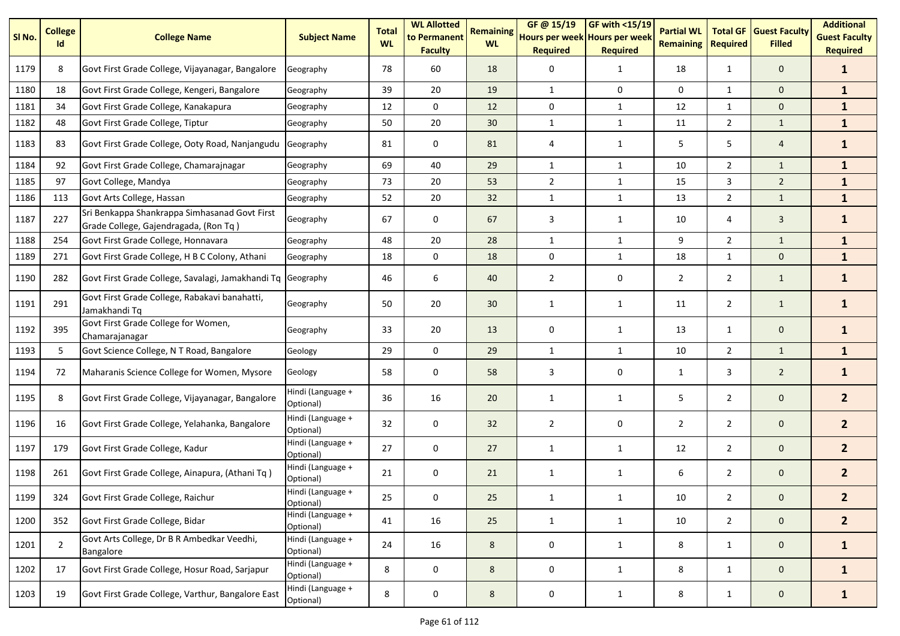| SI No. | <b>College</b><br>Id | <b>College Name</b>                                                                    | <b>Subject Name</b>            | <b>Total</b><br><b>WL</b> | <b>WL Allotted</b><br>to Permanent<br><b>Faculty</b> | <b>Remaining</b><br><b>WL</b> | GF @ 15/19<br>Hours per week Hours per week<br><b>Required</b> | GF with <15/19<br><b>Required</b> | <b>Partial WL</b><br><b>Remaining</b> | <b>Total GF</b><br><b>Required</b> | <b>Guest Faculty</b><br><b>Filled</b> | <b>Additional</b><br><b>Guest Faculty</b><br><b>Required</b> |
|--------|----------------------|----------------------------------------------------------------------------------------|--------------------------------|---------------------------|------------------------------------------------------|-------------------------------|----------------------------------------------------------------|-----------------------------------|---------------------------------------|------------------------------------|---------------------------------------|--------------------------------------------------------------|
| 1179   | 8                    | Govt First Grade College, Vijayanagar, Bangalore                                       | Geography                      | 78                        | 60                                                   | 18                            | 0                                                              | $\mathbf{1}$                      | 18                                    | $\mathbf{1}$                       | $\mathbf{0}$                          | $\mathbf{1}$                                                 |
| 1180   | 18                   | Govt First Grade College, Kengeri, Bangalore                                           | Geography                      | 39                        | 20                                                   | 19                            | $\mathbf{1}$                                                   | 0                                 | 0                                     | $\mathbf{1}$                       | $\mathbf 0$                           | $\mathbf{1}$                                                 |
| 1181   | 34                   | Govt First Grade College, Kanakapura                                                   | Geography                      | 12                        | $\mathbf 0$                                          | 12                            | $\mathbf 0$                                                    | $\mathbf{1}$                      | 12                                    | $\mathbf{1}$                       | $\mathbf 0$                           | $\mathbf{1}$                                                 |
| 1182   | 48                   | Govt First Grade College, Tiptur                                                       | Geography                      | 50                        | 20                                                   | 30                            | $\mathbf{1}$                                                   | $\mathbf{1}$                      | 11                                    | $\overline{2}$                     | $\mathbf{1}$                          | $\mathbf{1}$                                                 |
| 1183   | 83                   | Govt First Grade College, Ooty Road, Nanjangudu                                        | Geography                      | 81                        | 0                                                    | 81                            | 4                                                              | $\mathbf{1}$                      | 5                                     | 5                                  | $\overline{4}$                        | $\mathbf{1}$                                                 |
| 1184   | 92                   | Govt First Grade College, Chamarajnagar                                                | Geography                      | 69                        | 40                                                   | 29                            | $\mathbf{1}$                                                   | $\mathbf{1}$                      | 10                                    | $\overline{2}$                     | $\mathbf{1}$                          | $\mathbf{1}$                                                 |
| 1185   | 97                   | Govt College, Mandya                                                                   | Geography                      | 73                        | 20                                                   | 53                            | $\overline{2}$                                                 | $\mathbf{1}$                      | 15                                    | 3                                  | $\overline{2}$                        | $\mathbf{1}$                                                 |
| 1186   | 113                  | Govt Arts College, Hassan                                                              | Geography                      | 52                        | 20                                                   | 32                            | $\mathbf{1}$                                                   | $\mathbf{1}$                      | 13                                    | $\overline{2}$                     | $\mathbf{1}$                          | $\mathbf{1}$                                                 |
| 1187   | 227                  | Sri Benkappa Shankrappa Simhasanad Govt First<br>Grade College, Gajendragada, (Ron Tq) | Geography                      | 67                        | 0                                                    | 67                            | 3                                                              | $\mathbf{1}$                      | 10                                    | 4                                  | 3                                     | $\mathbf{1}$                                                 |
| 1188   | 254                  | Govt First Grade College, Honnavara                                                    | Geography                      | 48                        | 20                                                   | 28                            | $\mathbf{1}$                                                   | $\mathbf{1}$                      | 9                                     | $\overline{2}$                     | $\mathbf{1}$                          | $\mathbf{1}$                                                 |
| 1189   | 271                  | Govt First Grade College, H B C Colony, Athani                                         | Geography                      | 18                        | $\mathbf 0$                                          | 18                            | $\mathbf 0$                                                    | $\mathbf{1}$                      | 18                                    | $\mathbf{1}$                       | $\mathbf 0$                           | $\mathbf{1}$                                                 |
| 1190   | 282                  | Govt First Grade College, Savalagi, Jamakhandi Tq Geography                            |                                | 46                        | 6                                                    | 40                            | $\overline{2}$                                                 | 0                                 | 2                                     | $\overline{2}$                     | $\mathbf{1}$                          | $\mathbf{1}$                                                 |
| 1191   | 291                  | Govt First Grade College, Rabakavi banahatti,<br>Jamakhandi Tq                         | Geography                      | 50                        | 20                                                   | 30                            | 1                                                              | 1                                 | 11                                    | $\overline{2}$                     | $\mathbf{1}$                          | $\mathbf{1}$                                                 |
| 1192   | 395                  | Govt First Grade College for Women,<br>Chamarajanagar                                  | Geography                      | 33                        | 20                                                   | 13                            | 0                                                              | $\mathbf{1}$                      | 13                                    | $\mathbf{1}$                       | $\mathbf 0$                           | $\mathbf{1}$                                                 |
| 1193   | 5                    | Govt Science College, N T Road, Bangalore                                              | Geology                        | 29                        | $\mathbf 0$                                          | 29                            | $\mathbf{1}$                                                   | $\mathbf{1}$                      | 10                                    | $\overline{2}$                     | $\mathbf{1}$                          | $\mathbf{1}$                                                 |
| 1194   | 72                   | Maharanis Science College for Women, Mysore                                            | Geology                        | 58                        | $\mathbf 0$                                          | 58                            | 3                                                              | 0                                 | 1                                     | 3                                  | $\overline{2}$                        | $\mathbf{1}$                                                 |
| 1195   | 8                    | Govt First Grade College, Vijayanagar, Bangalore                                       | Hindi (Language +<br>Optional) | 36                        | 16                                                   | 20                            | 1                                                              | $\mathbf{1}$                      | 5                                     | $\overline{2}$                     | $\mathbf 0$                           | 2 <sup>1</sup>                                               |
| 1196   | 16                   | Govt First Grade College, Yelahanka, Bangalore                                         | Hindi (Language +<br>Optional) | 32                        | $\mathbf 0$                                          | 32                            | $\overline{2}$                                                 | 0                                 | $\overline{2}$                        | $\overline{2}$                     | $\mathbf 0$                           | 2 <sup>2</sup>                                               |
| 1197   | 179                  | Govt First Grade College, Kadur                                                        | Hindi (Language +<br>Optional) | 27                        | $\mathbf 0$                                          | 27                            | $\mathbf{1}$                                                   | $\mathbf{1}$                      | 12                                    | $\overline{2}$                     | $\mathbf 0$                           | 2 <sup>2</sup>                                               |
| 1198   | 261                  | Govt First Grade College, Ainapura, (Athani Tq)                                        | Hindi (Language +<br>Optional) | 21                        | 0                                                    | 21                            | $\mathbf{1}$                                                   | $\mathbf{1}$                      | 6                                     | $\overline{2}$                     | $\mathbf{0}$                          | 2 <sup>2</sup>                                               |
| 1199   | 324                  | Govt First Grade College, Raichur                                                      | Hindi (Language +<br>Optional) | 25                        | 0                                                    | 25                            | 1                                                              |                                   | 10                                    | $\overline{2}$                     | 0                                     | $\overline{2}$                                               |
| 1200   | 352                  | Govt First Grade College, Bidar                                                        | Hindi (Language +<br>Optional) | 41                        | 16                                                   | 25                            | $\mathbf{1}$                                                   | $\mathbf{1}$                      | 10                                    | $2^{\circ}$                        | $\mathbf 0$                           | 2 <sup>1</sup>                                               |
| 1201   | $\overline{2}$       | Govt Arts College, Dr B R Ambedkar Veedhi,<br>Bangalore                                | Hindi (Language +<br>Optional) | 24                        | 16                                                   | 8                             | 0                                                              | $\mathbf{1}$                      | 8                                     | $\mathbf{1}$                       | $\mathbf 0$                           | $\mathbf{1}$                                                 |
| 1202   | 17                   | Govt First Grade College, Hosur Road, Sarjapur                                         | Hindi (Language +<br>Optional) | $\,8\,$                   | 0                                                    | 8                             | $\mathsf{O}\xspace$                                            | $\mathbf{1}$                      | 8                                     | $\mathbf{1}$                       | $\mathsf{O}\xspace$                   | $\mathbf{1}$                                                 |
| 1203   | 19                   | Govt First Grade College, Varthur, Bangalore East                                      | Hindi (Language +<br>Optional) | 8                         | $\pmb{0}$                                            | 8                             | $\pmb{0}$                                                      | $\mathbf{1}$                      | 8                                     | $\mathbf{1}$                       | $\mathbf 0$                           | $\mathbf{1}$                                                 |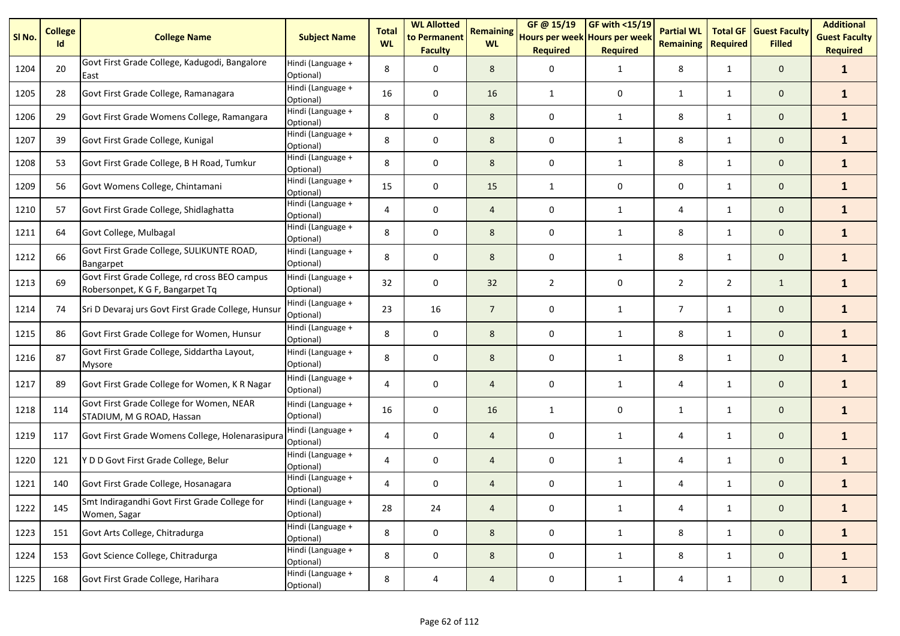| SI <sub>No.</sub> | <b>College</b><br>Id | <b>College Name</b>                                                               | <b>Subject Name</b>            | <b>Total</b><br><b>WL</b> | <b>WL Allotted</b><br>to Permanent<br><b>Faculty</b> | <b>Remaining</b><br><b>WL</b> | GF @ 15/19<br>Hours per week Hours per week<br><b>Required</b> | GF with $<$ 15/19<br><b>Required</b> | <b>Partial WL</b><br><b>Remaining</b> | <b>Total GF</b><br><b>Required</b> | <b>Guest Faculty</b><br><b>Filled</b> | <b>Additional</b><br><b>Guest Faculty</b><br><b>Required</b> |
|-------------------|----------------------|-----------------------------------------------------------------------------------|--------------------------------|---------------------------|------------------------------------------------------|-------------------------------|----------------------------------------------------------------|--------------------------------------|---------------------------------------|------------------------------------|---------------------------------------|--------------------------------------------------------------|
| 1204              | 20                   | Govt First Grade College, Kadugodi, Bangalore<br>East                             | Hindi (Language +<br>Optional) | 8                         | $\mathbf 0$                                          | 8                             | 0                                                              | $\mathbf{1}$                         | 8                                     | $\mathbf{1}$                       | $\mathbf 0$                           | $\mathbf{1}$                                                 |
| 1205              | 28                   | Govt First Grade College, Ramanagara                                              | Hindi (Language +<br>Optional) | 16                        | $\mathbf 0$                                          | 16                            | $\mathbf{1}$                                                   | 0                                    | 1                                     | 1                                  | $\mathbf{0}$                          | $\mathbf{1}$                                                 |
| 1206              | 29                   | Govt First Grade Womens College, Ramangara                                        | Hindi (Language +<br>Optional) | 8                         | 0                                                    | 8                             | 0                                                              | $\mathbf{1}$                         | 8                                     | 1                                  | $\mathbf 0$                           | $\mathbf{1}$                                                 |
| 1207              | 39                   | Govt First Grade College, Kunigal                                                 | Hindi (Language +<br>Optional) | 8                         | $\mathsf 0$                                          | 8                             | 0                                                              | 1                                    | 8                                     | $\mathbf{1}$                       | $\mathbf{0}$                          | $\mathbf{1}$                                                 |
| 1208              | 53                   | Govt First Grade College, B H Road, Tumkur                                        | Hindi (Language +<br>Optional) | 8                         | $\mathbf 0$                                          | 8                             | 0                                                              | 1                                    | 8                                     | 1                                  | $\mathbf{0}$                          | $\mathbf{1}$                                                 |
| 1209              | 56                   | Govt Womens College, Chintamani                                                   | Hindi (Language +<br>Optional) | 15                        | $\mathbf 0$                                          | 15                            | $\mathbf{1}$                                                   | 0                                    | $\mathbf 0$                           | 1                                  | $\mathbf{0}$                          | $\mathbf{1}$                                                 |
| 1210              | 57                   | Govt First Grade College, Shidlaghatta                                            | Hindi (Language +<br>Optional) | 4                         | $\mathbf 0$                                          | $\overline{4}$                | 0                                                              | $\mathbf{1}$                         | 4                                     | $\mathbf{1}$                       | $\mathbf{0}$                          | $\mathbf{1}$                                                 |
| 1211              | 64                   | Govt College, Mulbagal                                                            | Hindi (Language +<br>Optional) | 8                         | $\mathbf 0$                                          | 8                             | 0                                                              | 1                                    | 8                                     | $\mathbf{1}$                       | $\mathbf{0}$                          | $\mathbf{1}$                                                 |
| 1212              | 66                   | Govt First Grade College, SULIKUNTE ROAD,<br>Bangarpet                            | Hindi (Language +<br>Optional) | 8                         | $\mathbf 0$                                          | 8                             | $\mathbf 0$                                                    | $\mathbf{1}$                         | 8                                     | $\mathbf{1}$                       | $\mathbf 0$                           | $\mathbf{1}$                                                 |
| 1213              | 69                   | Govt First Grade College, rd cross BEO campus<br>Robersonpet, K G F, Bangarpet Tq | Hindi (Language +<br>Optional) | 32                        | 0                                                    | 32                            | $\overline{2}$                                                 | 0                                    | $\overline{2}$                        | $\overline{2}$                     | $\mathbf{1}$                          | $\mathbf{1}$                                                 |
| 1214              | 74                   | Sri D Devaraj urs Govt First Grade College, Hunsur                                | Hindi (Language +<br>Optional) | 23                        | 16                                                   | $\overline{7}$                | 0                                                              | $\mathbf{1}$                         | $\overline{7}$                        | 1                                  | $\mathbf 0$                           | $\mathbf{1}$                                                 |
| 1215              | 86                   | Govt First Grade College for Women, Hunsur                                        | Hindi (Language +<br>Optional) | 8                         | $\mathbf 0$                                          | 8                             | 0                                                              | 1                                    | 8                                     | $\mathbf{1}$                       | $\mathbf{0}$                          | $\mathbf{1}$                                                 |
| 1216              | 87                   | Govt First Grade College, Siddartha Layout,<br><b>Mysore</b>                      | Hindi (Language +<br>Optional) | 8                         | 0                                                    | 8                             | 0                                                              | 1                                    | 8                                     | 1                                  | $\mathbf{0}$                          | $\mathbf{1}$                                                 |
| 1217              | 89                   | Govt First Grade College for Women, K R Nagar                                     | Hindi (Language +<br>Optional) | $\overline{4}$            | 0                                                    | $\overline{4}$                | 0                                                              | 1                                    | 4                                     | $\mathbf{1}$                       | $\mathbf{0}$                          | $\mathbf{1}$                                                 |
| 1218              | 114                  | Govt First Grade College for Women, NEAR<br>STADIUM, M G ROAD, Hassan             | Hindi (Language +<br>Optional) | 16                        | 0                                                    | 16                            | 1                                                              | 0                                    | $\mathbf{1}$                          | $\mathbf{1}$                       | $\mathbf 0$                           | $\mathbf{1}$                                                 |
| 1219              | 117                  | Govt First Grade Womens College, Holenarasipura                                   | Hindi (Language +<br>Optional) | 4                         | $\mathbf 0$                                          | $\overline{4}$                | 0                                                              | 1                                    | 4                                     | $\mathbf{1}$                       | $\mathbf 0$                           | $\mathbf{1}$                                                 |
| 1220              | 121                  | Y D D Govt First Grade College, Belur                                             | Hindi (Language +<br>Optional) | $\overline{4}$            | $\mathbf 0$                                          | $\overline{4}$                | 0                                                              | 1                                    | 4                                     | $\mathbf{1}$                       | $\mathbf{0}$                          | $\mathbf{1}$                                                 |
| 1221              | 140                  | Govt First Grade College, Hosanagara                                              | Hindi (Language +<br>Optional) | 4                         | 0                                                    | $\overline{4}$                | 0                                                              | 1                                    | 4                                     | 1                                  | $\mathbf 0$                           | $\mathbf{1}$                                                 |
| 1222              | 145                  | Smt Indiragandhi Govt First Grade College for<br>Women, Sagar                     | Hindi (Language +<br>Optional) | 28                        | 24                                                   | 4                             | 0                                                              | $\mathbf{1}$                         | 4                                     | $\mathbf{1}$                       | $\mathbf 0$                           | $\mathbf{1}$                                                 |
| 1223              | 151                  | Govt Arts College, Chitradurga                                                    | Hindi (Language +<br>Optional) | 8                         | $\mathbf 0$                                          | 8                             | $\mathbf 0$                                                    | $\mathbf{1}$                         | 8                                     | $\mathbf{1}$                       | $\mathbf{0}$                          | $\mathbf{1}$                                                 |
| 1224              | 153                  | Govt Science College, Chitradurga                                                 | Hindi (Language +<br>Optional) | 8                         | $\mathbf 0$                                          | 8                             | $\pmb{0}$                                                      | $\mathbf{1}$                         | 8                                     | $\mathbf{1}$                       | $\mathbf{0}$                          | $\mathbf{1}$                                                 |
| 1225              | 168                  | Govt First Grade College, Harihara                                                | Hindi (Language +<br>Optional) | 8                         | 4                                                    | $\overline{a}$                | 0                                                              | $\mathbf{1}$                         | 4                                     | $\mathbf{1}$                       | $\mathbf{0}$                          | $\mathbf{1}$                                                 |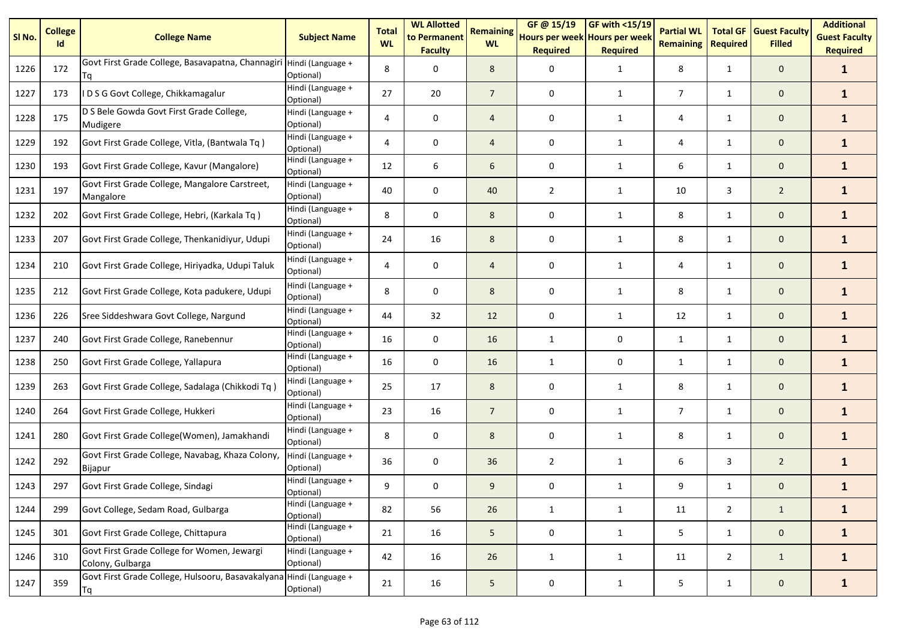| SI No. | <b>College</b><br>Id | <b>College Name</b>                                                       | <b>Subject Name</b>                          | <b>Total</b><br><b>WL</b> | <b>WL Allotted</b><br>to Permanent<br><b>Faculty</b> | <b>Remaining</b><br><b>WL</b> | GF@ 15/19<br>Hours per week Hours per week<br><b>Required</b> | $GF$ with <15/19<br><b>Required</b> | <b>Partial WL</b><br><b>Remaining</b> | <b>Total GF</b><br><b>Required</b> | <b>Guest Faculty</b><br><b>Filled</b> | <b>Additional</b><br><b>Guest Faculty</b><br><b>Required</b> |
|--------|----------------------|---------------------------------------------------------------------------|----------------------------------------------|---------------------------|------------------------------------------------------|-------------------------------|---------------------------------------------------------------|-------------------------------------|---------------------------------------|------------------------------------|---------------------------------------|--------------------------------------------------------------|
| 1226   | 172                  | Govt First Grade College, Basavapatna, Channagiri Hindi (Language +<br>Тq | Optional)                                    | 8                         | 0                                                    | 8                             | $\mathbf 0$                                                   | $\mathbf{1}$                        | 8                                     | $\mathbf{1}$                       | $\mathbf{0}$                          | $\mathbf{1}$                                                 |
| 1227   | 173                  | I D S G Govt College, Chikkamagalur                                       | Hindi (Language +<br>Optional)               | 27                        | 20                                                   | $\overline{7}$                | 0                                                             | 1                                   | $\overline{7}$                        | 1                                  | $\mathbf{0}$                          | $\mathbf{1}$                                                 |
| 1228   | 175                  | D S Bele Gowda Govt First Grade College,<br>Mudigere                      | Hindi (Language +<br>Optional)               | 4                         | 0                                                    | $\overline{4}$                | 0                                                             | 1                                   | 4                                     | $\mathbf{1}$                       | $\mathbf 0$                           | $\mathbf{1}$                                                 |
| 1229   | 192                  | Govt First Grade College, Vitla, (Bantwala Tq)                            | Hindi (Language +<br>Optional)               | 4                         | 0                                                    | $\overline{4}$                | $\mathbf 0$                                                   | $\mathbf{1}$                        | 4                                     | $\mathbf{1}$                       | $\mathbf 0$                           | $\mathbf{1}$                                                 |
| 1230   | 193                  | Govt First Grade College, Kavur (Mangalore)                               | Hindi (Language +<br>Optional)               | 12                        | 6                                                    | 6                             | 0                                                             | 1                                   | 6                                     | $\mathbf{1}$                       | $\mathbf{0}$                          | $\mathbf{1}$                                                 |
| 1231   | 197                  | Govt First Grade College, Mangalore Carstreet,<br>Mangalore               | Hindi (Language +<br>Optional)               | 40                        | 0                                                    | 40                            | $\overline{2}$                                                | $\mathbf{1}$                        | 10                                    | 3                                  | $\overline{2}$                        | $\mathbf{1}$                                                 |
| 1232   | 202                  | Govt First Grade College, Hebri, (Karkala Tq)                             | Hindi (Language +<br>Optional)               | 8                         | 0                                                    | 8                             | 0                                                             | $\mathbf{1}$                        | 8                                     | $\mathbf{1}$                       | $\mathbf{0}$                          | $\mathbf{1}$                                                 |
| 1233   | 207                  | Govt First Grade College, Thenkanidiyur, Udupi                            | Hindi (Language +<br>Optional)               | 24                        | 16                                                   | 8                             | 0                                                             | 1                                   | 8                                     | $\mathbf{1}$                       | $\mathbf{0}$                          | $\mathbf{1}$                                                 |
| 1234   | 210                  | Govt First Grade College, Hiriyadka, Udupi Taluk                          | Hindi (Language +<br>Optional)               | 4                         | 0                                                    | $\overline{4}$                | 0                                                             | 1                                   | 4                                     | 1                                  | $\mathbf 0$                           | $\mathbf{1}$                                                 |
| 1235   | 212                  | Govt First Grade College, Kota padukere, Udupi                            | Hindi (Language +<br>Optional)               | 8                         | 0                                                    | 8                             | 0                                                             | 1                                   | 8                                     | 1                                  | $\mathbf 0$                           | $\mathbf{1}$                                                 |
| 1236   | 226                  | Sree Siddeshwara Govt College, Nargund                                    | $\overline{H}$ indi (Language +<br>Optional) | 44                        | 32                                                   | 12                            | $\mathbf 0$                                                   | $\mathbf{1}$                        | 12                                    | $\mathbf{1}$                       | $\mathbf 0$                           | $\mathbf{1}$                                                 |
| 1237   | 240                  | Govt First Grade College, Ranebennur                                      | Hindi (Language +<br>Optional)               | 16                        | 0                                                    | 16                            | 1                                                             | 0                                   | 1                                     | $\mathbf{1}$                       | $\mathbf 0$                           | $\mathbf{1}$                                                 |
| 1238   | 250                  | Govt First Grade College, Yallapura                                       | Hindi (Language +<br>Optional)               | 16                        | 0                                                    | 16                            | 1                                                             | 0                                   | 1                                     | 1                                  | $\mathbf 0$                           | $\mathbf{1}$                                                 |
| 1239   | 263                  | Govt First Grade College, Sadalaga (Chikkodi Tq)                          | Hindi (Language +<br>Optional)               | 25                        | 17                                                   | 8                             | $\mathbf 0$                                                   | 1                                   | 8                                     | $\mathbf{1}$                       | $\mathbf{0}$                          | $\mathbf{1}$                                                 |
| 1240   | 264                  | Govt First Grade College, Hukkeri                                         | Hindi (Language +<br>Optional)               | 23                        | 16                                                   | $\overline{7}$                | 0                                                             | $\mathbf{1}$                        | $\overline{7}$                        | $\mathbf{1}$                       | $\mathbf 0$                           | $\mathbf{1}$                                                 |
| 1241   | 280                  | Govt First Grade College(Women), Jamakhandi                               | Hindi (Language +<br>Optional)               | 8                         | 0                                                    | 8                             | 0                                                             | $\mathbf{1}$                        | 8                                     | $\mathbf{1}$                       | $\mathbf 0$                           | $\mathbf{1}$                                                 |
| 1242   | 292                  | Govt First Grade College, Navabag, Khaza Colony,<br><b>Bijapur</b>        | Hindi (Language +<br>Optional)               | 36                        | 0                                                    | 36                            | $\overline{2}$                                                | $\mathbf{1}$                        | 6                                     | 3                                  | $\overline{2}$                        | $\mathbf{1}$                                                 |
| 1243   | 297                  | Govt First Grade College, Sindagi                                         | Hindi (Language +<br>Optional)               | 9                         | $\mathbf 0$                                          | 9                             | 0                                                             | 1                                   | 9                                     | 1                                  | $\mathbf 0$                           | $\mathbf{1}$                                                 |
| 1244   | 299                  | Govt College, Sedam Road, Gulbarga                                        | Hindi (Language +<br>Optional)               | 82                        | 56                                                   | 26                            | $\mathbf{1}$                                                  | $\mathbf{1}$                        | 11                                    | $\overline{2}$                     | $\mathbf{1}$                          | $\mathbf{1}$                                                 |
| 1245   | 301                  | Govt First Grade College, Chittapura                                      | Hindi (Language +<br>Optional)               | 21                        | 16                                                   | 5                             | $\mathsf{O}\xspace$                                           | $\mathbf{1}$                        | 5                                     | $\mathbf{1}$                       | $\mathsf{O}\xspace$                   | $\mathbf{1}$                                                 |
| 1246   | 310                  | Govt First Grade College for Women, Jewargi<br>Colony, Gulbarga           | Hindi (Language +<br>Optional)               | 42                        | 16                                                   | 26                            | $\mathbf{1}$                                                  | $\mathbf{1}$                        | 11                                    | $\overline{2}$                     | $\mathbf{1}$                          | $\mathbf{1}$                                                 |
| 1247   | 359                  | Govt First Grade College, Hulsooru, Basavakalyana Hindi (Language +<br>Tq | Optional)                                    | 21                        | 16                                                   | 5                             | $\mathbf 0$                                                   | $\mathbf{1}$                        | 5                                     | $\mathbf{1}$                       | $\mathbf{0}$                          | $\mathbf{1}$                                                 |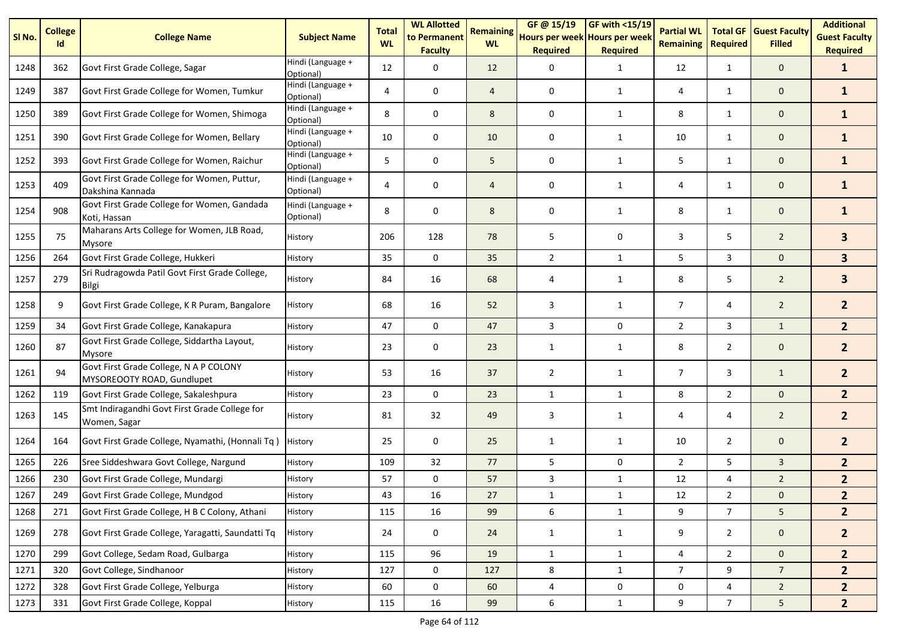| SI No. | <b>College</b><br>Id | <b>College Name</b>                                                  | <b>Subject Name</b>            | <b>Total</b><br><b>WL</b> | <b>WL Allotted</b><br>to Permanent<br><b>Faculty</b> | <b>Remaining</b><br><b>WL</b> | GF@ 15/19<br>Hours per week Hours per week<br><b>Required</b> | GF with <15/19<br><b>Required</b> | <b>Partial WL</b><br><b>Remaining</b> | <b>Total GF</b><br><b>Required</b> | <b>Guest Faculty</b><br><b>Filled</b> | <b>Additional</b><br><b>Guest Faculty</b><br><b>Required</b> |
|--------|----------------------|----------------------------------------------------------------------|--------------------------------|---------------------------|------------------------------------------------------|-------------------------------|---------------------------------------------------------------|-----------------------------------|---------------------------------------|------------------------------------|---------------------------------------|--------------------------------------------------------------|
| 1248   | 362                  | Govt First Grade College, Sagar                                      | Hindi (Language +<br>Optional) | 12                        | 0                                                    | 12                            | 0                                                             | $\mathbf{1}$                      | 12                                    | 1                                  | $\mathbf{0}$                          | $\mathbf{1}$                                                 |
| 1249   | 387                  | Govt First Grade College for Women, Tumkur                           | Hindi (Language +<br>Optional) | 4                         | 0                                                    | $\overline{4}$                | 0                                                             | 1                                 | 4                                     | $\mathbf{1}$                       | $\mathbf 0$                           | $\mathbf{1}$                                                 |
| 1250   | 389                  | Govt First Grade College for Women, Shimoga                          | Hindi (Language +<br>Optional) | 8                         | 0                                                    | 8                             | 0                                                             | 1                                 | 8                                     | $\mathbf{1}$                       | $\mathbf 0$                           | $\mathbf{1}$                                                 |
| 1251   | 390                  | Govt First Grade College for Women, Bellary                          | Hindi (Language +<br>Optional) | 10                        | 0                                                    | 10                            | 0                                                             | 1                                 | 10                                    | 1                                  | $\mathbf 0$                           | $\mathbf{1}$                                                 |
| 1252   | 393                  | Govt First Grade College for Women, Raichur                          | Hindi (Language +<br>Optional) | 5                         | 0                                                    | 5                             | 0                                                             | $\mathbf{1}$                      | 5                                     | $\mathbf{1}$                       | $\mathbf 0$                           | $\mathbf{1}$                                                 |
| 1253   | 409                  | Govt First Grade College for Women, Puttur,<br>Dakshina Kannada      | Hindi (Language +<br>Optional) | 4                         | 0                                                    | $\overline{4}$                | 0                                                             | $\mathbf{1}$                      | 4                                     | $\mathbf{1}$                       | $\mathbf 0$                           | $\mathbf{1}$                                                 |
| 1254   | 908                  | Govt First Grade College for Women, Gandada<br>Koti, Hassan          | Hindi (Language +<br>Optional) | 8                         | 0                                                    | 8                             | 0                                                             | $\mathbf{1}$                      | 8                                     | 1                                  | $\mathbf 0$                           | $\mathbf{1}$                                                 |
| 1255   | 75                   | Maharans Arts College for Women, JLB Road,<br>Mysore                 | History                        | 206                       | 128                                                  | 78                            | 5                                                             | 0                                 | 3                                     | 5                                  | $\overline{2}$                        | 3 <sup>1</sup>                                               |
| 1256   | 264                  | Govt First Grade College, Hukkeri                                    | History                        | 35                        | $\mathbf 0$                                          | 35                            | $\overline{2}$                                                | 1                                 | 5                                     | 3                                  | $\mathbf{0}$                          | 3 <sup>1</sup>                                               |
| 1257   | 279                  | Sri Rudragowda Patil Govt First Grade College,<br>Bilgi              | History                        | 84                        | 16                                                   | 68                            | 4                                                             | 1                                 | 8                                     | 5                                  | $\overline{2}$                        | 3                                                            |
| 1258   | 9                    | Govt First Grade College, K R Puram, Bangalore                       | History                        | 68                        | 16                                                   | 52                            | 3                                                             | 1                                 | $\overline{7}$                        | 4                                  | $\overline{2}$                        | 2 <sup>1</sup>                                               |
| 1259   | 34                   | Govt First Grade College, Kanakapura                                 | History                        | 47                        | 0                                                    | 47                            | 3                                                             | $\mathbf 0$                       | $\overline{2}$                        | 3                                  | $\mathbf{1}$                          | 2 <sup>2</sup>                                               |
| 1260   | 87                   | Govt First Grade College, Siddartha Layout,<br><b>Mysore</b>         | History                        | 23                        | 0                                                    | 23                            | 1                                                             | 1                                 | 8                                     | $\overline{2}$                     | $\mathbf 0$                           | 2 <sup>1</sup>                                               |
| 1261   | 94                   | Govt First Grade College, N A P COLONY<br>MYSOREOOTY ROAD, Gundlupet | History                        | 53                        | 16                                                   | 37                            | $\overline{2}$                                                | 1                                 | $\overline{7}$                        | 3                                  | $\mathbf{1}$                          | 2 <sup>1</sup>                                               |
| 1262   | 119                  | Govt First Grade College, Sakaleshpura                               | History                        | 23                        | 0                                                    | 23                            | $\mathbf{1}$                                                  | $\mathbf{1}$                      | 8                                     | $\overline{2}$                     | $\mathbf{0}$                          | 2 <sup>2</sup>                                               |
| 1263   | 145                  | Smt Indiragandhi Govt First Grade College for<br>Women, Sagar        | History                        | 81                        | 32                                                   | 49                            | 3                                                             | $\mathbf{1}$                      | 4                                     | 4                                  | $\overline{2}$                        | 2 <sup>2</sup>                                               |
| 1264   | 164                  | Govt First Grade College, Nyamathi, (Honnali Tq)                     | History                        | 25                        | 0                                                    | 25                            | $\mathbf{1}$                                                  | $\mathbf{1}$                      | 10                                    | $\overline{2}$                     | $\mathbf 0$                           | $\overline{2}$                                               |
| 1265   | 226                  | Sree Siddeshwara Govt College, Nargund                               | History                        | 109                       | 32                                                   | 77                            | 5                                                             | $\mathbf 0$                       | $\overline{2}$                        | 5                                  | $\mathbf{3}$                          | 2 <sup>2</sup>                                               |
| 1266   | 230                  | Govt First Grade College, Mundargi                                   | History                        | 57                        | 0                                                    | 57                            | 3                                                             | $\mathbf{1}$                      | 12                                    | 4                                  | $\overline{2}$                        | 2 <sup>2</sup>                                               |
| 1267   | 249                  | Govt First Grade College, Mundgod                                    | History                        | 43                        | 16                                                   | 27                            | 1                                                             | 1                                 | 12                                    | $\overline{2}$                     | $\mathbf 0$                           | $\overline{2}$                                               |
| 1268   | 271                  | Govt First Grade College, H B C Colony, Athani                       | History                        | 115                       | 16                                                   | 99                            | 6                                                             | $\mathbf{1}$                      | 9                                     | $\overline{7}$                     | 5                                     | 2 <sup>2</sup>                                               |
| 1269   | 278                  | Govt First Grade College, Yaragatti, Saundatti Tq                    | History                        | 24                        | 0                                                    | 24                            | $\mathbf{1}$                                                  | $\mathbf{1}$                      | 9                                     | $\overline{2}$                     | $\mathbf{0}$                          | 2 <sup>2</sup>                                               |
| 1270   | 299                  | Govt College, Sedam Road, Gulbarga                                   | History                        | 115                       | 96                                                   | 19                            | $\mathbf{1}$                                                  | $\mathbf{1}$                      | $\overline{4}$                        | $\overline{2}$                     | $\mathbf 0$                           | 2 <sup>1</sup>                                               |
| 1271   | 320                  | Govt College, Sindhanoor                                             | History                        | 127                       | 0                                                    | 127                           | 8                                                             | $\mathbf{1}$                      | $\overline{7}$                        | 9                                  | 7 <sup>7</sup>                        | 2 <sup>2</sup>                                               |
| 1272   | 328                  | Govt First Grade College, Yelburga                                   | History                        | 60                        | $\pmb{0}$                                            | 60                            | 4                                                             | 0                                 | 0                                     | 4                                  | $\overline{2}$                        | 2 <sup>2</sup>                                               |
| 1273   | 331                  | Govt First Grade College, Koppal                                     | History                        | 115                       | 16                                                   | 99                            | $\boldsymbol{6}$                                              | $\mathbf{1}$                      | 9                                     | $7^{\circ}$                        | 5 <sub>5</sub>                        | 2 <sup>7</sup>                                               |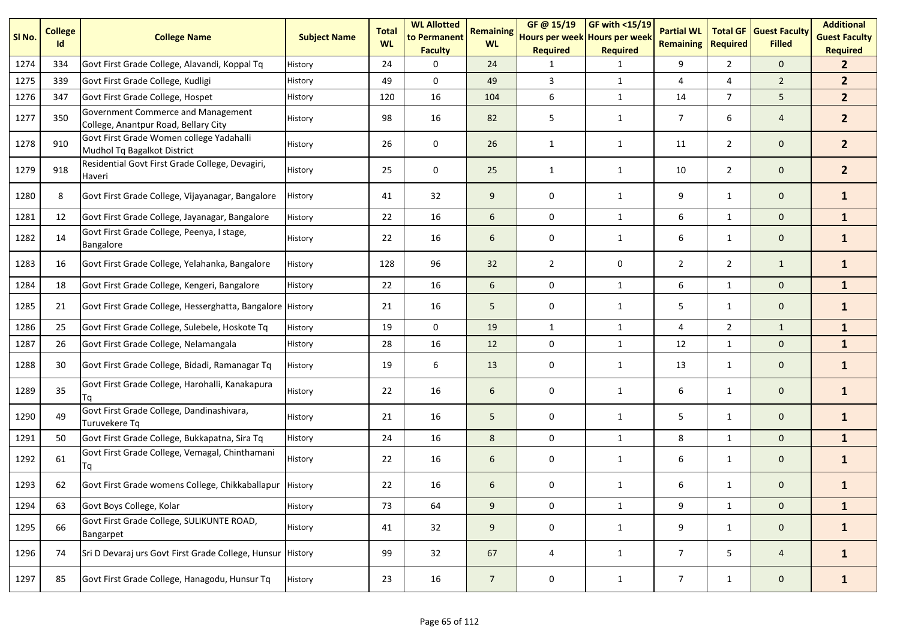| SI <sub>No.</sub> | <b>College</b><br>Id | <b>College Name</b>                                                        | <b>Subject Name</b> | <b>Total</b><br><b>WL</b> | <b>WL Allotted</b><br>to Permanent<br><b>Faculty</b> | <b>Remaining</b><br><b>WL</b> | GF@ 15/19<br>Hours per week Hours per week<br><b>Required</b> | <b>GF with &lt;15/19</b><br><b>Required</b> | <b>Partial WL</b><br><b>Remaining</b> | <b>Total GF</b><br><b>Required</b> | <b>Guest Faculty</b><br><b>Filled</b> | <b>Additional</b><br><b>Guest Faculty</b><br><b>Required</b> |
|-------------------|----------------------|----------------------------------------------------------------------------|---------------------|---------------------------|------------------------------------------------------|-------------------------------|---------------------------------------------------------------|---------------------------------------------|---------------------------------------|------------------------------------|---------------------------------------|--------------------------------------------------------------|
| 1274              | 334                  | Govt First Grade College, Alavandi, Koppal Tq                              | History             | 24                        | 0                                                    | 24                            | 1                                                             | 1                                           | 9                                     | $\overline{2}$                     | $\mathbf{0}$                          | $\mathbf{2}$                                                 |
| 1275              | 339                  | Govt First Grade College, Kudligi                                          | History             | 49                        | $\Omega$                                             | 49                            | 3                                                             | $\mathbf{1}$                                | 4                                     | 4                                  | $\overline{2}$                        | 2 <sup>2</sup>                                               |
| 1276              | 347                  | Govt First Grade College, Hospet                                           | History             | 120                       | 16                                                   | 104                           | 6                                                             | $\mathbf{1}$                                | 14                                    | $\overline{7}$                     | 5                                     | 2 <sup>1</sup>                                               |
| 1277              | 350                  | Government Commerce and Management<br>College, Anantpur Road, Bellary City | History             | 98                        | 16                                                   | 82                            | 5                                                             | $\mathbf{1}$                                | $\overline{7}$                        | 6                                  | $\overline{4}$                        | 2 <sup>2</sup>                                               |
| 1278              | 910                  | Govt First Grade Women college Yadahalli<br>Mudhol Tq Bagalkot District    | History             | 26                        | 0                                                    | 26                            | $\mathbf{1}$                                                  | $\mathbf{1}$                                | 11                                    | $\overline{2}$                     | $\mathbf 0$                           | 2 <sup>2</sup>                                               |
| 1279              | 918                  | Residential Govt First Grade College, Devagiri,<br>Haveri                  | History             | 25                        | 0                                                    | 25                            | $\mathbf{1}$                                                  | $\mathbf{1}$                                | 10                                    | $\overline{2}$                     | $\mathbf 0$                           | 2 <sup>1</sup>                                               |
| 1280              | 8                    | Govt First Grade College, Vijayanagar, Bangalore                           | History             | 41                        | 32                                                   | 9                             | 0                                                             | $\mathbf{1}$                                | 9                                     | $\mathbf{1}$                       | $\mathbf 0$                           | $\mathbf{1}$                                                 |
| 1281              | 12                   | Govt First Grade College, Jayanagar, Bangalore                             | History             | 22                        | 16                                                   | 6                             | 0                                                             | $\mathbf{1}$                                | 6                                     | $\mathbf{1}$                       | $\mathbf 0$                           | $\mathbf{1}$                                                 |
| 1282              | 14                   | Govt First Grade College, Peenya, I stage,<br>Bangalore                    | History             | 22                        | 16                                                   | 6                             | 0                                                             | $\mathbf{1}$                                | 6                                     | $\mathbf{1}$                       | $\mathbf 0$                           | $\mathbf{1}$                                                 |
| 1283              | 16                   | Govt First Grade College, Yelahanka, Bangalore                             | History             | 128                       | 96                                                   | 32                            | $\overline{2}$                                                | 0                                           | $\overline{2}$                        | $\overline{2}$                     | $\mathbf{1}$                          | $\mathbf{1}$                                                 |
| 1284              | 18                   | Govt First Grade College, Kengeri, Bangalore                               | History             | 22                        | 16                                                   | 6                             | $\mathbf 0$                                                   | $\mathbf{1}$                                | 6                                     | 1                                  | $\mathbf 0$                           | $\mathbf{1}$                                                 |
| 1285              | 21                   | Govt First Grade College, Hesserghatta, Bangalore History                  |                     | 21                        | 16                                                   | 5                             | 0                                                             | $\mathbf{1}$                                | 5                                     | $\mathbf{1}$                       | $\mathbf 0$                           | $\mathbf{1}$                                                 |
| 1286              | 25                   | Govt First Grade College, Sulebele, Hoskote Tq                             | History             | 19                        | $\mathbf 0$                                          | 19                            | $\mathbf{1}$                                                  | $\mathbf{1}$                                | 4                                     | $\overline{2}$                     | $\mathbf{1}$                          | $\mathbf{1}$                                                 |
| 1287              | 26                   | Govt First Grade College, Nelamangala                                      | History             | 28                        | 16                                                   | 12                            | 0                                                             | $\mathbf{1}$                                | 12                                    | $\mathbf{1}$                       | $\mathbf 0$                           | $\mathbf{1}$                                                 |
| 1288              | 30                   | Govt First Grade College, Bidadi, Ramanagar Tq                             | History             | 19                        | 6                                                    | 13                            | 0                                                             | $\mathbf{1}$                                | 13                                    | $\mathbf{1}$                       | $\mathbf 0$                           | $\mathbf{1}$                                                 |
| 1289              | 35                   | Govt First Grade College, Harohalli, Kanakapura                            | History             | 22                        | 16                                                   | 6                             | 0                                                             | $\mathbf{1}$                                | 6                                     | $\mathbf{1}$                       | $\mathbf 0$                           | $\mathbf{1}$                                                 |
| 1290              | 49                   | Govt First Grade College, Dandinashivara,<br>Turuvekere Tq                 | History             | 21                        | 16                                                   | 5                             | 0                                                             | $\mathbf{1}$                                | 5                                     | $\mathbf{1}$                       | $\mathbf{0}$                          | $\mathbf{1}$                                                 |
| 1291              | 50                   | Govt First Grade College, Bukkapatna, Sira Tq                              | History             | 24                        | 16                                                   | 8                             | 0                                                             | $\mathbf{1}$                                | 8                                     | $\mathbf{1}$                       | $\mathbf 0$                           | $\mathbf{1}$                                                 |
| 1292              | 61                   | Govt First Grade College, Vemagal, Chinthamani<br>Tq                       | History             | 22                        | 16                                                   | 6                             | 0                                                             | $\mathbf{1}$                                | 6                                     | $\mathbf{1}$                       | $\mathbf 0$                           | $\mathbf{1}$                                                 |
| 1293              | 62                   | Govt First Grade womens College, Chikkaballapur   History                  |                     | 22                        | 16                                                   | 6                             | $\mathbf 0$                                                   | 1                                           | 6                                     | $\mathbf{1}$                       | $\mathbf 0$                           | $\mathbf{1}$                                                 |
| 1294              | 63                   | Govt Boys College, Kolar                                                   | History             | 73                        | 64                                                   | 9                             | 0                                                             | $\mathbf{1}$                                | 9                                     | $\mathbf{1}$                       | $\mathbf 0$                           | $\mathbf{1}$                                                 |
| 1295              | 66                   | Govt First Grade College, SULIKUNTE ROAD,<br>Bangarpet                     | History             | 41                        | 32                                                   | 9                             | 0                                                             | $\mathbf{1}$                                | 9                                     | $\mathbf{1}$                       | $\mathbf 0$                           | $\mathbf{1}$                                                 |
| 1296              | 74                   | Sri D Devaraj urs Govt First Grade College, Hunsur History                 |                     | 99                        | 32                                                   | 67                            | 4                                                             | $\mathbf{1}$                                | $\overline{7}$                        | 5                                  | $\overline{4}$                        | $\mathbf{1}$                                                 |
| 1297              | 85                   | Govt First Grade College, Hanagodu, Hunsur Tq                              | History             | 23                        | 16                                                   | $\overline{7}$                | 0                                                             | $\mathbf{1}$                                | $\overline{7}$                        | $\mathbf{1}$                       | $\mathbf{0}$                          | $\mathbf{1}$                                                 |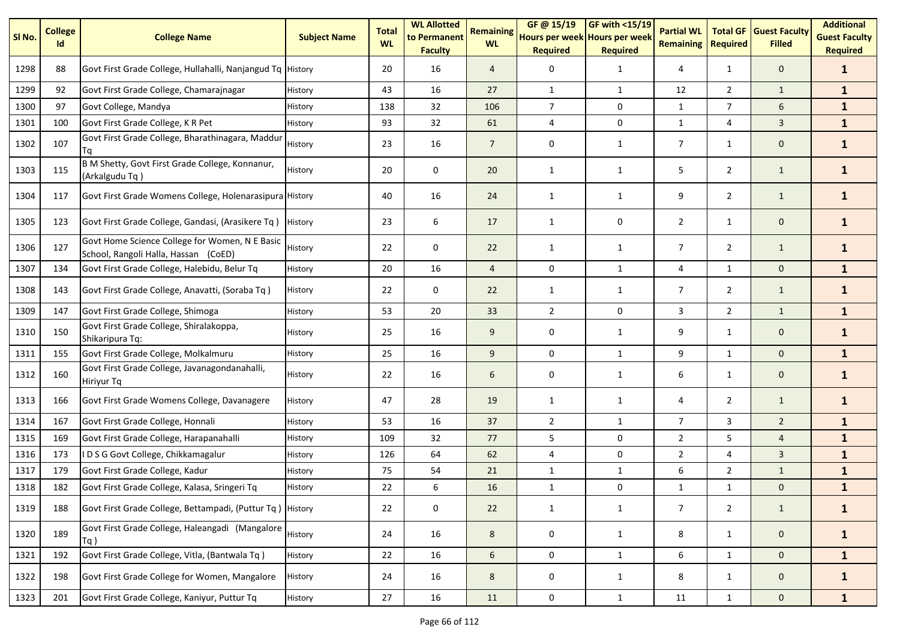| SI No. | <b>College</b><br>Id | <b>College Name</b>                                                                    | <b>Subject Name</b> | <b>Total</b><br><b>WL</b> | <b>WL Allotted</b><br>to Permanent<br><b>Faculty</b> | <b>Remaining</b><br><b>WL</b> | GF @ 15/19<br>Hours per week Hours per week<br><b>Required</b> | GF with $<$ 15/19<br><b>Required</b> | <b>Partial WL</b><br><b>Remaining</b> | <b>Total GF</b><br><b>Required</b> | <b>Guest Faculty</b><br><b>Filled</b> | <b>Additional</b><br><b>Guest Faculty</b><br><b>Required</b> |
|--------|----------------------|----------------------------------------------------------------------------------------|---------------------|---------------------------|------------------------------------------------------|-------------------------------|----------------------------------------------------------------|--------------------------------------|---------------------------------------|------------------------------------|---------------------------------------|--------------------------------------------------------------|
| 1298   | 88                   | Govt First Grade College, Hullahalli, Nanjangud Tq History                             |                     | 20                        | 16                                                   | $\overline{4}$                | 0                                                              | $\mathbf{1}$                         | 4                                     | $\mathbf{1}$                       | $\mathbf 0$                           | $\mathbf{1}$                                                 |
| 1299   | 92                   | Govt First Grade College, Chamarajnagar                                                | History             | 43                        | 16                                                   | 27                            | $\mathbf{1}$                                                   | $\mathbf{1}$                         | 12                                    | $\overline{2}$                     | $\mathbf{1}$                          | $\mathbf{1}$                                                 |
| 1300   | 97                   | Govt College, Mandya                                                                   | History             | 138                       | 32                                                   | 106                           | $\overline{7}$                                                 | $\mathbf 0$                          | $\mathbf{1}$                          | $\overline{7}$                     | 6                                     | $\mathbf{1}$                                                 |
| 1301   | 100                  | Govt First Grade College, K R Pet                                                      | History             | 93                        | 32                                                   | 61                            | 4                                                              | 0                                    | 1                                     | 4                                  | $\mathbf{3}$                          | $\mathbf{1}$                                                 |
| 1302   | 107                  | Govt First Grade College, Bharathinagara, Maddur<br>Τq                                 | History             | 23                        | 16                                                   | $\overline{7}$                | 0                                                              | $\mathbf{1}$                         | $\overline{7}$                        | 1                                  | $\mathbf 0$                           | $\mathbf{1}$                                                 |
| 1303   | 115                  | B M Shetty, Govt First Grade College, Konnanur,<br>(Arkalgudu Tq)                      | History             | 20                        | 0                                                    | 20                            | $\mathbf{1}$                                                   | $\mathbf{1}$                         | 5                                     | $\overline{2}$                     | $\mathbf{1}$                          | $\mathbf{1}$                                                 |
| 1304   | 117                  | Govt First Grade Womens College, Holenarasipura History                                |                     | 40                        | 16                                                   | 24                            | 1                                                              | 1                                    | 9                                     | $\overline{2}$                     | $\mathbf{1}$                          | $\mathbf{1}$                                                 |
| 1305   | 123                  | Govt First Grade College, Gandasi, (Arasikere Tq)                                      | History             | 23                        | 6                                                    | 17                            | 1                                                              | 0                                    | $\overline{2}$                        | $\mathbf{1}$                       | $\mathbf 0$                           | $\mathbf{1}$                                                 |
| 1306   | 127                  | Govt Home Science College for Women, N E Basic<br>School, Rangoli Halla, Hassan (CoED) | History             | 22                        | 0                                                    | 22                            | $\mathbf{1}$                                                   | $\mathbf{1}$                         | $\overline{7}$                        | $\overline{2}$                     | $\mathbf{1}$                          | $\mathbf{1}$                                                 |
| 1307   | 134                  | Govt First Grade College, Halebidu, Belur Tq                                           | History             | 20                        | 16                                                   | $\overline{4}$                | 0                                                              | $\mathbf{1}$                         | 4                                     | $\mathbf{1}$                       | $\mathbf 0$                           | $\mathbf{1}$                                                 |
| 1308   | 143                  | Govt First Grade College, Anavatti, (Soraba Tq)                                        | History             | 22                        | 0                                                    | 22                            | $\mathbf{1}$                                                   | $\mathbf{1}$                         | $\overline{7}$                        | $\overline{2}$                     | $\mathbf{1}$                          | $\mathbf{1}$                                                 |
| 1309   | 147                  | Govt First Grade College, Shimoga                                                      | History             | 53                        | 20                                                   | 33                            | $\overline{2}$                                                 | 0                                    | 3                                     | $\overline{2}$                     | $\mathbf{1}$                          | $\mathbf{1}$                                                 |
| 1310   | 150                  | Govt First Grade College, Shiralakoppa,<br>Shikaripura Tq:                             | History             | 25                        | 16                                                   | 9                             | 0                                                              | 1                                    | 9                                     | 1                                  | $\mathbf 0$                           | $\mathbf{1}$                                                 |
| 1311   | 155                  | Govt First Grade College, Molkalmuru                                                   | History             | 25                        | 16                                                   | 9                             | 0                                                              | $\mathbf{1}$                         | 9                                     | $\mathbf{1}$                       | $\mathbf{0}$                          | $\mathbf{1}$                                                 |
| 1312   | 160                  | Govt First Grade College, Javanagondanahalli,<br><b>Hiriyur Tq</b>                     | History             | 22                        | 16                                                   | 6                             | 0                                                              | $\mathbf{1}$                         | 6                                     | 1                                  | $\mathbf 0$                           | $\mathbf{1}$                                                 |
| 1313   | 166                  | Govt First Grade Womens College, Davanagere                                            | History             | 47                        | 28                                                   | 19                            | $\mathbf{1}$                                                   | $\mathbf{1}$                         | 4                                     | $\overline{2}$                     | $\mathbf{1}$                          | $\mathbf{1}$                                                 |
| 1314   | 167                  | Govt First Grade College, Honnali                                                      | History             | 53                        | 16                                                   | 37                            | $\overline{2}$                                                 | $\mathbf{1}$                         | $\overline{7}$                        | 3                                  | $\overline{2}$                        | $\mathbf{1}$                                                 |
| 1315   | 169                  | Govt First Grade College, Harapanahalli                                                | History             | 109                       | 32                                                   | 77                            | 5                                                              | 0                                    | $\overline{2}$                        | 5                                  | $\overline{4}$                        | $\mathbf{1}$                                                 |
| 1316   | 173                  | IDSG Govt College, Chikkamagalur                                                       | History             | 126                       | 64                                                   | 62                            | $\overline{4}$                                                 | 0                                    | $\overline{2}$                        | 4                                  | $\mathbf{3}$                          | $\mathbf{1}$                                                 |
| 1317   | 179                  | Govt First Grade College, Kadur                                                        | History             | 75                        | 54                                                   | 21                            | $\mathbf{1}$                                                   | $\mathbf{1}$                         | 6                                     | $\overline{2}$                     | $\mathbf{1}$                          | $\mathbf{1}$                                                 |
| 1318   | 182                  | Govt First Grade College, Kalasa, Sringeri Tq                                          | History             | 22                        | 6                                                    | 16                            | $\mathbf{1}$                                                   | 0                                    | $\mathbf{1}$                          | $\mathbf{1}$                       | $\mathbf 0$                           | $\mathbf{1}$                                                 |
| 1319   | 188                  | Govt First Grade College, Bettampadi, (Puttur Tq) History                              |                     | 22                        | 0                                                    | 22                            | $\mathbf{1}$                                                   | $\mathbf{1}$                         | $\overline{7}$                        | $\overline{2}$                     | $\mathbf{1}$                          | $\mathbf{1}$                                                 |
| 1320   | 189                  | Govt First Grade College, Haleangadi (Mangalore<br>Tq)                                 | History             | 24                        | 16                                                   | 8                             | 0                                                              | $\mathbf{1}$                         | 8                                     | $\mathbf{1}$                       | $\mathsf{O}\xspace$                   | $\mathbf{1}$                                                 |
| 1321   | 192                  | Govt First Grade College, Vitla, (Bantwala Tq)                                         | History             | 22                        | 16                                                   | 6                             | $\mathsf{O}\xspace$                                            | $\mathbf{1}$                         | 6                                     | $\mathbf{1}$                       | $\mathbf 0$                           | $\mathbf{1}$                                                 |
| 1322   | 198                  | Govt First Grade College for Women, Mangalore                                          | History             | 24                        | 16                                                   | 8                             | 0                                                              | $\mathbf{1}$                         | 8                                     | $\mathbf{1}$                       | $\mathbf{0}$                          | $\mathbf{1}$                                                 |
| 1323   | 201                  | Govt First Grade College, Kaniyur, Puttur Tq                                           | History             | 27                        | 16                                                   | 11                            | $\mathsf{O}\xspace$                                            | $\mathbf{1}$                         | 11                                    | $\mathbf{1}$                       | $\mathsf{O}\xspace$                   | $\mathbf{1}$                                                 |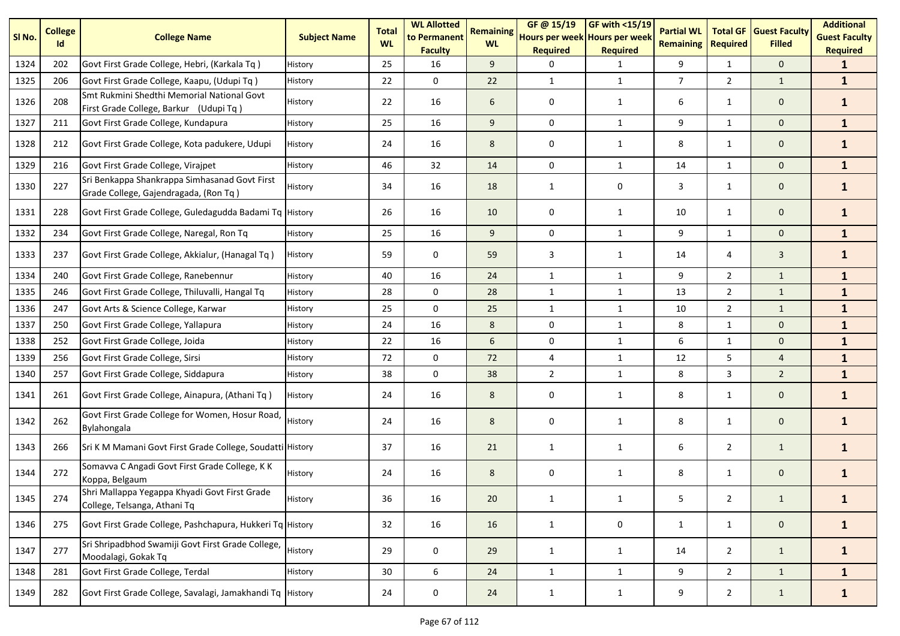| SI No. | <b>College</b><br>Id | <b>College Name</b>                                                                    | <b>Subject Name</b> | <b>Total</b><br><b>WL</b> | <b>WL Allotted</b><br>to Permanent<br><b>Faculty</b> | <b>Remaining</b><br><b>WL</b> | GF @ 15/19<br>Hours per week Hours per week<br><b>Required</b> | GF with <15/19<br><b>Required</b> | <b>Partial WL</b><br><b>Remaining</b> | <b>Total GF</b><br><b>Required</b> | <b>Guest Faculty</b><br><b>Filled</b> | <b>Additional</b><br><b>Guest Faculty</b><br><b>Required</b> |
|--------|----------------------|----------------------------------------------------------------------------------------|---------------------|---------------------------|------------------------------------------------------|-------------------------------|----------------------------------------------------------------|-----------------------------------|---------------------------------------|------------------------------------|---------------------------------------|--------------------------------------------------------------|
| 1324   | 202                  | Govt First Grade College, Hebri, (Karkala Tq)                                          | History             | 25                        | 16                                                   | 9                             | $\Omega$                                                       | 1                                 | 9                                     | 1                                  | $\mathbf{0}$                          | $\mathbf{1}$                                                 |
| 1325   | 206                  | Govt First Grade College, Kaapu, (Udupi Tq)                                            | History             | 22                        | $\mathbf 0$                                          | 22                            | $\mathbf{1}$                                                   | $\mathbf{1}$                      | $\overline{7}$                        | $\overline{2}$                     | $\mathbf{1}$                          | $\mathbf{1}$                                                 |
| 1326   | 208                  | Smt Rukmini Shedthi Memorial National Govt<br>First Grade College, Barkur (Udupi Tq)   | History             | 22                        | 16                                                   | 6                             | $\mathbf 0$                                                    | $\mathbf{1}$                      | 6                                     | $\mathbf{1}$                       | $\mathbf{0}$                          | $\mathbf{1}$                                                 |
| 1327   | 211                  | Govt First Grade College, Kundapura                                                    | History             | 25                        | 16                                                   | 9                             | 0                                                              | $\mathbf{1}$                      | 9                                     | $\mathbf{1}$                       | $\mathbf{0}$                          | $\mathbf{1}$                                                 |
| 1328   | 212                  | Govt First Grade College, Kota padukere, Udupi                                         | History             | 24                        | 16                                                   | 8                             | 0                                                              | 1                                 | 8                                     | $\mathbf{1}$                       | $\mathbf 0$                           | $\mathbf{1}$                                                 |
| 1329   | 216                  | Govt First Grade College, Virajpet                                                     | History             | 46                        | 32                                                   | 14                            | $\mathbf 0$                                                    | $\mathbf{1}$                      | 14                                    | $\mathbf{1}$                       | $\mathbf{0}$                          | $\mathbf{1}$                                                 |
| 1330   | 227                  | Sri Benkappa Shankrappa Simhasanad Govt First<br>Grade College, Gajendragada, (Ron Tq) | History             | 34                        | 16                                                   | 18                            | $\mathbf{1}$                                                   | 0                                 | 3                                     | $\mathbf{1}$                       | $\mathbf 0$                           | $\mathbf{1}$                                                 |
| 1331   | 228                  | Govt First Grade College, Guledagudda Badami Tq History                                |                     | 26                        | 16                                                   | 10                            | $\mathbf 0$                                                    | $\mathbf{1}$                      | 10                                    | $\mathbf{1}$                       | $\mathbf 0$                           | $\mathbf{1}$                                                 |
| 1332   | 234                  | Govt First Grade College, Naregal, Ron Tq                                              | History             | 25                        | 16                                                   | 9                             | $\mathbf 0$                                                    | $\mathbf{1}$                      | 9                                     | 1                                  | $\mathbf 0$                           | $\mathbf{1}$                                                 |
| 1333   | 237                  | Govt First Grade College, Akkialur, (Hanagal Tq)                                       | History             | 59                        | 0                                                    | 59                            | 3                                                              | 1                                 | 14                                    | 4                                  | $\mathbf{3}$                          | $\mathbf{1}$                                                 |
| 1334   | 240                  | Govt First Grade College, Ranebennur                                                   | History             | 40                        | 16                                                   | 24                            | $\mathbf{1}$                                                   | $\mathbf{1}$                      | 9                                     | $\overline{2}$                     | $\mathbf{1}$                          | $\mathbf{1}$                                                 |
| 1335   | 246                  | Govt First Grade College, Thiluvalli, Hangal Tq                                        | History             | 28                        | $\mathbf 0$                                          | 28                            | $\mathbf{1}$                                                   | $\mathbf{1}$                      | 13                                    | $\overline{2}$                     | $\mathbf{1}$                          | $\mathbf{1}$                                                 |
| 1336   | 247                  | Govt Arts & Science College, Karwar                                                    | History             | 25                        | 0                                                    | 25                            | $\mathbf{1}$                                                   | $\mathbf{1}$                      | 10                                    | $\overline{2}$                     | $\mathbf{1}$                          | $\mathbf{1}$                                                 |
| 1337   | 250                  | Govt First Grade College, Yallapura                                                    | History             | 24                        | 16                                                   | 8                             | 0                                                              | $\mathbf{1}$                      | 8                                     | $\mathbf{1}$                       | $\mathbf 0$                           | $\mathbf{1}$                                                 |
| 1338   | 252                  | Govt First Grade College, Joida                                                        | History             | 22                        | 16                                                   | 6                             | 0                                                              | $\mathbf{1}$                      | 6                                     | $\mathbf{1}$                       | $\mathbf 0$                           | $\mathbf{1}$                                                 |
| 1339   | 256                  | Govt First Grade College, Sirsi                                                        | History             | 72                        | 0                                                    | 72                            | $\overline{4}$                                                 | $\mathbf{1}$                      | 12                                    | 5                                  | $\overline{4}$                        | $\mathbf{1}$                                                 |
| 1340   | 257                  | Govt First Grade College, Siddapura                                                    | History             | 38                        | $\mathbf 0$                                          | 38                            | $\overline{2}$                                                 | $\mathbf{1}$                      | 8                                     | 3                                  | $\overline{2}$                        | $\mathbf{1}$                                                 |
| 1341   | 261                  | Govt First Grade College, Ainapura, (Athani Tq)                                        | History             | 24                        | 16                                                   | 8                             | $\mathbf 0$                                                    | 1                                 | 8                                     | $\mathbf{1}$                       | $\mathbf{0}$                          | $\mathbf{1}$                                                 |
| 1342   | 262                  | Govt First Grade College for Women, Hosur Road,<br>Bylahongala                         | History             | 24                        | 16                                                   | 8                             | 0                                                              | 1                                 | 8                                     | $\mathbf{1}$                       | $\mathbf 0$                           | $\mathbf{1}$                                                 |
| 1343   | 266                  | Sri K M Mamani Govt First Grade College, Soudatti History                              |                     | 37                        | 16                                                   | 21                            | 1                                                              | $\mathbf{1}$                      | 6                                     | $\overline{2}$                     | $\mathbf{1}$                          | $\mathbf{1}$                                                 |
| 1344   | 272                  | Somavva C Angadi Govt First Grade College, K K<br>Koppa, Belgaum                       | History             | 24                        | 16                                                   | 8                             | 0                                                              | $\mathbf{1}$                      | 8                                     | $\mathbf{1}$                       | $\mathbf 0$                           | $\mathbf{1}$                                                 |
| 1345   | 274                  | Shri Mallappa Yegappa Khyadi Govt First Grade<br>College, Telsanga, Athani Tq          | History             | 36                        | 16                                                   | 20                            | 1                                                              | 1                                 | 5                                     | 2                                  | $\mathbf{1}$                          | $\mathbf{1}$                                                 |
| 1346   | 275                  | Govt First Grade College, Pashchapura, Hukkeri Tq History                              |                     | 32                        | 16                                                   | 16                            | $\mathbf{1}$                                                   | 0                                 | 1                                     | $\mathbf{1}$                       | $\mathsf{O}\xspace$                   | $\mathbf{1}$                                                 |
| 1347   | 277                  | Sri Shripadbhod Swamiji Govt First Grade College,<br>Moodalagi, Gokak Tq               | History             | 29                        | 0                                                    | 29                            | $\mathbf{1}$                                                   | $\mathbf{1}$                      | 14                                    | $\overline{2}$                     | $\mathbf{1}$                          | $\mathbf{1}$                                                 |
| 1348   | 281                  | Govt First Grade College, Terdal                                                       | History             | 30                        | 6                                                    | 24                            | $\mathbf{1}$                                                   | $\mathbf{1}$                      | 9                                     | $2^{\circ}$                        | $\mathbf{1}$                          | $\mathbf{1}$                                                 |
| 1349   | 282                  | Govt First Grade College, Savalagi, Jamakhandi Tq History                              |                     | 24                        | 0                                                    | 24                            | $\mathbf{1}$                                                   | $\mathbf{1}$                      | 9                                     | $\overline{2}$                     | $\mathbf{1}$                          | $\mathbf{1}$                                                 |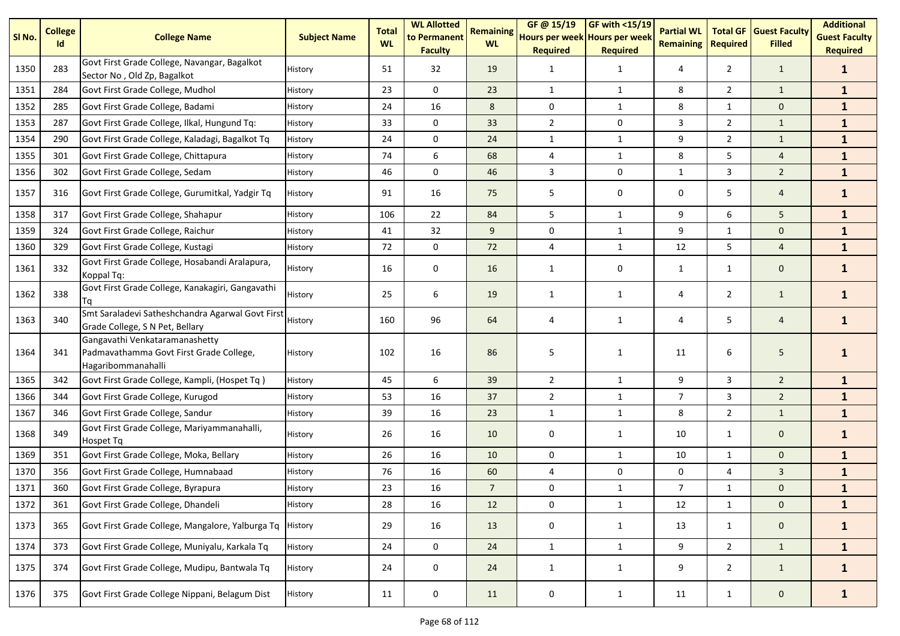| SI No. | <b>College</b><br>Id | <b>College Name</b>                                                                             | <b>Subject Name</b> | <b>Total</b><br><b>WL</b> | <b>WL Allotted</b><br>to Permanent<br><b>Faculty</b> | <b>Remaining</b><br><b>WL</b> | GF @ 15/19<br>Hours per week Hours per week<br><b>Required</b> | GF with <15/19<br><b>Required</b> | <b>Partial WL</b><br><b>Remaining</b> | <b>Total GF</b><br><b>Required</b> | <b>Guest Faculty</b><br><b>Filled</b> | <b>Additional</b><br><b>Guest Faculty</b><br><b>Required</b> |
|--------|----------------------|-------------------------------------------------------------------------------------------------|---------------------|---------------------------|------------------------------------------------------|-------------------------------|----------------------------------------------------------------|-----------------------------------|---------------------------------------|------------------------------------|---------------------------------------|--------------------------------------------------------------|
| 1350   | 283                  | Govt First Grade College, Navangar, Bagalkot<br>Sector No, Old Zp, Bagalkot                     | History             | 51                        | 32                                                   | 19                            | 1                                                              | $\mathbf{1}$                      | 4                                     | $\overline{2}$                     | $\mathbf{1}$                          | $\mathbf{1}$                                                 |
| 1351   | 284                  | Govt First Grade College, Mudhol                                                                | History             | 23                        | $\mathbf 0$                                          | 23                            | $\mathbf{1}$                                                   | $\mathbf{1}$                      | 8                                     | $\overline{2}$                     | $\mathbf{1}$                          | $\mathbf{1}$                                                 |
| 1352   | 285                  | Govt First Grade College, Badami                                                                | History             | 24                        | 16                                                   | 8                             | $\mathbf 0$                                                    | $\mathbf{1}$                      | 8                                     | 1                                  | $\mathbf 0$                           | $\mathbf{1}$                                                 |
| 1353   | 287                  | Govt First Grade College, Ilkal, Hungund Tq:                                                    | History             | 33                        | 0                                                    | 33                            | $\overline{2}$                                                 | 0                                 | 3                                     | $\overline{2}$                     | $\mathbf{1}$                          | $\mathbf{1}$                                                 |
| 1354   | 290                  | Govt First Grade College, Kaladagi, Bagalkot Tq                                                 | History             | 24                        | 0                                                    | 24                            | $\mathbf{1}$                                                   | $\mathbf{1}$                      | 9                                     | $\overline{2}$                     | $\mathbf{1}$                          | $\mathbf{1}$                                                 |
| 1355   | 301                  | Govt First Grade College, Chittapura                                                            | History             | 74                        | 6                                                    | 68                            | 4                                                              | $\mathbf{1}$                      | 8                                     | 5                                  | $\overline{4}$                        | $\mathbf{1}$                                                 |
| 1356   | 302                  | Govt First Grade College, Sedam                                                                 | History             | 46                        | 0                                                    | 46                            | 3                                                              | 0                                 | 1                                     | 3                                  | $\overline{2}$                        | $\mathbf{1}$                                                 |
| 1357   | 316                  | Govt First Grade College, Gurumitkal, Yadgir Tq                                                 | History             | 91                        | 16                                                   | 75                            | 5                                                              | 0                                 | 0                                     | 5                                  | $\overline{4}$                        | $\mathbf{1}$                                                 |
| 1358   | 317                  | Govt First Grade College, Shahapur                                                              | History             | 106                       | 22                                                   | 84                            | 5                                                              | $\mathbf{1}$                      | 9                                     | 6                                  | 5                                     | $\mathbf{1}$                                                 |
| 1359   | 324                  | Govt First Grade College, Raichur                                                               | History             | 41                        | 32                                                   | 9                             | 0                                                              | $\mathbf{1}$                      | 9                                     | $\mathbf{1}$                       | $\mathbf{0}$                          | $\mathbf{1}$                                                 |
| 1360   | 329                  | Govt First Grade College, Kustagi                                                               | History             | 72                        | $\mathbf 0$                                          | 72                            | $\overline{4}$                                                 | $\mathbf{1}$                      | 12                                    | 5                                  | $\overline{4}$                        | $\mathbf{1}$                                                 |
| 1361   | 332                  | Govt First Grade College, Hosabandi Aralapura,<br>Koppal Tq:                                    | History             | 16                        | 0                                                    | 16                            | 1                                                              | 0                                 | $\mathbf{1}$                          | $\mathbf{1}$                       | $\mathbf 0$                           | $\mathbf{1}$                                                 |
| 1362   | 338                  | Govt First Grade College, Kanakagiri, Gangavathi<br>Tq                                          | History             | 25                        | 6                                                    | 19                            | $\mathbf{1}$                                                   | $\mathbf{1}$                      | 4                                     | $\overline{2}$                     | $\mathbf{1}$                          | $\mathbf{1}$                                                 |
| 1363   | 340                  | Smt Saraladevi Satheshchandra Agarwal Govt First<br>Grade College, S N Pet, Bellary             | History             | 160                       | 96                                                   | 64                            | 4                                                              | $\mathbf{1}$                      | 4                                     | 5                                  | $\overline{4}$                        | $\mathbf{1}$                                                 |
| 1364   | 341                  | Gangavathi Venkataramanashetty<br>Padmavathamma Govt First Grade College,<br>Hagaribommanahalli | History             | 102                       | 16                                                   | 86                            | 5                                                              | $\mathbf{1}$                      | 11                                    | 6                                  | 5                                     | 1                                                            |
| 1365   | 342                  | Govt First Grade College, Kampli, (Hospet Tq)                                                   | History             | 45                        | 6                                                    | 39                            | $\overline{2}$                                                 | $\mathbf{1}$                      | 9                                     | 3                                  | $\overline{2}$                        | $\mathbf{1}$                                                 |
| 1366   | 344                  | Govt First Grade College, Kurugod                                                               | History             | 53                        | 16                                                   | 37                            | $\overline{2}$                                                 | $\mathbf{1}$                      | $\overline{7}$                        | 3                                  | $\overline{2}$                        | $\mathbf{1}$                                                 |
| 1367   | 346                  | Govt First Grade College, Sandur                                                                | History             | 39                        | 16                                                   | 23                            | $\mathbf{1}$                                                   | $\mathbf{1}$                      | 8                                     | $\overline{2}$                     | $\mathbf{1}$                          | $\mathbf{1}$                                                 |
| 1368   | 349                  | Govt First Grade College, Mariyammanahalli,<br>Hospet Tq                                        | History             | 26                        | 16                                                   | 10                            | 0                                                              | 1                                 | 10                                    | $\mathbf{1}$                       | $\mathbf 0$                           | $\mathbf{1}$                                                 |
| 1369   | 351                  | Govt First Grade College, Moka, Bellary                                                         | History             | 26                        | 16                                                   | 10                            | $\mathbf 0$                                                    | $\mathbf{1}$                      | 10                                    | $\mathbf{1}$                       | $\mathbf{0}$                          | $\mathbf{1}$                                                 |
| 1370   | 356                  | Govt First Grade College, Humnabaad                                                             | History             | 76                        | 16                                                   | 60                            | $\overline{4}$                                                 | 0                                 | 0                                     | 4                                  | $\mathbf{3}$                          | $\mathbf{1}$                                                 |
| 1371   | 360                  | Govt First Grade College, Byrapura                                                              | History             | 23                        | 16                                                   | $\overline{7}$                | $\mathbf 0$                                                    | $\mathbf{1}$                      | $\overline{7}$                        | 1                                  | $\mathbf{0}$                          | $\mathbf{1}$                                                 |
| 1372   | 361                  | Govt First Grade College, Dhandeli                                                              | History             | 28                        | 16                                                   | 12                            | $\mathbf 0$                                                    | $\mathbf 1$                       | $12\,$                                | $\mathbf{1}$                       | $\mathbf 0$                           | $\mathbf{1}$                                                 |
| 1373   | 365                  | Govt First Grade College, Mangalore, Yalburga Tq                                                | History             | 29                        | 16                                                   | 13                            | 0                                                              | $\mathbf{1}$                      | 13                                    | $\mathbf{1}$                       | $\mathbf{0}$                          | $\mathbf{1}$                                                 |
| 1374   | 373                  | Govt First Grade College, Muniyalu, Karkala Tq                                                  | History             | 24                        | $\mathbf 0$                                          | 24                            | $\mathbf{1}$                                                   | $\mathbf{1}$                      | 9                                     | $2^{\circ}$                        | $\mathbf{1}$                          | $\mathbf{1}$                                                 |
| 1375   | 374                  | Govt First Grade College, Mudipu, Bantwala Tq                                                   | History             | 24                        | $\mathsf{O}\xspace$                                  | 24                            | $\mathbf{1}$                                                   | $\mathbf{1}$                      | 9                                     | $\overline{2}$                     | $\mathbf{1}$                          | $\mathbf{1}$                                                 |
| 1376   | 375                  | Govt First Grade College Nippani, Belagum Dist                                                  | History             | 11                        | 0                                                    | 11                            | 0                                                              | $\mathbf{1}$                      | 11                                    | $\mathbf{1}$                       | $\mathbf 0$                           | $\mathbf{1}$                                                 |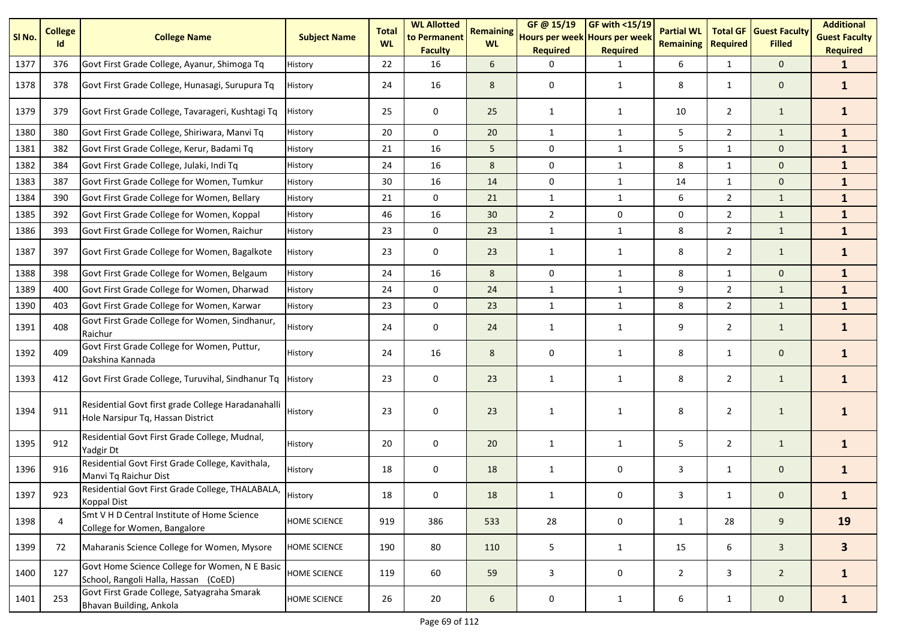| SI No. | <b>College</b><br>Id | <b>College Name</b>                                                                     | <b>Subject Name</b> | <b>Total</b><br><b>WL</b> | <b>WL Allotted</b><br>to Permanent<br><b>Faculty</b> | <b>Remaining</b><br><b>WL</b> | GF@ 15/19<br>Hours per week Hours per week<br><b>Required</b> | <b>GF with &lt;15/19</b><br><b>Required</b> | <b>Partial WL</b><br><b>Remaining</b> | <b>Total GF</b><br><b>Required</b> | <b>Guest Faculty</b><br><b>Filled</b> | <b>Additional</b><br><b>Guest Faculty</b><br><b>Required</b> |
|--------|----------------------|-----------------------------------------------------------------------------------------|---------------------|---------------------------|------------------------------------------------------|-------------------------------|---------------------------------------------------------------|---------------------------------------------|---------------------------------------|------------------------------------|---------------------------------------|--------------------------------------------------------------|
| 1377   | 376                  | Govt First Grade College, Ayanur, Shimoga Tq                                            | History             | 22                        | 16                                                   | 6                             | ∩                                                             | 1                                           | 6                                     | 1                                  | $\mathbf{0}$                          | $\mathbf 1$                                                  |
| 1378   | 378                  | Govt First Grade College, Hunasagi, Surupura Tq                                         | History             | 24                        | 16                                                   | 8                             | 0                                                             | 1                                           | 8                                     | $\mathbf{1}$                       | $\mathbf 0$                           | $\mathbf{1}$                                                 |
| 1379   | 379                  | Govt First Grade College, Tavarageri, Kushtagi Tq                                       | History             | 25                        | 0                                                    | 25                            | 1                                                             | 1                                           | 10                                    | $\overline{2}$                     | $\mathbf{1}$                          | $\mathbf{1}$                                                 |
| 1380   | 380                  | Govt First Grade College, Shiriwara, Manvi Tq                                           | History             | 20                        | $\Omega$                                             | 20                            | $\mathbf{1}$                                                  | $\mathbf{1}$                                | 5                                     | $\overline{2}$                     | $\mathbf{1}$                          | $\mathbf{1}$                                                 |
| 1381   | 382                  | Govt First Grade College, Kerur, Badami Tq                                              | History             | 21                        | 16                                                   | 5                             | 0                                                             | $\mathbf{1}$                                | 5                                     | $\mathbf{1}$                       | $\mathbf 0$                           | $\mathbf{1}$                                                 |
| 1382   | 384                  | Govt First Grade College, Julaki, Indi Tq                                               | History             | 24                        | 16                                                   | 8                             | $\pmb{0}$                                                     | $\mathbf{1}$                                | 8                                     | $\mathbf{1}$                       | $\mathbf{0}$                          | $\mathbf{1}$                                                 |
| 1383   | 387                  | Govt First Grade College for Women, Tumkur                                              | History             | 30                        | 16                                                   | 14                            | 0                                                             | $\mathbf{1}$                                | 14                                    | $\mathbf{1}$                       | $\mathbf{0}$                          | $\mathbf{1}$                                                 |
| 1384   | 390                  | Govt First Grade College for Women, Bellary                                             | History             | 21                        | $\mathbf 0$                                          | 21                            | $\mathbf{1}$                                                  | $\mathbf{1}$                                | 6                                     | $\overline{2}$                     | $\mathbf{1}$                          | $\mathbf{1}$                                                 |
| 1385   | 392                  | Govt First Grade College for Women, Koppal                                              | History             | 46                        | 16                                                   | 30                            | $\overline{2}$                                                | $\mathbf 0$                                 | 0                                     | $\overline{2}$                     | $\mathbf{1}$                          | $\mathbf{1}$                                                 |
| 1386   | 393                  | Govt First Grade College for Women, Raichur                                             | History             | 23                        | 0                                                    | 23                            | $\mathbf{1}$                                                  | $\mathbf{1}$                                | 8                                     | $\overline{2}$                     | $\mathbf{1}$                          | $\mathbf{1}$                                                 |
| 1387   | 397                  | Govt First Grade College for Women, Bagalkote                                           | History             | 23                        | 0                                                    | 23                            | 1                                                             | 1                                           | 8                                     | $\overline{2}$                     | $\mathbf{1}$                          | $\mathbf{1}$                                                 |
| 1388   | 398                  | Govt First Grade College for Women, Belgaum                                             | History             | 24                        | 16                                                   | 8                             | $\Omega$                                                      | 1                                           | 8                                     | $\mathbf{1}$                       | $\mathbf{0}$                          | $\mathbf{1}$                                                 |
| 1389   | 400                  | Govt First Grade College for Women, Dharwad                                             | History             | 24                        | $\mathbf 0$                                          | 24                            | $\mathbf{1}$                                                  | $\mathbf{1}$                                | 9                                     | $\overline{2}$                     | $\mathbf{1}$                          | $\mathbf{1}$                                                 |
| 1390   | 403                  | Govt First Grade College for Women, Karwar                                              | History             | 23                        | $\mathbf 0$                                          | 23                            | $\mathbf{1}$                                                  | $\mathbf{1}$                                | 8                                     | $\overline{2}$                     | $\mathbf{1}$                          | $\mathbf{1}$                                                 |
| 1391   | 408                  | Govt First Grade College for Women, Sindhanur,<br>Raichur                               | History             | 24                        | 0                                                    | 24                            | 1                                                             | 1                                           | 9                                     | $\overline{2}$                     | $\mathbf{1}$                          | $\mathbf{1}$                                                 |
| 1392   | 409                  | Govt First Grade College for Women, Puttur,<br>Dakshina Kannada                         | History             | 24                        | 16                                                   | 8                             | 0                                                             | 1                                           | 8                                     | 1                                  | $\mathbf 0$                           | $\mathbf{1}$                                                 |
| 1393   | 412                  | Govt First Grade College, Turuvihal, Sindhanur Tq                                       | History             | 23                        | $\mathbf 0$                                          | 23                            | $\mathbf{1}$                                                  | 1                                           | 8                                     | $\overline{2}$                     | $\mathbf{1}$                          | $\mathbf{1}$                                                 |
| 1394   | 911                  | Residential Govt first grade College Haradanahalli<br>Hole Narsipur Tq, Hassan District | History             | 23                        | $\mathbf 0$                                          | 23                            | 1                                                             | 1                                           | 8                                     | $\overline{2}$                     | $\mathbf{1}$                          | 1                                                            |
| 1395   | 912                  | Residential Govt First Grade College, Mudnal,<br>Yadgir Dt                              | History             | 20                        | 0                                                    | 20                            | $\mathbf{1}$                                                  | 1                                           | 5                                     | $\overline{2}$                     | $\mathbf{1}$                          | 1                                                            |
| 1396   | 916                  | Residential Govt First Grade College, Kavithala,<br>Manvi Tq Raichur Dist               | History             | 18                        | 0                                                    | 18                            | 1                                                             | 0                                           | 3                                     | $\mathbf{1}$                       | $\mathbf{0}$                          | 1                                                            |
| 1397   | 923                  | Residential Govt First Grade College, THALABALA,<br><b>Koppal Dist</b>                  | History             | 18                        | 0                                                    | 18                            |                                                               | U                                           | 3                                     | $\mathbf{1}$                       | $\Omega$                              |                                                              |
| 1398   | 4                    | Smt V H D Central Institute of Home Science<br>College for Women, Bangalore             | HOME SCIENCE        | 919                       | 386                                                  | 533                           | 28                                                            | 0                                           | $\mathbf{1}$                          | 28                                 | 9                                     | 19                                                           |
| 1399   | 72                   | Maharanis Science College for Women, Mysore                                             | <b>HOME SCIENCE</b> | 190                       | 80                                                   | 110                           | 5                                                             | $\mathbf{1}$                                | 15                                    | 6                                  | $\mathbf{3}$                          | 3 <sup>1</sup>                                               |
| 1400   | 127                  | Govt Home Science College for Women, N E Basic<br>School, Rangoli Halla, Hassan (CoED)  | <b>HOME SCIENCE</b> | 119                       | 60                                                   | 59                            | 3                                                             | 0                                           | $\overline{2}$                        | $\mathbf{3}$                       | $\overline{2}$                        | $\mathbf{1}$                                                 |
| 1401   | 253                  | Govt First Grade College, Satyagraha Smarak<br>Bhavan Building, Ankola                  | HOME SCIENCE        | 26                        | 20                                                   | $\sqrt{6}$                    | $\pmb{0}$                                                     | $\mathbf{1}$                                | 6                                     | $\mathbf{1}$                       | $\mathbf{0}$                          | $\mathbf{1}$                                                 |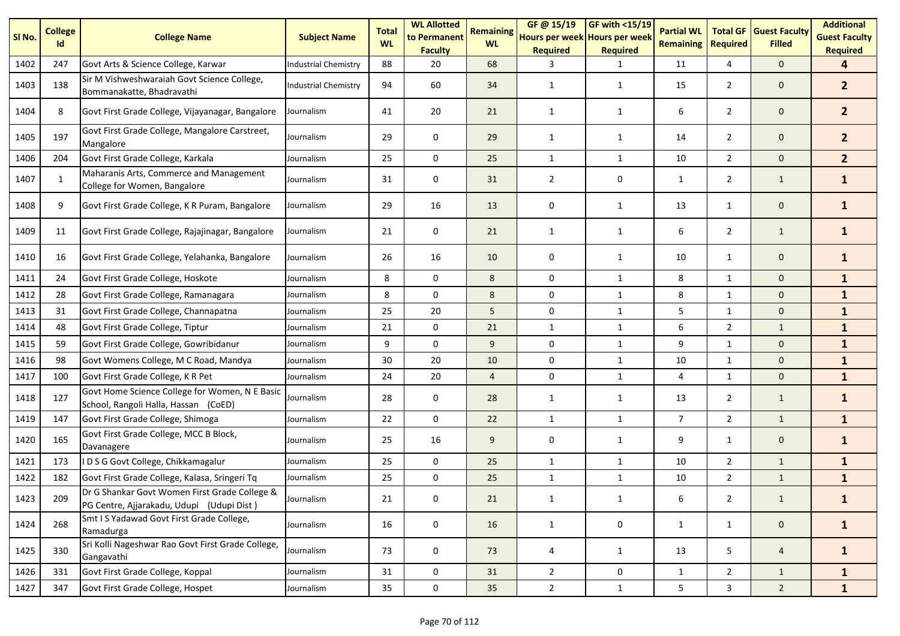| SI <sub>No.</sub> | <b>College</b><br>Id | <b>College Name</b>                                                                        | <b>Subject Name</b>  | <b>Total</b><br><b>WL</b> | <b>WL Allotted</b><br>to Permanent<br><b>Faculty</b> | <b>Remaining</b><br><b>WL</b> | GF@ 15/19<br>Hours per week Hours per week<br><b>Required</b> | GF with <15/19<br><b>Required</b> | <b>Partial WL</b><br><b>Remaining</b> | <b>Total GF</b><br><b>Required</b> | <b>Guest Faculty</b><br><b>Filled</b> | <b>Additional</b><br><b>Guest Faculty</b><br><b>Required</b> |
|-------------------|----------------------|--------------------------------------------------------------------------------------------|----------------------|---------------------------|------------------------------------------------------|-------------------------------|---------------------------------------------------------------|-----------------------------------|---------------------------------------|------------------------------------|---------------------------------------|--------------------------------------------------------------|
| 1402              | 247                  | Govt Arts & Science College, Karwar                                                        | Industrial Chemistry | 88                        | 20                                                   | 68                            | 3                                                             | 1                                 | 11                                    | 4                                  | $\mathbf{0}$                          | 4                                                            |
| 1403              | 138                  | Sir M Vishweshwaraiah Govt Science College,<br>Bommanakatte, Bhadravathi                   | Industrial Chemistry | 94                        | 60                                                   | 34                            | 1                                                             | 1                                 | 15                                    | $\overline{2}$                     | $\mathbf 0$                           | 2 <sup>1</sup>                                               |
| 1404              | 8                    | Govt First Grade College, Vijayanagar, Bangalore                                           | Journalism           | 41                        | 20                                                   | 21                            | 1                                                             | 1                                 | 6                                     | $\overline{2}$                     | $\mathbf 0$                           | 2 <sup>1</sup>                                               |
| 1405              | 197                  | Govt First Grade College, Mangalore Carstreet,<br>Mangalore                                | Journalism           | 29                        | 0                                                    | 29                            | 1                                                             | 1                                 | 14                                    | $\overline{2}$                     | $\mathbf 0$                           | 2 <sup>1</sup>                                               |
| 1406              | 204                  | Govt First Grade College, Karkala                                                          | Journalism           | 25                        | $\mathbf 0$                                          | 25                            | $\mathbf{1}$                                                  | $\mathbf{1}$                      | 10                                    | $\overline{2}$                     | $\mathbf{0}$                          | 2 <sup>1</sup>                                               |
| 1407              | $\mathbf{1}$         | Maharanis Arts, Commerce and Management<br>College for Women, Bangalore                    | Journalism           | 31                        | 0                                                    | 31                            | $\overline{2}$                                                | 0                                 | 1                                     | $\overline{2}$                     | $\mathbf{1}$                          | $\mathbf{1}$                                                 |
| 1408              | 9                    | Govt First Grade College, K R Puram, Bangalore                                             | Journalism           | 29                        | 16                                                   | 13                            | 0                                                             | $\mathbf{1}$                      | 13                                    | $\mathbf{1}$                       | $\mathbf 0$                           | $\mathbf{1}$                                                 |
| 1409              | 11                   | Govt First Grade College, Rajajinagar, Bangalore                                           | Journalism           | 21                        | 0                                                    | 21                            | $\mathbf{1}$                                                  | $\mathbf{1}$                      | 6                                     | $\overline{2}$                     | $\mathbf{1}$                          | $\mathbf{1}$                                                 |
| 1410              | 16                   | Govt First Grade College, Yelahanka, Bangalore                                             | Journalism           | 26                        | 16                                                   | 10                            | 0                                                             | $\mathbf{1}$                      | 10                                    | $\mathbf{1}$                       | $\mathbf 0$                           | $\mathbf{1}$                                                 |
| 1411              | 24                   | Govt First Grade College, Hoskote                                                          | Journalism           | 8                         | 0                                                    | 8                             | 0                                                             | $\mathbf{1}$                      | 8                                     | $\mathbf{1}$                       | $\mathbf{0}$                          | $\mathbf{1}$                                                 |
| 1412              | 28                   | Govt First Grade College, Ramanagara                                                       | Journalism           | 8                         | $\mathbf 0$                                          | 8                             | 0                                                             | $\mathbf{1}$                      | 8                                     | $\mathbf{1}$                       | $\mathbf{0}$                          | $\mathbf{1}$                                                 |
| 1413              | 31                   | Govt First Grade College, Channapatna                                                      | Journalism           | 25                        | 20                                                   | 5                             | 0                                                             | $\mathbf{1}$                      | 5                                     | $\mathbf{1}$                       | $\mathbf 0$                           | $\mathbf{1}$                                                 |
| 1414              | 48                   | Govt First Grade College, Tiptur                                                           | Journalism           | 21                        | 0                                                    | 21                            | $\mathbf{1}$                                                  | $\mathbf{1}$                      | 6                                     | $\overline{2}$                     | $\mathbf{1}$                          | $\mathbf{1}$                                                 |
| 1415              | 59                   | Govt First Grade College, Gowribidanur                                                     | Journalism           | 9                         | $\mathbf 0$                                          | 9                             | $\mathbf 0$                                                   | $\mathbf{1}$                      | 9                                     | $\mathbf{1}$                       | $\mathbf{0}$                          | $\mathbf{1}$                                                 |
| 1416              | 98                   | Govt Womens College, M C Road, Mandya                                                      | Journalism           | 30                        | 20                                                   | 10                            | 0                                                             | $\mathbf{1}$                      | 10                                    | 1                                  | $\mathbf 0$                           | $\mathbf{1}$                                                 |
| 1417              | 100                  | Govt First Grade College, K R Pet                                                          | Journalism           | 24                        | 20                                                   | $\overline{4}$                | 0                                                             | $\mathbf{1}$                      | 4                                     | $\mathbf{1}$                       | $\mathbf{0}$                          | $\mathbf{1}$                                                 |
| 1418              | 127                  | Govt Home Science College for Women, N E Basic<br>School, Rangoli Halla, Hassan (CoED)     | Journalism           | 28                        | 0                                                    | 28                            | $\mathbf{1}$                                                  | 1                                 | 13                                    | $\overline{2}$                     | $\mathbf{1}$                          | $\mathbf{1}$                                                 |
| 1419              | 147                  | Govt First Grade College, Shimoga                                                          | Journalism           | 22                        | 0                                                    | 22                            | $\mathbf{1}$                                                  | $\mathbf{1}$                      | $\overline{7}$                        | $\overline{2}$                     | $\mathbf{1}$                          | $\mathbf{1}$                                                 |
| 1420              | 165                  | Govt First Grade College, MCC B Block,<br>Davanagere                                       | Journalism           | 25                        | 16                                                   | 9                             | 0                                                             | $\mathbf{1}$                      | 9                                     | $\mathbf{1}$                       | $\mathbf 0$                           | $\mathbf{1}$                                                 |
| 1421              | 173                  | D S G Govt College, Chikkamagalur                                                          | Journalism           | 25                        | 0                                                    | 25                            | $\mathbf{1}$                                                  | $\mathbf{1}$                      | 10                                    | $\overline{2}$                     | $\mathbf{1}$                          | $\mathbf{1}$                                                 |
| 1422              | 182                  | Govt First Grade College, Kalasa, Sringeri Tq                                              | Journalism           | 25                        | 0                                                    | 25                            | $\mathbf{1}$                                                  | $\mathbf{1}$                      | 10                                    | $\overline{2}$                     | $\mathbf{1}$                          | $\mathbf{1}$                                                 |
| 1423              | 209                  | Dr G Shankar Govt Women First Grade College &<br>PG Centre, Ajjarakadu, Udupi (Udupi Dist) | Journalism           | 21                        | 0                                                    | $21\,$                        | 1                                                             | 1                                 | 6                                     | $\overline{2}$                     | $\mathbf{1}$                          | $\mathbf{1}$                                                 |
| 1424              | 268                  | Smt I S Yadawad Govt First Grade College,<br>Ramadurga                                     | Journalism           | 16                        | 0                                                    | 16                            | $\mathbf{1}$                                                  | 0                                 | $\mathbf{1}$                          | $\mathbf{1}$                       | $\mathbf 0$                           | $\mathbf{1}$                                                 |
| 1425              | 330                  | Sri Kolli Nageshwar Rao Govt First Grade College,<br>Gangavathi                            | Journalism           | 73                        | 0                                                    | 73                            | 4                                                             | 1                                 | 13                                    | 5                                  | $\overline{4}$                        | $\mathbf{1}$                                                 |
| 1426              | 331                  | Govt First Grade College, Koppal                                                           | Journalism           | 31                        | 0                                                    | 31                            | $\overline{2}$                                                | 0                                 | 1                                     | $\overline{2}$                     | $\mathbf{1}$                          | $\mathbf{1}$                                                 |
| 1427              | 347                  | Govt First Grade College, Hospet                                                           | Journalism           | 35                        | $\mathbf 0$                                          | 35                            | $\overline{2}$                                                | $\mathbf{1}$                      | 5                                     | $\mathbf{3}$                       | $2^{\circ}$                           | $\mathbf{1}$                                                 |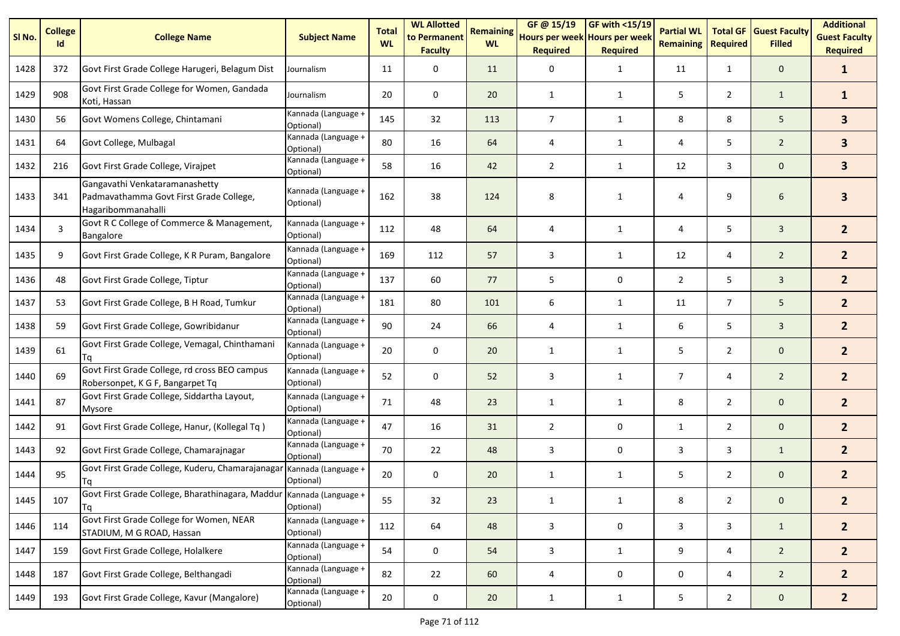| SI No. | <b>College</b><br>Id | <b>College Name</b>                                                                             | <b>Subject Name</b>              | <b>Total</b><br><b>WL</b> | <b>WL Allotted</b><br>to Permanent<br><b>Faculty</b> | <b>Remaining</b><br><b>WL</b> | GF@ 15/19<br>Hours per week Hours per week<br><b>Required</b> | <b>GF with &lt;15/19</b><br><b>Required</b> | <b>Partial WL</b><br><b>Remaining</b> | <b>Total GF</b><br><b>Required</b> | <b>Guest Faculty</b><br><b>Filled</b> | <b>Additional</b><br><b>Guest Faculty</b><br><b>Required</b> |
|--------|----------------------|-------------------------------------------------------------------------------------------------|----------------------------------|---------------------------|------------------------------------------------------|-------------------------------|---------------------------------------------------------------|---------------------------------------------|---------------------------------------|------------------------------------|---------------------------------------|--------------------------------------------------------------|
| 1428   | 372                  | Govt First Grade College Harugeri, Belagum Dist                                                 | Journalism                       | 11                        | 0                                                    | 11                            | 0                                                             | 1                                           | 11                                    | $\mathbf{1}$                       | $\mathbf 0$                           | $\mathbf{1}$                                                 |
| 1429   | 908                  | Govt First Grade College for Women, Gandada<br>Koti, Hassan                                     | Journalism                       | 20                        | 0                                                    | 20                            | $\mathbf{1}$                                                  | 1                                           | 5                                     | $\overline{2}$                     | $\mathbf{1}$                          | $\mathbf{1}$                                                 |
| 1430   | 56                   | Govt Womens College, Chintamani                                                                 | Kannada (Language +<br>Optional) | 145                       | 32                                                   | 113                           | $\overline{7}$                                                | $\mathbf{1}$                                | 8                                     | 8                                  | 5                                     | 3 <sup>1</sup>                                               |
| 1431   | 64                   | Govt College, Mulbagal                                                                          | Kannada (Language +<br>Optional) | 80                        | 16                                                   | 64                            | 4                                                             | 1                                           | 4                                     | 5                                  | $\overline{2}$                        | $\overline{\mathbf{3}}$                                      |
| 1432   | 216                  | Govt First Grade College, Virajpet                                                              | Kannada (Language +<br>Optional) | 58                        | 16                                                   | 42                            | $\overline{2}$                                                | $\mathbf{1}$                                | 12                                    | 3                                  | $\mathbf 0$                           | 3 <sup>1</sup>                                               |
| 1433   | 341                  | Gangavathi Venkataramanashetty<br>Padmavathamma Govt First Grade College,<br>Hagaribommanahalli | Kannada (Language +<br>Optional) | 162                       | 38                                                   | 124                           | 8                                                             | 1                                           | 4                                     | 9                                  | 6                                     | $\mathbf{3}$                                                 |
| 1434   | 3                    | Govt R C College of Commerce & Management,<br>Bangalore                                         | Kannada (Language +<br>Optional) | 112                       | 48                                                   | 64                            | 4                                                             | 1                                           | 4                                     | 5                                  | $\overline{3}$                        | 2 <sup>1</sup>                                               |
| 1435   | 9                    | Govt First Grade College, K R Puram, Bangalore                                                  | Kannada (Language +<br>Optional) | 169                       | 112                                                  | 57                            | 3                                                             | 1                                           | 12                                    | 4                                  | $\overline{2}$                        | 2 <sup>2</sup>                                               |
| 1436   | 48                   | Govt First Grade College, Tiptur                                                                | Kannada (Language +<br>Optional) | 137                       | 60                                                   | 77                            | 5                                                             | 0                                           | $\overline{2}$                        | 5                                  | $\overline{3}$                        | 2 <sup>1</sup>                                               |
| 1437   | 53                   | Govt First Grade College, B H Road, Tumkur                                                      | Kannada (Language +<br>Optional) | 181                       | 80                                                   | 101                           | 6                                                             | 1                                           | 11                                    | $\overline{7}$                     | 5                                     | 2 <sup>1</sup>                                               |
| 1438   | 59                   | Govt First Grade College, Gowribidanur                                                          | Kannada (Language +<br>Optional) | 90                        | 24                                                   | 66                            | 4                                                             | $\mathbf{1}$                                | 6                                     | 5                                  | $\mathbf{3}$                          | 2 <sup>2</sup>                                               |
| 1439   | 61                   | Govt First Grade College, Vemagal, Chinthamani<br>Tq                                            | Kannada (Language +<br>Optional) | 20                        | 0                                                    | 20                            | $\mathbf{1}$                                                  | $\mathbf{1}$                                | 5                                     | $\overline{2}$                     | $\mathbf 0$                           | 2 <sup>1</sup>                                               |
| 1440   | 69                   | Govt First Grade College, rd cross BEO campus<br>Robersonpet, K G F, Bangarpet Tq               | Kannada (Language +<br>Optional) | 52                        | 0                                                    | 52                            | 3                                                             | $\mathbf{1}$                                | $\overline{7}$                        | 4                                  | $\overline{2}$                        | 2 <sup>2</sup>                                               |
| 1441   | 87                   | Govt First Grade College, Siddartha Layout,<br>Mysore                                           | Kannada (Language +<br>Optional) | 71                        | 48                                                   | 23                            | $\mathbf{1}$                                                  | 1                                           | 8                                     | $\overline{2}$                     | $\mathbf 0$                           | 2 <sup>2</sup>                                               |
| 1442   | 91                   | Govt First Grade College, Hanur, (Kollegal Tq)                                                  | Kannada (Language +<br>Optional) | 47                        | 16                                                   | 31                            | $\overline{2}$                                                | 0                                           | $\mathbf{1}$                          | $\overline{2}$                     | $\mathbf 0$                           | 2 <sup>1</sup>                                               |
| 1443   | 92                   | Govt First Grade College, Chamarajnagar                                                         | Kannada (Language +<br>Optional) | 70                        | 22                                                   | 48                            | 3                                                             | 0                                           | 3                                     | 3                                  | $\mathbf{1}$                          | 2 <sup>2</sup>                                               |
| 1444   | 95                   | Govt First Grade College, Kuderu, Chamarajanaga<br>Тq                                           | Kannada (Language +<br>Optional) | 20                        | 0                                                    | 20                            | $\mathbf{1}$                                                  | $\mathbf{1}$                                | 5                                     | $\overline{2}$                     | $\mathbf 0$                           | 2 <sup>2</sup>                                               |
| 1445   | 107                  | Govt First Grade College, Bharathinagara, Maddur   Kannada (Language +<br><b>T</b> q            | Optional)                        | 55                        | 32                                                   | 23                            | 1                                                             | 1                                           | 8                                     | $\overline{2}$                     | $\mathbf 0$                           | $\mathbf{2}$                                                 |
| 1446   | 114                  | Govt First Grade College for Women, NEAR<br>STADIUM, M G ROAD, Hassan                           | Kannada (Language +<br>Optional) | 112                       | 64                                                   | 48                            | 3                                                             | 0                                           | 3                                     | 3                                  | $\mathbf{1}$                          | 2 <sup>2</sup>                                               |
| 1447   | 159                  | Govt First Grade College, Holalkere                                                             | Kannada (Language +<br>Optional) | 54                        | $\pmb{0}$                                            | 54                            | 3                                                             | $\mathbf{1}$                                | 9                                     | $\overline{4}$                     | $\overline{2}$                        | 2 <sup>2</sup>                                               |
| 1448   | 187                  | Govt First Grade College, Belthangadi                                                           | Kannada (Language +<br>Optional) | 82                        | 22                                                   | 60                            | 4                                                             | $\mathsf{O}\xspace$                         | 0                                     | $\overline{4}$                     | $2^{\circ}$                           | 2 <sub>2</sub>                                               |
| 1449   | 193                  | Govt First Grade College, Kavur (Mangalore)                                                     | Kannada (Language +<br>Optional) | 20                        | $\mathbf 0$                                          | 20 <sub>2</sub>               | $\mathbf{1}$                                                  | $\mathbf{1}$                                | 5 <sub>1</sub>                        | $2^{\circ}$                        | $\mathbf{0}$                          | $2^{\circ}$                                                  |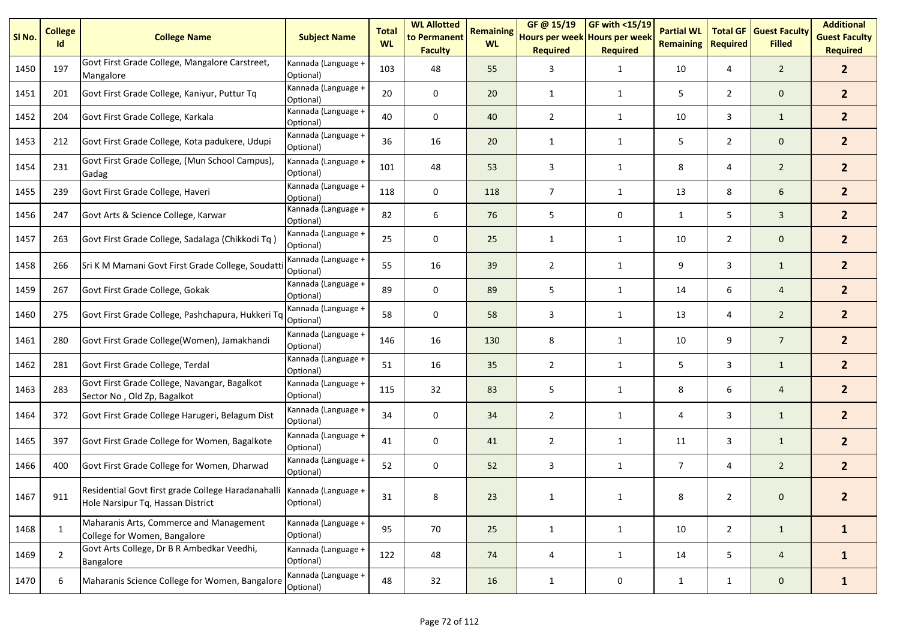| SI <sub>No.</sub> | <b>College</b><br>Id | <b>College Name</b>                                                                                         | <b>Subject Name</b>              | <b>Total</b><br><b>WL</b> | <b>WL Allotted</b><br>to Permanent<br><b>Faculty</b> | <b>Remaining</b><br><b>WL</b> | GF @ 15/19<br>Hours per week Hours per week<br><b>Required</b> | $GF$ with <15/19<br><b>Required</b> | <b>Partial WL</b><br><b>Remaining</b> | <b>Total GF</b><br><b>Required</b> | <b>Guest Faculty</b><br><b>Filled</b> | <b>Additional</b><br><b>Guest Faculty</b><br><b>Required</b> |
|-------------------|----------------------|-------------------------------------------------------------------------------------------------------------|----------------------------------|---------------------------|------------------------------------------------------|-------------------------------|----------------------------------------------------------------|-------------------------------------|---------------------------------------|------------------------------------|---------------------------------------|--------------------------------------------------------------|
| 1450              | 197                  | Govt First Grade College, Mangalore Carstreet,<br>Mangalore                                                 | Kannada (Language +<br>Optional) | 103                       | 48                                                   | 55                            | 3                                                              | $\mathbf{1}$                        | 10                                    | 4                                  | $\overline{2}$                        | 2 <sup>1</sup>                                               |
| 1451              | 201                  | Govt First Grade College, Kaniyur, Puttur Tq                                                                | Kannada (Language +<br>Optional) | 20                        | $\mathbf 0$                                          | 20                            | 1                                                              | 1                                   | 5                                     | $\overline{2}$                     | $\mathbf{0}$                          | $\mathbf{2}$                                                 |
| 1452              | 204                  | Govt First Grade College, Karkala                                                                           | Kannada (Language +<br>Optional) | 40                        | 0                                                    | 40                            | $\overline{2}$                                                 | $\mathbf{1}$                        | 10                                    | 3                                  | $\mathbf{1}$                          | 2 <sup>1</sup>                                               |
| 1453              | 212                  | Govt First Grade College, Kota padukere, Udupi                                                              | Kannada (Language +<br>Optional) | 36                        | 16                                                   | 20                            | 1                                                              | $\mathbf{1}$                        | 5                                     | $\overline{2}$                     | $\mathbf 0$                           | 2 <sup>2</sup>                                               |
| 1454              | 231                  | Govt First Grade College, (Mun School Campus),<br>Gadag                                                     | Kannada (Language +<br>Optional) | 101                       | 48                                                   | 53                            | 3                                                              | $\mathbf{1}$                        | 8                                     | 4                                  | $\overline{2}$                        | 2 <sup>2</sup>                                               |
| 1455              | 239                  | Govt First Grade College, Haveri                                                                            | Kannada (Language +<br>Optional) | 118                       | 0                                                    | 118                           | $\overline{7}$                                                 | 1                                   | 13                                    | 8                                  | 6                                     | 2 <sup>1</sup>                                               |
| 1456              | 247                  | Govt Arts & Science College, Karwar                                                                         | Kannada (Language +<br>Optional) | 82                        | 6                                                    | 76                            | 5                                                              | 0                                   | 1                                     | 5                                  | $\mathbf{3}$                          | $\mathbf{2}$                                                 |
| 1457              | 263                  | Govt First Grade College, Sadalaga (Chikkodi Tq)                                                            | Kannada (Language +<br>Optional) | 25                        | $\mathbf 0$                                          | 25                            | 1                                                              | 1                                   | 10                                    | $\overline{2}$                     | $\mathbf{0}$                          | $\mathbf{2}$                                                 |
| 1458              | 266                  | Sri K M Mamani Govt First Grade College, Soudatt                                                            | Kannada (Language +<br>Optional) | 55                        | 16                                                   | 39                            | $\overline{2}$                                                 | 1                                   | 9                                     | 3                                  | $\mathbf{1}$                          | $\mathbf{2}$                                                 |
| 1459              | 267                  | Govt First Grade College, Gokak                                                                             | Kannada (Language +<br>Optional) | 89                        | 0                                                    | 89                            | 5                                                              | $\mathbf{1}$                        | 14                                    | 6                                  | $\overline{4}$                        | 2 <sup>1</sup>                                               |
| 1460              | 275                  | Govt First Grade College, Pashchapura, Hukkeri Tq                                                           | Kannada (Language +<br>Optional) | 58                        | $\mathbf 0$                                          | 58                            | 3                                                              | $\mathbf{1}$                        | 13                                    | 4                                  | $\overline{2}$                        | $\mathbf{2}$                                                 |
| 1461              | 280                  | Govt First Grade College(Women), Jamakhandi                                                                 | Kannada (Language +<br>Optional) | 146                       | 16                                                   | 130                           | 8                                                              | $\mathbf{1}$                        | 10                                    | 9                                  | $\overline{7}$                        | 2 <sup>1</sup>                                               |
| 1462              | 281                  | Govt First Grade College, Terdal                                                                            | Kannada (Language +<br>Optional) | 51                        | 16                                                   | 35                            | $\overline{2}$                                                 | $\mathbf{1}$                        | 5                                     | 3                                  | $\mathbf{1}$                          | 2 <sup>1</sup>                                               |
| 1463              | 283                  | Govt First Grade College, Navangar, Bagalkot<br>Sector No, Old Zp, Bagalkot                                 | Kannada (Language +<br>Optional) | 115                       | 32                                                   | 83                            | 5                                                              | $\mathbf{1}$                        | 8                                     | 6                                  | $\overline{4}$                        | 2 <sup>1</sup>                                               |
| 1464              | 372                  | Govt First Grade College Harugeri, Belagum Dist                                                             | Kannada (Language +<br>Optional) | 34                        | 0                                                    | 34                            | $\overline{2}$                                                 | $\mathbf{1}$                        | 4                                     | 3                                  | $\mathbf{1}$                          | 2 <sup>1</sup>                                               |
| 1465              | 397                  | Govt First Grade College for Women, Bagalkote                                                               | Kannada (Language +<br>Optional) | 41                        | 0                                                    | 41                            | $\overline{2}$                                                 | $\mathbf{1}$                        | 11                                    | 3                                  | $\mathbf{1}$                          | 2 <sup>1</sup>                                               |
| 1466              | 400                  | Govt First Grade College for Women, Dharwad                                                                 | Kannada (Language +<br>Optional) | 52                        | 0                                                    | 52                            | 3                                                              | $\mathbf{1}$                        | $\overline{7}$                        | 4                                  | $\overline{2}$                        | 2 <sup>1</sup>                                               |
| 1467              | 911                  | Residential Govt first grade College Haradanahalli Kannada (Language +<br>Hole Narsipur Tq, Hassan District | Optional)                        | 31                        | 8                                                    | 23                            |                                                                |                                     | Ջ                                     | $\mathcal{L}$                      | $\Omega$                              | $\mathbf{z}$                                                 |
| 1468              | 1                    | Maharanis Arts, Commerce and Management<br>College for Women, Bangalore                                     | Kannada (Language +<br>Optional) | 95                        | 70                                                   | 25                            | $\mathbf{1}$                                                   | 1                                   | 10                                    | $\overline{2}$                     | $\mathbf{1}$                          | $\mathbf{1}$                                                 |
| 1469              | $\overline{2}$       | Govt Arts College, Dr B R Ambedkar Veedhi,<br>Bangalore                                                     | Kannada (Language +<br>Optional) | 122                       | 48                                                   | 74                            | 4                                                              | $\mathbf{1}$                        | 14                                    | 5                                  | $\overline{4}$                        | $\mathbf{1}$                                                 |
| 1470              | 6                    | Maharanis Science College for Women, Bangalore                                                              | Kannada (Language +<br>Optional) | 48                        | 32                                                   | 16                            | $\mathbf{1}$                                                   | 0                                   | $\mathbf{1}$                          | $\mathbf{1}$                       | $\mathbf 0$                           | $\mathbf{1}$                                                 |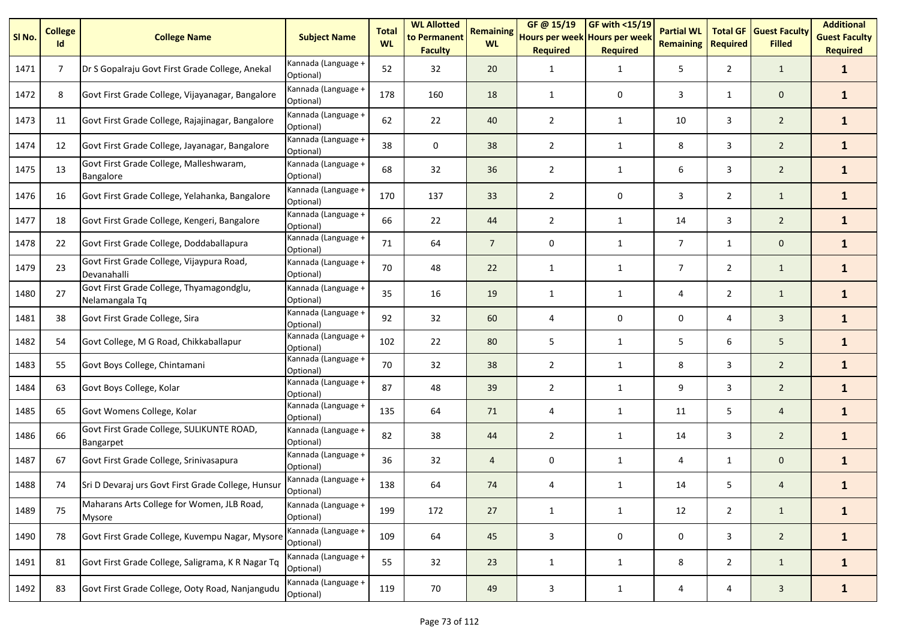| SI <sub>No.</sub> | <b>College</b><br>Id | <b>College Name</b>                                         | <b>Subject Name</b>              | <b>Total</b><br><b>WL</b> | <b>WL Allotted</b><br>to Permanent<br><b>Faculty</b> | <b>Remaining</b><br><b>WL</b> | GF@ 15/19<br>Hours per week Hours per week<br><b>Required</b> | <b>GF with &lt;15/19</b><br><b>Required</b> | <b>Partial WL</b><br><b>Remaining</b> | <b>Total GF</b><br><b>Required</b> | <b>Guest Faculty</b><br><b>Filled</b> | <b>Additional</b><br><b>Guest Faculty</b><br><b>Required</b> |
|-------------------|----------------------|-------------------------------------------------------------|----------------------------------|---------------------------|------------------------------------------------------|-------------------------------|---------------------------------------------------------------|---------------------------------------------|---------------------------------------|------------------------------------|---------------------------------------|--------------------------------------------------------------|
| 1471              | $\overline{7}$       | Dr S Gopalraju Govt First Grade College, Anekal             | Kannada (Language +<br>Optional) | 52                        | 32                                                   | 20                            | 1                                                             | $\mathbf{1}$                                | 5                                     | $\overline{2}$                     | $\mathbf{1}$                          | $\mathbf{1}$                                                 |
| 1472              | 8                    | Govt First Grade College, Vijayanagar, Bangalore            | Kannada (Language +<br>Optional) | 178                       | 160                                                  | 18                            | $\mathbf{1}$                                                  | 0                                           | 3                                     | $\mathbf{1}$                       | $\mathbf 0$                           | $\mathbf{1}$                                                 |
| 1473              | 11                   | Govt First Grade College, Rajajinagar, Bangalore            | Kannada (Language +<br>Optional) | 62                        | 22                                                   | 40                            | $\overline{2}$                                                | 1                                           | 10                                    | 3                                  | $\overline{2}$                        | $\mathbf{1}$                                                 |
| 1474              | 12                   | Govt First Grade College, Jayanagar, Bangalore              | Kannada (Language +<br>Optional) | 38                        | $\mathbf 0$                                          | 38                            | $\overline{2}$                                                | $\mathbf{1}$                                | 8                                     | 3                                  | $\overline{2}$                        | $\mathbf{1}$                                                 |
| 1475              | 13                   | Govt First Grade College, Malleshwaram,<br><b>Bangalore</b> | Kannada (Language +<br>Optional) | 68                        | 32                                                   | 36                            | $\overline{2}$                                                | $\mathbf{1}$                                | 6                                     | 3                                  | $\overline{2}$                        | $\mathbf{1}$                                                 |
| 1476              | 16                   | Govt First Grade College, Yelahanka, Bangalore              | Kannada (Language +<br>Optional) | 170                       | 137                                                  | 33                            | $\overline{2}$                                                | 0                                           | 3                                     | $\overline{2}$                     | $\mathbf{1}$                          | $\mathbf{1}$                                                 |
| 1477              | 18                   | Govt First Grade College, Kengeri, Bangalore                | Kannada (Language +<br>Optional) | 66                        | 22                                                   | 44                            | $\overline{2}$                                                | 1                                           | 14                                    | 3                                  | $\overline{2}$                        | $\mathbf{1}$                                                 |
| 1478              | 22                   | Govt First Grade College, Doddaballapura                    | Kannada (Language +<br>Optional) | 71                        | 64                                                   | $\overline{7}$                | 0                                                             | $\mathbf{1}$                                | $\overline{7}$                        | $\mathbf{1}$                       | $\mathbf{0}$                          | $\mathbf{1}$                                                 |
| 1479              | 23                   | Govt First Grade College, Vijaypura Road,<br>Devanahalli    | Kannada (Language +<br>Optional) | 70                        | 48                                                   | 22                            | 1                                                             | 1                                           | $\overline{7}$                        | $\overline{2}$                     | $\mathbf{1}$                          | $\mathbf{1}$                                                 |
| 1480              | 27                   | Govt First Grade College, Thyamagondglu,<br>Nelamangala Tq  | Kannada (Language +<br>Optional) | 35                        | 16                                                   | 19                            | 1                                                             | 1                                           | 4                                     | $\overline{2}$                     | $\mathbf{1}$                          | $\mathbf{1}$                                                 |
| 1481              | 38                   | Govt First Grade College, Sira                              | Kannada (Language +<br>Optional) | 92                        | 32                                                   | 60                            | 4                                                             | 0                                           | 0                                     | 4                                  | $\overline{3}$                        | $\mathbf{1}$                                                 |
| 1482              | 54                   | Govt College, M G Road, Chikkaballapur                      | Kannada (Language +<br>Optional) | 102                       | 22                                                   | 80                            | 5                                                             | 1                                           | 5                                     | 6                                  | 5                                     | $\mathbf{1}$                                                 |
| 1483              | 55                   | Govt Boys College, Chintamani                               | Kannada (Language +<br>Optional) | 70                        | 32                                                   | 38                            | $\overline{2}$                                                | $\mathbf{1}$                                | 8                                     | 3                                  | $\overline{2}$                        | $\mathbf{1}$                                                 |
| 1484              | 63                   | Govt Boys College, Kolar                                    | Kannada (Language +<br>Optional) | 87                        | 48                                                   | 39                            | $\overline{2}$                                                | $\mathbf{1}$                                | 9                                     | 3                                  | $\overline{2}$                        | $\mathbf{1}$                                                 |
| 1485              | 65                   | Govt Womens College, Kolar                                  | Kannada (Language +<br>Optional) | 135                       | 64                                                   | 71                            | 4                                                             | $\mathbf{1}$                                | 11                                    | 5                                  | $\overline{4}$                        | $\mathbf{1}$                                                 |
| 1486              | 66                   | Govt First Grade College, SULIKUNTE ROAD,<br>Bangarpet      | Kannada (Language +<br>Optional) | 82                        | 38                                                   | 44                            | $\overline{2}$                                                | $\mathbf{1}$                                | 14                                    | 3                                  | $\overline{2}$                        | $\mathbf{1}$                                                 |
| 1487              | 67                   | Govt First Grade College, Srinivasapura                     | Kannada (Language +<br>Optional) | 36                        | 32                                                   | $\overline{4}$                | 0                                                             | 1                                           | 4                                     | $\mathbf{1}$                       | $\mathbf 0$                           | $\mathbf{1}$                                                 |
| 1488              | 74                   | Sri D Devaraj urs Govt First Grade College, Hunsur          | Kannada (Language +<br>Optional) | 138                       | 64                                                   | 74                            | 4                                                             | $\mathbf{1}$                                | 14                                    | 5                                  | 4                                     | $\mathbf{1}$                                                 |
| 1489              | 75                   | Maharans Arts College for Women, JLB Road,<br><b>Mysore</b> | Kannada (Language +<br>Optional) | 199                       | 172                                                  | 27                            | $\mathbf{1}$                                                  | $\mathbf{1}$                                | 12                                    | $\overline{2}$                     | $\mathbf{1}$                          | $\mathbf{1}$                                                 |
| 1490              | 78                   | Govt First Grade College, Kuvempu Nagar, Mysore             | Kannada (Language +<br>Optional) | 109                       | 64                                                   | 45                            | $\mathbf{3}$                                                  | $\pmb{0}$                                   | 0                                     | $\mathbf{3}$                       | $\overline{2}$                        | $\mathbf{1}$                                                 |
| 1491              | 81                   | Govt First Grade College, Saligrama, K R Nagar Tq           | Kannada (Language +<br>Optional) | 55                        | 32                                                   | 23                            | $\mathbf{1}$                                                  | $\mathbf{1}$                                | 8                                     | $\overline{2}$                     | $\mathbf{1}$                          | $\mathbf{1}$                                                 |
| 1492              | 83                   | Govt First Grade College, Ooty Road, Nanjangudu             | Kannada (Language +<br>Optional) | 119                       | 70                                                   | 49                            | 3                                                             | $\mathbf{1}$                                | 4                                     | 4                                  | $\mathbf{3}$                          | $\mathbf{1}$                                                 |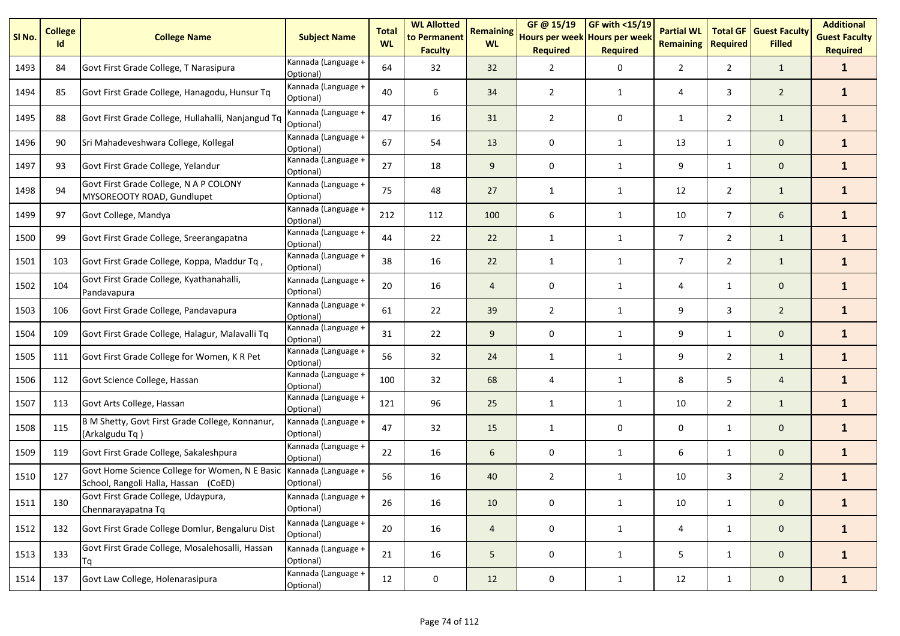| SI <sub>No.</sub> | <b>College</b><br>Id | <b>College Name</b>                                                                    | <b>Subject Name</b>              | <b>Total</b><br><b>WL</b> | <b>WL Allotted</b><br>to Permanent<br><b>Faculty</b> | <b>Remaining</b><br><b>WL</b> | GF @ 15/19<br>Hours per week Hours per week<br><b>Required</b> | $GF$ with <15/19<br><b>Required</b> | <b>Partial WL</b><br><b>Remaining</b> | <b>Total GF</b><br><b>Required</b> | <b>Guest Faculty</b><br><b>Filled</b> | <b>Additional</b><br><b>Guest Faculty</b><br><b>Required</b> |
|-------------------|----------------------|----------------------------------------------------------------------------------------|----------------------------------|---------------------------|------------------------------------------------------|-------------------------------|----------------------------------------------------------------|-------------------------------------|---------------------------------------|------------------------------------|---------------------------------------|--------------------------------------------------------------|
| 1493              | 84                   | Govt First Grade College, T Narasipura                                                 | Kannada (Language +<br>Optional) | 64                        | 32                                                   | 32                            | $\overline{2}$                                                 | 0                                   | $\overline{2}$                        | $\overline{2}$                     | $\mathbf{1}$                          | $\mathbf{1}$                                                 |
| 1494              | 85                   | Govt First Grade College, Hanagodu, Hunsur Tq                                          | Kannada (Language +<br>Optional) | 40                        | 6                                                    | 34                            | $\overline{2}$                                                 | 1                                   | 4                                     | 3                                  | $\overline{2}$                        | $\mathbf{1}$                                                 |
| 1495              | 88                   | Govt First Grade College, Hullahalli, Nanjangud Tq                                     | Kannada (Language +<br>Optional) | 47                        | 16                                                   | 31                            | $\overline{2}$                                                 | 0                                   | 1                                     | $\overline{2}$                     | $\mathbf{1}$                          | $\mathbf{1}$                                                 |
| 1496              | 90                   | Sri Mahadeveshwara College, Kollegal                                                   | Kannada (Language +<br>Optional) | 67                        | 54                                                   | 13                            | 0                                                              | 1                                   | 13                                    | $\mathbf{1}$                       | $\mathbf 0$                           | $\mathbf{1}$                                                 |
| 1497              | 93                   | Govt First Grade College, Yelandur                                                     | Kannada (Language +<br>Optional) | 27                        | 18                                                   | 9                             | 0                                                              | 1                                   | 9                                     | $\mathbf{1}$                       | $\mathbf 0$                           | $\mathbf{1}$                                                 |
| 1498              | 94                   | Govt First Grade College, N A P COLONY<br>MYSOREOOTY ROAD, Gundlupet                   | Kannada (Language +<br>Optional) | 75                        | 48                                                   | 27                            | $\mathbf{1}$                                                   | $\mathbf{1}$                        | 12                                    | $\overline{2}$                     | $\mathbf{1}$                          | $\mathbf{1}$                                                 |
| 1499              | 97                   | Govt College, Mandya                                                                   | Kannada (Language +<br>Optional) | 212                       | 112                                                  | 100                           | 6                                                              | $\mathbf{1}$                        | 10                                    | $\overline{7}$                     | 6                                     | $\mathbf{1}$                                                 |
| 1500              | 99                   | Govt First Grade College, Sreerangapatna                                               | Kannada (Language +<br>Optional) | 44                        | 22                                                   | 22                            | 1                                                              | $\mathbf{1}$                        | $\overline{7}$                        | $\overline{2}$                     | $\mathbf{1}$                          | $\mathbf{1}$                                                 |
| 1501              | 103                  | Govt First Grade College, Koppa, Maddur Tq,                                            | Kannada (Language +<br>Optional) | 38                        | 16                                                   | 22                            | $\mathbf{1}$                                                   | $\mathbf{1}$                        | $\overline{7}$                        | $\overline{2}$                     | $\mathbf{1}$                          | $\mathbf{1}$                                                 |
| 1502              | 104                  | Govt First Grade College, Kyathanahalli,<br>Pandavapura                                | Kannada (Language +<br>Optional) | 20                        | 16                                                   | $\overline{4}$                | 0                                                              | 1                                   | 4                                     | $\mathbf{1}$                       | $\mathbf 0$                           | $\mathbf{1}$                                                 |
| 1503              | 106                  | Govt First Grade College, Pandavapura                                                  | Kannada (Language +<br>Optional) | 61                        | 22                                                   | 39                            | $\overline{2}$                                                 | 1                                   | 9                                     | 3                                  | $\overline{2}$                        | $\mathbf{1}$                                                 |
| 1504              | 109                  | Govt First Grade College, Halagur, Malavalli Tq                                        | Kannada (Language +<br>Optional) | 31                        | 22                                                   | 9                             | 0                                                              | 1                                   | 9                                     | $\mathbf{1}$                       | $\mathbf{0}$                          | $\mathbf{1}$                                                 |
| 1505              | 111                  | Govt First Grade College for Women, K R Pet                                            | Kannada (Language +<br>Optional) | 56                        | 32                                                   | 24                            | $\mathbf{1}$                                                   | $\mathbf{1}$                        | 9                                     | $\overline{2}$                     | $\mathbf{1}$                          | $\mathbf{1}$                                                 |
| 1506              | 112                  | Govt Science College, Hassan                                                           | Kannada (Language +<br>Optional) | 100                       | 32                                                   | 68                            | 4                                                              | 1                                   | 8                                     | 5                                  | $\overline{4}$                        | $\mathbf{1}$                                                 |
| 1507              | 113                  | Govt Arts College, Hassan                                                              | Kannada (Language +<br>Optional) | 121                       | 96                                                   | 25                            | 1                                                              | 1                                   | 10                                    | $\overline{2}$                     | $\mathbf{1}$                          | $\mathbf{1}$                                                 |
| 1508              | 115                  | B M Shetty, Govt First Grade College, Konnanur,<br>(Arkalgudu Tq)                      | Kannada (Language +<br>Optional) | 47                        | 32                                                   | 15                            | $\mathbf{1}$                                                   | 0                                   | 0                                     | $\mathbf{1}$                       | $\mathbf 0$                           | $\mathbf{1}$                                                 |
| 1509              | 119                  | Govt First Grade College, Sakaleshpura                                                 | Kannada (Language +<br>Optional) | 22                        | 16                                                   | 6                             | 0                                                              | $\mathbf{1}$                        | 6                                     | 1                                  | $\mathbf{0}$                          | $\mathbf{1}$                                                 |
| 1510              | 127                  | Govt Home Science College for Women, N E Basic<br>School, Rangoli Halla, Hassan (CoED) | Kannada (Language +<br>Optional) | 56                        | 16                                                   | 40                            | $\overline{2}$                                                 | 1                                   | 10                                    | 3                                  | $\overline{2}$                        | $\mathbf{1}$                                                 |
| 1511              | 130                  | Govt First Grade College, Udaypura,<br>Chennarayapatna Tq                              | Kannada (Language +<br>Optional) | 26                        | 16                                                   | 10                            | 0                                                              | $\mathbf{1}$                        | 10                                    | $\mathbf{1}$                       | $\mathbf 0$                           | 1                                                            |
| 1512              | 132                  | Govt First Grade College Domlur, Bengaluru Dist                                        | Kannada (Language +<br>Optional) | 20                        | 16                                                   | $\overline{a}$                | 0                                                              | $\mathbf{1}$                        | 4                                     | $\mathbf{1}$                       | $\mathbf 0$                           | $\mathbf{1}$                                                 |
| 1513              | 133                  | Govt First Grade College, Mosalehosalli, Hassan<br>Tq                                  | Kannada (Language +<br>Optional) | 21                        | 16                                                   | 5                             | 0                                                              | $\mathbf{1}$                        | 5                                     | $\mathbf{1}$                       | $\mathbf 0$                           | $\mathbf{1}$                                                 |
| 1514              | 137                  | Govt Law College, Holenarasipura                                                       | Kannada (Language +<br>Optional) | 12                        | 0                                                    | 12                            | 0                                                              | $\mathbf{1}$                        | 12                                    | $\mathbf{1}$                       | $\mathbf{0}$                          | $\mathbf{1}$                                                 |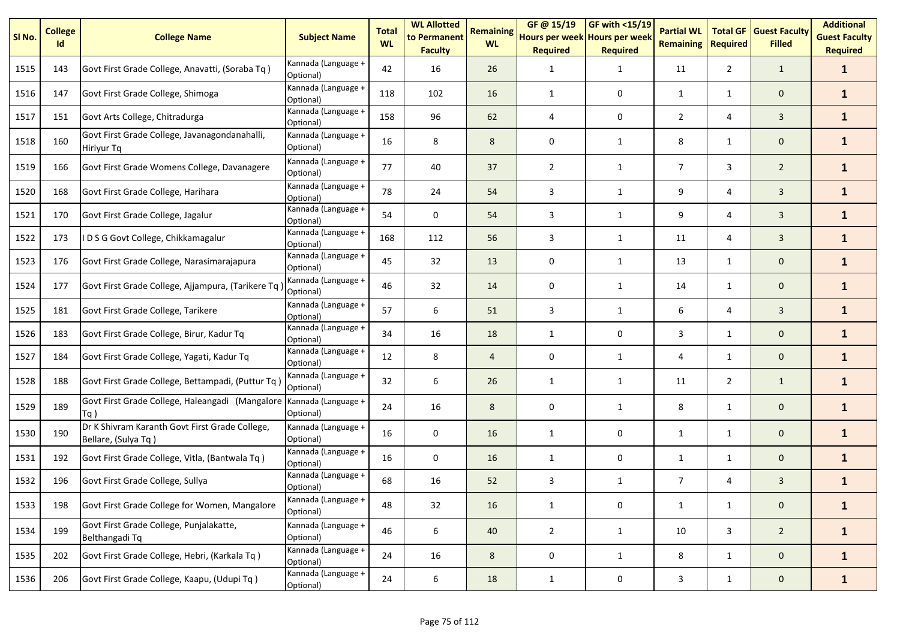| SI <sub>No.</sub> | <b>College</b><br>Id | <b>College Name</b>                                                   | <b>Subject Name</b>              | <b>Total</b><br><b>WL</b> | <b>WL Allotted</b><br>to Permanent<br><b>Faculty</b> | <b>Remaining</b><br><b>WL</b> | GF@ 15/19<br>Hours per week Hours per week<br><b>Required</b> | $GF$ with <15/19<br><b>Required</b> | <b>Partial WL</b><br><b>Remaining</b> | <b>Total GF</b><br><b>Required</b> | <b>Guest Faculty</b><br><b>Filled</b> | <b>Additional</b><br><b>Guest Faculty</b><br><b>Required</b> |
|-------------------|----------------------|-----------------------------------------------------------------------|----------------------------------|---------------------------|------------------------------------------------------|-------------------------------|---------------------------------------------------------------|-------------------------------------|---------------------------------------|------------------------------------|---------------------------------------|--------------------------------------------------------------|
| 1515              | 143                  | Govt First Grade College, Anavatti, (Soraba Tq)                       | Kannada (Language +<br>Optional) | 42                        | 16                                                   | 26                            | $\mathbf{1}$                                                  | $\mathbf{1}$                        | 11                                    | $\overline{2}$                     | $\mathbf{1}$                          | $\mathbf{1}$                                                 |
| 1516              | 147                  | Govt First Grade College, Shimoga                                     | Kannada (Language +<br>Optional) | 118                       | 102                                                  | 16                            | $\mathbf{1}$                                                  | 0                                   | 1                                     | 1                                  | $\mathbf 0$                           | $\mathbf{1}$                                                 |
| 1517              | 151                  | Govt Arts College, Chitradurga                                        | Kannada (Language +<br>Optional) | 158                       | 96                                                   | 62                            | $\overline{4}$                                                | 0                                   | $\overline{2}$                        | 4                                  | 3                                     | $\mathbf{1}$                                                 |
| 1518              | 160                  | Govt First Grade College, Javanagondanahalli,<br>Hiriyur Tq           | Kannada (Language +<br>Optional) | 16                        | 8                                                    | 8                             | 0                                                             | $\mathbf{1}$                        | 8                                     | $\mathbf{1}$                       | $\mathbf 0$                           | $\mathbf{1}$                                                 |
| 1519              | 166                  | Govt First Grade Womens College, Davanagere                           | Kannada (Language +<br>Optional) | 77                        | 40                                                   | 37                            | $\overline{2}$                                                | $\mathbf{1}$                        | $\overline{7}$                        | 3                                  | $\overline{2}$                        | $\mathbf{1}$                                                 |
| 1520              | 168                  | Govt First Grade College, Harihara                                    | Kannada (Language +<br>Optional) | 78                        | 24                                                   | 54                            | 3                                                             | 1                                   | 9                                     | 4                                  | $\overline{3}$                        | $\mathbf{1}$                                                 |
| 1521              | 170                  | Govt First Grade College, Jagalur                                     | Kannada (Language +<br>Optional) | 54                        | 0                                                    | 54                            | 3                                                             | $\mathbf{1}$                        | 9                                     | 4                                  | $\overline{3}$                        | $\mathbf{1}$                                                 |
| 1522              | 173                  | IDSG Govt College, Chikkamagalur                                      | Kannada (Language +<br>Optional) | 168                       | 112                                                  | 56                            | 3                                                             | $\mathbf{1}$                        | 11                                    | 4                                  | $\mathbf{3}$                          | $\mathbf{1}$                                                 |
| 1523              | 176                  | Govt First Grade College, Narasimarajapura                            | Kannada (Language +<br>Optional) | 45                        | 32                                                   | 13                            | 0                                                             | $\mathbf{1}$                        | 13                                    | $\mathbf{1}$                       | $\mathbf 0$                           | $\mathbf{1}$                                                 |
| 1524              | 177                  | Govt First Grade College, Ajjampura, (Tarikere Tq                     | Kannada (Language +<br>Optional) | 46                        | 32                                                   | 14                            | 0                                                             | 1                                   | 14                                    | $\mathbf{1}$                       | $\mathbf 0$                           | $\mathbf{1}$                                                 |
| 1525              | 181                  | Govt First Grade College, Tarikere                                    | Kannada (Language +<br>Optional) | 57                        | 6                                                    | 51                            | 3                                                             | $\mathbf{1}$                        | 6                                     | 4                                  | 3                                     | $\mathbf{1}$                                                 |
| 1526              | 183                  | Govt First Grade College, Birur, Kadur Tq                             | Kannada (Language +<br>Optional) | 34                        | 16                                                   | 18                            | 1                                                             | 0                                   | 3                                     | $\mathbf{1}$                       | $\mathbf{0}$                          | $\mathbf{1}$                                                 |
| 1527              | 184                  | Govt First Grade College, Yagati, Kadur Tq                            | Kannada (Language +<br>Optional) | 12                        | 8                                                    | $\overline{4}$                | $\mathbf 0$                                                   | $\mathbf{1}$                        | 4                                     | $\mathbf{1}$                       | $\mathbf 0$                           | $\mathbf{1}$                                                 |
| 1528              | 188                  | Govt First Grade College, Bettampadi, (Puttur Tq                      | Kannada (Language +<br>Optional) | 32                        | 6                                                    | 26                            | 1                                                             | 1                                   | 11                                    | $\overline{2}$                     | $\mathbf{1}$                          | $\mathbf{1}$                                                 |
| 1529              | 189                  | Govt First Grade College, Haleangadi (Mangalore<br>Tq)                | Kannada (Language +<br>Optional) | 24                        | 16                                                   | 8                             | 0                                                             | 1                                   | 8                                     | $\mathbf{1}$                       | $\mathbf{0}$                          | $\mathbf{1}$                                                 |
| 1530              | 190                  | Dr K Shivram Karanth Govt First Grade College,<br>Bellare, (Sulya Tq) | Kannada (Language +<br>Optional) | 16                        | $\mathbf 0$                                          | 16                            | 1                                                             | $\mathbf 0$                         | $\mathbf{1}$                          | $\mathbf{1}$                       | $\mathbf 0$                           | $\mathbf{1}$                                                 |
| 1531              | 192                  | Govt First Grade College, Vitla, (Bantwala Tq)                        | Kannada (Language +<br>Optional) | 16                        | $\mathbf 0$                                          | 16                            | 1                                                             | 0                                   | 1                                     | 1                                  | $\mathbf{0}$                          | $\mathbf{1}$                                                 |
| 1532              | 196                  | Govt First Grade College, Sullya                                      | Kannada (Language +<br>Optional) | 68                        | 16                                                   | 52                            | 3                                                             | $\mathbf{1}$                        | $\overline{7}$                        | 4                                  | $\mathbf{3}$                          | $\mathbf{1}$                                                 |
| 1533              | 198                  | Govt First Grade College for Women, Mangalore                         | Kannada (Language +<br>Optional) | 48                        | 32                                                   | 16                            | $\mathbf{1}$                                                  | 0                                   | $\mathbf{1}$                          | $\mathbf{1}$                       | $\mathbf 0$                           | 1                                                            |
| 1534              | 199                  | Govt First Grade College, Punjalakatte,<br>Belthangadi Tq             | Kannada (Language +<br>Optional) | 46                        | 6                                                    | 40                            | $\overline{2}$                                                | $\mathbf{1}$                        | 10                                    | 3                                  | $\overline{2}$                        | $\mathbf{1}$                                                 |
| 1535              | 202                  | Govt First Grade College, Hebri, (Karkala Tq)                         | Kannada (Language +<br>Optional) | 24                        | 16                                                   | 8                             | 0                                                             | $\mathbf{1}$                        | 8                                     | $\mathbf{1}$                       | $\mathbf 0$                           | $\mathbf{1}$                                                 |
| 1536              | 206                  | Govt First Grade College, Kaapu, (Udupi Tq)                           | Kannada (Language +<br>Optional) | 24                        | 6                                                    | 18                            | $\mathbf{1}$                                                  | 0                                   | 3                                     | $\mathbf{1}$                       | $\mathbf{0}$                          | $\mathbf{1}$                                                 |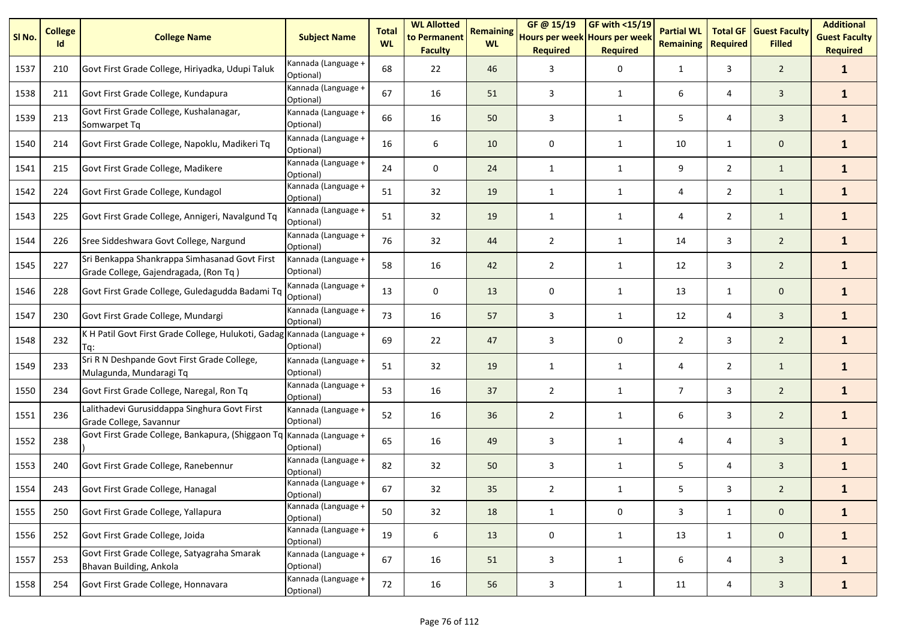| SI <sub>No.</sub> | <b>College</b><br>Id | <b>College Name</b>                                                                    | <b>Subject Name</b>              | <b>Total</b><br><b>WL</b> | <b>WL Allotted</b><br>to Permanent<br><b>Faculty</b> | <b>Remaining</b><br><b>WL</b> | GF @ 15/19<br>Hours per week Hours per week<br><b>Required</b> | GF with <15/19<br><b>Required</b> | <b>Partial WL</b><br><b>Remaining</b> | <b>Total GF</b><br><b>Required</b> | <b>Guest Faculty</b><br><b>Filled</b> | <b>Additional</b><br><b>Guest Faculty</b><br><b>Required</b> |
|-------------------|----------------------|----------------------------------------------------------------------------------------|----------------------------------|---------------------------|------------------------------------------------------|-------------------------------|----------------------------------------------------------------|-----------------------------------|---------------------------------------|------------------------------------|---------------------------------------|--------------------------------------------------------------|
| 1537              | 210                  | Govt First Grade College, Hiriyadka, Udupi Taluk                                       | Kannada (Language +<br>Optional) | 68                        | 22                                                   | 46                            | 3                                                              | 0                                 | $\mathbf{1}$                          | 3                                  | $\overline{2}$                        | $\mathbf{1}$                                                 |
| 1538              | 211                  | Govt First Grade College, Kundapura                                                    | Kannada (Language +<br>Optional) | 67                        | 16                                                   | 51                            | 3                                                              | $\mathbf{1}$                      | 6                                     | 4                                  | $\overline{3}$                        | $\mathbf{1}$                                                 |
| 1539              | 213                  | Govt First Grade College, Kushalanagar,<br>Somwarpet Tq                                | Kannada (Language +<br>Optional) | 66                        | 16                                                   | 50                            | 3                                                              | 1                                 | 5                                     | 4                                  | 3                                     | $\mathbf{1}$                                                 |
| 1540              | 214                  | Govt First Grade College, Napoklu, Madikeri Tq                                         | Kannada (Language +<br>Optional) | 16                        | 6                                                    | 10                            | 0                                                              | $\mathbf{1}$                      | 10                                    | $\mathbf{1}$                       | $\mathbf{0}$                          | $\mathbf{1}$                                                 |
| 1541              | 215                  | Govt First Grade College, Madikere                                                     | Kannada (Language +<br>Optional) | 24                        | $\mathbf 0$                                          | 24                            | $\mathbf{1}$                                                   | $\mathbf{1}$                      | 9                                     | $\overline{2}$                     | $\mathbf{1}$                          | $\mathbf{1}$                                                 |
| 1542              | 224                  | Govt First Grade College, Kundagol                                                     | Kannada (Language +<br>Optional) | 51                        | 32                                                   | 19                            | 1                                                              | $\mathbf{1}$                      | 4                                     | $\overline{2}$                     | $\mathbf{1}$                          | $\mathbf{1}$                                                 |
| 1543              | 225                  | Govt First Grade College, Annigeri, Navalgund Tq                                       | Kannada (Language +<br>Optional) | 51                        | 32                                                   | 19                            | $\mathbf{1}$                                                   | $\mathbf{1}$                      | 4                                     | $\overline{2}$                     | $\mathbf{1}$                          | $\mathbf{1}$                                                 |
| 1544              | 226                  | Sree Siddeshwara Govt College, Nargund                                                 | Kannada (Language +<br>Optional) | 76                        | 32                                                   | 44                            | $\overline{2}$                                                 | 1                                 | 14                                    | 3                                  | $\overline{2}$                        | $\mathbf{1}$                                                 |
| 1545              | 227                  | Sri Benkappa Shankrappa Simhasanad Govt First<br>Grade College, Gajendragada, (Ron Tq) | Kannada (Language +<br>Optional) | 58                        | 16                                                   | 42                            | $\overline{2}$                                                 | 1                                 | 12                                    | 3                                  | $\overline{2}$                        | $\mathbf{1}$                                                 |
| 1546              | 228                  | Govt First Grade College, Guledagudda Badami Tq                                        | Kannada (Language +<br>Optional) | 13                        | 0                                                    | 13                            | 0                                                              | 1                                 | 13                                    | $\mathbf{1}$                       | $\mathbf{0}$                          | $\mathbf{1}$                                                 |
| 1547              | 230                  | Govt First Grade College, Mundargi                                                     | Kannada (Language +<br>Optional) | 73                        | 16                                                   | 57                            | 3                                                              | 1                                 | 12                                    | 4                                  | $\overline{3}$                        | $\mathbf{1}$                                                 |
| 1548              | 232                  | K H Patil Govt First Grade College, Hulukoti, Gadag Kannada (Language +<br>Ta:         | Optional)                        | 69                        | 22                                                   | 47                            | 3                                                              | 0                                 | $\overline{2}$                        | 3                                  | $\overline{2}$                        | $\mathbf{1}$                                                 |
| 1549              | 233                  | Sri R N Deshpande Govt First Grade College,<br>Mulagunda, Mundaragi Tq                 | Kannada (Language +<br>Optional) | 51                        | 32                                                   | 19                            | 1                                                              | $\mathbf{1}$                      | 4                                     | $\overline{2}$                     | $\mathbf{1}$                          | $\mathbf{1}$                                                 |
| 1550              | 234                  | Govt First Grade College, Naregal, Ron Tq                                              | Kannada (Language +<br>Optional) | 53                        | 16                                                   | 37                            | $\overline{2}$                                                 | $\mathbf{1}$                      | $\overline{7}$                        | 3                                  | $\overline{2}$                        | $\mathbf{1}$                                                 |
| 1551              | 236                  | Lalithadevi Gurusiddappa Singhura Govt First<br>Grade College, Savannur                | Kannada (Language +<br>Optional) | 52                        | 16                                                   | 36                            | $\overline{2}$                                                 | $\mathbf{1}$                      | 6                                     | 3                                  | $\overline{2}$                        | $\mathbf{1}$                                                 |
| 1552              | 238                  | Govt First Grade College, Bankapura, (Shiggaon Tq                                      | Kannada (Language +<br>Optional) | 65                        | 16                                                   | 49                            | 3                                                              | $\mathbf{1}$                      | 4                                     | 4                                  | $\mathbf{3}$                          | $\mathbf{1}$                                                 |
| 1553              | 240                  | Govt First Grade College, Ranebennur                                                   | Kannada (Language +<br>Optional) | 82                        | 32                                                   | 50                            | 3                                                              | $\mathbf{1}$                      | 5                                     | 4                                  | $\mathbf{3}$                          | $\mathbf{1}$                                                 |
| 1554              | 243                  | Govt First Grade College, Hanagal                                                      | Kannada (Language +<br>Optional) | 67                        | 32                                                   | 35                            | $\overline{2}$                                                 | 1                                 | 5                                     | 3                                  | $\overline{2}$                        | 1                                                            |
| 1555              | 250                  | Govt First Grade College, Yallapura                                                    | Kannada (Language +<br>Optional) | 50                        | 32                                                   | 18                            | $\mathbf{1}$                                                   | 0                                 | 3                                     | $\mathbf{1}$                       | $\mathbf 0$                           | $\mathbf{1}$                                                 |
| 1556              | 252                  | Govt First Grade College, Joida                                                        | Kannada (Language +<br>Optional) | 19                        | 6                                                    | 13                            | 0                                                              | $\mathbf{1}$                      | 13                                    | $\mathbf{1}$                       | $\mathbf 0$                           | $\mathbf{1}$                                                 |
| 1557              | 253                  | Govt First Grade College, Satyagraha Smarak<br>Bhavan Building, Ankola                 | Kannada (Language +<br>Optional) | 67                        | 16                                                   | 51                            | 3                                                              | $\mathbf{1}$                      | 6                                     | 4                                  | 3                                     | $\mathbf{1}$                                                 |
| 1558              | 254                  | Govt First Grade College, Honnavara                                                    | Kannada (Language +<br>Optional) | 72                        | 16                                                   | 56                            | $\mathbf{3}$                                                   | $\mathbf{1}$                      | 11                                    | 4                                  | $\mathbf{3}$                          | $\mathbf{1}$                                                 |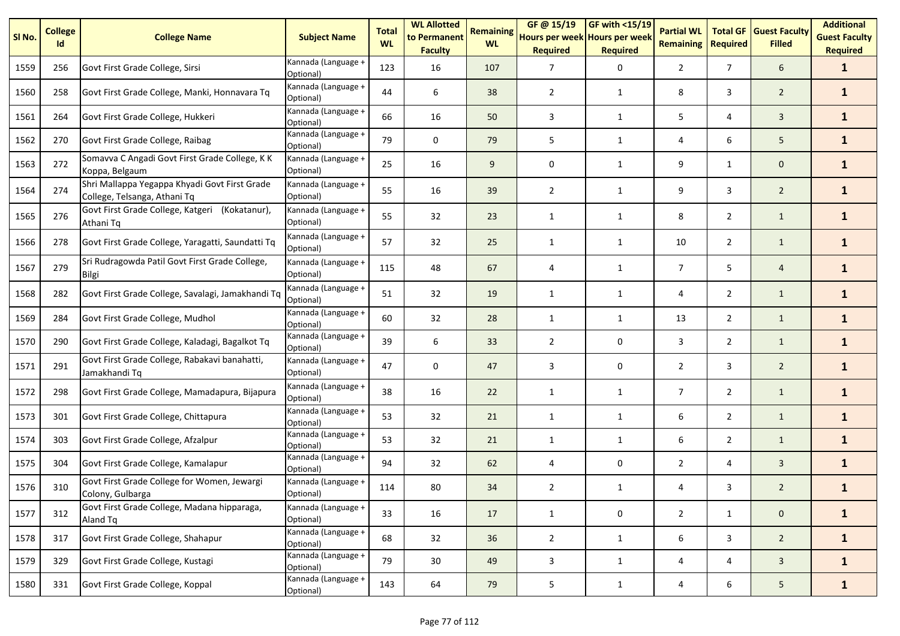| SI No. | <b>College</b><br>Id | <b>College Name</b>                                                           | <b>Subject Name</b>              | <b>Total</b><br><b>WL</b> | <b>WL Allotted</b><br>to Permanent<br><b>Faculty</b> | <b>Remaining</b><br><b>WL</b> | GF @ 15/19<br>Hours per week Hours per week<br><b>Required</b> | <b>GF with &lt;15/19</b><br><b>Required</b> | <b>Partial WL</b><br><b>Remaining</b> | <b>Total GF</b><br><b>Required</b> | <b>Guest Faculty</b><br><b>Filled</b> | <b>Additional</b><br><b>Guest Faculty</b><br><b>Required</b> |
|--------|----------------------|-------------------------------------------------------------------------------|----------------------------------|---------------------------|------------------------------------------------------|-------------------------------|----------------------------------------------------------------|---------------------------------------------|---------------------------------------|------------------------------------|---------------------------------------|--------------------------------------------------------------|
| 1559   | 256                  | Govt First Grade College, Sirsi                                               | Kannada (Language +<br>Optional) | 123                       | 16                                                   | 107                           | 7                                                              | 0                                           | 2                                     | $\overline{7}$                     | 6                                     | $\mathbf{1}$                                                 |
| 1560   | 258                  | Govt First Grade College, Manki, Honnavara Tq                                 | Kannada (Language +<br>Optional) | 44                        | 6                                                    | 38                            | $\overline{2}$                                                 | 1                                           | 8                                     | 3                                  | $\overline{2}$                        | $\mathbf{1}$                                                 |
| 1561   | 264                  | Govt First Grade College, Hukkeri                                             | Kannada (Language +<br>Optional) | 66                        | 16                                                   | 50                            | 3                                                              | 1                                           | 5                                     | 4                                  | $\overline{3}$                        | $\mathbf{1}$                                                 |
| 1562   | 270                  | Govt First Grade College, Raibag                                              | Kannada (Language +<br>Optional) | 79                        | 0                                                    | 79                            | 5                                                              | 1                                           | 4                                     | 6                                  | 5                                     | $\mathbf{1}$                                                 |
| 1563   | 272                  | Somavva C Angadi Govt First Grade College, K K<br>Koppa, Belgaum              | Kannada (Language +<br>Optional) | 25                        | 16                                                   | 9                             | 0                                                              | 1                                           | 9                                     | 1                                  | $\mathbf 0$                           | $\mathbf{1}$                                                 |
| 1564   | 274                  | Shri Mallappa Yegappa Khyadi Govt First Grade<br>College, Telsanga, Athani Tq | Kannada (Language +<br>Optional) | 55                        | 16                                                   | 39                            | 2                                                              | 1                                           | 9                                     | 3                                  | $\overline{2}$                        | $\mathbf{1}$                                                 |
| 1565   | 276                  | Govt First Grade College, Katgeri (Kokatanur),<br>Athani Tq                   | Kannada (Language +<br>Optional) | 55                        | 32                                                   | 23                            | 1                                                              | 1                                           | 8                                     | $\overline{2}$                     | $\mathbf{1}$                          | $\mathbf{1}$                                                 |
| 1566   | 278                  | Govt First Grade College, Yaragatti, Saundatti Tq                             | Kannada (Language +<br>Optional) | 57                        | 32                                                   | 25                            | $\mathbf{1}$                                                   | $\mathbf{1}$                                | 10                                    | $\overline{2}$                     | $\mathbf{1}$                          | $\mathbf{1}$                                                 |
| 1567   | 279                  | Sri Rudragowda Patil Govt First Grade College,<br><b>Bilgi</b>                | Kannada (Language +<br>Optional) | 115                       | 48                                                   | 67                            | 4                                                              | 1                                           | $\overline{7}$                        | 5                                  | $\overline{4}$                        | $\mathbf{1}$                                                 |
| 1568   | 282                  | Govt First Grade College, Savalagi, Jamakhandi Tq                             | Kannada (Language +<br>Optional) | 51                        | 32                                                   | 19                            | $\mathbf{1}$                                                   | $\mathbf{1}$                                | 4                                     | $\overline{2}$                     | $\mathbf{1}$                          | $\mathbf{1}$                                                 |
| 1569   | 284                  | Govt First Grade College, Mudhol                                              | Kannada (Language +<br>Optional) | 60                        | 32                                                   | 28                            | 1                                                              | 1                                           | 13                                    | $\overline{2}$                     | $\mathbf{1}$                          | $\mathbf{1}$                                                 |
| 1570   | 290                  | Govt First Grade College, Kaladagi, Bagalkot Tq                               | Kannada (Language +<br>Optional) | 39                        | 6                                                    | 33                            | $\overline{2}$                                                 | 0                                           | 3                                     | $\overline{2}$                     | $\mathbf{1}$                          | $\mathbf{1}$                                                 |
| 1571   | 291                  | Govt First Grade College, Rabakavi banahatti,<br>Jamakhandi Tq                | Kannada (Language +<br>Optional) | 47                        | 0                                                    | 47                            | 3                                                              | 0                                           | $\overline{2}$                        | 3                                  | $\overline{2}$                        | $\mathbf{1}$                                                 |
| 1572   | 298                  | Govt First Grade College, Mamadapura, Bijapura                                | Kannada (Language +<br>Optional) | 38                        | 16                                                   | 22                            | $\mathbf{1}$                                                   | 1                                           | $\overline{7}$                        | $\overline{2}$                     | $\mathbf{1}$                          | $\mathbf{1}$                                                 |
| 1573   | 301                  | Govt First Grade College, Chittapura                                          | Kannada (Language +<br>Optional) | 53                        | 32                                                   | 21                            | $\mathbf{1}$                                                   | 1                                           | 6                                     | $\overline{2}$                     | $\mathbf{1}$                          | $\mathbf{1}$                                                 |
| 1574   | 303                  | Govt First Grade College, Afzalpur                                            | Kannada (Language +<br>Optional) | 53                        | 32                                                   | 21                            | 1                                                              | $\mathbf{1}$                                | 6                                     | $\overline{2}$                     | $\mathbf{1}$                          | $\mathbf{1}$                                                 |
| 1575   | 304                  | Govt First Grade College, Kamalapur                                           | Kannada (Language +<br>Optional) | 94                        | 32                                                   | 62                            | 4                                                              | 0                                           | $\overline{2}$                        | 4                                  | 3                                     | $\mathbf{1}$                                                 |
| 1576   | 310                  | Govt First Grade College for Women, Jewargi<br>Colony, Gulbarga               | Kannada (Language +<br>Optional) | 114                       | 80                                                   | 34                            | $\overline{2}$                                                 | $\mathbf{1}$                                | 4                                     | 3                                  | $\overline{2}$                        | $\mathbf{1}$                                                 |
| 1577   | 312                  | Govt First Grade College, Madana hipparaga,<br>Aland Tq                       | Kannada (Language +<br>Optional) | 33                        | 16                                                   | 17                            | $\mathbf{1}$                                                   | 0                                           | $\overline{2}$                        | $\mathbf{1}$                       | $\mathbf 0$                           | $\mathbf{1}$                                                 |
| 1578   | 317                  | Govt First Grade College, Shahapur                                            | Kannada (Language +<br>Optional) | 68                        | 32                                                   | 36                            | $\overline{2}$                                                 | $\mathbf{1}$                                | 6                                     | $\mathbf{3}$                       | $\overline{2}$                        | $\mathbf{1}$                                                 |
| 1579   | 329                  | Govt First Grade College, Kustagi                                             | Kannada (Language +<br>Optional) | 79                        | 30                                                   | 49                            | 3                                                              | $\mathbf{1}$                                | 4                                     | 4                                  | $\mathbf{3}$                          | $\mathbf{1}$                                                 |
| 1580   | 331                  | Govt First Grade College, Koppal                                              | Kannada (Language +<br>Optional) | 143                       | 64                                                   | 79                            | 5                                                              | $\mathbf{1}$                                | 4                                     | 6                                  | 5 <sub>1</sub>                        | $\mathbf{1}$                                                 |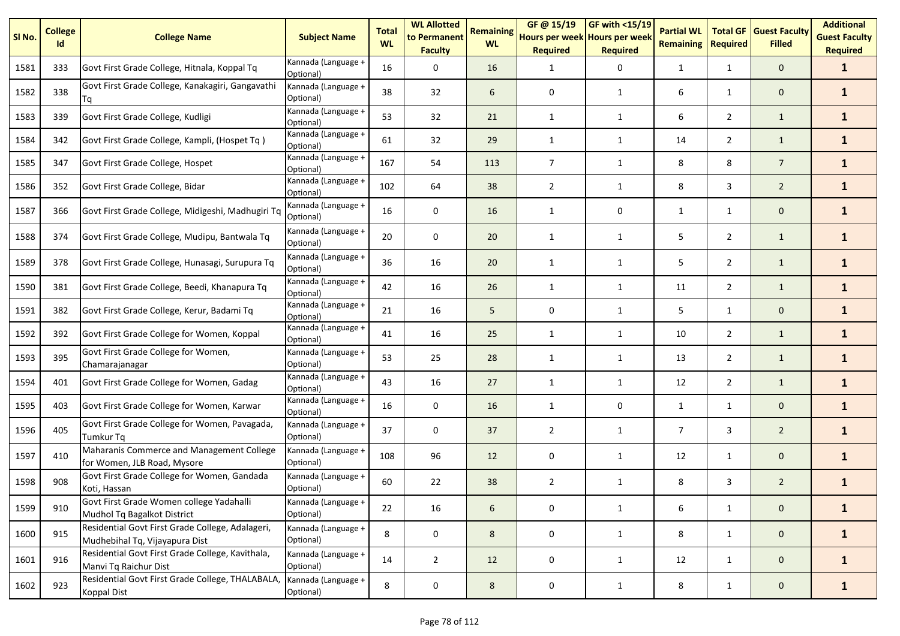| SI <sub>No.</sub> | <b>College</b><br>Id | <b>College Name</b>                                                                | <b>Subject Name</b>              | <b>Total</b><br><b>WL</b> | <b>WL Allotted</b><br>to Permanent<br><b>Faculty</b> | <b>Remaining</b><br><b>WL</b> | GF @ 15/19<br>Hours per week Hours per week<br><b>Required</b> | <b>GF with &lt;15/19</b><br><b>Required</b> | <b>Partial WL</b><br><b>Remaining</b> | <b>Total GF</b><br><b>Required</b> | <b>Guest Faculty</b><br><b>Filled</b> | <b>Additional</b><br><b>Guest Faculty</b><br><b>Required</b> |
|-------------------|----------------------|------------------------------------------------------------------------------------|----------------------------------|---------------------------|------------------------------------------------------|-------------------------------|----------------------------------------------------------------|---------------------------------------------|---------------------------------------|------------------------------------|---------------------------------------|--------------------------------------------------------------|
| 1581              | 333                  | Govt First Grade College, Hitnala, Koppal Tq                                       | Kannada (Language +<br>Optional) | 16                        | 0                                                    | 16                            | 1                                                              | 0                                           | 1                                     | $\mathbf{1}$                       | $\mathbf 0$                           | $\mathbf{1}$                                                 |
| 1582              | 338                  | Govt First Grade College, Kanakagiri, Gangavathi<br>Tq                             | Kannada (Language +<br>Optional) | 38                        | 32                                                   | 6                             | 0                                                              | 1                                           | 6                                     | $\mathbf{1}$                       | $\mathbf 0$                           | $\mathbf{1}$                                                 |
| 1583              | 339                  | Govt First Grade College, Kudligi                                                  | Kannada (Language +<br>Optional) | 53                        | 32                                                   | 21                            | $\mathbf{1}$                                                   | $\mathbf{1}$                                | 6                                     | $\overline{2}$                     | $\mathbf{1}$                          | $\mathbf{1}$                                                 |
| 1584              | 342                  | Govt First Grade College, Kampli, (Hospet Tq)                                      | Kannada (Language +<br>Optional) | 61                        | 32                                                   | 29                            | 1                                                              | 1                                           | 14                                    | $\overline{2}$                     | $\mathbf{1}$                          | $\mathbf{1}$                                                 |
| 1585              | 347                  | Govt First Grade College, Hospet                                                   | Kannada (Language +<br>Optional) | 167                       | 54                                                   | 113                           | 7                                                              | 1                                           | 8                                     | 8                                  | $\overline{7}$                        | $\mathbf{1}$                                                 |
| 1586              | 352                  | Govt First Grade College, Bidar                                                    | Kannada (Language +<br>Optional) | 102                       | 64                                                   | 38                            | $\overline{2}$                                                 | 1                                           | 8                                     | 3                                  | $\overline{2}$                        | $\mathbf{1}$                                                 |
| 1587              | 366                  | Govt First Grade College, Midigeshi, Madhugiri Tq                                  | Kannada (Language +<br>Optional) | 16                        | 0                                                    | 16                            | 1                                                              | 0                                           | 1                                     | $\mathbf{1}$                       | $\mathbf 0$                           | $\mathbf{1}$                                                 |
| 1588              | 374                  | Govt First Grade College, Mudipu, Bantwala Tq                                      | Kannada (Language +<br>Optional) | 20                        | 0                                                    | 20                            | 1                                                              | $\mathbf{1}$                                | 5                                     | $\overline{2}$                     | $\mathbf{1}$                          | $\mathbf{1}$                                                 |
| 1589              | 378                  | Govt First Grade College, Hunasagi, Surupura Tq                                    | Kannada (Language +<br>Optional) | 36                        | 16                                                   | 20                            | $\mathbf{1}$                                                   | 1                                           | 5                                     | $\overline{2}$                     | $\mathbf{1}$                          | $\mathbf{1}$                                                 |
| 1590              | 381                  | Govt First Grade College, Beedi, Khanapura Tq                                      | Kannada (Language +<br>Optional) | 42                        | 16                                                   | 26                            | $\mathbf{1}$                                                   | $\mathbf{1}$                                | 11                                    | $\overline{2}$                     | $\mathbf{1}$                          | $\mathbf{1}$                                                 |
| 1591              | 382                  | Govt First Grade College, Kerur, Badami Tq                                         | Kannada (Language +<br>Optional) | 21                        | 16                                                   | 5                             | 0                                                              | 1                                           | 5                                     | $\mathbf{1}$                       | $\mathbf 0$                           | $\mathbf{1}$                                                 |
| 1592              | 392                  | Govt First Grade College for Women, Koppal                                         | Kannada (Language +<br>Optional) | 41                        | 16                                                   | 25                            | 1                                                              | 1                                           | 10                                    | $\overline{2}$                     | $\mathbf{1}$                          | $\mathbf{1}$                                                 |
| 1593              | 395                  | Govt First Grade College for Women,<br>Chamarajanagar                              | Kannada (Language +<br>Optional) | 53                        | 25                                                   | 28                            | 1                                                              | 1                                           | 13                                    | $\overline{2}$                     | $\mathbf{1}$                          | $\mathbf{1}$                                                 |
| 1594              | 401                  | Govt First Grade College for Women, Gadag                                          | Kannada (Language +<br>Optional) | 43                        | 16                                                   | 27                            | $\mathbf{1}$                                                   | $\mathbf{1}$                                | 12                                    | $\overline{2}$                     | $\mathbf{1}$                          | $\mathbf{1}$                                                 |
| 1595              | 403                  | Govt First Grade College for Women, Karwar                                         | Kannada (Language +<br>Optional) | 16                        | 0                                                    | 16                            | 1                                                              | 0                                           | 1                                     | $\mathbf{1}$                       | $\mathbf 0$                           | $\mathbf{1}$                                                 |
| 1596              | 405                  | Govt First Grade College for Women, Pavagada,<br><b>Tumkur Tg</b>                  | Kannada (Language +<br>Optional) | 37                        | 0                                                    | 37                            | $\overline{2}$                                                 | 1                                           | $\overline{7}$                        | 3                                  | $\overline{2}$                        | $\mathbf{1}$                                                 |
| 1597              | 410                  | Maharanis Commerce and Management College<br>for Women, JLB Road, Mysore           | Kannada (Language +<br>Optional) | 108                       | 96                                                   | 12                            | 0                                                              | $\mathbf{1}$                                | 12                                    | $\mathbf{1}$                       | $\mathbf 0$                           | $\mathbf{1}$                                                 |
| 1598              | 908                  | Govt First Grade College for Women, Gandada<br>Koti, Hassan                        | Kannada (Language +<br>Optional) | 60                        | 22                                                   | 38                            | 2                                                              | 1                                           | 8                                     | 3                                  | $\overline{2}$                        | $\mathbf{1}$                                                 |
| 1599              | 910                  | Govt First Grade Women college Yadahalli<br>Mudhol Tq Bagalkot District            | Kannada (Language +<br>Optional) | 22                        | 16                                                   | 6                             | 0                                                              | $\mathbf{1}$                                | 6                                     | $\mathbf{1}$                       | $\mathbf 0$                           | $\mathbf{1}$                                                 |
| 1600              | 915                  | Residential Govt First Grade College, Adalageri,<br>Mudhebihal Tq, Vijayapura Dist | Kannada (Language +<br>Optional) | 8                         | 0                                                    | 8                             | 0                                                              | 1                                           | 8                                     | $\mathbf{1}$                       | $\mathbf 0$                           | $\mathbf{1}$                                                 |
| 1601              | 916                  | Residential Govt First Grade College, Kavithala,<br>Manvi Tq Raichur Dist          | Kannada (Language +<br>Optional) | 14                        | $\overline{2}$                                       | 12                            | 0                                                              | $\mathbf{1}$                                | 12                                    | $\mathbf{1}$                       | $\mathbf 0$                           | $\mathbf{1}$                                                 |
| 1602              | 923                  | Residential Govt First Grade College, THALABALA,<br>Koppal Dist                    | Kannada (Language +<br>Optional) | 8                         | $\pmb{0}$                                            | 8                             | 0                                                              | $\mathbf{1}$                                | 8                                     | $\mathbf{1}$                       | $\mathbf{0}$                          | $\mathbf{1}$                                                 |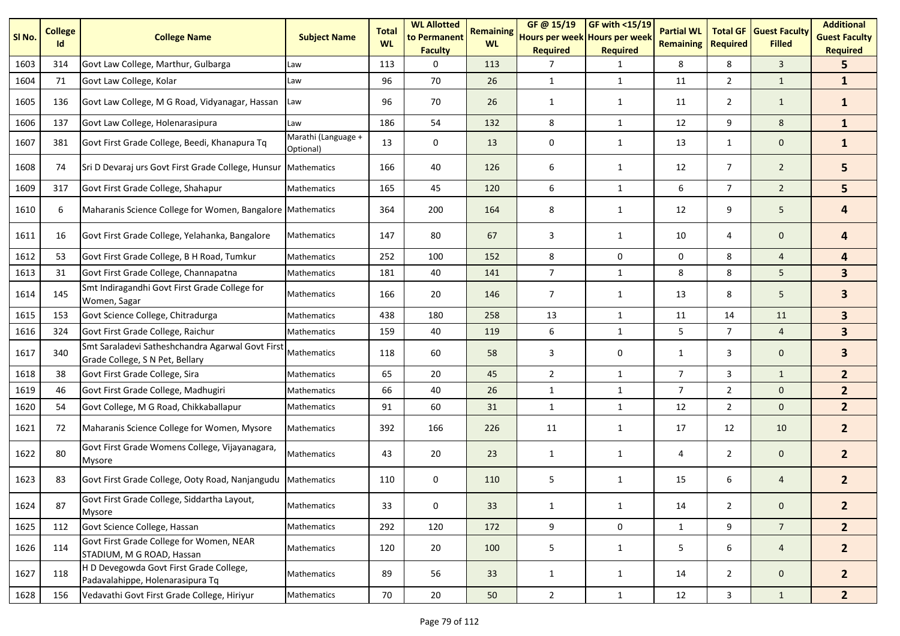| SI No. | <b>College</b><br>Id | <b>College Name</b>                                                                 | <b>Subject Name</b>              | <b>Total</b><br><b>WL</b> | <b>WL Allotted</b><br>to Permanent<br><b>Faculty</b> | <b>Remaining</b><br><b>WL</b> | GF@ 15/19<br>Hours per week Hours per week<br><b>Required</b> | <b>GF with &lt;15/19</b><br><b>Required</b> | <b>Partial WL</b><br><b>Remaining</b> | <b>Total GF</b><br><b>Required</b> | <b>Guest Faculty</b><br><b>Filled</b> | <b>Additional</b><br><b>Guest Faculty</b><br><b>Required</b> |
|--------|----------------------|-------------------------------------------------------------------------------------|----------------------------------|---------------------------|------------------------------------------------------|-------------------------------|---------------------------------------------------------------|---------------------------------------------|---------------------------------------|------------------------------------|---------------------------------------|--------------------------------------------------------------|
| 1603   | 314                  | Govt Law College, Marthur, Gulbarga                                                 | Law                              | 113                       | $\Omega$                                             | 113                           | 7                                                             | 1                                           | 8                                     | 8                                  | $\overline{3}$                        | 5.                                                           |
| 1604   | 71                   | Govt Law College, Kolar                                                             | Law                              | 96                        | 70                                                   | 26                            | $\mathbf{1}$                                                  | $\mathbf{1}$                                | 11                                    | $\overline{2}$                     | $\mathbf{1}$                          | $\mathbf{1}$                                                 |
| 1605   | 136                  | Govt Law College, M G Road, Vidyanagar, Hassan                                      | Law                              | 96                        | 70                                                   | 26                            | 1                                                             | 1                                           | 11                                    | $\overline{2}$                     | $\mathbf{1}$                          | $\mathbf{1}$                                                 |
| 1606   | 137                  | Govt Law College, Holenarasipura                                                    | Law                              | 186                       | 54                                                   | 132                           | 8                                                             | $\mathbf{1}$                                | 12                                    | 9                                  | 8                                     | $\mathbf{1}$                                                 |
| 1607   | 381                  | Govt First Grade College, Beedi, Khanapura Tq                                       | Marathi (Language +<br>Optional) | 13                        | 0                                                    | 13                            | 0                                                             | 1                                           | 13                                    | $\mathbf{1}$                       | $\mathbf 0$                           | $\mathbf{1}$                                                 |
| 1608   | 74                   | Sri D Devaraj urs Govt First Grade College, Hunsur                                  | <b>Mathematics</b>               | 166                       | 40                                                   | 126                           | 6                                                             | $\mathbf{1}$                                | 12                                    | $\overline{7}$                     | $\overline{2}$                        | 5                                                            |
| 1609   | 317                  | Govt First Grade College, Shahapur                                                  | <b>Mathematics</b>               | 165                       | 45                                                   | 120                           | 6                                                             | $\mathbf{1}$                                | 6                                     | $7^{\circ}$                        | $\overline{2}$                        | 5                                                            |
| 1610   | 6                    | Maharanis Science College for Women, Bangalore Mathematics                          |                                  | 364                       | 200                                                  | 164                           | 8                                                             | $\mathbf{1}$                                | 12                                    | 9                                  | 5                                     | 4                                                            |
| 1611   | 16                   | Govt First Grade College, Yelahanka, Bangalore                                      | <b>Mathematics</b>               | 147                       | 80                                                   | 67                            | 3                                                             | $\mathbf{1}$                                | $10\,$                                | 4                                  | $\mathbf 0$                           | 4                                                            |
| 1612   | 53                   | Govt First Grade College, B H Road, Tumkur                                          | <b>Mathematics</b>               | 252                       | 100                                                  | 152                           | 8                                                             | 0                                           | 0                                     | 8                                  | $\overline{4}$                        | $\overline{\mathbf{4}}$                                      |
| 1613   | 31                   | Govt First Grade College, Channapatna                                               | Mathematics                      | 181                       | 40                                                   | 141                           | $\overline{7}$                                                | $\mathbf{1}$                                | 8                                     | 8                                  | 5                                     | $\mathbf{3}$                                                 |
| 1614   | 145                  | Smt Indiragandhi Govt First Grade College for<br>Women, Sagar                       | Mathematics                      | 166                       | 20                                                   | 146                           | $\overline{7}$                                                | 1                                           | 13                                    | 8                                  | 5                                     | $\overline{\mathbf{3}}$                                      |
| 1615   | 153                  | Govt Science College, Chitradurga                                                   | Mathematics                      | 438                       | 180                                                  | 258                           | 13                                                            | $\mathbf{1}$                                | 11                                    | 14                                 | 11                                    | 3 <sup>1</sup>                                               |
| 1616   | 324                  | Govt First Grade College, Raichur                                                   | Mathematics                      | 159                       | 40                                                   | 119                           | 6                                                             | $\mathbf{1}$                                | 5                                     | $\overline{7}$                     | $\overline{4}$                        | 3 <sup>1</sup>                                               |
| 1617   | 340                  | Smt Saraladevi Satheshchandra Agarwal Govt First<br>Grade College, S N Pet, Bellary | <b>Mathematics</b>               | 118                       | 60                                                   | 58                            | 3                                                             | 0                                           | $\mathbf{1}$                          | 3                                  | $\mathbf 0$                           | $\overline{\mathbf{3}}$                                      |
| 1618   | 38                   | Govt First Grade College, Sira                                                      | Mathematics                      | 65                        | 20                                                   | 45                            | $\overline{2}$                                                | $\mathbf{1}$                                | $\overline{7}$                        | 3                                  | $\mathbf{1}$                          | 2 <sup>2</sup>                                               |
| 1619   | 46                   | Govt First Grade College, Madhugiri                                                 | Mathematics                      | 66                        | 40                                                   | 26                            | $\mathbf{1}$                                                  | $\mathbf{1}$                                | $\overline{7}$                        | $\overline{2}$                     | $\mathbf 0$                           | 2 <sup>2</sup>                                               |
| 1620   | 54                   | Govt College, M G Road, Chikkaballapur                                              | Mathematics                      | 91                        | 60                                                   | 31                            | $\mathbf{1}$                                                  | $\mathbf{1}$                                | 12                                    | $\overline{2}$                     | $\mathbf 0$                           | 2 <sup>2</sup>                                               |
| 1621   | 72                   | Maharanis Science College for Women, Mysore                                         | Mathematics                      | 392                       | 166                                                  | 226                           | 11                                                            | 1                                           | 17                                    | 12                                 | 10                                    | 2 <sup>2</sup>                                               |
| 1622   | 80                   | Govt First Grade Womens College, Vijayanagara,<br>Mysore                            | Mathematics                      | 43                        | 20                                                   | 23                            | 1                                                             | $\mathbf{1}$                                | 4                                     | $\overline{2}$                     | $\mathbf 0$                           | 2 <sup>2</sup>                                               |
| 1623   | 83                   | Govt First Grade College, Ooty Road, Nanjangudu                                     | Mathematics                      | 110                       | 0                                                    | 110                           | 5                                                             | $\mathbf{1}$                                | 15                                    | 6                                  | 4                                     | $\overline{2}$                                               |
| 1624   | 87                   | Govt First Grade College, Siddartha Layout,<br>Mysore                               | Mathematics                      | 33                        | $\pmb{0}$                                            | 33                            | $\mathbf{1}$                                                  | $\mathbf{1}$                                | $14\,$                                | $\overline{2}$                     | $\pmb{0}$                             | $\overline{2}$                                               |
| 1625   | 112                  | Govt Science College, Hassan                                                        | Mathematics                      | 292                       | 120                                                  | 172                           | 9                                                             | 0                                           | $\mathbf{1}$                          | 9                                  | $\overline{7}$                        | 2 <sup>1</sup>                                               |
| 1626   | 114                  | Govt First Grade College for Women, NEAR<br>STADIUM, M G ROAD, Hassan               | Mathematics                      | 120                       | 20                                                   | 100                           | 5                                                             | $\mathbf{1}$                                | 5                                     | 6                                  | $\overline{4}$                        | 2 <sup>2</sup>                                               |
| 1627   | 118                  | H D Devegowda Govt First Grade College,<br>Padavalahippe, Holenarasipura Tq         | Mathematics                      | 89                        | 56                                                   | 33                            | $\mathbf{1}$                                                  | $\mathbf{1}$                                | 14                                    | $\overline{2}$                     | $\pmb{0}$                             | 2 <sup>2</sup>                                               |
| 1628   | 156                  | Vedavathi Govt First Grade College, Hiriyur                                         | Mathematics                      | 70                        | 20                                                   | 50                            | $2^{\circ}$                                                   | $\mathbf{1}$                                | 12                                    | 3 <sup>7</sup>                     | $\mathbf{1}$                          | 2 <sup>1</sup>                                               |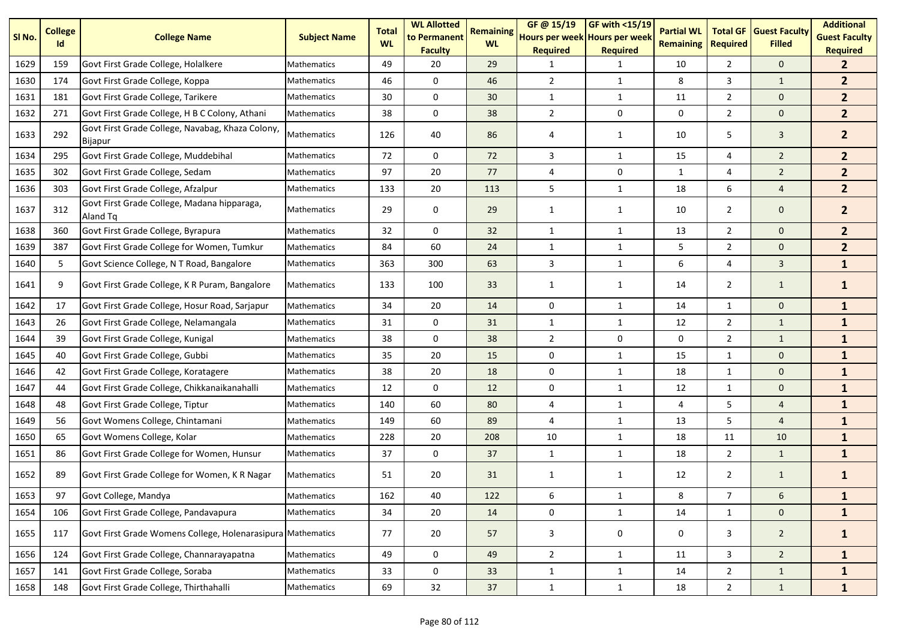| SI No. | <b>College</b><br>Id | <b>College Name</b>                                                | <b>Subject Name</b> | <b>Total</b><br><b>WL</b> | <b>WL Allotted</b><br>to Permanent<br><b>Faculty</b> | <b>Remaining</b><br><b>WL</b> | GF@ 15/19<br>Hours per week Hours per week<br><b>Required</b> | GF with <15/19<br><b>Required</b> | <b>Partial WL</b><br><b>Remaining</b> | <b>Total GF</b><br><b>Required</b> | <b>Guest Faculty</b><br><b>Filled</b> | <b>Additional</b><br><b>Guest Faculty</b><br><b>Required</b> |
|--------|----------------------|--------------------------------------------------------------------|---------------------|---------------------------|------------------------------------------------------|-------------------------------|---------------------------------------------------------------|-----------------------------------|---------------------------------------|------------------------------------|---------------------------------------|--------------------------------------------------------------|
| 1629   | 159                  | Govt First Grade College, Holalkere                                | Mathematics         | 49                        | 20                                                   | 29                            | 1                                                             | 1                                 | 10                                    | $\mathbf{2}$                       | $\mathbf{0}$                          | $\mathbf{2}$                                                 |
| 1630   | 174                  | Govt First Grade College, Koppa                                    | <b>Mathematics</b>  | 46                        | $\mathbf 0$                                          | 46                            | $\overline{2}$                                                | $\mathbf{1}$                      | 8                                     | 3                                  | $\mathbf{1}$                          | 2 <sup>2</sup>                                               |
| 1631   | 181                  | Govt First Grade College, Tarikere                                 | Mathematics         | 30                        | 0                                                    | 30                            | $\mathbf{1}$                                                  | $\mathbf{1}$                      | 11                                    | $\overline{2}$                     | $\mathbf{0}$                          | 2 <sup>2</sup>                                               |
| 1632   | 271                  | Govt First Grade College, H B C Colony, Athani                     | <b>Mathematics</b>  | 38                        | 0                                                    | 38                            | $\overline{2}$                                                | 0                                 | 0                                     | $\overline{2}$                     | $\mathbf{0}$                          | 2 <sup>2</sup>                                               |
| 1633   | 292                  | Govt First Grade College, Navabag, Khaza Colony,<br><b>Bijapur</b> | Mathematics         | 126                       | 40                                                   | 86                            | 4                                                             | 1                                 | 10                                    | 5                                  | 3                                     | 2 <sup>2</sup>                                               |
| 1634   | 295                  | Govt First Grade College, Muddebihal                               | Mathematics         | 72                        | 0                                                    | 72                            | 3                                                             | $\mathbf{1}$                      | 15                                    | $\overline{4}$                     | $\overline{2}$                        | 2 <sup>2</sup>                                               |
| 1635   | 302                  | Govt First Grade College, Sedam                                    | Mathematics         | 97                        | 20                                                   | 77                            | 4                                                             | 0                                 | 1                                     | 4                                  | $\overline{2}$                        | $\overline{2}$                                               |
| 1636   | 303                  | Govt First Grade College, Afzalpur                                 | Mathematics         | 133                       | 20                                                   | 113                           | 5                                                             | $\mathbf{1}$                      | 18                                    | 6                                  | $\overline{4}$                        | 2 <sup>2</sup>                                               |
| 1637   | 312                  | Govt First Grade College, Madana hipparaga,<br>Aland Tq            | Mathematics         | 29                        | 0                                                    | 29                            | $\mathbf{1}$                                                  | $\mathbf{1}$                      | 10                                    | $\overline{2}$                     | $\mathbf 0$                           | $\overline{2}$                                               |
| 1638   | 360                  | Govt First Grade College, Byrapura                                 | Mathematics         | 32                        | $\mathbf 0$                                          | 32                            | $\mathbf{1}$                                                  | $\mathbf{1}$                      | 13                                    | $\overline{2}$                     | $\mathbf 0$                           | 2 <sup>2</sup>                                               |
| 1639   | 387                  | Govt First Grade College for Women, Tumkur                         | <b>Mathematics</b>  | 84                        | 60                                                   | 24                            | $\mathbf{1}$                                                  | $\mathbf{1}$                      | 5                                     | $\overline{2}$                     | $\mathbf 0$                           | 2 <sup>2</sup>                                               |
| 1640   | 5                    | Govt Science College, N T Road, Bangalore                          | Mathematics         | 363                       | 300                                                  | 63                            | 3                                                             | $\mathbf{1}$                      | 6                                     | 4                                  | 3                                     | $\mathbf{1}$                                                 |
| 1641   | 9                    | Govt First Grade College, K R Puram, Bangalore                     | <b>Mathematics</b>  | 133                       | 100                                                  | 33                            | 1                                                             | $\mathbf{1}$                      | 14                                    | $\overline{2}$                     | $\mathbf{1}$                          | $\mathbf{1}$                                                 |
| 1642   | 17                   | Govt First Grade College, Hosur Road, Sarjapur                     | <b>Mathematics</b>  | 34                        | 20                                                   | 14                            | 0                                                             | $\mathbf{1}$                      | 14                                    | $\mathbf{1}$                       | $\mathbf 0$                           | $\mathbf{1}$                                                 |
| 1643   | 26                   | Govt First Grade College, Nelamangala                              | Mathematics         | 31                        | 0                                                    | 31                            | $\mathbf{1}$                                                  | $\mathbf{1}$                      | 12                                    | $\overline{2}$                     | $\mathbf{1}$                          | $\mathbf{1}$                                                 |
| 1644   | 39                   | Govt First Grade College, Kunigal                                  | Mathematics         | 38                        | 0                                                    | 38                            | $\overline{2}$                                                | 0                                 | 0                                     | $\overline{2}$                     | $\mathbf{1}$                          | $\mathbf{1}$                                                 |
| 1645   | 40                   | Govt First Grade College, Gubbi                                    | Mathematics         | 35                        | 20                                                   | 15                            | 0                                                             | $\mathbf{1}$                      | 15                                    | $\mathbf{1}$                       | $\mathbf 0$                           | $\mathbf{1}$                                                 |
| 1646   | 42                   | Govt First Grade College, Koratagere                               | Mathematics         | 38                        | 20                                                   | 18                            | 0                                                             | $\mathbf{1}$                      | 18                                    | $\mathbf{1}$                       | $\mathbf 0$                           | $\mathbf{1}$                                                 |
| 1647   | 44                   | Govt First Grade College, Chikkanaikanahalli                       | Mathematics         | 12                        | 0                                                    | 12                            | 0                                                             | $\mathbf{1}$                      | 12                                    | $\mathbf{1}$                       | $\mathbf 0$                           | $\mathbf{1}$                                                 |
| 1648   | 48                   | Govt First Grade College, Tiptur                                   | Mathematics         | 140                       | 60                                                   | 80                            | 4                                                             | $\mathbf{1}$                      | 4                                     | 5                                  | $\overline{4}$                        | $\mathbf{1}$                                                 |
| 1649   | 56                   | Govt Womens College, Chintamani                                    | Mathematics         | 149                       | 60                                                   | 89                            | $\overline{4}$                                                | $\mathbf{1}$                      | 13                                    | 5                                  | $\overline{4}$                        | $\mathbf{1}$                                                 |
| 1650   | 65                   | Govt Womens College, Kolar                                         | Mathematics         | 228                       | 20                                                   | 208                           | 10                                                            | $\mathbf{1}$                      | 18                                    | 11                                 | 10                                    | $\mathbf{1}$                                                 |
| 1651   | 86                   | Govt First Grade College for Women, Hunsur                         | Mathematics         | 37                        | 0                                                    | 37                            | $\mathbf{1}$                                                  | $\mathbf{1}$                      | 18                                    | $\overline{2}$                     | $\mathbf{1}$                          | $\mathbf{1}$                                                 |
| 1652   | 89                   | Govt First Grade College for Women, K R Nagar                      | Mathematics         | 51                        | 20                                                   | 31                            | 1                                                             | 1                                 | 12                                    | $\overline{2}$                     | $\mathbf{1}$                          | $\mathbf{1}$                                                 |
| 1653   | 97                   | Govt College, Mandya                                               | Mathematics         | 162                       | 40                                                   | 122                           | 6                                                             | 1                                 | 8                                     | $\overline{7}$                     | 6                                     | $\mathbf{1}$                                                 |
| 1654   | 106                  | Govt First Grade College, Pandavapura                              | <b>Mathematics</b>  | 34                        | 20                                                   | 14                            | 0                                                             | $\mathbf{1}$                      | 14                                    | 1                                  | $\mathbf 0$                           | $\mathbf{1}$                                                 |
| 1655   | 117                  | Govt First Grade Womens College, Holenarasipura Mathematics        |                     | 77                        | 20                                                   | 57                            | 3                                                             | 0                                 | 0                                     | 3                                  | $\overline{2}$                        | $\mathbf{1}$                                                 |
| 1656   | 124                  | Govt First Grade College, Channarayapatna                          | Mathematics         | 49                        | 0                                                    | 49                            | $\overline{2}$                                                | $\mathbf{1}$                      | 11                                    | $\mathbf{3}$                       | $\overline{2}$                        | $\mathbf{1}$                                                 |
| 1657   | 141                  | Govt First Grade College, Soraba                                   | Mathematics         | 33                        | 0                                                    | 33                            | $\mathbf{1}$                                                  | $\mathbf{1}$                      | 14                                    | $\overline{2}$                     | $\mathbf{1}$                          | $\mathbf{1}$                                                 |
| 1658   | 148                  | Govt First Grade College, Thirthahalli                             | Mathematics         | 69                        | 32                                                   | 37                            | $\mathbf{1}$                                                  | $\mathbf{1}$                      | 18                                    | $\overline{2}$                     | $\mathbf{1}$                          | $\mathbf{1}$                                                 |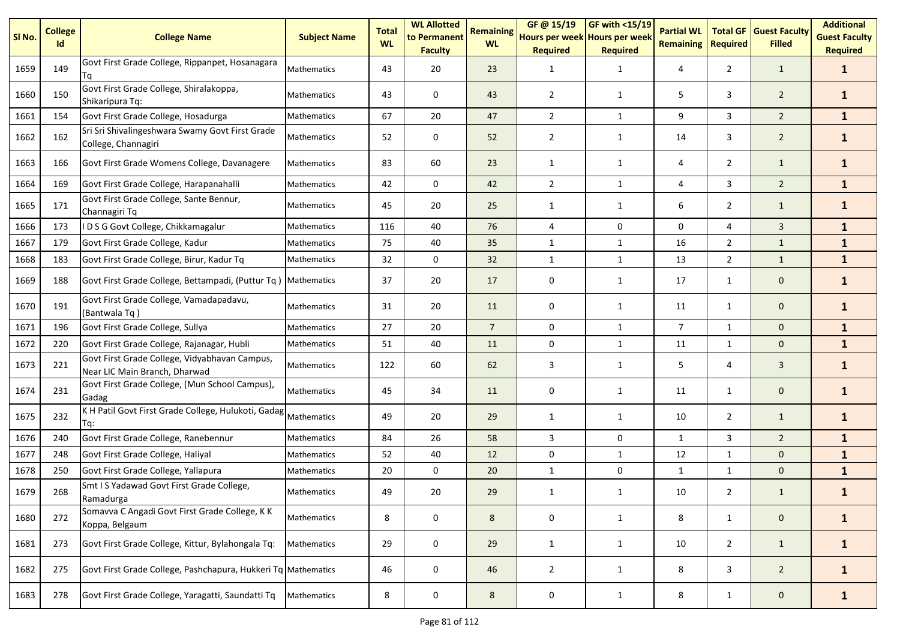| SI <sub>No.</sub> | <b>College</b><br>Id | <b>College Name</b>                                                            | <b>Subject Name</b> | <b>Total</b><br><b>WL</b> | <b>WL Allotted</b><br>to Permanent<br><b>Faculty</b> | <b>Remaining</b><br><b>WL</b> | GF @ 15/19<br>Hours per week Hours per week<br><b>Required</b> | GF with <15/19<br><b>Required</b> | <b>Partial WL</b><br><b>Remaining</b> | <b>Total GF</b><br><b>Required</b> | <b>Guest Faculty</b><br><b>Filled</b> | <b>Additional</b><br><b>Guest Faculty</b><br><b>Required</b> |
|-------------------|----------------------|--------------------------------------------------------------------------------|---------------------|---------------------------|------------------------------------------------------|-------------------------------|----------------------------------------------------------------|-----------------------------------|---------------------------------------|------------------------------------|---------------------------------------|--------------------------------------------------------------|
| 1659              | 149                  | Govt First Grade College, Rippanpet, Hosanagara<br>Τq                          | Mathematics         | 43                        | 20                                                   | 23                            | 1                                                              | 1                                 | 4                                     | $\overline{2}$                     | $\mathbf{1}$                          | $\mathbf{1}$                                                 |
| 1660              | 150                  | Govt First Grade College, Shiralakoppa,<br>Shikaripura Tq:                     | Mathematics         | 43                        | 0                                                    | 43                            | $\overline{2}$                                                 | $\mathbf{1}$                      | 5                                     | 3                                  | $\overline{2}$                        | $\mathbf{1}$                                                 |
| 1661              | 154                  | Govt First Grade College, Hosadurga                                            | Mathematics         | 67                        | 20                                                   | 47                            | $\overline{2}$                                                 | $\mathbf{1}$                      | 9                                     | 3                                  | $\overline{2}$                        | $\mathbf{1}$                                                 |
| 1662              | 162                  | Sri Sri Shivalingeshwara Swamy Govt First Grade<br>College, Channagiri         | <b>Mathematics</b>  | 52                        | 0                                                    | 52                            | $\overline{2}$                                                 | 1                                 | 14                                    | 3                                  | $\overline{2}$                        | $\mathbf{1}$                                                 |
| 1663              | 166                  | Govt First Grade Womens College, Davanagere                                    | <b>Mathematics</b>  | 83                        | 60                                                   | 23                            | 1                                                              | 1                                 | 4                                     | $\overline{2}$                     | $\mathbf{1}$                          | $\mathbf{1}$                                                 |
| 1664              | 169                  | Govt First Grade College, Harapanahalli                                        | Mathematics         | 42                        | $\mathbf 0$                                          | 42                            | $\overline{2}$                                                 | $\mathbf{1}$                      | 4                                     | 3                                  | $\overline{2}$                        | $\mathbf{1}$                                                 |
| 1665              | 171                  | Govt First Grade College, Sante Bennur,<br>Channagiri Tq                       | Mathematics         | 45                        | 20                                                   | 25                            | 1                                                              | 1                                 | 6                                     | $\overline{2}$                     | $\mathbf{1}$                          | $\mathbf{1}$                                                 |
| 1666              | 173                  | D S G Govt College, Chikkamagalur                                              | Mathematics         | 116                       | 40                                                   | 76                            | $\sqrt{4}$                                                     | 0                                 | 0                                     | $\overline{4}$                     | $\overline{3}$                        | $\mathbf{1}$                                                 |
| 1667              | 179                  | Govt First Grade College, Kadur                                                | <b>Mathematics</b>  | 75                        | 40                                                   | 35                            | $\mathbf{1}$                                                   | $\mathbf{1}$                      | 16                                    | $\overline{2}$                     | $\mathbf{1}$                          | $\mathbf{1}$                                                 |
| 1668              | 183                  | Govt First Grade College, Birur, Kadur Tq                                      | Mathematics         | 32                        | 0                                                    | 32                            | $\mathbf{1}$                                                   | $\mathbf{1}$                      | 13                                    | $\overline{2}$                     | $\mathbf{1}$                          | $\mathbf{1}$                                                 |
| 1669              | 188                  | Govt First Grade College, Bettampadi, (Puttur Tq) Mathematics                  |                     | 37                        | 20                                                   | 17                            | 0                                                              | 1                                 | 17                                    | $\mathbf{1}$                       | $\mathbf 0$                           | $\mathbf{1}$                                                 |
| 1670              | 191                  | Govt First Grade College, Vamadapadavu,<br>(Bantwala Tq)                       | Mathematics         | 31                        | 20                                                   | 11                            | 0                                                              | $\mathbf{1}$                      | 11                                    | $\mathbf{1}$                       | $\mathbf 0$                           | $\mathbf{1}$                                                 |
| 1671              | 196                  | Govt First Grade College, Sullya                                               | <b>Mathematics</b>  | 27                        | 20                                                   | $\overline{7}$                | $\pmb{0}$                                                      | $\mathbf{1}$                      | $\overline{7}$                        | 1                                  | $\mathbf{0}$                          | $\mathbf{1}$                                                 |
| 1672              | 220                  | Govt First Grade College, Rajanagar, Hubli                                     | Mathematics         | 51                        | 40                                                   | 11                            | 0                                                              | $\mathbf{1}$                      | 11                                    | $\mathbf{1}$                       | $\mathbf{0}$                          | $\mathbf{1}$                                                 |
| 1673              | 221                  | Govt First Grade College, Vidyabhavan Campus,<br>Near LIC Main Branch, Dharwad | Mathematics         | 122                       | 60                                                   | 62                            | 3                                                              | $\mathbf{1}$                      | 5                                     | 4                                  | 3                                     | $\mathbf{1}$                                                 |
| 1674              | 231                  | Govt First Grade College, (Mun School Campus),<br>Gadag                        | Mathematics         | 45                        | 34                                                   | 11                            | 0                                                              | 1                                 | 11                                    | $\mathbf{1}$                       | $\mathbf 0$                           | $\mathbf{1}$                                                 |
| 1675              | 232                  | K H Patil Govt First Grade College, Hulukoti, Gadag Mathematics<br>Tq:         |                     | 49                        | 20                                                   | 29                            | 1                                                              | $\mathbf{1}$                      | 10                                    | $\overline{2}$                     | $\mathbf{1}$                          | $\mathbf{1}$                                                 |
| 1676              | 240                  | Govt First Grade College, Ranebennur                                           | Mathematics         | 84                        | 26                                                   | 58                            | 3                                                              | 0                                 | $\mathbf{1}$                          | 3                                  | $\overline{2}$                        | $\mathbf{1}$                                                 |
| 1677              | 248                  | Govt First Grade College, Haliyal                                              | Mathematics         | 52                        | 40                                                   | 12                            | $\pmb{0}$                                                      | $\mathbf{1}$                      | 12                                    | $\mathbf{1}$                       | $\mathbf 0$                           | $\mathbf{1}$                                                 |
| 1678              | 250                  | Govt First Grade College, Yallapura                                            | Mathematics         | 20                        | 0                                                    | 20                            | $\mathbf{1}$                                                   | 0                                 | $\mathbf{1}$                          | $\mathbf{1}$                       | $\mathbf{0}$                          | $\mathbf{1}$                                                 |
| 1679              | 268                  | Smt I S Yadawad Govt First Grade College,<br>Ramadurga                         | <b>Mathematics</b>  | 49                        | 20                                                   | 29                            | 1                                                              | $\mathbf{1}$                      | 10                                    | $\overline{2}$                     | $\mathbf{1}$                          | $\mathbf{1}$                                                 |
| 1680              | 272                  | Somavva C Angadi Govt First Grade College, K K<br>Koppa, Belgaum               | Mathematics         | 8                         | $\mathsf 0$                                          | 8                             | $\mathsf 0$                                                    | 1                                 | 8                                     | $\mathbf{1}$                       | $\mathbf 0$                           | $\mathbf{1}$                                                 |
| 1681              | 273                  | Govt First Grade College, Kittur, Bylahongala Tq:                              | Mathematics         | 29                        | $\mathsf{O}\xspace$                                  | 29                            | $\mathbf{1}$                                                   | 1                                 | 10                                    | $\overline{2}$                     | $\mathbf{1}$                          | $\mathbf{1}$                                                 |
| 1682              | 275                  | Govt First Grade College, Pashchapura, Hukkeri Tq Mathematics                  |                     | 46                        | 0                                                    | 46                            | $\overline{2}$                                                 | $\mathbf{1}$                      | 8                                     | 3                                  | $\overline{2}$                        | $\mathbf{1}$                                                 |
| 1683              | 278                  | Govt First Grade College, Yaragatti, Saundatti Tq                              | Mathematics         | 8                         | $\pmb{0}$                                            | 8                             | 0                                                              | $\mathbf{1}$                      | 8                                     | $\mathbf{1}$                       | $\mathbf{0}$                          | $\mathbf{1}$                                                 |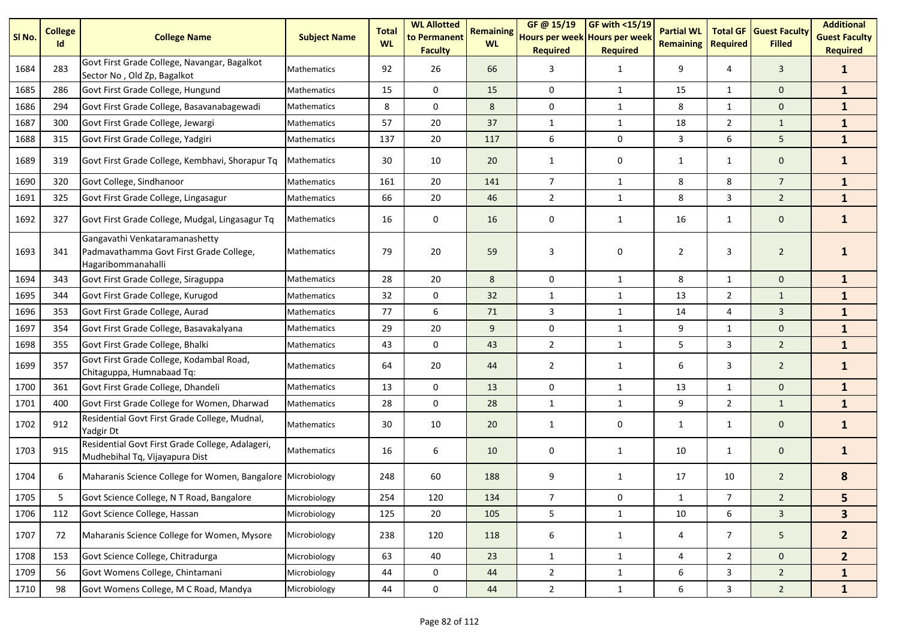| SI <sub>No.</sub> | <b>College</b><br>Id | <b>College Name</b>                                                                             | <b>Subject Name</b> | <b>Total</b><br><b>WL</b> | <b>WL Allotted</b><br>to Permanent<br><b>Faculty</b> | <b>Remaining</b><br><b>WL</b> | GF @ 15/19<br>Hours per week Hours per week<br><b>Required</b> | GF with <15/19<br><b>Required</b> | <b>Partial WL</b><br><b>Remaining</b> | <b>Total GF</b><br><b>Required</b> | <b>Guest Faculty</b><br><b>Filled</b> | <b>Additional</b><br><b>Guest Faculty</b><br><b>Required</b> |
|-------------------|----------------------|-------------------------------------------------------------------------------------------------|---------------------|---------------------------|------------------------------------------------------|-------------------------------|----------------------------------------------------------------|-----------------------------------|---------------------------------------|------------------------------------|---------------------------------------|--------------------------------------------------------------|
| 1684              | 283                  | Govt First Grade College, Navangar, Bagalkot<br>Sector No, Old Zp, Bagalkot                     | <b>Mathematics</b>  | 92                        | 26                                                   | 66                            | 3                                                              | $\mathbf{1}$                      | 9                                     | 4                                  | $\mathbf{3}$                          | $\mathbf{1}$                                                 |
| 1685              | 286                  | Govt First Grade College, Hungund                                                               | <b>Mathematics</b>  | 15                        | $\mathbf 0$                                          | 15                            | $\pmb{0}$                                                      | $\mathbf{1}$                      | 15                                    | 1                                  | $\mathbf{0}$                          | $\mathbf{1}$                                                 |
| 1686              | 294                  | Govt First Grade College, Basavanabagewadi                                                      | Mathematics         | 8                         | 0                                                    | 8                             | 0                                                              | $\mathbf{1}$                      | 8                                     | 1                                  | $\mathbf 0$                           | $\mathbf{1}$                                                 |
| 1687              | 300                  | Govt First Grade College, Jewargi                                                               | Mathematics         | 57                        | 20                                                   | 37                            | $\mathbf{1}$                                                   | $\mathbf{1}$                      | 18                                    | $\overline{2}$                     | $\mathbf{1}$                          | $\mathbf{1}$                                                 |
| 1688              | 315                  | Govt First Grade College, Yadgiri                                                               | Mathematics         | 137                       | 20                                                   | 117                           | $\boldsymbol{6}$                                               | 0                                 | 3                                     | 6                                  | 5                                     | $\mathbf{1}$                                                 |
| 1689              | 319                  | Govt First Grade College, Kembhavi, Shorapur Tq                                                 | <b>Mathematics</b>  | 30                        | 10                                                   | 20                            | 1                                                              | 0                                 | $\mathbf{1}$                          | $\mathbf{1}$                       | $\mathbf 0$                           | $\mathbf{1}$                                                 |
| 1690              | 320                  | Govt College, Sindhanoor                                                                        | Mathematics         | 161                       | 20                                                   | 141                           | $\overline{7}$                                                 | $\mathbf{1}$                      | 8                                     | 8                                  | $\overline{7}$                        | $\mathbf{1}$                                                 |
| 1691              | 325                  | Govt First Grade College, Lingasagur                                                            | Mathematics         | 66                        | 20                                                   | 46                            | $\overline{2}$                                                 | $\mathbf{1}$                      | 8                                     | 3                                  | $\overline{2}$                        | $\mathbf{1}$                                                 |
| 1692              | 327                  | Govt First Grade College, Mudgal, Lingasagur Tq                                                 | <b>Mathematics</b>  | 16                        | 0                                                    | 16                            | 0                                                              | 1                                 | 16                                    | $\mathbf{1}$                       | $\mathbf 0$                           | $\mathbf{1}$                                                 |
| 1693              | 341                  | Gangavathi Venkataramanashetty<br>Padmavathamma Govt First Grade College,<br>Hagaribommanahalli | <b>Mathematics</b>  | 79                        | 20                                                   | 59                            | 3                                                              | 0                                 | $\overline{2}$                        | 3                                  | $\overline{2}$                        |                                                              |
| 1694              | 343                  | Govt First Grade College, Siraguppa                                                             | Mathematics         | 28                        | 20                                                   | 8                             | $\mathbf 0$                                                    | $\mathbf{1}$                      | 8                                     | 1                                  | $\mathbf{0}$                          | $\mathbf{1}$                                                 |
| 1695              | 344                  | Govt First Grade College, Kurugod                                                               | Mathematics         | 32                        | $\mathbf 0$                                          | 32                            | $\mathbf{1}$                                                   | $\mathbf{1}$                      | 13                                    | $\overline{2}$                     | $\mathbf{1}$                          | $\mathbf{1}$                                                 |
| 1696              | 353                  | Govt First Grade College, Aurad                                                                 | Mathematics         | 77                        | 6                                                    | 71                            | 3                                                              | $\mathbf{1}$                      | 14                                    | 4                                  | $\overline{3}$                        | $\mathbf{1}$                                                 |
| 1697              | 354                  | Govt First Grade College, Basavakalyana                                                         | Mathematics         | 29                        | 20                                                   | 9                             | 0                                                              | $\mathbf{1}$                      | 9                                     | $\mathbf{1}$                       | $\mathbf 0$                           | $\mathbf{1}$                                                 |
| 1698              | 355                  | Govt First Grade College, Bhalki                                                                | Mathematics         | 43                        | $\pmb{0}$                                            | 43                            | $\overline{2}$                                                 | $\mathbf{1}$                      | 5                                     | 3                                  | $\overline{2}$                        | $\mathbf{1}$                                                 |
| 1699              | 357                  | Govt First Grade College, Kodambal Road,<br>Chitaguppa, Humnabaad Tq:                           | Mathematics         | 64                        | 20                                                   | 44                            | $\overline{2}$                                                 | $\mathbf{1}$                      | 6                                     | 3                                  | $\overline{2}$                        | $\mathbf{1}$                                                 |
| 1700              | 361                  | Govt First Grade College, Dhandeli                                                              | Mathematics         | 13                        | 0                                                    | 13                            | 0                                                              | $\mathbf{1}$                      | 13                                    | $\mathbf{1}$                       | $\mathbf 0$                           | $\mathbf{1}$                                                 |
| 1701              | 400                  | Govt First Grade College for Women, Dharwad                                                     | Mathematics         | 28                        | $\mathbf 0$                                          | 28                            | $\mathbf{1}$                                                   | $\mathbf{1}$                      | 9                                     | $\overline{2}$                     | $\mathbf{1}$                          | $\mathbf{1}$                                                 |
| 1702              | 912                  | Residential Govt First Grade College, Mudnal,<br>Yadgir Dt                                      | Mathematics         | 30                        | 10                                                   | 20                            | 1                                                              | 0                                 | $\mathbf{1}$                          | 1                                  | $\mathbf 0$                           | $\mathbf{1}$                                                 |
| 1703              | 915                  | Residential Govt First Grade College, Adalageri,<br>Mudhebihal Tq, Vijayapura Dist              | Mathematics         | 16                        | 6                                                    | 10                            | 0                                                              | 1                                 | 10                                    | $\mathbf{1}$                       | $\mathbf 0$                           | $\mathbf{1}$                                                 |
| 1704              | 6                    | Maharanis Science College for Women, Bangalore Microbiology                                     |                     | 248                       | 60                                                   | 188                           | 9                                                              | 1                                 | 17                                    | 10                                 | $\overline{2}$                        | 8                                                            |
| 1705              | 5                    | Govt Science College, N T Road, Bangalore                                                       | Microbiology        | 254                       | 120                                                  | 134                           | 7                                                              | 0                                 |                                       | $\overline{7}$                     | $\overline{a}$                        | 5                                                            |
| 1706              | 112                  | Govt Science College, Hassan                                                                    | Microbiology        | 125                       | 20                                                   | 105                           | 5                                                              | $\mathbf{1}$                      | 10                                    | 6                                  | $\overline{3}$                        | 3 <sup>1</sup>                                               |
| 1707              | 72                   | Maharanis Science College for Women, Mysore                                                     | Microbiology        | 238                       | 120                                                  | 118                           | 6                                                              | 1                                 | 4                                     | $\overline{7}$                     | 5 <sub>1</sub>                        | $\mathbf{2}$                                                 |
| 1708              | 153                  | Govt Science College, Chitradurga                                                               | Microbiology        | 63                        | 40                                                   | 23                            | $\mathbf{1}$                                                   | $\mathbf{1}$                      | 4                                     | $2^{\circ}$                        | $\mathbf{0}$                          | 2 <sup>1</sup>                                               |
| 1709              | 56                   | Govt Womens College, Chintamani                                                                 | Microbiology        | 44                        | 0                                                    | 44                            | $\overline{2}$                                                 | $\mathbf{1}$                      | 6                                     | $\mathbf{3}$                       | $\overline{2}$                        | $\mathbf{1}$                                                 |
| 1710              | 98                   | Govt Womens College, M C Road, Mandya                                                           | Microbiology        | 44                        | $\mathbf 0$                                          | 44                            | $2^{\circ}$                                                    | $\mathbf{1}$                      | 6                                     | $\mathbf{3}$                       | $\overline{2}$                        | $\mathbf{1}$                                                 |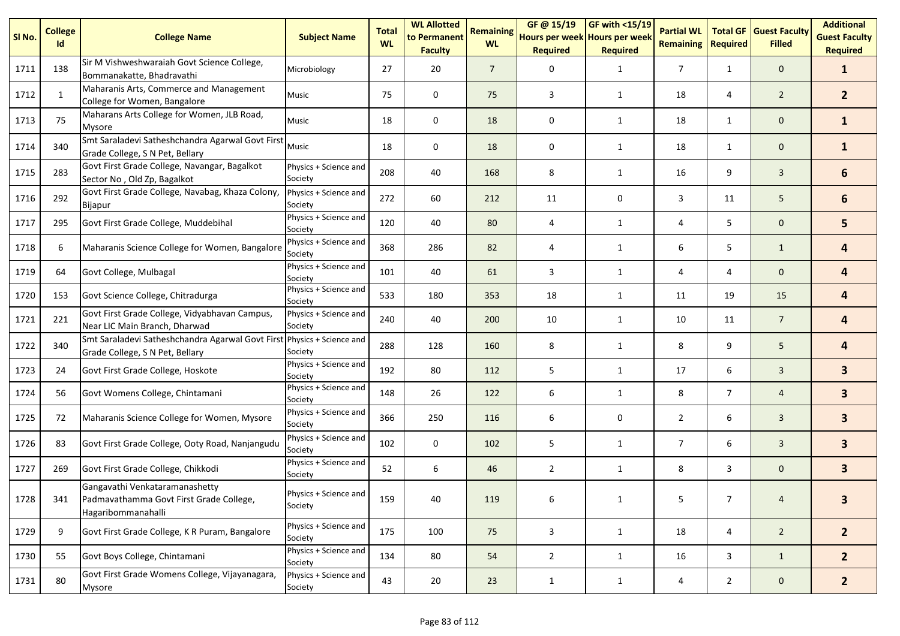| SI <sub>No.</sub> | <b>College</b><br>Id | <b>College Name</b>                                                                                       | <b>Subject Name</b>              | <b>Total</b><br><b>WL</b> | <b>WL Allotted</b><br>to Permanent<br><b>Faculty</b> | <b>Remaining</b><br><b>WL</b> | GF@15/19<br>Hours per week Hours per week<br><b>Required</b> | <b>GF with &lt;15/19</b><br><b>Required</b> | <b>Partial WL</b><br><b>Remaining</b> | <b>Total GF</b><br><b>Required</b> | <b>Guest Faculty</b><br><b>Filled</b> | <b>Additional</b><br><b>Guest Faculty</b><br><b>Required</b> |
|-------------------|----------------------|-----------------------------------------------------------------------------------------------------------|----------------------------------|---------------------------|------------------------------------------------------|-------------------------------|--------------------------------------------------------------|---------------------------------------------|---------------------------------------|------------------------------------|---------------------------------------|--------------------------------------------------------------|
| 1711              | 138                  | Sir M Vishweshwaraiah Govt Science College,<br>Bommanakatte, Bhadravathi                                  | Microbiology                     | 27                        | 20                                                   | $\overline{7}$                | 0                                                            | $\mathbf{1}$                                | $\overline{7}$                        | $\mathbf{1}$                       | $\mathbf{0}$                          | $\mathbf{1}$                                                 |
| 1712              | 1                    | Maharanis Arts, Commerce and Management<br>College for Women, Bangalore                                   | Music                            | 75                        | 0                                                    | 75                            | 3                                                            | $\mathbf{1}$                                | 18                                    | 4                                  | $\overline{2}$                        | 2 <sup>2</sup>                                               |
| 1713              | 75                   | Maharans Arts College for Women, JLB Road,<br>Mysore                                                      | Music                            | 18                        | 0                                                    | 18                            | 0                                                            | $\mathbf{1}$                                | 18                                    | $\mathbf{1}$                       | $\mathbf 0$                           | $\mathbf{1}$                                                 |
| 1714              | 340                  | Smt Saraladevi Satheshchandra Agarwal Govt First Music<br>Grade College, S N Pet, Bellary                 |                                  | 18                        | 0                                                    | 18                            | 0                                                            | $\mathbf{1}$                                | 18                                    | $\mathbf{1}$                       | $\mathbf{0}$                          | $\mathbf{1}$                                                 |
| 1715              | 283                  | Govt First Grade College, Navangar, Bagalkot<br>Sector No, Old Zp, Bagalkot                               | Physics + Science and<br>Society | 208                       | 40                                                   | 168                           | 8                                                            | $\mathbf{1}$                                | 16                                    | 9                                  | $\mathbf{3}$                          | 6                                                            |
| 1716              | 292                  | Govt First Grade College, Navabag, Khaza Colony,<br><b>Bijapur</b>                                        | Physics + Science and<br>Society | 272                       | 60                                                   | 212                           | 11                                                           | 0                                           | 3                                     | 11                                 | 5                                     | 6                                                            |
| 1717              | 295                  | Govt First Grade College, Muddebihal                                                                      | Physics + Science and<br>Society | 120                       | 40                                                   | 80                            | 4                                                            | $\mathbf{1}$                                | 4                                     | 5                                  | $\mathbf{0}$                          | 5                                                            |
| 1718              | 6                    | Maharanis Science College for Women, Bangalore                                                            | Physics + Science and<br>Society | 368                       | 286                                                  | 82                            | 4                                                            | $\mathbf{1}$                                | 6                                     | 5                                  | $\mathbf{1}$                          | 4                                                            |
| 1719              | 64                   | Govt College, Mulbagal                                                                                    | Physics + Science and<br>Society | 101                       | 40                                                   | 61                            | 3                                                            | $\mathbf{1}$                                | 4                                     | 4                                  | $\mathbf{0}$                          | 4                                                            |
| 1720              | 153                  | Govt Science College, Chitradurga                                                                         | Physics + Science and<br>Society | 533                       | 180                                                  | 353                           | 18                                                           | $\mathbf{1}$                                | 11                                    | 19                                 | 15                                    | 4                                                            |
| 1721              | 221                  | Govt First Grade College, Vidyabhavan Campus,<br>Near LIC Main Branch, Dharwad                            | Physics + Science and<br>Society | 240                       | 40                                                   | 200                           | 10                                                           | $\mathbf{1}$                                | 10                                    | 11                                 | $\overline{7}$                        | 4                                                            |
| 1722              | 340                  | Smt Saraladevi Satheshchandra Agarwal Govt First Physics + Science and<br>Grade College, S N Pet, Bellary | Society                          | 288                       | 128                                                  | 160                           | 8                                                            | $\mathbf{1}$                                | 8                                     | 9                                  | 5                                     | 4                                                            |
| 1723              | 24                   | Govt First Grade College, Hoskote                                                                         | Physics + Science and<br>Society | 192                       | 80                                                   | 112                           | 5                                                            | $\mathbf{1}$                                | 17                                    | 6                                  | $\overline{3}$                        | $\overline{\mathbf{3}}$                                      |
| 1724              | 56                   | Govt Womens College, Chintamani                                                                           | Physics + Science and<br>Society | 148                       | 26                                                   | 122                           | 6                                                            | $\mathbf{1}$                                | 8                                     | $\overline{7}$                     | $\overline{4}$                        | $\mathbf{3}$                                                 |
| 1725              | 72                   | Maharanis Science College for Women, Mysore                                                               | Physics + Science and<br>Society | 366                       | 250                                                  | 116                           | 6                                                            | 0                                           | $\overline{2}$                        | 6                                  | 3                                     | $\mathbf{3}$                                                 |
| 1726              | 83                   | Govt First Grade College, Ooty Road, Nanjangudu                                                           | Physics + Science and<br>Society | 102                       | 0                                                    | 102                           | 5                                                            | 1                                           | 7                                     | 6                                  | 3                                     | $\mathbf{3}$                                                 |
| 1727              | 269                  | Govt First Grade College, Chikkodi                                                                        | Physics + Science and<br>Society | 52                        | 6                                                    | 46                            | $\overline{2}$                                               | $\mathbf{1}$                                | 8                                     | 3                                  | $\mathbf 0$                           | 3                                                            |
| 1728              | 341                  | Gangavathi Venkataramanashetty<br>Padmavathamma Govt First Grade College,<br>Hagaribommanahalli           | Physics + Science and<br>Society | 159                       | 40                                                   | 119                           | 6                                                            | 1                                           | 5                                     | 7                                  | 4                                     | 3                                                            |
| 1729              | 9                    | Govt First Grade College, K R Puram, Bangalore                                                            | Physics + Science and<br>Society | 175                       | 100                                                  | 75                            | 3                                                            | $\mathbf{1}$                                | 18                                    | $\overline{4}$                     | $\overline{2}$                        | 2 <sup>2</sup>                                               |
| 1730              | 55                   | Govt Boys College, Chintamani                                                                             | Physics + Science and<br>Society | 134                       | 80                                                   | 54                            | $\overline{2}$                                               | $\mathbf{1}$                                | 16                                    | 3                                  | $\mathbf{1}$                          | 2 <sup>1</sup>                                               |
| 1731              | 80                   | Govt First Grade Womens College, Vijayanagara,<br><b>Mysore</b>                                           | Physics + Science and<br>Society | 43                        | 20                                                   | 23                            | $\mathbf{1}$                                                 | $\mathbf{1}$                                | 4                                     | $\overline{2}$                     | $\mathbf 0$                           | $\overline{2}$                                               |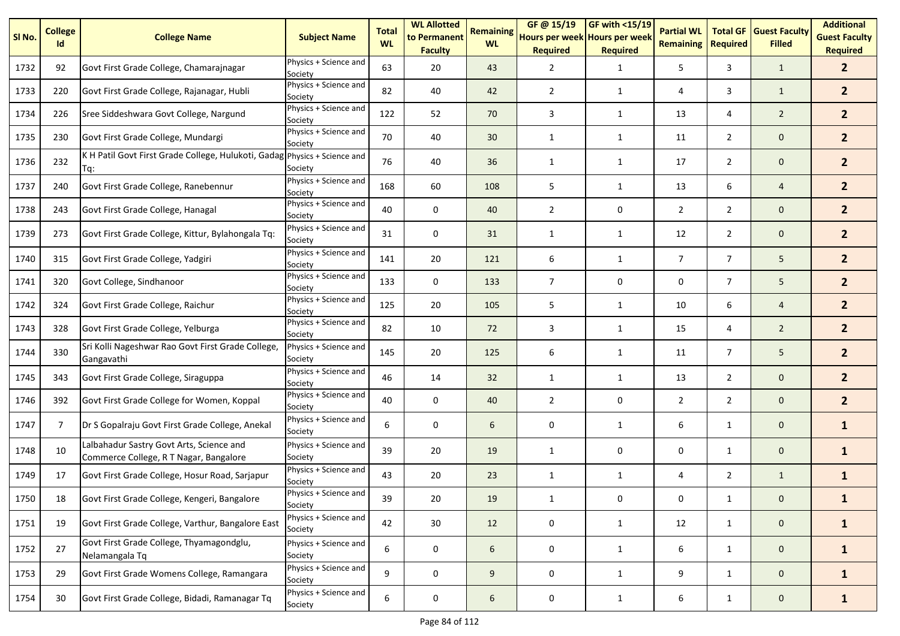| SI No. | <b>College</b><br>Id | <b>College Name</b>                                                                | <b>Subject Name</b>              | <b>Total</b><br><b>WL</b> | <b>WL Allotted</b><br>to Permanent<br><b>Faculty</b> | <b>Remaining</b><br><b>WL</b> | GF@ 15/19<br>Hours per week Hours per week<br><b>Required</b> | GF with <15/19<br><b>Required</b> | <b>Partial WL</b><br><b>Remaining</b> | <b>Total GF</b><br><b>Required</b> | <b>Guest Faculty</b><br><b>Filled</b> | <b>Additional</b><br><b>Guest Faculty</b><br><b>Required</b> |
|--------|----------------------|------------------------------------------------------------------------------------|----------------------------------|---------------------------|------------------------------------------------------|-------------------------------|---------------------------------------------------------------|-----------------------------------|---------------------------------------|------------------------------------|---------------------------------------|--------------------------------------------------------------|
| 1732   | 92                   | Govt First Grade College, Chamarajnagar                                            | Physics + Science and<br>Society | 63                        | 20                                                   | 43                            | 2                                                             | $\mathbf{1}$                      | 5                                     | 3                                  | $\mathbf{1}$                          | 2 <sup>1</sup>                                               |
| 1733   | 220                  | Govt First Grade College, Rajanagar, Hubli                                         | Physics + Science and<br>Society | 82                        | 40                                                   | 42                            | 2                                                             | $\mathbf{1}$                      | 4                                     | 3                                  | $\mathbf{1}$                          | 2 <sup>1</sup>                                               |
| 1734   | 226                  | Sree Siddeshwara Govt College, Nargund                                             | Physics + Science and<br>Society | 122                       | 52                                                   | 70                            | 3                                                             | 1                                 | 13                                    | 4                                  | $\overline{2}$                        | 2 <sup>1</sup>                                               |
| 1735   | 230                  | Govt First Grade College, Mundargi                                                 | Physics + Science and<br>Society | 70                        | 40                                                   | 30                            | 1                                                             | $\mathbf{1}$                      | 11                                    | $\overline{2}$                     | $\mathbf 0$                           | 2 <sup>1</sup>                                               |
| 1736   | 232                  | K H Patil Govt First Grade College, Hulukoti, Gadag Physics + Science and<br>Tq:   | Society                          | 76                        | 40                                                   | 36                            | 1                                                             | $\mathbf{1}$                      | 17                                    | $\overline{2}$                     | $\mathbf 0$                           | 2 <sup>2</sup>                                               |
| 1737   | 240                  | Govt First Grade College, Ranebennur                                               | Physics + Science and<br>Society | 168                       | 60                                                   | 108                           | 5                                                             | $\mathbf{1}$                      | 13                                    | 6                                  | 4                                     | 2 <sup>1</sup>                                               |
| 1738   | 243                  | Govt First Grade College, Hanagal                                                  | Physics + Science and<br>Society | 40                        | 0                                                    | 40                            | $\overline{2}$                                                | 0                                 | $\overline{2}$                        | $\overline{2}$                     | $\mathbf 0$                           | 2 <sup>1</sup>                                               |
| 1739   | 273                  | Govt First Grade College, Kittur, Bylahongala Tq:                                  | Physics + Science and<br>Society | 31                        | 0                                                    | 31                            | 1                                                             | $\mathbf{1}$                      | 12                                    | $\overline{2}$                     | $\mathbf 0$                           | 2 <sup>2</sup>                                               |
| 1740   | 315                  | Govt First Grade College, Yadgiri                                                  | Physics + Science and<br>Society | 141                       | 20                                                   | 121                           | 6                                                             | 1                                 | $\overline{7}$                        | $\overline{7}$                     | 5                                     | 2 <sup>1</sup>                                               |
| 1741   | 320                  | Govt College, Sindhanoor                                                           | Physics + Science and<br>Society | 133                       | 0                                                    | 133                           | 7                                                             | 0                                 | 0                                     | $\overline{7}$                     | 5                                     | 2 <sup>2</sup>                                               |
| 1742   | 324                  | Govt First Grade College, Raichur                                                  | Physics + Science and<br>Society | 125                       | 20                                                   | 105                           | 5                                                             | $\mathbf{1}$                      | 10                                    | 6                                  | $\overline{4}$                        | 2 <sup>1</sup>                                               |
| 1743   | 328                  | Govt First Grade College, Yelburga                                                 | Physics + Science and<br>Society | 82                        | 10                                                   | 72                            | 3                                                             | $\mathbf{1}$                      | 15                                    | 4                                  | $\overline{2}$                        | 2 <sup>1</sup>                                               |
| 1744   | 330                  | Sri Kolli Nageshwar Rao Govt First Grade College,<br>Gangavathi                    | Physics + Science and<br>Society | 145                       | 20                                                   | 125                           | 6                                                             | $\mathbf{1}$                      | 11                                    | $\overline{7}$                     | 5                                     | 2 <sup>1</sup>                                               |
| 1745   | 343                  | Govt First Grade College, Siraguppa                                                | Physics + Science and<br>Society | 46                        | 14                                                   | 32                            | $\mathbf{1}$                                                  | $\mathbf{1}$                      | 13                                    | $\overline{2}$                     | $\mathbf 0$                           | 2 <sup>2</sup>                                               |
| 1746   | 392                  | Govt First Grade College for Women, Koppal                                         | Physics + Science and<br>Society | 40                        | 0                                                    | 40                            | $\overline{2}$                                                | 0                                 | $\overline{2}$                        | $\overline{2}$                     | $\mathbf 0$                           | 2 <sup>1</sup>                                               |
| 1747   | 7                    | Dr S Gopalraju Govt First Grade College, Anekal                                    | Physics + Science and<br>Society | 6                         | 0                                                    | 6                             | 0                                                             | 1                                 | 6                                     | $\mathbf{1}$                       | $\mathbf 0$                           | $\mathbf{1}$                                                 |
| 1748   | 10                   | Lalbahadur Sastry Govt Arts, Science and<br>Commerce College, R T Nagar, Bangalore | Physics + Science and<br>Society | 39                        | 20                                                   | 19                            | 1                                                             | 0                                 | 0                                     | $\mathbf{1}$                       | $\mathbf 0$                           | $\mathbf{1}$                                                 |
| 1749   | 17                   | Govt First Grade College, Hosur Road, Sarjapur                                     | Physics + Science and<br>Society | 43                        | 20                                                   | 23                            | 1                                                             | $\mathbf{1}$                      | 4                                     | $\overline{2}$                     | $\mathbf{1}$                          | $\mathbf{1}$                                                 |
| 1750   | 18                   | Govt First Grade College, Kengeri, Bangalore                                       | Physics + Science and<br>Society | 39                        | $20\,$                                               | $19\,$                        | L,                                                            | 0                                 | 0                                     | $\mathbf{1}$                       | 0                                     | $\mathbf{1}$                                                 |
| 1751   | 19                   | Govt First Grade College, Varthur, Bangalore East                                  | Physics + Science and<br>Society | 42                        | 30 <sup>°</sup>                                      | 12                            | 0                                                             | $\mathbf{1}$                      | 12                                    | $\mathbf{1}$                       | $\mathbf{0}$                          | $\mathbf{1}$                                                 |
| 1752   | 27                   | Govt First Grade College, Thyamagondglu,<br>Nelamangala Tq                         | Physics + Science and<br>Society | 6                         | 0                                                    | 6                             | 0                                                             | $\mathbf{1}$                      | 6                                     | $\mathbf{1}$                       | $\mathbf{0}$                          | $\mathbf{1}$                                                 |
| 1753   | 29                   | Govt First Grade Womens College, Ramangara                                         | Physics + Science and<br>Society | 9                         | 0                                                    | 9                             | 0                                                             | $\mathbf{1}$                      | 9                                     | $\mathbf{1}$                       | $\mathbf 0$                           | $\mathbf{1}$                                                 |
| 1754   | 30                   | Govt First Grade College, Bidadi, Ramanagar Tq                                     | Physics + Science and<br>Society | 6                         | $\pmb{0}$                                            | 6                             | 0                                                             | $\mathbf{1}$                      | 6                                     | $\mathbf{1}$                       | $\mathbf{0}$                          | $\mathbf{1}$                                                 |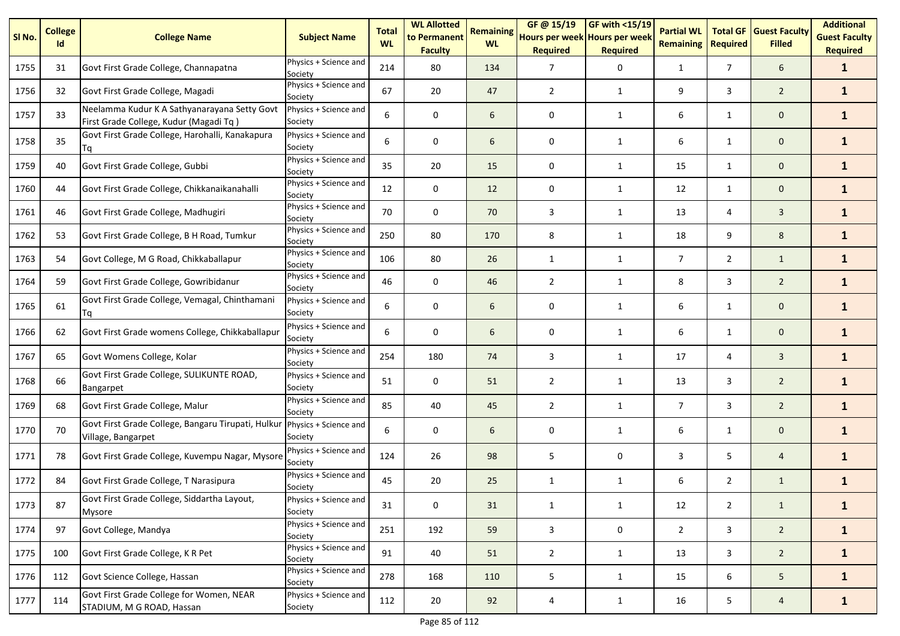| SI No. | <b>College</b><br>Id | <b>College Name</b>                                                                    | <b>Subject Name</b>              | <b>Total</b><br><b>WL</b> | <b>WL Allotted</b><br>to Permanent<br><b>Faculty</b> | <b>Remaining</b><br><b>WL</b> | GF@ 15/19<br>Hours per week Hours per week<br><b>Required</b> | <b>GF with &lt;15/19</b><br><b>Required</b> | <b>Partial WL</b><br><b>Remaining</b> | <b>Total GF</b><br><b>Required</b> | <b>Guest Faculty</b><br><b>Filled</b> | <b>Additional</b><br><b>Guest Faculty</b><br><b>Required</b> |
|--------|----------------------|----------------------------------------------------------------------------------------|----------------------------------|---------------------------|------------------------------------------------------|-------------------------------|---------------------------------------------------------------|---------------------------------------------|---------------------------------------|------------------------------------|---------------------------------------|--------------------------------------------------------------|
| 1755   | 31                   | Govt First Grade College, Channapatna                                                  | Physics + Science and<br>Society | 214                       | 80                                                   | 134                           | 7                                                             | 0                                           | $\mathbf{1}$                          | $\overline{7}$                     | 6                                     | $\mathbf{1}$                                                 |
| 1756   | 32                   | Govt First Grade College, Magadi                                                       | Physics + Science and<br>Society | 67                        | 20                                                   | 47                            | $\overline{2}$                                                | $\mathbf{1}$                                | 9                                     | 3                                  | $\overline{2}$                        | $\mathbf{1}$                                                 |
| 1757   | 33                   | Neelamma Kudur K A Sathyanarayana Setty Govt<br>First Grade College, Kudur (Magadi Tq) | Physics + Science and<br>Society | 6                         | 0                                                    | 6                             | 0                                                             | $\mathbf{1}$                                | 6                                     | $\mathbf{1}$                       | $\mathbf 0$                           | $\mathbf{1}$                                                 |
| 1758   | 35                   | Govt First Grade College, Harohalli, Kanakapura<br>Tq                                  | Physics + Science and<br>Society | 6                         | $\mathbf 0$                                          | 6                             | 0                                                             | $\mathbf{1}$                                | 6                                     | $\mathbf{1}$                       | $\mathbf 0$                           | $\mathbf{1}$                                                 |
| 1759   | 40                   | Govt First Grade College, Gubbi                                                        | Physics + Science and<br>Society | 35                        | 20                                                   | 15                            | $\mathbf 0$                                                   | 1                                           | 15                                    | $\mathbf{1}$                       | $\mathbf 0$                           | $\mathbf{1}$                                                 |
| 1760   | 44                   | Govt First Grade College, Chikkanaikanahalli                                           | Physics + Science and<br>Society | 12                        | 0                                                    | 12                            | 0                                                             | $\mathbf{1}$                                | 12                                    | $\mathbf{1}$                       | $\mathbf 0$                           | $\mathbf{1}$                                                 |
| 1761   | 46                   | Govt First Grade College, Madhugiri                                                    | Physics + Science and<br>Society | 70                        | 0                                                    | 70                            | 3                                                             | $\mathbf{1}$                                | 13                                    | 4                                  | $\mathbf{3}$                          | $\mathbf{1}$                                                 |
| 1762   | 53                   | Govt First Grade College, B H Road, Tumkur                                             | Physics + Science and<br>Society | 250                       | 80                                                   | 170                           | 8                                                             | $\mathbf{1}$                                | 18                                    | 9                                  | 8                                     | $\mathbf{1}$                                                 |
| 1763   | 54                   | Govt College, M G Road, Chikkaballapur                                                 | Physics + Science and<br>Society | 106                       | 80                                                   | 26                            | $\mathbf{1}$                                                  | $\mathbf{1}$                                | $\overline{7}$                        | $\overline{2}$                     | $\mathbf{1}$                          | $\mathbf{1}$                                                 |
| 1764   | 59                   | Govt First Grade College, Gowribidanur                                                 | Physics + Science and<br>Society | 46                        | 0                                                    | 46                            | $\overline{2}$                                                | $\mathbf{1}$                                | 8                                     | 3                                  | $\overline{2}$                        | $\mathbf{1}$                                                 |
| 1765   | 61                   | Govt First Grade College, Vemagal, Chinthamani<br>Tq                                   | Physics + Science and<br>Society | 6                         | $\mathbf 0$                                          | 6                             | 0                                                             | $\mathbf{1}$                                | 6                                     | $\mathbf{1}$                       | $\mathbf 0$                           | $\mathbf{1}$                                                 |
| 1766   | 62                   | Govt First Grade womens College, Chikkaballapur                                        | Physics + Science and<br>Society | 6                         | $\mathbf 0$                                          | 6                             | $\mathbf 0$                                                   | 1                                           | 6                                     | $\mathbf{1}$                       | $\mathbf 0$                           | $\mathbf{1}$                                                 |
| 1767   | 65                   | Govt Womens College, Kolar                                                             | Physics + Science and<br>Society | 254                       | 180                                                  | 74                            | 3                                                             | 1                                           | 17                                    | 4                                  | $\overline{3}$                        | $\mathbf{1}$                                                 |
| 1768   | 66                   | Govt First Grade College, SULIKUNTE ROAD,<br>Bangarpet                                 | Physics + Science and<br>Society | 51                        | 0                                                    | 51                            | 2                                                             | 1                                           | 13                                    | 3                                  | $\overline{2}$                        | $\mathbf{1}$                                                 |
| 1769   | 68                   | Govt First Grade College, Malur                                                        | Physics + Science and<br>Society | 85                        | 40                                                   | 45                            | 2                                                             | 1                                           | $\overline{7}$                        | 3                                  | $\overline{2}$                        | $\mathbf{1}$                                                 |
| 1770   | 70                   | Govt First Grade College, Bangaru Tirupati, Hulkur<br>Village, Bangarpet               | Physics + Science and<br>Society | 6                         | 0                                                    | 6                             | 0                                                             | 1                                           | 6                                     | $\mathbf{1}$                       | $\mathbf 0$                           | $\mathbf{1}$                                                 |
| 1771   | 78                   | Govt First Grade College, Kuvempu Nagar, Mysore                                        | Physics + Science and<br>Society | 124                       | 26                                                   | 98                            | 5                                                             | 0                                           | 3                                     | 5                                  | $\overline{4}$                        | $\mathbf{1}$                                                 |
| 1772   | 84                   | Govt First Grade College, T Narasipura                                                 | Physics + Science and<br>Society | 45                        | 20                                                   | 25                            | $\mathbf{1}$                                                  | $\mathbf{1}$                                | 6                                     | $\overline{2}$                     | $\mathbf{1}$                          | $\mathbf{1}$                                                 |
| 1773   | 87                   | Govt First Grade College, Siddartha Layout,<br>Mysore                                  | Physics + Science and<br>Society | 31                        | $\pmb{0}$                                            | 31                            | $\mathbf{1}$                                                  | $\mathbf{1}$                                | 12                                    | $\overline{2}$                     | $\mathbf{1}$                          | $\mathbf{1}$                                                 |
| 1774   | 97                   | Govt College, Mandya                                                                   | Physics + Science and<br>Society | 251                       | 192                                                  | 59                            | 3                                                             | 0                                           | $\overline{2}$                        | $\mathbf{3}$                       | $2^{\circ}$                           | $\mathbf{1}$                                                 |
| 1775   | 100                  | Govt First Grade College, K R Pet                                                      | Physics + Science and<br>Society | 91                        | 40                                                   | 51                            | $\overline{2}$                                                | 1                                           | 13                                    | 3                                  | $2^{\circ}$                           | $\mathbf{1}$                                                 |
| 1776   | 112                  | Govt Science College, Hassan                                                           | Physics + Science and<br>Society | 278                       | 168                                                  | 110                           | 5                                                             | $\mathbf{1}$                                | 15                                    | 6                                  | 5 <sub>5</sub>                        | $\mathbf{1}$                                                 |
| 1777   | 114                  | Govt First Grade College for Women, NEAR<br>STADIUM, M G ROAD, Hassan                  | Physics + Science and<br>Society | 112                       | 20                                                   | 92                            | 4                                                             | $\mathbf{1}$                                | 16                                    | 5 <sub>1</sub>                     | $\overline{4}$                        | $\mathbf{1}$                                                 |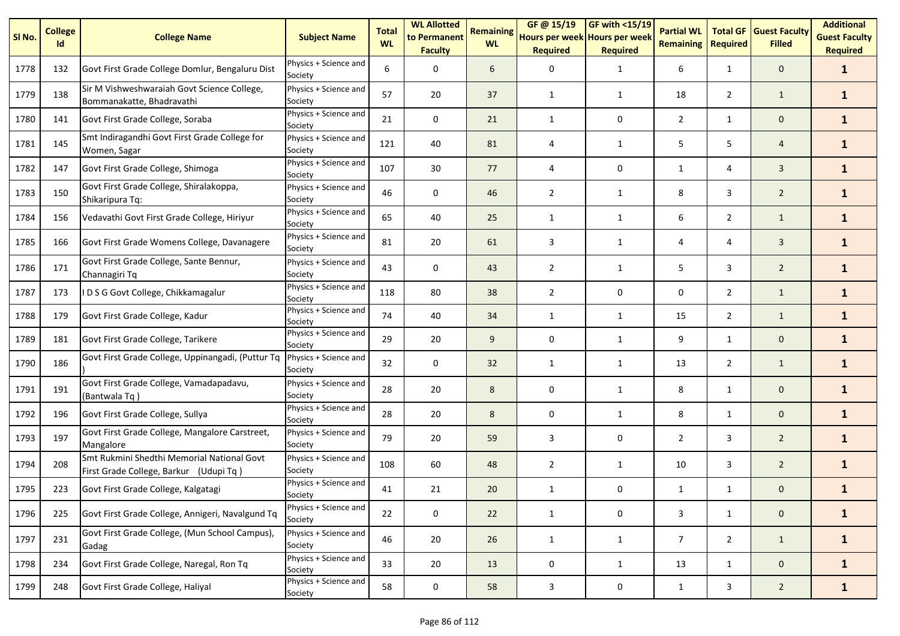| SI <sub>No.</sub> | <b>College</b><br>Id | <b>College Name</b>                                                                  | <b>Subject Name</b>              | <b>Total</b><br><b>WL</b> | <b>WL Allotted</b><br>to Permanent<br><b>Faculty</b> | <b>Remaining</b><br><b>WL</b> | GF @ 15/19<br>Hours per week Hours per week<br><b>Required</b> | GF with $<$ 15/19<br><b>Required</b> | <b>Partial WL</b><br><b>Remaining</b> | <b>Total GF</b><br><b>Required</b> | <b>Guest Faculty</b><br><b>Filled</b> | <b>Additional</b><br><b>Guest Faculty</b><br><b>Required</b> |
|-------------------|----------------------|--------------------------------------------------------------------------------------|----------------------------------|---------------------------|------------------------------------------------------|-------------------------------|----------------------------------------------------------------|--------------------------------------|---------------------------------------|------------------------------------|---------------------------------------|--------------------------------------------------------------|
| 1778              | 132                  | Govt First Grade College Domlur, Bengaluru Dist                                      | Physics + Science and<br>Society | 6                         | 0                                                    | 6                             | 0                                                              | 1                                    | 6                                     | $\mathbf{1}$                       | $\mathbf{0}$                          | $\mathbf{1}$                                                 |
| 1779              | 138                  | Sir M Vishweshwaraiah Govt Science College,<br>Bommanakatte, Bhadravathi             | Physics + Science and<br>Society | 57                        | 20                                                   | 37                            | $\mathbf{1}$                                                   | 1                                    | 18                                    | $\overline{2}$                     | $\mathbf{1}$                          | $\mathbf{1}$                                                 |
| 1780              | 141                  | Govt First Grade College, Soraba                                                     | Physics + Science and<br>Society | 21                        | 0                                                    | 21                            | $\mathbf{1}$                                                   | 0                                    | $\overline{2}$                        | $\mathbf{1}$                       | $\mathbf 0$                           | $\mathbf{1}$                                                 |
| 1781              | 145                  | Smt Indiragandhi Govt First Grade College for<br>Women, Sagar                        | Physics + Science and<br>Society | 121                       | 40                                                   | 81                            | 4                                                              | 1                                    | 5                                     | 5                                  | 4                                     | $\mathbf{1}$                                                 |
| 1782              | 147                  | Govt First Grade College, Shimoga                                                    | Physics + Science and<br>Society | 107                       | 30                                                   | 77                            | 4                                                              | 0                                    | 1                                     | 4                                  | $\overline{3}$                        | $\mathbf{1}$                                                 |
| 1783              | 150                  | Govt First Grade College, Shiralakoppa,<br>Shikaripura Tq:                           | Physics + Science and<br>Society | 46                        | 0                                                    | 46                            | $\overline{2}$                                                 | 1                                    | 8                                     | 3                                  | $\overline{2}$                        | $\mathbf{1}$                                                 |
| 1784              | 156                  | Vedavathi Govt First Grade College, Hiriyur                                          | Physics + Science and<br>Society | 65                        | 40                                                   | 25                            | 1                                                              | $\mathbf{1}$                         | 6                                     | $\overline{2}$                     | $\mathbf{1}$                          | $\mathbf{1}$                                                 |
| 1785              | 166                  | Govt First Grade Womens College, Davanagere                                          | Physics + Science and<br>Society | 81                        | 20                                                   | 61                            | 3                                                              | $\mathbf{1}$                         | 4                                     | 4                                  | $\overline{3}$                        | $\mathbf{1}$                                                 |
| 1786              | 171                  | Govt First Grade College, Sante Bennur,<br>Channagiri Tq                             | Physics + Science and<br>Society | 43                        | $\mathbf 0$                                          | 43                            | $\overline{2}$                                                 | 1                                    | 5                                     | 3                                  | $\overline{2}$                        | $\mathbf{1}$                                                 |
| 1787              | 173                  | IDSG Govt College, Chikkamagalur                                                     | Physics + Science and<br>Society | 118                       | 80                                                   | 38                            | $\overline{2}$                                                 | $\mathbf 0$                          | 0                                     | $\overline{2}$                     | $\mathbf{1}$                          | $\mathbf{1}$                                                 |
| 1788              | 179                  | Govt First Grade College, Kadur                                                      | Physics + Science and<br>Society | 74                        | 40                                                   | 34                            | 1                                                              | 1                                    | 15                                    | $\overline{2}$                     | $\mathbf{1}$                          | $\mathbf{1}$                                                 |
| 1789              | 181                  | Govt First Grade College, Tarikere                                                   | Physics + Science and<br>Society | 29                        | 20                                                   | 9                             | 0                                                              | 1                                    | 9                                     | $\mathbf{1}$                       | $\mathbf 0$                           | $\mathbf{1}$                                                 |
| 1790              | 186                  | Govt First Grade College, Uppinangadi, (Puttur Tq                                    | Physics + Science and<br>Society | 32                        | 0                                                    | 32                            | $\mathbf{1}$                                                   | $\mathbf{1}$                         | 13                                    | $\overline{2}$                     | $\mathbf{1}$                          | $\mathbf{1}$                                                 |
| 1791              | 191                  | Govt First Grade College, Vamadapadavu,<br>(Bantwala Tq)                             | Physics + Science and<br>Society | 28                        | 20                                                   | 8                             | 0                                                              | $\mathbf{1}$                         | 8                                     | $\mathbf{1}$                       | $\mathbf{0}$                          | $\mathbf{1}$                                                 |
| 1792              | 196                  | Govt First Grade College, Sullya                                                     | Physics + Science and<br>Society | 28                        | 20                                                   | 8                             | 0                                                              | $\mathbf{1}$                         | 8                                     | $\mathbf{1}$                       | $\mathbf{0}$                          | $\mathbf{1}$                                                 |
| 1793              | 197                  | Govt First Grade College, Mangalore Carstreet,<br>Mangalore                          | Physics + Science and<br>Society | 79                        | 20                                                   | 59                            | 3                                                              | 0                                    | 2                                     | 3                                  | $\overline{2}$                        | $\mathbf{1}$                                                 |
| 1794              | 208                  | Smt Rukmini Shedthi Memorial National Govt<br>First Grade College, Barkur (Udupi Tq) | Physics + Science and<br>Society | 108                       | 60                                                   | 48                            | $\overline{2}$                                                 | $\mathbf{1}$                         | 10                                    | 3                                  | $\overline{2}$                        | $\mathbf{1}$                                                 |
| 1795              | 223                  | Govt First Grade College, Kalgatagi                                                  | Physics + Science and<br>Society | 41                        | 21                                                   | 20                            | $\mathbf{1}$                                                   | 0                                    | $\mathbf{1}$                          | $\mathbf{1}$                       | $\mathbf 0$                           | 1                                                            |
| 1796              | 225                  | Govt First Grade College, Annigeri, Navalgund Tq                                     | Physics + Science and<br>Society | 22                        | $\mathbf 0$                                          | 22                            | $\mathbf{1}$                                                   | 0                                    | 3                                     | $\mathbf{1}$                       | $\mathbf 0$                           | $\mathbf{1}$                                                 |
| 1797              | 231                  | Govt First Grade College, (Mun School Campus),<br>Gadag                              | Physics + Science and<br>Society | 46                        | 20                                                   | 26                            | $\mathbf{1}$                                                   | $\mathbf{1}$                         | $\overline{7}$                        | $\overline{2}$                     | $\mathbf{1}$                          | $\mathbf{1}$                                                 |
| 1798              | 234                  | Govt First Grade College, Naregal, Ron Tq                                            | Physics + Science and<br>Society | 33                        | 20                                                   | 13                            | 0                                                              | $\mathbf{1}$                         | 13                                    | $\mathbf{1}$                       | $\mathbf 0$                           | $\mathbf{1}$                                                 |
| 1799              | 248                  | Govt First Grade College, Haliyal                                                    | Physics + Science and<br>Society | 58                        | $\mathbf 0$                                          | 58                            | 3                                                              | 0                                    | $\mathbf{1}$                          | $\mathbf{3}$                       | $\overline{2}$                        | $\mathbf{1}$                                                 |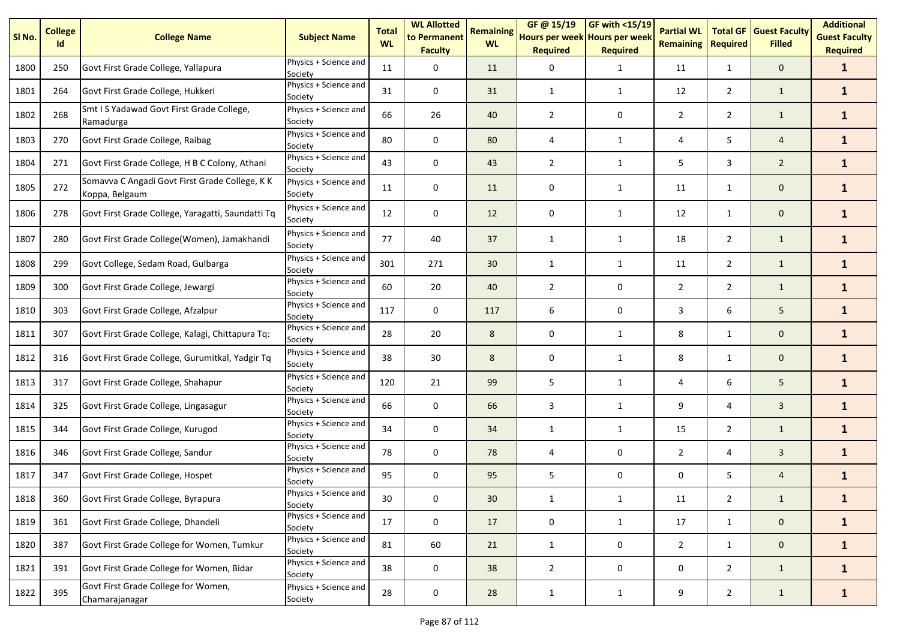| SI No. | <b>College</b><br>Id | <b>College Name</b>                                              | <b>Subject Name</b>              | <b>Total</b><br><b>WL</b> | <b>WL Allotted</b><br>to Permanent<br><b>Faculty</b> | <b>Remaining</b><br><b>WL</b> | GF@ 15/19<br>Hours per week Hours per week<br><b>Required</b> | <b>GF with &lt;15/19</b><br><b>Required</b> | <b>Partial WL</b><br><b>Remaining</b> | <b>Total GF</b><br><b>Required</b> | <b>Guest Faculty</b><br><b>Filled</b> | <b>Additional</b><br><b>Guest Faculty</b><br><b>Required</b> |
|--------|----------------------|------------------------------------------------------------------|----------------------------------|---------------------------|------------------------------------------------------|-------------------------------|---------------------------------------------------------------|---------------------------------------------|---------------------------------------|------------------------------------|---------------------------------------|--------------------------------------------------------------|
| 1800   | 250                  | Govt First Grade College, Yallapura                              | Physics + Science and<br>Society | 11                        | 0                                                    | 11                            | 0                                                             | $\mathbf{1}$                                | 11                                    | $\mathbf{1}$                       | $\mathbf 0$                           | $\mathbf{1}$                                                 |
| 1801   | 264                  | Govt First Grade College, Hukkeri                                | Physics + Science and<br>Society | 31                        | 0                                                    | 31                            | 1                                                             | 1                                           | 12                                    | $\overline{2}$                     | $\mathbf{1}$                          | $\mathbf{1}$                                                 |
| 1802   | 268                  | Smt I S Yadawad Govt First Grade College,<br>Ramadurga           | Physics + Science and<br>Society | 66                        | 26                                                   | 40                            | $\overline{2}$                                                | 0                                           | $\overline{2}$                        | $\overline{2}$                     | $\mathbf{1}$                          | $\mathbf{1}$                                                 |
| 1803   | 270                  | Govt First Grade College, Raibag                                 | Physics + Science and<br>Society | 80                        | 0                                                    | 80                            | 4                                                             | 1                                           | 4                                     | 5                                  | $\overline{4}$                        | $\mathbf{1}$                                                 |
| 1804   | 271                  | Govt First Grade College, H B C Colony, Athani                   | Physics + Science and<br>Society | 43                        | 0                                                    | 43                            | 2                                                             | 1                                           | 5                                     | 3                                  | $\overline{2}$                        | $\mathbf{1}$                                                 |
| 1805   | 272                  | Somavva C Angadi Govt First Grade College, K K<br>Koppa, Belgaum | Physics + Science and<br>Society | 11                        | 0                                                    | 11                            | 0                                                             | $\mathbf{1}$                                | 11                                    | $\mathbf{1}$                       | $\mathbf 0$                           | $\mathbf{1}$                                                 |
| 1806   | 278                  | Govt First Grade College, Yaragatti, Saundatti Tq                | Physics + Science and<br>Society | 12                        | 0                                                    | 12                            | 0                                                             | 1                                           | 12                                    | $\mathbf{1}$                       | $\mathbf 0$                           | $\mathbf{1}$                                                 |
| 1807   | 280                  | Govt First Grade College(Women), Jamakhandi                      | Physics + Science and<br>Society | 77                        | 40                                                   | 37                            | 1                                                             | 1                                           | 18                                    | $\overline{2}$                     | $\mathbf{1}$                          | $\mathbf{1}$                                                 |
| 1808   | 299                  | Govt College, Sedam Road, Gulbarga                               | Physics + Science and<br>Society | 301                       | 271                                                  | 30                            | $\mathbf{1}$                                                  | $\mathbf{1}$                                | 11                                    | $\overline{2}$                     | $\mathbf{1}$                          | $\mathbf{1}$                                                 |
| 1809   | 300                  | Govt First Grade College, Jewargi                                | Physics + Science and<br>Society | 60                        | 20                                                   | 40                            | $\overline{2}$                                                | 0                                           | $\overline{2}$                        | $\overline{2}$                     | $\mathbf{1}$                          | $\mathbf{1}$                                                 |
| 1810   | 303                  | Govt First Grade College, Afzalpur                               | Physics + Science and<br>Society | 117                       | 0                                                    | 117                           | 6                                                             | 0                                           | 3                                     | 6                                  | 5                                     | $\mathbf{1}$                                                 |
| 1811   | 307                  | Govt First Grade College, Kalagi, Chittapura Tq:                 | Physics + Science and<br>Society | 28                        | 20                                                   | 8                             | 0                                                             | $\mathbf{1}$                                | 8                                     | $\mathbf{1}$                       | $\mathbf 0$                           | $\mathbf{1}$                                                 |
| 1812   | 316                  | Govt First Grade College, Gurumitkal, Yadgir Tq                  | Physics + Science and<br>Society | 38                        | 30                                                   | 8                             | 0                                                             | 1                                           | 8                                     | $\mathbf{1}$                       | $\mathbf 0$                           | $\mathbf{1}$                                                 |
| 1813   | 317                  | Govt First Grade College, Shahapur                               | Physics + Science and<br>Society | 120                       | 21                                                   | 99                            | 5                                                             | $\mathbf{1}$                                | 4                                     | 6                                  | 5                                     | $\mathbf{1}$                                                 |
| 1814   | 325                  | Govt First Grade College, Lingasagur                             | Physics + Science and<br>Society | 66                        | 0                                                    | 66                            | 3                                                             | 1                                           | 9                                     | 4                                  | $\overline{3}$                        | $\mathbf{1}$                                                 |
| 1815   | 344                  | Govt First Grade College, Kurugod                                | Physics + Science and<br>Society | 34                        | 0                                                    | 34                            | 1                                                             | 1                                           | 15                                    | $\overline{2}$                     | $\mathbf{1}$                          | $\mathbf{1}$                                                 |
| 1816   | 346                  | Govt First Grade College, Sandur                                 | Physics + Science and<br>Society | 78                        | 0                                                    | 78                            | 4                                                             | 0                                           | $\overline{2}$                        | 4                                  | $\overline{3}$                        | $\mathbf{1}$                                                 |
| 1817   | 347                  | Govt First Grade College, Hospet                                 | Physics + Science and<br>Society | 95                        | 0                                                    | 95                            | 5                                                             | 0                                           | 0                                     | 5                                  | 4                                     | $\mathbf{1}$                                                 |
| 1818   | 360                  | Govt First Grade College, Byrapura                               | Physics + Science and<br>Society | 30                        | 0                                                    | $30\,$                        | 1                                                             | 1                                           | 11                                    | $\overline{2}$                     | $\mathbf{1}$                          | $\mathbf{1}$                                                 |
| 1819   | 361                  | Govt First Grade College, Dhandeli                               | Physics + Science and<br>Society | 17                        | 0                                                    | 17                            | 0                                                             | $\mathbf{1}$                                | 17                                    | $\mathbf{1}$                       | $\mathbf{0}$                          | $\mathbf{1}$                                                 |
| 1820   | 387                  | Govt First Grade College for Women, Tumkur                       | Physics + Science and<br>Society | 81                        | 60                                                   | 21                            | $\mathbf{1}$                                                  | 0                                           | $2^{\circ}$                           | $\mathbf{1}$                       | $\mathbf{0}$                          | $\mathbf{1}$                                                 |
| 1821   | 391                  | Govt First Grade College for Women, Bidar                        | Physics + Science and<br>Society | 38                        | $\mathsf{O}\xspace$                                  | 38                            | $\overline{2}$                                                | 0                                           | 0                                     | $\overline{2}$                     | $\mathbf{1}$                          | $\mathbf{1}$                                                 |
| 1822   | 395                  | Govt First Grade College for Women,<br>Chamarajanagar            | Physics + Science and<br>Society | 28                        | $\pmb{0}$                                            | 28                            | $\mathbf 1$                                                   | $\mathbf{1}$                                | 9                                     | $\overline{2}$                     | $\mathbf{1}$                          | $\mathbf{1}$                                                 |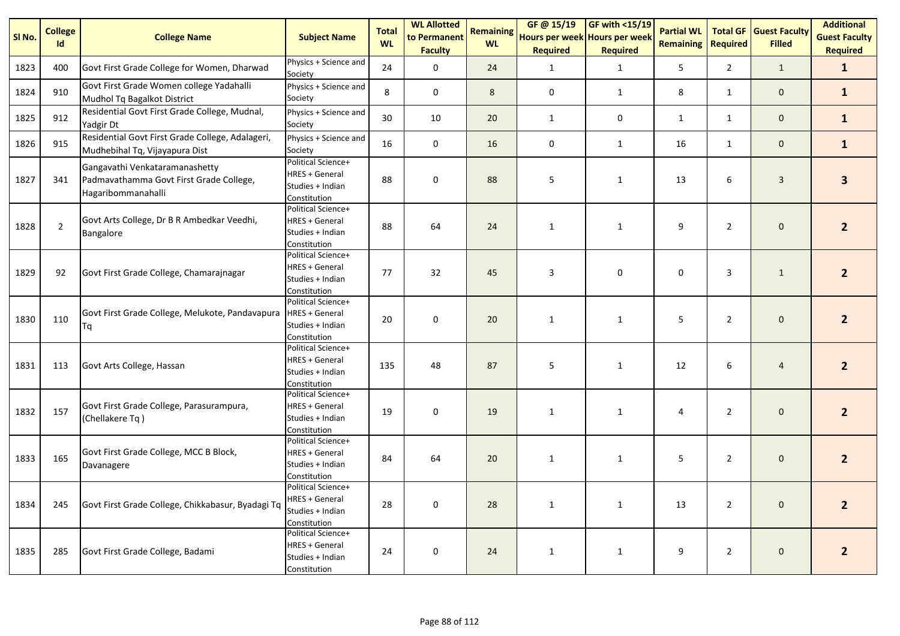| SI No. | <b>College</b><br>Id | <b>College Name</b>                                                                             | <b>Subject Name</b>                                                             | <b>Total</b><br><b>WL</b> | <b>WL Allotted</b><br>to Permanent<br><b>Faculty</b> | <b>Remaining</b><br><b>WL</b> | GF @ 15/19<br>Hours per week Hours per week<br><b>Required</b> | GF with <15/19<br><b>Required</b> | <b>Partial WL</b><br><b>Remaining</b> | <b>Total GF</b><br><b>Required</b> | <b>Guest Faculty</b><br><b>Filled</b> | <b>Additional</b><br><b>Guest Faculty</b><br><b>Required</b> |
|--------|----------------------|-------------------------------------------------------------------------------------------------|---------------------------------------------------------------------------------|---------------------------|------------------------------------------------------|-------------------------------|----------------------------------------------------------------|-----------------------------------|---------------------------------------|------------------------------------|---------------------------------------|--------------------------------------------------------------|
| 1823   | 400                  | Govt First Grade College for Women, Dharwad                                                     | Physics + Science and<br>Society                                                | 24                        | $\mathbf 0$                                          | 24                            | $\mathbf 1$                                                    | $\mathbf{1}$                      | 5 <sub>1</sub>                        | $\overline{2}$                     | $\mathbf{1}$                          | $\mathbf{1}$                                                 |
| 1824   | 910                  | Govt First Grade Women college Yadahalli<br>Mudhol Tq Bagalkot District                         | Physics + Science and<br>Society                                                | 8                         | $\mathbf 0$                                          | 8                             | $\pmb{0}$                                                      | 1                                 | 8                                     | $\mathbf{1}$                       | $\mathbf 0$                           | $\mathbf{1}$                                                 |
| 1825   | 912                  | Residential Govt First Grade College, Mudnal,<br>Yadgir Dt                                      | Physics + Science and<br>Society                                                | 30                        | 10                                                   | 20                            | $\mathbf 1$                                                    | $\mathsf 0$                       | $\mathbf{1}$                          | $\mathbf{1}$                       | $\mathbf 0$                           | $\mathbf{1}$                                                 |
| 1826   | 915                  | Residential Govt First Grade College, Adalageri,<br>Mudhebihal Tq, Vijayapura Dist              | Physics + Science and<br>Society                                                | 16                        | $\mathbf 0$                                          | 16                            | $\mathbf 0$                                                    | $\mathbf{1}$                      | 16                                    | $\mathbf{1}$                       | $\mathbf 0$                           | $\mathbf{1}$                                                 |
| 1827   | 341                  | Gangavathi Venkataramanashetty<br>Padmavathamma Govt First Grade College,<br>Hagaribommanahalli | Political Science+<br><b>HRES + General</b><br>Studies + Indian<br>Constitution | 88                        | $\pmb{0}$                                            | 88                            | 5                                                              | $\mathbf{1}$                      | 13                                    | 6                                  | $\mathbf{3}$                          | $\overline{\mathbf{3}}$                                      |
| 1828   | $\overline{2}$       | Govt Arts College, Dr B R Ambedkar Veedhi,<br>Bangalore                                         | Political Science+<br><b>HRES + General</b><br>Studies + Indian<br>Constitution | 88                        | 64                                                   | 24                            | $\mathbf{1}$                                                   | $\mathbf{1}$                      | 9                                     | $\overline{2}$                     | $\mathbf 0$                           | $\overline{2}$                                               |
| 1829   | 92                   | Govt First Grade College, Chamarajnagar                                                         | Political Science+<br><b>HRES + General</b><br>Studies + Indian<br>Constitution | 77                        | 32                                                   | 45                            | 3                                                              | 0                                 | $\mathbf 0$                           | 3                                  | $\mathbf{1}$                          | 2 <sup>1</sup>                                               |
| 1830   | 110                  | Govt First Grade College, Melukote, Pandavapura<br>Tq                                           | Political Science+<br><b>HRES + General</b><br>Studies + Indian<br>Constitution | 20                        | $\pmb{0}$                                            | 20                            | $\mathbf{1}$                                                   | $\mathbf{1}$                      | 5                                     | $\overline{2}$                     | $\mathbf 0$                           | 2 <sup>1</sup>                                               |
| 1831   | 113                  | Govt Arts College, Hassan                                                                       | Political Science+<br><b>HRES + General</b><br>Studies + Indian<br>Constitution | 135                       | 48                                                   | 87                            | 5                                                              | $\mathbf{1}$                      | 12                                    | 6                                  | $\overline{4}$                        | 2 <sup>1</sup>                                               |
| 1832   | 157                  | Govt First Grade College, Parasurampura,<br>(Chellakere Tq)                                     | Political Science+<br><b>HRES + General</b><br>Studies + Indian<br>Constitution | 19                        | $\mathbf 0$                                          | 19                            | $\mathbf{1}$                                                   | $\mathbf{1}$                      | 4                                     | $\overline{2}$                     | $\mathbf 0$                           | 2 <sup>1</sup>                                               |
| 1833   | 165                  | Govt First Grade College, MCC B Block,<br>Davanagere                                            | Political Science+<br><b>HRES + General</b><br>Studies + Indian<br>Constitution | 84                        | 64                                                   | 20                            | $\mathbf{1}$                                                   | $\mathbf{1}$                      | 5                                     | $\overline{2}$                     | $\mathbf 0$                           | $\overline{2}$                                               |
| 1834   | 245                  | Govt First Grade College, Chikkabasur, Byadagi Tq                                               | Political Science+<br><b>HRES + General</b><br>Studies + Indian<br>Constitution | 28                        | $\pmb{0}$                                            | 28                            | $\mathbf{1}$                                                   | $\mathbf{1}$                      | 13                                    | $\overline{2}$                     | $\mathbf 0$                           | 2 <sup>2</sup>                                               |
| 1835   | 285                  | Govt First Grade College, Badami                                                                | Political Science+<br><b>HRES + General</b><br>Studies + Indian<br>Constitution | 24                        | $\pmb{0}$                                            | 24                            | $\mathbf{1}$                                                   | $\mathbf{1}$                      | 9                                     | $\overline{2}$                     | $\mathsf{O}\xspace$                   | $\overline{2}$                                               |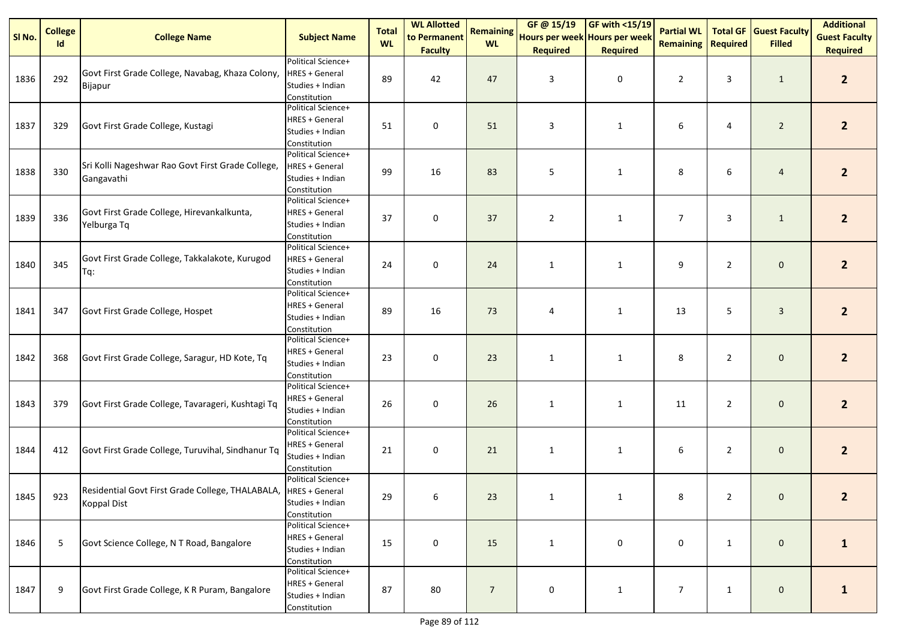| SI No. | <b>College</b><br>Id | <b>College Name</b>                                                                    | <b>Subject Name</b>                                                             | <b>Total</b><br><b>WL</b> | <b>WL Allotted</b><br>to Permanent | <b>Remaining</b><br><b>WL</b> | GF@ 15/19<br>Hours per week Hours per week | $GF with <15/19$ | <b>Partial WL</b><br><b>Remaining</b> | Required       | <b>Total GF Guest Faculty</b><br><b>Filled</b> | <b>Additional</b><br><b>Guest Faculty</b> |
|--------|----------------------|----------------------------------------------------------------------------------------|---------------------------------------------------------------------------------|---------------------------|------------------------------------|-------------------------------|--------------------------------------------|------------------|---------------------------------------|----------------|------------------------------------------------|-------------------------------------------|
|        |                      |                                                                                        |                                                                                 |                           | <b>Faculty</b>                     |                               | <b>Required</b>                            | <b>Required</b>  |                                       |                |                                                | <b>Required</b>                           |
| 1836   | 292                  | Govt First Grade College, Navabag, Khaza Colony,<br>Bijapur                            | Political Science+<br><b>HRES + General</b><br>Studies + Indian<br>Constitution | 89                        | 42                                 | 47                            | 3                                          | 0                | $\overline{2}$                        | 3              | $\mathbf{1}$                                   | $\overline{2}$                            |
| 1837   | 329                  | Govt First Grade College, Kustagi                                                      | Political Science+<br><b>HRES + General</b><br>Studies + Indian<br>Constitution | 51                        | $\mathbf 0$                        | 51                            | 3                                          | $\mathbf{1}$     | 6                                     | 4              | $\overline{2}$                                 | 2 <sup>2</sup>                            |
| 1838   | 330                  | Sri Kolli Nageshwar Rao Govt First Grade College,<br>Gangavathi                        | Political Science+<br><b>HRES + General</b><br>Studies + Indian<br>Constitution | 99                        | 16                                 | 83                            | 5                                          | $\mathbf{1}$     | 8                                     | 6              | $\overline{a}$                                 | 2 <sup>2</sup>                            |
| 1839   | 336                  | Govt First Grade College, Hirevankalkunta,<br>Yelburga Tq                              | Political Science+<br><b>HRES + General</b><br>Studies + Indian<br>Constitution | 37                        | 0                                  | 37                            | $\overline{2}$                             | $\mathbf{1}$     | $\overline{7}$                        | 3              | $\mathbf{1}$                                   | $\overline{2}$                            |
| 1840   | 345                  | Govt First Grade College, Takkalakote, Kurugod<br>Tq:                                  | Political Science+<br><b>HRES + General</b><br>Studies + Indian<br>Constitution | 24                        | 0                                  | 24                            | $\mathbf{1}$                               | $\mathbf{1}$     | 9                                     | $\overline{2}$ | $\mathbf 0$                                    | 2 <sup>1</sup>                            |
| 1841   | 347                  | Govt First Grade College, Hospet                                                       | Political Science+<br><b>HRES + General</b><br>Studies + Indian<br>Constitution | 89                        | 16                                 | 73                            | 4                                          | $\mathbf{1}$     | 13                                    | 5              | $\mathbf{3}$                                   | 2 <sup>2</sup>                            |
| 1842   | 368                  | Govt First Grade College, Saragur, HD Kote, Tq                                         | Political Science+<br><b>HRES + General</b><br>Studies + Indian<br>Constitution | 23                        | 0                                  | 23                            | $\mathbf{1}$                               | $\mathbf{1}$     | 8                                     | $\overline{2}$ | $\mathbf 0$                                    | $2^{\circ}$                               |
| 1843   | 379                  | Govt First Grade College, Tavarageri, Kushtagi Tq                                      | Political Science+<br><b>HRES + General</b><br>Studies + Indian<br>Constitution | 26                        | 0                                  | 26                            | $\mathbf{1}$                               | $\mathbf{1}$     | 11                                    | $\overline{2}$ | $\mathbf 0$                                    | $\overline{2}$                            |
| 1844   | 412                  | Govt First Grade College, Turuvihal, Sindhanur Tq                                      | Political Science+<br><b>HRES + General</b><br>Studies + Indian<br>Constitution | 21                        | 0                                  | 21                            | $\mathbf{1}$                               | $\mathbf{1}$     | 6                                     | $\overline{2}$ | $\mathbf 0$                                    | $\overline{2}$                            |
| 1845   | 923                  | Residential Govt First Grade College, THALABALA,  HRES + General<br><b>Koppal Dist</b> | Political Science+<br>Studies + Indian<br>Constitution                          | 29                        | 6                                  | 23                            |                                            |                  | 8                                     | $\overline{2}$ | $\mathbf{0}$                                   | 2                                         |
| 1846   | 5                    | Govt Science College, N T Road, Bangalore                                              | Political Science+<br><b>HRES + General</b><br>Studies + Indian<br>Constitution | 15                        | 0                                  | 15                            | $\mathbf{1}$                               | 0                | 0                                     | $\mathbf{1}$   | $\mathsf{O}\xspace$                            | $\mathbf{1}$                              |
| 1847   | 9                    | Govt First Grade College, K R Puram, Bangalore                                         | Political Science+<br><b>HRES + General</b><br>Studies + Indian<br>Constitution | 87                        | 80                                 | $\overline{7}$                | 0                                          | $\mathbf{1}$     | $\overline{7}$                        | $\mathbf{1}$   | $\mathsf{O}\xspace$                            | $\mathbf{1}$                              |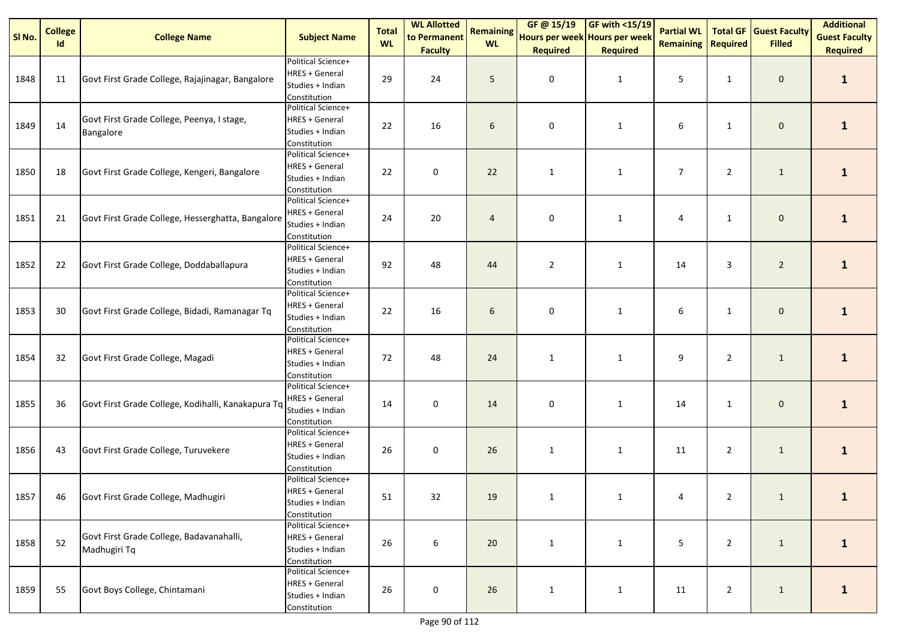| SI No. | <b>College</b><br>Id | <b>College Name</b>                                      | <b>Subject Name</b>                                                             | <b>Total</b><br><b>WL</b> | <b>WL Allotted</b><br>to Permanent | <b>Remaining</b><br><b>WL</b> | GF @ 15/19<br>Hours per week Hours per week | $GF with <15/19$ | <b>Partial WL</b><br><b>Remaining</b> | <b>Required</b> | <b>Total GF Guest Faculty</b><br><b>Filled</b> | <b>Additional</b><br><b>Guest Faculty</b> |
|--------|----------------------|----------------------------------------------------------|---------------------------------------------------------------------------------|---------------------------|------------------------------------|-------------------------------|---------------------------------------------|------------------|---------------------------------------|-----------------|------------------------------------------------|-------------------------------------------|
|        |                      |                                                          |                                                                                 |                           | <b>Faculty</b>                     |                               | <b>Required</b>                             | <b>Required</b>  |                                       |                 |                                                | <b>Required</b>                           |
| 1848   | 11                   | Govt First Grade College, Rajajinagar, Bangalore         | Political Science+<br><b>HRES + General</b><br>Studies + Indian<br>Constitution | 29                        | 24                                 | 5                             | 0                                           | $\mathbf{1}$     | 5                                     | 1               | $\mathbf 0$                                    | $\mathbf{1}$                              |
| 1849   | 14                   | Govt First Grade College, Peenya, I stage,<br>Bangalore  | Political Science+<br><b>HRES + General</b><br>Studies + Indian<br>Constitution | 22                        | 16                                 | 6                             | 0                                           | $\mathbf{1}$     | 6                                     | $\mathbf{1}$    | $\mathbf 0$                                    | $\mathbf{1}$                              |
| 1850   | 18                   | Govt First Grade College, Kengeri, Bangalore             | Political Science+<br><b>HRES + General</b><br>Studies + Indian<br>Constitution | 22                        | $\pmb{0}$                          | 22                            | $\mathbf{1}$                                | $\mathbf{1}$     | $\overline{7}$                        | $\overline{2}$  | $\mathbf{1}$                                   | $\mathbf{1}$                              |
| 1851   | 21                   | Govt First Grade College, Hesserghatta, Bangalore        | Political Science+<br><b>HRES + General</b><br>Studies + Indian<br>Constitution | 24                        | 20                                 | $\overline{4}$                | 0                                           | $\mathbf{1}$     | 4                                     | 1               | $\mathbf 0$                                    | $\mathbf{1}$                              |
| 1852   | 22                   | Govt First Grade College, Doddaballapura                 | Political Science+<br><b>HRES + General</b><br>Studies + Indian<br>Constitution | 92                        | 48                                 | 44                            | $\overline{2}$                              | $\mathbf{1}$     | 14                                    | 3               | $\overline{2}$                                 | $\mathbf{1}$                              |
| 1853   | 30                   | Govt First Grade College, Bidadi, Ramanagar Tq           | Political Science+<br><b>HRES + General</b><br>Studies + Indian<br>Constitution | 22                        | 16                                 | 6                             | 0                                           | $\mathbf{1}$     | 6                                     | $\mathbf{1}$    | $\pmb{0}$                                      | $\mathbf{1}$                              |
| 1854   | 32                   | Govt First Grade College, Magadi                         | Political Science+<br><b>HRES + General</b><br>Studies + Indian<br>Constitution | 72                        | 48                                 | 24                            | $\mathbf{1}$                                | $\mathbf{1}$     | 9                                     | $\overline{2}$  | $\mathbf{1}$                                   | $\mathbf{1}$                              |
| 1855   | 36                   | Govt First Grade College, Kodihalli, Kanakapura Tq       | Political Science+<br><b>HRES + General</b><br>Studies + Indian<br>Constitution | 14                        | $\pmb{0}$                          | 14                            | 0                                           | $\mathbf{1}$     | 14                                    | $\mathbf{1}$    | $\mathbf 0$                                    | $\mathbf{1}$                              |
| 1856   | 43                   | Govt First Grade College, Turuvekere                     | Political Science+<br><b>HRES + General</b><br>Studies + Indian<br>Constitution | 26                        | $\pmb{0}$                          | 26                            | $\mathbf{1}$                                | $\mathbf{1}$     | 11                                    | $\overline{2}$  | $\mathbf{1}$                                   | $\mathbf{1}$                              |
| 1857   | 46                   | Govt First Grade College, Madhugiri                      | Political Science+<br><b>HRES + General</b><br>Studies + Indian<br>Constitution | 51                        | 32                                 | 19                            | 1                                           |                  | 4                                     | $\overline{2}$  | 1                                              |                                           |
| 1858   | 52                   | Govt First Grade College, Badavanahalli,<br>Madhugiri Tq | Political Science+<br><b>HRES + General</b><br>Studies + Indian<br>Constitution | 26                        | $\boldsymbol{6}$                   | 20                            | $\mathbf{1}$                                | $\mathbf{1}$     | 5                                     | $\overline{2}$  | $\mathbf{1}$                                   | $\mathbf{1}$                              |
| 1859   | 55                   | Govt Boys College, Chintamani                            | Political Science+<br><b>HRES + General</b><br>Studies + Indian<br>Constitution | 26                        | $\mathbf 0$                        | 26                            | $\mathbf{1}$                                | $\mathbf{1}$     | 11                                    | $\overline{2}$  | $\mathbf{1}$                                   | $\mathbf{1}$                              |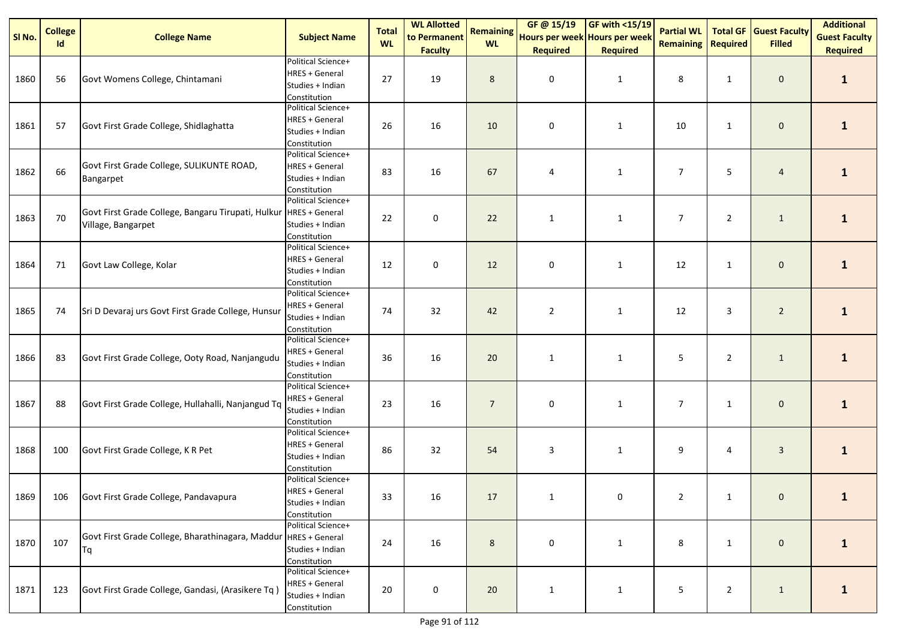| SI No. | <b>College</b><br><b>Id</b> | <b>College Name</b>                                                      | <b>Subject Name</b>                                                             | <b>Total</b><br><b>WL</b> | <b>WL Allotted</b><br>to Permanent | <b>Remaining</b><br><b>WL</b> | GF @ 15/19<br>Hours per week Hours per week | $\sqrt{\frac{1}{19}}$ | <b>Partial WL</b><br><b>Remaining</b> | <b>Required</b> | <b>Total GF Guest Faculty</b><br><b>Filled</b> | <b>Additional</b><br><b>Guest Faculty</b> |
|--------|-----------------------------|--------------------------------------------------------------------------|---------------------------------------------------------------------------------|---------------------------|------------------------------------|-------------------------------|---------------------------------------------|-----------------------|---------------------------------------|-----------------|------------------------------------------------|-------------------------------------------|
|        |                             |                                                                          |                                                                                 |                           | <b>Faculty</b>                     |                               | <b>Required</b>                             | <b>Required</b>       |                                       |                 |                                                | <b>Required</b>                           |
| 1860   | 56                          | Govt Womens College, Chintamani                                          | Political Science+<br><b>HRES + General</b><br>Studies + Indian<br>Constitution | 27                        | 19                                 | 8                             | 0                                           | $\mathbf{1}$          | 8                                     | $\mathbf{1}$    | $\mathbf 0$                                    | $\mathbf{1}$                              |
| 1861   | 57                          | Govt First Grade College, Shidlaghatta                                   | Political Science+<br>HRES + General<br>Studies + Indian<br>Constitution        | 26                        | 16                                 | 10                            | 0                                           | $\mathbf{1}$          | 10                                    | $\mathbf{1}$    | $\mathbf 0$                                    | $\mathbf{1}$                              |
| 1862   | 66                          | Govt First Grade College, SULIKUNTE ROAD,<br>Bangarpet                   | Political Science+<br>HRES + General<br>Studies + Indian<br>Constitution        | 83                        | 16                                 | 67                            | 4                                           | $\mathbf{1}$          | $\overline{7}$                        | 5               | $\overline{4}$                                 | $\mathbf{1}$                              |
| 1863   | 70                          | Govt First Grade College, Bangaru Tirupati, Hulkur<br>Village, Bangarpet | Political Science+<br><b>HRES + General</b><br>Studies + Indian<br>Constitution | 22                        | 0                                  | 22                            | $\mathbf{1}$                                | $\mathbf{1}$          | $\overline{7}$                        | $\overline{2}$  | $\mathbf{1}$                                   | $\mathbf{1}$                              |
| 1864   | 71                          | Govt Law College, Kolar                                                  | Political Science+<br><b>HRES + General</b><br>Studies + Indian<br>Constitution | 12                        | $\pmb{0}$                          | 12                            | 0                                           | $\mathbf{1}$          | 12                                    | $\mathbf{1}$    | $\mathbf 0$                                    | $\mathbf{1}$                              |
| 1865   | 74                          | Sri D Devaraj urs Govt First Grade College, Hunsur                       | Political Science+<br>HRES + General<br>Studies + Indian<br>Constitution        | 74                        | 32                                 | 42                            | $\overline{2}$                              | $\mathbf{1}$          | 12                                    | 3               | $\overline{2}$                                 | $\mathbf{1}$                              |
| 1866   | 83                          | Govt First Grade College, Ooty Road, Nanjangudu                          | Political Science+<br><b>HRES + General</b><br>Studies + Indian<br>Constitution | 36                        | 16                                 | 20                            | $\mathbf{1}$                                | $\mathbf{1}$          | 5                                     | $\overline{2}$  | $\mathbf{1}$                                   | $\mathbf{1}$                              |
| 1867   | 88                          | Govt First Grade College, Hullahalli, Nanjangud Tq                       | Political Science+<br><b>HRES + General</b><br>Studies + Indian<br>Constitution | 23                        | 16                                 | $\overline{7}$                | 0                                           | $\mathbf{1}$          | $\overline{7}$                        | $\mathbf{1}$    | $\mathbf 0$                                    | $\mathbf{1}$                              |
| 1868   | 100                         | Govt First Grade College, K R Pet                                        | Political Science+<br>HRES + General<br>Studies + Indian<br>Constitution        | 86                        | 32                                 | 54                            | 3                                           | $\mathbf{1}$          | 9                                     | 4               | $\mathbf{3}$                                   | $\mathbf{1}$                              |
| 1869   |                             | 106 Govt First Grade College, Pandavapura                                | Political Science+<br><b>HRES + General</b><br>Studies + Indian<br>Constitution | 33                        | 16                                 | 17                            |                                             | $\Omega$              | 2                                     | 1               | $\overline{0}$                                 |                                           |
| 1870   | 107                         | Govt First Grade College, Bharathinagara, Maddur HRES + General<br>Tq    | Political Science+<br>Studies + Indian<br>Constitution                          | 24                        | 16                                 | 8                             | 0                                           | $\mathbf{1}$          | 8                                     | $\mathbf{1}$    | $\mathbf 0$                                    | $\mathbf{1}$                              |
| 1871   | 123                         | Govt First Grade College, Gandasi, (Arasikere Tq)                        | Political Science+<br>HRES + General<br>Studies + Indian<br>Constitution        | 20                        | 0                                  | 20                            | $\mathbf{1}$                                | $\mathbf{1}$          | 5                                     | $\overline{2}$  | $\mathbf{1}$                                   | $\mathbf{1}$                              |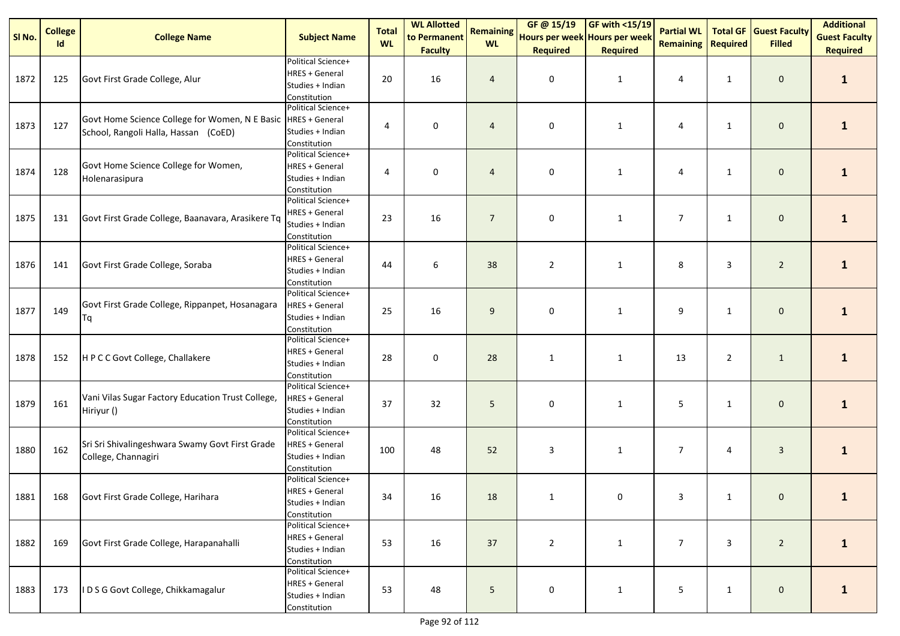| SI No. | <b>College</b> | <b>College Name</b>                                                                                   | <b>Subject Name</b>                                                             | <b>Total</b> | <b>WL Allotted</b><br>to Permanent | <b>Remaining</b> | GF @ 15/19<br>Hours per week Hours per week | $\sqrt{\frac{1}{19}}$ | <b>Partial WL</b> |                 | <b>Total GF Guest Faculty</b> | <b>Additional</b><br><b>Guest Faculty</b> |
|--------|----------------|-------------------------------------------------------------------------------------------------------|---------------------------------------------------------------------------------|--------------|------------------------------------|------------------|---------------------------------------------|-----------------------|-------------------|-----------------|-------------------------------|-------------------------------------------|
|        | <b>Id</b>      |                                                                                                       |                                                                                 | <b>WL</b>    | <b>Faculty</b>                     | <b>WL</b>        | <b>Required</b>                             | <b>Required</b>       | <b>Remaining</b>  | <b>Required</b> | <b>Filled</b>                 | <b>Required</b>                           |
| 1872   | 125            | Govt First Grade College, Alur                                                                        | Political Science+<br><b>HRES + General</b><br>Studies + Indian<br>Constitution | 20           | 16                                 | $\overline{4}$   | 0                                           | $\mathbf{1}$          | 4                 | $\mathbf{1}$    | $\mathbf 0$                   | $\mathbf{1}$                              |
| 1873   | 127            | Govt Home Science College for Women, N E Basic HRES + General<br>School, Rangoli Halla, Hassan (CoED) | Political Science+<br>Studies + Indian<br>Constitution                          | 4            | 0                                  | $\overline{4}$   | 0                                           | $\mathbf{1}$          | 4                 | $\mathbf{1}$    | $\mathbf 0$                   | $\mathbf{1}$                              |
| 1874   | 128            | Govt Home Science College for Women,<br>Holenarasipura                                                | Political Science+<br><b>HRES + General</b><br>Studies + Indian<br>Constitution | 4            | $\pmb{0}$                          | $\overline{4}$   | $\pmb{0}$                                   | $\mathbf{1}$          | 4                 | $\mathbf{1}$    | $\mathbf 0$                   | $\mathbf{1}$                              |
| 1875   | 131            | Govt First Grade College, Baanavara, Arasikere Tq                                                     | Political Science+<br><b>HRES + General</b><br>Studies + Indian<br>Constitution | 23           | 16                                 | $\overline{7}$   | $\mathbf 0$                                 | $\mathbf{1}$          | $\overline{7}$    | 1               | $\mathbf 0$                   | $\mathbf{1}$                              |
| 1876   | 141            | Govt First Grade College, Soraba                                                                      | Political Science+<br><b>HRES + General</b><br>Studies + Indian<br>Constitution | 44           | 6                                  | 38               | $\overline{2}$                              | $\mathbf{1}$          | 8                 | 3               | $\overline{2}$                | $\mathbf{1}$                              |
| 1877   | 149            | Govt First Grade College, Rippanpet, Hosanagara<br>Tq                                                 | Political Science+<br><b>HRES + General</b><br>Studies + Indian<br>Constitution | 25           | 16                                 | 9                | 0                                           | $\mathbf{1}$          | 9                 | $\mathbf{1}$    | $\mathbf 0$                   | $\mathbf{1}$                              |
| 1878   | 152            | H P C C Govt College, Challakere                                                                      | Political Science+<br>HRES + General<br>Studies + Indian<br>Constitution        | 28           | 0                                  | 28               | $\mathbf{1}$                                | $\mathbf{1}$          | 13                | $\overline{2}$  | $\mathbf{1}$                  | $\mathbf{1}$                              |
| 1879   | 161            | Vani Vilas Sugar Factory Education Trust College,<br>Hiriyur ()                                       | Political Science+<br><b>HRES + General</b><br>Studies + Indian<br>Constitution | 37           | 32                                 | 5                | 0                                           | $\mathbf{1}$          | 5                 | 1               | $\mathbf 0$                   | $\mathbf{1}$                              |
| 1880   | 162            | Sri Sri Shivalingeshwara Swamy Govt First Grade<br>College, Channagiri                                | Political Science+<br><b>HRES + General</b><br>Studies + Indian<br>Constitution | 100          | 48                                 | 52               | 3                                           | $\mathbf{1}$          | $\overline{7}$    | 4               | $\mathbf{3}$                  | $\mathbf{1}$                              |
| 1881   |                | 168 Govt First Grade College, Harihara                                                                | Political Science+<br><b>HRES + General</b><br>Studies + Indian<br>Constitution | 34           | 16                                 | 18               |                                             | $\Omega$              | 3                 | 1               | $\overline{0}$                |                                           |
| 1882   | 169            | Govt First Grade College, Harapanahalli                                                               | Political Science+<br>HRES + General<br>Studies + Indian<br>Constitution        | 53           | 16                                 | 37               | $\overline{2}$                              | $\mathbf{1}$          | $\overline{7}$    | 3               | $\overline{2}$                | $\mathbf{1}$                              |
| 1883   | 173            | I D S G Govt College, Chikkamagalur                                                                   | Political Science+<br>HRES + General<br>Studies + Indian<br>Constitution        | 53           | 48                                 | 5                | 0                                           | $\mathbf{1}$          | 5                 | $\mathbf{1}$    | $\mathbf 0$                   | $\mathbf{1}$                              |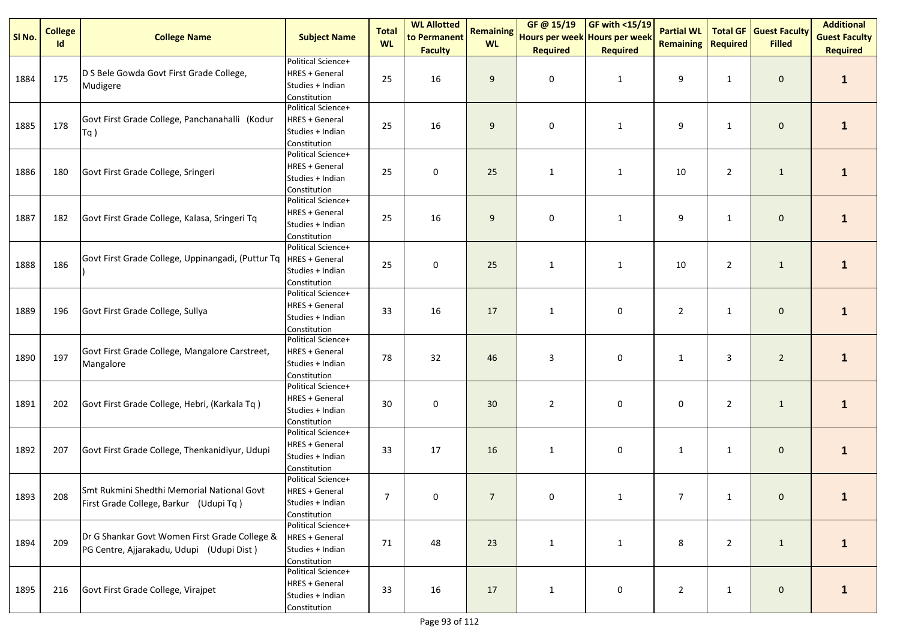| SI No. | <b>College</b><br><b>Id</b> | <b>College Name</b>                                                                        | <b>Subject Name</b>                                                             | <b>Total</b><br><b>WL</b> | <b>WL Allotted</b><br>to Permanent | <b>Remaining</b><br><b>WL</b> | GF @ 15/19<br>Hours per week Hours per week | $\sqrt{\frac{1000 \text{ F}}{1000}}$ | <b>Partial WL</b><br><b>Remaining</b> | <b>Required</b> | <b>Total GF Guest Faculty</b><br><b>Filled</b> | <b>Additional</b><br><b>Guest Faculty</b> |
|--------|-----------------------------|--------------------------------------------------------------------------------------------|---------------------------------------------------------------------------------|---------------------------|------------------------------------|-------------------------------|---------------------------------------------|--------------------------------------|---------------------------------------|-----------------|------------------------------------------------|-------------------------------------------|
|        |                             |                                                                                            |                                                                                 |                           | <b>Faculty</b>                     |                               | <b>Required</b>                             | <b>Required</b>                      |                                       |                 |                                                | <b>Required</b>                           |
| 1884   | 175                         | D S Bele Gowda Govt First Grade College,<br>Mudigere                                       | Political Science+<br><b>HRES + General</b><br>Studies + Indian<br>Constitution | 25                        | 16                                 | 9                             | $\mathbf 0$                                 | $\mathbf{1}$                         | 9                                     | $\mathbf{1}$    | $\mathbf 0$                                    | $\mathbf{1}$                              |
| 1885   | 178                         | Govt First Grade College, Panchanahalli (Kodur<br>Tq)                                      | Political Science+<br><b>HRES + General</b><br>Studies + Indian<br>Constitution | 25                        | 16                                 | 9                             | 0                                           | $\mathbf{1}$                         | 9                                     | $\mathbf{1}$    | $\mathbf 0$                                    | $\mathbf{1}$                              |
| 1886   | 180                         | Govt First Grade College, Sringeri                                                         | Political Science+<br><b>HRES + General</b><br>Studies + Indian<br>Constitution | 25                        | $\pmb{0}$                          | 25                            | $\mathbf{1}$                                | $\mathbf{1}$                         | 10                                    | $\overline{2}$  | $\mathbf{1}$                                   | $\mathbf{1}$                              |
| 1887   | 182                         | Govt First Grade College, Kalasa, Sringeri Tq                                              | Political Science+<br><b>HRES + General</b><br>Studies + Indian<br>Constitution | 25                        | 16                                 | 9                             | $\mathbf 0$                                 | $\mathbf{1}$                         | 9                                     | 1               | $\mathbf 0$                                    | $\mathbf{1}$                              |
| 1888   | 186                         | Govt First Grade College, Uppinangadi, (Puttur Tq                                          | Political Science+<br><b>HRES + General</b><br>Studies + Indian<br>Constitution | 25                        | 0                                  | 25                            | $\mathbf{1}$                                | $\mathbf{1}$                         | 10                                    | $\overline{2}$  | $\mathbf 1$                                    | $\mathbf{1}$                              |
| 1889   | 196                         | Govt First Grade College, Sullya                                                           | Political Science+<br>HRES + General<br>Studies + Indian<br>Constitution        | 33                        | 16                                 | 17                            | $\mathbf{1}$                                | 0                                    | $\overline{2}$                        | $\mathbf{1}$    | $\pmb{0}$                                      | $\mathbf{1}$                              |
| 1890   | 197                         | Govt First Grade College, Mangalore Carstreet,<br>Mangalore                                | Political Science+<br>HRES + General<br>Studies + Indian<br>Constitution        | 78                        | 32                                 | 46                            | 3                                           | 0                                    | $\mathbf{1}$                          | 3               | $\overline{2}$                                 | $\mathbf{1}$                              |
| 1891   | 202                         | Govt First Grade College, Hebri, (Karkala Tq)                                              | Political Science+<br><b>HRES + General</b><br>Studies + Indian<br>Constitution | 30                        | 0                                  | 30                            | $\overline{2}$                              | 0                                    | 0                                     | $\overline{2}$  | $\mathbf{1}$                                   | $\mathbf{1}$                              |
| 1892   | 207                         | Govt First Grade College, Thenkanidiyur, Udupi                                             | Political Science+<br><b>HRES + General</b><br>Studies + Indian<br>Constitution | 33                        | 17                                 | 16                            | $\mathbf{1}$                                | 0                                    | $\mathbf{1}$                          | $\mathbf{1}$    | $\mathbf 0$                                    | $\mathbf{1}$                              |
| 1893   | 208                         | Smt Rukmini Shedthi Memorial National Govt<br>First Grade College, Barkur (Udupi Tq)       | Political Science+<br><b>HRES + General</b><br>Studies + Indian<br>Constitution | $\overline{7}$            | 0                                  | $\overline{7}$                | $\mathbf{0}$                                |                                      | $\overline{7}$                        | 1               | $\mathbf{0}$                                   |                                           |
| 1894   | 209                         | Dr G Shankar Govt Women First Grade College &<br>PG Centre, Ajjarakadu, Udupi (Udupi Dist) | Political Science+<br><b>HRES + General</b><br>Studies + Indian<br>Constitution | 71                        | 48                                 | 23                            | $\mathbf{1}$                                | $\mathbf{1}$                         | 8                                     | $\overline{2}$  | $\mathbf{1}$                                   | $\mathbf{1}$                              |
| 1895   | 216                         | Govt First Grade College, Virajpet                                                         | Political Science+<br>HRES + General<br>Studies + Indian<br>Constitution        | 33                        | 16                                 | 17                            | $\mathbf{1}$                                | 0                                    | $\overline{2}$                        | $\mathbf{1}$    | $\mathbf 0$                                    | $\mathbf{1}$                              |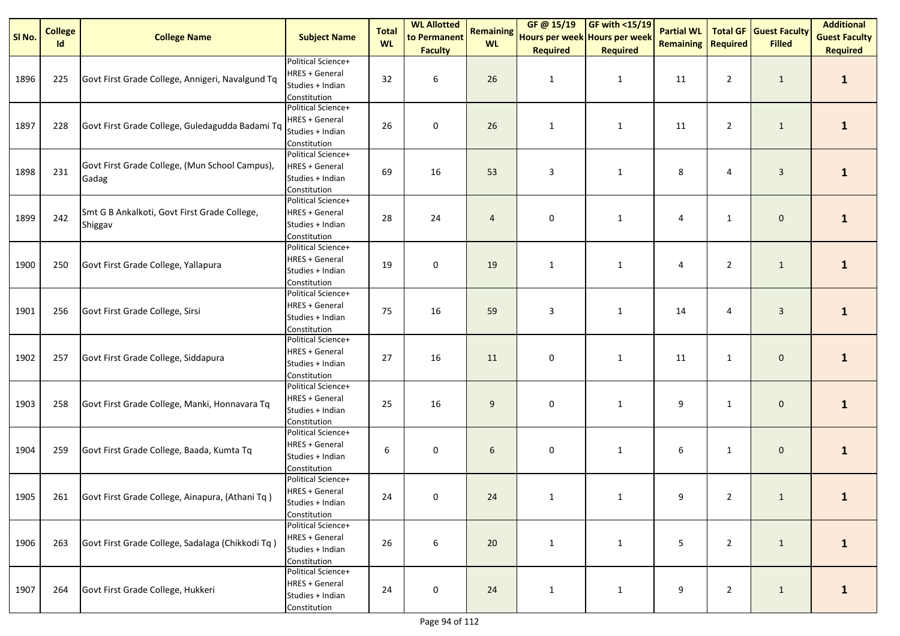| SI No. | <b>College</b><br>Id | <b>College Name</b>                                     | <b>Subject Name</b>                                                             | <b>Total</b><br><b>WL</b> | <b>WL Allotted</b><br>to Permanent | <b>Remaining</b><br><b>WL</b> | GF@ 15/19<br>Hours per week Hours per week | $GF with <15/19$ | <b>Partial WL</b><br><b>Remaining</b> | Required       | <b>Total GF Guest Faculty</b><br><b>Filled</b> | <b>Additional</b><br><b>Guest Faculty</b> |
|--------|----------------------|---------------------------------------------------------|---------------------------------------------------------------------------------|---------------------------|------------------------------------|-------------------------------|--------------------------------------------|------------------|---------------------------------------|----------------|------------------------------------------------|-------------------------------------------|
|        |                      |                                                         |                                                                                 |                           | <b>Faculty</b>                     |                               | <b>Required</b>                            | <b>Required</b>  |                                       |                |                                                | <b>Required</b>                           |
| 1896   | 225                  | Govt First Grade College, Annigeri, Navalgund Tq        | Political Science+<br><b>HRES + General</b><br>Studies + Indian<br>Constitution | 32                        | 6                                  | 26                            | $\mathbf{1}$                               | $\mathbf{1}$     | 11                                    | $\overline{2}$ | $\mathbf{1}$                                   | $\mathbf{1}$                              |
| 1897   | 228                  | Govt First Grade College, Guledagudda Badami Tq         | Political Science+<br><b>HRES + General</b><br>Studies + Indian<br>Constitution | 26                        | 0                                  | 26                            | $\mathbf{1}$                               | $\mathbf{1}$     | 11                                    | $\overline{2}$ | $\mathbf{1}$                                   | $\mathbf{1}$                              |
| 1898   | 231                  | Govt First Grade College, (Mun School Campus),<br>Gadag | Political Science+<br><b>HRES + General</b><br>Studies + Indian<br>Constitution | 69                        | 16                                 | 53                            | 3                                          | $\mathbf{1}$     | 8                                     | 4              | $\mathbf{3}$                                   | $\mathbf{1}$                              |
| 1899   | 242                  | Smt G B Ankalkoti, Govt First Grade College,<br>Shiggav | Political Science+<br><b>HRES + General</b><br>Studies + Indian<br>Constitution | 28                        | 24                                 | $\overline{4}$                | $\mathbf 0$                                | $\mathbf{1}$     | 4                                     | $\mathbf{1}$   | $\mathbf 0$                                    | $\mathbf{1}$                              |
| 1900   | 250                  | Govt First Grade College, Yallapura                     | Political Science+<br><b>HRES + General</b><br>Studies + Indian<br>Constitution | 19                        | 0                                  | 19                            | $\mathbf{1}$                               | $\mathbf{1}$     | 4                                     | $\overline{2}$ | $\mathbf{1}$                                   | $\mathbf{1}$                              |
| 1901   | 256                  | Govt First Grade College, Sirsi                         | Political Science+<br><b>HRES + General</b><br>Studies + Indian<br>Constitution | 75                        | 16                                 | 59                            | 3                                          | $\mathbf{1}$     | 14                                    | 4              | $\mathbf{3}$                                   | $\mathbf{1}$                              |
| 1902   | 257                  | Govt First Grade College, Siddapura                     | Political Science+<br><b>HRES + General</b><br>Studies + Indian<br>Constitution | 27                        | 16                                 | 11                            | 0                                          | $\mathbf{1}$     | 11                                    | $\mathbf{1}$   | $\mathbf 0$                                    | $\mathbf{1}$                              |
| 1903   | 258                  | Govt First Grade College, Manki, Honnavara Tq           | Political Science+<br><b>HRES + General</b><br>Studies + Indian<br>Constitution | 25                        | 16                                 | 9                             | 0                                          | $\mathbf{1}$     | 9                                     | $\mathbf{1}$   | $\mathbf 0$                                    | $\mathbf{1}$                              |
| 1904   | 259                  | Govt First Grade College, Baada, Kumta Tq               | Political Science+<br><b>HRES + General</b><br>Studies + Indian<br>Constitution | 6                         | 0                                  | 6                             | $\pmb{0}$                                  | $\mathbf{1}$     | 6                                     | $\mathbf{1}$   | $\mathbf 0$                                    | $\mathbf{1}$                              |
| 1905   |                      | 261 Govt First Grade College, Ainapura, (Athani Tq)     | Political Science+<br><b>HRES + General</b><br>Studies + Indian<br>Constitution | 24                        | 0                                  | 24                            |                                            |                  | 9                                     | $\overline{2}$ | $\mathbf{1}$                                   |                                           |
| 1906   | 263                  | Govt First Grade College, Sadalaga (Chikkodi Tq)        | Political Science+<br><b>HRES + General</b><br>Studies + Indian<br>Constitution | 26                        | $\boldsymbol{6}$                   | 20                            | $\mathbf{1}$                               | $\mathbf{1}$     | 5                                     | $\overline{2}$ | $\mathbf{1}$                                   | $\mathbf{1}$                              |
| 1907   | 264                  | Govt First Grade College, Hukkeri                       | Political Science+<br><b>HRES + General</b><br>Studies + Indian<br>Constitution | 24                        | $\pmb{0}$                          | 24                            | $\mathbf{1}$                               | $\mathbf{1}$     | 9                                     | $\overline{2}$ | $\mathbf{1}$                                   | $\mathbf{1}$                              |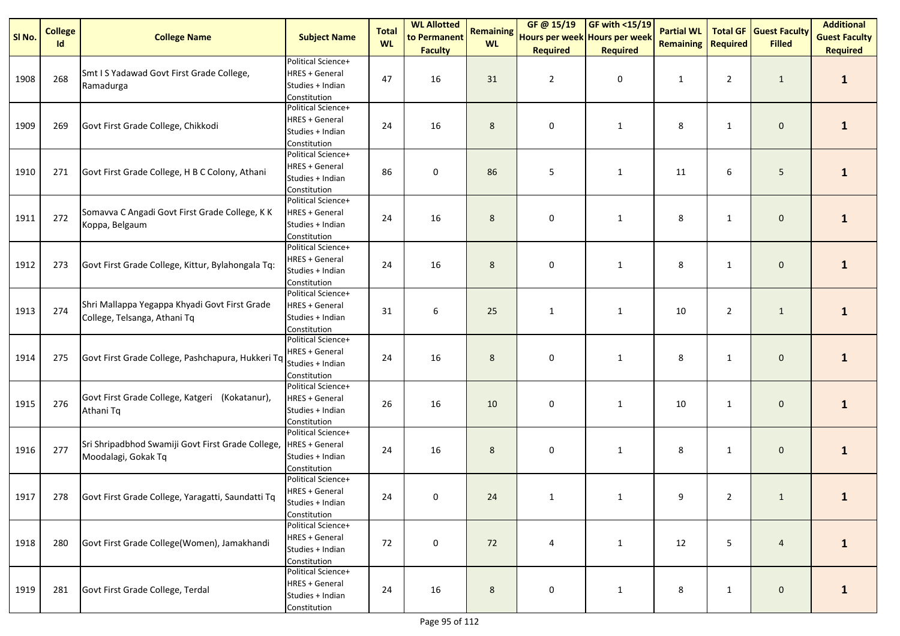| SI No. | <b>College</b><br><b>Id</b> | <b>College Name</b>                                                           | <b>Subject Name</b>                                                             | <b>Total</b><br><b>WL</b> | <b>WL Allotted</b><br>to Permanent | <b>Remaining</b><br><b>WL</b> | GF @ 15/19<br>Hours per week Hours per week | $\sqrt{\frac{9F \text{ with } 15/19}$ | <b>Partial WL</b><br><b>Remaining</b> | <b>Required</b> | <b>Total GF Guest Faculty</b><br><b>Filled</b> | <b>Additional</b><br><b>Guest Faculty</b> |
|--------|-----------------------------|-------------------------------------------------------------------------------|---------------------------------------------------------------------------------|---------------------------|------------------------------------|-------------------------------|---------------------------------------------|---------------------------------------|---------------------------------------|-----------------|------------------------------------------------|-------------------------------------------|
|        |                             |                                                                               |                                                                                 |                           | <b>Faculty</b>                     |                               | <b>Required</b>                             | <b>Required</b>                       |                                       |                 |                                                | <b>Required</b>                           |
| 1908   | 268                         | Smt I S Yadawad Govt First Grade College,<br>Ramadurga                        | Political Science+<br><b>HRES + General</b><br>Studies + Indian<br>Constitution | 47                        | 16                                 | 31                            | $\overline{2}$                              | $\pmb{0}$                             | $\mathbf{1}$                          | $\overline{2}$  | $\mathbf{1}$                                   | $\mathbf{1}$                              |
| 1909   | 269                         | Govt First Grade College, Chikkodi                                            | Political Science+<br><b>HRES + General</b><br>Studies + Indian<br>Constitution | 24                        | 16                                 | 8                             | 0                                           | $\mathbf{1}$                          | 8                                     | $\mathbf{1}$    | $\mathbf 0$                                    | $\mathbf{1}$                              |
| 1910   | 271                         | Govt First Grade College, H B C Colony, Athani                                | Political Science+<br><b>HRES + General</b><br>Studies + Indian<br>Constitution | 86                        | $\pmb{0}$                          | 86                            | 5                                           | $\mathbf{1}$                          | 11                                    | 6               | 5                                              | $\mathbf{1}$                              |
| 1911   | 272                         | Somavva C Angadi Govt First Grade College, K K<br>Koppa, Belgaum              | Political Science+<br><b>HRES + General</b><br>Studies + Indian<br>Constitution | 24                        | 16                                 | 8                             | $\mathbf 0$                                 | $\mathbf{1}$                          | 8                                     | 1               | $\mathbf 0$                                    | $\mathbf{1}$                              |
| 1912   | 273                         | Govt First Grade College, Kittur, Bylahongala Tq:                             | Political Science+<br><b>HRES + General</b><br>Studies + Indian<br>Constitution | 24                        | 16                                 | 8                             | 0                                           | $\mathbf{1}$                          | 8                                     | $\mathbf{1}$    | $\mathbf 0$                                    | $\mathbf{1}$                              |
| 1913   | 274                         | Shri Mallappa Yegappa Khyadi Govt First Grade<br>College, Telsanga, Athani Tq | Political Science+<br><b>HRES + General</b><br>Studies + Indian<br>Constitution | 31                        | 6                                  | 25                            | $\mathbf{1}$                                | $\mathbf{1}$                          | 10                                    | $\overline{2}$  | $\mathbf{1}$                                   | $\mathbf{1}$                              |
| 1914   | 275                         | Govt First Grade College, Pashchapura, Hukkeri Tq                             | Political Science+<br><b>HRES + General</b><br>Studies + Indian<br>Constitution | 24                        | 16                                 | 8                             | $\mathbf 0$                                 | $\mathbf{1}$                          | 8                                     | $\mathbf{1}$    | $\mathbf 0$                                    | $\mathbf{1}$                              |
| 1915   | 276                         | Govt First Grade College, Katgeri (Kokatanur),<br>Athani Tq                   | Political Science+<br><b>HRES + General</b><br>Studies + Indian<br>Constitution | 26                        | 16                                 | 10                            | 0                                           | $\mathbf{1}$                          | 10                                    | $\mathbf{1}$    | $\mathbf 0$                                    | $\mathbf{1}$                              |
| 1916   | 277                         | Sri Shripadbhod Swamiji Govt First Grade College,<br>Moodalagi, Gokak Tq      | Political Science+<br><b>HRES + General</b><br>Studies + Indian<br>Constitution | 24                        | 16                                 | 8                             | $\pmb{0}$                                   | $\mathbf{1}$                          | 8                                     | $\mathbf{1}$    | $\mathbf{0}$                                   | $\mathbf{1}$                              |
| 1917   |                             | 278 Govt First Grade College, Yaragatti, Saundatti Tq                         | Political Science+<br><b>HRES + General</b><br>Studies + Indian<br>Constitution | 24                        | 0                                  | 24                            |                                             |                                       | 9                                     | $\overline{2}$  | $\mathbf{1}$                                   |                                           |
| 1918   | 280                         | Govt First Grade College(Women), Jamakhandi                                   | Political Science+<br><b>HRES + General</b><br>Studies + Indian<br>Constitution | 72                        | 0                                  | 72                            | 4                                           | $\mathbf{1}$                          | 12                                    | 5               | $\overline{4}$                                 | $\mathbf{1}$                              |
| 1919   | 281                         | Govt First Grade College, Terdal                                              | Political Science+<br><b>HRES + General</b><br>Studies + Indian<br>Constitution | 24                        | 16                                 | 8                             | 0                                           | $\mathbf{1}$                          | 8                                     | $\mathbf{1}$    | $\mathbf{0}$                                   | $\mathbf{1}$                              |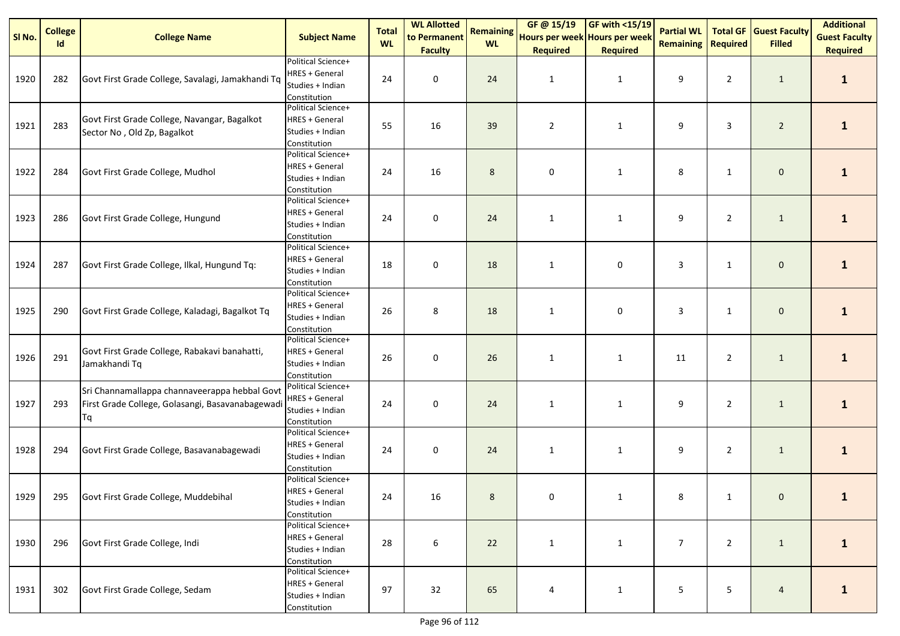| SI No. | <b>College</b><br>Id | <b>College Name</b>                                                                                     | <b>Subject Name</b>                                                             | <b>Total</b><br><b>WL</b> | <b>WL Allotted</b><br>to Permanent | <b>Remaining</b><br><b>WL</b> | GF@ 15/19<br>Hours per week Hours per week | $GF with <15/19$ | <b>Partial WL</b><br><b>Remaining</b> | Required       | <b>Total GF Guest Faculty</b><br><b>Filled</b> | <b>Additional</b><br><b>Guest Faculty</b> |
|--------|----------------------|---------------------------------------------------------------------------------------------------------|---------------------------------------------------------------------------------|---------------------------|------------------------------------|-------------------------------|--------------------------------------------|------------------|---------------------------------------|----------------|------------------------------------------------|-------------------------------------------|
|        |                      |                                                                                                         |                                                                                 |                           | <b>Faculty</b>                     |                               | <b>Required</b>                            | <b>Required</b>  |                                       |                |                                                | <b>Required</b>                           |
| 1920   | 282                  | Govt First Grade College, Savalagi, Jamakhandi Tq                                                       | Political Science+<br><b>HRES + General</b><br>Studies + Indian<br>Constitution | 24                        | 0                                  | 24                            | $\mathbf{1}$                               | $\mathbf{1}$     | 9                                     | $\overline{2}$ | $\mathbf{1}$                                   | $\mathbf{1}$                              |
| 1921   | 283                  | Govt First Grade College, Navangar, Bagalkot<br>Sector No, Old Zp, Bagalkot                             | Political Science+<br><b>HRES + General</b><br>Studies + Indian<br>Constitution | 55                        | 16                                 | 39                            | $\overline{2}$                             | $\mathbf{1}$     | 9                                     | 3              | $\overline{2}$                                 | $\mathbf{1}$                              |
| 1922   | 284                  | Govt First Grade College, Mudhol                                                                        | Political Science+<br><b>HRES + General</b><br>Studies + Indian<br>Constitution | 24                        | 16                                 | 8                             | 0                                          | $\mathbf{1}$     | 8                                     | $\mathbf{1}$   | $\mathbf 0$                                    | $\mathbf{1}$                              |
| 1923   | 286                  | Govt First Grade College, Hungund                                                                       | Political Science+<br><b>HRES + General</b><br>Studies + Indian<br>Constitution | 24                        | 0                                  | 24                            | $\mathbf{1}$                               | $\mathbf{1}$     | 9                                     | $\overline{2}$ | $\mathbf{1}$                                   | $\mathbf{1}$                              |
| 1924   | 287                  | Govt First Grade College, Ilkal, Hungund Tq:                                                            | Political Science+<br><b>HRES + General</b><br>Studies + Indian<br>Constitution | 18                        | 0                                  | 18                            | $\mathbf{1}$                               | 0                | 3                                     | $\mathbf{1}$   | $\mathbf 0$                                    | $\mathbf{1}$                              |
| 1925   | 290                  | Govt First Grade College, Kaladagi, Bagalkot Tq                                                         | Political Science+<br><b>HRES + General</b><br>Studies + Indian<br>Constitution | 26                        | 8                                  | 18                            | $\mathbf{1}$                               | 0                | 3                                     | $\mathbf{1}$   | $\mathbf 0$                                    | $\mathbf{1}$                              |
| 1926   | 291                  | Govt First Grade College, Rabakavi banahatti,<br>Jamakhandi Tq                                          | Political Science+<br><b>HRES + General</b><br>Studies + Indian<br>Constitution | 26                        | $\mathbf 0$                        | 26                            | $\mathbf{1}$                               | $\mathbf{1}$     | 11                                    | $\overline{2}$ | $\mathbf{1}$                                   | $\mathbf{1}$                              |
| 1927   | 293                  | Sri Channamallappa channaveerappa hebbal Govt<br>First Grade College, Golasangi, Basavanabagewadi<br>Τq | Political Science+<br><b>HRES + General</b><br>Studies + Indian<br>Constitution | 24                        | 0                                  | 24                            | $\mathbf{1}$                               | $\mathbf{1}$     | 9                                     | $\overline{2}$ | $\mathbf{1}$                                   | $\mathbf{1}$                              |
| 1928   | 294                  | Govt First Grade College, Basavanabagewadi                                                              | Political Science+<br><b>HRES + General</b><br>Studies + Indian<br>Constitution | 24                        | 0                                  | 24                            | $\mathbf{1}$                               | $\mathbf{1}$     | 9                                     | $\overline{2}$ | $\mathbf{1}$                                   | $\mathbf{1}$                              |
| 1929   |                      | 295 Govt First Grade College, Muddebihal                                                                | Political Science+<br><b>HRES + General</b><br>Studies + Indian<br>Constitution | 24                        | 16                                 | 8                             | 0                                          |                  | 8                                     | $\mathbf{1}$   | $\mathbf{0}$                                   |                                           |
| 1930   | 296                  | Govt First Grade College, Indi                                                                          | Political Science+<br><b>HRES + General</b><br>Studies + Indian<br>Constitution | 28                        | $\boldsymbol{6}$                   | 22                            | $\mathbf{1}$                               | $\mathbf{1}$     | $\overline{7}$                        | $\overline{2}$ | $\mathbf{1}$                                   | $\mathbf{1}$                              |
| 1931   | 302                  | Govt First Grade College, Sedam                                                                         | Political Science+<br><b>HRES + General</b><br>Studies + Indian<br>Constitution | 97                        | 32                                 | 65                            | 4                                          | $\mathbf{1}$     | 5                                     | 5              | $\overline{4}$                                 | $\mathbf{1}$                              |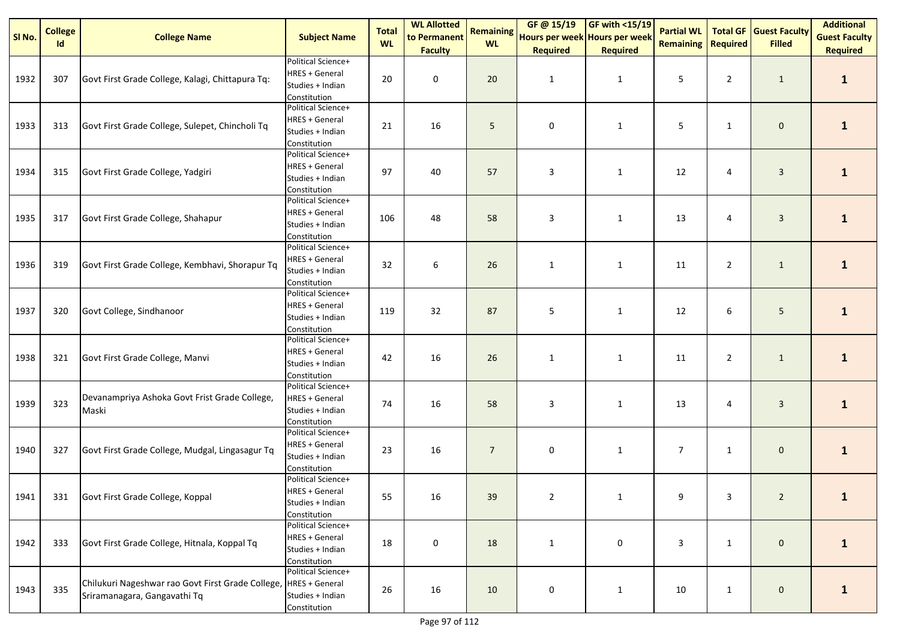| SI No. | <b>College</b><br>Id | <b>College Name</b>                                                               | <b>Subject Name</b>                                                             | <b>Total</b><br><b>WL</b> | <b>WL Allotted</b><br>to Permanent | <b>Remaining</b><br><b>WL</b> | GF @ 15/19<br>Hours per week Hours per week | GF with $<$ 15/19    | <b>Partial WL</b><br><b>Remaining</b> | <b>Total GF</b><br><b>Required</b> | <b>Guest Faculty</b><br><b>Filled</b> | <b>Additional</b><br><b>Guest Faculty</b> |
|--------|----------------------|-----------------------------------------------------------------------------------|---------------------------------------------------------------------------------|---------------------------|------------------------------------|-------------------------------|---------------------------------------------|----------------------|---------------------------------------|------------------------------------|---------------------------------------|-------------------------------------------|
| 1932   | 307                  | Govt First Grade College, Kalagi, Chittapura Tq:                                  | Political Science+<br><b>HRES + General</b><br>Studies + Indian<br>Constitution | 20                        | <b>Faculty</b><br>$\pmb{0}$        | 20                            | <b>Required</b><br>$\mathbf{1}$             | <b>Required</b><br>1 | 5                                     | $\overline{2}$                     | $\mathbf{1}$                          | <b>Required</b><br>$\mathbf{1}$           |
| 1933   | 313                  | Govt First Grade College, Sulepet, Chincholi Tq                                   | Political Science+<br><b>HRES + General</b><br>Studies + Indian<br>Constitution | 21                        | 16                                 | 5                             | $\mathbf 0$                                 | $\mathbf{1}$         | 5                                     | $\mathbf{1}$                       | $\mathbf 0$                           | $\mathbf{1}$                              |
| 1934   | 315                  | Govt First Grade College, Yadgiri                                                 | Political Science+<br><b>HRES + General</b><br>Studies + Indian<br>Constitution | 97                        | 40                                 | 57                            | 3                                           | $\mathbf{1}$         | 12                                    | 4                                  | $\mathbf{3}$                          | $\mathbf{1}$                              |
| 1935   | 317                  | Govt First Grade College, Shahapur                                                | Political Science+<br><b>HRES + General</b><br>Studies + Indian<br>Constitution | 106                       | 48                                 | 58                            | 3                                           | $\mathbf{1}$         | 13                                    | 4                                  | $\mathbf{3}$                          | $\mathbf{1}$                              |
| 1936   | 319                  | Govt First Grade College, Kembhavi, Shorapur Tq                                   | Political Science+<br><b>HRES + General</b><br>Studies + Indian<br>Constitution | 32                        | 6                                  | 26                            | $\mathbf{1}$                                | $\mathbf{1}$         | 11                                    | $\overline{2}$                     | $\mathbf{1}$                          | $\mathbf{1}$                              |
| 1937   | 320                  | Govt College, Sindhanoor                                                          | Political Science+<br><b>HRES + General</b><br>Studies + Indian<br>Constitution | 119                       | 32                                 | 87                            | 5                                           | $\mathbf{1}$         | 12                                    | 6                                  | 5 <sub>5</sub>                        | $\mathbf{1}$                              |
| 1938   | 321                  | Govt First Grade College, Manvi                                                   | Political Science+<br><b>HRES + General</b><br>Studies + Indian<br>Constitution | 42                        | 16                                 | 26                            | $\mathbf{1}$                                | $\mathbf{1}$         | 11                                    | $\overline{2}$                     | $\mathbf{1}$                          | $\mathbf{1}$                              |
| 1939   | 323                  | Devanampriya Ashoka Govt Frist Grade College,<br>Maski                            | Political Science+<br><b>HRES + General</b><br>Studies + Indian<br>Constitution | 74                        | 16                                 | 58                            | 3                                           | $\mathbf{1}$         | 13                                    | 4                                  | $\mathbf{3}$                          | $\mathbf{1}$                              |
| 1940   | 327                  | Govt First Grade College, Mudgal, Lingasagur Tq                                   | Political Science+<br><b>HRES + General</b><br>Studies + Indian<br>Constitution | 23                        | 16                                 | $\overline{7}$                | 0                                           | $\mathbf{1}$         | $\overline{7}$                        | $\mathbf{1}$                       | $\mathbf 0$                           | $\mathbf{1}$                              |
| 1941   | 331                  | Govt First Grade College, Koppal                                                  | Political Science+<br><b>HRES + General</b><br>Studies + Indian<br>Constitution | 55                        | 16                                 | 39                            | $\overline{2}$                              |                      | 9                                     | 3                                  | $\overline{2}$                        |                                           |
| 1942   | 333                  | Govt First Grade College, Hitnala, Koppal Tq                                      | Political Science+<br><b>HRES + General</b><br>Studies + Indian<br>Constitution | 18                        | $\mathsf{O}\xspace$                | 18                            | $\mathbf{1}$                                | 0                    | 3                                     | $\mathbf{1}$                       | $\mathbf 0$                           | $\mathbf{1}$                              |
| 1943   | 335                  | Chilukuri Nageshwar rao Govt First Grade College,<br>Sriramanagara, Gangavathi Tq | Political Science+<br><b>HRES + General</b><br>Studies + Indian<br>Constitution | 26                        | 16                                 | 10                            | 0                                           | $\mathbf{1}$         | 10                                    | $\mathbf{1}$                       | $\mathbf 0$                           | $\mathbf{1}$                              |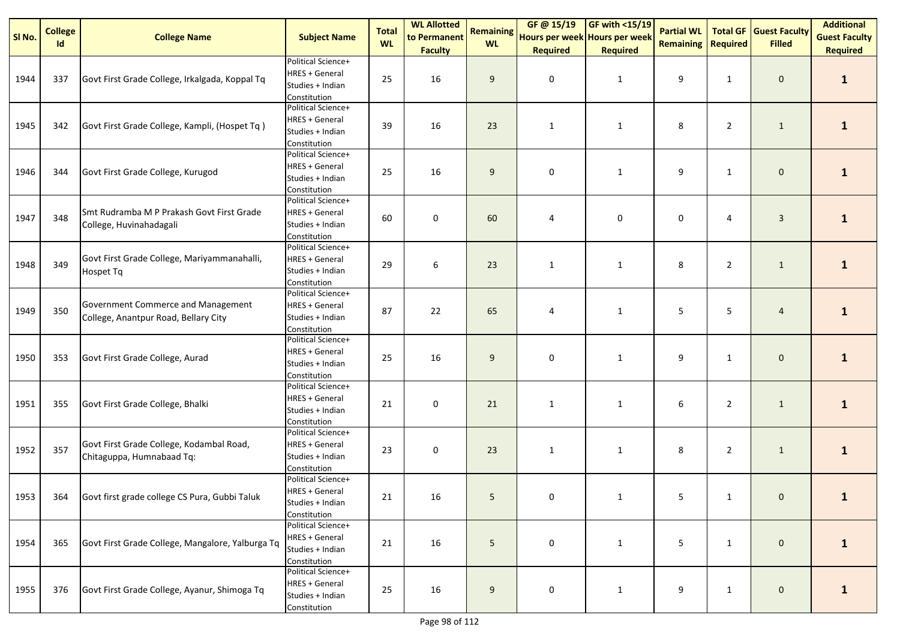| SI No. | <b>College</b> | <b>College Name</b>                                                        | <b>Subject Name</b>                                                             | <b>Total</b><br><b>WL</b> | <b>WL Allotted</b><br>to Permanent | <b>Remaining</b><br><b>WL</b> | GF @ 15/19<br>Hours per week Hours per week | $\sqrt{\frac{1000 \text{ F}}{1000}}$ | <b>Partial WL</b> |                 | <b>Total GF Guest Faculty</b> | <b>Additional</b><br><b>Guest Faculty</b> |
|--------|----------------|----------------------------------------------------------------------------|---------------------------------------------------------------------------------|---------------------------|------------------------------------|-------------------------------|---------------------------------------------|--------------------------------------|-------------------|-----------------|-------------------------------|-------------------------------------------|
|        | <b>Id</b>      |                                                                            |                                                                                 |                           | <b>Faculty</b>                     |                               | <b>Required</b>                             | <b>Required</b>                      | <b>Remaining</b>  | <b>Required</b> | <b>Filled</b>                 | <b>Required</b>                           |
| 1944   | 337            | Govt First Grade College, Irkalgada, Koppal Tq                             | Political Science+<br><b>HRES + General</b><br>Studies + Indian<br>Constitution | 25                        | 16                                 | 9                             | $\mathbf 0$                                 | $\mathbf{1}$                         | 9                 | $\mathbf{1}$    | $\mathbf 0$                   | $\mathbf{1}$                              |
| 1945   | 342            | Govt First Grade College, Kampli, (Hospet Tq)                              | Political Science+<br>HRES + General<br>Studies + Indian<br>Constitution        | 39                        | 16                                 | 23                            | $\mathbf{1}$                                | $\mathbf{1}$                         | 8                 | $\overline{2}$  | $\mathbf{1}$                  | $\mathbf{1}$                              |
| 1946   | 344            | Govt First Grade College, Kurugod                                          | Political Science+<br><b>HRES + General</b><br>Studies + Indian<br>Constitution | 25                        | 16                                 | 9                             | $\pmb{0}$                                   | $\mathbf{1}$                         | 9                 | $\mathbf{1}$    | $\mathbf 0$                   | $\mathbf{1}$                              |
| 1947   | 348            | Smt Rudramba M P Prakash Govt First Grade<br>College, Huvinahadagali       | Political Science+<br><b>HRES + General</b><br>Studies + Indian<br>Constitution | 60                        | 0                                  | 60                            | 4                                           | 0                                    | 0                 | 4               | $\mathbf{3}$                  | $\mathbf{1}$                              |
| 1948   | 349            | Govt First Grade College, Mariyammanahalli,<br>Hospet Tq                   | Political Science+<br><b>HRES + General</b><br>Studies + Indian<br>Constitution | 29                        | $\boldsymbol{6}$                   | 23                            | $\mathbf{1}$                                | $\mathbf{1}$                         | 8                 | $\overline{2}$  | $\mathbf{1}$                  | $\mathbf{1}$                              |
| 1949   | 350            | Government Commerce and Management<br>College, Anantpur Road, Bellary City | Political Science+<br><b>HRES + General</b><br>Studies + Indian<br>Constitution | 87                        | 22                                 | 65                            | 4                                           | $\mathbf{1}$                         | 5                 | 5               | $\overline{4}$                | $\mathbf{1}$                              |
| 1950   | 353            | Govt First Grade College, Aurad                                            | Political Science+<br><b>HRES + General</b><br>Studies + Indian<br>Constitution | 25                        | 16                                 | 9                             | $\mathbf 0$                                 | $\mathbf{1}$                         | 9                 | $\mathbf{1}$    | $\mathbf 0$                   | $\mathbf{1}$                              |
| 1951   | 355            | Govt First Grade College, Bhalki                                           | Political Science+<br><b>HRES + General</b><br>Studies + Indian<br>Constitution | 21                        | 0                                  | 21                            | $\mathbf{1}$                                | $\mathbf{1}$                         | 6                 | $\overline{2}$  | $\mathbf{1}$                  | $\mathbf{1}$                              |
| 1952   | 357            | Govt First Grade College, Kodambal Road,<br>Chitaguppa, Humnabaad Tq:      | Political Science+<br><b>HRES + General</b><br>Studies + Indian<br>Constitution | 23                        | 0                                  | 23                            | $\mathbf{1}$                                | $\mathbf{1}$                         | 8                 | $\overline{2}$  | $\mathbf{1}$                  | $\mathbf{1}$                              |
| 1953   |                | 364 Govt first grade college CS Pura, Gubbi Taluk                          | Political Science+<br><b>HRES + General</b><br>Studies + Indian<br>Constitution | 21                        | 16                                 | 5                             | $\Omega$                                    |                                      | 5                 | 1               | $\mathbf{0}$                  |                                           |
| 1954   | 365            | Govt First Grade College, Mangalore, Yalburga Tq                           | Political Science+<br><b>HRES + General</b><br>Studies + Indian<br>Constitution | 21                        | 16                                 | 5                             | 0                                           | $\mathbf{1}$                         | 5                 | $\mathbf{1}$    | $\mathbf 0$                   | $\mathbf{1}$                              |
| 1955   | 376            | Govt First Grade College, Ayanur, Shimoga Tq                               | Political Science+<br><b>HRES + General</b><br>Studies + Indian<br>Constitution | 25                        | 16                                 | 9                             | 0                                           | $\mathbf{1}$                         | 9                 | $\mathbf{1}$    | $\mathbf{0}$                  | $\mathbf{1}$                              |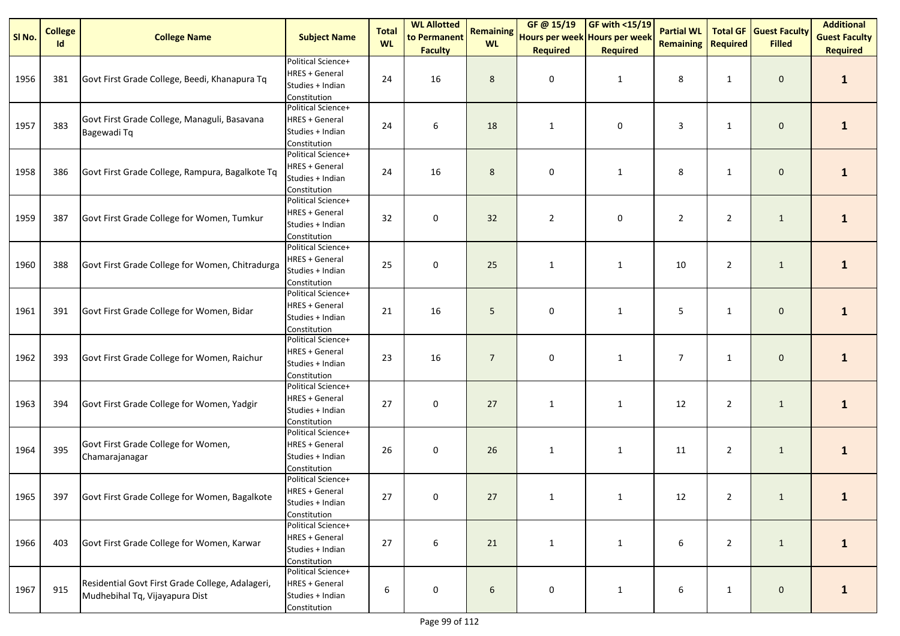| SI No. | <b>College</b><br>Id | <b>College Name</b>                                                                | <b>Subject Name</b>                                                             | <b>Total</b><br><b>WL</b> | <b>WL Allotted</b><br>to Permanent | <b>Remaining</b><br><b>WL</b> | GF @ 15/19<br>Hours per week Hours per week | $GF with <15/19$                | <b>Partial WL</b><br><b>Remaining</b> | <b>Total GF</b><br><b>Required</b> | <b>Guest Faculty</b><br><b>Filled</b> | <b>Additional</b><br><b>Guest Faculty</b> |
|--------|----------------------|------------------------------------------------------------------------------------|---------------------------------------------------------------------------------|---------------------------|------------------------------------|-------------------------------|---------------------------------------------|---------------------------------|---------------------------------------|------------------------------------|---------------------------------------|-------------------------------------------|
| 1956   | 381                  | Govt First Grade College, Beedi, Khanapura Tq                                      | Political Science+<br><b>HRES + General</b><br>Studies + Indian<br>Constitution | 24                        | <b>Faculty</b><br>16               | 8                             | <b>Required</b><br>0                        | <b>Required</b><br>$\mathbf{1}$ | 8                                     | $\mathbf{1}$                       | $\mathbf 0$                           | <b>Required</b><br>$\mathbf{1}$           |
| 1957   | 383                  | Govt First Grade College, Managuli, Basavana<br>Bagewadi Tq                        | Political Science+<br><b>HRES + General</b><br>Studies + Indian<br>Constitution | 24                        | 6                                  | 18                            | $\mathbf{1}$                                | 0                               | 3                                     | $\mathbf{1}$                       | $\mathbf 0$                           | $\mathbf{1}$                              |
| 1958   | 386                  | Govt First Grade College, Rampura, Bagalkote Tq                                    | Political Science+<br><b>HRES + General</b><br>Studies + Indian<br>Constitution | 24                        | 16                                 | 8                             | 0                                           | $\mathbf{1}$                    | 8                                     | $\mathbf{1}$                       | $\pmb{0}$                             | $\mathbf{1}$                              |
| 1959   | 387                  | Govt First Grade College for Women, Tumkur                                         | Political Science+<br><b>HRES + General</b><br>Studies + Indian<br>Constitution | 32                        | 0                                  | 32                            | $\overline{2}$                              | 0                               | $\overline{2}$                        | $\overline{2}$                     | $\mathbf{1}$                          | $\mathbf{1}$                              |
| 1960   | 388                  | Govt First Grade College for Women, Chitradurga                                    | Political Science+<br><b>HRES + General</b><br>Studies + Indian<br>Constitution | 25                        | $\pmb{0}$                          | 25                            | $\mathbf{1}$                                | $\mathbf{1}$                    | 10                                    | $\overline{2}$                     | $\mathbf{1}$                          | $\mathbf{1}$                              |
| 1961   | 391                  | Govt First Grade College for Women, Bidar                                          | Political Science+<br><b>HRES + General</b><br>Studies + Indian<br>Constitution | 21                        | 16                                 | 5                             | 0                                           | $\mathbf{1}$                    | 5                                     | $\mathbf{1}$                       | $\pmb{0}$                             | $\mathbf{1}$                              |
| 1962   | 393                  | Govt First Grade College for Women, Raichur                                        | Political Science+<br><b>HRES + General</b><br>Studies + Indian<br>Constitution | 23                        | 16                                 | $\overline{7}$                | 0                                           | $\mathbf{1}$                    | $\overline{7}$                        | $\mathbf{1}$                       | $\mathbf 0$                           | $\mathbf{1}$                              |
| 1963   | 394                  | Govt First Grade College for Women, Yadgir                                         | Political Science+<br><b>HRES + General</b><br>Studies + Indian<br>Constitution | 27                        | $\pmb{0}$                          | 27                            | $\mathbf{1}$                                | $\mathbf{1}$                    | 12                                    | $\overline{2}$                     | $\mathbf{1}$                          | $\mathbf{1}$                              |
| 1964   | 395                  | Govt First Grade College for Women,<br>Chamarajanagar                              | Political Science+<br><b>HRES + General</b><br>Studies + Indian<br>Constitution | 26                        | $\pmb{0}$                          | 26                            | $\mathbf{1}$                                | $\mathbf{1}$                    | 11                                    | $\overline{2}$                     | $\mathbf{1}$                          | $\mathbf{1}$                              |
| 1965   | 397                  | Govt First Grade College for Women, Bagalkote                                      | Political Science+<br><b>HRES + General</b><br>Studies + Indian<br>Constitution | 27                        | $\Omega$                           | 27                            | $\mathbf{1}$                                | $\mathbf{1}$                    | 12                                    | $\overline{2}$                     | 1                                     |                                           |
| 1966   | 403                  | Govt First Grade College for Women, Karwar                                         | Political Science+<br><b>HRES + General</b><br>Studies + Indian<br>Constitution | 27                        | $\boldsymbol{6}$                   | 21                            | $\mathbf{1}$                                | $\mathbf{1}$                    | 6                                     | $\overline{2}$                     | $\mathbf{1}$                          | $\mathbf{1}$                              |
| 1967   | 915                  | Residential Govt First Grade College, Adalageri,<br>Mudhebihal Tq, Vijayapura Dist | Political Science+<br><b>HRES + General</b><br>Studies + Indian<br>Constitution | 6                         | 0                                  | 6                             | 0                                           | $\mathbf{1}$                    | 6                                     | $\mathbf{1}$                       | $\mathbf 0$                           | $\mathbf{1}$                              |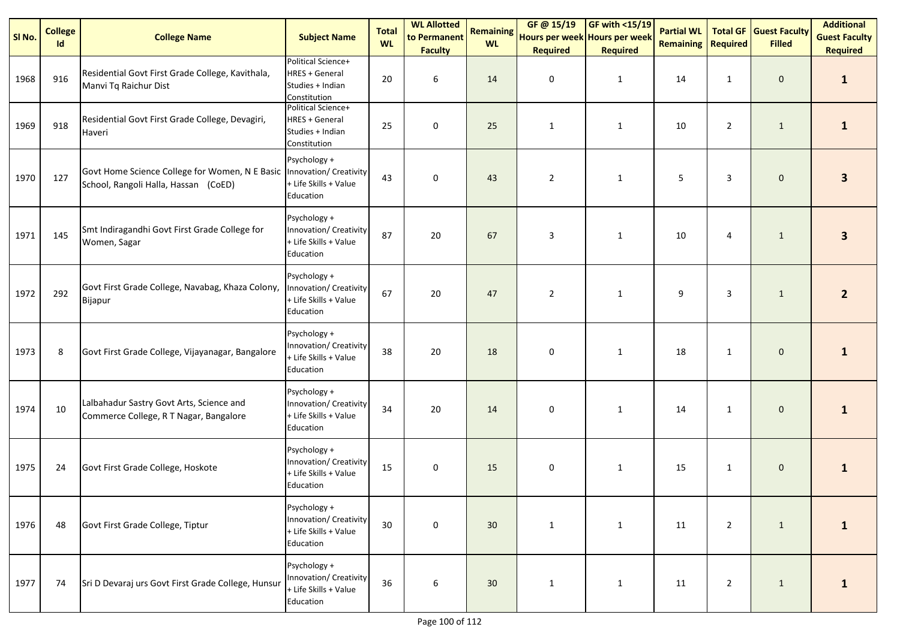| SI No. | <b>College</b><br>Id | <b>College Name</b>                                                                                             | <b>Subject Name</b>                                                             | <b>Total</b><br><b>WL</b> | <b>WL Allotted</b><br>to Permanent<br><b>Faculty</b> | <b>Remaining</b><br><b>WL</b> | GF @ 15/19<br>Hours per week Hours per week<br><b>Required</b> | <b>GF with &lt;15/19</b><br><b>Required</b> | <b>Partial WL</b><br><b>Remaining</b> | <b>Total GF</b><br><b>Required</b> | <b>Guest Faculty</b><br><b>Filled</b> | <b>Additional</b><br><b>Guest Faculty</b><br><b>Required</b> |
|--------|----------------------|-----------------------------------------------------------------------------------------------------------------|---------------------------------------------------------------------------------|---------------------------|------------------------------------------------------|-------------------------------|----------------------------------------------------------------|---------------------------------------------|---------------------------------------|------------------------------------|---------------------------------------|--------------------------------------------------------------|
| 1968   | 916                  | Residential Govt First Grade College, Kavithala,<br>Manvi Tq Raichur Dist                                       | Political Science+<br><b>HRES + General</b><br>Studies + Indian<br>Constitution | 20                        | 6                                                    | 14                            | 0                                                              | $\mathbf{1}$                                | 14                                    | 1                                  | $\mathbf 0$                           | $\mathbf{1}$                                                 |
| 1969   | 918                  | Residential Govt First Grade College, Devagiri,<br>Haveri                                                       | Political Science+<br><b>HRES + General</b><br>Studies + Indian<br>Constitution | 25                        | $\mathsf 0$                                          | 25                            | $\mathbf{1}$                                                   | $\mathbf{1}$                                | 10                                    | $\overline{2}$                     | $\mathbf{1}$                          | $\mathbf{1}$                                                 |
| 1970   | 127                  | Govt Home Science College for Women, N E Basic   Innovation/ Creativity<br>School, Rangoli Halla, Hassan (CoED) | Psychology +<br>+ Life Skills + Value<br>Education                              | 43                        | $\mathbf 0$                                          | 43                            | $\overline{2}$                                                 | $\mathbf{1}$                                | 5                                     | 3                                  | $\mathbf 0$                           | 3                                                            |
| 1971   | 145                  | Smt Indiragandhi Govt First Grade College for<br>Women, Sagar                                                   | Psychology +<br>Innovation/ Creativity<br>+ Life Skills + Value<br>Education    | 87                        | 20                                                   | 67                            | 3                                                              | $\mathbf{1}$                                | 10                                    | 4                                  | $\mathbf{1}$                          | 3                                                            |
| 1972   | 292                  | Govt First Grade College, Navabag, Khaza Colony,<br>Bijapur                                                     | Psychology +<br>Innovation/ Creativity<br>+ Life Skills + Value<br>Education    | 67                        | 20                                                   | 47                            | $\overline{2}$                                                 | $\mathbf{1}$                                | 9                                     | 3                                  | $\mathbf{1}$                          | $\mathbf{2}$                                                 |
| 1973   | 8                    | Govt First Grade College, Vijayanagar, Bangalore                                                                | Psychology +<br>Innovation/ Creativity<br>+ Life Skills + Value<br>Education    | 38                        | 20                                                   | 18                            | 0                                                              | $\mathbf{1}$                                | 18                                    | $\mathbf{1}$                       | $\mathbf 0$                           | 1                                                            |
| 1974   | 10                   | Lalbahadur Sastry Govt Arts, Science and<br>Commerce College, R T Nagar, Bangalore                              | Psychology +<br>Innovation/ Creativity<br>+ Life Skills + Value<br>Education    | 34                        | 20                                                   | 14                            | 0                                                              | $\mathbf{1}$                                | 14                                    | 1                                  | $\mathbf 0$                           | $\mathbf{1}$                                                 |
| 1975   | 24                   | Govt First Grade College, Hoskote                                                                               | Psychology +<br>Innovation/ Creativity<br>+ Life Skills + Value<br>Education    | 15                        | $\mathbf 0$                                          | 15                            | $\mathbf 0$                                                    | $\mathbf{1}$                                | 15                                    | 1                                  | $\mathbf 0$                           | 1                                                            |
| 1976   | 48                   | Govt First Grade College, Tiptur                                                                                | Psychology +<br>Innovation/ Creativity<br>+ Life Skills + Value<br>Education    | 30                        | $\mathbf 0$                                          | 30                            | $\mathbf{1}$                                                   | $\mathbf{1}$                                | 11                                    | $\overline{2}$                     | $\mathbf{1}$                          | $\mathbf{1}$                                                 |
| 1977   | 74                   | Sri D Devaraj urs Govt First Grade College, Hunsur                                                              | Psychology +<br>Innovation/ Creativity<br>+ Life Skills + Value<br>Education    | 36                        | 6                                                    | 30                            | $\mathbf{1}$                                                   | $\mathbf{1}$                                | 11                                    | $\overline{2}$                     | $\mathbf{1}$                          | 1                                                            |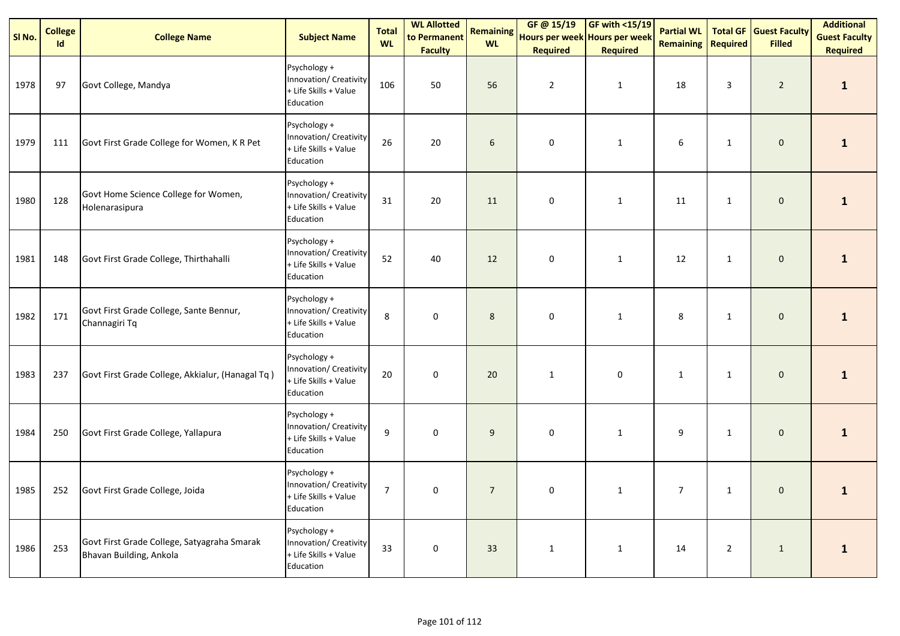| SI No. | <b>College</b><br>Id | <b>College Name</b>                                                    | <b>Subject Name</b>                                                          | <b>Total</b><br><b>WL</b> | <b>WL Allotted</b><br>to Permanent<br><b>Faculty</b> | <b>Remaining</b><br><b>WL</b> | GF @ 15/19<br>Hours per week Hours per week<br><b>Required</b> | <b>GF with &lt;15/19</b><br><b>Required</b> | <b>Partial WL</b><br><b>Remaining</b> | <b>Total GF</b><br><b>Required</b> | <b>Guest Faculty</b><br><b>Filled</b> | <b>Additional</b><br><b>Guest Faculty</b><br><b>Required</b> |
|--------|----------------------|------------------------------------------------------------------------|------------------------------------------------------------------------------|---------------------------|------------------------------------------------------|-------------------------------|----------------------------------------------------------------|---------------------------------------------|---------------------------------------|------------------------------------|---------------------------------------|--------------------------------------------------------------|
| 1978   | 97                   | Govt College, Mandya                                                   | Psychology +<br>Innovation/ Creativity<br>+ Life Skills + Value<br>Education | 106                       | 50                                                   | 56                            | $\overline{2}$                                                 | $\mathbf{1}$                                | 18                                    | 3                                  | $\overline{2}$                        | $\mathbf{1}$                                                 |
| 1979   | 111                  | Govt First Grade College for Women, K R Pet                            | Psychology +<br>Innovation/ Creativity<br>+ Life Skills + Value<br>Education | 26                        | 20                                                   | 6                             | $\pmb{0}$                                                      | $\mathbf{1}$                                | 6                                     | 1                                  | $\mathbf 0$                           | 1                                                            |
| 1980   | 128                  | Govt Home Science College for Women,<br>Holenarasipura                 | Psychology +<br>Innovation/ Creativity<br>+ Life Skills + Value<br>Education | 31                        | 20                                                   | 11                            | 0                                                              | $\mathbf{1}$                                | 11                                    | 1                                  | $\mathbf 0$                           | $\mathbf{1}$                                                 |
| 1981   | 148                  | Govt First Grade College, Thirthahalli                                 | Psychology +<br>Innovation/ Creativity<br>+ Life Skills + Value<br>Education | 52                        | 40                                                   | 12                            | $\pmb{0}$                                                      | $\mathbf{1}$                                | 12                                    | $\mathbf{1}$                       | $\mathbf 0$                           | 1                                                            |
| 1982   | 171                  | Govt First Grade College, Sante Bennur,<br>Channagiri Tq               | Psychology +<br>Innovation/ Creativity<br>+ Life Skills + Value<br>Education | 8                         | 0                                                    | 8                             | 0                                                              | $\mathbf{1}$                                | 8                                     | 1                                  | $\mathbf 0$                           | $\mathbf{1}$                                                 |
| 1983   | 237                  | Govt First Grade College, Akkialur, (Hanagal Tq)                       | Psychology +<br>Innovation/ Creativity<br>+ Life Skills + Value<br>Education | 20                        | 0                                                    | 20                            | $\mathbf{1}$                                                   | 0                                           | $\mathbf{1}$                          | $\mathbf{1}$                       | $\mathbf 0$                           | $\mathbf{1}$                                                 |
| 1984   | 250                  | Govt First Grade College, Yallapura                                    | Psychology +<br>Innovation/ Creativity<br>+ Life Skills + Value<br>Education | 9                         | 0                                                    | 9                             | 0                                                              | $\mathbf{1}$                                | 9                                     | $\mathbf{1}$                       | $\mathbf 0$                           | $\mathbf{1}$                                                 |
| 1985   | 252                  | Govt First Grade College, Joida                                        | Psychology +<br>Innovation/ Creativity<br>+ Life Skills + Value<br>Education | $\overline{7}$            | 0                                                    | $\overline{7}$                | 0                                                              | $\mathbf{1}$                                | $\overline{7}$                        | $\mathbf{1}$                       | $\mathbf 0$                           | $\mathbf{1}$                                                 |
| 1986   | 253                  | Govt First Grade College, Satyagraha Smarak<br>Bhavan Building, Ankola | Psychology +<br>Innovation/ Creativity<br>+ Life Skills + Value<br>Education | 33                        | 0                                                    | 33                            | $\mathbf{1}$                                                   | $\mathbf{1}$                                | 14                                    | $\overline{2}$                     | $\mathbf{1}$                          | $\mathbf{1}$                                                 |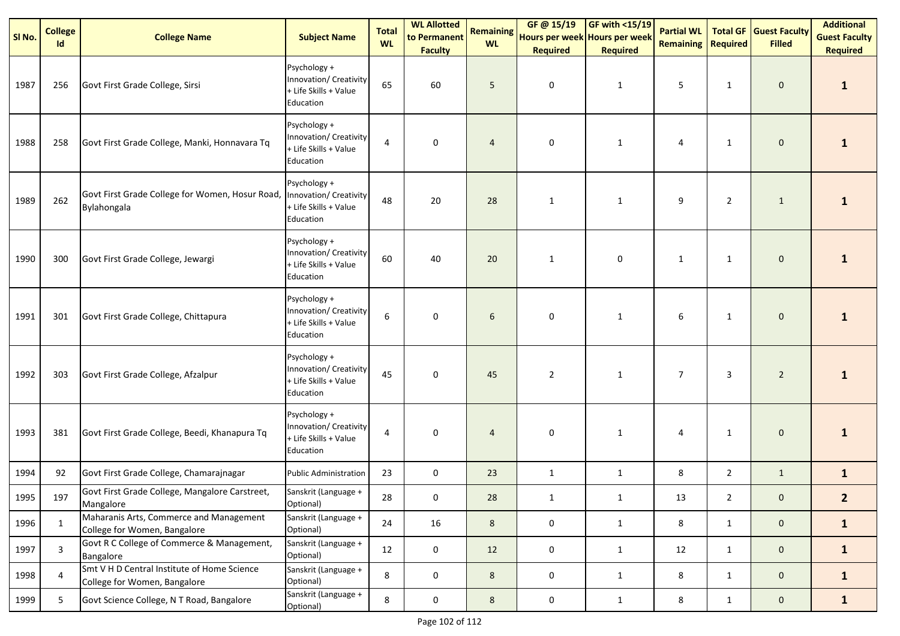| SI No. | <b>College</b><br>Id | <b>College Name</b>                                                         | <b>Subject Name</b>                                                          | <b>Total</b><br><b>WL</b> | <b>WL Allotted</b><br>to Permanent<br><b>Faculty</b> | <b>Remaining</b><br><b>WL</b> | GF @ 15/19<br>Hours per week Hours per week<br><b>Required</b> | GF with <15/19<br><b>Required</b> | <b>Partial WL</b><br><b>Remaining</b> | <b>Total GF</b><br><b>Required</b> | <b>Guest Faculty</b><br><b>Filled</b> | <b>Additional</b><br><b>Guest Faculty</b><br><b>Required</b> |
|--------|----------------------|-----------------------------------------------------------------------------|------------------------------------------------------------------------------|---------------------------|------------------------------------------------------|-------------------------------|----------------------------------------------------------------|-----------------------------------|---------------------------------------|------------------------------------|---------------------------------------|--------------------------------------------------------------|
| 1987   | 256                  | Govt First Grade College, Sirsi                                             | Psychology +<br>Innovation/ Creativity<br>+ Life Skills + Value<br>Education | 65                        | 60                                                   | 5                             | 0                                                              | $\mathbf{1}$                      | 5                                     | $\mathbf{1}$                       | $\mathbf 0$                           | 1                                                            |
| 1988   | 258                  | Govt First Grade College, Manki, Honnavara Tq                               | Psychology +<br>Innovation/ Creativity<br>+ Life Skills + Value<br>Education | 4                         | 0                                                    | $\overline{4}$                | 0                                                              | $\mathbf{1}$                      | 4                                     | $\mathbf{1}$                       | $\mathbf{0}$                          |                                                              |
| 1989   | 262                  | Govt First Grade College for Women, Hosur Road,<br>Bylahongala              | Psychology +<br>Innovation/ Creativity<br>+ Life Skills + Value<br>Education | 48                        | 20                                                   | 28                            | $\mathbf{1}$                                                   | $\mathbf{1}$                      | 9                                     | $\overline{2}$                     | $\mathbf{1}$                          | 1                                                            |
| 1990   | 300                  | Govt First Grade College, Jewargi                                           | Psychology +<br>Innovation/ Creativity<br>+ Life Skills + Value<br>Education | 60                        | 40                                                   | 20                            | $\mathbf{1}$                                                   | 0                                 | $\mathbf{1}$                          | 1                                  | $\mathbf 0$                           | 1                                                            |
| 1991   | 301                  | Govt First Grade College, Chittapura                                        | Psychology +<br>Innovation/ Creativity<br>+ Life Skills + Value<br>Education | 6                         | 0                                                    | 6                             | 0                                                              | $\mathbf{1}$                      | 6                                     | $\mathbf{1}$                       | $\mathbf 0$                           | 1                                                            |
| 1992   | 303                  | Govt First Grade College, Afzalpur                                          | Psychology +<br>Innovation/ Creativity<br>+ Life Skills + Value<br>Education | 45                        | 0                                                    | 45                            | $\overline{2}$                                                 | $\mathbf{1}$                      | 7                                     | 3                                  | $\overline{2}$                        | 1                                                            |
| 1993   | 381                  | Govt First Grade College, Beedi, Khanapura Tq                               | Psychology +<br>Innovation/ Creativity<br>+ Life Skills + Value<br>Education | $\overline{4}$            | 0                                                    | $\overline{4}$                | 0                                                              | $\mathbf{1}$                      | 4                                     | 1                                  | $\mathbf 0$                           | 1                                                            |
| 1994   | 92                   | Govt First Grade College, Chamarajnagar                                     | <b>Public Administration</b>                                                 | 23                        | $\mathbf 0$                                          | 23                            | $\mathbf{1}$                                                   | 1                                 | 8                                     | $\overline{2}$                     | $\mathbf{1}$                          | $\mathbf{1}$                                                 |
| 1995   | 197                  | Govt First Grade College, Mangalore Carstreet,<br>Mangalore                 | Sanskrit (Language +<br>Optional)                                            | 28                        | 0                                                    | $28\,$                        |                                                                | 1                                 | 13                                    | $\overline{2}$                     | 0                                     | $\overline{2}$                                               |
| 1996   | 1                    | Maharanis Arts, Commerce and Management<br>College for Women, Bangalore     | Sanskrit (Language +<br>Optional)                                            | 24                        | 16                                                   | 8                             | $\mathbf 0$                                                    | 1                                 | 8                                     | $\mathbf{1}$                       | $\mathbf{0}$                          | $\mathbf{1}$                                                 |
| 1997   | 3                    | Govt R C College of Commerce & Management,<br>Bangalore                     | Sanskrit (Language +<br>Optional)                                            | 12                        | 0                                                    | 12                            | $\mathbf 0$                                                    | 1                                 | 12                                    | $\mathbf{1}$                       | $\mathbf{0}$                          | $\mathbf{1}$                                                 |
| 1998   | $\overline{4}$       | Smt V H D Central Institute of Home Science<br>College for Women, Bangalore | Sanskrit (Language +<br>Optional)                                            | 8                         | 0                                                    | 8                             | $\mathbf 0$                                                    | $\mathbf{1}$                      | 8                                     | $\mathbf{1}$                       | $\mathbf 0$                           | $\mathbf{1}$                                                 |
| 1999   | 5                    | Govt Science College, N T Road, Bangalore                                   | Sanskrit (Language +<br>Optional)                                            | 8                         | $\mathbf 0$                                          | $8\phantom{1}$                | $\mathbf 0$                                                    | $\mathbf{1}$                      | 8                                     | $\mathbf{1}$                       | $\mathbf{0}$                          | $\mathbf{1}$                                                 |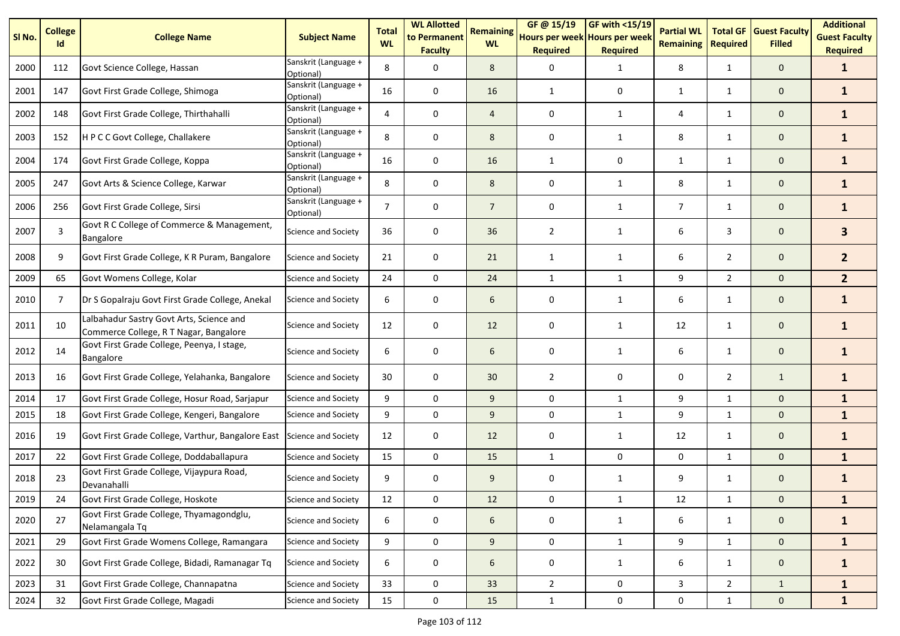| SI No. | <b>College</b><br>Id | <b>College Name</b>                                                                | <b>Subject Name</b>               | <b>Total</b><br><b>WL</b> | <b>WL Allotted</b><br>to Permanent<br><b>Faculty</b> | <b>Remaining</b><br><b>WL</b> | GF@ 15/19<br>Hours per week Hours per week<br><b>Required</b> | <b>GF with &lt;15/19</b><br><b>Required</b> | <b>Partial WL</b><br><b>Remaining</b> | <b>Total GF</b><br><b>Required</b> | <b>Guest Faculty</b><br><b>Filled</b> | <b>Additional</b><br><b>Guest Faculty</b><br><b>Required</b> |
|--------|----------------------|------------------------------------------------------------------------------------|-----------------------------------|---------------------------|------------------------------------------------------|-------------------------------|---------------------------------------------------------------|---------------------------------------------|---------------------------------------|------------------------------------|---------------------------------------|--------------------------------------------------------------|
| 2000   | 112                  | Govt Science College, Hassan                                                       | Sanskrit (Language +<br>Optional) | 8                         | 0                                                    | 8                             | 0                                                             | 1                                           | 8                                     | 1                                  | $\mathbf{0}$                          | $\mathbf{1}$                                                 |
| 2001   | 147                  | Govt First Grade College, Shimoga                                                  | Sanskrit (Language +<br>Optional) | 16                        | 0                                                    | 16                            | 1                                                             | 0                                           | 1                                     | $\mathbf{1}$                       | $\mathbf 0$                           | $\mathbf{1}$                                                 |
| 2002   | 148                  | Govt First Grade College, Thirthahalli                                             | Sanskrit (Language +<br>Optional) | 4                         | 0                                                    | $\overline{4}$                | 0                                                             | 1                                           | 4                                     | $\mathbf{1}$                       | $\mathbf 0$                           | $\mathbf{1}$                                                 |
| 2003   | 152                  | H P C C Govt College, Challakere                                                   | Sanskrit (Language +<br>Optional) | 8                         | 0                                                    | 8                             | 0                                                             | $\mathbf{1}$                                | 8                                     | 1                                  | $\mathbf 0$                           | $\mathbf{1}$                                                 |
| 2004   | 174                  | Govt First Grade College, Koppa                                                    | Sanskrit (Language +<br>Optional) | 16                        | 0                                                    | 16                            | $\mathbf{1}$                                                  | 0                                           | 1                                     | 1                                  | $\mathbf 0$                           | $\mathbf{1}$                                                 |
| 2005   | 247                  | Govt Arts & Science College, Karwar                                                | Sanskrit (Language +<br>Optional) | 8                         | 0                                                    | 8                             | 0                                                             | $\mathbf{1}$                                | 8                                     | $\mathbf{1}$                       | $\mathbf 0$                           | $\mathbf{1}$                                                 |
| 2006   | 256                  | Govt First Grade College, Sirsi                                                    | Sanskrit (Language +<br>Optional) | $\overline{7}$            | 0                                                    | $\overline{7}$                | 0                                                             | $\mathbf{1}$                                | $\overline{7}$                        | $\mathbf{1}$                       | $\mathbf 0$                           | $\mathbf{1}$                                                 |
| 2007   | 3                    | Govt R C College of Commerce & Management,<br>Bangalore                            | Science and Society               | 36                        | 0                                                    | 36                            | $\overline{2}$                                                | $\mathbf{1}$                                | 6                                     | 3                                  | $\mathbf 0$                           | 3 <sup>1</sup>                                               |
| 2008   | 9                    | Govt First Grade College, K R Puram, Bangalore                                     | Science and Society               | 21                        | 0                                                    | 21                            | $\mathbf{1}$                                                  | $\mathbf{1}$                                | 6                                     | $\overline{2}$                     | $\mathbf{0}$                          | 2 <sup>2</sup>                                               |
| 2009   | 65                   | Govt Womens College, Kolar                                                         | <b>Science and Society</b>        | 24                        | 0                                                    | 24                            | $\mathbf{1}$                                                  | $\mathbf{1}$                                | 9                                     | $2^{\circ}$                        | $\mathbf 0$                           | 2 <sup>1</sup>                                               |
| 2010   | 7                    | Dr S Gopalraju Govt First Grade College, Anekal                                    | <b>Science and Society</b>        | 6                         | 0                                                    | 6                             | 0                                                             | 1                                           | 6                                     | $\mathbf{1}$                       | $\mathbf 0$                           | $\mathbf{1}$                                                 |
| 2011   | 10                   | Lalbahadur Sastry Govt Arts, Science and<br>Commerce College, R T Nagar, Bangalore | Science and Society               | 12                        | 0                                                    | 12                            | 0                                                             | $\mathbf{1}$                                | 12                                    | $\mathbf{1}$                       | $\mathbf 0$                           | $\mathbf{1}$                                                 |
| 2012   | 14                   | Govt First Grade College, Peenya, I stage,<br>Bangalore                            | Science and Society               | 6                         | 0                                                    | 6                             | 0                                                             | $\mathbf{1}$                                | 6                                     | $\mathbf{1}$                       | $\mathbf 0$                           | $\mathbf{1}$                                                 |
| 2013   | 16                   | Govt First Grade College, Yelahanka, Bangalore                                     | Science and Society               | 30                        | 0                                                    | 30                            | $\overline{2}$                                                | 0                                           | $\mathbf 0$                           | $\overline{2}$                     | $\mathbf{1}$                          | $\mathbf{1}$                                                 |
| 2014   | 17                   | Govt First Grade College, Hosur Road, Sarjapur                                     | <b>Science and Society</b>        | 9                         | 0                                                    | 9                             | 0                                                             | $\mathbf{1}$                                | 9                                     | $\mathbf{1}$                       | $\mathbf 0$                           | $\mathbf{1}$                                                 |
| 2015   | 18                   | Govt First Grade College, Kengeri, Bangalore                                       | Science and Society               | 9                         | $\mathbf 0$                                          | 9 <sup>°</sup>                | 0                                                             | 1                                           | 9                                     | $\mathbf{1}$                       | $\mathbf{0}$                          | $\mathbf{1}$                                                 |
| 2016   | 19                   | Govt First Grade College, Varthur, Bangalore East                                  | Science and Society               | 12                        | 0                                                    | 12                            | 0                                                             | 1                                           | 12                                    | 1                                  | $\mathbf 0$                           | $\mathbf{1}$                                                 |
| 2017   | 22                   | Govt First Grade College, Doddaballapura                                           | <b>Science and Society</b>        | 15                        | $\pmb{0}$                                            | 15                            | $\mathbf{1}$                                                  | 0                                           | 0                                     | $\mathbf{1}$                       | $\mathbf{0}$                          | $\mathbf{1}$                                                 |
| 2018   | 23                   | Govt First Grade College, Vijaypura Road,<br>Devanahalli                           | Science and Society               | 9                         | 0                                                    | 9                             | 0                                                             | 1                                           | 9                                     | $\mathbf{1}$                       | $\mathbf 0$                           | $\mathbf{1}$                                                 |
| 2019   | 24                   | Govt First Grade College, Hoskote                                                  | Science and Society               | 12                        | U                                                    | 12                            | U                                                             | 1                                           | 12                                    | 1                                  | U                                     | $\mathbf{1}$                                                 |
| 2020   | 27                   | Govt First Grade College, Thyamagondglu,<br>Nelamangala Tq                         | Science and Society               | 6                         | 0                                                    | 6                             | 0                                                             | 1                                           | 6                                     | $\mathbf{1}$                       | $\mathbf 0$                           | $\mathbf{1}$                                                 |
| 2021   | 29                   | Govt First Grade Womens College, Ramangara                                         | Science and Society               | 9                         | 0                                                    | 9                             | 0                                                             | $\mathbf{1}$                                | 9                                     | $\mathbf{1}$                       | $\mathbf 0$                           | $\mathbf{1}$                                                 |
| 2022   | 30                   | Govt First Grade College, Bidadi, Ramanagar Tq                                     | Science and Society               | 6                         | 0                                                    | 6                             | 0                                                             | $\mathbf{1}$                                | 6                                     | $\mathbf{1}$                       | $\mathbf{0}$                          | $\mathbf{1}$                                                 |
| 2023   | 31                   | Govt First Grade College, Channapatna                                              | Science and Society               | 33                        | 0                                                    | 33                            | $\overline{2}$                                                | $\mathbf 0$                                 | 3                                     | $\overline{2}$                     | $\mathbf{1}$                          | $\mathbf{1}$                                                 |
| 2024   | 32                   | Govt First Grade College, Magadi                                                   | Science and Society               | 15                        | 0                                                    | 15                            | $\mathbf{1}$                                                  | $\mathbf 0$                                 | 0                                     | $\mathbf{1}$                       | $\mathbf{0}$                          | $\mathbf{1}$                                                 |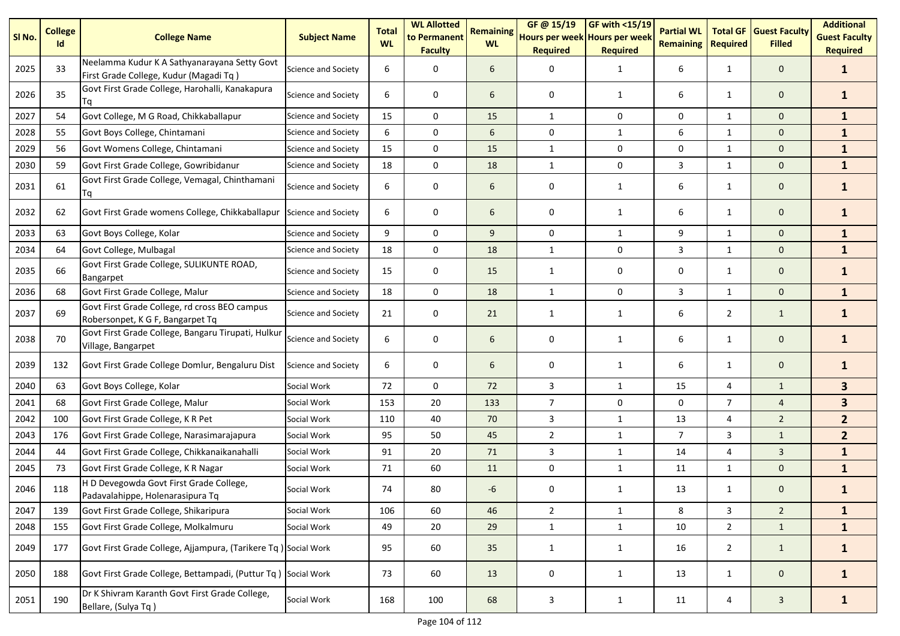| SI No. | <b>College</b><br>Id | <b>College Name</b>                                                                    | <b>Subject Name</b>        | <b>Total</b><br><b>WL</b> | <b>WL Allotted</b><br>to Permanent<br><b>Faculty</b> | <b>Remaining</b><br><b>WL</b> | GF@ 15/19<br>Hours per week Hours per week<br><b>Required</b> | <b>GF with &lt;15/19</b><br><b>Required</b> | <b>Partial WL</b><br><b>Remaining</b> | <b>Total GF</b><br><b>Required</b> | <b>Guest Faculty</b><br><b>Filled</b> | <b>Additional</b><br><b>Guest Faculty</b><br><b>Required</b> |
|--------|----------------------|----------------------------------------------------------------------------------------|----------------------------|---------------------------|------------------------------------------------------|-------------------------------|---------------------------------------------------------------|---------------------------------------------|---------------------------------------|------------------------------------|---------------------------------------|--------------------------------------------------------------|
| 2025   | 33                   | Neelamma Kudur K A Sathyanarayana Setty Govt<br>First Grade College, Kudur (Magadi Tq) | Science and Society        | 6                         | 0                                                    | 6                             | 0                                                             | 1                                           | 6                                     | $\mathbf{1}$                       | $\mathbf 0$                           | $\mathbf{1}$                                                 |
| 2026   | 35                   | Govt First Grade College, Harohalli, Kanakapura<br>Тq                                  | Science and Society        | 6                         | 0                                                    | 6                             | 0                                                             | 1                                           | 6                                     | $\mathbf{1}$                       | $\mathbf 0$                           | $\mathbf{1}$                                                 |
| 2027   | 54                   | Govt College, M G Road, Chikkaballapur                                                 | Science and Society        | 15                        | 0                                                    | 15                            | $\mathbf{1}$                                                  | 0                                           | 0                                     | 1                                  | $\mathbf 0$                           | $\mathbf{1}$                                                 |
| 2028   | 55                   | Govt Boys College, Chintamani                                                          | Science and Society        | 6                         | 0                                                    | 6                             | 0                                                             | 1                                           | 6                                     | $\mathbf{1}$                       | $\mathbf{0}$                          | $\mathbf{1}$                                                 |
| 2029   | 56                   | Govt Womens College, Chintamani                                                        | Science and Society        | 15                        | 0                                                    | 15                            | $\mathbf{1}$                                                  | 0                                           | 0                                     | $\mathbf{1}$                       | $\mathbf 0$                           | $\mathbf{1}$                                                 |
| 2030   | 59                   | Govt First Grade College, Gowribidanur                                                 | Science and Society        | 18                        | $\pmb{0}$                                            | 18                            | $\mathbf{1}$                                                  | 0                                           | 3                                     | $\mathbf{1}$                       | $\mathbf 0$                           | $\mathbf{1}$                                                 |
| 2031   | 61                   | Govt First Grade College, Vemagal, Chinthamani<br>Tq                                   | Science and Society        | 6                         | 0                                                    | 6                             | 0                                                             | $\mathbf{1}$                                | 6                                     | $\mathbf{1}$                       | $\mathbf 0$                           | $\mathbf{1}$                                                 |
| 2032   | 62                   | Govt First Grade womens College, Chikkaballapur                                        | Science and Society        | 6                         | 0                                                    | 6                             | 0                                                             | $\mathbf{1}$                                | 6                                     | $\mathbf{1}$                       | $\mathbf 0$                           | $\mathbf{1}$                                                 |
| 2033   | 63                   | Govt Boys College, Kolar                                                               | <b>Science and Society</b> | 9                         | 0                                                    | 9                             | 0                                                             | $\mathbf{1}$                                | 9                                     | $\mathbf{1}$                       | $\mathbf 0$                           | $\mathbf{1}$                                                 |
| 2034   | 64                   | Govt College, Mulbagal                                                                 | <b>Science and Society</b> | 18                        | 0                                                    | 18                            | $\mathbf{1}$                                                  | 0                                           | 3                                     | $\mathbf{1}$                       | $\mathbf 0$                           | $\mathbf{1}$                                                 |
| 2035   | 66                   | Govt First Grade College, SULIKUNTE ROAD,<br><b>Bangarpet</b>                          | Science and Society        | 15                        | 0                                                    | 15                            | 1                                                             | 0                                           | 0                                     | $\mathbf{1}$                       | $\mathbf 0$                           | $\mathbf{1}$                                                 |
| 2036   | 68                   | Govt First Grade College, Malur                                                        | Science and Society        | 18                        | $\mathbf 0$                                          | 18                            | $\mathbf{1}$                                                  | $\mathbf 0$                                 | 3                                     | $\mathbf{1}$                       | $\mathbf{0}$                          | $\mathbf{1}$                                                 |
| 2037   | 69                   | Govt First Grade College, rd cross BEO campus<br>Robersonpet, K G F, Bangarpet Tq      | Science and Society        | 21                        | 0                                                    | 21                            | 1                                                             | $\mathbf{1}$                                | 6                                     | $\overline{2}$                     | $\mathbf{1}$                          | $\mathbf{1}$                                                 |
| 2038   | 70                   | Govt First Grade College, Bangaru Tirupati, Hulkur<br>Village, Bangarpet               | Science and Society        | 6                         | 0                                                    | 6                             | 0                                                             | $\mathbf{1}$                                | 6                                     | $\mathbf{1}$                       | $\mathbf 0$                           | $\mathbf{1}$                                                 |
| 2039   | 132                  | Govt First Grade College Domlur, Bengaluru Dist                                        | Science and Society        | 6                         | 0                                                    | 6                             | 0                                                             | $\mathbf{1}$                                | 6                                     | $\mathbf{1}$                       | $\mathbf 0$                           | $\mathbf{1}$                                                 |
| 2040   | 63                   | Govt Boys College, Kolar                                                               | Social Work                | 72                        | 0                                                    | 72                            | 3                                                             | $\mathbf{1}$                                | 15                                    | 4                                  | $\mathbf{1}$                          | 3 <sup>1</sup>                                               |
| 2041   | 68                   | Govt First Grade College, Malur                                                        | Social Work                | 153                       | 20                                                   | 133                           | $\overline{7}$                                                | 0                                           | 0                                     | $\overline{7}$                     | $\overline{4}$                        | $\overline{\mathbf{3}}$                                      |
| 2042   | 100                  | Govt First Grade College, K R Pet                                                      | Social Work                | 110                       | 40                                                   | 70                            | 3                                                             | $\mathbf{1}$                                | 13                                    | 4                                  | $\overline{2}$                        | 2 <sup>1</sup>                                               |
| 2043   | 176                  | Govt First Grade College, Narasimarajapura                                             | Social Work                | 95                        | 50                                                   | 45                            | $\overline{2}$                                                | $\mathbf{1}$                                | $\overline{7}$                        | 3                                  | $\mathbf{1}$                          | 2 <sup>2</sup>                                               |
| 2044   | 44                   | Govt First Grade College, Chikkanaikanahalli                                           | Social Work                | 91                        | 20                                                   | 71                            | 3                                                             | $\mathbf{1}$                                | 14                                    | 4                                  | $\mathbf{3}$                          | $\mathbf{1}$                                                 |
| 2045   | 73                   | Govt First Grade College, K R Nagar                                                    | Social Work                | 71                        | 60                                                   | 11                            | $\mathbf 0$                                                   | $\mathbf{1}$                                | 11                                    | $\mathbf{1}$                       | $\mathbf 0$                           | $\mathbf{1}$                                                 |
| 2046   | 118                  | H D Devegowda Govt First Grade College,<br>Padavalahippe, Holenarasipura Tq            | Social Work                | 74                        | 80                                                   | -6                            | 0                                                             | 1                                           | 13                                    | $\mathbf{1}$                       | $\mathbf 0$                           | 1                                                            |
| 2047   | 139                  | Govt First Grade College, Shikaripura                                                  | Social Work                | 106                       | 60                                                   | 46                            | $\overline{2}$                                                | $\mathbf{1}$                                | 8                                     | $\mathbf{3}$                       | $2^{\circ}$                           | $\mathbf{1}$                                                 |
| 2048   | 155                  | Govt First Grade College, Molkalmuru                                                   | Social Work                | 49                        | 20                                                   | 29                            | $\mathbf 1$                                                   | $\mathbf{1}$                                | 10                                    | $\overline{2}$                     | $\mathbf{1}$                          | $\mathbf{1}$                                                 |
| 2049   | 177                  | Govt First Grade College, Ajjampura, (Tarikere Tq) Social Work                         |                            | 95                        | 60                                                   | 35                            | $\mathbf{1}$                                                  | $\mathbf{1}$                                | 16                                    | $\overline{2}$                     | $\mathbf{1}$                          | $\mathbf{1}$                                                 |
| 2050   | 188                  | Govt First Grade College, Bettampadi, (Puttur Tq) Social Work                          |                            | 73                        | 60                                                   | 13                            | 0                                                             | $\mathbf{1}$                                | 13                                    | $\mathbf{1}$                       | $\mathbf{0}$                          | $\mathbf{1}$                                                 |
| 2051   | 190                  | Dr K Shivram Karanth Govt First Grade College,<br>Bellare, (Sulya Tq)                  | Social Work                | 168                       | 100                                                  | 68                            | $\mathbf{3}$                                                  | $\mathbf{1}$                                | 11                                    | 4                                  | $\mathbf{3}$                          | $\mathbf{1}$                                                 |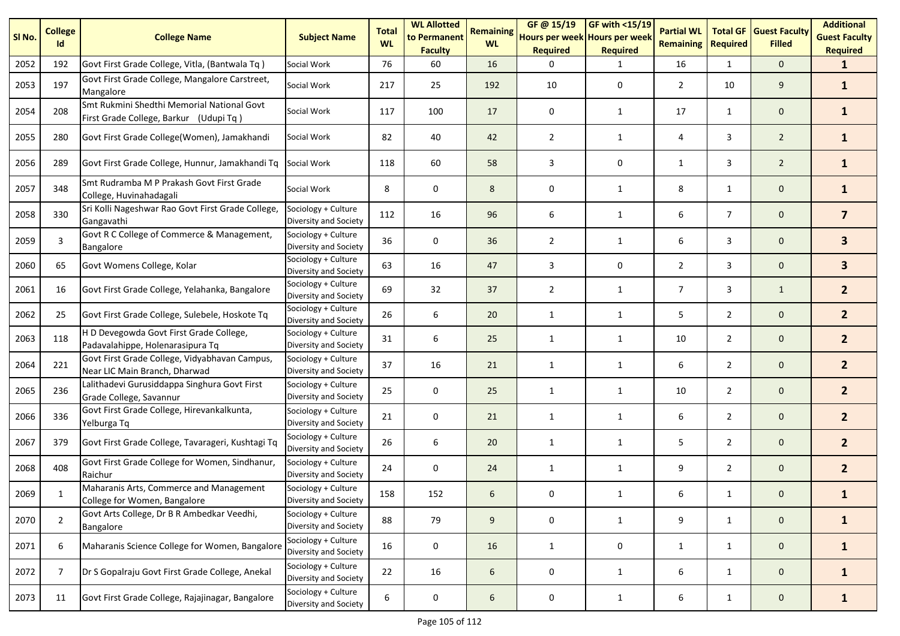| SI No. | <b>College</b><br>Id | <b>College Name</b>                                                                  | <b>Subject Name</b>                          | <b>Total</b><br><b>WL</b> | <b>WL Allotted</b><br>to Permanent<br><b>Faculty</b> | <b>Remaining</b><br><b>WL</b> | GF @ 15/19<br>Hours per week Hours per week<br><b>Required</b> | GF with $<$ 15/19<br><b>Required</b> | <b>Partial WL</b><br><b>Remaining</b> | <b>Total GF</b><br><b>Required</b> | <b>Guest Faculty</b><br><b>Filled</b> | <b>Additional</b><br><b>Guest Faculty</b><br><b>Required</b> |
|--------|----------------------|--------------------------------------------------------------------------------------|----------------------------------------------|---------------------------|------------------------------------------------------|-------------------------------|----------------------------------------------------------------|--------------------------------------|---------------------------------------|------------------------------------|---------------------------------------|--------------------------------------------------------------|
| 2052   | 192                  | Govt First Grade College, Vitla, (Bantwala Tq)                                       | Social Work                                  | 76                        | 60                                                   | 16                            | ∩                                                              | 1                                    | 16                                    | $\mathbf{1}$                       | $\mathbf{0}$                          | $\mathbf{1}$                                                 |
| 2053   | 197                  | Govt First Grade College, Mangalore Carstreet,<br>Mangalore                          | Social Work                                  | 217                       | 25                                                   | 192                           | 10                                                             | 0                                    | $\overline{2}$                        | 10                                 | 9                                     | $\mathbf{1}$                                                 |
| 2054   | 208                  | Smt Rukmini Shedthi Memorial National Govt<br>First Grade College, Barkur (Udupi Tq) | Social Work                                  | 117                       | 100                                                  | 17                            | 0                                                              | 1                                    | 17                                    | 1                                  | $\mathbf 0$                           | $\mathbf{1}$                                                 |
| 2055   | 280                  | Govt First Grade College(Women), Jamakhandi                                          | Social Work                                  | 82                        | 40                                                   | 42                            | $\overline{2}$                                                 | $\mathbf{1}$                         | 4                                     | 3                                  | $\overline{2}$                        | $\mathbf{1}$                                                 |
| 2056   | 289                  | Govt First Grade College, Hunnur, Jamakhandi Tq                                      | Social Work                                  | 118                       | 60                                                   | 58                            | 3                                                              | $\mathbf 0$                          | 1                                     | 3                                  | $\overline{2}$                        | $\mathbf{1}$                                                 |
| 2057   | 348                  | Smt Rudramba M P Prakash Govt First Grade<br>College, Huvinahadagali                 | Social Work                                  | 8                         | 0                                                    | 8                             | 0                                                              | 1                                    | 8                                     | $\mathbf{1}$                       | $\mathbf 0$                           | $\mathbf{1}$                                                 |
| 2058   | 330                  | Sri Kolli Nageshwar Rao Govt First Grade College,<br>Gangavathi                      | Sociology + Culture<br>Diversity and Society | 112                       | 16                                                   | 96                            | 6                                                              | 1                                    | 6                                     | $\overline{7}$                     | $\mathbf{0}$                          | $\overline{7}$                                               |
| 2059   | $\overline{3}$       | Govt R C College of Commerce & Management,<br><b>Bangalore</b>                       | Sociology + Culture<br>Diversity and Society | 36                        | 0                                                    | 36                            | $\overline{2}$                                                 | 1                                    | 6                                     | 3                                  | $\mathbf 0$                           | $\mathbf{3}$                                                 |
| 2060   | 65                   | Govt Womens College, Kolar                                                           | Sociology + Culture<br>Diversity and Society | 63                        | 16                                                   | 47                            | 3                                                              | 0                                    | $\overline{2}$                        | 3                                  | $\mathbf 0$                           | 3                                                            |
| 2061   | 16                   | Govt First Grade College, Yelahanka, Bangalore                                       | Sociology + Culture<br>Diversity and Society | 69                        | 32                                                   | 37                            | $\overline{2}$                                                 | 1                                    | $\overline{7}$                        | 3                                  | $\mathbf{1}$                          | 2 <sup>1</sup>                                               |
| 2062   | 25                   | Govt First Grade College, Sulebele, Hoskote Tq                                       | Sociology + Culture<br>Diversity and Society | 26                        | 6                                                    | 20                            | $\mathbf{1}$                                                   | $\mathbf{1}$                         | 5                                     | $\overline{2}$                     | $\mathbf 0$                           | 2 <sup>1</sup>                                               |
| 2063   | 118                  | H D Devegowda Govt First Grade College,<br>Padavalahippe, Holenarasipura Tq          | Sociology + Culture<br>Diversity and Society | 31                        | 6                                                    | 25                            | 1                                                              | $\mathbf{1}$                         | 10                                    | $\overline{2}$                     | $\mathbf 0$                           | 2 <sup>1</sup>                                               |
| 2064   | 221                  | Govt First Grade College, Vidyabhavan Campus,<br>Near LIC Main Branch, Dharwad       | Sociology + Culture<br>Diversity and Society | 37                        | 16                                                   | 21                            | $\mathbf{1}$                                                   | $\mathbf{1}$                         | 6                                     | $\overline{2}$                     | $\mathbf 0$                           | $\mathbf{2}$                                                 |
| 2065   | 236                  | Lalithadevi Gurusiddappa Singhura Govt First<br>Grade College, Savannur              | Sociology + Culture<br>Diversity and Society | 25                        | 0                                                    | 25                            | 1                                                              | $\mathbf{1}$                         | 10                                    | $\overline{2}$                     | $\mathbf 0$                           | 2 <sup>1</sup>                                               |
| 2066   | 336                  | Govt First Grade College, Hirevankalkunta,<br>Yelburga Tq                            | Sociology + Culture<br>Diversity and Society | 21                        | $\mathbf 0$                                          | 21                            | 1                                                              | $\mathbf{1}$                         | 6                                     | $\overline{2}$                     | $\mathbf 0$                           | $\mathbf{2}$                                                 |
| 2067   | 379                  | Govt First Grade College, Tavarageri, Kushtagi Tq                                    | Sociology + Culture<br>Diversity and Society | 26                        | 6                                                    | 20                            | 1                                                              | $\mathbf{1}$                         | 5                                     | $\overline{2}$                     | $\mathbf 0$                           | 2 <sup>1</sup>                                               |
| 2068   | 408                  | Govt First Grade College for Women, Sindhanur,<br>Raichur                            | Sociology + Culture<br>Diversity and Society | 24                        | $\mathbf 0$                                          | 24                            | 1                                                              | 1                                    | 9                                     | $\overline{2}$                     | $\mathbf 0$                           | 2 <sup>1</sup>                                               |
| 2069   |                      | Maharanis Arts, Commerce and Management<br>College for Women, Bangalore              | Sociology + Culture<br>Diversity and Society | 158                       | 152                                                  | 6                             | 0                                                              | $\mathbf 1$                          | 6                                     | 1                                  | 0                                     |                                                              |
| 2070   | $\overline{2}$       | Govt Arts College, Dr B R Ambedkar Veedhi,<br>Bangalore                              | Sociology + Culture<br>Diversity and Society | 88                        | 79                                                   | 9                             | 0                                                              | $\mathbf{1}$                         | 9                                     | $\mathbf{1}$                       | $\mathbf 0$                           | $\mathbf{1}$                                                 |
| 2071   | 6                    | Maharanis Science College for Women, Bangalore                                       | Sociology + Culture<br>Diversity and Society | 16                        | $\pmb{0}$                                            | 16                            | $\mathbf{1}$                                                   | 0                                    | $\mathbf{1}$                          | $\mathbf{1}$                       | $\mathbf 0$                           | $\mathbf{1}$                                                 |
| 2072   | $\overline{7}$       | Dr S Gopalraju Govt First Grade College, Anekal                                      | Sociology + Culture<br>Diversity and Society | 22                        | 16                                                   | 6                             | 0                                                              | $\mathbf{1}$                         | 6                                     | $\mathbf{1}$                       | $\mathbf 0$                           | $\mathbf{1}$                                                 |
| 2073   | 11                   | Govt First Grade College, Rajajinagar, Bangalore                                     | Sociology + Culture<br>Diversity and Society | 6                         | 0                                                    | 6                             | 0                                                              | $\mathbf{1}$                         | 6                                     | $\mathbf{1}$                       | $\mathbf 0$                           | $\mathbf{1}$                                                 |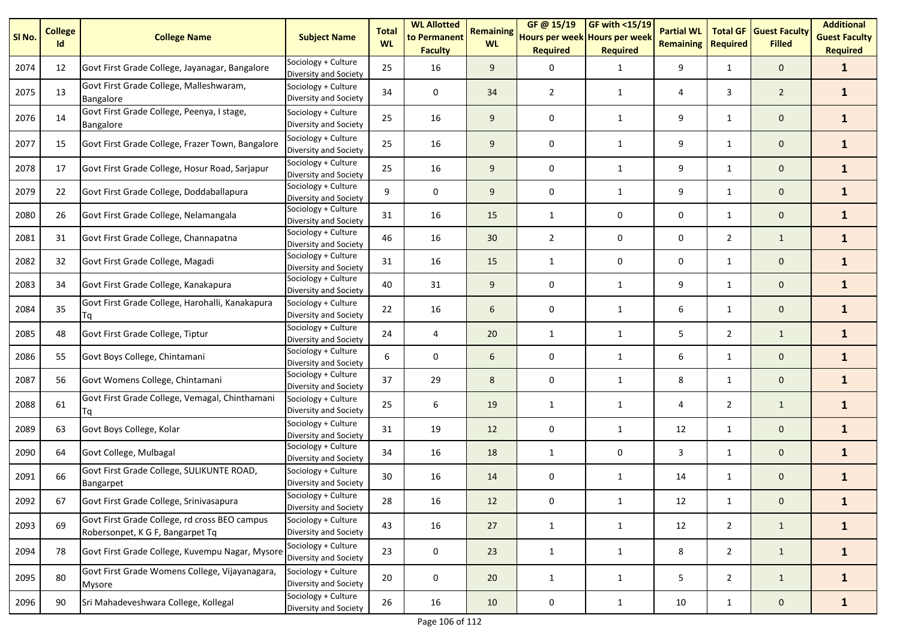| SI No. | <b>College</b><br>Id | <b>College Name</b>                                                               | <b>Subject Name</b>                          | <b>Total</b><br><b>WL</b> | <b>WL Allotted</b><br>to Permanent<br><b>Faculty</b> | <b>Remaining</b><br><b>WL</b> | GF @ 15/19<br>Hours per week Hours per week<br><b>Required</b> | <b>GF with &lt;15/19</b><br><b>Required</b> | <b>Partial WL</b><br><b>Remaining</b> | <b>Total GF</b><br><b>Required</b> | <b>Guest Faculty</b><br><b>Filled</b> | <b>Additional</b><br><b>Guest Faculty</b><br><b>Required</b> |
|--------|----------------------|-----------------------------------------------------------------------------------|----------------------------------------------|---------------------------|------------------------------------------------------|-------------------------------|----------------------------------------------------------------|---------------------------------------------|---------------------------------------|------------------------------------|---------------------------------------|--------------------------------------------------------------|
| 2074   | 12                   | Govt First Grade College, Jayanagar, Bangalore                                    | Sociology + Culture<br>Diversity and Society | 25                        | 16                                                   | 9                             | 0                                                              | $\mathbf{1}$                                | 9                                     | 1                                  | $\mathbf 0$                           | $\mathbf{1}$                                                 |
| 2075   | 13                   | Govt First Grade College, Malleshwaram,<br>Bangalore                              | Sociology + Culture<br>Diversity and Society | 34                        | 0                                                    | 34                            | 2                                                              | 1                                           | 4                                     | 3                                  | $\overline{2}$                        | $\mathbf{1}$                                                 |
| 2076   | 14                   | Govt First Grade College, Peenya, I stage,<br>Bangalore                           | Sociology + Culture<br>Diversity and Society | 25                        | 16                                                   | 9                             | 0                                                              | $\mathbf{1}$                                | 9                                     | 1                                  | 0                                     | $\mathbf{1}$                                                 |
| 2077   | 15                   | Govt First Grade College, Frazer Town, Bangalore                                  | Sociology + Culture<br>Diversity and Society | 25                        | 16                                                   | 9                             | 0                                                              | $\mathbf{1}$                                | 9                                     | $\mathbf{1}$                       | $\mathbf 0$                           | $\mathbf{1}$                                                 |
| 2078   | 17                   | Govt First Grade College, Hosur Road, Sarjapur                                    | Sociology + Culture<br>Diversity and Society | 25                        | 16                                                   | 9                             | 0                                                              | $\mathbf{1}$                                | 9                                     | $\mathbf{1}$                       | 0                                     | $\mathbf{1}$                                                 |
| 2079   | 22                   | Govt First Grade College, Doddaballapura                                          | Sociology + Culture<br>Diversity and Society | 9                         | 0                                                    | 9                             | 0                                                              | $\mathbf{1}$                                | 9                                     | $\mathbf{1}$                       | $\mathbf 0$                           | $\mathbf{1}$                                                 |
| 2080   | 26                   | Govt First Grade College, Nelamangala                                             | Sociology + Culture<br>Diversity and Society | 31                        | 16                                                   | 15                            | 1                                                              | 0                                           | 0                                     | $\mathbf{1}$                       | $\mathbf 0$                           | $\mathbf{1}$                                                 |
| 2081   | 31                   | Govt First Grade College, Channapatna                                             | Sociology + Culture<br>Diversity and Society | 46                        | 16                                                   | 30                            | $\overline{2}$                                                 | 0                                           | 0                                     | $\overline{2}$                     | $\mathbf{1}$                          | $\mathbf{1}$                                                 |
| 2082   | 32                   | Govt First Grade College, Magadi                                                  | Sociology + Culture<br>Diversity and Society | 31                        | 16                                                   | 15                            | $\mathbf{1}$                                                   | 0                                           | 0                                     | $\mathbf{1}$                       | $\mathbf 0$                           | $\mathbf{1}$                                                 |
| 2083   | 34                   | Govt First Grade College, Kanakapura                                              | Sociology + Culture<br>Diversity and Society | 40                        | 31                                                   | 9                             | 0                                                              | $\mathbf{1}$                                | 9                                     | $\mathbf{1}$                       | 0                                     | $\mathbf{1}$                                                 |
| 2084   | 35                   | Govt First Grade College, Harohalli, Kanakapura<br>Tq                             | Sociology + Culture<br>Diversity and Society | 22                        | 16                                                   | 6                             | 0                                                              | $\mathbf{1}$                                | 6                                     | $\mathbf{1}$                       | $\mathbf 0$                           | $\mathbf{1}$                                                 |
| 2085   | 48                   | Govt First Grade College, Tiptur                                                  | Sociology + Culture<br>Diversity and Society | 24                        | 4                                                    | 20                            | $\mathbf{1}$                                                   | $\mathbf{1}$                                | 5                                     | $\overline{2}$                     | $\mathbf{1}$                          | $\mathbf{1}$                                                 |
| 2086   | 55                   | Govt Boys College, Chintamani                                                     | Sociology + Culture<br>Diversity and Society | 6                         | 0                                                    | 6                             | 0                                                              | $\mathbf{1}$                                | 6                                     | $\mathbf{1}$                       | $\mathbf 0$                           | $\mathbf{1}$                                                 |
| 2087   | 56                   | Govt Womens College, Chintamani                                                   | Sociology + Culture<br>Diversity and Society | 37                        | 29                                                   | 8                             | 0                                                              | $\mathbf{1}$                                | 8                                     | $\mathbf{1}$                       | $\mathbf 0$                           | $\mathbf{1}$                                                 |
| 2088   | 61                   | Govt First Grade College, Vemagal, Chinthamani<br>Tq                              | Sociology + Culture<br>Diversity and Society | 25                        | 6                                                    | 19                            | $\mathbf{1}$                                                   | $\mathbf{1}$                                | 4                                     | $\overline{2}$                     | $\mathbf{1}$                          | $\mathbf{1}$                                                 |
| 2089   | 63                   | Govt Boys College, Kolar                                                          | Sociology + Culture<br>Diversity and Society | 31                        | 19                                                   | 12                            | 0                                                              | $\mathbf{1}$                                | 12                                    | $\mathbf{1}$                       | $\mathbf 0$                           | $\mathbf{1}$                                                 |
| 2090   | 64                   | Govt College, Mulbagal                                                            | Sociology + Culture<br>Diversity and Society | 34                        | 16                                                   | 18                            | $\mathbf{1}$                                                   | 0                                           | 3                                     | $\mathbf{1}$                       | 0                                     | $\mathbf{1}$                                                 |
| 2091   | 66                   | Govt First Grade College, SULIKUNTE ROAD,<br>Bangarpet                            | Sociology + Culture<br>Diversity and Society | 30                        | 16                                                   | 14                            | 0                                                              | 1                                           | 14                                    | $\mathbf{1}$                       | 0                                     | $\mathbf{1}$                                                 |
| 2092   | 67                   | Govt First Grade College, Srinivasapura                                           | Sociology + Culture<br>Diversity and Society | 28                        | 16                                                   | 12                            | 0                                                              | $\mathbf{1}$                                | 12                                    | $\mathbf{1}$                       | 0                                     | $\mathbf{1}$                                                 |
| 2093   | 69                   | Govt First Grade College, rd cross BEO campus<br>Robersonpet, K G F, Bangarpet Tq | Sociology + Culture<br>Diversity and Society | 43                        | 16                                                   | 27                            | $\mathbf{1}$                                                   | $\mathbf{1}$                                | 12                                    | $\overline{2}$                     | $\mathbf{1}$                          | $\mathbf{1}$                                                 |
| 2094   | 78                   | Govt First Grade College, Kuvempu Nagar, Mysore                                   | Sociology + Culture<br>Diversity and Society | 23                        | 0                                                    | 23                            | $\mathbf{1}$                                                   | $\mathbf{1}$                                | 8                                     | $\overline{2}$                     | $\mathbf{1}$                          | $\mathbf{1}$                                                 |
| 2095   | 80                   | Govt First Grade Womens College, Vijayanagara,<br><b>Mysore</b>                   | Sociology + Culture<br>Diversity and Society | 20                        | 0                                                    | 20                            | $\mathbf{1}$                                                   | $\mathbf{1}$                                | 5                                     | $\overline{2}$                     | $\mathbf{1}$                          | $\mathbf{1}$                                                 |
| 2096   | 90                   | Sri Mahadeveshwara College, Kollegal                                              | Sociology + Culture<br>Diversity and Society | 26                        | 16                                                   | 10                            | $\pmb{0}$                                                      | $\mathbf{1}$                                | 10                                    | $\mathbf{1}$                       | $\mathbf 0$                           | $\mathbf{1}$                                                 |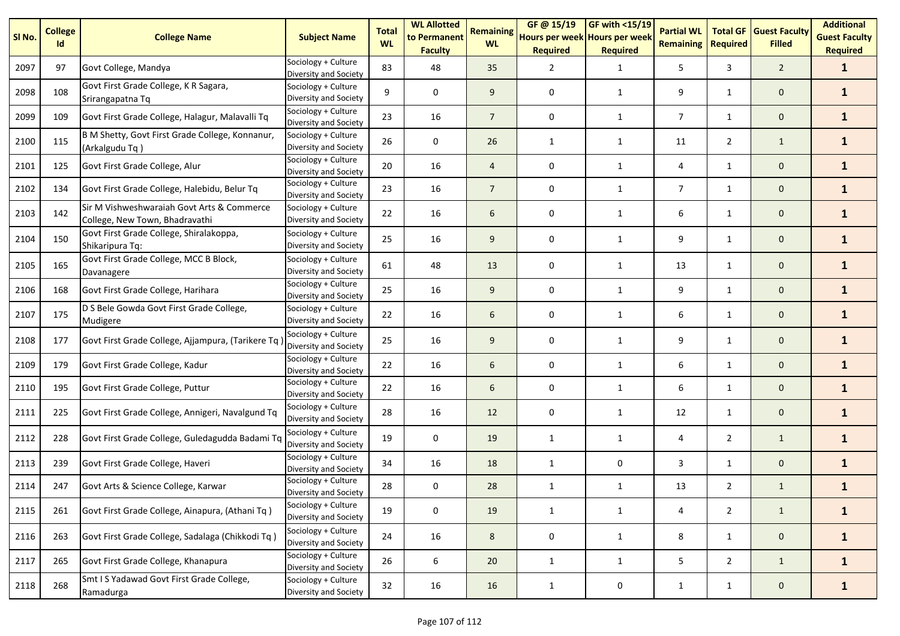| SI No. | <b>College</b><br>Id | <b>College Name</b>                                                          | <b>Subject Name</b>                          | <b>Total</b><br><b>WL</b> | <b>WL Allotted</b><br>to Permanent<br><b>Faculty</b> | <b>Remaining</b><br><b>WL</b> | GF@ 15/19<br>Hours per week Hours per week<br><b>Required</b> | GF with <15/19<br><b>Required</b> | <b>Partial WL</b><br><b>Remaining</b> | <b>Total GF</b><br><b>Required</b> | <b>Guest Faculty</b><br><b>Filled</b> | <b>Additional</b><br><b>Guest Faculty</b><br><b>Required</b> |
|--------|----------------------|------------------------------------------------------------------------------|----------------------------------------------|---------------------------|------------------------------------------------------|-------------------------------|---------------------------------------------------------------|-----------------------------------|---------------------------------------|------------------------------------|---------------------------------------|--------------------------------------------------------------|
| 2097   | 97                   | Govt College, Mandya                                                         | Sociology + Culture<br>Diversity and Society | 83                        | 48                                                   | 35                            | 2                                                             | $\mathbf{1}$                      | 5                                     | 3                                  | $\overline{2}$                        | $\mathbf{1}$                                                 |
| 2098   | 108                  | Govt First Grade College, K R Sagara,<br>Srirangapatna Tq                    | Sociology + Culture<br>Diversity and Society | 9                         | 0                                                    | 9                             | 0                                                             | $\mathbf{1}$                      | 9                                     | $\mathbf{1}$                       | $\mathbf 0$                           | $\mathbf{1}$                                                 |
| 2099   | 109                  | Govt First Grade College, Halagur, Malavalli Tq                              | Sociology + Culture<br>Diversity and Society | 23                        | 16                                                   | $\overline{7}$                | 0                                                             | $\mathbf{1}$                      | $\overline{7}$                        | $\mathbf{1}$                       | $\mathbf 0$                           | $\mathbf{1}$                                                 |
| 2100   | 115                  | B M Shetty, Govt First Grade College, Konnanur,<br>(Arkalgudu Tq)            | Sociology + Culture<br>Diversity and Society | 26                        | 0                                                    | 26                            | 1                                                             | 1                                 | 11                                    | $\overline{2}$                     | $\mathbf{1}$                          | $\mathbf{1}$                                                 |
| 2101   | 125                  | Govt First Grade College, Alur                                               | Sociology + Culture<br>Diversity and Society | 20                        | 16                                                   | $\overline{4}$                | 0                                                             | $\mathbf{1}$                      | 4                                     | $\mathbf{1}$                       | $\mathbf 0$                           | $\mathbf{1}$                                                 |
| 2102   | 134                  | Govt First Grade College, Halebidu, Belur Tq                                 | Sociology + Culture<br>Diversity and Society | 23                        | 16                                                   | $\overline{7}$                | 0                                                             | 1                                 | $\overline{7}$                        | $\mathbf{1}$                       | $\mathbf 0$                           | $\mathbf{1}$                                                 |
| 2103   | 142                  | Sir M Vishweshwaraiah Govt Arts & Commerce<br>College, New Town, Bhadravathi | Sociology + Culture<br>Diversity and Society | 22                        | 16                                                   | 6                             | 0                                                             | $\mathbf{1}$                      | 6                                     | $\mathbf{1}$                       | $\mathbf 0$                           | $\mathbf{1}$                                                 |
| 2104   | 150                  | Govt First Grade College, Shiralakoppa,<br>Shikaripura Tq:                   | Sociology + Culture<br>Diversity and Society | 25                        | 16                                                   | 9                             | 0                                                             | 1                                 | 9                                     | $\mathbf{1}$                       | $\mathbf 0$                           | $\mathbf{1}$                                                 |
| 2105   | 165                  | Govt First Grade College, MCC B Block,<br>Davanagere                         | Sociology + Culture<br>Diversity and Society | 61                        | 48                                                   | 13                            | 0                                                             | 1                                 | 13                                    | $\mathbf{1}$                       | $\mathbf 0$                           | $\mathbf{1}$                                                 |
| 2106   | 168                  | Govt First Grade College, Harihara                                           | Sociology + Culture<br>Diversity and Society | 25                        | 16                                                   | 9                             | 0                                                             | $\mathbf{1}$                      | 9                                     | $\mathbf{1}$                       | $\mathbf 0$                           | $\mathbf{1}$                                                 |
| 2107   | 175                  | D S Bele Gowda Govt First Grade College,<br>Mudigere                         | Sociology + Culture<br>Diversity and Society | 22                        | 16                                                   | 6                             | 0                                                             | $\mathbf{1}$                      | 6                                     | $\mathbf{1}$                       | $\mathbf 0$                           | $\mathbf{1}$                                                 |
| 2108   | 177                  | Govt First Grade College, Ajjampura, (Tarikere Tq)                           | Sociology + Culture<br>Diversity and Society | 25                        | 16                                                   | 9                             | 0                                                             | $\mathbf{1}$                      | 9                                     | $\mathbf{1}$                       | $\mathbf 0$                           | $\mathbf{1}$                                                 |
| 2109   | 179                  | Govt First Grade College, Kadur                                              | Sociology + Culture<br>Diversity and Society | 22                        | 16                                                   | 6                             | 0                                                             | $\mathbf{1}$                      | 6                                     | $\mathbf{1}$                       | $\mathbf 0$                           | $\mathbf{1}$                                                 |
| 2110   | 195                  | Govt First Grade College, Puttur                                             | Sociology + Culture<br>Diversity and Society | 22                        | 16                                                   | 6                             | 0                                                             | 1                                 | 6                                     | $\mathbf{1}$                       | $\mathbf{0}$                          | $\mathbf{1}$                                                 |
| 2111   | 225                  | Govt First Grade College, Annigeri, Navalgund Tq                             | Sociology + Culture<br>Diversity and Society | 28                        | 16                                                   | 12                            | 0                                                             | $\mathbf{1}$                      | 12                                    | $\mathbf{1}$                       | $\mathbf{0}$                          | $\mathbf{1}$                                                 |
| 2112   | 228                  | Govt First Grade College, Guledagudda Badami Tq                              | Sociology + Culture<br>Diversity and Society | 19                        | 0                                                    | 19                            | 1                                                             | $\mathbf{1}$                      | 4                                     | $\overline{2}$                     | $\mathbf{1}$                          | $\mathbf{1}$                                                 |
| 2113   | 239                  | Govt First Grade College, Haveri                                             | Sociology + Culture<br>Diversity and Society | 34                        | 16                                                   | 18                            | 1                                                             | 0                                 | 3                                     | $\mathbf{1}$                       | $\mathbf 0$                           | $\mathbf{1}$                                                 |
| 2114   | 247                  | Govt Arts & Science College, Karwar                                          | Sociology + Culture<br>Diversity and Society | 28                        | 0                                                    | 28                            | 1                                                             | 1                                 | 13                                    | $\overline{2}$                     | $\mathbf{1}$                          | $\mathbf{1}$                                                 |
| 2115   | 261                  | Govt First Grade College, Ainapura, (Athani Tq)                              | Sociology + Culture<br>Diversity and Society | 19                        | 0                                                    | 19                            | $\mathbf{1}$                                                  | $\mathbf{1}$                      | 4                                     | $\overline{2}$                     | $\mathbf{1}$                          | $\mathbf{1}$                                                 |
| 2116   | 263                  | Govt First Grade College, Sadalaga (Chikkodi Tq)                             | Sociology + Culture<br>Diversity and Society | 24                        | 16                                                   | 8                             | 0                                                             | $\mathbf{1}$                      | 8                                     | $\mathbf{1}$                       | $\mathsf{O}\xspace$                   | $\mathbf{1}$                                                 |
| 2117   | 265                  | Govt First Grade College, Khanapura                                          | Sociology + Culture<br>Diversity and Society | 26                        | 6                                                    | 20                            | $\mathbf{1}$                                                  | $\mathbf{1}$                      | 5                                     | $\overline{2}$                     | $\mathbf{1}$                          | $\mathbf{1}$                                                 |
| 2118   | 268                  | Smt I S Yadawad Govt First Grade College,<br>Ramadurga                       | Sociology + Culture<br>Diversity and Society | 32                        | 16                                                   | 16                            | $\mathbf{1}$                                                  | $\pmb{0}$                         | $\mathbf{1}$                          | $\mathbf{1}$                       | $\mathbf 0$                           | $\mathbf{1}$                                                 |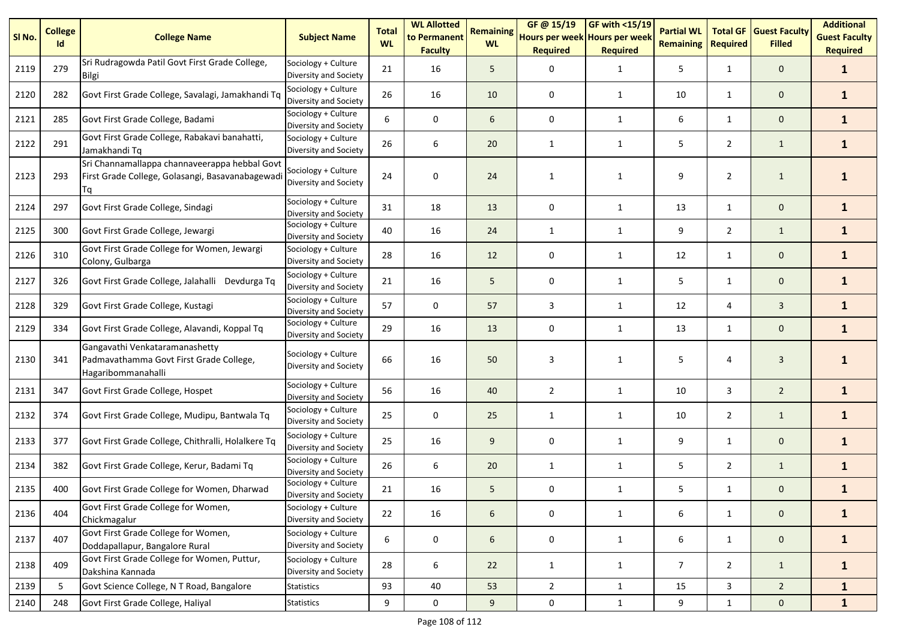| SI <sub>No.</sub> | <b>College</b><br>Id | <b>College Name</b>                                                                                    | <b>Subject Name</b>                          | <b>Total</b><br><b>WL</b> | <b>WL Allotted</b><br>to Permanent<br><b>Faculty</b> | <b>Remaining</b><br><b>WL</b> | GF @ 15/19<br>Hours per week Hours per week<br><b>Required</b> | GF with <15/19<br><b>Required</b> | <b>Partial WL</b><br><b>Remaining</b> | <b>Total GF</b><br><b>Required</b> | <b>Guest Faculty</b><br><b>Filled</b> | <b>Additional</b><br><b>Guest Faculty</b><br><b>Required</b> |
|-------------------|----------------------|--------------------------------------------------------------------------------------------------------|----------------------------------------------|---------------------------|------------------------------------------------------|-------------------------------|----------------------------------------------------------------|-----------------------------------|---------------------------------------|------------------------------------|---------------------------------------|--------------------------------------------------------------|
| 2119              | 279                  | Sri Rudragowda Patil Govt First Grade College,<br><b>Bilgi</b>                                         | Sociology + Culture<br>Diversity and Society | 21                        | 16                                                   | 5                             | 0                                                              | $\mathbf{1}$                      | 5                                     | $\mathbf{1}$                       | $\mathbf 0$                           | $\mathbf{1}$                                                 |
| 2120              | 282                  | Govt First Grade College, Savalagi, Jamakhandi Tq                                                      | Sociology + Culture<br>Diversity and Society | 26                        | 16                                                   | 10                            | 0                                                              | $\mathbf{1}$                      | $10\,$                                | $\mathbf{1}$                       | $\mathbf 0$                           | $\mathbf{1}$                                                 |
| 2121              | 285                  | Govt First Grade College, Badami                                                                       | Sociology + Culture<br>Diversity and Society | 6                         | 0                                                    | 6                             | 0                                                              | $\mathbf{1}$                      | 6                                     | $\mathbf{1}$                       | $\mathbf 0$                           | $\mathbf{1}$                                                 |
| 2122              | 291                  | Govt First Grade College, Rabakavi banahatti,<br>Jamakhandi Tq                                         | Sociology + Culture<br>Diversity and Society | 26                        | 6                                                    | 20                            | 1                                                              | 1                                 | 5                                     | $\overline{2}$                     | $\mathbf{1}$                          | $\mathbf{1}$                                                 |
| 2123              | 293                  | Sri Channamallappa channaveerappa hebbal Govt<br>First Grade College, Golasangi, Basavanabagewad<br>Ta | Sociology + Culture<br>Diversity and Society | 24                        | 0                                                    | 24                            | 1                                                              | 1                                 | 9                                     | $\overline{2}$                     | $\mathbf{1}$                          |                                                              |
| 2124              | 297                  | Govt First Grade College, Sindagi                                                                      | Sociology + Culture<br>Diversity and Society | 31                        | 18                                                   | 13                            | 0                                                              | 1                                 | 13                                    | 1                                  | $\mathbf{0}$                          | $\mathbf{1}$                                                 |
| 2125              | 300                  | Govt First Grade College, Jewargi                                                                      | Sociology + Culture<br>Diversity and Society | 40                        | 16                                                   | 24                            | $\mathbf{1}$                                                   | $\mathbf{1}$                      | 9                                     | $\overline{2}$                     | $\mathbf{1}$                          | $\mathbf{1}$                                                 |
| 2126              | 310                  | Govt First Grade College for Women, Jewargi<br>Colony, Gulbarga                                        | Sociology + Culture<br>Diversity and Society | 28                        | 16                                                   | 12                            | 0                                                              | $\mathbf{1}$                      | 12                                    | $\mathbf{1}$                       | $\mathbf 0$                           | $\mathbf{1}$                                                 |
| 2127              | 326                  | Govt First Grade College, Jalahalli Devdurga Tq                                                        | Sociology + Culture<br>Diversity and Society | 21                        | 16                                                   | 5                             | 0                                                              | 1                                 | 5                                     | $\mathbf{1}$                       | $\mathbf 0$                           | $\mathbf{1}$                                                 |
| 2128              | 329                  | Govt First Grade College, Kustagi                                                                      | Sociology + Culture<br>Diversity and Society | 57                        | $\mathbf 0$                                          | 57                            | 3                                                              | $\mathbf{1}$                      | 12                                    | 4                                  | $\overline{3}$                        | $\mathbf{1}$                                                 |
| 2129              | 334                  | Govt First Grade College, Alavandi, Koppal Tq                                                          | Sociology + Culture<br>Diversity and Society | 29                        | 16                                                   | 13                            | $\mathbf 0$                                                    | 1                                 | 13                                    | $\mathbf{1}$                       | $\mathbf 0$                           | $\mathbf{1}$                                                 |
| 2130              | 341                  | Gangavathi Venkataramanashetty<br>Padmavathamma Govt First Grade College,<br>Hagaribommanahalli        | Sociology + Culture<br>Diversity and Society | 66                        | 16                                                   | 50                            | 3                                                              | $\mathbf{1}$                      | 5                                     | 4                                  | 3                                     | 1                                                            |
| 2131              | 347                  | Govt First Grade College, Hospet                                                                       | Sociology + Culture<br>Diversity and Society | 56                        | 16                                                   | 40                            | $\overline{2}$                                                 | $\mathbf{1}$                      | 10                                    | 3                                  | $\overline{2}$                        | $\mathbf{1}$                                                 |
| 2132              | 374                  | Govt First Grade College, Mudipu, Bantwala Tq                                                          | Sociology + Culture<br>Diversity and Society | 25                        | 0                                                    | 25                            | $\mathbf{1}$                                                   | $\mathbf{1}$                      | 10                                    | $\overline{2}$                     | $\mathbf{1}$                          | $\mathbf{1}$                                                 |
| 2133              | 377                  | Govt First Grade College, Chithralli, Holalkere Tq                                                     | Sociology + Culture<br>Diversity and Society | 25                        | 16                                                   | 9                             | 0                                                              | $\mathbf{1}$                      | 9                                     | $\mathbf{1}$                       | $\mathbf 0$                           | $\mathbf{1}$                                                 |
| 2134              | 382                  | Govt First Grade College, Kerur, Badami Tq                                                             | Sociology + Culture<br>Diversity and Society | 26                        | 6                                                    | 20                            | $\mathbf{1}$                                                   | $\mathbf{1}$                      | 5                                     | $\overline{2}$                     | $\mathbf{1}$                          | $\mathbf{1}$                                                 |
| 2135              | 400                  | Govt First Grade College for Women, Dharwad                                                            | Sociology + Culture<br>Diversity and Society | 21                        | 16                                                   | 5                             | 0                                                              | 1                                 | 5                                     | $\mathbf{1}$                       | 0                                     | 1                                                            |
| 2136              | 404                  | Govt First Grade College for Women,<br>Chickmagalur                                                    | Sociology + Culture<br>Diversity and Society | 22                        | 16                                                   | 6                             | 0                                                              | $\mathbf{1}$                      | 6                                     | $\mathbf{1}$                       | $\mathbf 0$                           | $\mathbf{1}$                                                 |
| 2137              | 407                  | Govt First Grade College for Women,<br>Doddapallapur, Bangalore Rural                                  | Sociology + Culture<br>Diversity and Society | 6                         | 0                                                    | 6                             | 0                                                              | $\mathbf{1}$                      | 6                                     | $\mathbf{1}$                       | $\mathbf 0$                           | $\mathbf{1}$                                                 |
| 2138              | 409                  | Govt First Grade College for Women, Puttur,<br>Dakshina Kannada                                        | Sociology + Culture<br>Diversity and Society | 28                        | 6                                                    | 22                            | $\mathbf{1}$                                                   | $\mathbf{1}$                      | $\overline{7}$                        | $\overline{2}$                     | $\mathbf{1}$                          | $\mathbf{1}$                                                 |
| 2139              | 5                    | Govt Science College, N T Road, Bangalore                                                              | <b>Statistics</b>                            | 93                        | 40                                                   | 53                            | $\overline{2}$                                                 | $\mathbf{1}$                      | 15                                    | $\mathbf{3}$                       | $\overline{2}$                        | $\mathbf{1}$                                                 |
| 2140              | 248                  | Govt First Grade College, Haliyal                                                                      | <b>Statistics</b>                            | 9                         | $\mathsf{O}\xspace$                                  | 9                             | 0                                                              | $\mathbf{1}$                      | 9                                     | $\mathbf{1}$                       | $\mathbf 0$                           | $\mathbf{1}$                                                 |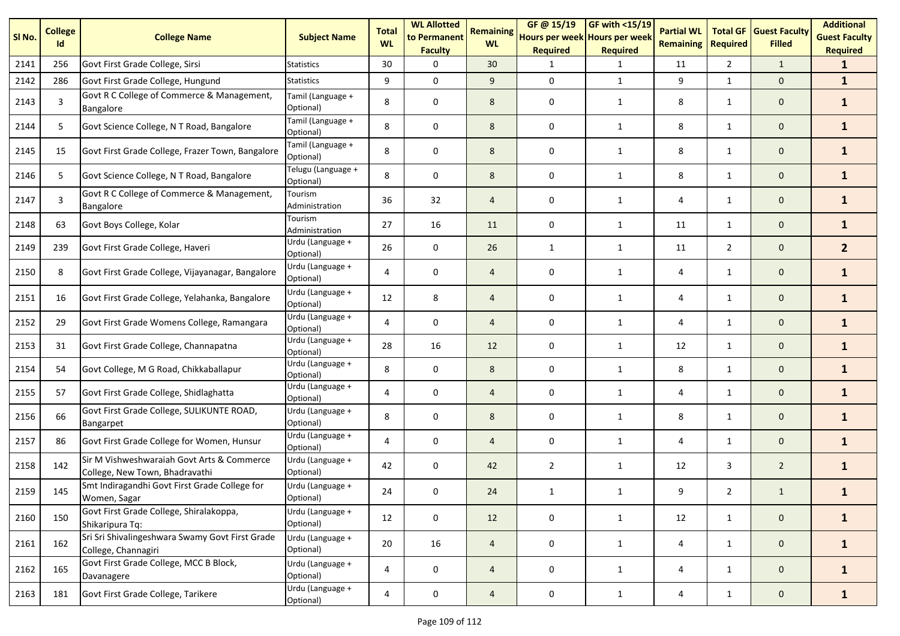| SI No. | <b>College</b><br>Id | <b>College Name</b>                                                          | <b>Subject Name</b>             | <b>Total</b><br><b>WL</b> | <b>WL Allotted</b><br>to Permanent<br><b>Faculty</b> | <b>Remaining</b><br><b>WL</b> | GF@ 15/19<br>Hours per week Hours per week<br><b>Required</b> | <b>GF with &lt;15/19</b><br><b>Required</b> | <b>Partial WL</b><br><b>Remaining</b> | <b>Total GF</b><br><b>Required</b> | <b>Guest Faculty</b><br><b>Filled</b> | <b>Additional</b><br><b>Guest Faculty</b><br><b>Required</b> |
|--------|----------------------|------------------------------------------------------------------------------|---------------------------------|---------------------------|------------------------------------------------------|-------------------------------|---------------------------------------------------------------|---------------------------------------------|---------------------------------------|------------------------------------|---------------------------------------|--------------------------------------------------------------|
| 2141   | 256                  | Govt First Grade College, Sirsi                                              | Statistics                      | 30                        | $\Omega$                                             | 30                            | -1                                                            | 1                                           | 11                                    | $\overline{2}$                     | $\mathbf{1}$                          | $\mathbf{1}$                                                 |
| 2142   | 286                  | Govt First Grade College, Hungund                                            | <b>Statistics</b>               | 9                         | $\Omega$                                             | 9                             | $\mathbf 0$                                                   | $\mathbf{1}$                                | 9                                     | $\mathbf{1}$                       | $\mathbf{0}$                          | $\mathbf{1}$                                                 |
| 2143   | $\overline{3}$       | Govt R C College of Commerce & Management,<br>Bangalore                      | Tamil (Language +<br>Optional)  | 8                         | $\mathbf 0$                                          | 8                             | 0                                                             | $\mathbf{1}$                                | 8                                     | $\mathbf{1}$                       | $\mathbf 0$                           | $\mathbf{1}$                                                 |
| 2144   | 5                    | Govt Science College, N T Road, Bangalore                                    | Tamil (Language +<br>Optional)  | 8                         | 0                                                    | 8                             | 0                                                             | $\mathbf{1}$                                | 8                                     | $\mathbf{1}$                       | $\mathbf 0$                           | $\mathbf{1}$                                                 |
| 2145   | 15                   | Govt First Grade College, Frazer Town, Bangalore                             | Tamil (Language +<br>Optional)  | 8                         | 0                                                    | 8                             | 0                                                             | 1                                           | 8                                     | $\mathbf{1}$                       | $\mathbf 0$                           | $\mathbf{1}$                                                 |
| 2146   | 5                    | Govt Science College, N T Road, Bangalore                                    | Telugu (Language +<br>Optional) | 8                         | $\mathbf 0$                                          | 8                             | 0                                                             | $\mathbf{1}$                                | 8                                     | $\mathbf{1}$                       | $\mathbf 0$                           | $\mathbf{1}$                                                 |
| 2147   | 3                    | Govt R C College of Commerce & Management,<br>Bangalore                      | Tourism<br>Administration       | 36                        | 32                                                   | $\overline{4}$                | 0                                                             | 1                                           | 4                                     | $\mathbf{1}$                       | $\mathbf 0$                           | $\mathbf{1}$                                                 |
| 2148   | 63                   | Govt Boys College, Kolar                                                     | Tourism<br>Administration       | 27                        | 16                                                   | 11                            | $\mathbf 0$                                                   | $\mathbf{1}$                                | 11                                    | $\mathbf{1}$                       | $\mathbf 0$                           | $\mathbf{1}$                                                 |
| 2149   | 239                  | Govt First Grade College, Haveri                                             | Urdu (Language +<br>Optional)   | 26                        | 0                                                    | 26                            | $\mathbf{1}$                                                  | $\mathbf{1}$                                | 11                                    | $\overline{2}$                     | $\mathbf 0$                           | 2 <sup>1</sup>                                               |
| 2150   | 8                    | Govt First Grade College, Vijayanagar, Bangalore                             | Urdu (Language +<br>Optional)   | 4                         | 0                                                    | $\overline{4}$                | 0                                                             | $\mathbf{1}$                                | 4                                     | $\mathbf{1}$                       | $\mathbf 0$                           | $\mathbf{1}$                                                 |
| 2151   | 16                   | Govt First Grade College, Yelahanka, Bangalore                               | Urdu (Language +<br>Optional)   | 12                        | 8                                                    | $\overline{4}$                | 0                                                             | $\mathbf{1}$                                | 4                                     | $\mathbf{1}$                       | $\mathbf 0$                           | $\mathbf{1}$                                                 |
| 2152   | 29                   | Govt First Grade Womens College, Ramangara                                   | Urdu (Language +<br>Optional)   | 4                         | 0                                                    | $\overline{4}$                | 0                                                             | $\mathbf{1}$                                | 4                                     | 1                                  | $\mathbf 0$                           | $\mathbf{1}$                                                 |
| 2153   | 31                   | Govt First Grade College, Channapatna                                        | Urdu (Language +<br>Optional)   | 28                        | 16                                                   | 12                            | $\mathbf 0$                                                   | $\mathbf{1}$                                | 12                                    | $\mathbf{1}$                       | $\mathbf 0$                           | $\mathbf{1}$                                                 |
| 2154   | 54                   | Govt College, M G Road, Chikkaballapur                                       | Urdu (Language +<br>Optional)   | 8                         | $\mathbf 0$                                          | 8                             | $\mathbf 0$                                                   | $\mathbf{1}$                                | 8                                     | $\mathbf{1}$                       | $\mathbf 0$                           | $\mathbf{1}$                                                 |
| 2155   | 57                   | Govt First Grade College, Shidlaghatta                                       | Urdu (Language +<br>Optional)   | 4                         | 0                                                    | $\overline{4}$                | $\mathbf 0$                                                   | $\mathbf{1}$                                | 4                                     | $\mathbf{1}$                       | $\mathbf 0$                           | $\mathbf{1}$                                                 |
| 2156   | 66                   | Govt First Grade College, SULIKUNTE ROAD,<br>Bangarpet                       | Urdu (Language +<br>Optional)   | 8                         | 0                                                    | 8                             | 0                                                             | $\mathbf{1}$                                | 8                                     | $\mathbf{1}$                       | $\mathbf 0$                           | $\mathbf{1}$                                                 |
| 2157   | 86                   | Govt First Grade College for Women, Hunsur                                   | Urdu (Language +<br>Optional)   | 4                         | 0                                                    | $\overline{4}$                | 0                                                             | $\mathbf{1}$                                | 4                                     | $\mathbf{1}$                       | $\mathbf 0$                           | $\mathbf{1}$                                                 |
| 2158   | 142                  | Sir M Vishweshwaraiah Govt Arts & Commerce<br>College, New Town, Bhadravathi | Urdu (Language +<br>Optional)   | 42                        | 0                                                    | 42                            | $\overline{2}$                                                | $\mathbf{1}$                                | 12                                    | 3                                  | $\overline{2}$                        | $\mathbf{1}$                                                 |
| 2159   | 145                  | Smt Indiragandhi Govt First Grade College for<br>Women, Sagar                | Urdu (Language +<br>Optional)   | 24                        | 0                                                    | 24                            | 1                                                             | 1                                           | 9                                     | $\overline{2}$                     | $\mathbf{1}$                          | $\mathbf{1}$                                                 |
| 2160   | 150                  | Govt First Grade College, Shiralakoppa,<br>Shikaripura Tq:                   | Urdu (Language +<br>Optional)   | 12                        | 0                                                    | 12                            | 0                                                             | 1                                           | 12                                    | $\mathbf{1}$                       | $\mathbf{0}$                          | $\mathbf{1}$                                                 |
| 2161   | 162                  | Sri Sri Shivalingeshwara Swamy Govt First Grade<br>College, Channagiri       | Urdu (Language +<br>Optional)   | 20                        | 16                                                   | $\overline{4}$                | 0                                                             | 1                                           | 4                                     | $\mathbf{1}$                       | $\mathbf{0}$                          | $\mathbf{1}$                                                 |
| 2162   | 165                  | Govt First Grade College, MCC B Block,<br>Davanagere                         | Urdu (Language +<br>Optional)   | 4                         | 0                                                    | $\overline{4}$                | 0                                                             | $\mathbf{1}$                                | 4                                     | $\mathbf{1}$                       | $\mathbf 0$                           | $\mathbf{1}$                                                 |
| 2163   | 181                  | Govt First Grade College, Tarikere                                           | Urdu (Language +<br>Optional)   | 4                         | $\pmb{0}$                                            | $\overline{a}$                | $\pmb{0}$                                                     | $\mathbf{1}$                                | 4                                     | $\mathbf{1}$                       | $\mathbf{0}$                          | $\mathbf{1}$                                                 |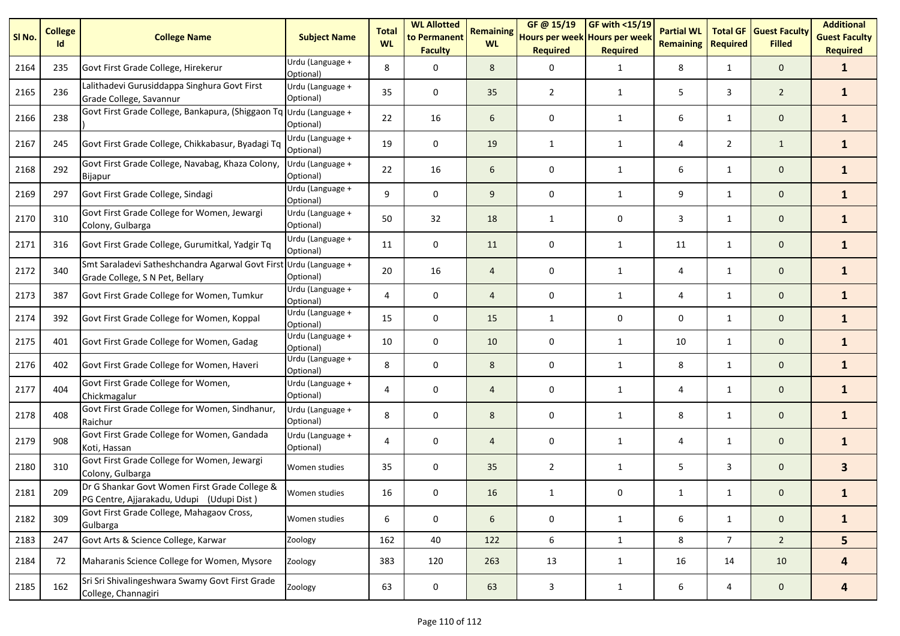| SI No. | <b>College</b><br>Id | <b>College Name</b>                                                                        | <b>Subject Name</b>                         | <b>Total</b><br><b>WL</b> | <b>WL Allotted</b><br>to Permanent<br><b>Faculty</b> | <b>Remaining</b><br><b>WL</b> | GF @ 15/19<br>Hours per week Hours per week<br><b>Required</b> | <b>GF with &lt;15/19</b><br><b>Required</b> | <b>Partial WL</b><br><b>Remaining</b> | <b>Total GF</b><br><b>Required</b> | <b>Guest Faculty</b><br><b>Filled</b> | <b>Additional</b><br><b>Guest Faculty</b><br><b>Required</b> |
|--------|----------------------|--------------------------------------------------------------------------------------------|---------------------------------------------|---------------------------|------------------------------------------------------|-------------------------------|----------------------------------------------------------------|---------------------------------------------|---------------------------------------|------------------------------------|---------------------------------------|--------------------------------------------------------------|
| 2164   | 235                  | Govt First Grade College, Hirekerur                                                        | Urdu (Language +<br>Optional)               | 8                         | 0                                                    | 8                             | $\Omega$                                                       | 1                                           | 8                                     | $\mathbf{1}$                       | $\mathbf 0$                           | $\mathbf{1}$                                                 |
| 2165   | 236                  | Lalithadevi Gurusiddappa Singhura Govt First<br>Grade College, Savannur                    | Urdu (Language +<br>Optional)               | 35                        | 0                                                    | 35                            | 2                                                              | 1                                           | 5                                     | 3                                  | $\overline{2}$                        | $\mathbf{1}$                                                 |
| 2166   | 238                  | Govt First Grade College, Bankapura, (Shiggaon Tq                                          | Urdu (Language +<br>Optional)               | 22                        | 16                                                   | 6                             | 0                                                              | 1                                           | 6                                     | $\mathbf{1}$                       | $\mathbf 0$                           | $\mathbf{1}$                                                 |
| 2167   | 245                  | Govt First Grade College, Chikkabasur, Byadagi Tq                                          | Urdu (Language +<br>Optional)               | 19                        | 0                                                    | 19                            | 1                                                              | $\mathbf{1}$                                | 4                                     | $\overline{2}$                     | $\mathbf{1}$                          | $\mathbf{1}$                                                 |
| 2168   | 292                  | Govt First Grade College, Navabag, Khaza Colony,<br>Bijapur                                | Urdu (Language +<br>Optional)               | 22                        | 16                                                   | 6                             | 0                                                              | $\mathbf{1}$                                | 6                                     | $\mathbf{1}$                       | $\mathbf 0$                           | $\mathbf{1}$                                                 |
| 2169   | 297                  | Govt First Grade College, Sindagi                                                          | Urdu (Language +<br>Optional)               | 9                         | $\mathbf 0$                                          | 9                             | $\mathbf 0$                                                    | 1                                           | 9                                     | $\mathbf{1}$                       | $\mathbf{0}$                          | $\mathbf{1}$                                                 |
| 2170   | 310                  | Govt First Grade College for Women, Jewargi<br>Colony, Gulbarga                            | Urdu (Language +<br>Optional)               | 50                        | 32                                                   | 18                            | 1                                                              | 0                                           | 3                                     | $\mathbf{1}$                       | $\mathbf 0$                           | $\mathbf{1}$                                                 |
| 2171   | 316                  | Govt First Grade College, Gurumitkal, Yadgir Tq                                            | Urdu (Language +<br>Optional)               | 11                        | 0                                                    | 11                            | 0                                                              | $\mathbf{1}$                                | 11                                    | $\mathbf{1}$                       | $\mathbf 0$                           | $\mathbf{1}$                                                 |
| 2172   | 340                  | Smt Saraladevi Satheshchandra Agarwal Govt Firs<br>Grade College, S N Pet, Bellary         | Urdu (Language +<br>Optional)               | 20                        | 16                                                   | $\overline{4}$                | 0                                                              | 1                                           | 4                                     | $\mathbf{1}$                       | $\mathbf 0$                           | $\mathbf{1}$                                                 |
| 2173   | 387                  | Govt First Grade College for Women, Tumkur                                                 | $\overline{U}$ rdu (Language +<br>Optional) | 4                         | 0                                                    | $\overline{4}$                | $\mathbf 0$                                                    | 1                                           | 4                                     | $\mathbf{1}$                       | $\mathbf 0$                           | $\mathbf{1}$                                                 |
| 2174   | 392                  | Govt First Grade College for Women, Koppal                                                 | Urdu (Language +<br>Optional)               | 15                        | $\mathbf 0$                                          | 15                            | $\mathbf{1}$                                                   | 0                                           | 0                                     | $\mathbf{1}$                       | $\mathbf{0}$                          | $\mathbf{1}$                                                 |
| 2175   | 401                  | Govt First Grade College for Women, Gadag                                                  | Urdu (Language +<br>Optional)               | 10                        | 0                                                    | 10                            | 0                                                              | 1                                           | 10                                    | $\mathbf{1}$                       | $\mathbf{0}$                          | $\mathbf{1}$                                                 |
| 2176   | 402                  | Govt First Grade College for Women, Haveri                                                 | Urdu (Language +<br>Optional)               | 8                         | 0                                                    | 8                             | 0                                                              | 1                                           | 8                                     | $\mathbf{1}$                       | $\mathbf 0$                           | $\mathbf{1}$                                                 |
| 2177   | 404                  | Govt First Grade College for Women,<br>Chickmagalur                                        | Urdu (Language +<br>Optional)               | 4                         | 0                                                    | $\overline{4}$                | 0                                                              | $\mathbf{1}$                                | 4                                     | $\mathbf{1}$                       | $\mathbf 0$                           | $\mathbf{1}$                                                 |
| 2178   | 408                  | Govt First Grade College for Women, Sindhanur,<br>Raichur                                  | Urdu (Language +<br>Optional)               | 8                         | 0                                                    | 8                             | 0                                                              | $\mathbf{1}$                                | 8                                     | $\mathbf{1}$                       | $\mathbf 0$                           | $\mathbf{1}$                                                 |
| 2179   | 908                  | Govt First Grade College for Women, Gandada<br>Koti, Hassan                                | Urdu (Language +<br>Optional)               | 4                         | 0                                                    | $\overline{4}$                | 0                                                              | $\mathbf{1}$                                | 4                                     | $\mathbf{1}$                       | $\mathbf 0$                           | $\mathbf{1}$                                                 |
| 2180   | 310                  | Govt First Grade College for Women, Jewargi<br>Colony, Gulbarga                            | Women studies                               | 35                        | 0                                                    | 35                            | 2                                                              | $\mathbf{1}$                                | 5                                     | 3                                  | $\mathbf 0$                           | 3 <sup>1</sup>                                               |
| 2181   | 209                  | Dr G Shankar Govt Women First Grade College &<br>PG Centre, Ajjarakadu, Udupi (Udupi Dist) | Women studies                               | 16                        | 0                                                    | 16                            | 1                                                              | 0                                           | 1                                     | $\mathbf{1}$                       | $\mathbf 0$                           | 1                                                            |
| 2182   | 309                  | Govt First Grade College, Mahagaov Cross,<br>Gulbarga                                      | Women studies                               | 6                         | 0                                                    | 6                             | 0                                                              | 1                                           | 6                                     | $\mathbf{1}$                       | $\mathbf{0}$                          | $\mathbf{1}$                                                 |
| 2183   | 247                  | Govt Arts & Science College, Karwar                                                        | Zoology                                     | 162                       | 40                                                   | 122                           | 6                                                              | $\mathbf{1}$                                | 8                                     | 7 <sup>7</sup>                     | $\overline{2}$                        | 5                                                            |
| 2184   | 72                   | Maharanis Science College for Women, Mysore                                                | Zoology                                     | 383                       | 120                                                  | 263                           | 13                                                             | $\mathbf{1}$                                | 16                                    | 14                                 | 10                                    | $\overline{\mathbf{4}}$                                      |
| 2185   | 162                  | Sri Sri Shivalingeshwara Swamy Govt First Grade<br>College, Channagiri                     | Zoology                                     | 63                        | $\pmb{0}$                                            | 63                            | $\mathbf{3}$                                                   | $\mathbf{1}$                                | 6                                     | 4                                  | $\mathbf{0}$                          | 4                                                            |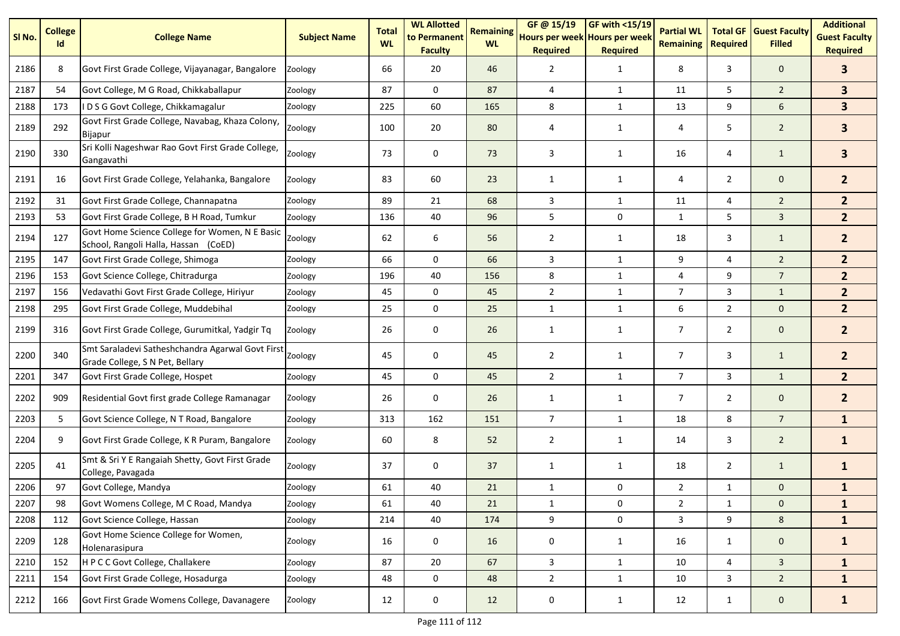| SI No. | <b>College</b><br>Id | <b>College Name</b>                                                                    | <b>Subject Name</b> | <b>Total</b><br><b>WL</b> | <b>WL Allotted</b><br>to Permanent<br><b>Faculty</b> | <b>Remaining</b><br><b>WL</b> | GF@ 15/19<br>Hours per week Hours per week<br><b>Required</b> | <b>GF with &lt;15/19</b><br><b>Required</b> | <b>Partial WL</b><br><b>Remaining</b> | <b>Total GF</b><br><b>Required</b> | <b>Guest Faculty</b><br><b>Filled</b> | <b>Additional</b><br><b>Guest Faculty</b><br><b>Required</b> |
|--------|----------------------|----------------------------------------------------------------------------------------|---------------------|---------------------------|------------------------------------------------------|-------------------------------|---------------------------------------------------------------|---------------------------------------------|---------------------------------------|------------------------------------|---------------------------------------|--------------------------------------------------------------|
| 2186   | 8                    | Govt First Grade College, Vijayanagar, Bangalore                                       | Zoology             | 66                        | 20                                                   | 46                            | 2                                                             | $\mathbf{1}$                                | 8                                     | 3                                  | $\mathbf 0$                           | 3 <sup>1</sup>                                               |
| 2187   | 54                   | Govt College, M G Road, Chikkaballapur                                                 | Zoology             | 87                        | $\mathbf 0$                                          | 87                            | 4                                                             | 1                                           | 11                                    | 5                                  | $\overline{2}$                        | 3 <sup>1</sup>                                               |
| 2188   | 173                  | IDSG Govt College, Chikkamagalur                                                       | Zoology             | 225                       | 60                                                   | 165                           | 8                                                             | 1                                           | 13                                    | 9                                  | 6                                     | 3 <sup>1</sup>                                               |
| 2189   | 292                  | Govt First Grade College, Navabag, Khaza Colony,<br>Bijapur                            | Zoology             | 100                       | 20                                                   | 80                            | 4                                                             | 1                                           | 4                                     | 5                                  | $\overline{2}$                        | $\overline{\mathbf{3}}$                                      |
| 2190   | 330                  | Sri Kolli Nageshwar Rao Govt First Grade College,<br>Gangavathi                        | Zoology             | 73                        | 0                                                    | 73                            | 3                                                             | 1                                           | 16                                    | 4                                  | $\mathbf{1}$                          | 3 <sup>1</sup>                                               |
| 2191   | 16                   | Govt First Grade College, Yelahanka, Bangalore                                         | Zoology             | 83                        | 60                                                   | 23                            | 1                                                             | 1                                           | 4                                     | $\overline{2}$                     | $\mathbf 0$                           | 2 <sup>2</sup>                                               |
| 2192   | 31                   | Govt First Grade College, Channapatna                                                  | Zoology             | 89                        | 21                                                   | 68                            | 3                                                             | 1                                           | 11                                    | $\overline{4}$                     | $\overline{2}$                        | 2 <sup>2</sup>                                               |
| 2193   | 53                   | Govt First Grade College, B H Road, Tumkur                                             | Zoology             | 136                       | 40                                                   | 96                            | 5                                                             | 0                                           | $\mathbf{1}$                          | 5                                  | $\overline{3}$                        | 2 <sup>2</sup>                                               |
| 2194   | 127                  | Govt Home Science College for Women, N E Basic<br>School, Rangoli Halla, Hassan (CoED) | Zoology             | 62                        | 6                                                    | 56                            | 2                                                             | $\mathbf{1}$                                | 18                                    | 3                                  | $\mathbf{1}$                          | 2 <sup>1</sup>                                               |
| 2195   | 147                  | Govt First Grade College, Shimoga                                                      | Zoology             | 66                        | 0                                                    | 66                            | 3                                                             | $\mathbf{1}$                                | 9                                     | 4                                  | $\overline{2}$                        | 2 <sup>1</sup>                                               |
| 2196   | 153                  | Govt Science College, Chitradurga                                                      | Zoology             | 196                       | 40                                                   | 156                           | 8                                                             | $\mathbf{1}$                                | 4                                     | 9                                  | $\overline{7}$                        | 2 <sup>2</sup>                                               |
| 2197   | 156                  | Vedavathi Govt First Grade College, Hiriyur                                            | Zoology             | 45                        | 0                                                    | 45                            | $\overline{2}$                                                | $\mathbf{1}$                                | $\overline{7}$                        | 3                                  | $\mathbf{1}$                          | 2 <sup>2</sup>                                               |
| 2198   | 295                  | Govt First Grade College, Muddebihal                                                   | Zoology             | 25                        | 0                                                    | 25                            | $\mathbf{1}$                                                  | $\mathbf{1}$                                | 6                                     | $\overline{2}$                     | $\mathbf 0$                           | 2 <sup>1</sup>                                               |
| 2199   | 316                  | Govt First Grade College, Gurumitkal, Yadgir Tq                                        | Zoology             | 26                        | 0                                                    | 26                            | 1                                                             | 1                                           | $\overline{7}$                        | $\overline{2}$                     | $\mathbf 0$                           | 2 <sup>2</sup>                                               |
| 2200   | 340                  | Smt Saraladevi Satheshchandra Agarwal Govt First<br>Grade College, S N Pet, Bellary    | Zoology             | 45                        | 0                                                    | 45                            | 2                                                             | 1                                           | $\overline{7}$                        | 3                                  | $\mathbf{1}$                          | $\mathbf{2}$                                                 |
| 2201   | 347                  | Govt First Grade College, Hospet                                                       | Zoology             | 45                        | $\mathbf 0$                                          | 45                            | $\overline{2}$                                                | $\mathbf{1}$                                | $\overline{7}$                        | 3                                  | $\mathbf{1}$                          | 2 <sup>1</sup>                                               |
| 2202   | 909                  | Residential Govt first grade College Ramanagar                                         | Zoology             | 26                        | 0                                                    | 26                            | $\mathbf{1}$                                                  | $\mathbf{1}$                                | $\overline{7}$                        | $\overline{2}$                     | $\mathbf 0$                           | 2 <sup>2</sup>                                               |
| 2203   | 5                    | Govt Science College, N T Road, Bangalore                                              | Zoology             | 313                       | 162                                                  | 151                           | $\overline{7}$                                                | $\mathbf{1}$                                | 18                                    | 8                                  | $\overline{7}$                        | $\mathbf{1}$                                                 |
| 2204   | 9                    | Govt First Grade College, K R Puram, Bangalore                                         | Zoology             | 60                        | 8                                                    | 52                            | $\overline{2}$                                                | $\mathbf{1}$                                | 14                                    | 3                                  | $\overline{2}$                        | $\mathbf{1}$                                                 |
| 2205   | 41                   | Smt & Sri Y E Rangaiah Shetty, Govt First Grade<br>College, Pavagada                   | Zoology             | 37                        | 0                                                    | 37                            | $\mathbf{1}$                                                  | $\mathbf{1}$                                | 18                                    | $\overline{2}$                     | $\mathbf{1}$                          | $\mathbf{1}$                                                 |
| 2206   | 97                   | Govt College, Mandya                                                                   | Zoology             | 61                        | 40                                                   | 21                            | $\mathbf{1}$                                                  | 0                                           | $\overline{2}$                        | $\mathbf{1}$                       | $\mathbf 0$                           | $\mathbf{1}$                                                 |
| 2207   | 98                   | Govt Womens College, M C Road, Mandya                                                  | Zoology             | 61                        | 40                                                   | 21                            | $\mathbf{1}$                                                  | 0                                           | $\overline{2}$                        | $\mathbf{1}$                       | $\mathbf 0$                           | $\mathbf{1}$                                                 |
| 2208   | 112                  | Govt Science College, Hassan                                                           | Zoology             | 214                       | 40                                                   | 174                           | 9                                                             | 0                                           | 3                                     | 9                                  | 8                                     | $\mathbf{1}$                                                 |
| 2209   | 128                  | Govt Home Science College for Women,<br>Holenarasipura                                 | Zoology             | 16                        | 0                                                    | 16                            | 0                                                             | 1                                           | 16                                    | $\mathbf{1}$                       | $\mathbf 0$                           | $\mathbf{1}$                                                 |
| 2210   | 152                  | H P C C Govt College, Challakere                                                       | Zoology             | 87                        | 20                                                   | 67                            | 3                                                             | $\mathbf{1}$                                | 10                                    | 4                                  | $\mathbf{3}$                          | $\mathbf{1}$                                                 |
| 2211   | 154                  | Govt First Grade College, Hosadurga                                                    | Zoology             | 48                        | $\pmb{0}$                                            | 48                            | $\overline{2}$                                                | $\mathbf{1}$                                | 10                                    | 3                                  | $\overline{2}$                        | $\mathbf{1}$                                                 |
| 2212   | 166                  | Govt First Grade Womens College, Davanagere                                            | Zoology             | 12                        | $\pmb{0}$                                            | 12                            | $\pmb{0}$                                                     | $\mathbf{1}$                                | 12                                    | $\mathbf{1}$                       | $\mathbf{0}$                          | $\mathbf{1}$                                                 |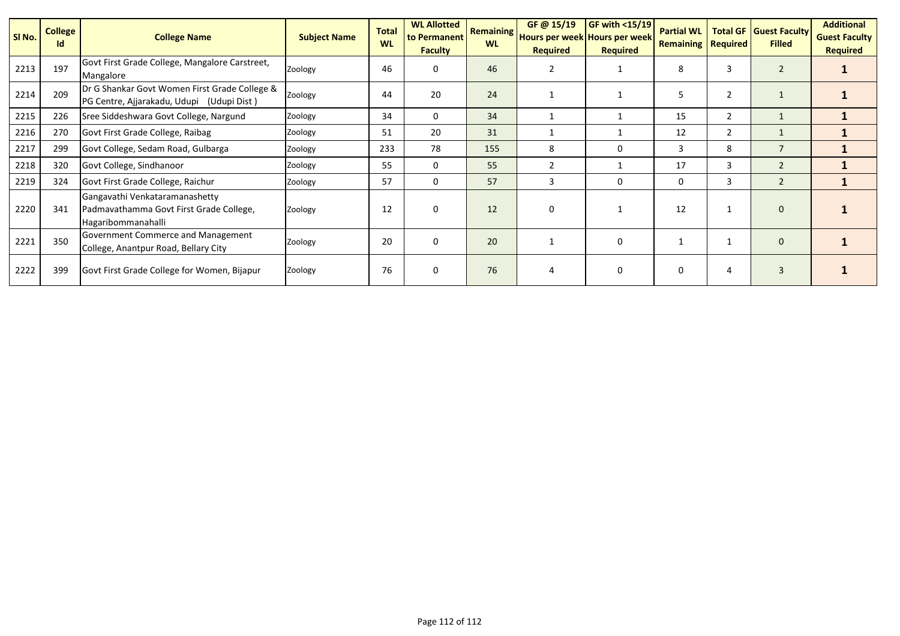| SI No. | <b>College</b><br>Id | <b>College Name</b>                                                                             | <b>Subject Name</b> | <b>Total</b><br><b>WL</b> | <b>WL Allotted</b><br>to Permanent<br><b>Faculty</b> |     | GF @ 15/19<br><b>Required</b> | <b>GF with &lt;15/19</b><br><b>Remaining Hours per week Hours per week!</b><br><b>Required</b> | <b>Partial WL</b><br><b>Remaining Required</b> | <b>Total GF</b> | <b>Guest Faculty</b><br><b>Filled</b> | <b>Additional</b><br><b>Guest Faculty</b><br><b>Required</b> |
|--------|----------------------|-------------------------------------------------------------------------------------------------|---------------------|---------------------------|------------------------------------------------------|-----|-------------------------------|------------------------------------------------------------------------------------------------|------------------------------------------------|-----------------|---------------------------------------|--------------------------------------------------------------|
| 2213   | 197                  | Govt First Grade College, Mangalore Carstreet,<br>Mangalore                                     | Zoology             | 46                        | 0                                                    | 46  | $\overline{2}$                |                                                                                                | 8                                              | 3               | $\overline{2}$                        |                                                              |
| 2214   | 209                  | Dr G Shankar Govt Women First Grade College &<br>PG Centre, Ajjarakadu, Udupi (Udupi Dist)      | Zoology             | 44                        | 20                                                   | 24  |                               |                                                                                                | 5                                              | $\overline{2}$  | L                                     |                                                              |
| 2215   | 226                  | Sree Siddeshwara Govt College, Nargund<br>Zoology                                               |                     | 34                        | 0                                                    | 34  |                               |                                                                                                | 15                                             | 2               |                                       |                                                              |
| 2216   | 270                  | Govt First Grade College, Raibag                                                                | Zoology             | 51                        | 20                                                   | 31  |                               |                                                                                                | 12                                             | $\overline{2}$  |                                       |                                                              |
| 2217   | 299                  | Govt College, Sedam Road, Gulbarga                                                              | Zoology             | 233                       | 78                                                   | 155 | 8                             | $\Omega$                                                                                       | 3                                              | 8               | $\overline{7}$                        |                                                              |
| 2218   | 320                  | Govt College, Sindhanoor                                                                        | Zoology             | 55                        | $\Omega$                                             | 55  | $\overline{2}$                |                                                                                                | 17                                             | 3               | $\overline{2}$                        |                                                              |
| 2219   | 324                  | Govt First Grade College, Raichur                                                               | Zoology             | 57                        | 0                                                    | 57  | 3                             | 0                                                                                              | 0                                              | 3               | $\overline{2}$                        |                                                              |
| 2220   | 341                  | Gangavathi Venkataramanashetty<br>Padmavathamma Govt First Grade College,<br>Hagaribommanahalli | Zoology             | 12                        | $\mathbf{0}$                                         | 12  | $\Omega$                      |                                                                                                | 12                                             |                 | $\mathbf{0}$                          |                                                              |
| 2221   | 350                  | Government Commerce and Management<br>College, Anantpur Road, Bellary City                      | Zoology             | 20                        | $\Omega$                                             | 20  |                               | $\Omega$                                                                                       |                                                |                 | $\mathbf{0}$                          |                                                              |
| 2222   | 399                  | Govt First Grade College for Women, Bijapur                                                     | Zoology             | 76                        | $\Omega$                                             | 76  | $\overline{4}$                | $\Omega$                                                                                       | 0                                              | 4               | $\overline{3}$                        |                                                              |